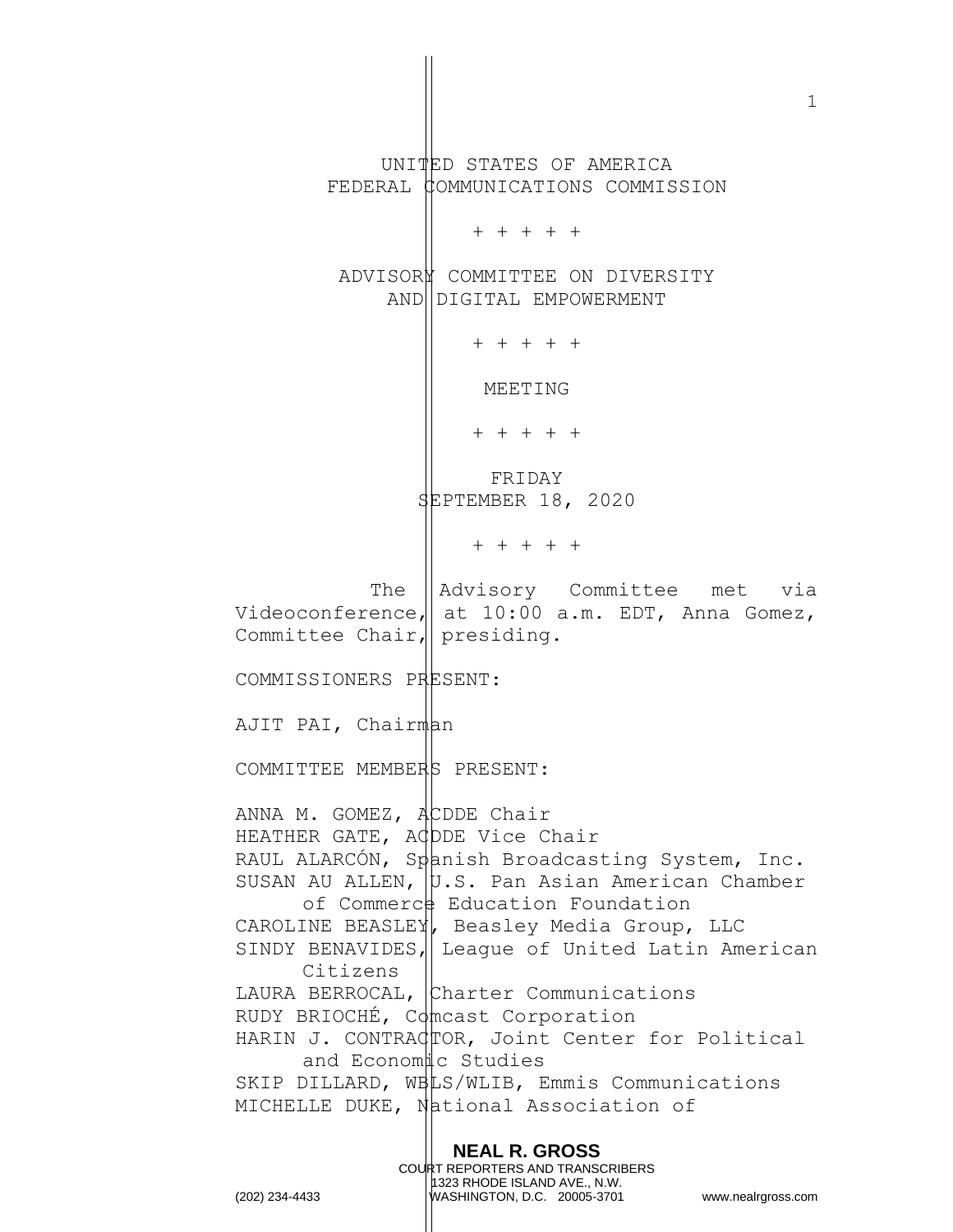**NEAL R. GROSS** UNITED STATES OF AMERICA FEDERAL COMMUNICATIONS COMMISSION + + + + + ADVISORY COMMITTEE ON DIVERSITY AND DIGITAL EMPOWERMENT + + + + + MEETING + + + + + FRIDAY SEPTEMBER 18, 2020 + + + + + The Advisory Committee met via Videoconference, at  $10:00$  a.m. EDT, Anna Gomez, Committee Chair, presiding. COMMISSIONERS PRESENT: AJIT PAI, Chairman COMMITTEE MEMBERS PRESENT: ANNA M. GOMEZ,  $A$ CDDE Chair HEATHER GATE, ACDDE Vice Chair RAUL ALARCÓN, Spanish Broadcasting System, Inc. SUSAN AU ALLEN,  $|v.s.$  Pan Asian American Chamber of Commerce Education Foundation CAROLINE BEASLEY, Beasley Media Group, LLC SINDY BENAVIDES, League of United Latin American Citizens LAURA BERROCAL, Charter Communications RUDY BRIOCHÉ, Comcast Corporation HARIN J. CONTRACTOR, Joint Center for Political and Economic Studies SKIP DILLARD, WBLS/WLIB, Emmis Communications MICHELLE DUKE, National Association of

> COURT REPORTERS AND TRANSCRIBERS 1323 RHODE ISLAND AVE., N.W.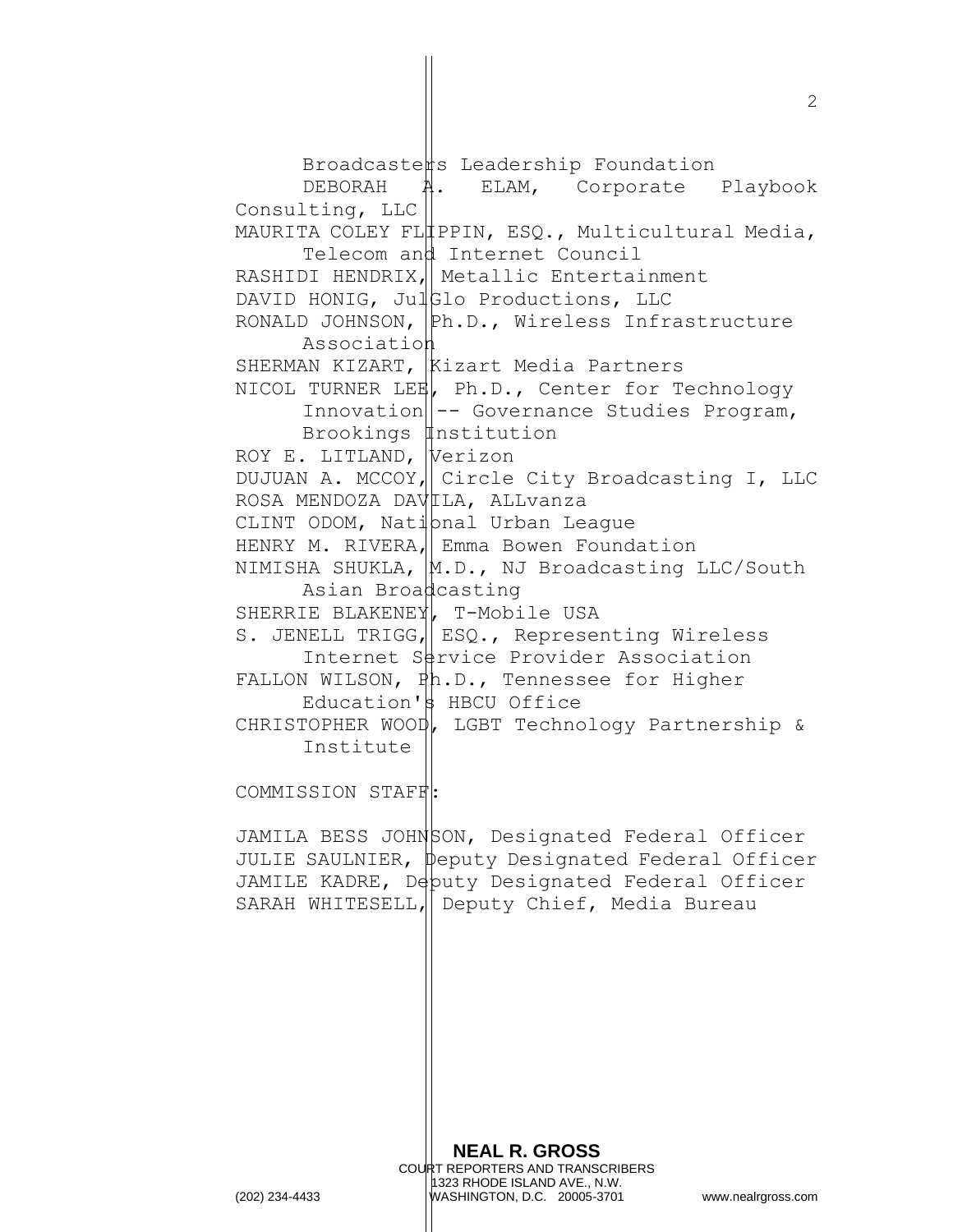Broadcasters Leadership Foundation DEBORAH A. ELAM, Corporate Playbook Consulting, LLC MAURITA COLEY FLIPPIN, ESQ., Multicultural Media, Telecom and Internet Council RASHIDI HENDRIX, Metallic Entertainment DAVID HONIG, JulGlo Productions, LLC RONALD JOHNSON, Ph.D., Wireless Infrastructure Association SHERMAN KIZART, Kizart Media Partners NICOL TURNER LEE, Ph.D., Center for Technology  $In novation \$ -- Governance Studies Program, Brookings *Institution* ROY E. LITLAND, Verizon DUJUAN A. MCCOY, Circle City Broadcasting I, LLC ROSA MENDOZA DAVILA, ALLVanza CLINT ODOM, Nati $\beta$ nal Urban League HENRY M. RIVERA, Emma Bowen Foundation NIMISHA SHUKLA,  $|M.D.,$  NJ Broadcasting LLC/South Asian Broadcasting SHERRIE BLAKENEY, T-Mobile USA S. JENELL TRIGG, ESQ., Representing Wireless Internet Service Provider Association FALLON WILSON, Ph.D., Tennessee for Higher Education's HBCU Office CHRISTOPHER WOOD, LGBT Technology Partnership & Institute COMMISSION STAFF:

JAMILA BESS JOHNSON, Designated Federal Officer JULIE SAULNIER, peputy Designated Federal Officer JAMILE KADRE, Deputy Designated Federal Officer SARAH WHITESELL, Deputy Chief, Media Bureau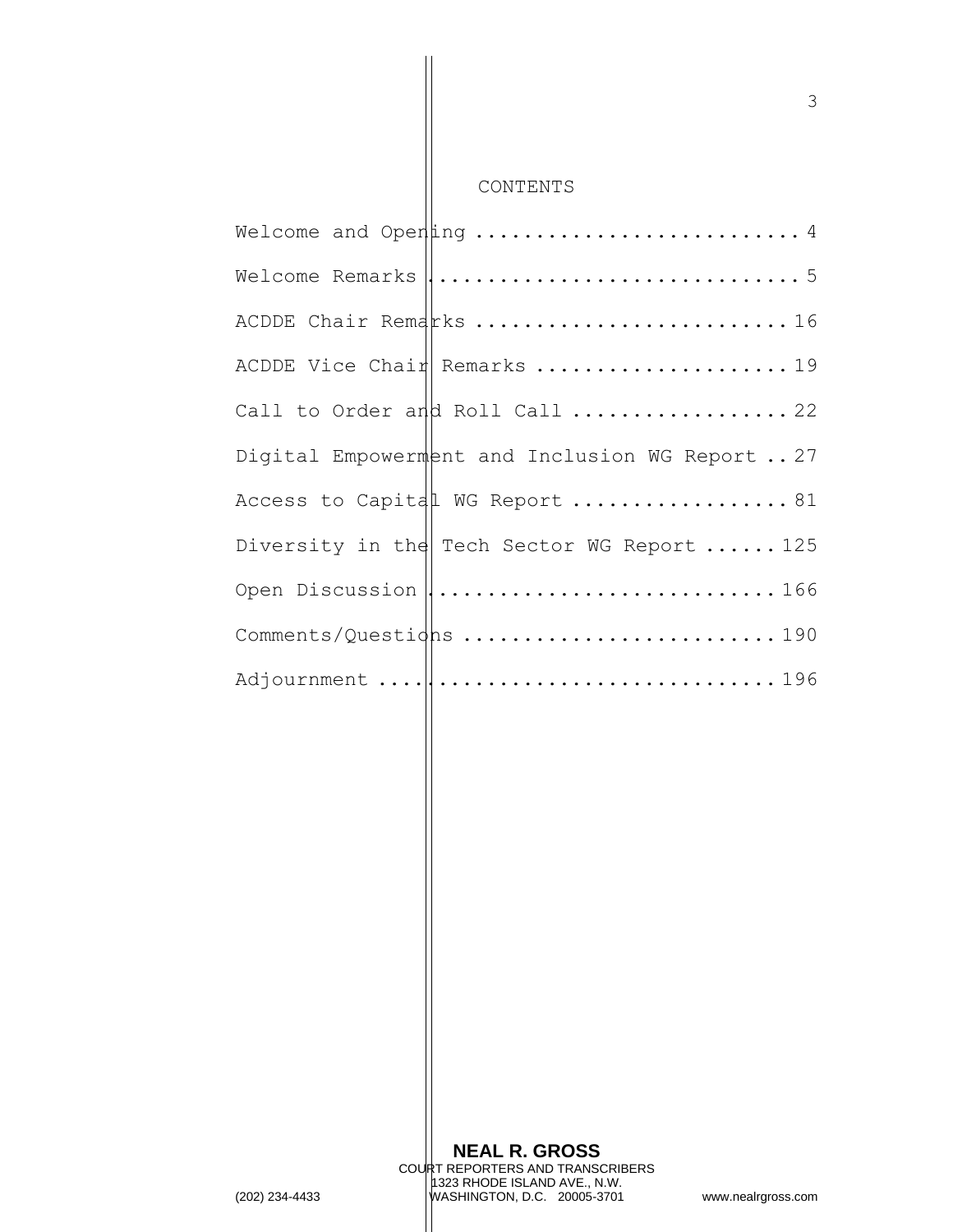CONTENTS

| Welcome Remarks $\ \ldots\ldots\ldots\ldots\ldots\ldots\ldots\ldots\ldots\ldots\,5$ |
|-------------------------------------------------------------------------------------|
| ACDDE Chair Remarks 16                                                              |
|                                                                                     |
| Call to Order and Roll Call  22                                                     |
| Digital Empowerment and Inclusion WG Report 27                                      |
| Access to Capital WG Report  81                                                     |
| Diversity in the Tech Sector WG Report  125                                         |
| Open Discussion   166                                                               |
| Comments/Questighs 190                                                              |
|                                                                                     |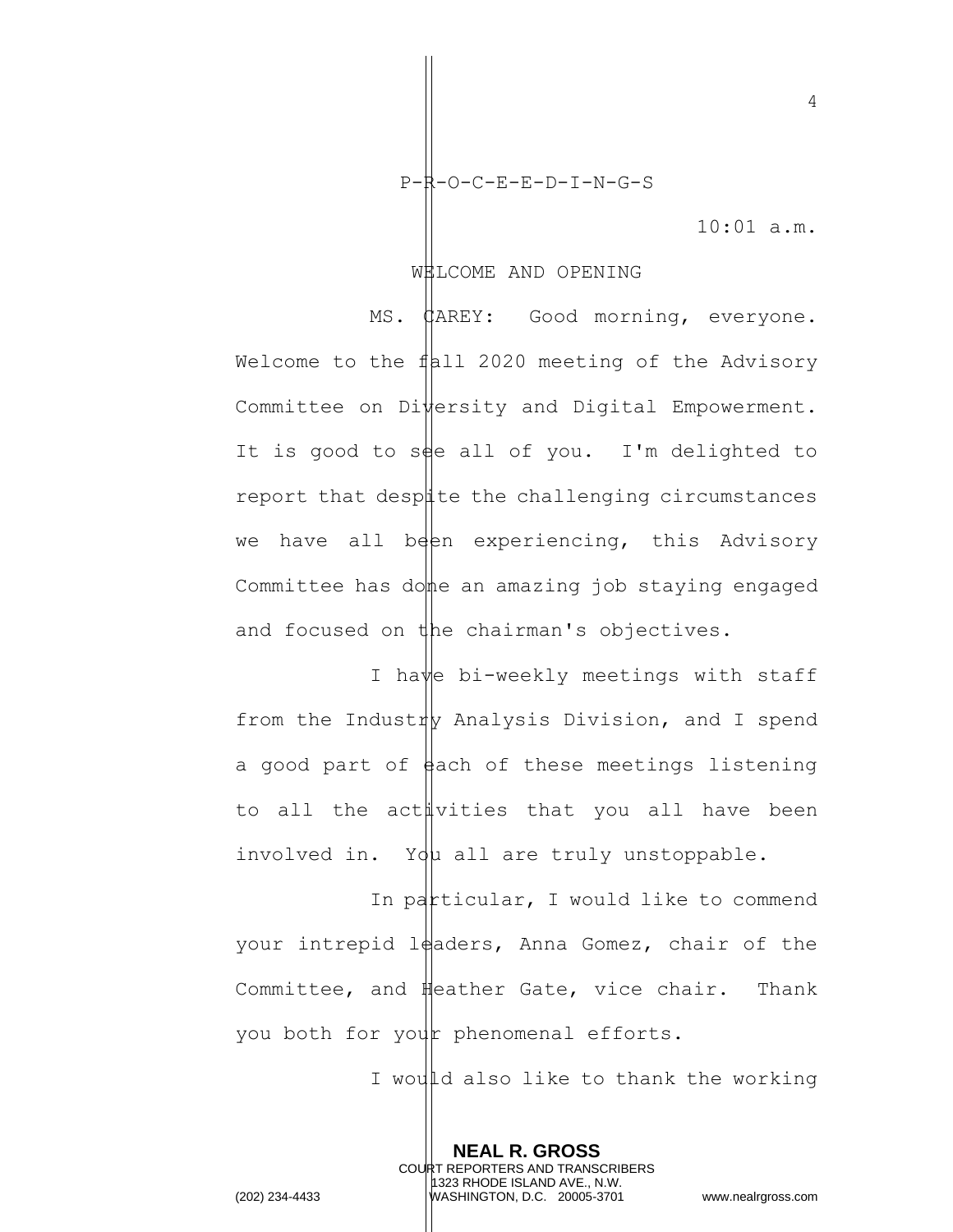P-R-O-C-E-E-D-I-N-G-S

10:01 a.m.

4

#### WELCOME AND OPENING

MS. CAREY: Good morning, everyone. Welcome to the  $f$ | all 2020 meeting of the Advisory Committee on  $D$ i $\psi$ ersity and Digital Empowerment. It is good to see all of you. I'm delighted to report that despite the challenging circumstances we have all been experiencing, this Advisory Committee has do $\phi$ e an amazing job staying engaged and focused on the chairman's objectives.

I have bi-weekly meetings with staff from the Industry Analysis Division, and I spend a good part of  $\frac{1}{4}$ ach of these meetings listening to all the activities that you all have been involved in. You all are truly unstoppable.

In particular, I would like to commend your intrepid leaders, Anna Gomez, chair of the Committee, and Heather Gate, vice chair. Thank you both for your phenomenal efforts.

> **NEAL R. GROSS** COURT REPORTERS AND TRANSCRIBERS 1323 RHODE ISLAND AVE., N.W.

I would also like to thank the working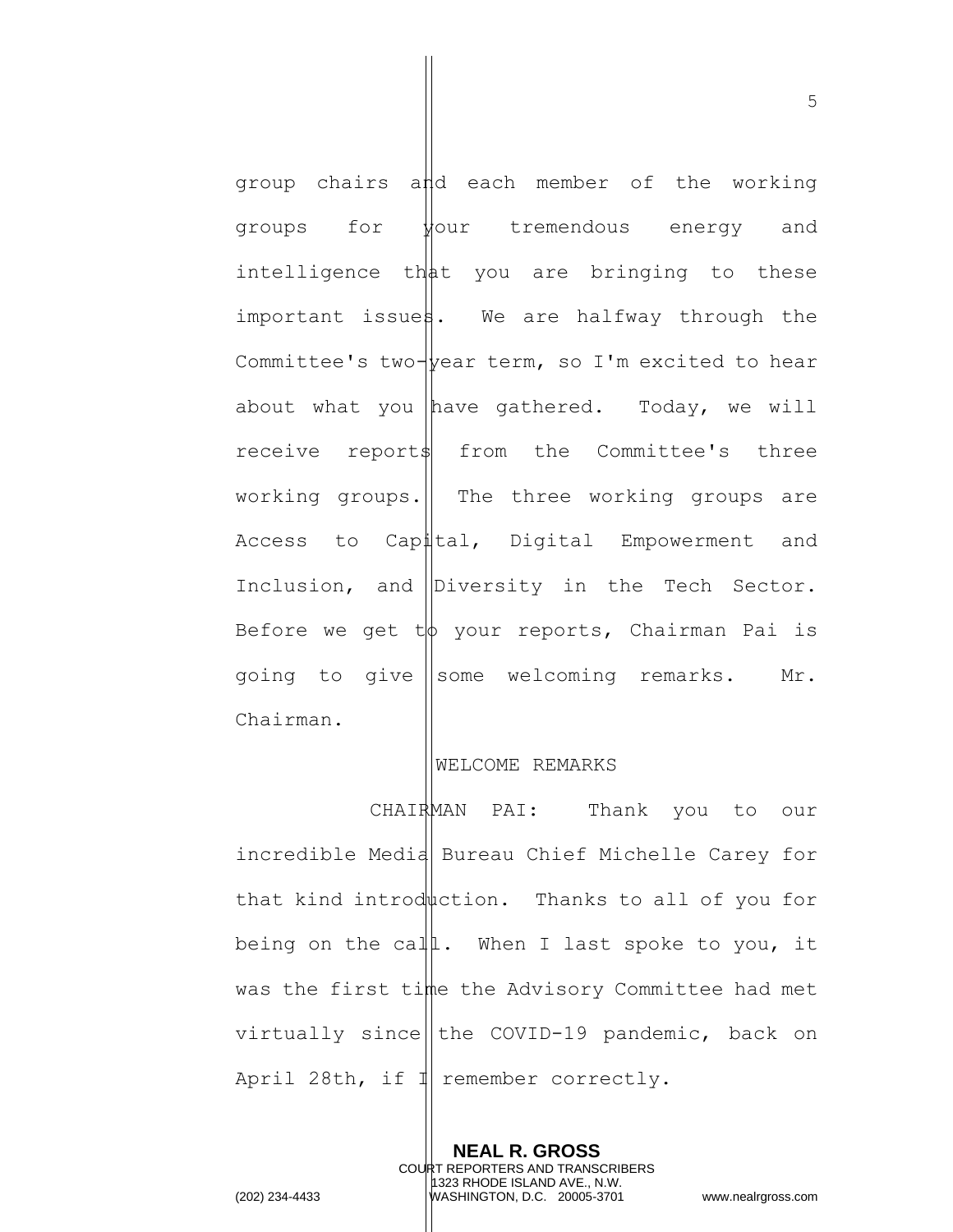group chairs and each member of the working groups for your tremendous energy and intelligence that you are bringing to these important issues. We are halfway through the Committee's two- $\psi$ ear term, so I'm excited to hear about what you have gathered. Today, we will receive report\$ from the Committee's three working groups.  $\parallel$  The three working groups are Access to Capital, Digital Empowerment and Inclusion, and Diversity in the Tech Sector. Before we get  $t\phi$  your reports, Chairman Pai is going to give some welcoming remarks. Mr. Chairman.

## WELCOME REMARKS

CHAIRMAN PAI: Thank you to our incredible Media Bureau Chief Michelle Carey for that kind introduction. Thanks to all of you for being on the call. When I last spoke to you, it was the first time the Advisory Committee had met virtually since the COVID-19 pandemic, back on April 28th, if  $\mathbb{I}$  remember correctly.

> **NEAL R. GROSS** COURT REPORTERS AND TRANSCRIBERS

1323 RHODE ISLAND AVE., N.W. (202) 234-4433 WASHINGTON, D.C. 20005-3701 www.nealrgross.com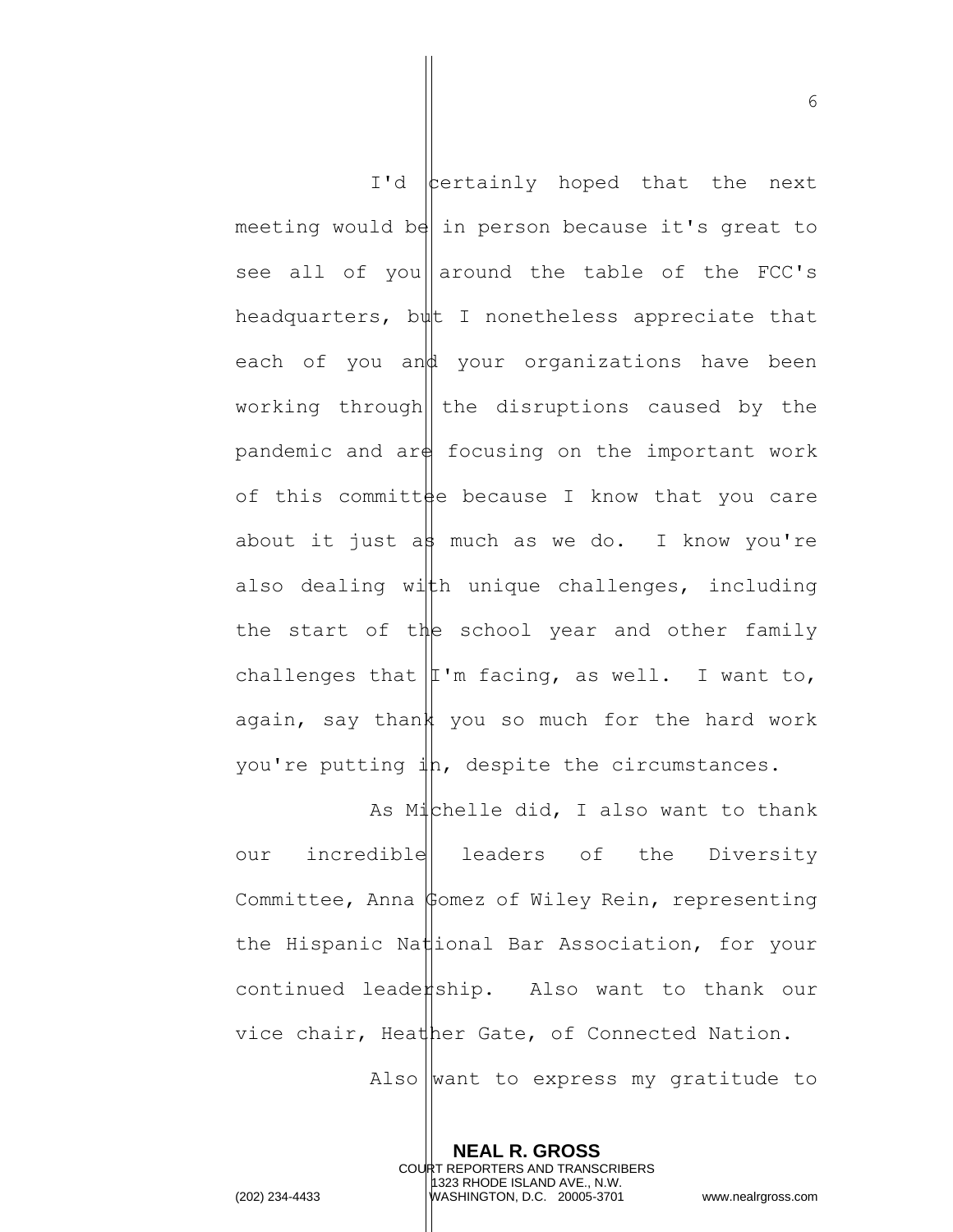$I'd$   $|$  certainly hoped that the next meeting would be in person because it's great to see all of you around the table of the FCC's headquarters, but I nonetheless appreciate that each of you and your organizations have been working through  $\|$  the disruptions caused by the pandemic and  $\argh$  focusing on the important work of this committee because I know that you care about it just a  $\frac{1}{2}$  much as we do. I know you're also dealing with unique challenges, including the start of the school year and other family challenges that  $|I'm$  facing, as well. I want to, again, say thank you so much for the hard work you're putting in, despite the circumstances.

As Michelle did, I also want to thank our incredible leaders of the Diversity Committee, Anna Comez of Wiley Rein, representing the Hispanic National Bar Association, for your  $continued$  leade $#$ ship. Also want to thank our vice chair, Heather Gate, of Connected Nation.

Also want to express my gratitude to

**NEAL R. GROSS** COURT REPORTERS AND TRANSCRIBERS 1323 RHODE ISLAND AVE., N.W. (202) 234-4433 WASHINGTON, D.C. 20005-3701 www.nealrgross.com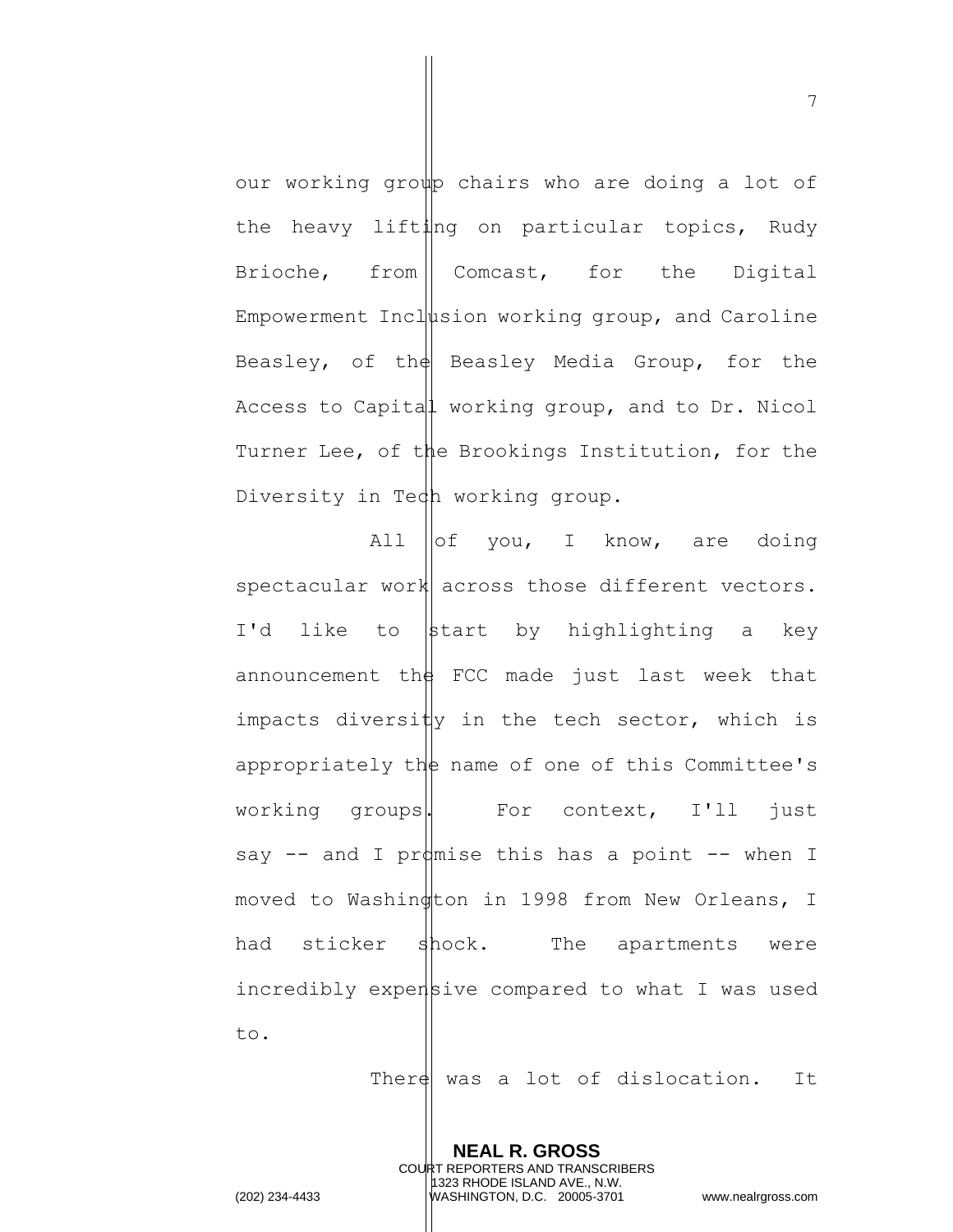our working group chairs who are doing a lot of the heavy lifting on particular topics, Rudy Brioche, from Comcast, for the Digital Empowerment Inclusion working group, and Caroline Beasley, of the Beasley Media Group, for the Access to Capital working group, and to Dr. Nicol Turner Lee, of the Brookings Institution, for the Diversity in Tech working group.

All  $\left\| \circ f \right\|$  you, I know, are doing spectacular work across those different vectors. I'd like to  $\frac{1}{2}$  start by highlighting a key announcement the FCC made just last week that impacts diversity in the tech sector, which is appropriately the name of one of this Committee's working groups. For context, I'll just say  $--$  and I promise this has a point  $--$  when I moved to Washington in 1998 from New Orleans, I had sticker shock. The apartments were incredibly expensive compared to what I was used to.

There was a lot of dislocation. It

**NEAL R. GROSS** COURT REPORTERS AND TRANSCRIBERS 1323 RHODE ISLAND AVE., N.W. (202) 234-4433 WASHINGTON, D.C. 20005-3701 www.nealrgross.com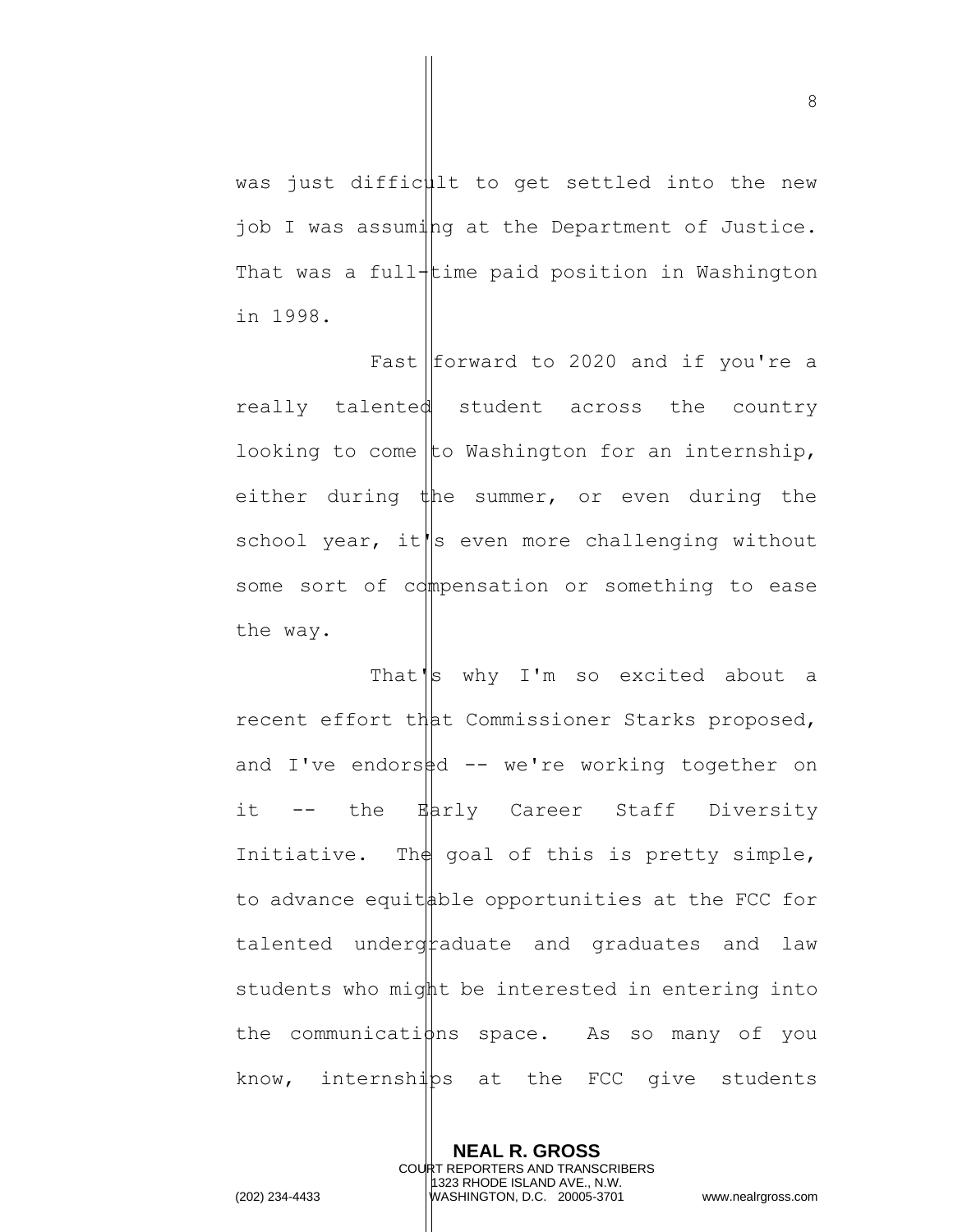was just difficult to get settled into the new job I was assuming at the Department of Justice. That was a full-time paid position in Washington in 1998.

Fast  $f$  forward to 2020 and if you're a really talented student across the country looking to come to Washington for an internship, either during the summer, or even during the school year, it $\|\mathbf{s}\|$  even more challenging without some sort of compensation or something to ease the way.

That's why I'm so excited about a recent effort that Commissioner Starks proposed, and I've endors $\frac{1}{4}d$  -- we're working together on it -- the Early Career Staff Diversity Initiative. The goal of this is pretty simple, to advance equit  $\phi$  ble opportunities at the FCC for  $t$ alented underg $\frac{t}{t}$ aduate and graduates and law students who might be interested in entering into the communications space. As so many of you know, internships at the FCC give students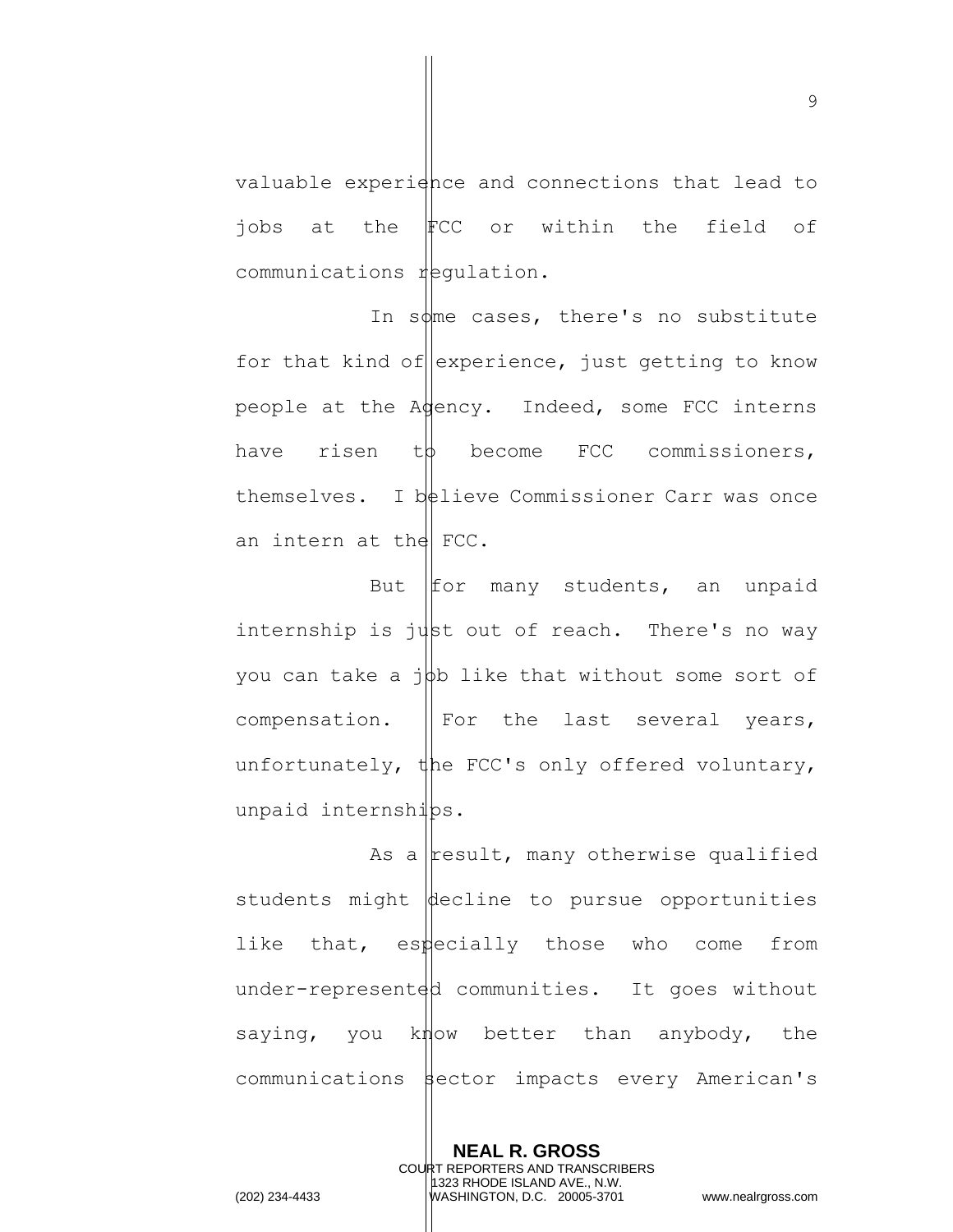valuable experidnce and connections that lead to jobs at the FCC or within the field of communications requiation.

In some cases, there's no substitute for that kind of experience, just getting to know people at the Agency. Indeed, some FCC interns have risen t $\phi$  become FCC commissioners, themselves. I  $b$ telieve Commissioner Carr was once an intern at the  $FCC$ .

But  $If$  many students, an unpaid internship is  $j$  $\downarrow$ st out of reach. There's no way you can take a  $j\phi b$  like that without some sort of compensation.  $\parallel$  For the last several years, unfortunately, the FCC's only offered voluntary, unpaid internships.

As a result, many otherwise qualified students might  $\phi$  decline to pursue opportunities like that, especially those who come from under-represented communities. It goes without saying, you know better than anybody, the communications sector impacts every American's

> **NEAL R. GROSS** COURT REPORTERS AND TRANSCRIBERS 1323 RHODE ISLAND AVE., N.W.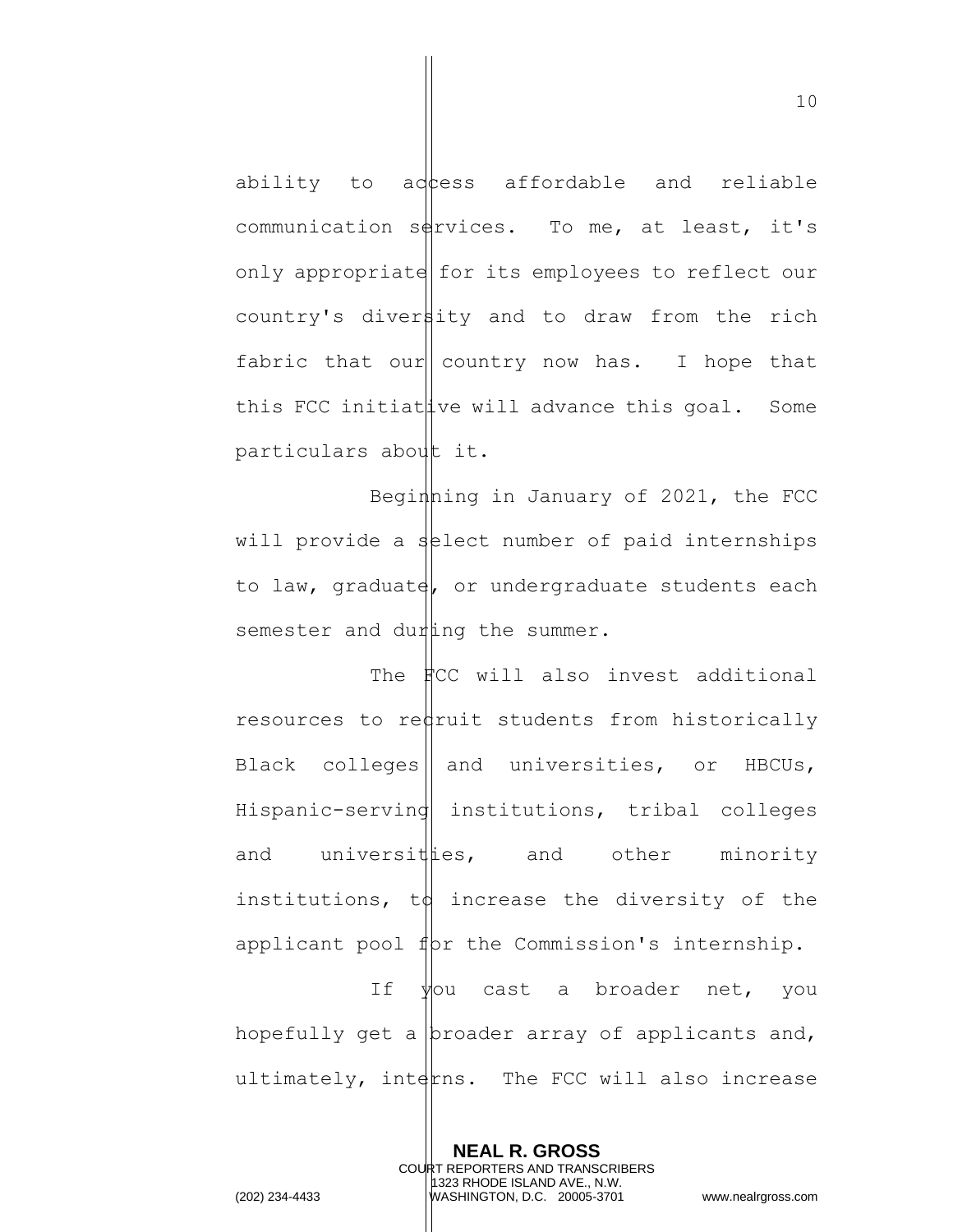ability to adtess affordable and reliable communication sources. To me, at least, it's only appropriate for its employees to reflect our country's diversity and to draw from the rich fabric that our country now has. I hope that this FCC initiat  $\frac{1}{x}$  ve will advance this goal. Some particulars about it.

Beginning in January of  $2021$ , the FCC will provide a select number of paid internships to law, graduate, or undergraduate students each semester and duraling the summer.

The **FCC** will also invest additional resources to redruit students from historically Black colleges | and universities, or HBCUs, Hispanic-serving institutions, tribal colleges and universitties, and other minority institutions,  $td$  increase the diversity of the applicant pool  $f(x)$  the Commission's internship.

If  $\forall$ ou cast a broader net, you hopefully get a  $|$ broader array of applicants and, ultimately, interns. The FCC will also increase

> **NEAL R. GROSS** COURT REPORTERS AND TRANSCRIBERS 1323 RHODE ISLAND AVE., N.W.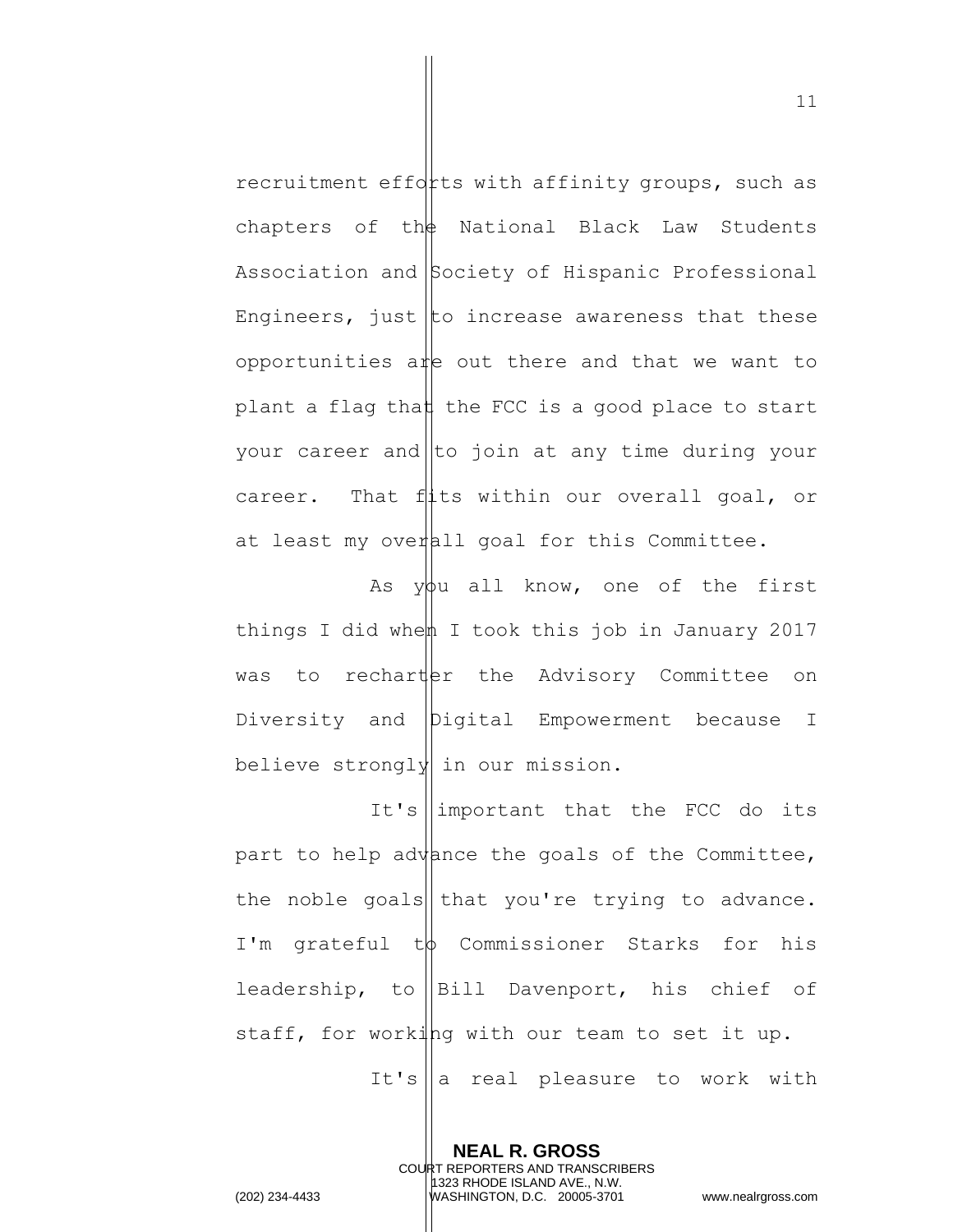recruitment efforts with affinity groups, such as chapters of th $\frac{1}{2}$  National Black Law Students Association and Society of Hispanic Professional Engineers, just to increase awareness that these opportunities are out there and that we want to plant a flag that the FCC is a good place to start your career and  $\|$ to join at any time during your career. That  $f$ <sup> $\downarrow$ </sup>ts within our overall goal, or at least my overall goal for this Committee.

As  $y\phi u$  all know, one of the first things I did when I took this job in January 2017 was to recharter the Advisory Committee on Diversity and Digital Empowerment because I believe strongly in our mission.

It's  $\lim$ portant that the FCC do its part to help advance the goals of the Committee, the noble goals that you're trying to advance. I'm grateful t $\phi$  Commissioner Starks for his leadership, to  $\left\|$  Bill Davenport, his chief of staff, for working with our team to set it up. It's a real pleasure to work with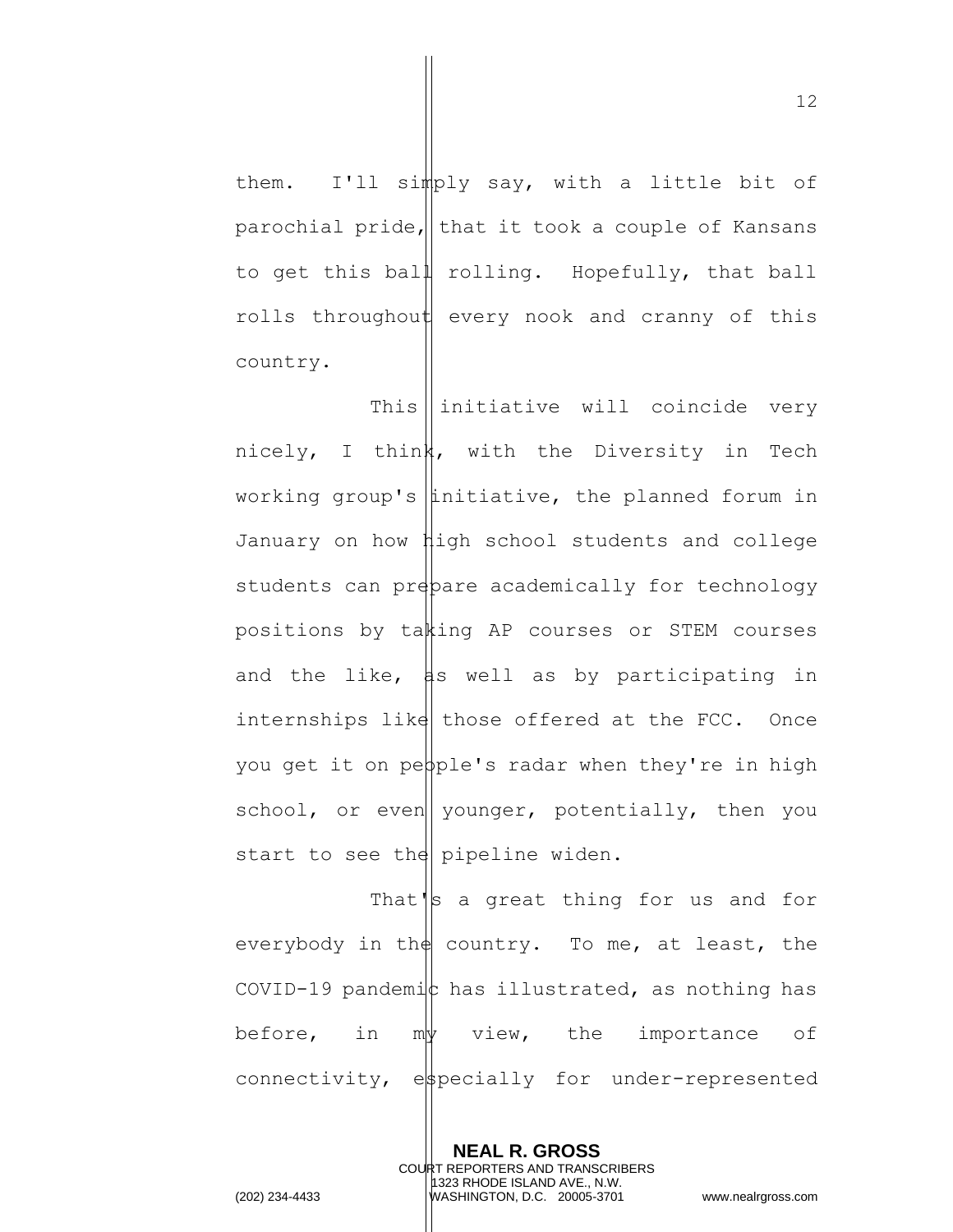them. I'll simply say, with a little bit of parochial pride, that it took a couple of Kansans

to get this ball rolling. Hopefully, that ball rolls throughout every nook and cranny of this country.

This  $\parallel$  initiative will coincide very nicely, I think, with the Diversity in Tech working group's  $\left|$  initiative, the planned forum in January on how high school students and college students can prepare academically for technology positions by taking AP courses or STEM courses and the like,  $\sharp s$  well as by participating in internships like those offered at the FCC. Once you get it on pepple's radar when they're in high school, or even younger, potentially, then you start to see the pipeline widen.

That's a great thing for us and for everybody in the country. To me, at least, the COVID-19 pandemic has illustrated, as nothing has before, in  $m\psi$  view, the importance of connectivity, especially for under-represented

> **NEAL R. GROSS** COURT REPORTERS AND TRANSCRIBERS 1323 RHODE ISLAND AVE., N.W.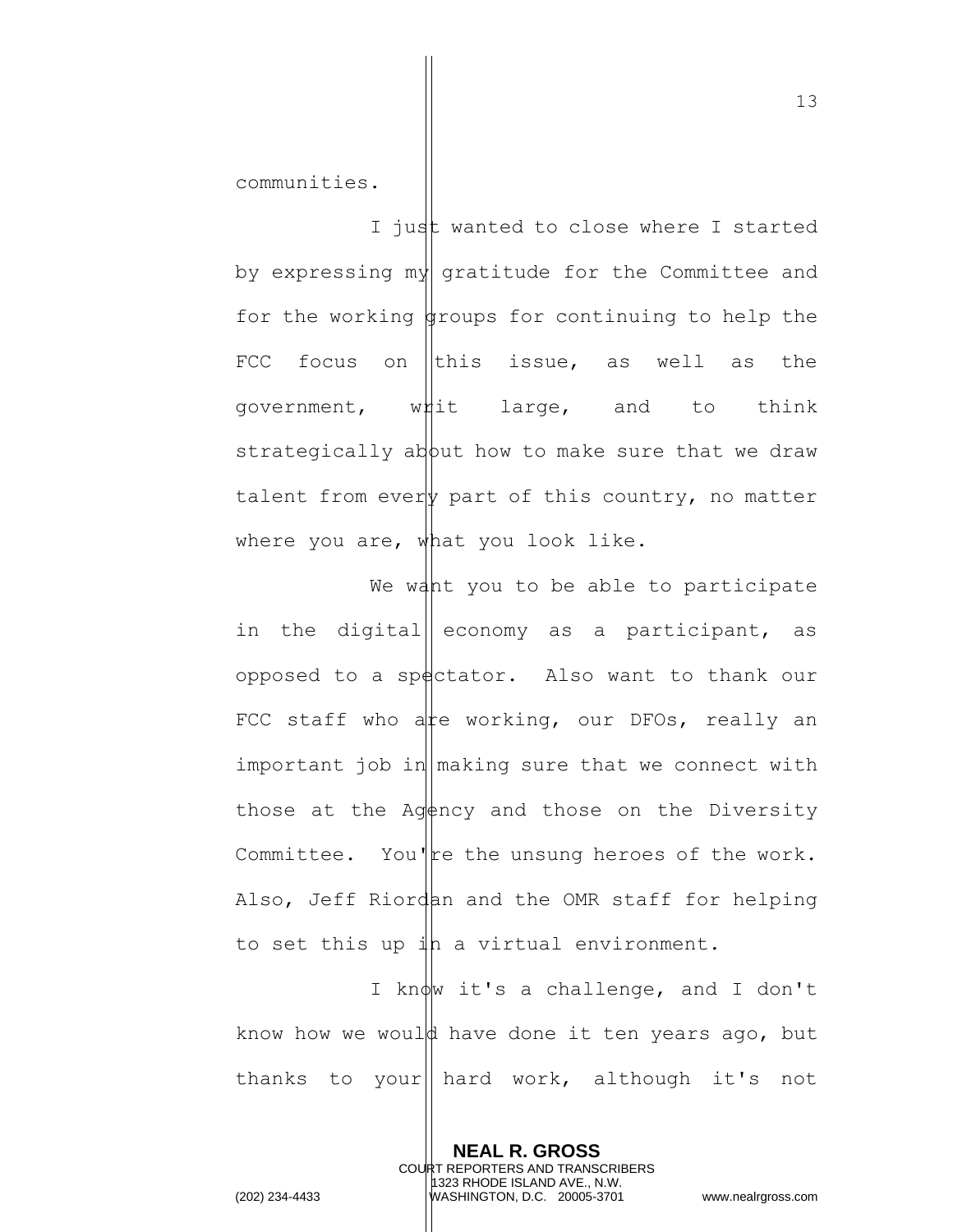communities.

I just wanted to close where I started by expressing my gratitude for the Committee and for the working  $\frac{1}{2}$  for continuing to help the FCC focus on this issue, as well as the government, whit large, and to think strategically about how to make sure that we draw talent from every part of this country, no matter where you are, what you look like.

We want you to be able to participate in the digital economy as a participant, as opposed to a spectator. Also want to thank our FCC staff who at working, our DFOs, really an important job in  $\lceil \text{making sure that we connect with} \rceil$ those at the Agency and those on the Diversity Committee. You're the unsung heroes of the work. Also, Jeff Riordan and the OMR staff for helping to set this up  $\sharp$ h a virtual environment.

I know it's a challenge, and I don't know how we would have done it ten years ago, but thanks to your|| hard work, although it's not

> **NEAL R. GROSS** COURT REPORTERS AND TRANSCRIBERS 1323 RHODE ISLAND AVE., N.W.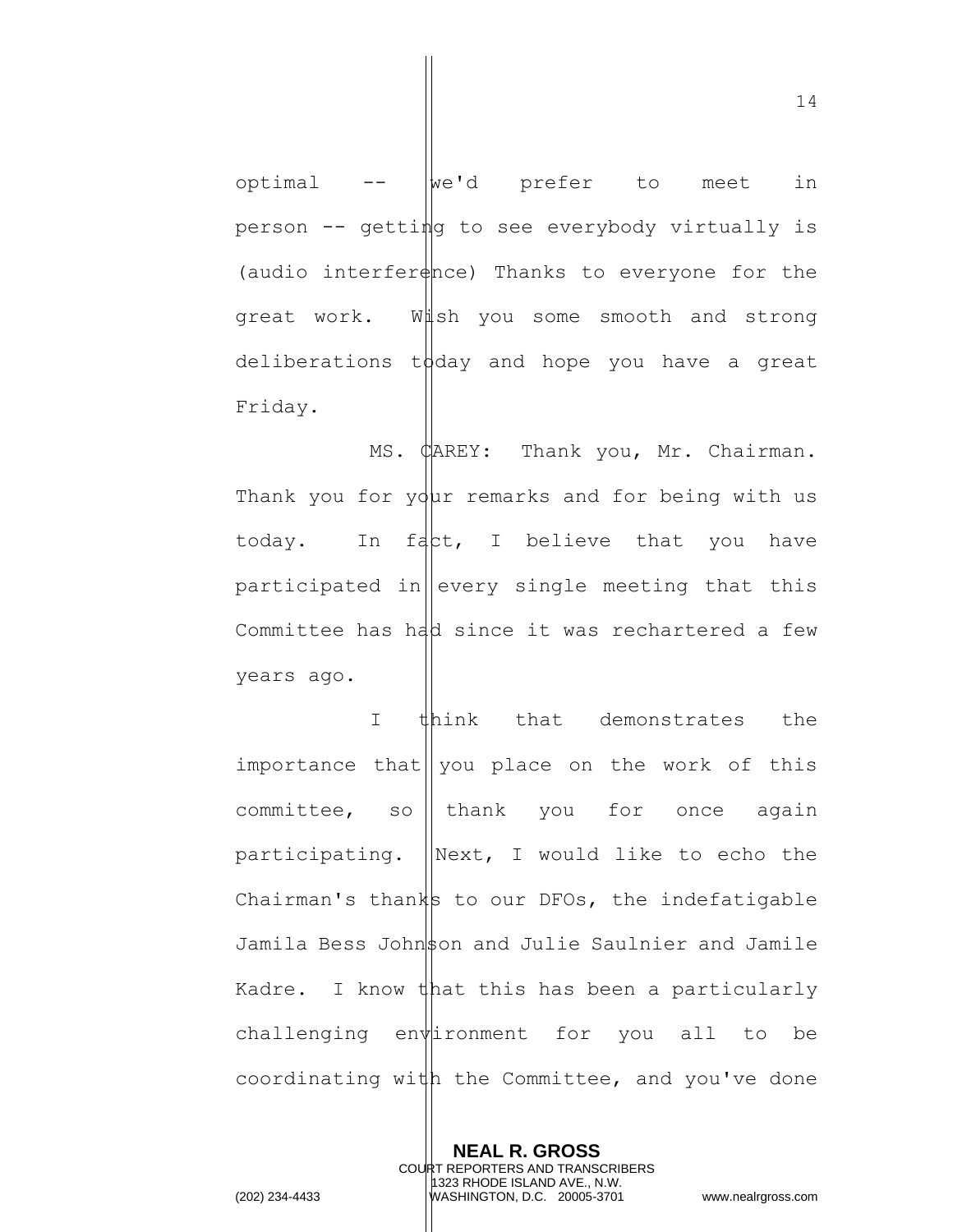optimal  $- \frac{1}{2}$  we'd prefer to meet in person -- getting to see everybody virtually is (audio interfer $\phi$ nce) Thanks to everyone for the great work. Wish you some smooth and strong deliberations to day and hope you have a great Friday.

MS. CAREY: Thank you, Mr. Chairman. Thank you for  $y\ddot{q}$ ur remarks and for being with us today. In fact, I believe that you have participated in every single meeting that this Committee has  $h$ dd since it was rechartered a few years ago.

I think that demonstrates the importance that $\|$  you place on the work of this committee, so || thank you for once again participating.  $\|\text{Next, I would like to echo the}\|$ Chairman's thanks to our DFOs, the indefatigable Jamila Bess Johnson and Julie Saulnier and Jamile Kadre. I know that this has been a particularly challenging environment for you all to be coordinating with the Committee, and you've done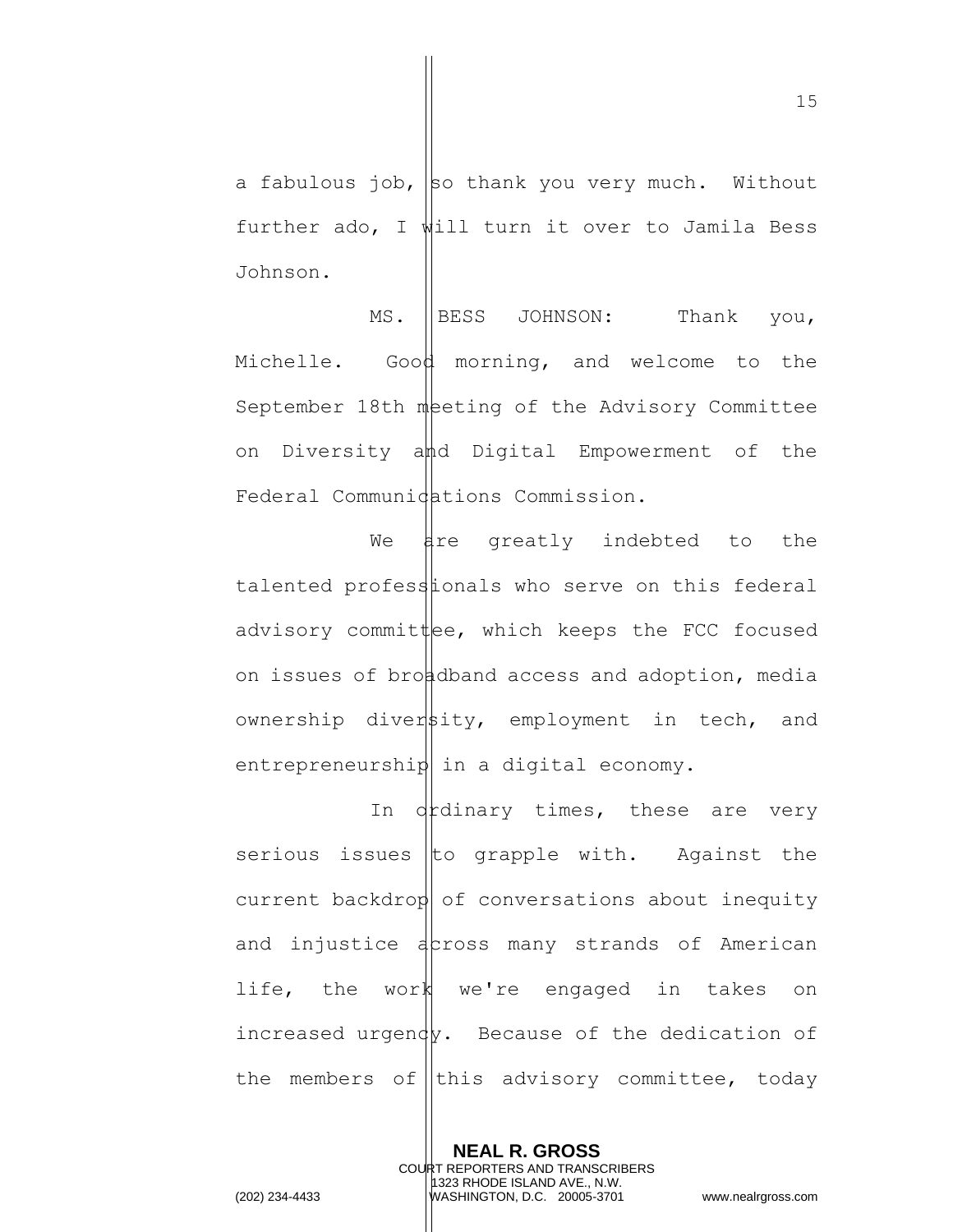a fabulous job, so thank you very much. Without further ado, I will turn it over to Jamila Bess Johnson.

MS. BESS JOHNSON: Thank you, Michelle. Good morning, and welcome to the September 18th meting of the Advisory Committee on Diversity and Digital Empowerment of the Federal Communidations Commission.

We are greatly indebted to the talented professionals who serve on this federal advisory committee, which keeps the FCC focused on issues of broadband access and adoption, media ownership diversity, employment in tech, and entrepreneurship in a digital economy.

In drdinary times, these are very serious issues to grapple with. Against the  $current$  backdrop of conversations about inequity and injustice across many strands of American life, the work we're engaged in takes on increased urgendy. Because of the dedication of the members of this advisory committee, today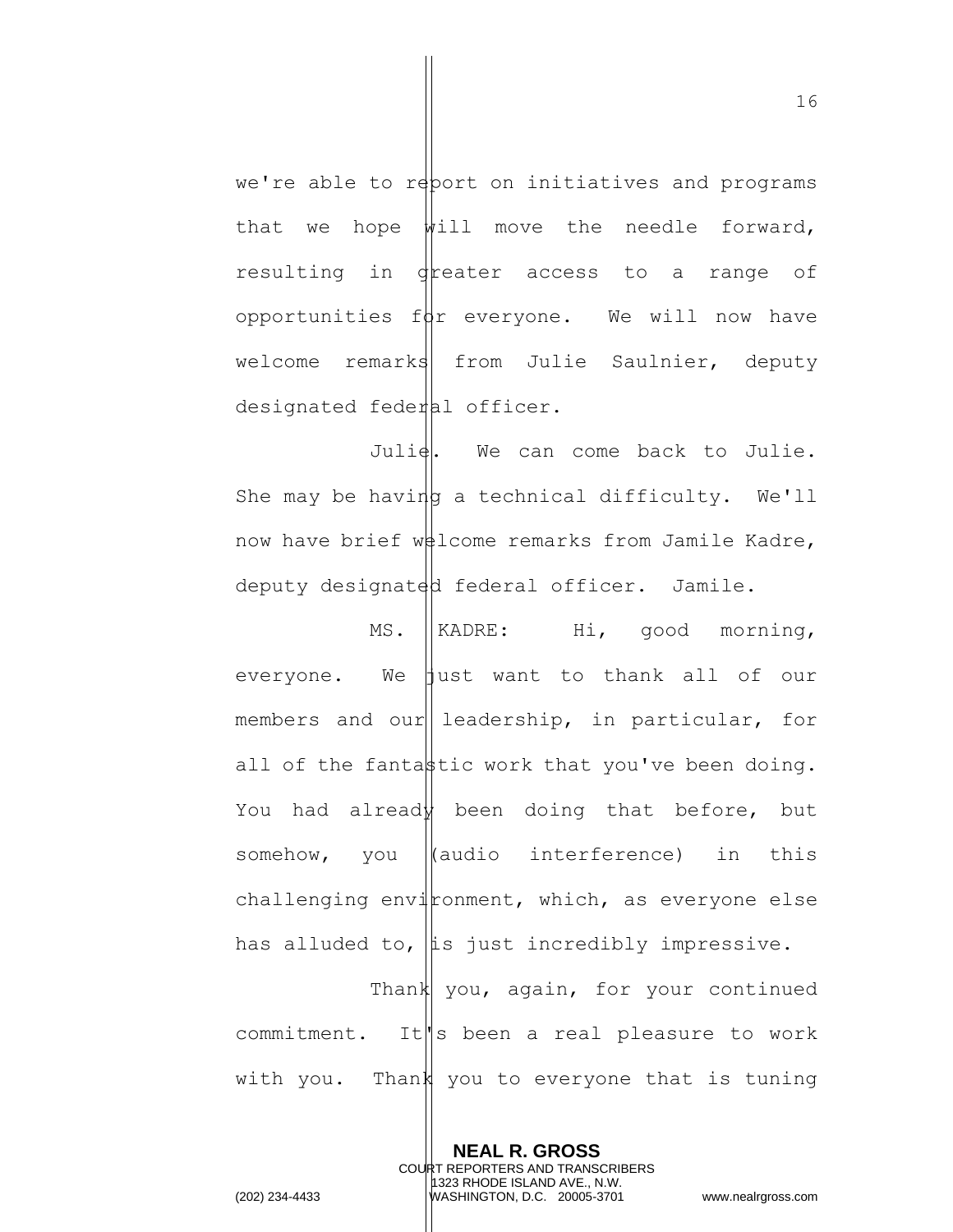we're able to report on initiatives and programs that we hope  $\frac{1}{2}$  move the needle forward, resulting in dreater access to a range of opportunities  $f(x)$  everyone. We will now have welcome remarks from Julie Saulnier, deputy designated federal officer.

Julie. We can come back to Julie. She may be having a technical difficulty. We'll now have brief  $w\#1$ come remarks from Jamile Kadre, deputy designated federal officer. Jamile.

MS. KADRE: Hi, good morning, everyone. We  $\parallel$ ust want to thank all of our members and our leadership, in particular, for all of the fantastic work that you've been doing. You had already been doing that before, but somehow, you  $\|$ (audio interference) in this challenging environment, which, as everyone else has alluded to,  $\|\text{is just incredibly impressive.}\|$ Thank you, again, for your continued commitment. It s been a real pleasure to work with you. Thank you to everyone that is tuning

> **NEAL R. GROSS** COURT REPORTERS AND TRANSCRIBERS 1323 RHODE ISLAND AVE., N.W.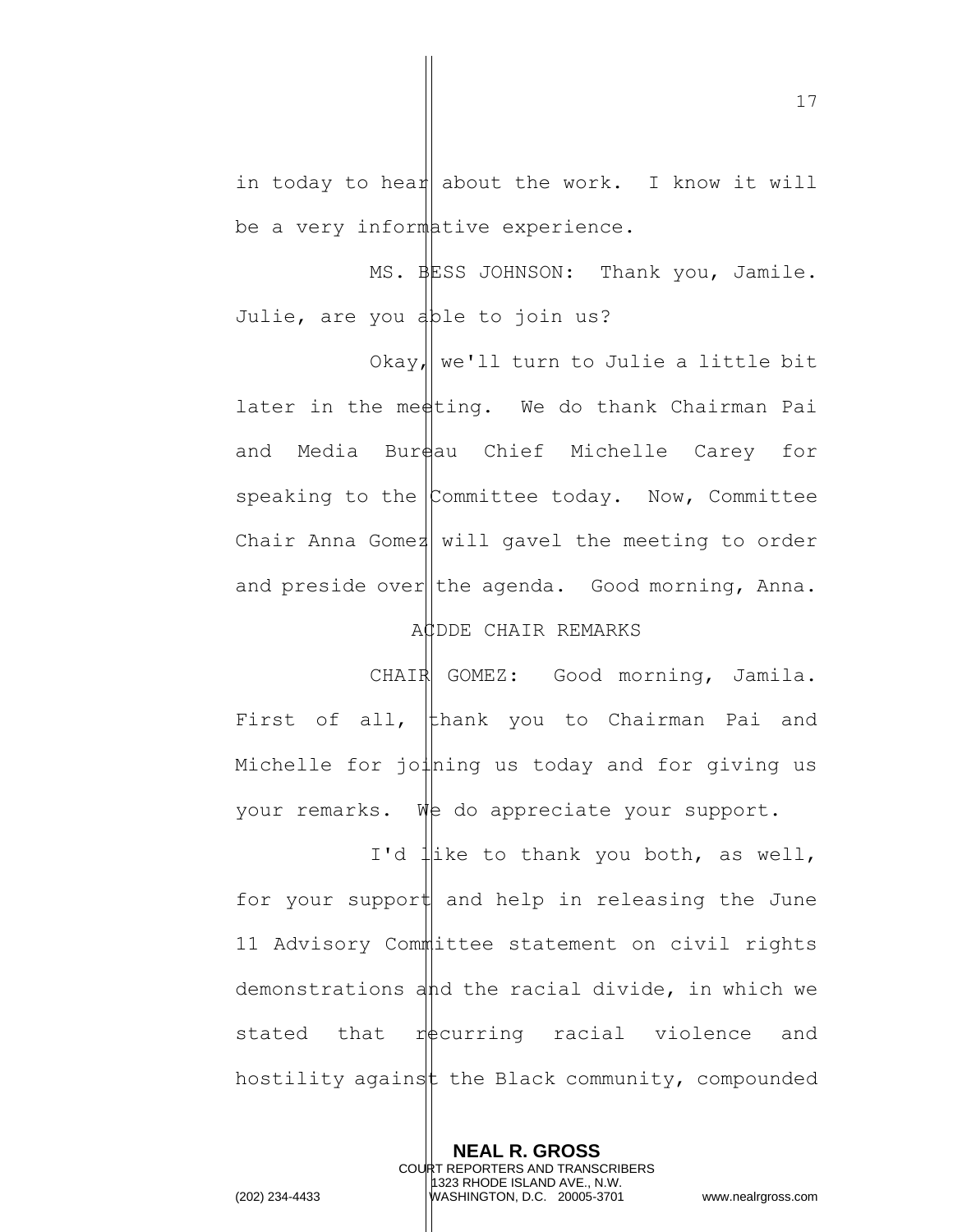in today to hear about the work. I know it will be a very informative experience.

MS. BESS JOHNSON: Thank you, Jamile. Julie, are you able to join us?

Okay, we'll turn to Julie a little bit later in the medting. We do thank Chairman Pai and Media Burdau Chief Michelle Carey for speaking to the  $\mathcal{L}_{\text{Committer}}$  today. Now, Committee Chair Anna Gomez will gavel the meeting to order and preside over the agenda. Good morning, Anna.

## ACDDE CHAIR REMARKS

CHAIR GOMEZ: Good morning, Jamila. First of all,  $\left| \right|$  thank you to Chairman Pai and Michelle for  $j$ o $\downarrow$ ning us today and for giving us your remarks. We do appreciate your support.

I'd like to thank you both, as well, for your support and help in releasing the June 11 Advisory Committee statement on civil rights demonstrations and the racial divide, in which we stated that  $r$  equiving racial violence and hostility against the Black community, compounded

> **NEAL R. GROSS** COURT REPORTERS AND TRANSCRIBERS 1323 RHODE ISLAND AVE., N.W.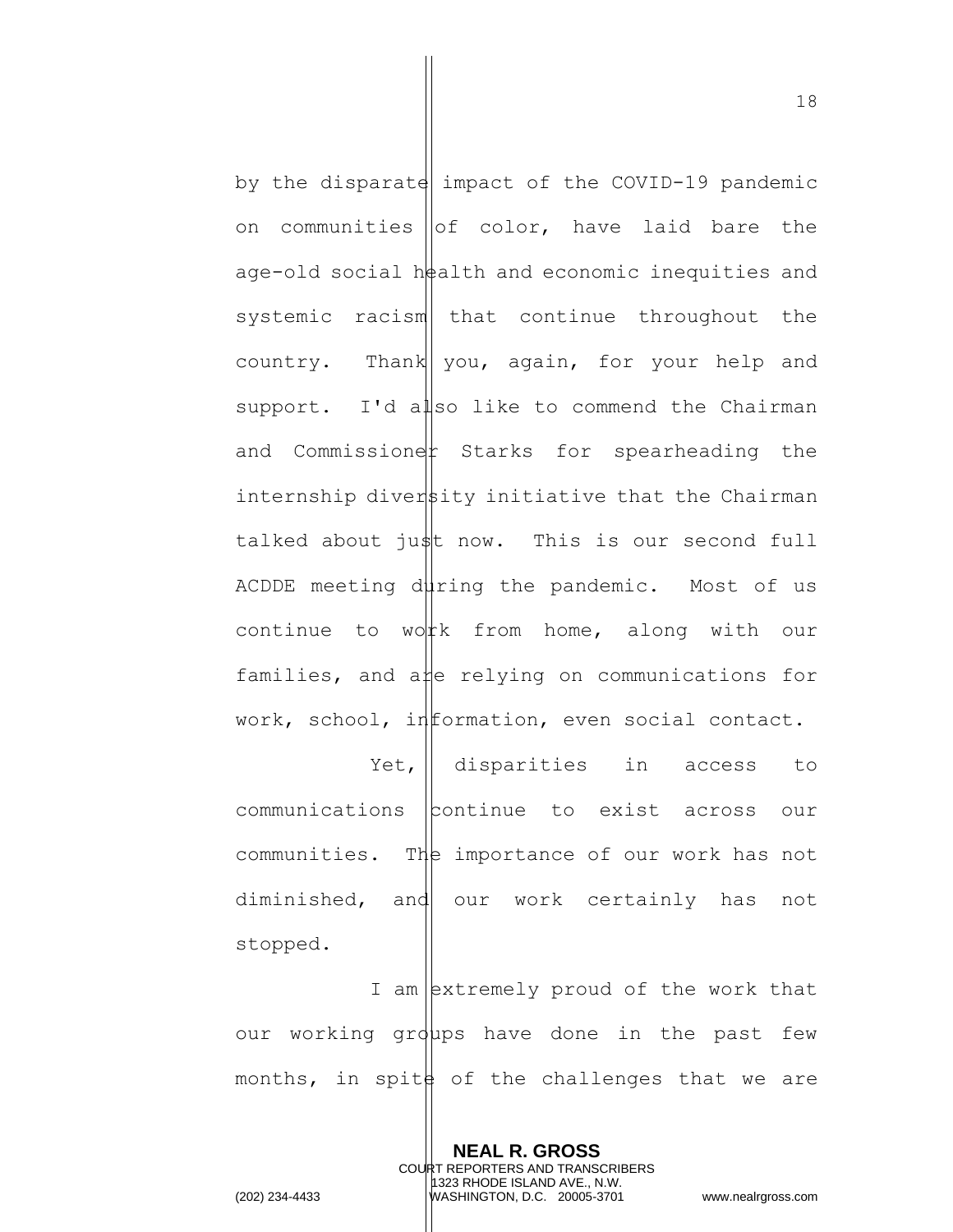by the disparate impact of the COVID-19 pandemic on communities  $\|$ of color, have laid bare the age-old social  $h$ #alth and economic inequities and systemic racism that continue throughout the country. Thank you, again, for your help and support. I'd also like to commend the Chairman and Commissioner Starks for spearheading the internship diversity initiative that the Chairman talked about just now. This is our second full ACDDE meeting during the pandemic. Most of us continue to worth from home, along with our families, and a  $\sharp$ e relying on communications for work, school, information, even social contact.

Yet, disparities in access to communications continue to exist across our communities. The importance of our work has not diminished, and our work certainly has not stopped.

I am extremely proud of the work that our working groups have done in the past few months, in spite of the challenges that we are

**NEAL R. GROSS** COURT REPORTERS AND TRANSCRIBERS 1323 RHODE ISLAND AVE., N.W. (202) 234-4433 WASHINGTON, D.C. 20005-3701 www.nealrgross.com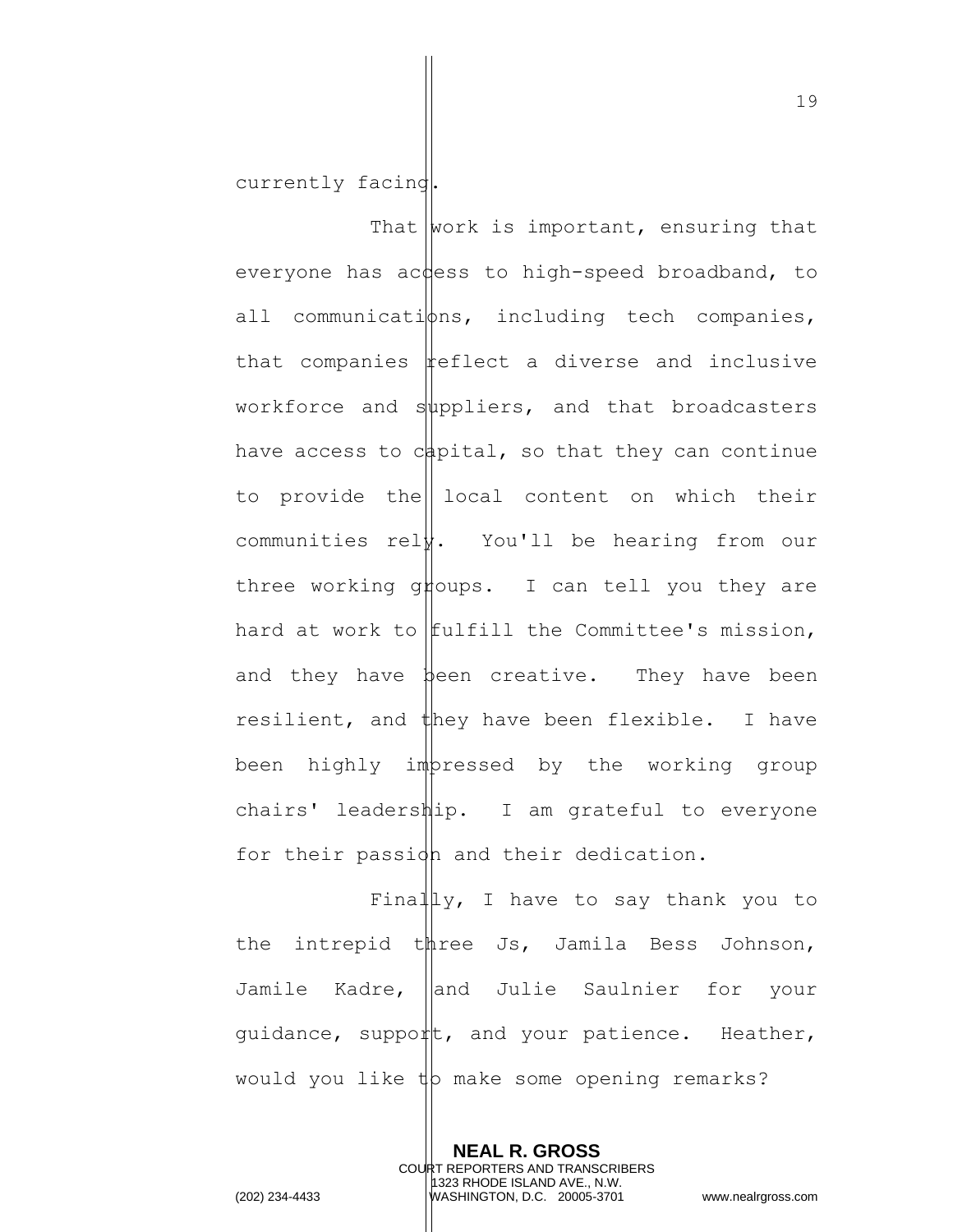currently facing.

That  $\text{work}$  is important, ensuring that everyone has access to high-speed broadband, to all communications, including tech companies, that companies  $\frac{1}{2}$  feflect a diverse and inclusive workforce and suppliers, and that broadcasters have access to  $c$  apital, so that they can continue to provide the local content on which their communities rel $\sharp$ . You'll be hearing from our three working groups. I can tell you they are hard at work to  $f$ ulfill the Committee's mission, and they have been creative. They have been resilient, and  $\sharp$ hey have been flexible. I have been highly impressed by the working group chairs' leadership. I am grateful to everyone for their passion and their dedication.

Finally, I have to say thank you to the intrepid three Js, Jamila Bess Johnson, Jamile Kadre, dand Julie Saulnier for your guidance, support, and your patience. Heather, would you like  $\psi$  make some opening remarks?

> **NEAL R. GROSS** COURT REPORTERS AND TRANSCRIBERS 1323 RHODE ISLAND AVE., N.W.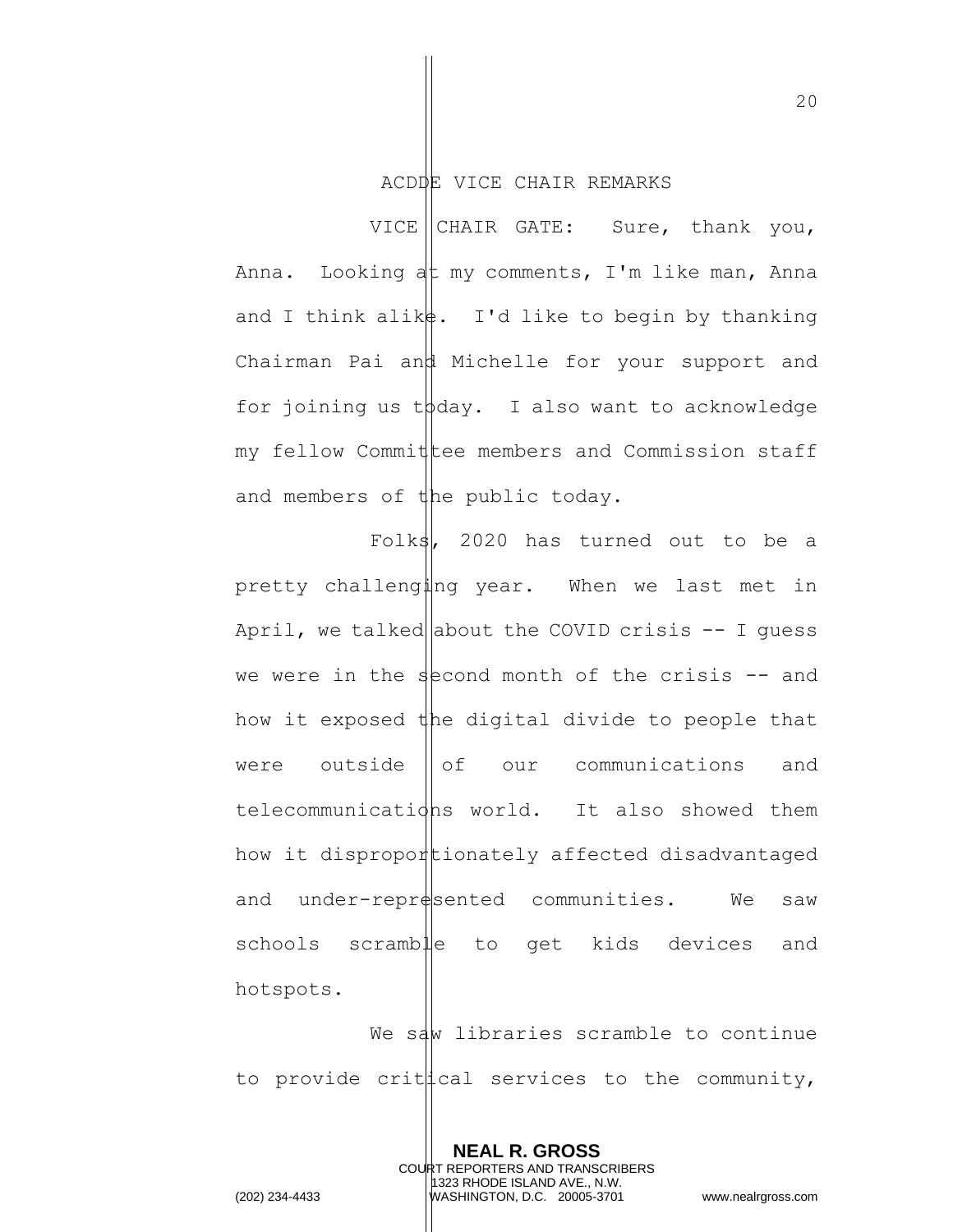### ACDDE VICE CHAIR REMARKS

VICE CHAIR GATE: Sure, thank you, Anna. Looking at my comments, I'm like man, Anna and I think alik $\sharp$ . I'd like to begin by thanking Chairman Pai and Michelle for your support and for joining us  $t\beta$ day. I also want to acknowledge my fellow Commit tee members and Commission staff and members of the public today.

Folks, 2020 has turned out to be a pretty challenging year. When we last met in April, we talked about the COVID crisis  $-$ - I guess we were in the second month of the crisis  $-$  and how it exposed the digital divide to people that were outside  $\|\circ f\|$  our communications and telecommunications world. It also showed them how it disproportionately affected disadvantaged and under-represented communities. We saw schools scramble to get kids devices and hotspots.

We saw libraries scramble to continue to provide crit  $\sharp$  cal services to the community,

> **NEAL R. GROSS** COURT REPORTERS AND TRANSCRIBERS 1323 RHODE ISLAND AVE., N.W.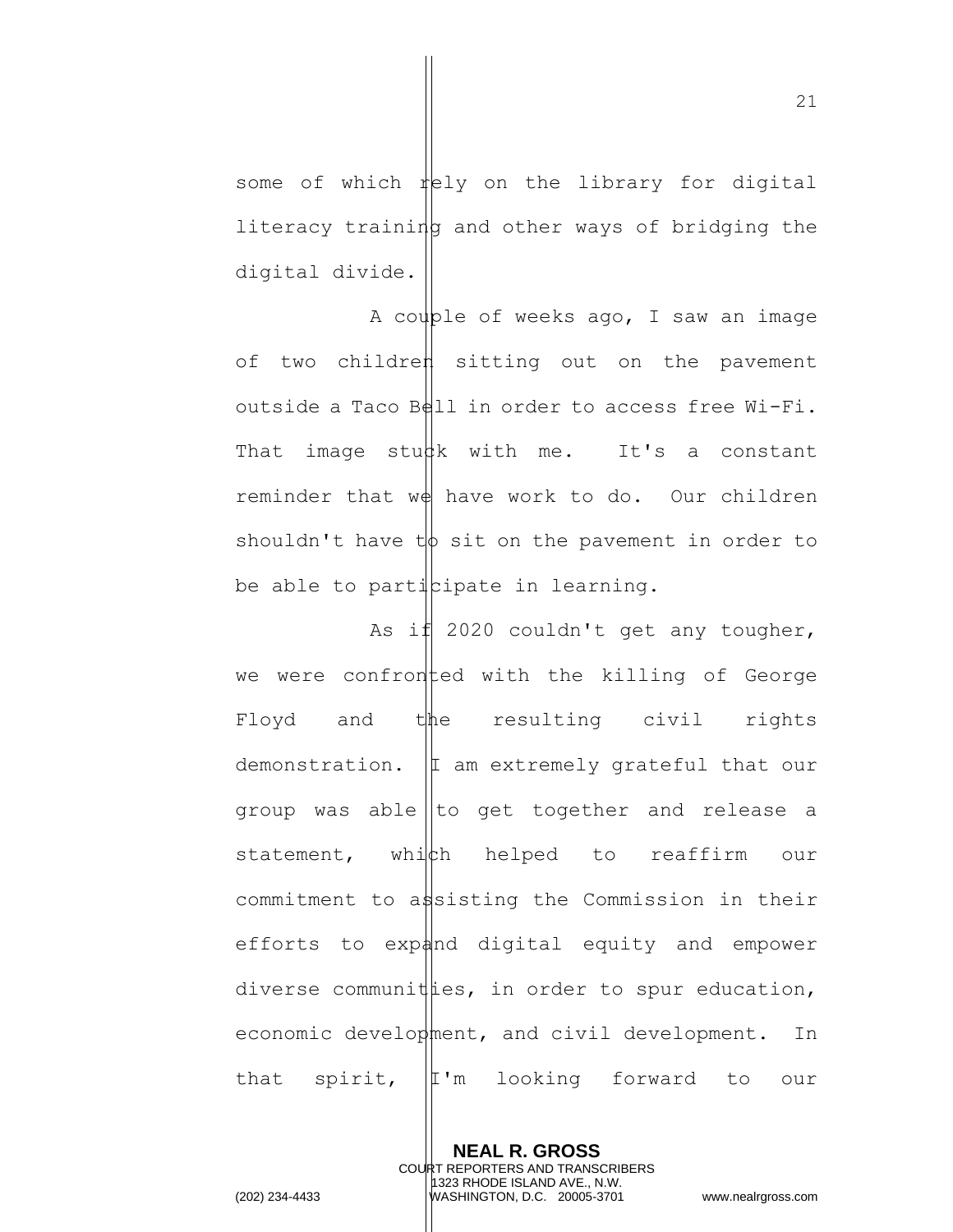some of which rely on the library for digital literacy training and other ways of bridging the digital divide.

A couple of weeks ago, I saw an image of two children sitting out on the pavement outside a Taco Bell in order to access free Wi-Fi. That image stu $\sharp$ k with me. It's a constant reminder that  $w \notin \mathbb{R}$  have work to do. Our children shouldn't have  $t\phi$  sit on the pavement in order to be able to participate in learning.

As if  $2020$  couldn't get any tougher, we were confronted with the killing of George Floyd and the resulting civil rights demonstration.  $|I|$  am extremely grateful that our group was able to get together and release a statement, which helped to reaffirm our commitment to assisting the Commission in their efforts to expand digital equity and empower diverse communities, in order to spur education, economic development, and civil development. In that spirit, I'm looking forward to our

**NEAL R. GROSS** COURT REPORTERS AND TRANSCRIBERS 1323 RHODE ISLAND AVE., N.W. (202) 234-4433 WASHINGTON, D.C. 20005-3701 www.nealrgross.com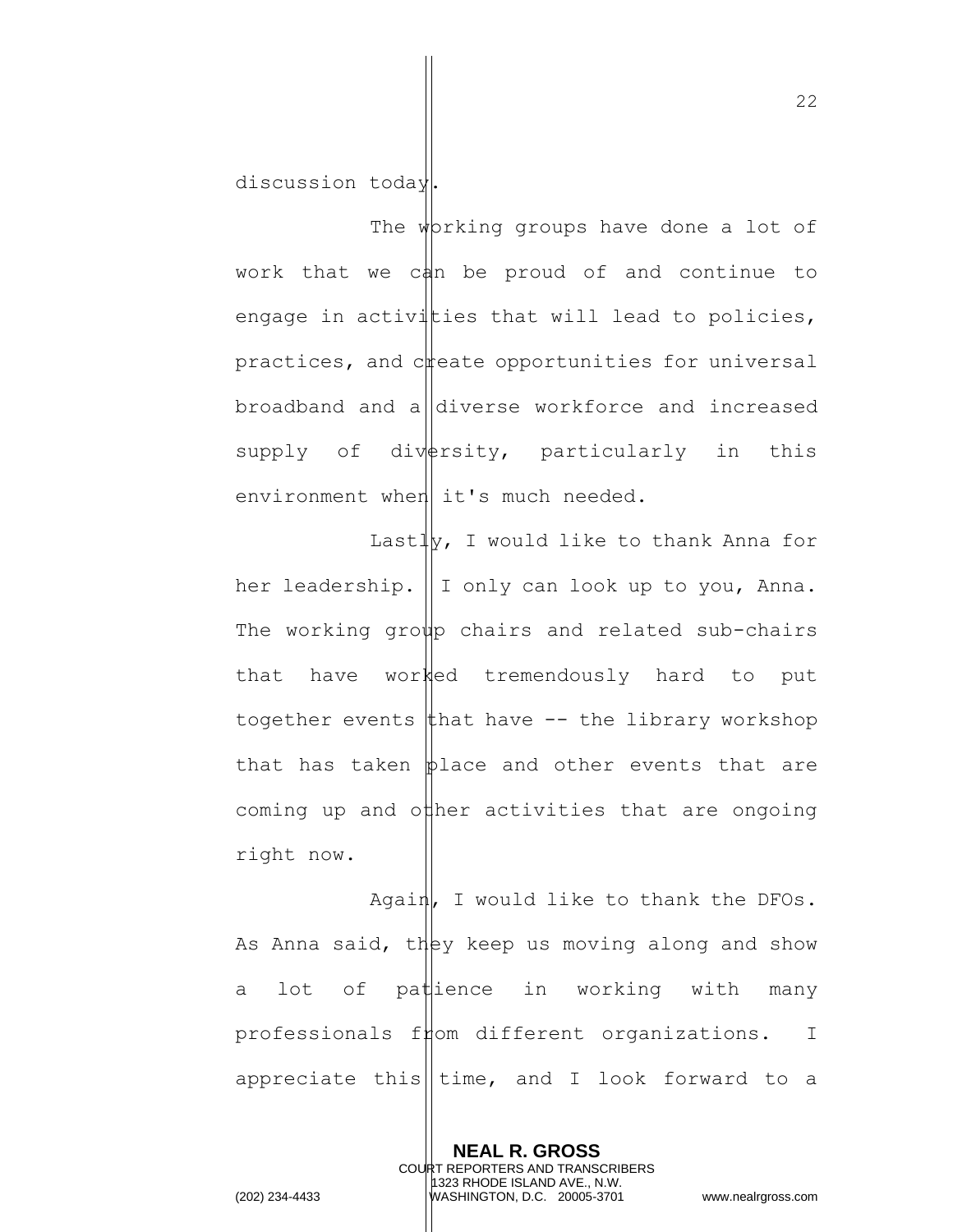discussion today.

The working groups have done a lot of work that we can be proud of and continue to engage in activities that will lead to policies, practices, and  $c$  reate opportunities for universal broadband and a diverse workforce and increased supply of diversity, particularly in this environment when  $\vert$  it's much needed.

Last $\frac{1}{y}$ , I would like to thank Anna for her leadership.  $\parallel$  I only can look up to you, Anna. The working group chairs and related sub-chairs that have worked tremendously hard to put together events that have  $-$ - the library workshop that has taken  $\phi$ lace and other events that are coming up and other activities that are ongoing right now.

Again, I would like to thank the DFOs. As Anna said, they keep us moving along and show a lot of patience in working with many professionals f $\not\models$ om different organizations. I appreciate this  $\|$ time, and I look forward to a

> **NEAL R. GROSS** COURT REPORTERS AND TRANSCRIBERS 1323 RHODE ISLAND AVE., N.W.

(202) 234-4433 WASHINGTON, D.C. 20005-3701 www.nealrgross.com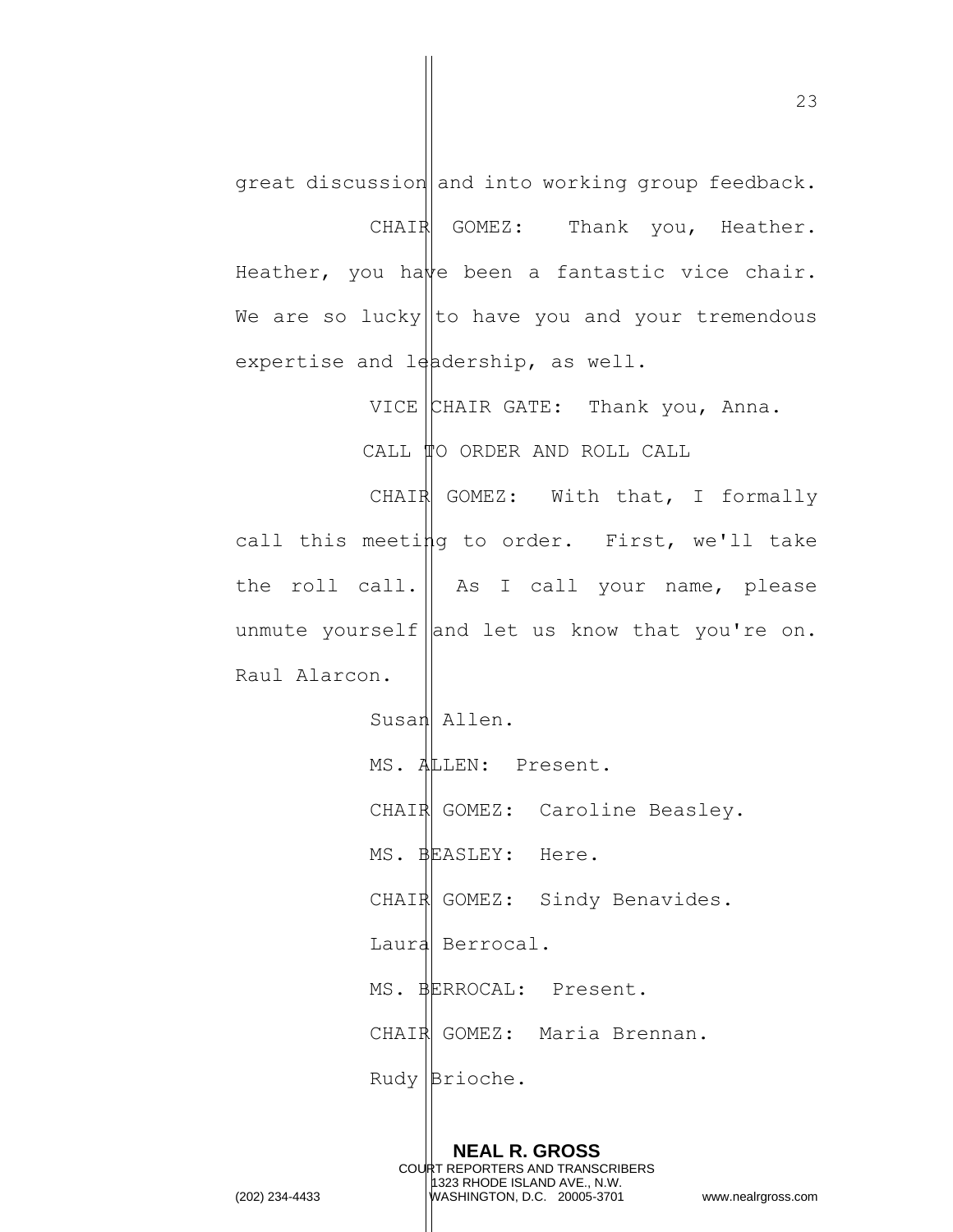great discussion and into working group feedback. CHAIR GOMEZ: Thank you, Heather. Heather, you have been a fantastic vice chair. We are so lucky  $\vert\vert$  to have you and your tremendous expertise and leadership, as well.

> VICE CHAIR GATE: Thank you, Anna. CALL TO ORDER AND ROLL CALL

CHAIR GOMEZ: With that, I formally call this meeting to order. First, we'll take the roll call.  $\parallel$  As I call your name, please unmute yourself and let us know that you're on. Raul Alarcon.

> Susan Allen. MS. ALLEN: Present. CHAIR GOMEZ: Caroline Beasley. MS. BEASLEY: Here. CHAIR GOMEZ: Sindy Benavides. Laura Berrocal. MS. BERROCAL: Present. CHAIR GOMEZ: Maria Brennan. Rudy Brioche.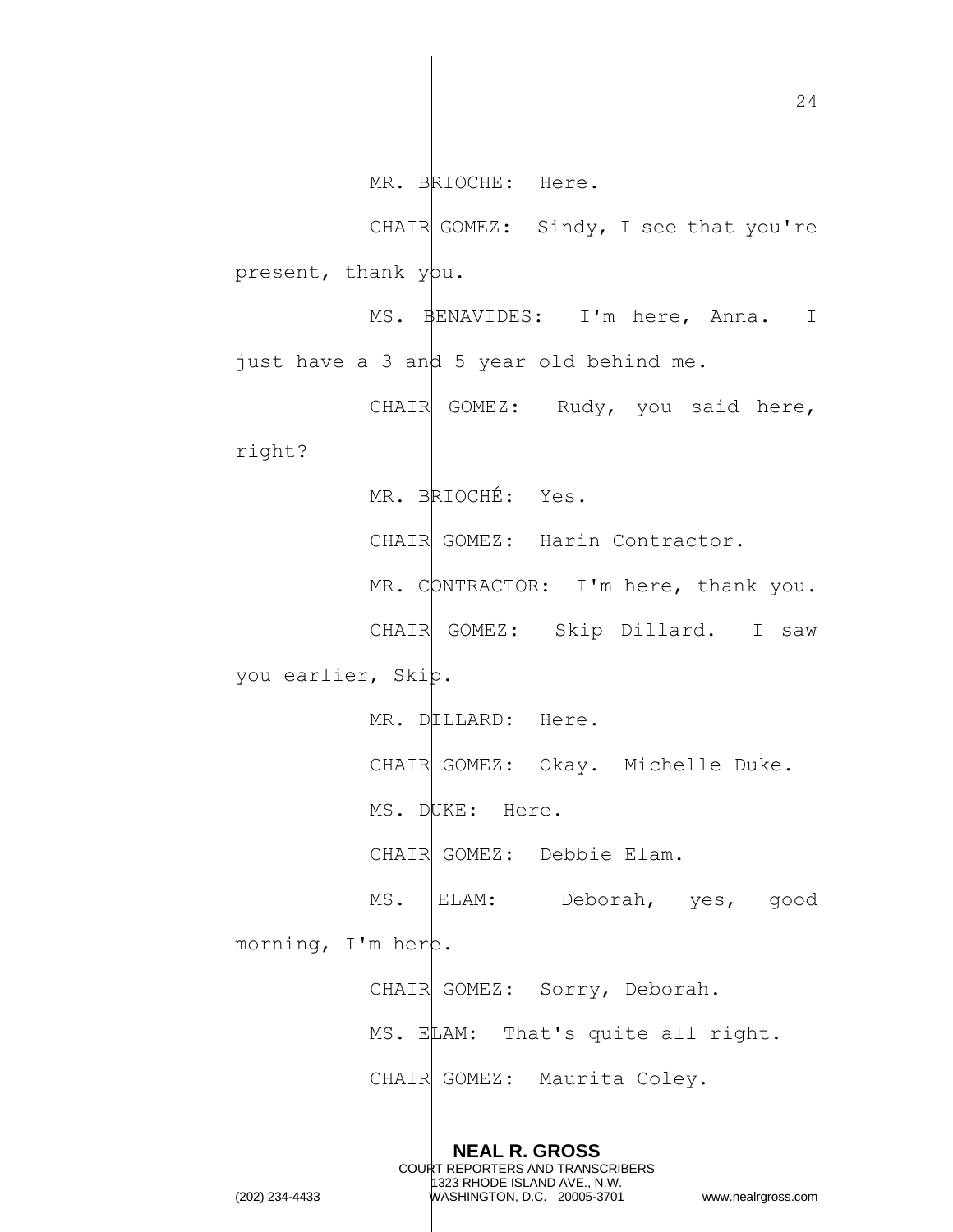24 **NEAL R. GROSS** COURT REPORTERS AND TRANSCRIBERS MR. BRIOCHE: Here. CHAIR GOMEZ: Sindy, I see that you're present, thank you. MS. BENAVIDES: I'm here, Anna. I just have a 3 and 5 year old behind me. CHAIR GOMEZ: Rudy, you said here, right? MR. BRIOCHÉ: Yes. CHAIR GOMEZ: Harin Contractor. MR.  $\phi$ DNTRACTOR: I'm here, thank you. CHAIR GOMEZ: Skip Dillard. I saw you earlier, Skip. MR. DILLARD: Here. CHAIR GOMEZ: Okay. Michelle Duke. MS. DUKE: Here. CHAIR GOMEZ: Debbie Elam. MS. ELAM: Deborah, yes, good morning,  $I'm$  here. CHAIR GOMEZ: Sorry, Deborah. MS. ELAM: That's quite all right. CHAIR GOMEZ: Maurita Coley.

1323 RHODE ISLAND AVE., N.W.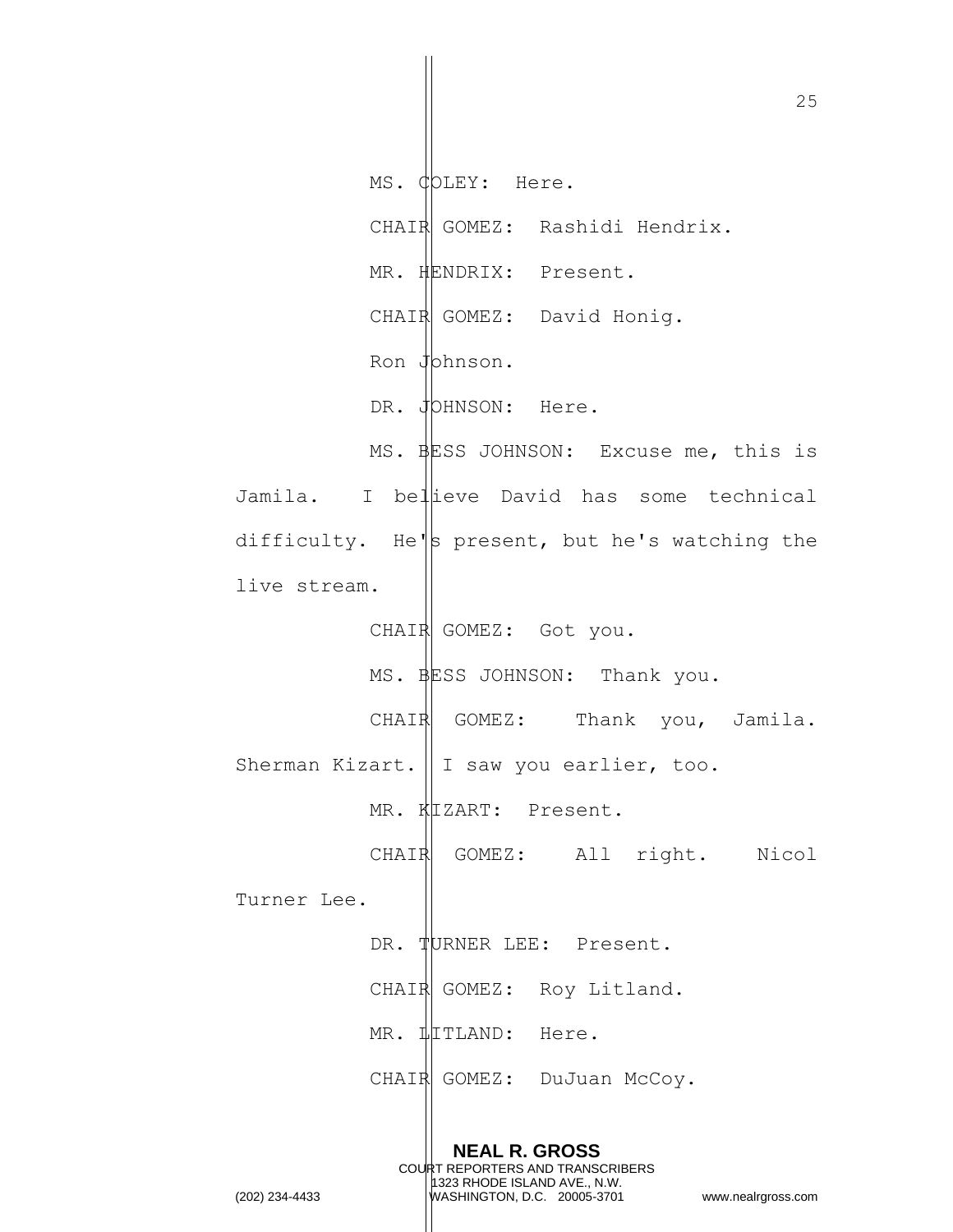25 **NEAL R. GROSS** COURT REPORTERS AND TRANSCRIBERS MS. COLEY: Here. CHAIR GOMEZ: Rashidi Hendrix. MR. HENDRIX: Present. CHAIR GOMEZ: David Honig. Ron Johnson. DR. JOHNSON: Here. MS. BESS JOHNSON: Excuse me, this is Jamila. I bellieve David has some technical difficulty. He's present, but he's watching the live stream. CHAIR GOMEZ: Got you. MS. BESS JOHNSON: Thank you. CHAIR GOMEZ: Thank you, Jamila. Sherman Kizart. | I saw you earlier, too. MR. KIZART: Present. CHAIR GOMEZ: All right. Nicol Turner Lee. DR. TURNER LEE: Present. CHAIR GOMEZ: Roy Litland. MR.  $\frac{1}{2}$ TLAND: Here. CHAIR GOMEZ: DuJuan McCoy.

1323 RHODE ISLAND AVE., N.W.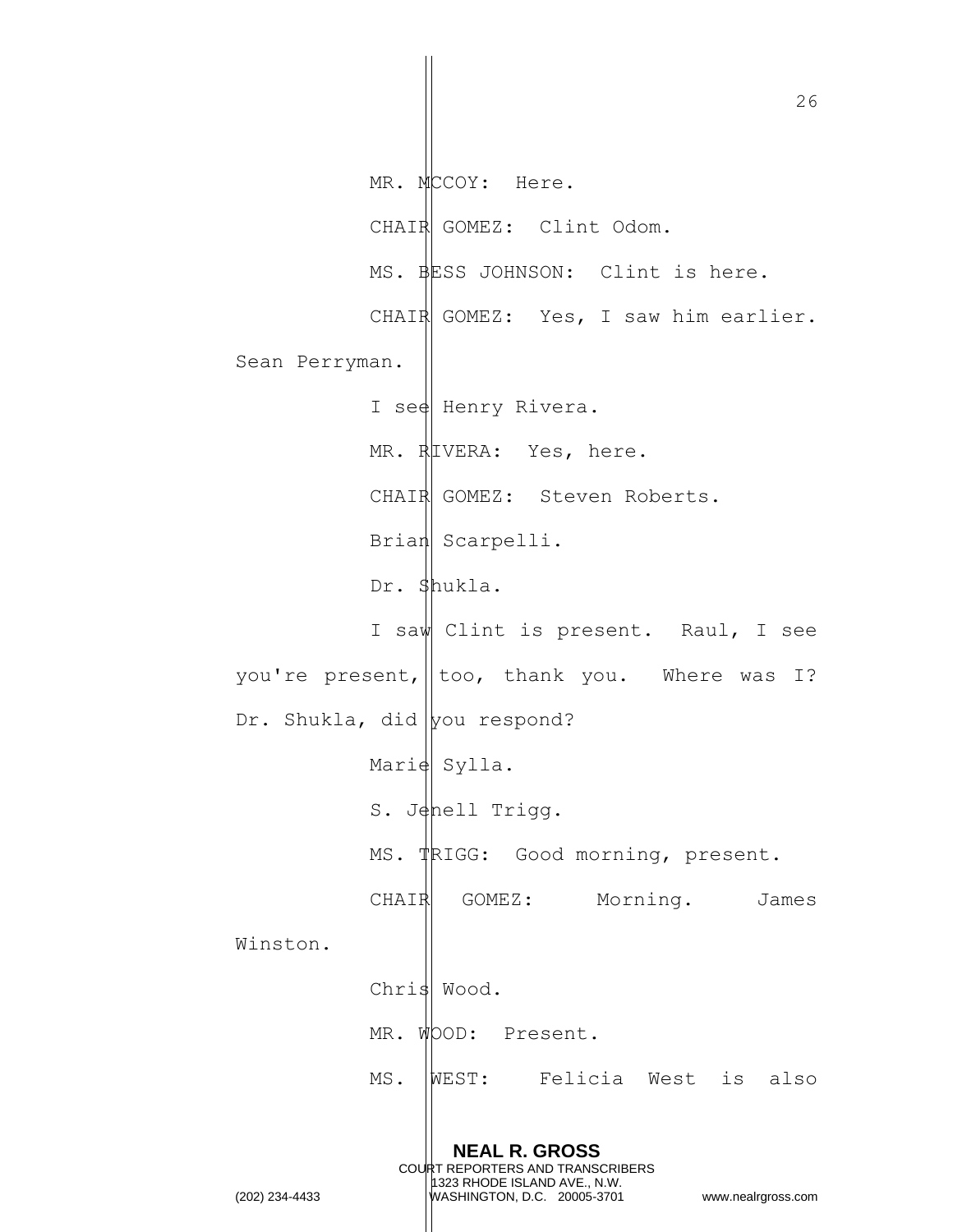**NEAL R. GROSS** COURT REPORTERS AND TRANSCRIBERS 1323 RHODE ISLAND AVE., N.W. (202) 234-4433 WASHINGTON, D.C. 20005-3701 www.nealrgross.com MR. MCCOY: Here. CHAIR GOMEZ: Clint Odom. MS. BESS JOHNSON: Clint is here. CHAIR GOMEZ: Yes, I saw him earlier. Sean Perryman. I see Henry Rivera. MR. RIVERA: Yes, here. CHAIR GOMEZ: Steven Roberts. Brian Scarpelli. Dr. Shukla. I saw Clint is present. Raul, I see you're present,  $\|\text{too}$ , thank you. Where was I? Dr. Shukla, did  $|$ you respond? Marie Sylla. S. Jenell Trigg. MS. TRIGG: Good morning, present. CHAIR GOMEZ: Morning. James Winston. Chris Wood. MR. WOOD: Present. MS. WEST: Felicia West is also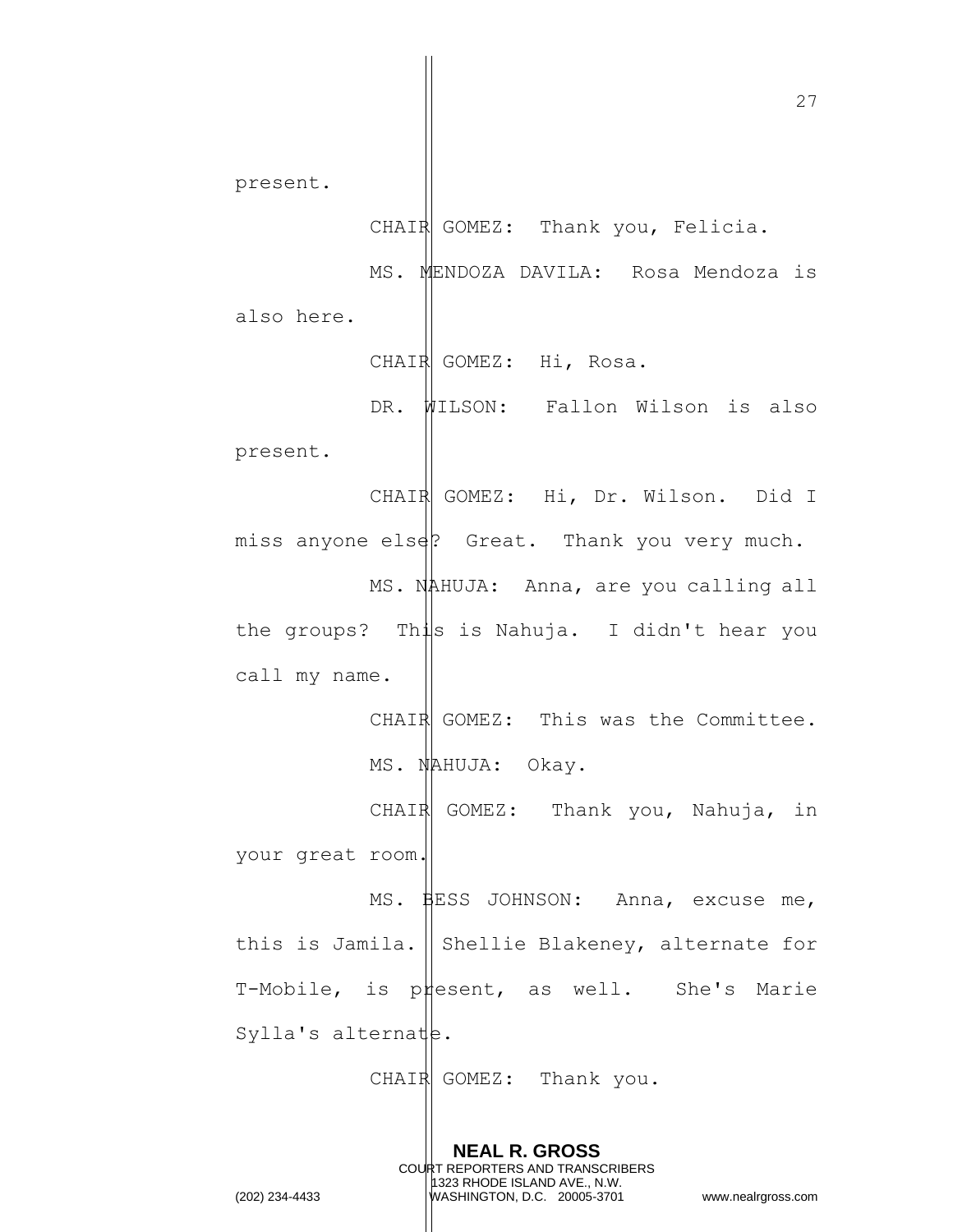present. CHAIR GOMEZ: Thank you, Felicia. MS. MENDOZA DAVILA: Rosa Mendoza is also here. CHAIR GOMEZ: Hi, Rosa. DR. WILSON: Fallon Wilson is also present. CHAIR GOMEZ: Hi, Dr. Wilson. Did I miss anyone else? Great. Thank you very much. MS. NAHUJA: Anna, are you calling all the groups? This is Nahuja. I didn't hear you call my name. CHAIR GOMEZ: This was the Committee. MS. NAHUJA: Okay. CHAIR GOMEZ: Thank you, Nahuja, in your great room. MS. BESS JOHNSON: Anna, excuse me, this is Jamila.  $\parallel$  Shellie Blakeney, alternate for T-Mobile, is present, as well. She's Marie Sylla's alternate.  $CHAIR$  GOMEZ: Thank you.

> **NEAL R. GROSS** COURT REPORTERS AND TRANSCRIBERS 1323 RHODE ISLAND AVE., N.W.

(202) 234-4433 WASHINGTON, D.C. 20005-3701 www.nealrgross.com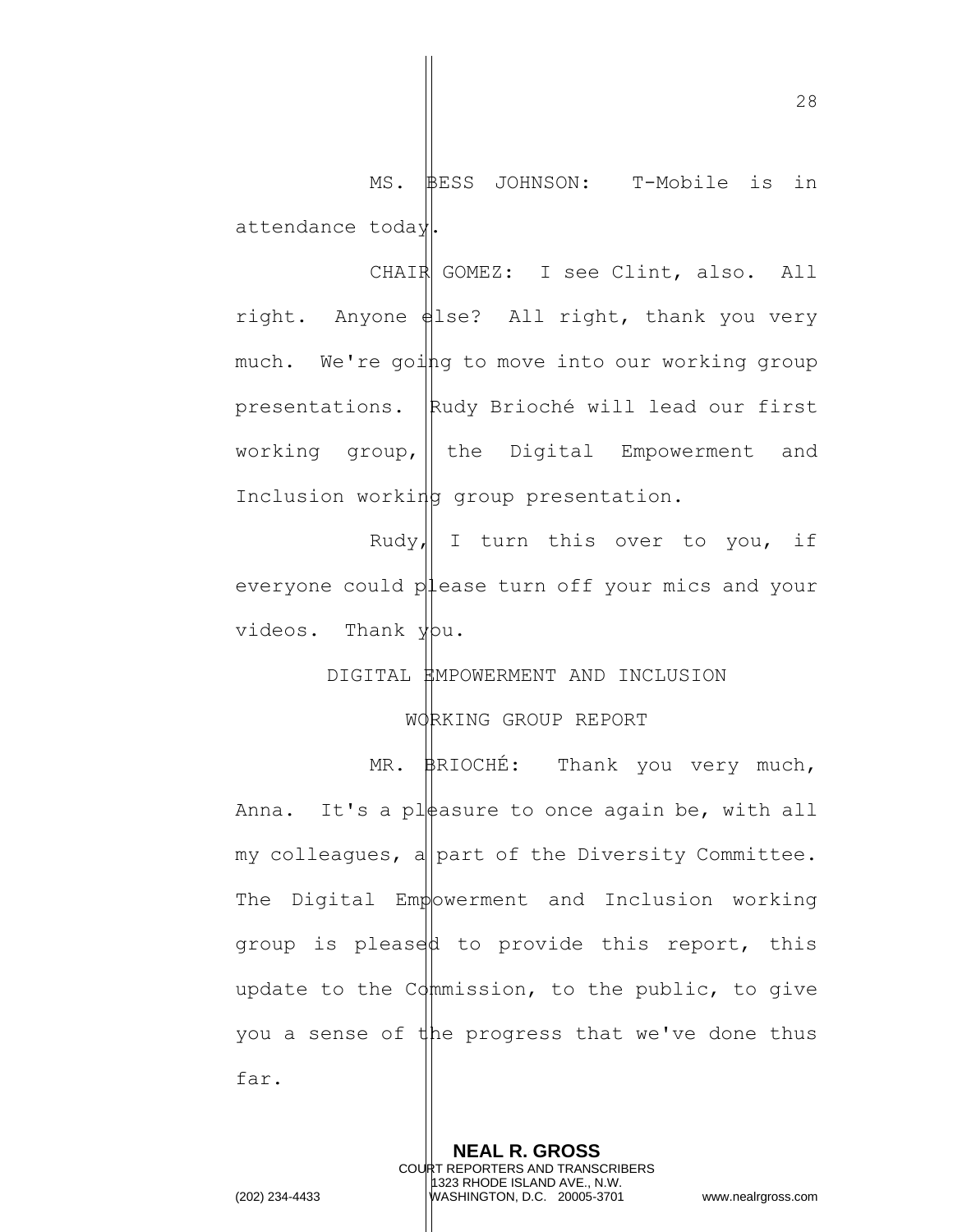MS. BESS JOHNSON: T-Mobile is in attendance today.

CHAIR GOMEZ: I see Clint, also. All right. Anyone else? All right, thank you very much. We're going to move into our working group presentations. Rudy Brioché will lead our first working group,  $\parallel$  the Digital Empowerment and Inclusion working group presentation.

Rudy, I turn this over to you, if everyone could  $p\sharp$  ease turn off your mics and your videos. Thank you.

# DIGITAL EMPOWERMENT AND INCLUSION

WORKING GROUP REPORT

MR. BRIOCHÉ: Thank you very much, Anna. It's a pleasure to once again be, with all my colleagues, a part of the Diversity Committee. The Digital Empowerment and Inclusion working group is pleased to provide this report, this update to the  $C\phi$ mmission, to the public, to give you a sense of the progress that we've done thus far.

> **NEAL R. GROSS** COURT REPORTERS AND TRANSCRIBERS 1323 RHODE ISLAND AVE., N.W.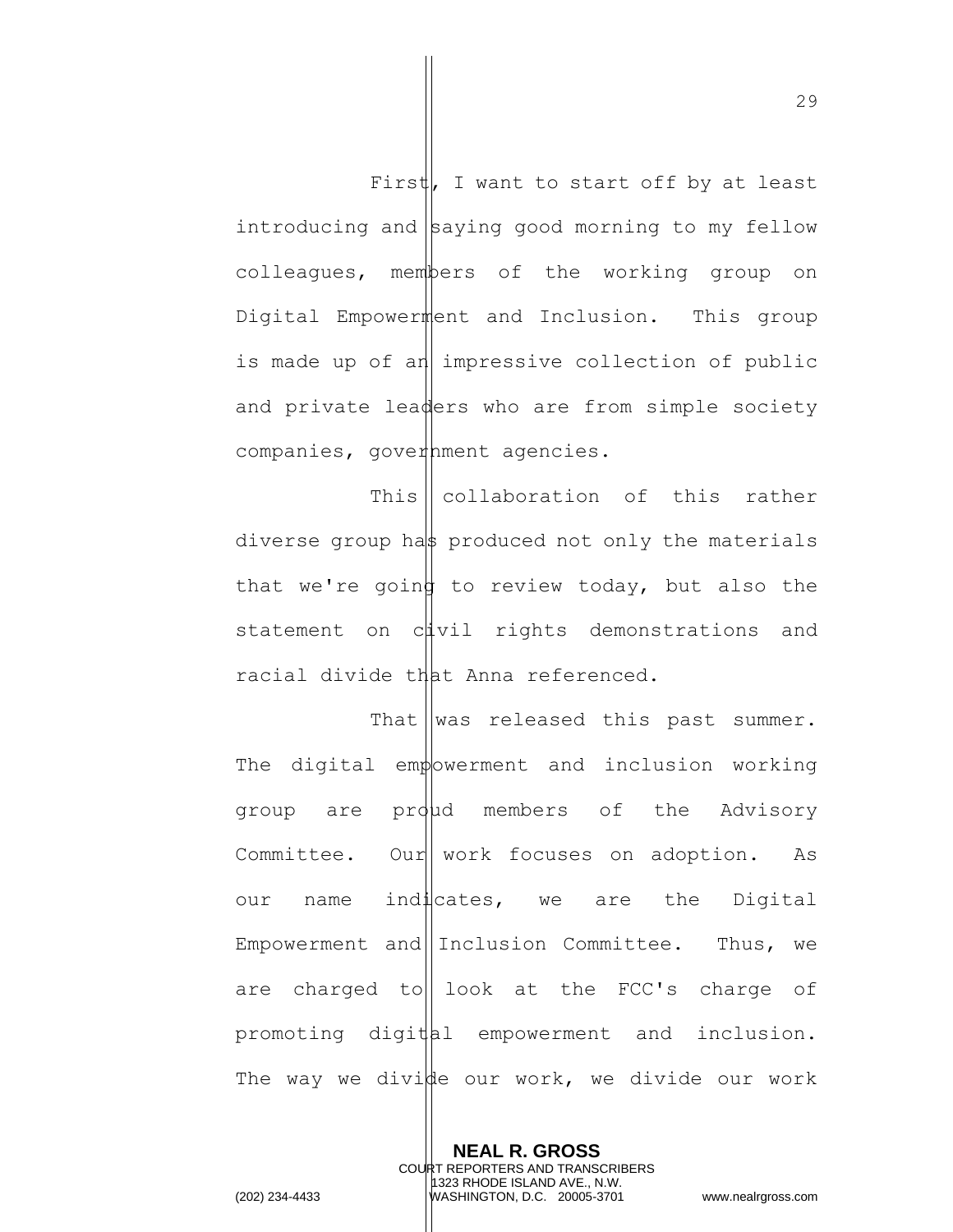First, I want to start off by at least introducing and  $\beta$ aying good morning to my fellow colleagues, members of the working group on Digital Empowerment and Inclusion. This group is made up of an impressive collection of public and private leaders who are from simple society companies, government agencies.

This  $\vert \vert$  collaboration of this rather diverse group has produced not only the materials that we're going to review today, but also the statement on cuvil rights demonstrations and racial divide that Anna referenced.

That  $\parallel$  was released this past summer. The digital empowerment and inclusion working group are proud members of the Advisory Committee. Our work focuses on adoption. As our name indicates, we are the Digital Empowerment and Inclusion Committee. Thus, we are charged to  $\vert$  look at the FCC's charge of promoting digital empowerment and inclusion. The way we divide our work, we divide our work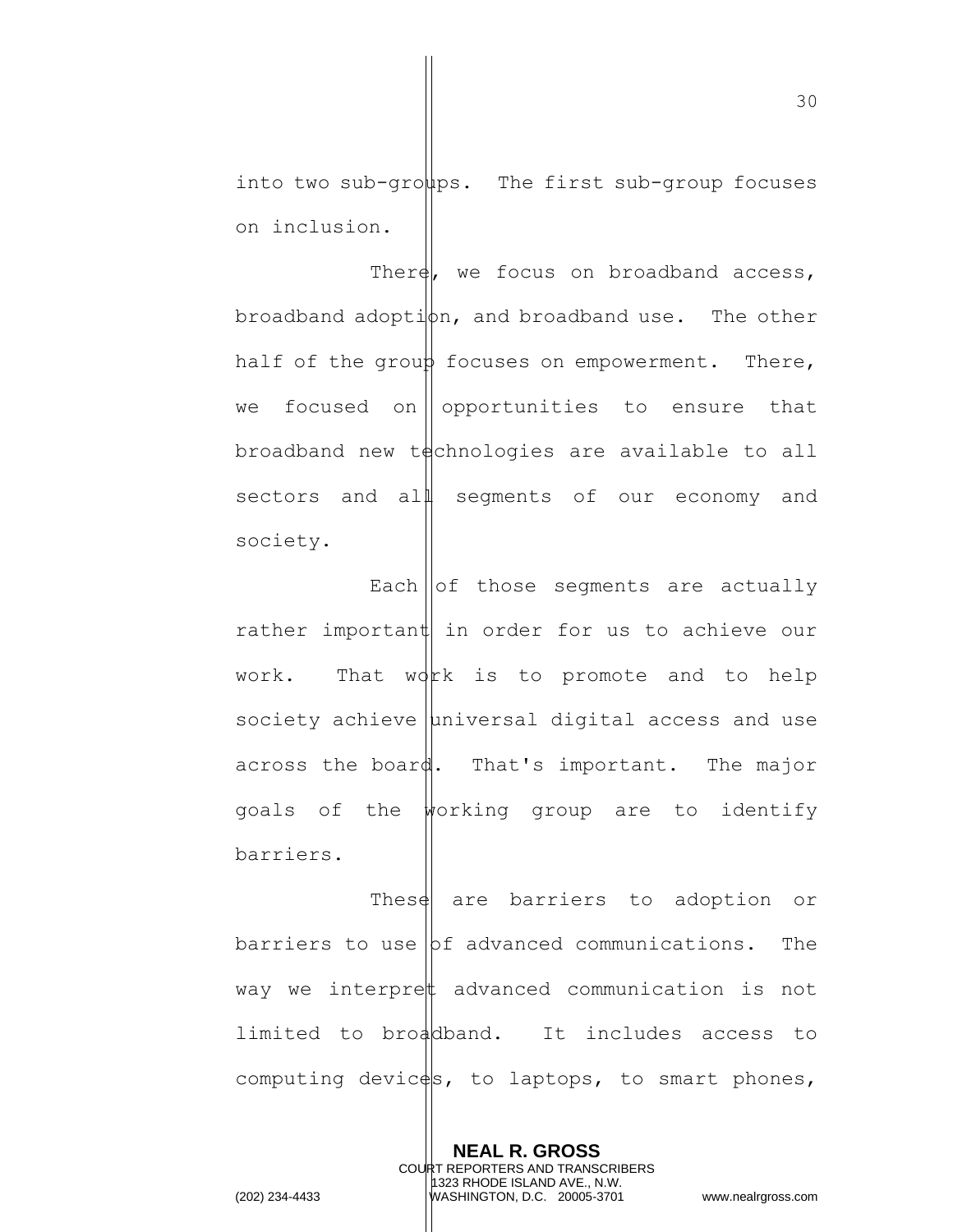into two sub-groups. The first sub-group focuses on inclusion.

There, we focus on broadband access, broadband adoption, and broadband use. The other half of the group focuses on empowerment. There, we focused on opportunities to ensure that  $b$ roadband new t $\phi$ chnologies are available to all sectors and all seqments of our economy and society.

Each  $\vert\vert$  of those segments are actually rather important in order for us to achieve our work. That  $wdrk$  is to promote and to help society achieve  $\mu$ niversal digital access and use across the board. That's important. The major goals of the working group are to identify barriers.

These are barriers to adoption or barriers to use  $|$ bf advanced communications. The way we interpret advanced communication is not limited to broadband. It includes access to computing devices, to laptops, to smart phones,

> **NEAL R. GROSS** COURT REPORTERS AND TRANSCRIBERS 1323 RHODE ISLAND AVE., N.W.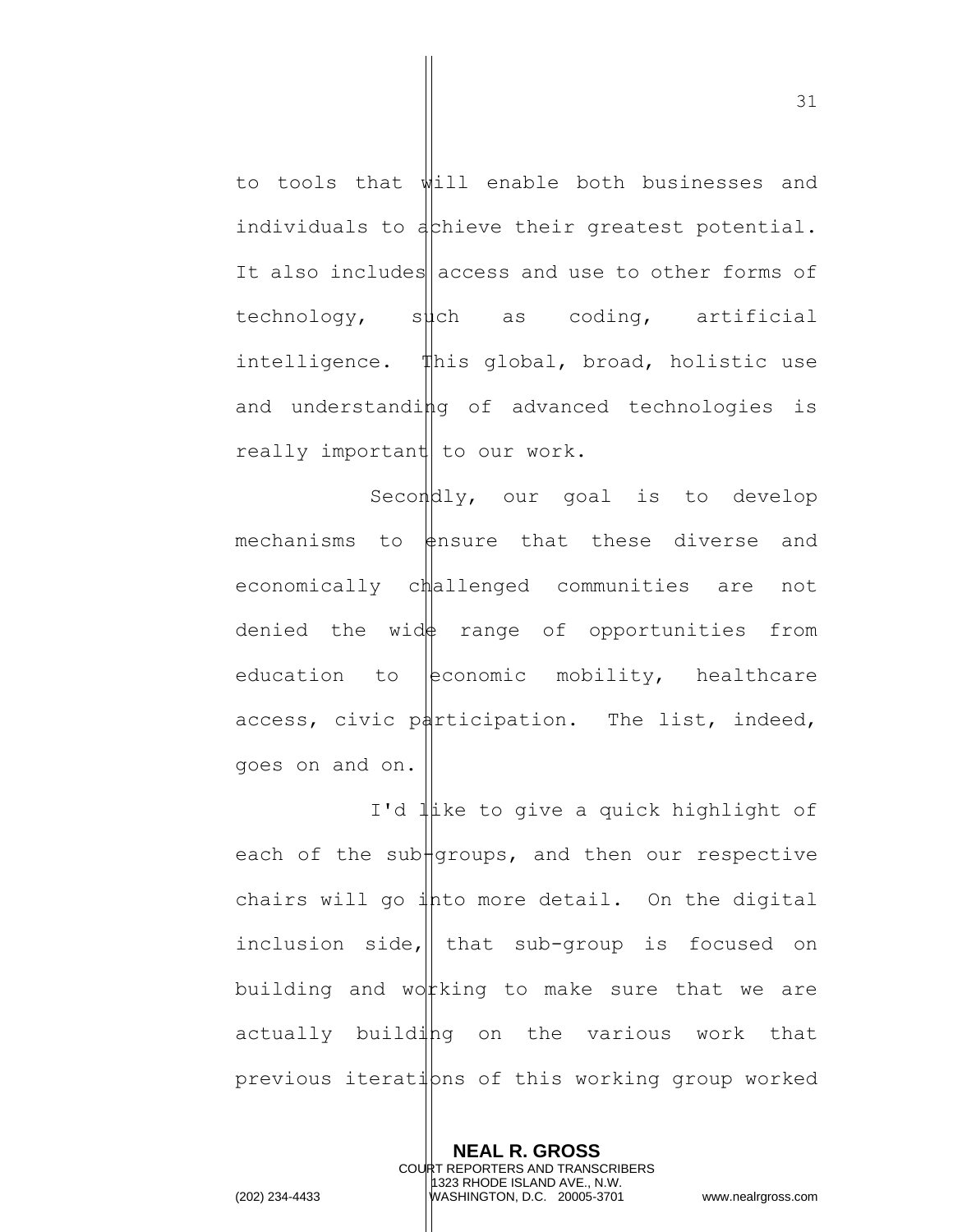to tools that will enable both businesses and individuals to achieve their greatest potential. It also includes access and use to other forms of  $technology,$  such as coding, artificial intelligence. This global, broad, holistic use and understanding of advanced technologies is really important to our work.

Secondly, our goal is to develop mechanisms to  $\sharp$ nsure that these diverse and economically challenged communities are not denied the wid $\uparrow$  range of opportunities from education to  $|$ economic mobility, healthcare access, civic participation. The list, indeed, goes on and on.

I'd like to give a quick highlight of each of the sub $\frac{1}{2}$  and then our respective chairs will go  $\frac{1}{4}$ hto more detail. On the digital inclusion side,  $\|$  that sub-group is focused on building and wot king to make sure that we are actually building on the various work that previous iterations of this working group worked

> **NEAL R. GROSS** COURT REPORTERS AND TRANSCRIBERS 1323 RHODE ISLAND AVE., N.W.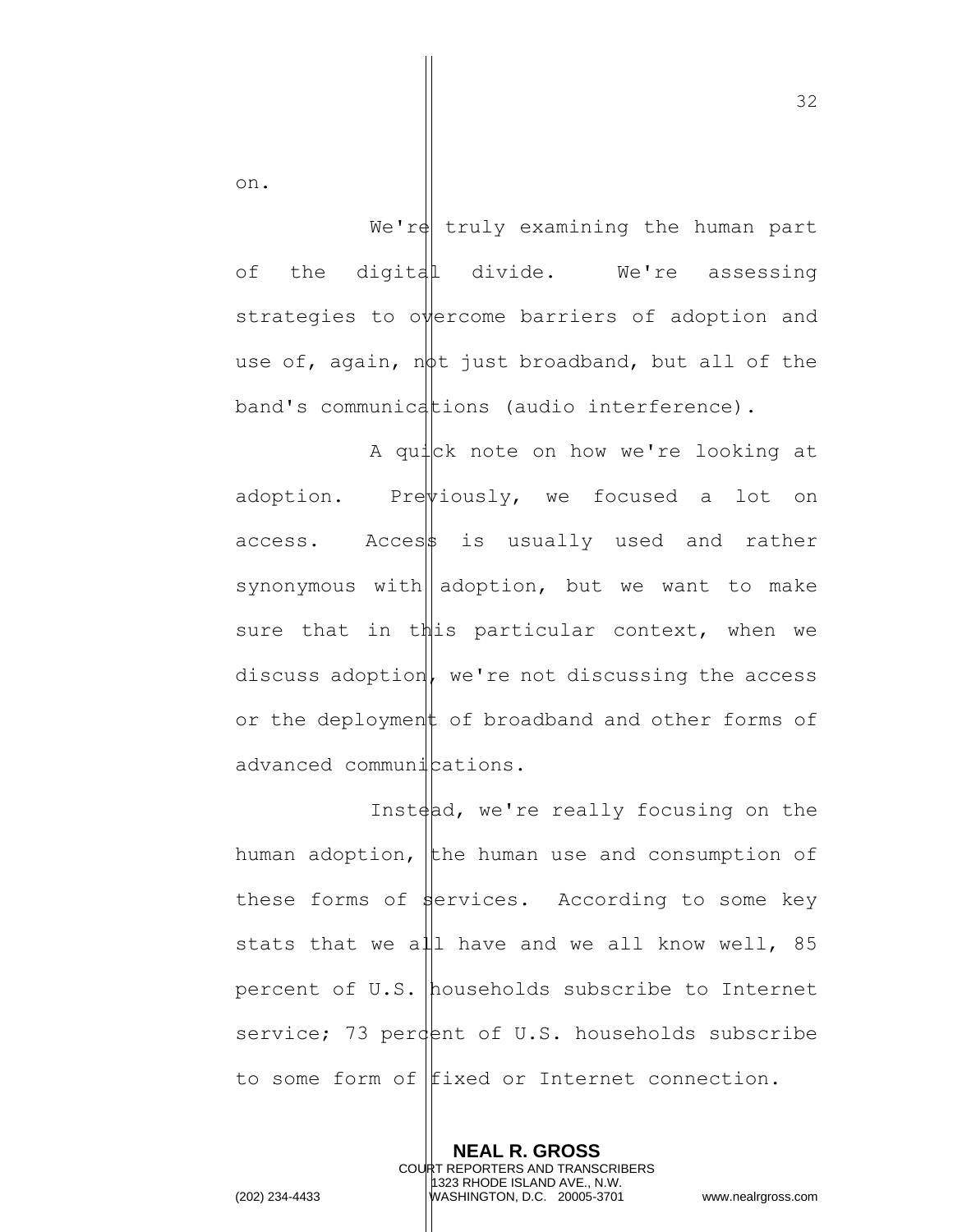on.

We're truly examining the human part of the digital divide. We're assessing strategies to overcome barriers of adoption and use of, again, not just broadband, but all of the band's communications (audio interference).

A quick note on how we're looking at adoption. Pre $\psi$ iously, we focused a lot on  $access.$  Access is usually used and rather synonymous with adoption, but we want to make sure that in this particular context, when we discuss adoption, we're not discussing the access or the deployment of broadband and other forms of advanced communications.

Inst $\phi$ d, we're really focusing on the human adoption, the human use and consumption of these forms of  $\frac{1}{2}$  ervices. According to some key stats that we all have and we all know well, 85 percent of U.S. households subscribe to Internet service; 73 perdent of U.S. households subscribe to some form of fixed or Internet connection.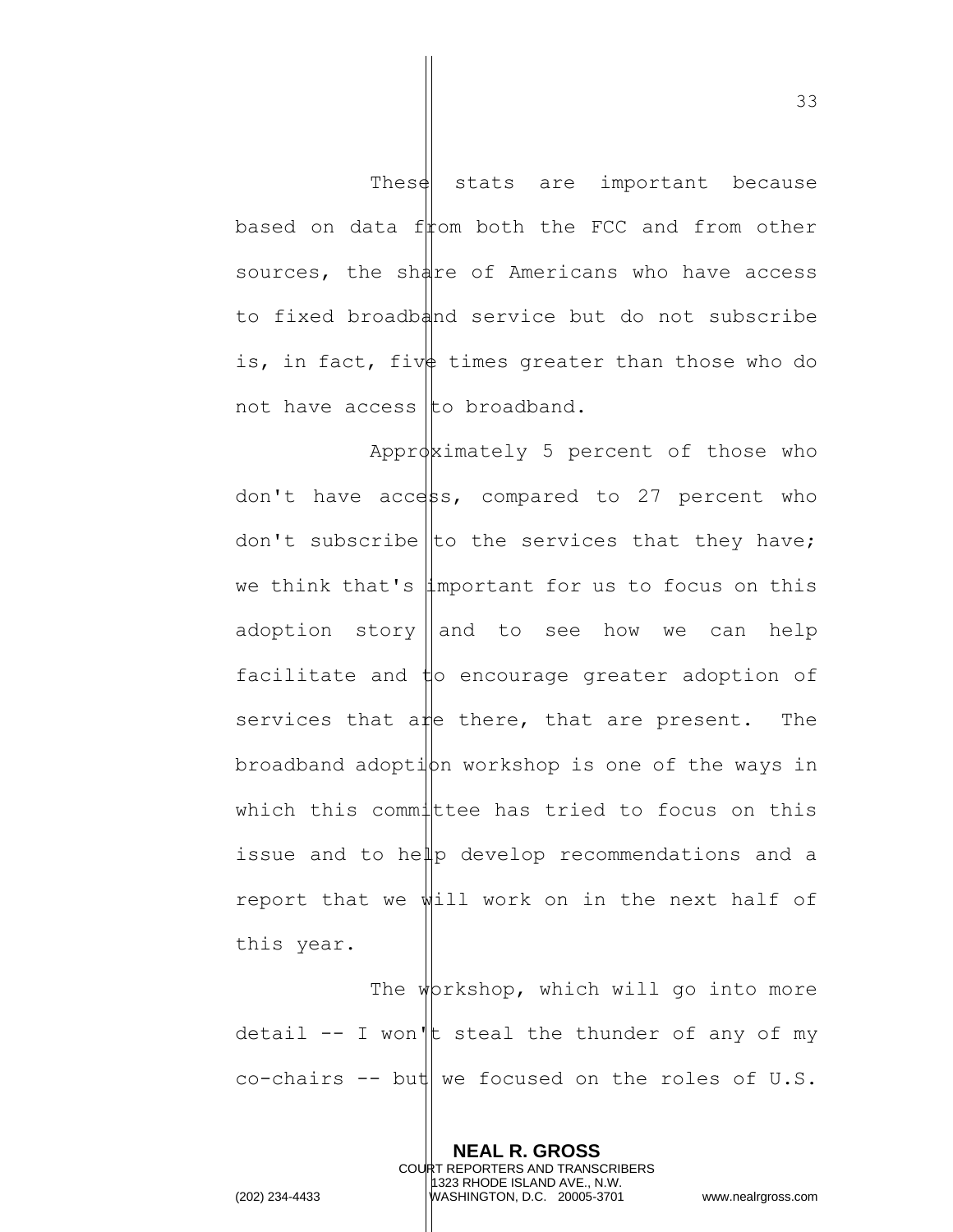These stats are important because based on data from both the FCC and from other sources, the share of Americans who have access to fixed broadband service but do not subscribe is, in fact, five times greater than those who do not have access to broadband.

Approximately 5 percent of those who don't have access, compared to 27 percent who don't subscribe to the services that they have; we think that's  $\sharp$ mportant for us to focus on this adoption story and to see how we can help facilitate and  $\sharp$ o encourage greater adoption of services that are there, that are present. The  $b$ roadband adopti $\phi$ n workshop is one of the ways in which this committee has tried to focus on this issue and to help develop recommendations and a report that we will work on in the next half of this year.

The workshop, which will go into more detail  $--$  I won't steal the thunder of any of my co-chairs  $--$  but we focused on the roles of U.S.

> **NEAL R. GROSS** COURT REPORTERS AND TRANSCRIBERS 1323 RHODE ISLAND AVE., N.W.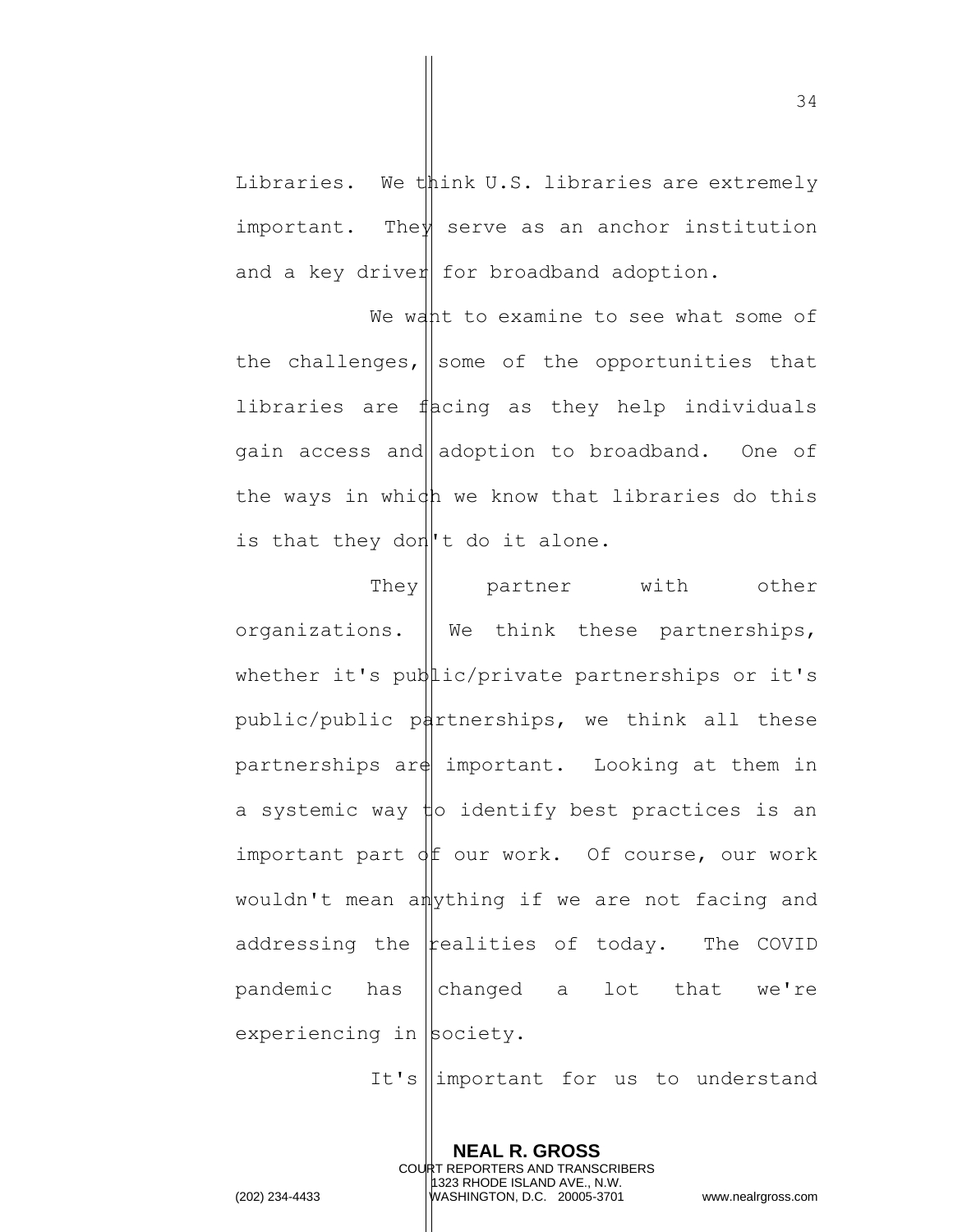Libraries. We think U.S. libraries are extremely important. The  $\forall$  serve as an anchor institution and a key driver for broadband adoption.

We want to examine to see what some of the challenges, some of the opportunities that libraries are  $f|$  acing as they help individuals gain access and adoption to broadband. One of the ways in which we know that libraries do this is that they don<sup>'</sup>t do it alone.

They || partner with other organizations.  $\parallel$  We think these partnerships, whether it's public/private partnerships or it's public/public partnerships, we think all these partnerships  $\arg\min$  important. Looking at them in a systemic way  $\sharp$ o identify best practices is an important part  $\phi$  f our work. Of course, our work wouldn't mean anything if we are not facing and addressing the  $\frac{1}{2}$  realities of today. The COVID pandemic has changed a lot that we're  $experiments in$  society.

It's  $\lim$ portant for us to understand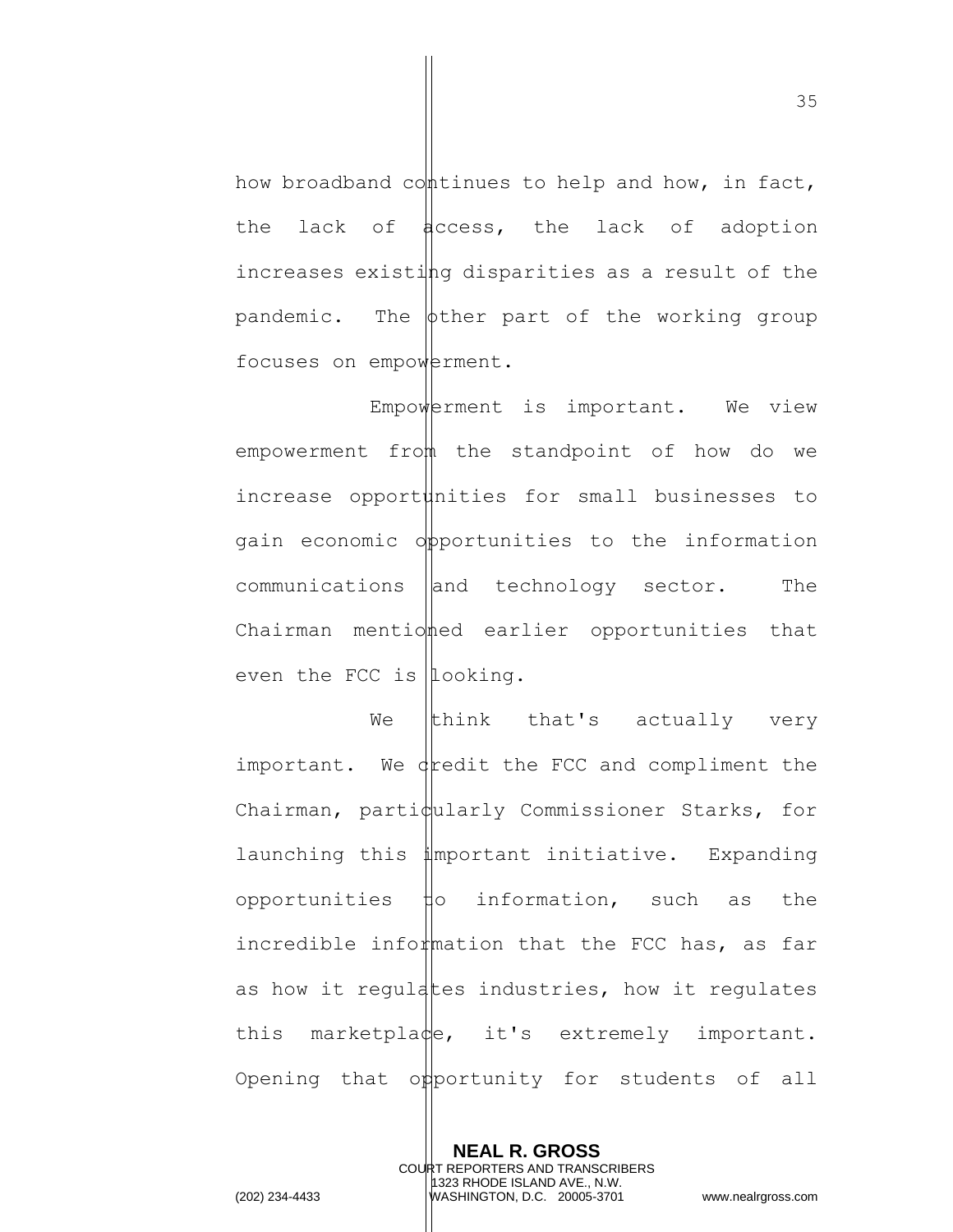how broadband continues to help and how, in fact, the lack of  $\frac{1}{4}$ ccess, the lack of adoption increases existing disparities as a result of the pandemic. The  $\phi$ ther part of the working group focuses on empowerment.

Empowerment is important. We view empowerment from the standpoint of how do we increase opport $\sharp$ nities for small businesses to gain economic opportunities to the information  $communications$   $|$  and technology sector. The Chairman mentioned earlier opportunities that even the FCC is  $|$ looking.

We  $\|$ think that's actually very important. We  $\frac{d}{dt}$  we the FCC and compliment the  $Chairman,$  parti $\phi$ ularly Commissioner Starks, for launching this important initiative. Expanding opportunities  $\sharp$ o information, such as the incredible information that the FCC has, as far as how it regulates industries, how it regulates this marketplace, it's extremely important. Opening that opportunity for students of all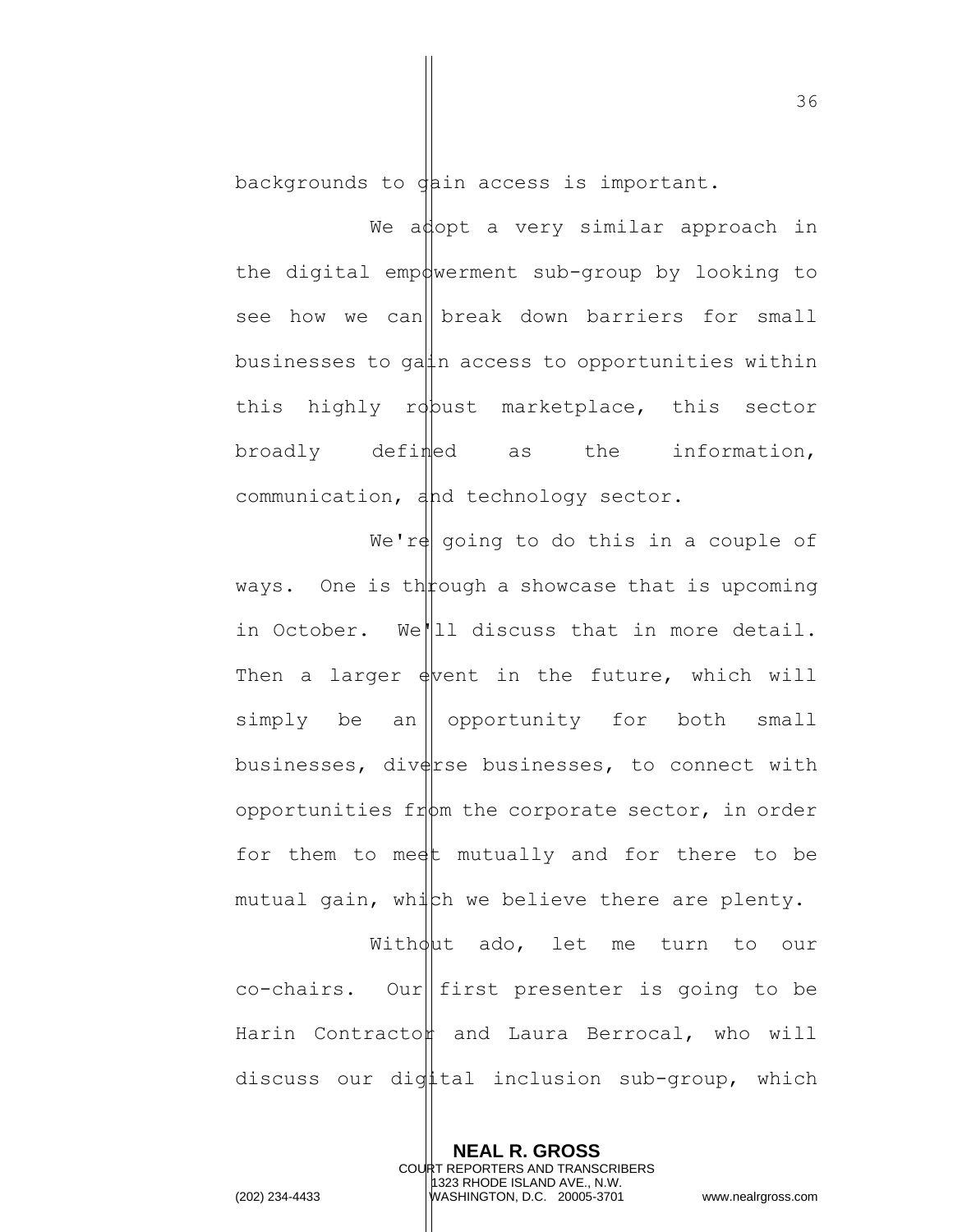backgrounds to  $\phi$  ain access is important.

We adopt a very similar approach in the digital empowerment sub-group by looking to see how we can | break down barriers for small businesses to ga $\sharp$ n access to opportunities within this highly robust marketplace, this sector broadly defined as the information, communication, and technology sector.

We're going to do this in a couple of ways. One is the pough a show case that is upcoming in October. We||11 discuss that in more detail. Then a larger  $\frac{1}{2}$  which will simply be an opportunity for both small businesses, diverse businesses, to connect with opportunities from the corporate sector, in order for them to meet mutually and for there to be mutual gain, which we believe there are plenty.

Without ado, let me turn to our  $co$ -chairs. Our first presenter is going to be Harin Contracton and Laura Berrocal, who will discuss our digital inclusion sub-group, which

> **NEAL R. GROSS** COURT REPORTERS AND TRANSCRIBERS 1323 RHODE ISLAND AVE., N.W.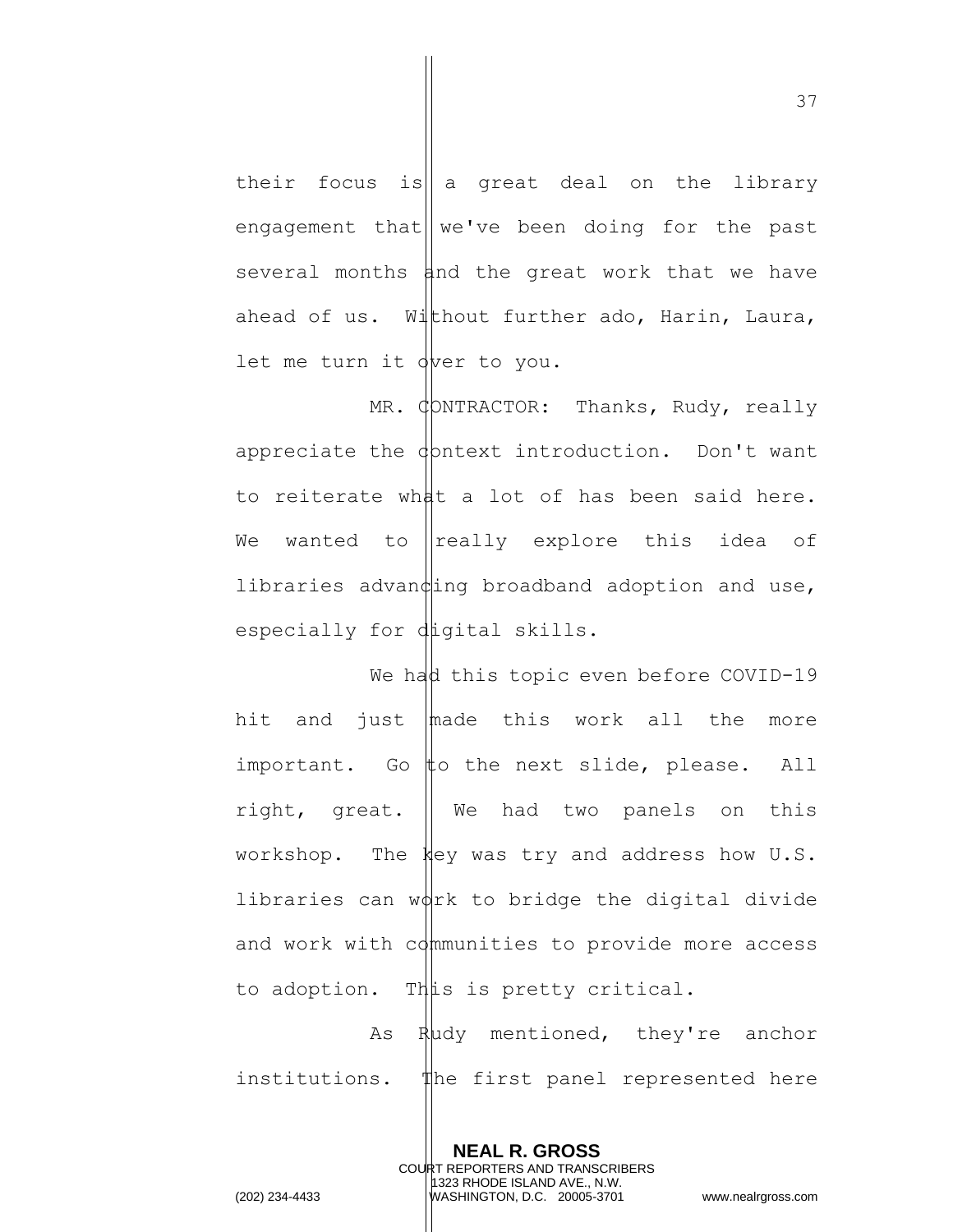their focus is  $\|a\|$  areat deal on the library engagement that  $\|$  we've been doing for the past several months and the great work that we have ahead of us. Without further ado, Harin, Laura, let me turn it over to you.

MR. CONTRACTOR: Thanks, Rudy, really appreciate the  $\phi$  phtext introduction. Don't want to reiterate what a lot of has been said here. We wanted to  $\|$ really explore this idea of libraries advan $\phi$ ing broadband adoption and use, especially for digital skills.

We had this topic even before COVID-19 hit and just  $\ln A$  this work all the more important. Go  $#$ o the next slide, please. All right, great. We had two panels on this workshop. The key was try and address how U.S. libraries can  $w\psi$ rk to bridge the digital divide and work with communities to provide more access to adoption. This is pretty critical.

As Rudy mentioned, they're anchor institutions. The first panel represented here

> **NEAL R. GROSS** COURT REPORTERS AND TRANSCRIBERS 1323 RHODE ISLAND AVE., N.W.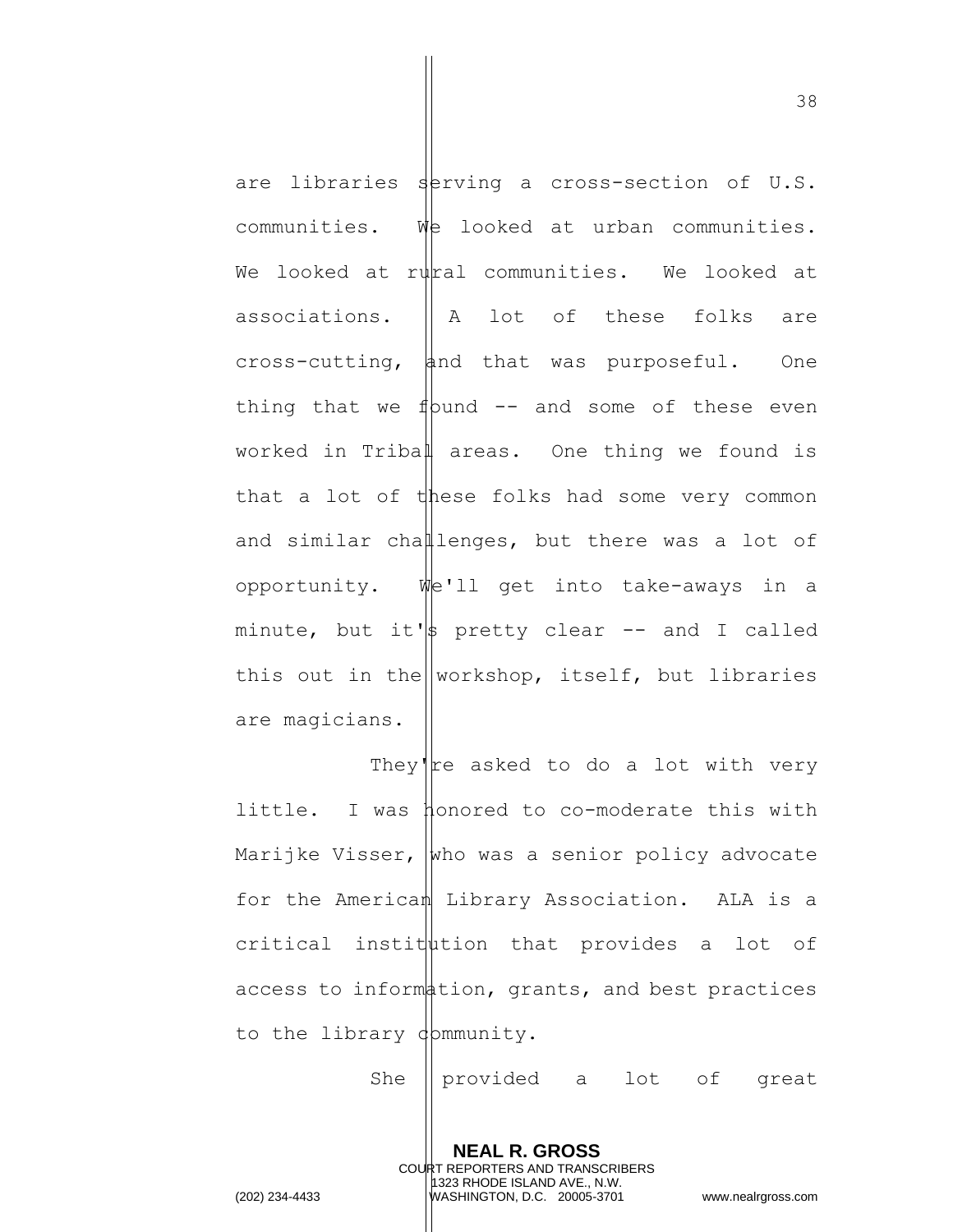are libraries serving a cross-section of U.S. communities. We looked at urban communities. We looked at rural communities. We looked at associations.  $\parallel$  A lot of these folks are  $cross-cutting,$  and that was purposeful. One thing that we f  $\psi$ und -- and some of these even worked in Tribal areas. One thing we found is that a lot of these folks had some very common and similar challenges, but there was a lot of opportunity. We'll get into take-aways in a minute, but it's pretty clear  $-$  and I called this out in the workshop, itself, but libraries are magicians.

They're asked to do a lot with very little. I was honored to co-moderate this with Marijke Visser,  $\vert$ who was a senior policy advocate for the American Library Association. ALA is a  $critical$  institution that provides a lot of access to information, grants, and best practices to the library dommunity.

She || provided a lot of great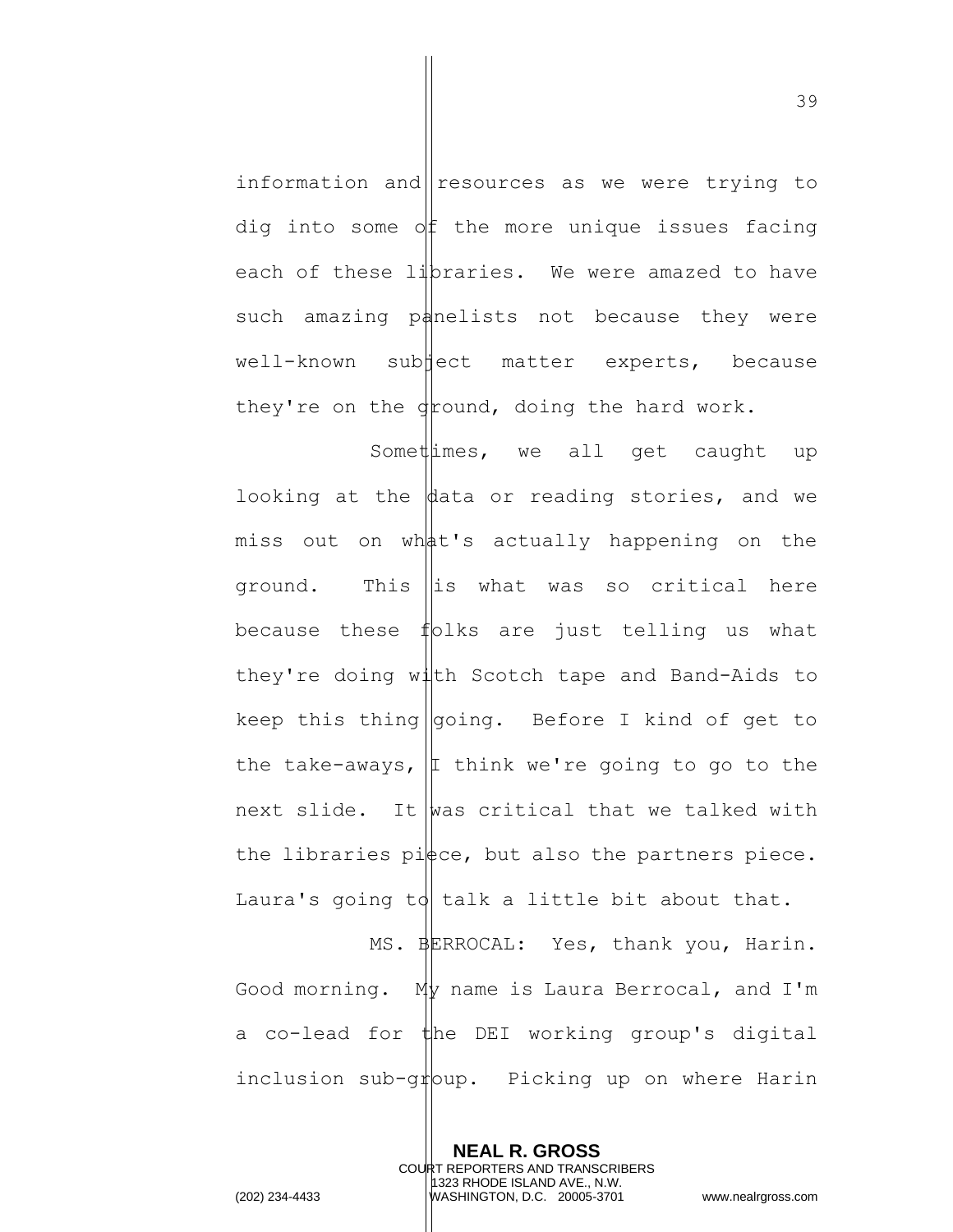information and resources as we were trying to dig into some  $\partial f$  the more unique issues facing each of these lipraries. We were amazed to have such amazing panelists not because they were well-known sub ject matter experts, because they're on the  $\frac{1}{2}$  round, doing the hard work.

Somet  $\limes$ , we all get caught up looking at the  $\phi$  ata or reading stories, and we miss out on what's actually happening on the ground. This  $\|\text{is what was so critical here}$ because these folks are just telling us what they're doing with Scotch tape and Band-Aids to keep this thing  $q$ oing. Before I kind of get to the take-aways,  $|I|$  think we're going to go to the next slide. It was critical that we talked with the libraries pi $\not\models c$ e, but also the partners piece. Laura's going to talk a little bit about that.

MS. BERROCAL: Yes, thank you, Harin. Good morning.  $My$  name is Laura Berrocal, and I'm a co-lead for the DEI working group's digital inclusion sub-group. Picking up on where Harin

> **NEAL R. GROSS** COURT REPORTERS AND TRANSCRIBERS 1323 RHODE ISLAND AVE., N.W.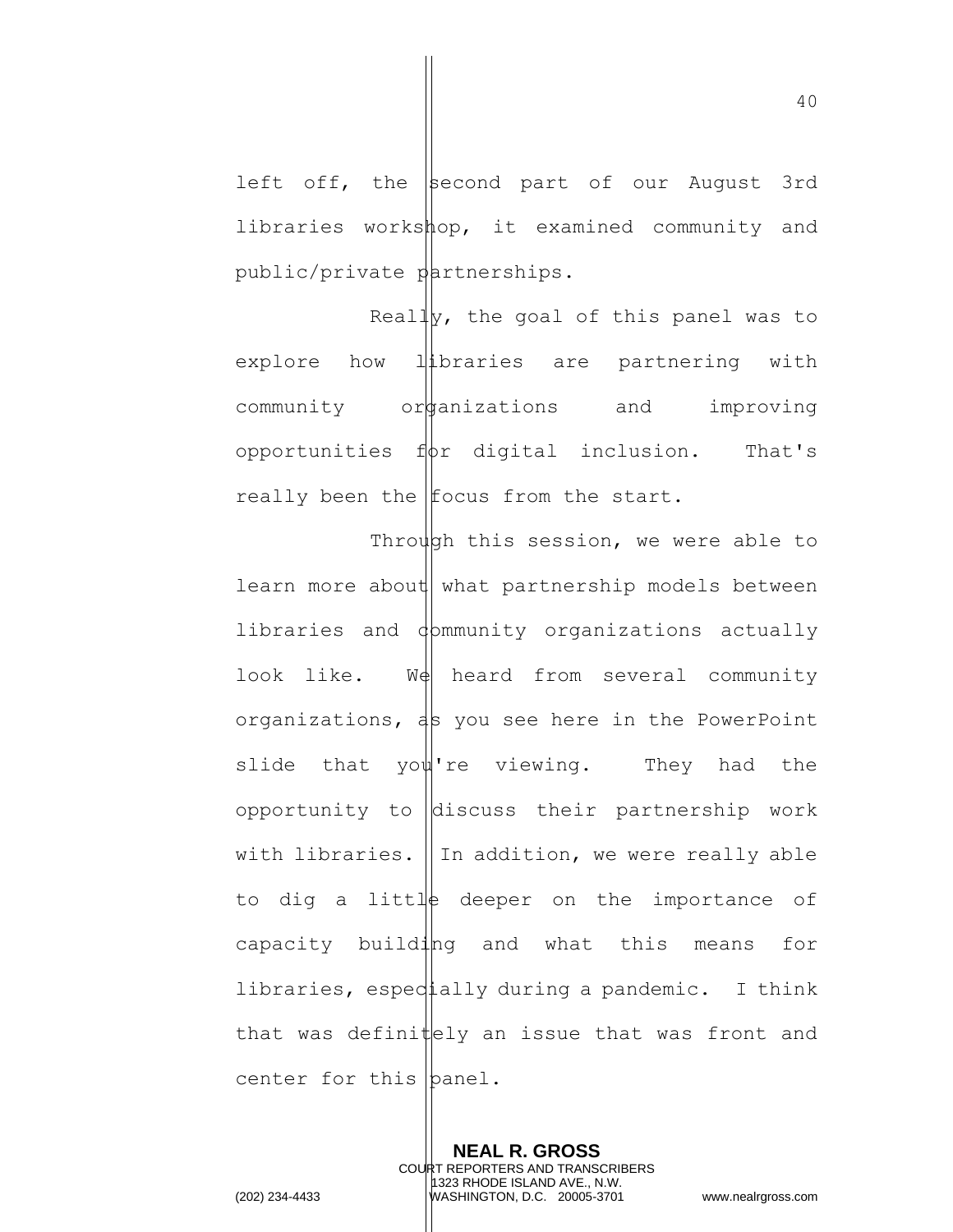left off, the  $\vert$ second part of our August 3rd libraries workshop, it examined community and public/private partnerships.

Really, the goal of this panel was to explore how libraries are partnering with community or anizations and improving opportunities  $f(x)$  digital inclusion. That's really been the  $|$ focus from the start.

Through this session, we were able to learn more about what partnership models between libraries and dommunity organizations actually look like.  $W\phi$  heard from several community organizations,  $\frac{1}{5}$  you see here in the PowerPoint slide that you're viewing. They had the opportunity to  $\Delta$  discuss their partnership work with libraries.  $\parallel$  In addition, we were really able to dig a little deeper on the importance of capacity building and what this means for libraries, especially during a pandemic. I think that was definit  $ely$  an issue that was front and center for this  $\beta$  anel.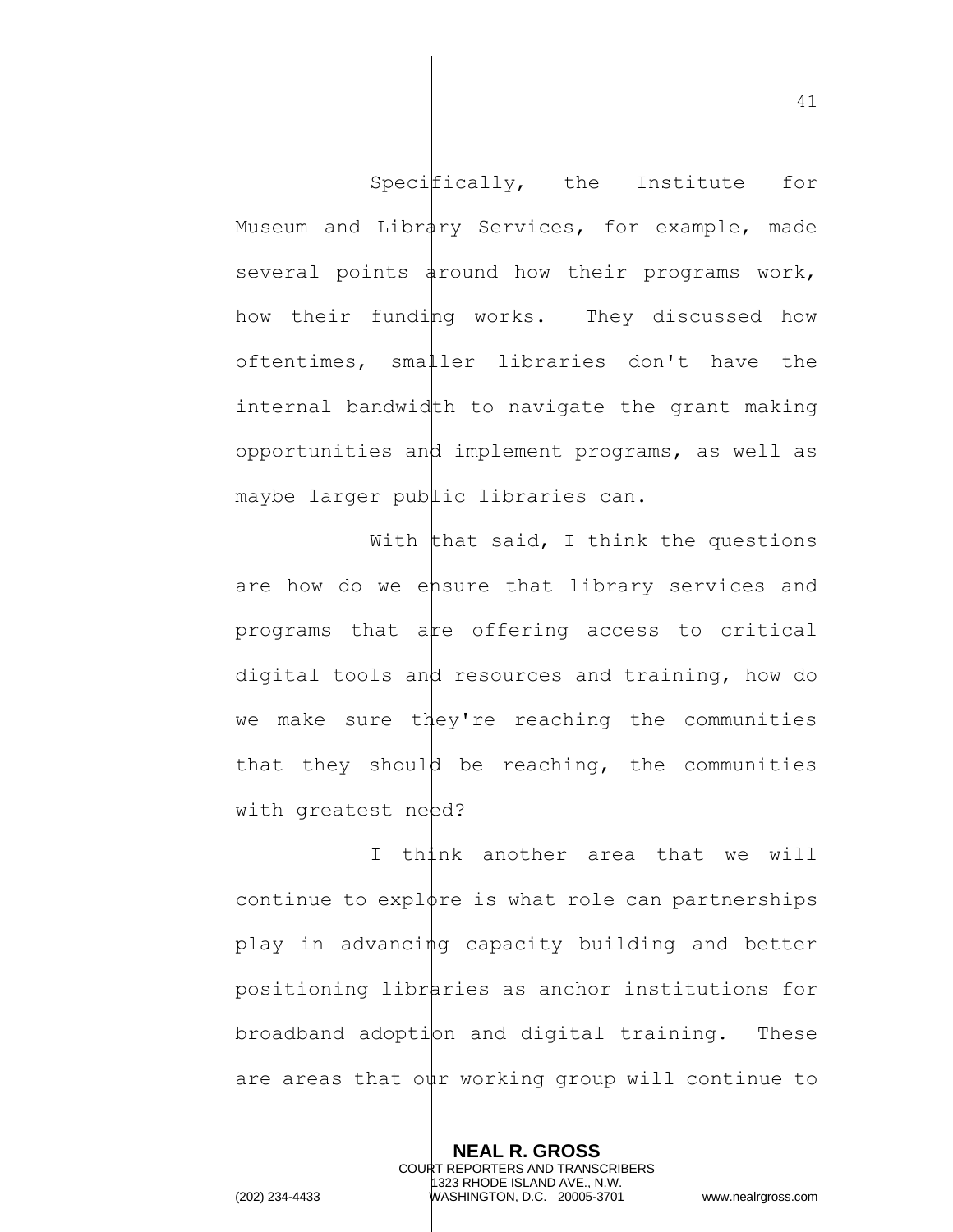Specifically, the Institute for Museum and Library Services, for example, made several points around how their programs work, how their funding works. They discussed how oftentimes, smaller libraries don't have the internal bandwidth to navigate the grant making opportunities and implement programs, as well as maybe larger public libraries can.

With that said, I think the questions are how do we ensure that library services and programs that are offering access to critical digital tools and resources and training, how do we make sure they're reaching the communities that they should be reaching, the communities with greatest need?

I think another area that we will continue to explore is what role can partnerships play in advancing capacity building and better positioning libraties as anchor institutions for  $b$ roadband adopt $1$ on and digital training. These are areas that our working group will continue to

> **NEAL R. GROSS** COURT REPORTERS AND TRANSCRIBERS 1323 RHODE ISLAND AVE., N.W.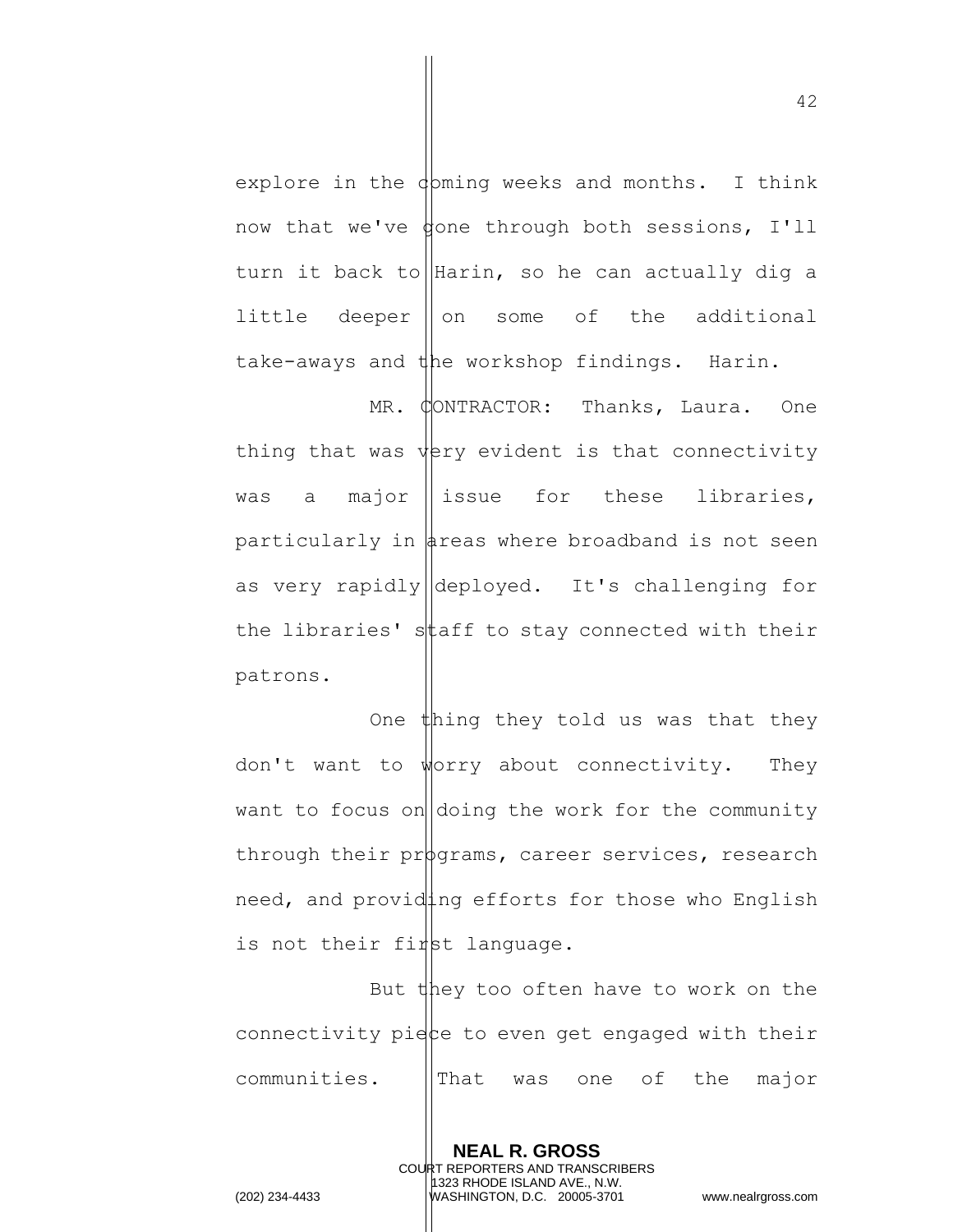explore in the  $\phi$  pming weeks and months. I think now that we've  $\phi$ one through both sessions, I'll turn it back to Harin, so he can actually dig a little deeper  $\|\circ\|$  some of the additional take-aways and the workshop findings. Harin.

MR. CONTRACTOR: Thanks, Laura. One thing that was  $\psi$ ery evident is that connectivity was a major  $\parallel$  issue for these libraries, particularly in  $\frac{1}{4}$ reas where broadband is not seen as very rapidly deployed. It's challenging for the libraries' staff to stay connected with their patrons.

One thing they told us was that they don't want to worry about connectivity. They want to focus on  $|$  doing the work for the community through their prod  $\rho$  career services, research need, and providing efforts for those who English is not their first language.

But they too often have to work on the connectivity piece to even get engaged with their  $communities.$   $||\text{That} was one of the major$ 

> **NEAL R. GROSS** COURT REPORTERS AND TRANSCRIBERS 1323 RHODE ISLAND AVE., N.W.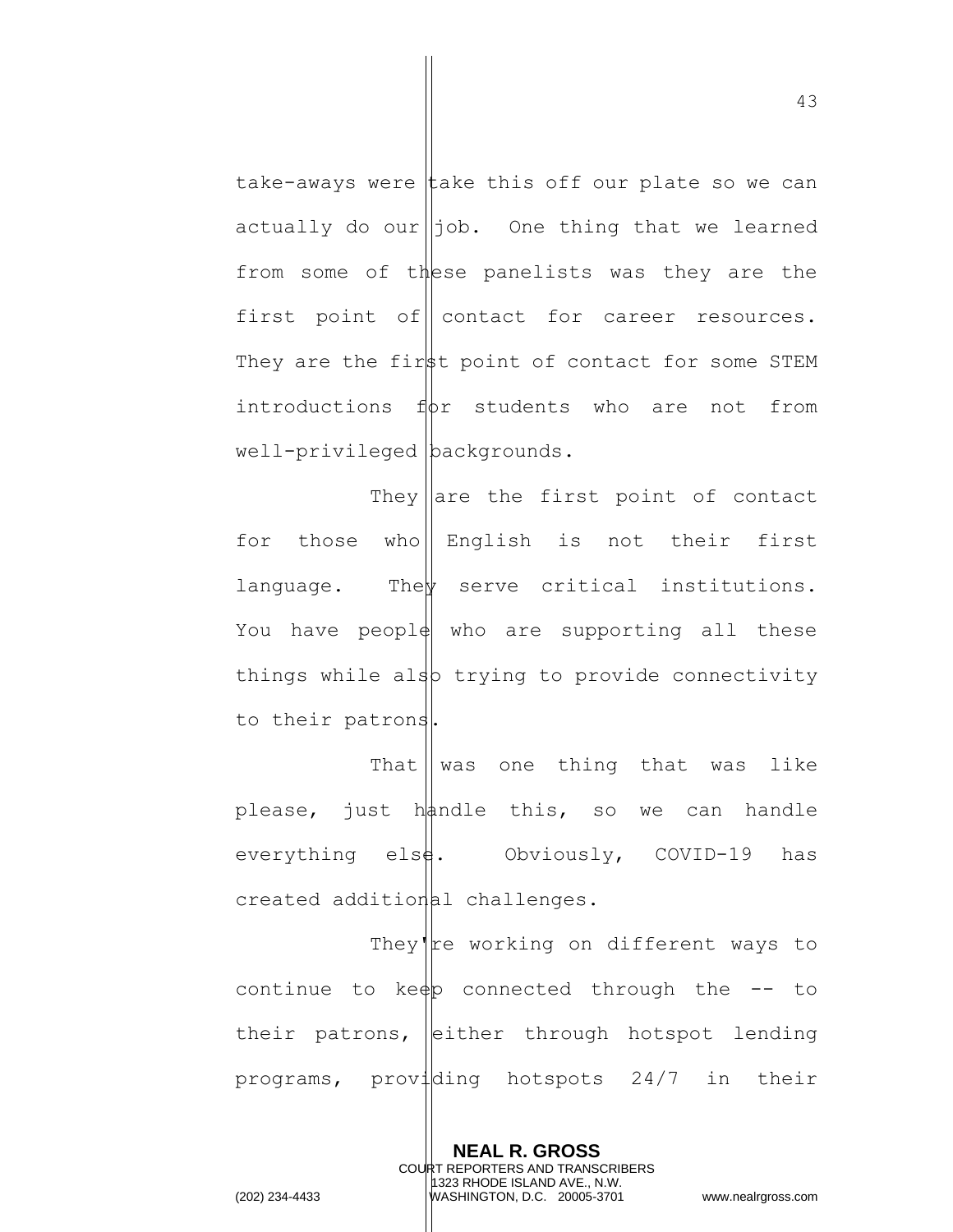take-aways were take this off our plate so we can actually do our $\parallel$ job. One thing that we learned from some of these panelists was they are the first point of contact for career resources. They are the first point of contact for some STEM introductions  $f(x)$  students who are not from well-privileged backgrounds.

They are the first point of contact for those who English is not their first language. The serve critical institutions. You have peopl $\phi$  who are supporting all these things while also trying to provide connectivity to their patrons.

That  $\parallel$  was one thing that was like please, just handle this, so we can handle everything els $\frac{1}{2}$ . Obviously, COVID-19 has  $created addition [a] childrenges.$ 

They're working on different ways to continue to ke $\phi$  connected through the  $-$  to their patrons, either through hotspot lending programs, providing hotspots 24/7 in their

> **NEAL R. GROSS** COURT REPORTERS AND TRANSCRIBERS 1323 RHODE ISLAND AVE., N.W.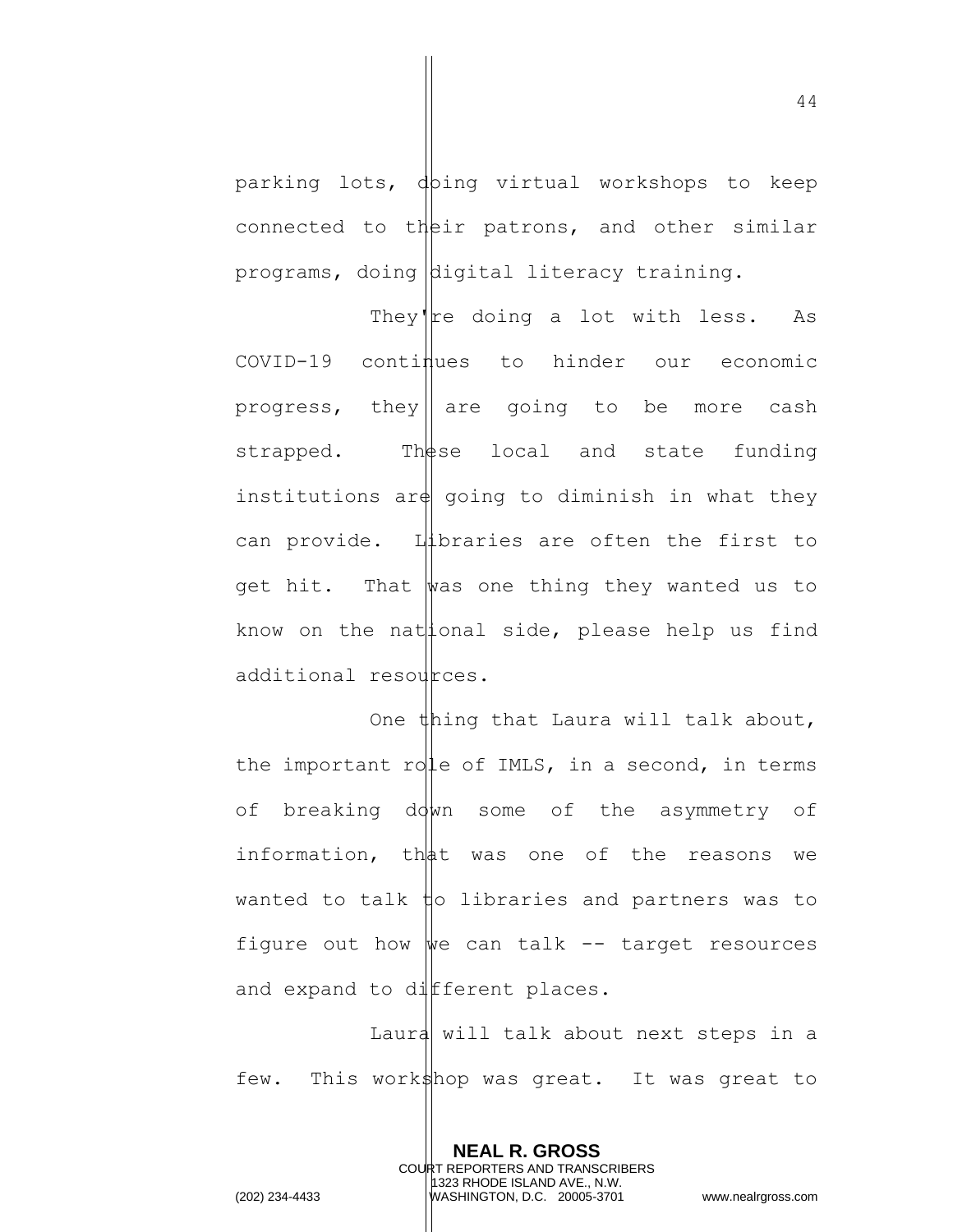parking lots, doing virtual workshops to keep connected to their patrons, and other similar programs, doing digital literacy training.

They're doing a lot with less. As  $COVID-19$  continues to hinder our economic progress, they|| are going to be more cash strapped. These local and state funding institutions ar $\phi$  going to diminish in what they can provide. Libraries are often the first to get hit. That was one thing they wanted us to know on the nat  $|$ ional side, please help us find additional resources.

One thing that Laura will talk about, the important role of IMLS, in a second, in terms of breaking down some of the asymmetry of information, that was one of the reasons we wanted to talk  $\sharp$ o libraries and partners was to figure out how  $\psi$ e can talk -- target resources and expand to different places.

Laura will talk about next steps in a few. This workshop was great. It was great to

> **NEAL R. GROSS** COURT REPORTERS AND TRANSCRIBERS 1323 RHODE ISLAND AVE., N.W.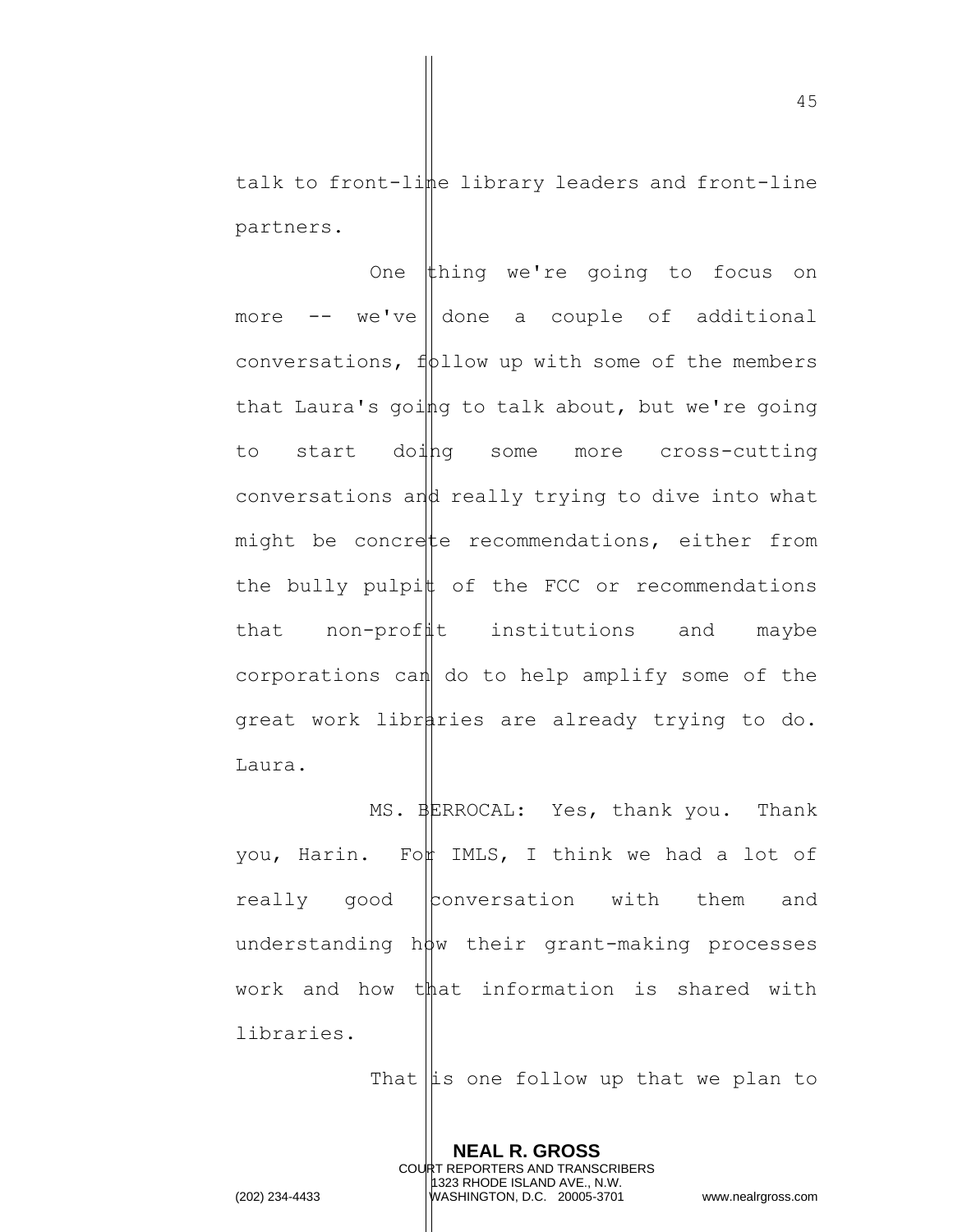talk to front-lime library leaders and front-line partners.

One thing we're going to focus on more  $--$  we've done a couple of additional conversations,  $f(t)$  follow up with some of the members that Laura's going to talk about, but we're going to start doing some more cross-cutting conversations and really trying to dive into what might be concrete recommendations, either from the bully pulpi $\sharp$  of the FCC or recommendations that non-profit institutions and maybe corporations can  $d$  do to help amplify some of the great work libraries are already trying to do. Laura.

MS. BERROCAL: Yes, thank you. Thank you, Harin. For IMLS, I think we had a lot of really good conversation with them and understanding  $h\phi w$  their grant-making processes work and how that information is shared with libraries.

> **NEAL R. GROSS** COURT REPORTERS AND TRANSCRIBERS 1323 RHODE ISLAND AVE., N.W.

That  $\left| \text{is one follow up that we plan to} \right|$ 

45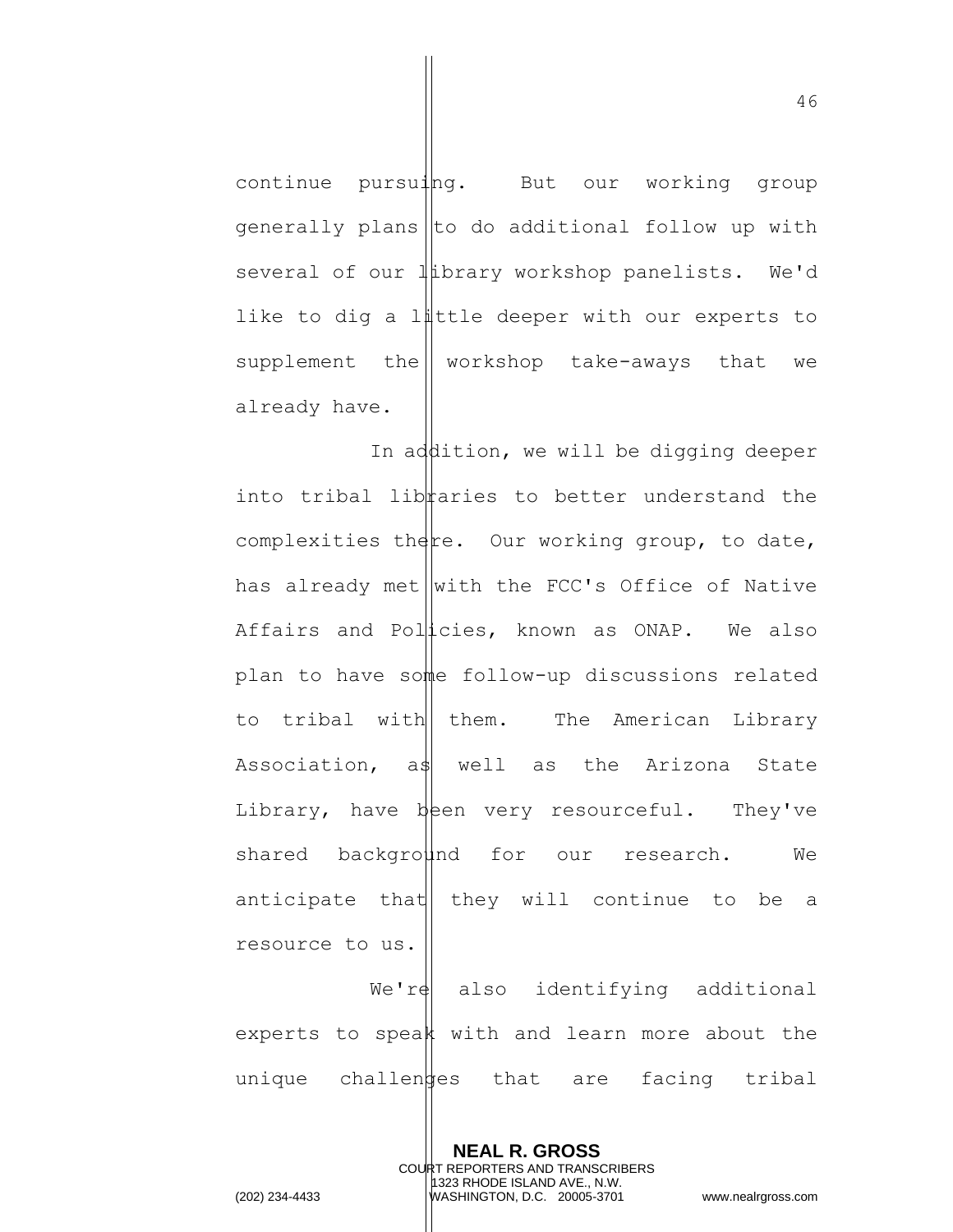continue pursuing. But our working group  $generally plans  $\vert\vert$  do additional follow up with$ several of our  $\|\text{library workshop panels. We'd$ like to dig a little deeper with our experts to supplement the  $\parallel$  workshop take-aways that we already have.

In addition, we will be digging deeper into tribal libraries to better understand the complexities there. Our working group, to date, has already met  $\vert \text{with the FCC's Office of Native}$ Affairs and Policies, known as ONAP. We also plan to have some follow-up discussions related to tribal with them. The American Library Association,  $a\$  well as the Arizona State Library, have been very resourceful. They've shared background for our research. We anticipate that  $\|$  they will continue to be a resource to us.

 $We'ref$  also identifying additional experts to speak with and learn more about the unique challentes that are facing tribal

> **NEAL R. GROSS** COURT REPORTERS AND TRANSCRIBERS 1323 RHODE ISLAND AVE., N.W.

(202) 234-4433 WASHINGTON, D.C. 20005-3701 www.nealrgross.com

46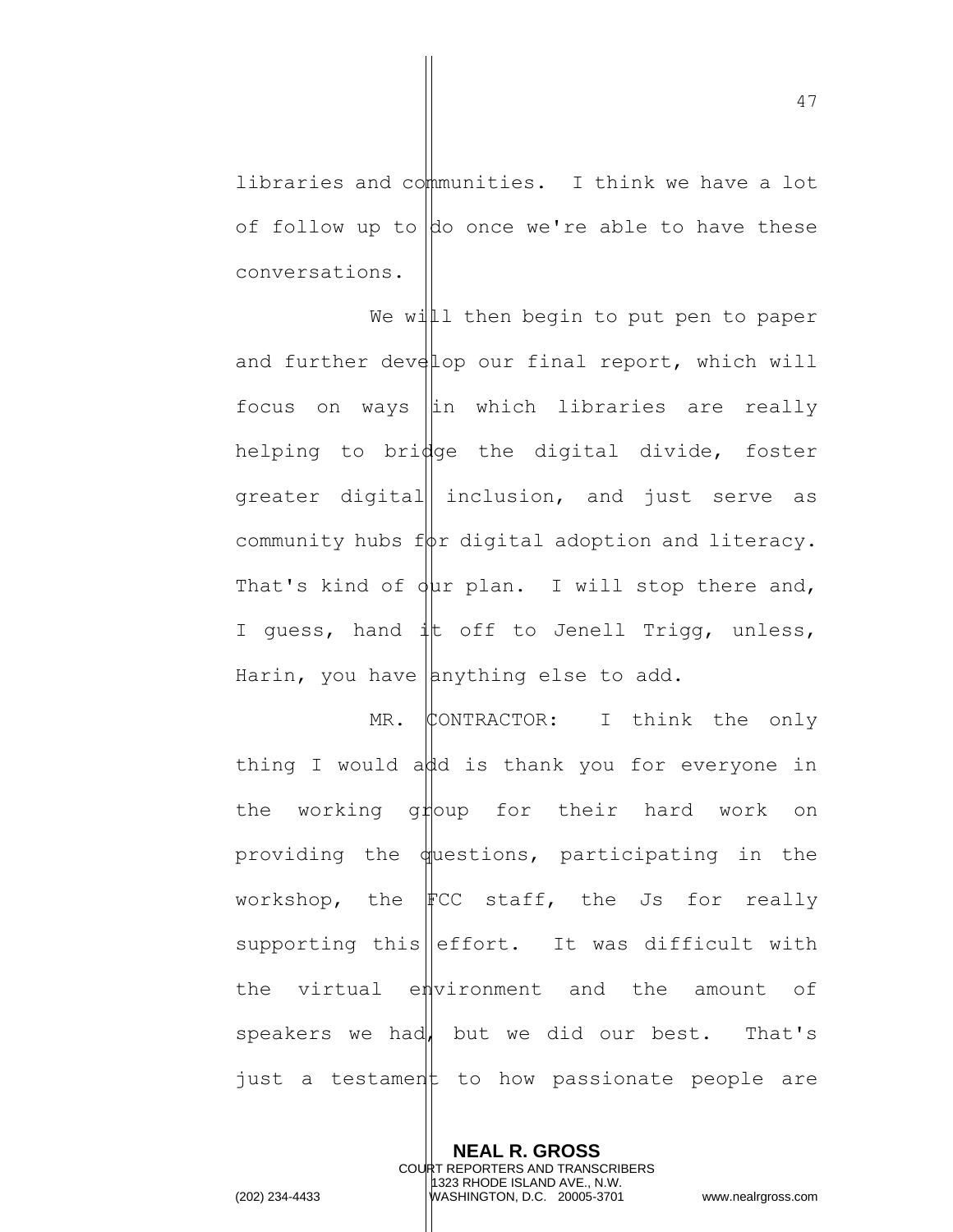libraries and communities. I think we have a lot of follow up to  $\phi$  once we're able to have these conversations.

We will then begin to put pen to paper and further develop our final report, which will focus on ways  $\left\|$ in which libraries are really helping to bridge the digital divide, foster greater digital inclusion, and just serve as community hubs  $f\phi r$  digital adoption and literacy. That's kind of  $\frac{1}{2}$ ur plan. I will stop there and, I guess, hand it off to Jenell Trigg, unless, Harin, you have  $\Delta$ nything else to add.

 $MR.$  CONTRACTOR: I think the only thing I would add is thank you for everyone in the working ghoup for their hard work on providing the  $\phi$ uestions, participating in the workshop, the  $\text{FCC}$  staff, the Js for really supporting this  $\left\| \right\|$  effort. It was difficult with the virtual environment and the amount of speakers we had, but we did our best. That's just a testament to how passionate people are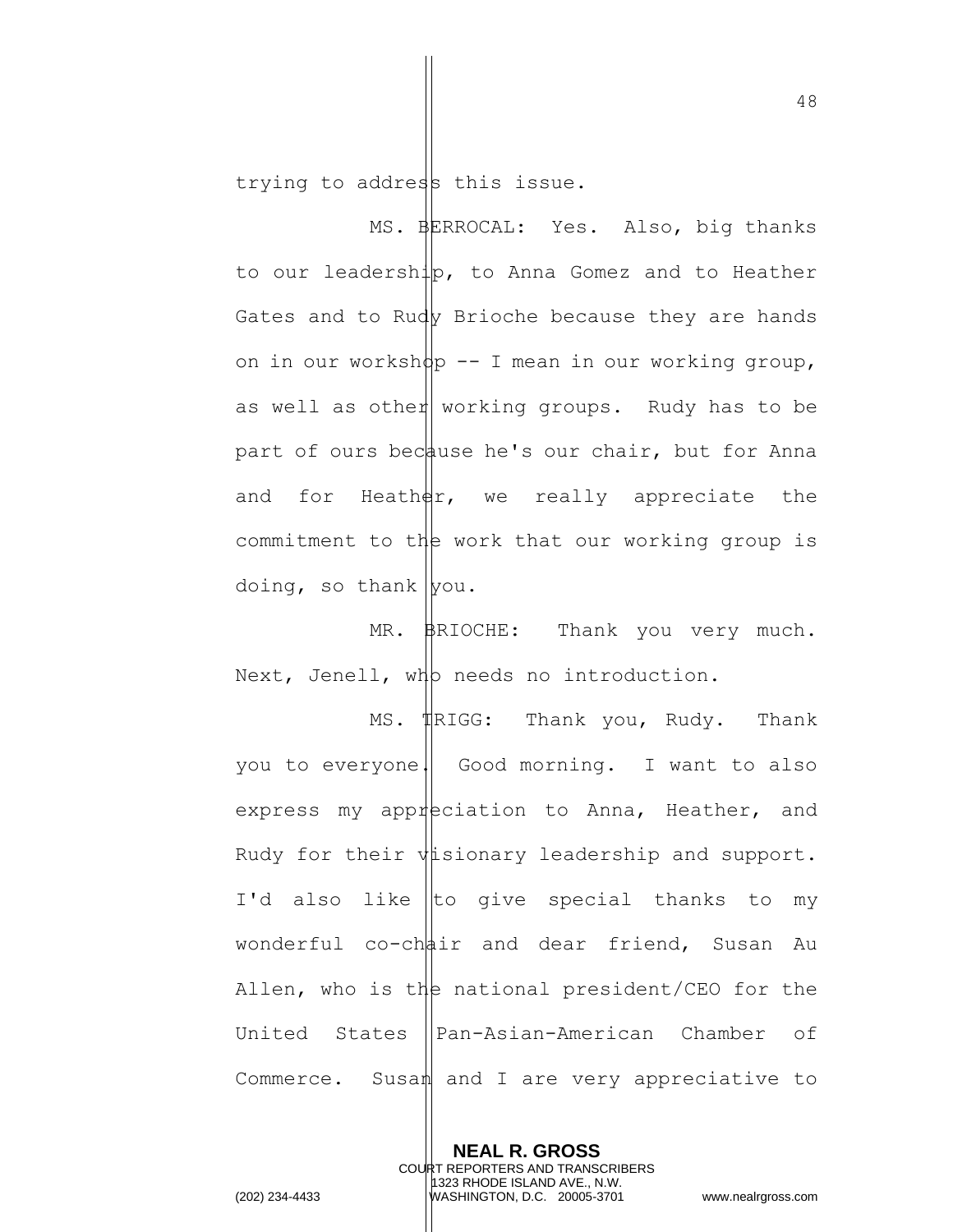trying to address this issue.

MS. BERROCAL: Yes. Also, big thanks to our leadership, to Anna Gomez and to Heather Gates and to Rudy Brioche because they are hands on in our worksh $\phi$  -- I mean in our working group, as well as other working groups. Rudy has to be part of ours because he's our chair, but for Anna and for Heath $\frac{d}{dx}$ , we really appreciate the commitment to the work that our working group is doing, so thank  $|$ you.

MR. BRIOCHE: Thank you very much. Next, Jenell, wh needs no introduction.

MS. Thank you, Rudy. Thank you to everyone. Good morning. I want to also express my appreciation to Anna, Heather, and Rudy for their  $\psi$  isionary leadership and support. I'd also like to give special thanks to my wonderful  $co-ch\phi$ ir and dear friend, Susan Au Allen, who is the national president/CEO for the United States ||Pan-Asian-American Chamber of Commerce. Susan and I are very appreciative to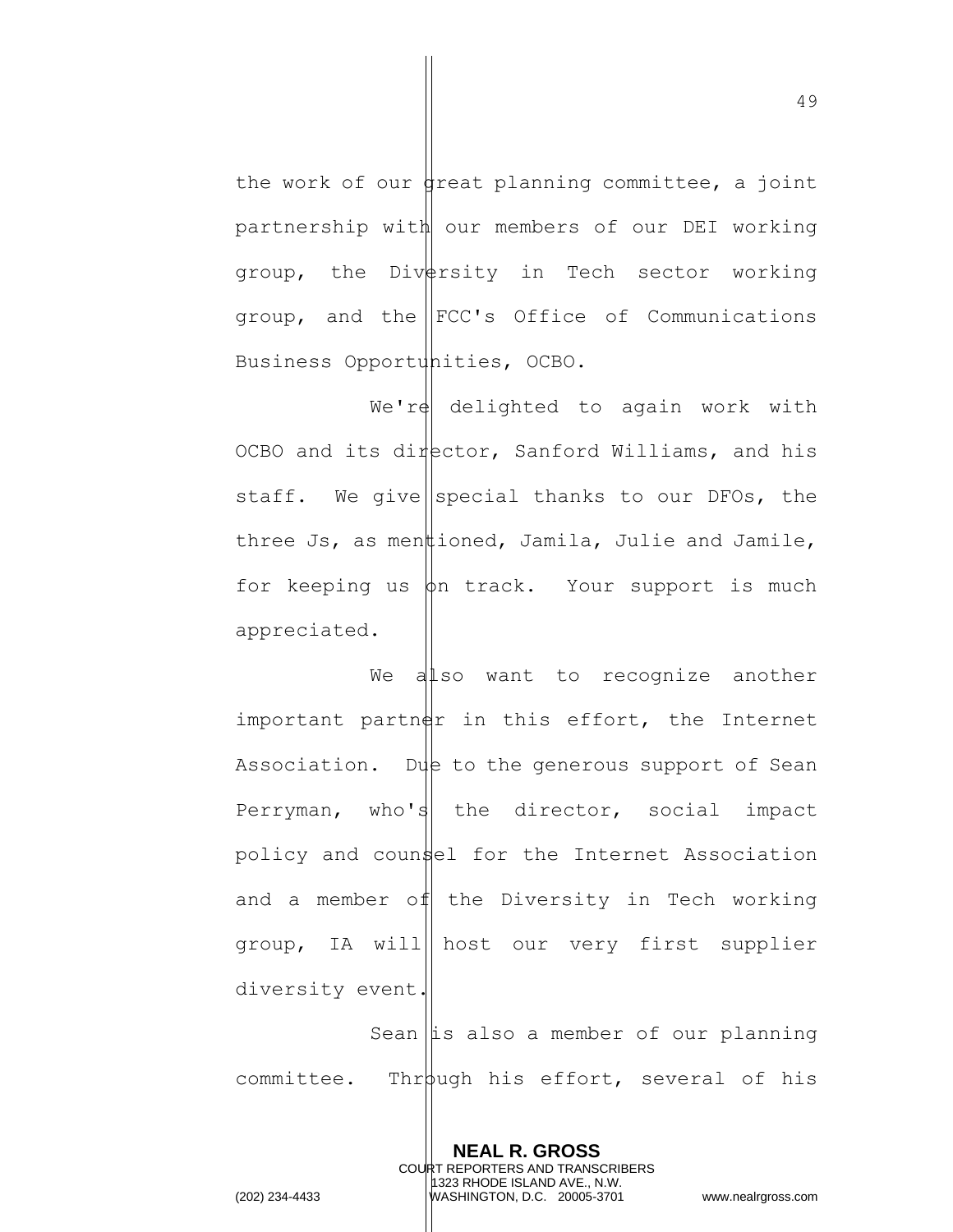the work of our dreat planning committee, a joint partnership with our members of our DEI working group, the Diversity in Tech sector working group, and the  $\left| \text{FCC's }$  Office of Communications Business Opportunities, OCBO.

 $We'ref$  delighted to again work with OCBO and its director, Sanford Williams, and his staff. We give special thanks to our DFOs, the three Js, as menttioned, Jamila, Julie and Jamile, for keeping us  $\phi$ n track. Your support is much appreciated.

We also want to recognize another important partner in this effort, the Internet Association. Due to the generous support of Sean Perryman, who's the director, social impact policy and counsel for the Internet Association and a member of the Diversity in Tech working group, IA will host our very first supplier diversity event.

Sean  $\|$ is also a member of our planning committee. Through his effort, several of his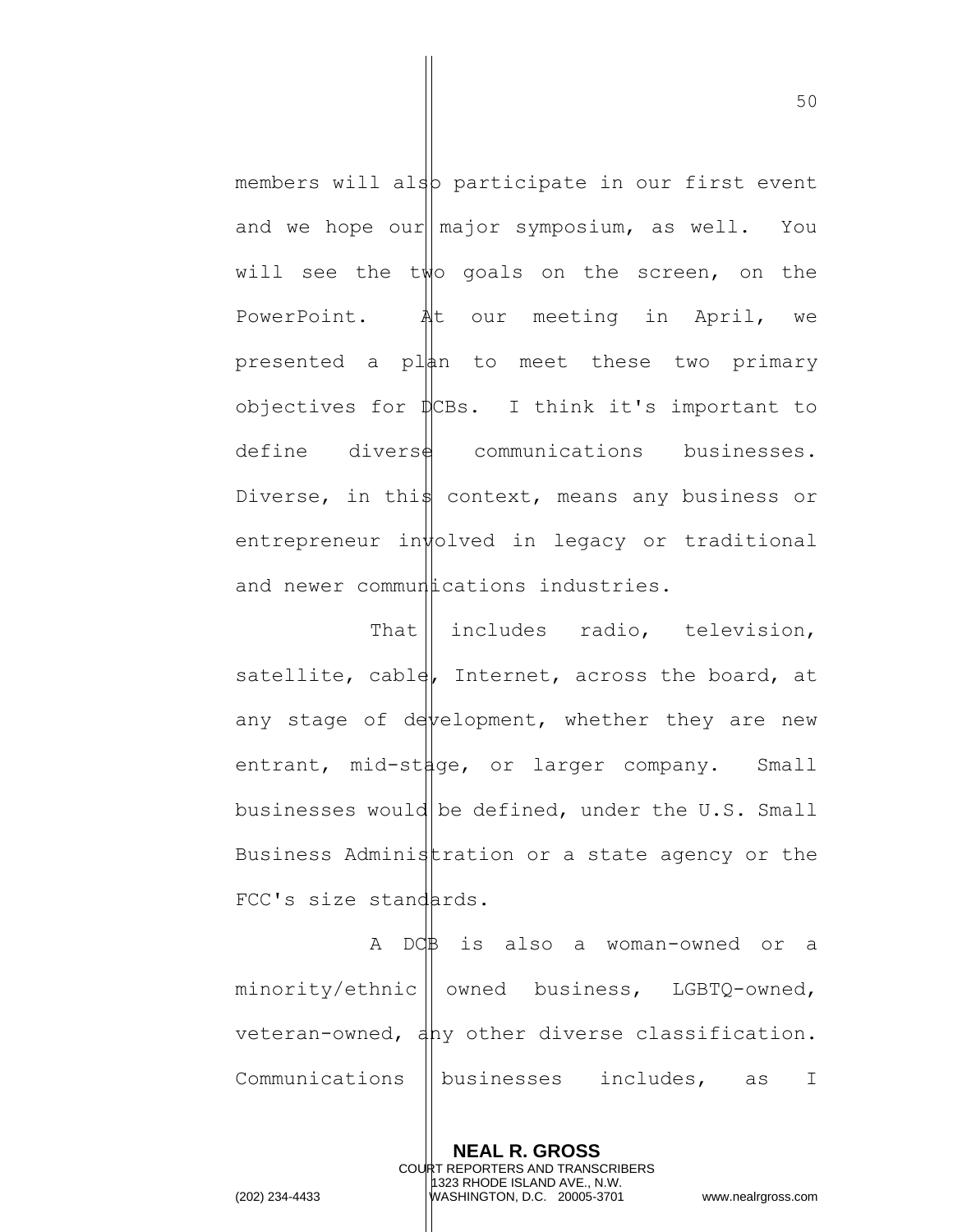members will also participate in our first event and we hope our  $\lceil \text{major} \rceil$  symposium, as well. You will see the two goals on the screen, on the PowerPoint. At our meeting in April, we presented a  $p \downarrow$  and to meet these two primary objectives for  $\psi$ CBs. I think it's important to  $define$  divers $\frac{d}{d}$  communications businesses. Diverse, in this context, means any business or entrepreneur in $\sharp$ olved in legacy or traditional and newer commundications industries.

That | includes radio, television, satellite, cable, Internet, across the board, at any stage of development, whether they are new entrant, mid-st $\sharp$ ge, or larger company. Small businesses would be defined, under the  $U.S.$  Small Business Administration or a state agency or the FCC's size standards.

A DCB is also a woman-owned or a  $minority/ethnic ||$  owned business, LGBTQ-owned, veteran-owned, any other diverse classification. Communications  $\parallel$  businesses includes, as I

> **NEAL R. GROSS** COURT REPORTERS AND TRANSCRIBERS 1323 RHODE ISLAND AVE., N.W.

(202) 234-4433 WASHINGTON, D.C. 20005-3701 www.nealrgross.com

50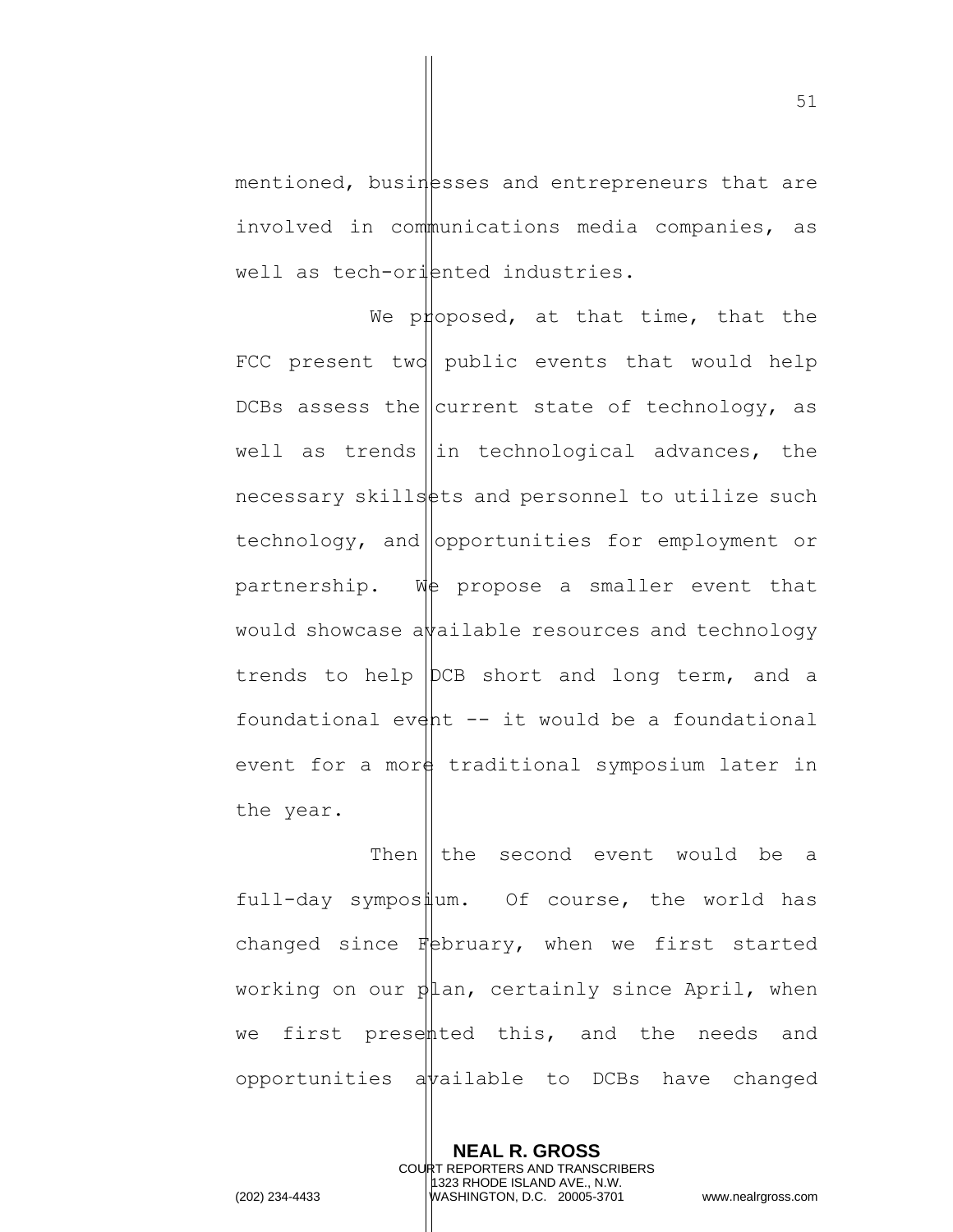mentioned, busin esses and entrepreneurs that are involved in communications media companies, as well as tech-oriented industries.

We proposed, at that time, that the FCC present two public events that would help DCBs assess the current state of technology, as well as trends  $\|\text{in}$  technological advances, the  $n$ ecessary skills  $\frac{1}{n}$ ts and personnel to utilize such  $technology, and |$ opportunities for employment or partnership. We propose a smaller event that would showcase a  $\frac{1}{4}$  and  $\frac{1}{4}$  resources and technology trends to help DCB short and long term, and a foundational event  $-$  it would be a foundational event for a more traditional symposium later in the year.

Then  $\parallel$  the second event would be a full-day symposium. Of course, the world has changed since  $F$ bebruary, when we first started working on our  $\phi$  an, certainly since April, when we first presented this, and the needs and opportunities a  $\psi$ ailable to DCBs have changed

> **NEAL R. GROSS** COURT REPORTERS AND TRANSCRIBERS 1323 RHODE ISLAND AVE., N.W.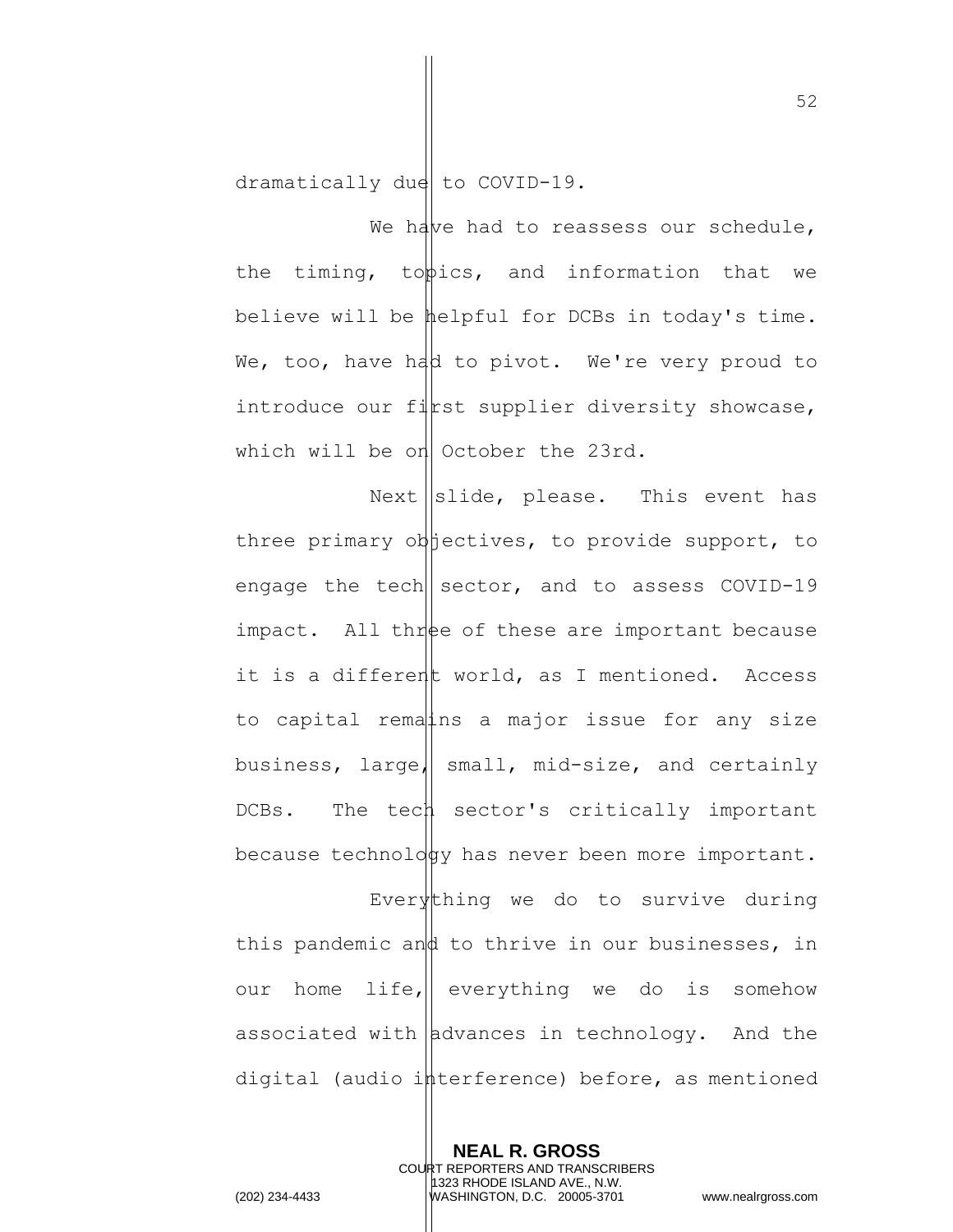dramatically due to COVID-19.

We have had to reassess our schedule, the timing, to  $\phi$ ics, and information that we believe will be helpful for DCBs in today's time. We, too, have had to pivot. We're very proud to introduce our first supplier diversity showcase, which will be on October the 23rd.

Next  $\left\|$ slide, please. This event has three primary objectives, to provide support, to engage the tech  $|\sec{r}$ , and to assess COVID-19 impact. All three of these are important because it is a different world, as I mentioned. Access to capital rematins a major issue for any size business, large, small, mid-size, and certainly DCBs. The tech sector's critically important because technology has never been more important.

Everything we do to survive during this pandemic and to thrive in our businesses, in our home life, everything we do is somehow associated with  $\alpha$  advances in technology. And the digital (audio interference) before, as mentioned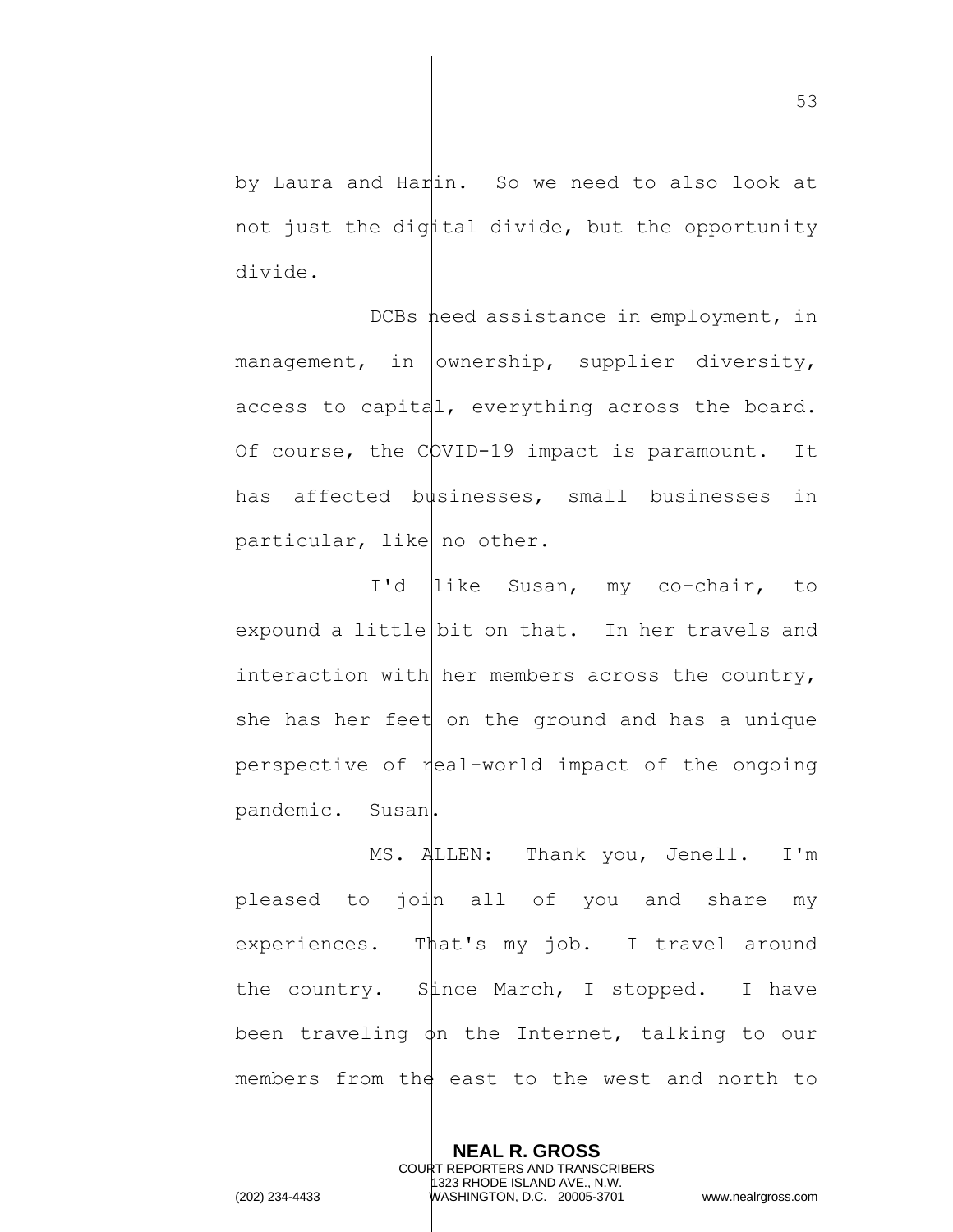by Laura and Harin. So we need to also look at not just the digttal divide, but the opportunity divide.

DCBs need assistance in employment, in management, in  $\vert$  ownership, supplier diversity, access to capital, everything across the board. Of course, the  $\phi$ VID-19 impact is paramount. It has affected businesses, small businesses in particular, like no other.

I'd like Susan, my co-chair, to expound a little bit on that. In her travels and interaction with her members across the country, she has her feet on the ground and has a unique perspective of  $\sharp$ eal-world impact of the ongoing pandemic. Susan.

MS. ALLEN: Thank you, Jenell. I'm pleased to  $j \circ l \mid n$  all of you and share my experiences. That's my job. I travel around the country.  $\sharp$  ince March, I stopped. I have been traveling  $\phi$ n the Internet, talking to our members from the east to the west and north to

**NEAL R. GROSS** COURT REPORTERS AND TRANSCRIBERS 1323 RHODE ISLAND AVE., N.W. (202) 234-4433 WASHINGTON, D.C. 20005-3701 www.nealrgross.com

53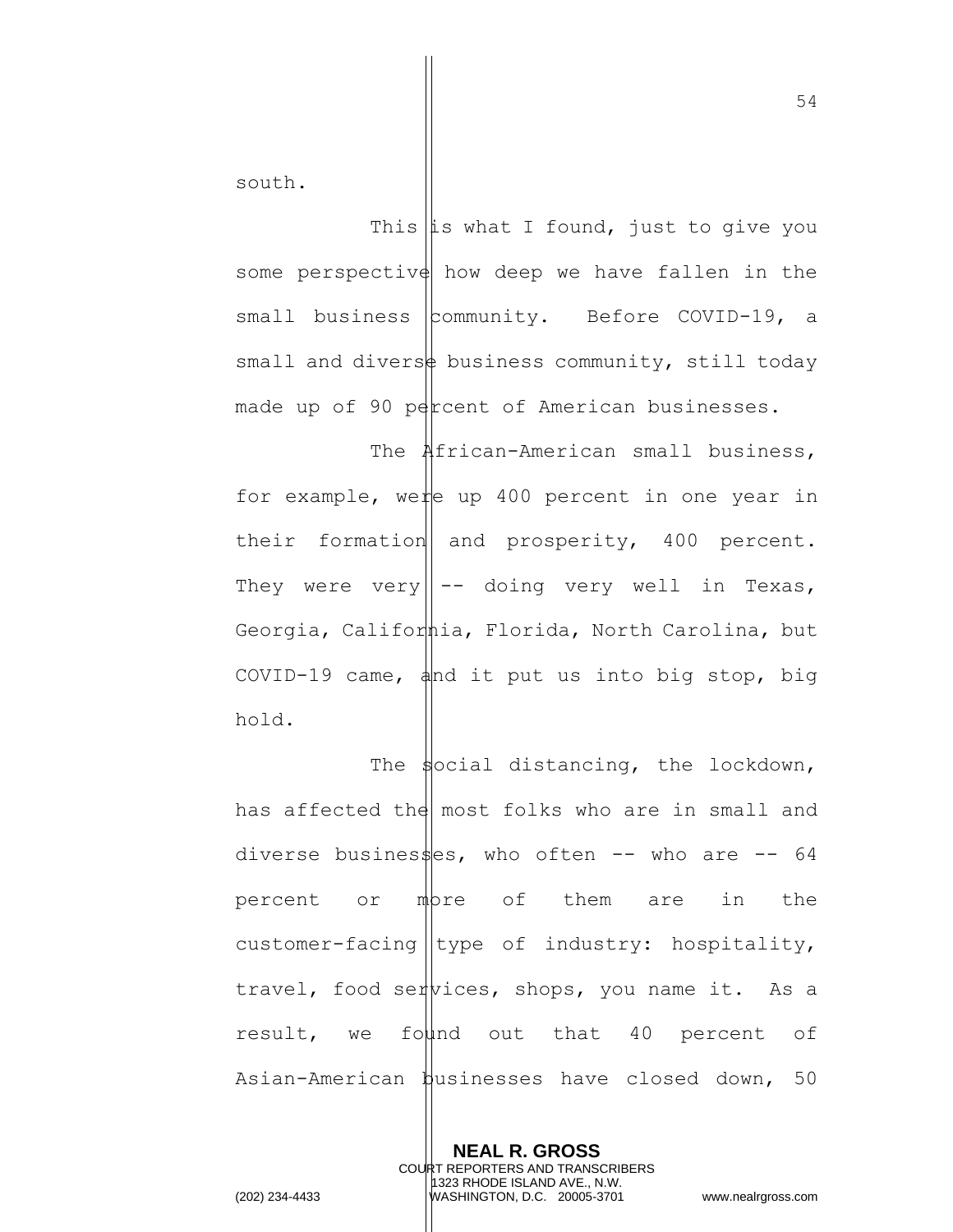south.

This  $\|$ is what I found, just to give you some perspective how deep we have fallen in the small business community. Before COVID-19, a small and divers $\frac{1}{2}$  business community, still today made up of 90 percent of American businesses.

The **African-American** small business, for example, were up 400 percent in one year in their formation and prosperity,  $400$  percent. They were very  $\left\| -\right\|$  doing very well in Texas, Georgia, California, Florida, North Carolina, but COVID-19 came,  $\frac{1}{4}$ nd it put us into big stop, big hold.

The  $\frac{1}{2}$  distancing, the lockdown, has affected the most folks who are in small and diverse busines $\frac{1}{2}$ es, who often -- who are -- 64 percent or mbre of them are in the customer-facing  $|$ type of industry: hospitality, travel, food services, shops, you name it. As a result, we found out that 40 percent of Asian-American businesses have closed down, 50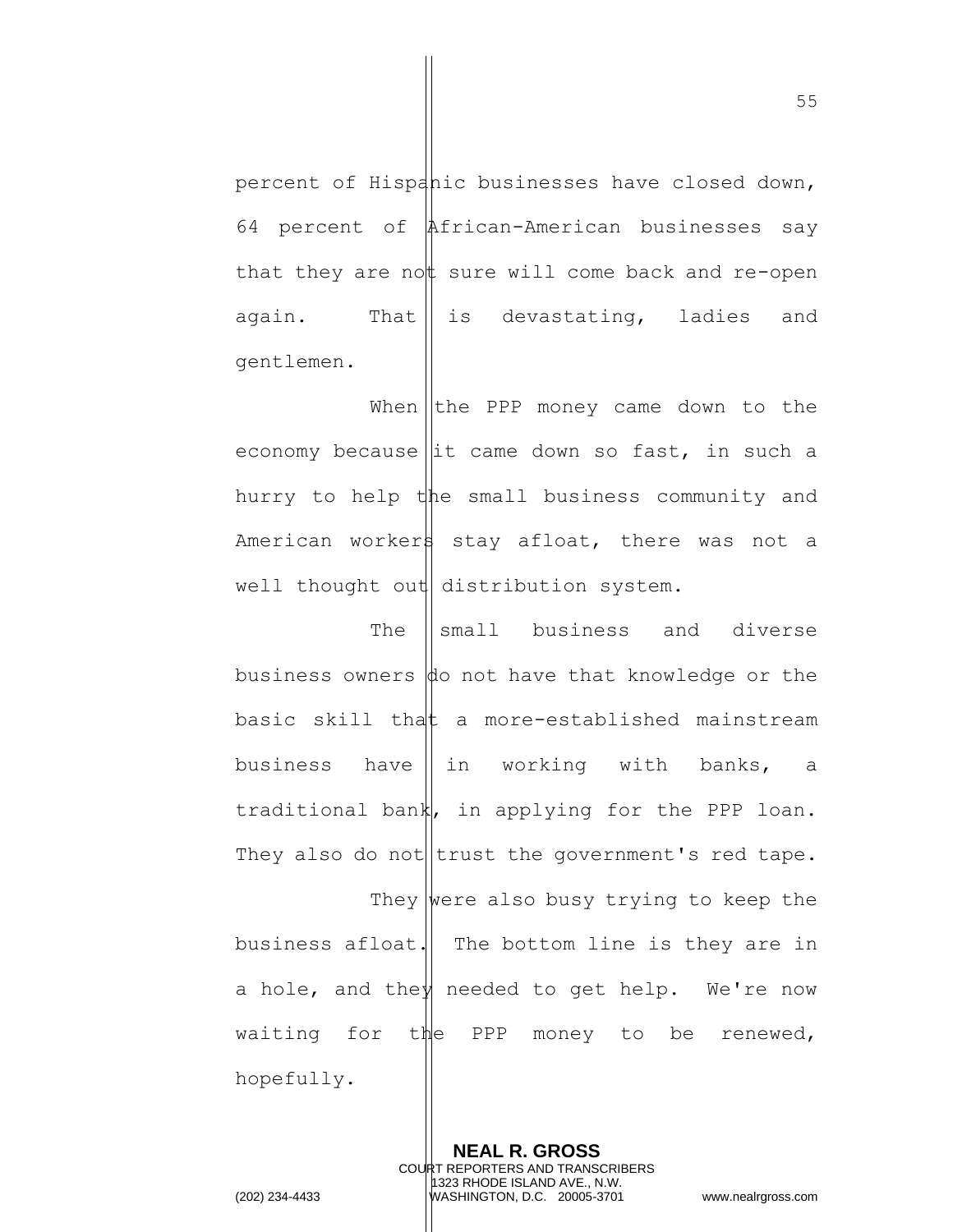percent of Hispanic businesses have closed down, 64 percent of African-American businesses say that they are not sure will come back and re-open again. That  $\parallel$  is devastating, ladies and gentlemen.

When  $\vert$  the PPP money came down to the economy because  $\left\| \text{it} \right\|$  came down so fast, in such a hurry to help the small business community and American workers stay afloat, there was not a well thought out distribution system.

The ||small business and diverse business owners  $\phi$  not have that knowledge or the basic skill that a more-established mainstream business have  $\parallel$  in working with banks, a traditional bank, in applying for the PPP loan. They also do not  $|\text{trust the government's red tape.}|$ They were also busy trying to keep the business afloat. The bottom line is they are in a hole, and they needed to get help. We're now waiting for the PPP money to be renewed, hopefully.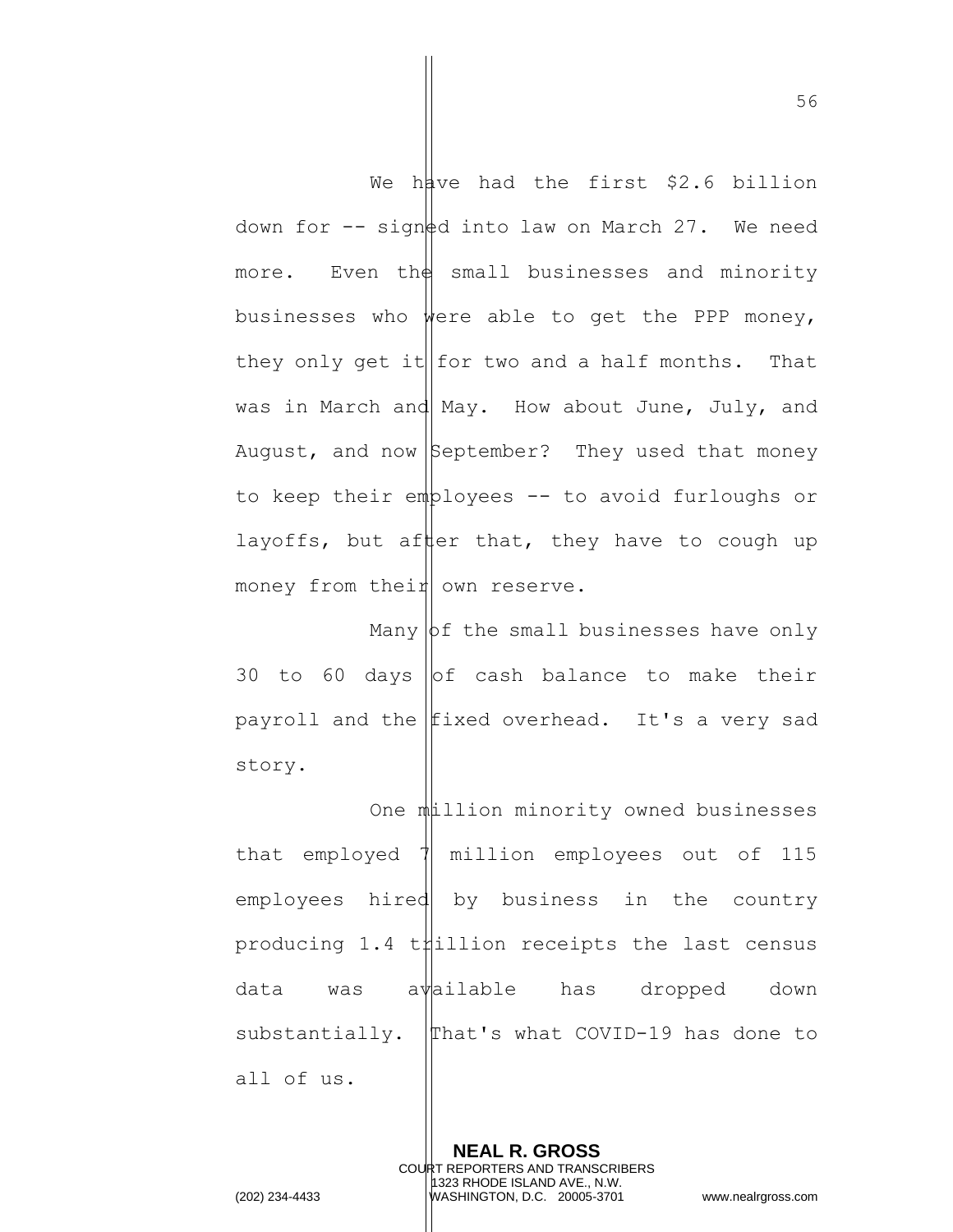We have had the first \$2.6 billion down for  $-$  signed into law on March 27. We need more. Even the small businesses and minority businesses who were able to get the PPP money, they only get it  $|$  for two and a half months. That was in March and May. How about June, July, and August, and now  $\beta$ eptember? They used that money to keep their employees  $-$ - to avoid furloughs or layoffs, but after that, they have to cough up money from their own reserve.

Many  $\beta$  the small businesses have only 30 to 60 days of cash balance to make their payroll and the  $|$ fixed overhead. It's a very sad story.

One million minority owned businesses that employed  $\sqrt{ }$  million employees out of 115 employees hired by business in the country producing 1.4 thillion receipts the last census data was available has dropped down substantially.  $\Delta$  that's what COVID-19 has done to all of us.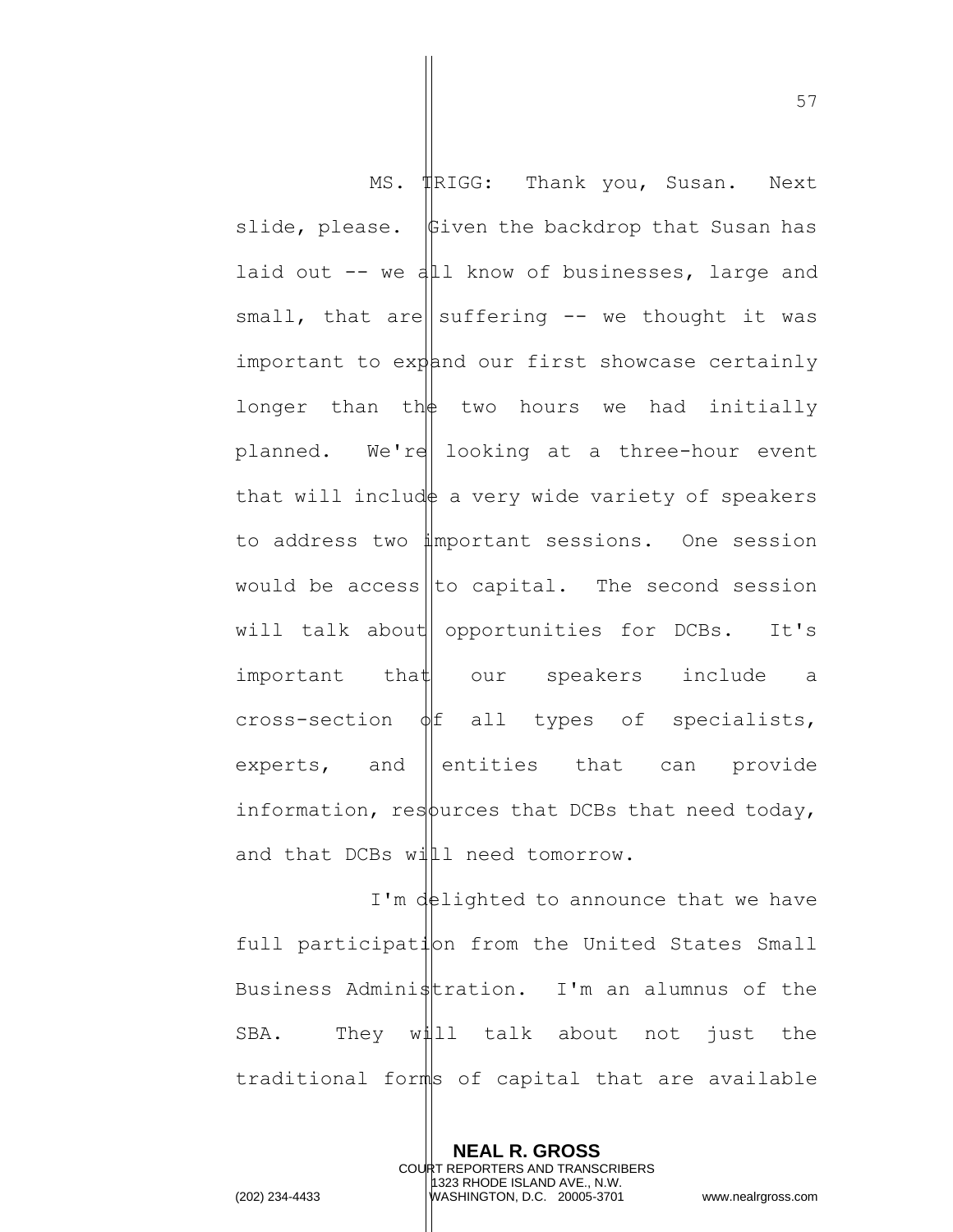MS.  $\text{IRIGG:}$  Thank you, Susan. Next slide, please.  $\psi$  fiven the backdrop that Susan has laid out  $-$  we all know of businesses, large and small, that are suffering  $-$  we thought it was important to expand our first showcase certainly longer than th $\phi$  two hours we had initially planned. We're looking at a three-hour event that will include a very wide variety of speakers to address two important sessions. One session would be access to capital. The second session will talk about opportunities for  $DCBs$ . It's  $important$  that our speakers include a cross-section  $\phi$  f all types of specialists, experts, and entities that can provide information, resources that DCBs that need today, and that DCBs will need tomorrow.

I'm delighted to announce that we have full participation from the United States Small Business Administration. I'm an alumnus of the SBA. They will talk about not just the traditional forms of capital that are available

> **NEAL R. GROSS** COURT REPORTERS AND TRANSCRIBERS 1323 RHODE ISLAND AVE., N.W.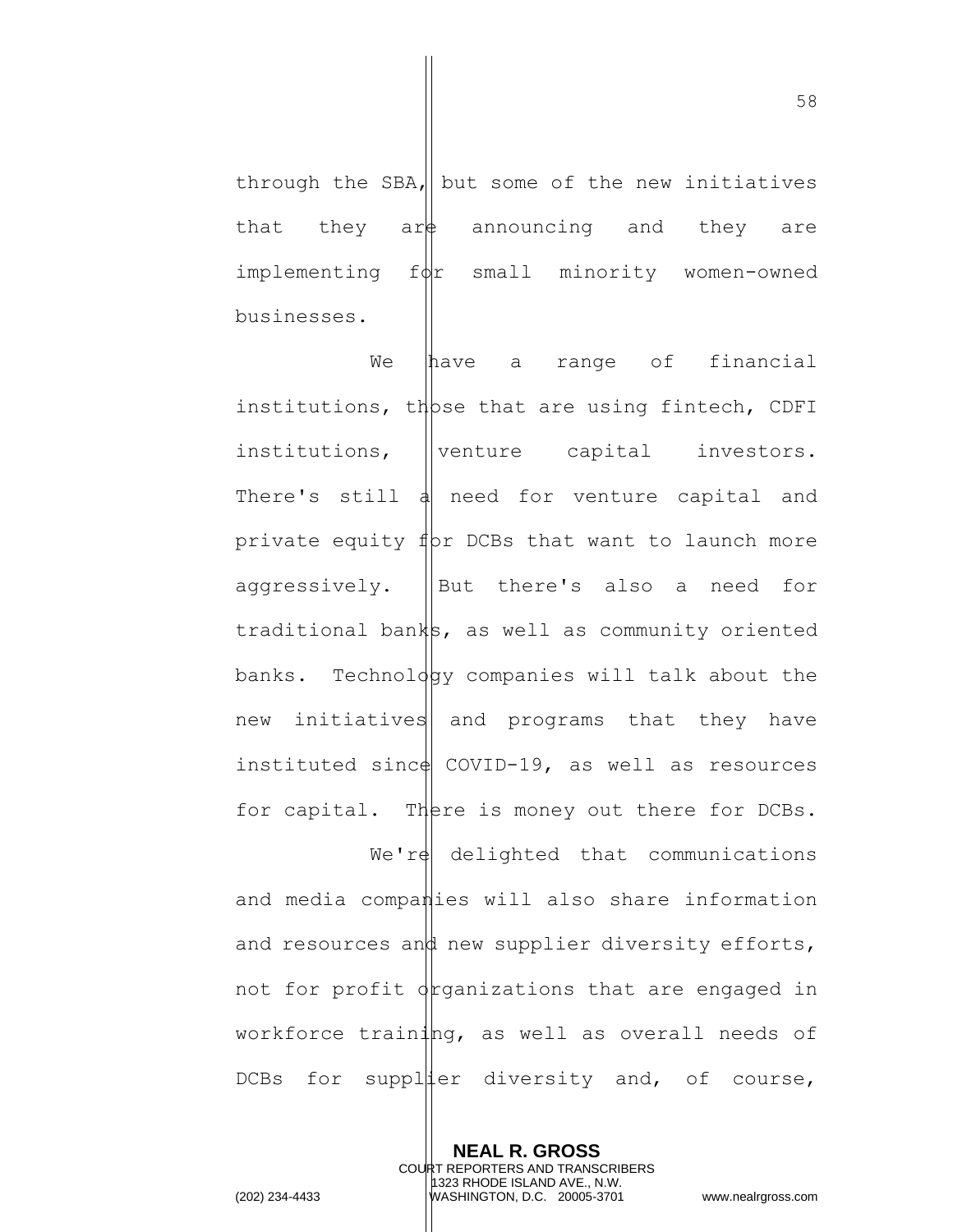through the SBA, but some of the new initiatives that they are announcing and they are  $implementing$   $f\phi$ r small minority women-owned businesses.

We have a range of financial institutions, those that are using fintech, CDFI  $institutions,$  ||venture capital investors. There's still  $\frac{1}{4}$  need for venture capital and private equity  $f(x)$  DCBs that want to launch more aggressively.  $\|\text{But there's also a need for}\|$ traditional banks, as well as community oriented banks. Technology companies will talk about the new initiatives and programs that they have instituted sinc $\phi$  COVID-19, as well as resources for capital. There is money out there for DCBs.  $We're$  delighted that communications and media companies will also share information and resources and new supplier diversity efforts, not for profit organizations that are engaged in workforce training, as well as overall needs of DCBs for suppliter diversity and, of course,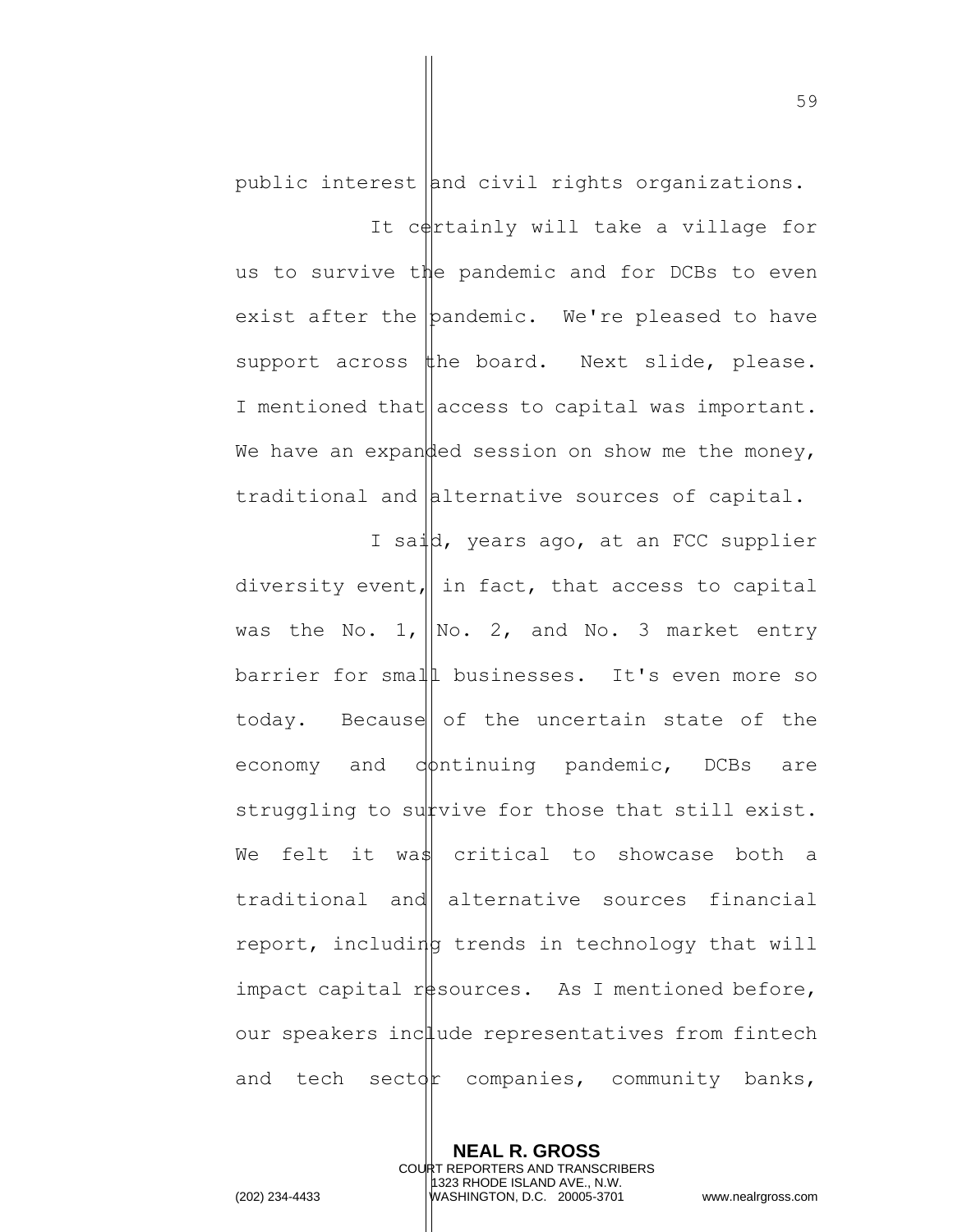public interest  $\lambda$  and civil rights organizations.

It certainly will take a village for us to survive the pandemic and for DCBs to even exist after the pandemic. We're pleased to have support across the board. Next slide, please. I mentioned that  $\vert$  access to capital was important. We have an expanded session on show me the money, traditional and alternative sources of capital.

I said, years ago, at an FCC supplier diversity event, in fact, that access to capital was the No. 1,  $\vert\mathbb{N}\circ$ . 2, and No. 3 market entry barrier for small businesses. It's even more so today. Because of the uncertain state of the economy and  $\phi$ ntinuing pandemic, DCBs are struggling to survive for those that still exist. We felt it was critical to showcase both a traditional and alternative sources financial report, including trends in technology that will impact capital resources. As I mentioned before, our speakers include representatives from fintech and tech sector companies, community banks,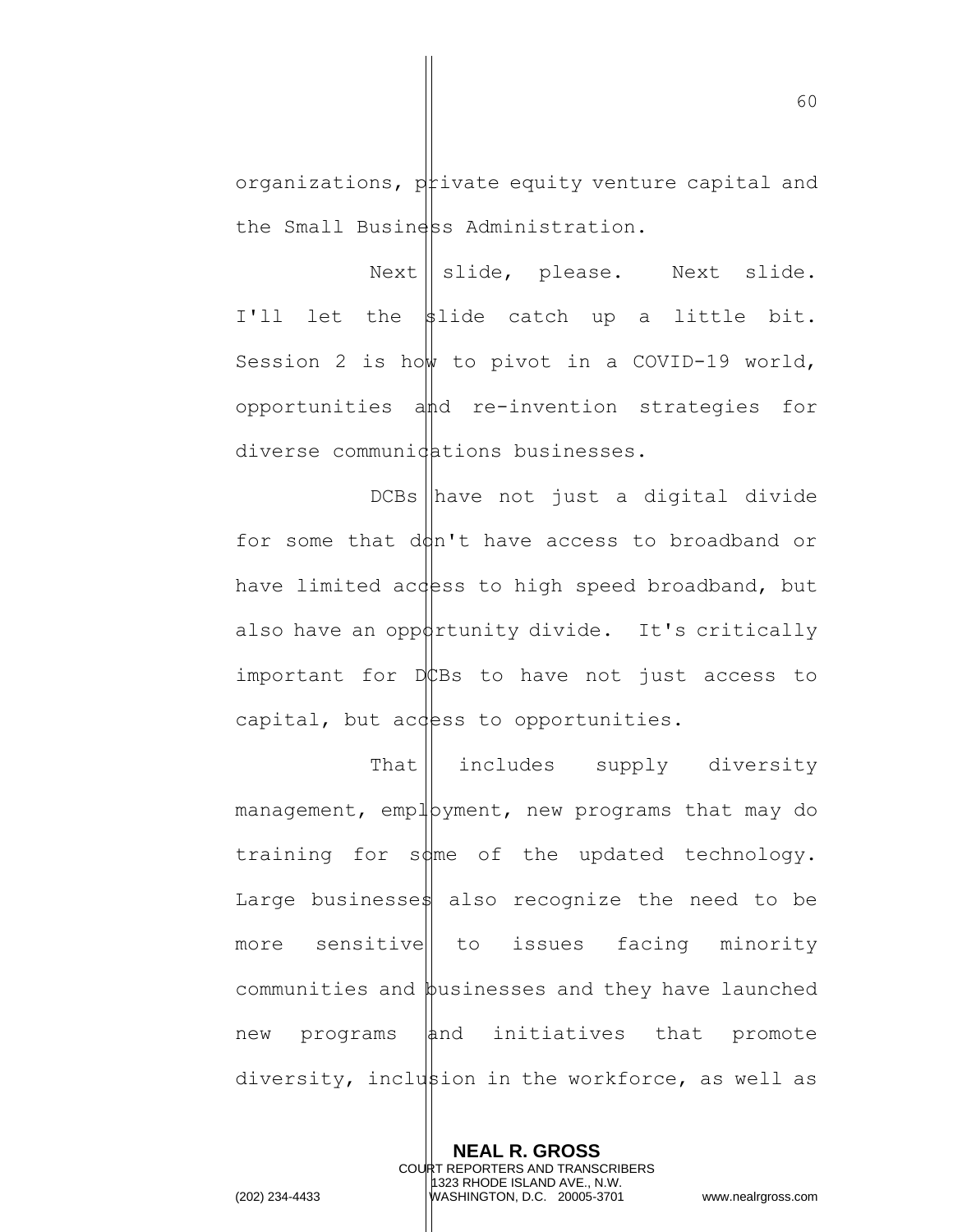organizations, private equity venture capital and the Small Business Administration.

 $Next || slide, please. Next | is a.$ I'll let the  $\sharp$ lide catch up a little bit. Session 2 is how to pivot in a COVID-19 world, opportunities and re-invention strategies for diverse communidations businesses.

 $DCBs$  have not just a digital divide for some that  $d\phi n'$ <sup>t</sup> have access to broadband or have limited access to high speed broadband, but also have an oppottunity divide. It's critically important for  $D$ EBs to have not just access to capital, but access to opportunities.

That | includes supply diversity  $m$ anagement, emp $\downarrow$ byment, new programs that may do training for  $s\phi$ me of the updated technology. Large businesses also recognize the need to be more sensitive to issues facing minority communities and businesses and they have launched  $new$  programs  $|$  and initiatives that promote diversity, inclustion in the workforce, as well as

**NEAL R. GROSS**

60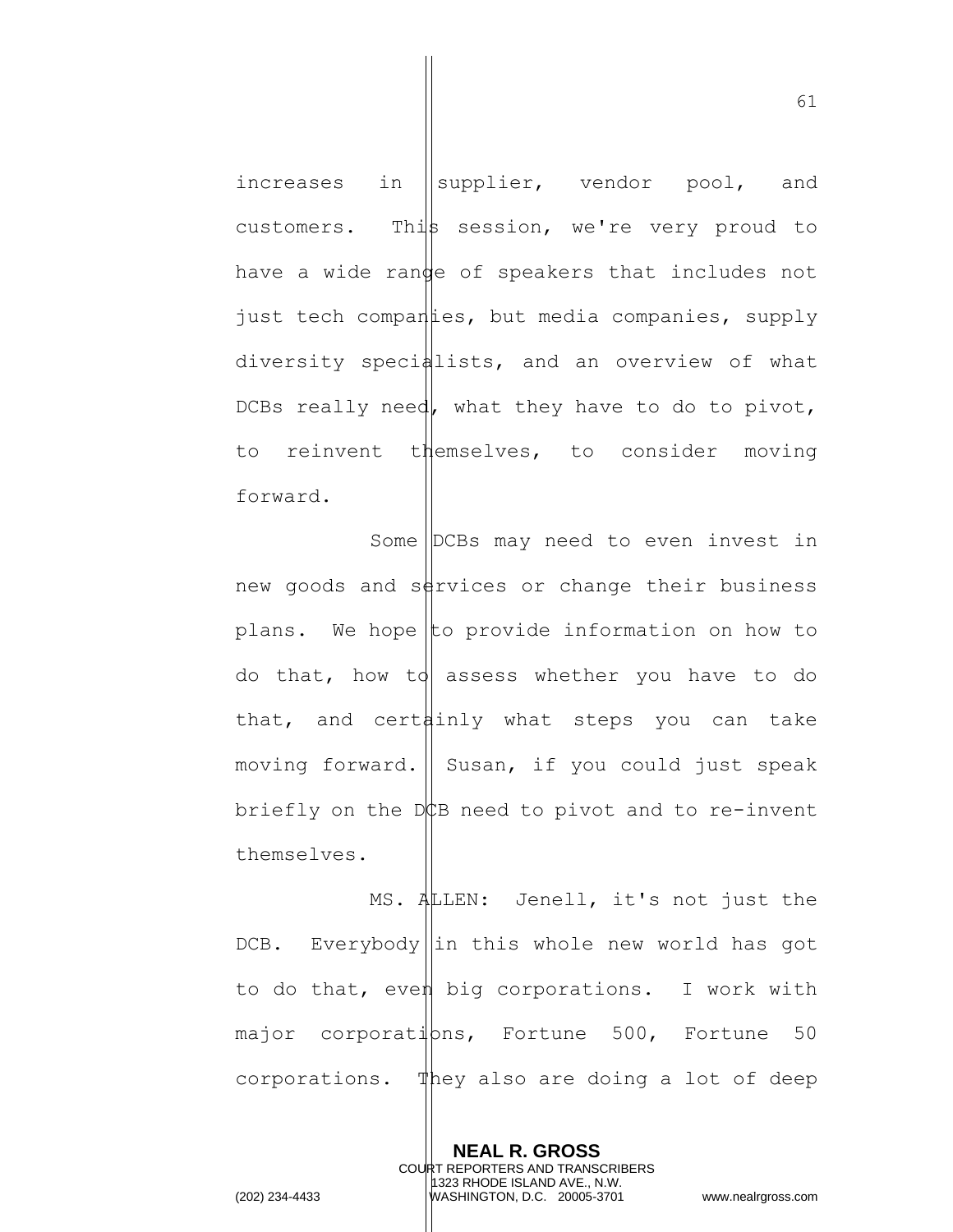increases in  $\parallel$ supplier, vendor pool, and customers. This session, we're very proud to have a wide range of speakers that includes not just tech companies, but media companies, supply diversity specialists, and an overview of what DCBs really need, what they have to do to pivot, to reinvent themselves, to consider moving forward.

Some DCBs may need to even invest in new goods and services or change their business plans. We hope to provide information on how to do that, how to assess whether you have to do that, and cert $\frac{1}{2}$ inly what steps you can take moving forward. Susan, if you could just speak briefly on the  $D$  $\sharp$ B need to pivot and to re-invent themselves.

MS. ALLEN: Jenell, it's not just the  $DCB.$  Everybody in this whole new world has got to do that, even big corporations. I work with  $major$  corporati $pns$ , Fortune 500, Fortune 50 corporations. They also are doing a lot of deep

> **NEAL R. GROSS** COURT REPORTERS AND TRANSCRIBERS 1323 RHODE ISLAND AVE., N.W.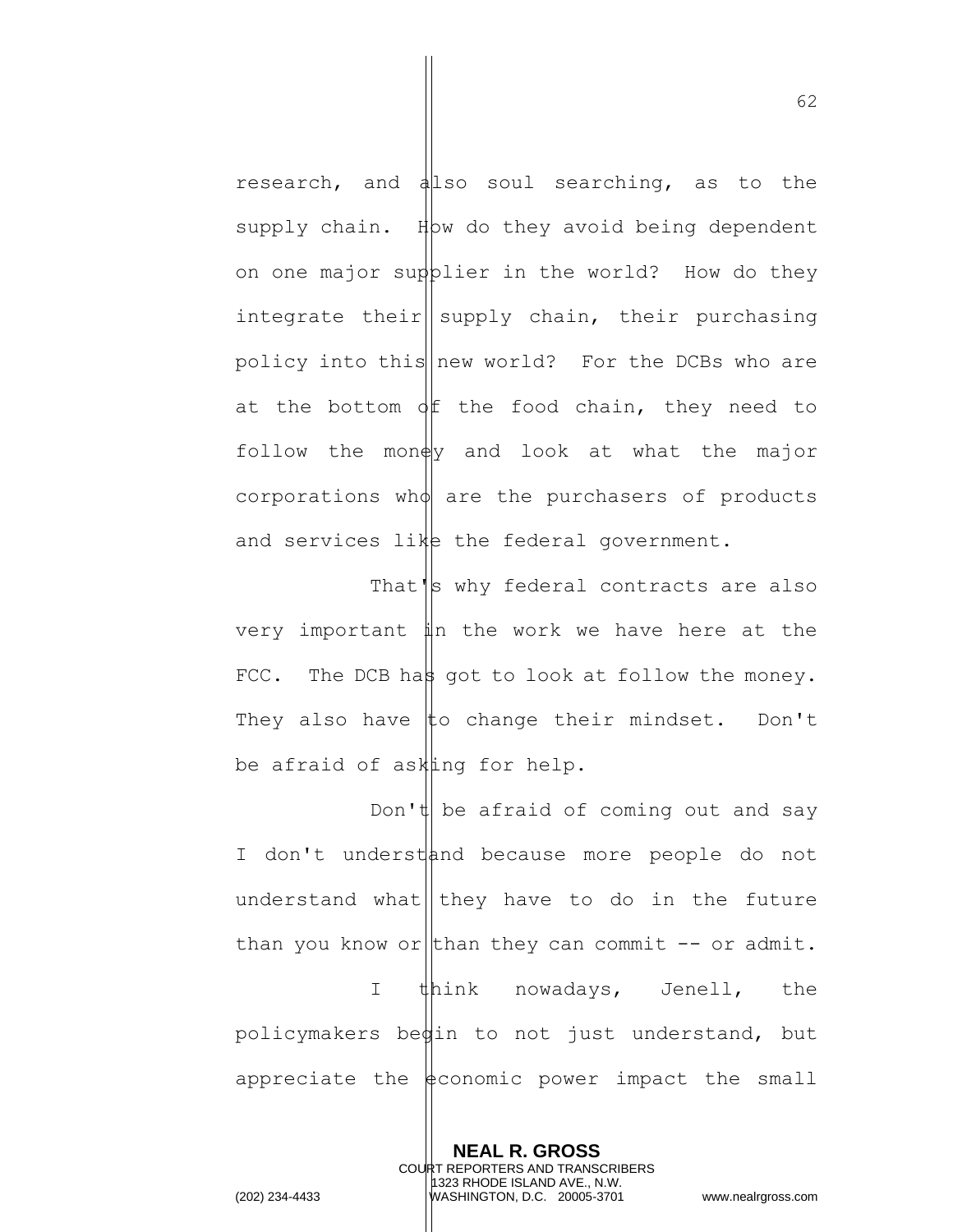research, and allso soul searching, as to the supply chain. How do they avoid being dependent on one major supplier in the world? How do they integrate their supply chain, their purchasing policy into this  $\vert$  new world? For the DCBs who are at the bottom  $\phi$  the food chain, they need to follow the mon $\frac{dy}{dx}$  and look at what the major corporations who are the purchasers of products and services like the federal government.

That's why federal contracts are also very important in the work we have here at the FCC. The DCB has got to look at follow the money. They also have  $\sharp$ o change their mindset. Don't be afraid of asking for help.

Don't be afraid of coming out and say I don't understand because more people do not understand what they have to do in the future than you know or than they can commit  $-$  or admit. I think nowadays, Jenell, the policymakers begin to not just understand, but appreciate the  $\frac{1}{2}$  conomic power impact the small

> **NEAL R. GROSS** COURT REPORTERS AND TRANSCRIBERS 1323 RHODE ISLAND AVE., N.W.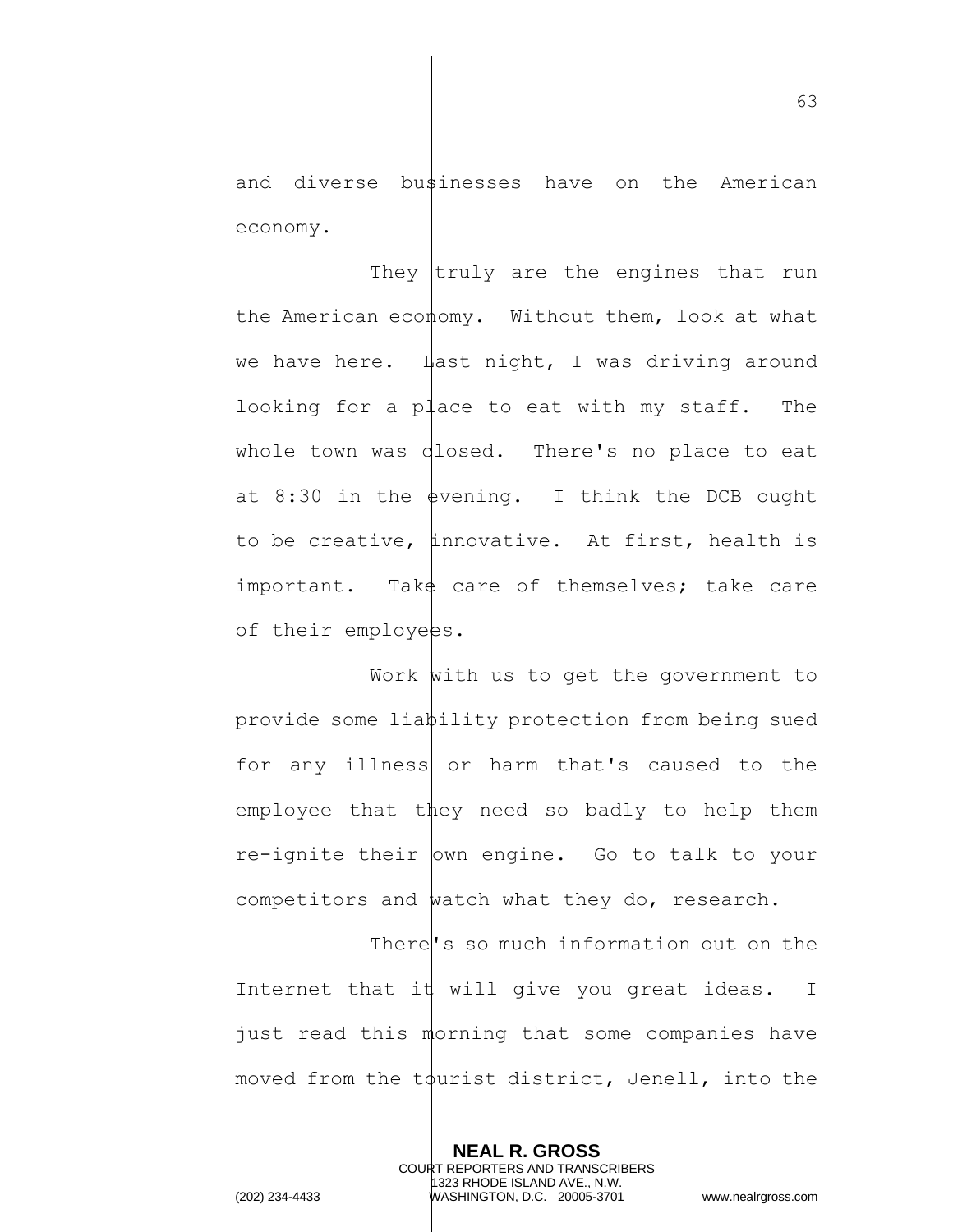and diverse bustinesses have on the American economy.

They  $|$ truly are the engines that run the American ecomomy. Without them, look at what we have here.  $\sharp$  ast night, I was driving around looking for a place to eat with my staff. The whole town was  $d$ losed. There's no place to eat at 8:30 in the  $\frac{1}{2}$  vening. I think the DCB ought to be creative,  $\|$ innovative. At first, health is important. Take care of themselves; take care of their employees.

Work  $\vert$  with us to get the government to provide some liability protection from being sued for any illness or harm that's caused to the employee that  $t$  they need so badly to help them  $re$ -ignite their own engine. Go to talk to your competitors and  $\frac{1}{x}$  what they do, research.

There's so much information out on the Internet that i $\sharp$  will give you great ideas. I just read this morning that some companies have moved from the tourist district, Jenell, into the

> **NEAL R. GROSS** COURT REPORTERS AND TRANSCRIBERS 1323 RHODE ISLAND AVE., N.W.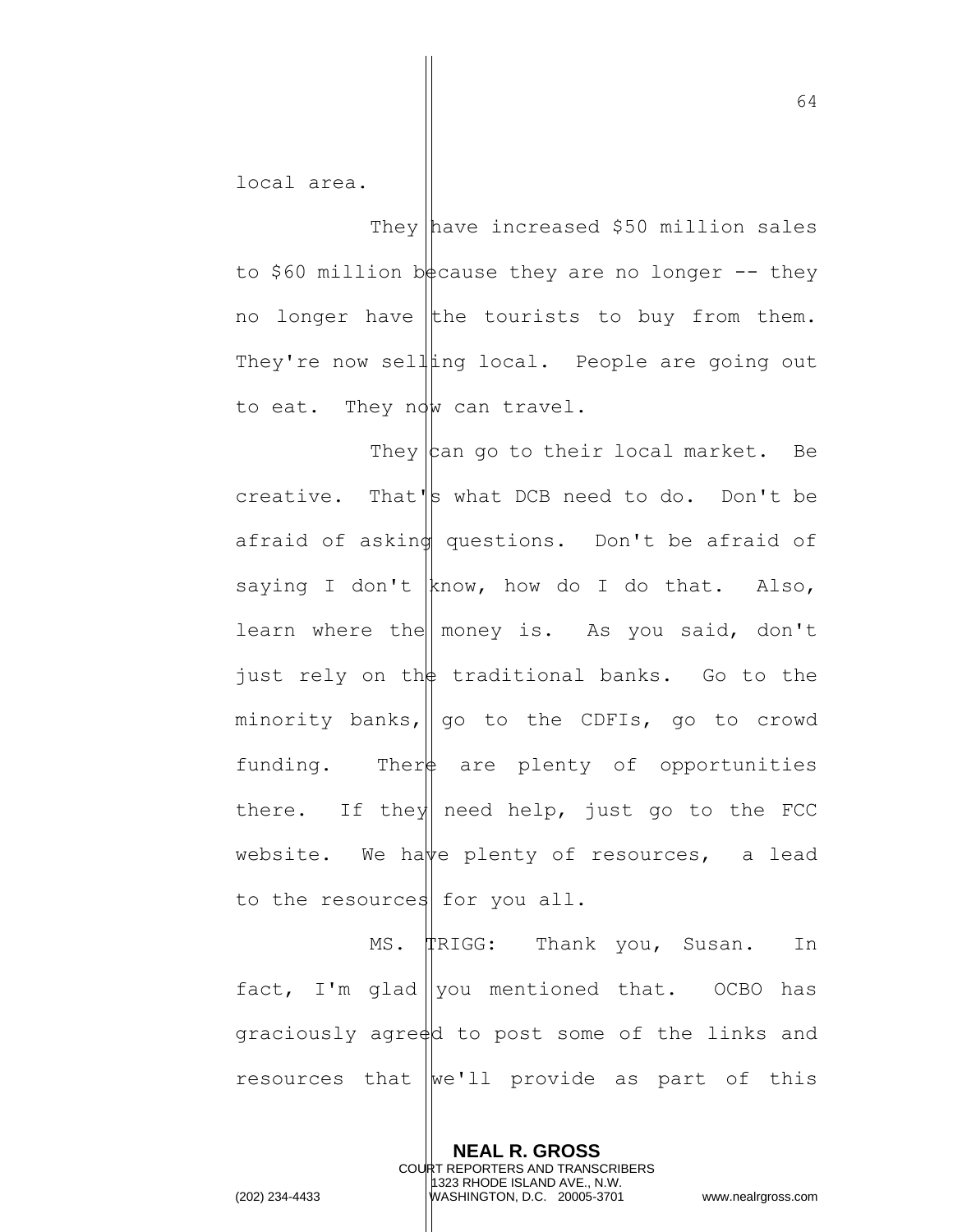local area.

They have increased \$50 million sales to \$60 million because they are no longer  $-$  they no longer have the tourists to buy from them. They're now selling local. People are going out to eat. They now can travel.

They  $\vert$  can go to their local market. Be creative. That's what DCB need to do. Don't be afraid of asking questions. Don't be afraid of saying I don't know, how do I do that. Also, learn where the money is. As you said, don't just rely on the traditional banks. Go to the minority banks,  $\parallel$  go to the CDFIs, go to crowd funding. There are plenty of opportunities there. If they need help, just go to the FCC website. We have plenty of resources, a lead to the resources for you all.

MS. TRIGG: Thank you, Susan. In fact, I'm glad ||you mentioned that. OCBO has graciously agreed to post some of the links and resources that  $we'll$  provide as part of this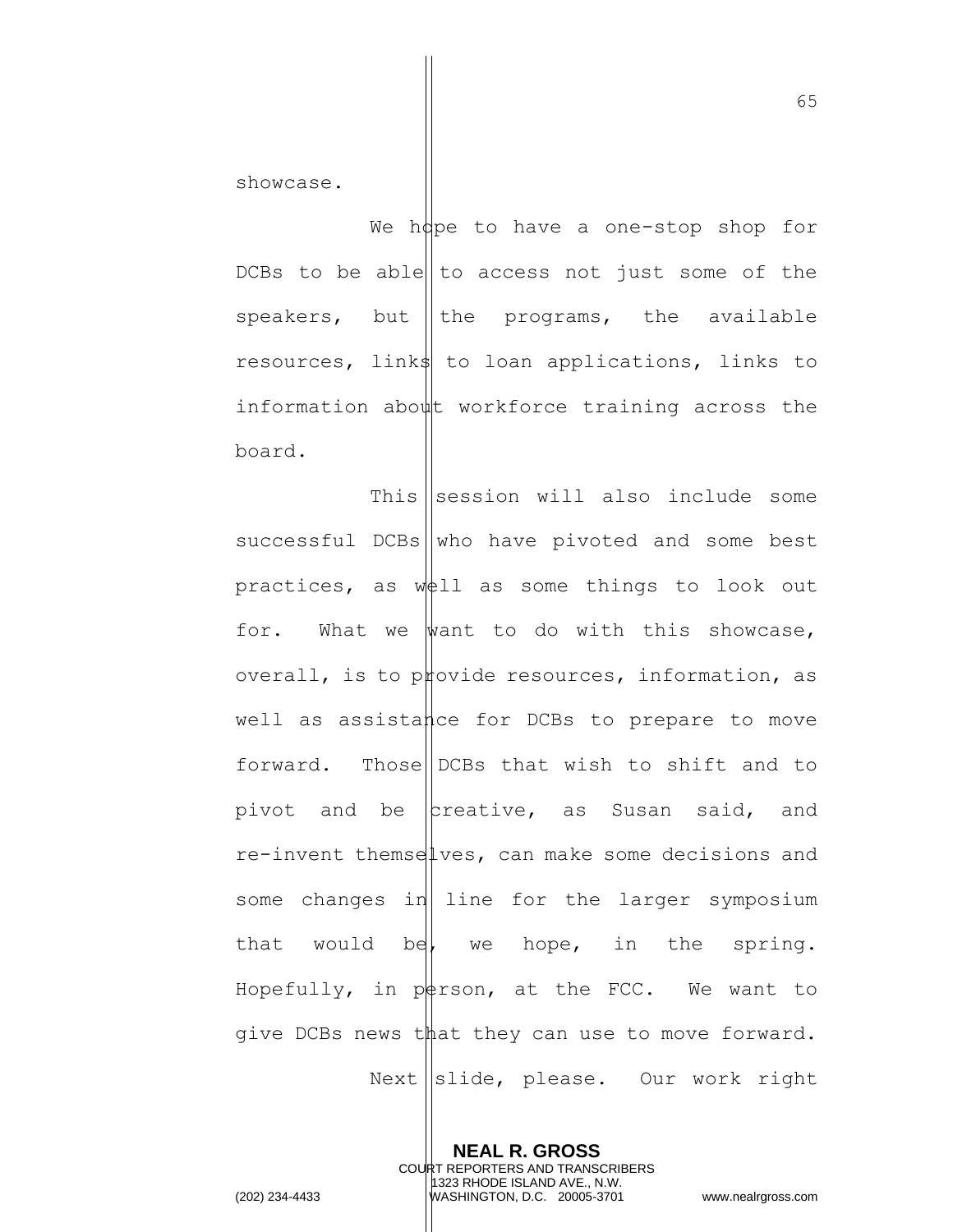showcase.

We hope to have a one-stop shop for DCBs to be able  $\vert\vert$  to access not just some of the speakers, but the programs, the available resources, links to loan applications, links to information about workforce training across the board.

This  $\left\| \text{session will also include some} \right\|$  $s$ uccessful DCBs who have pivoted and some best practices, as  $w\notin 11$  as some things to look out for. What we want to do with this showcase, overall, is to provide resources, information, as well as assistance for DCBs to prepare to move forward. Those DCBs that wish to shift and to pivot and be  $\vert$ creative, as Susan said, and re-invent themselves, can make some decisions and some changes in line for the larger symposium that would be, we hope, in the spring. Hopefully, in pot is at the FCC. We want to give DCBs news that they can use to move forward.  $Next \leq ||\text{slide}, \text{ please}. \quad \text{Our work right}$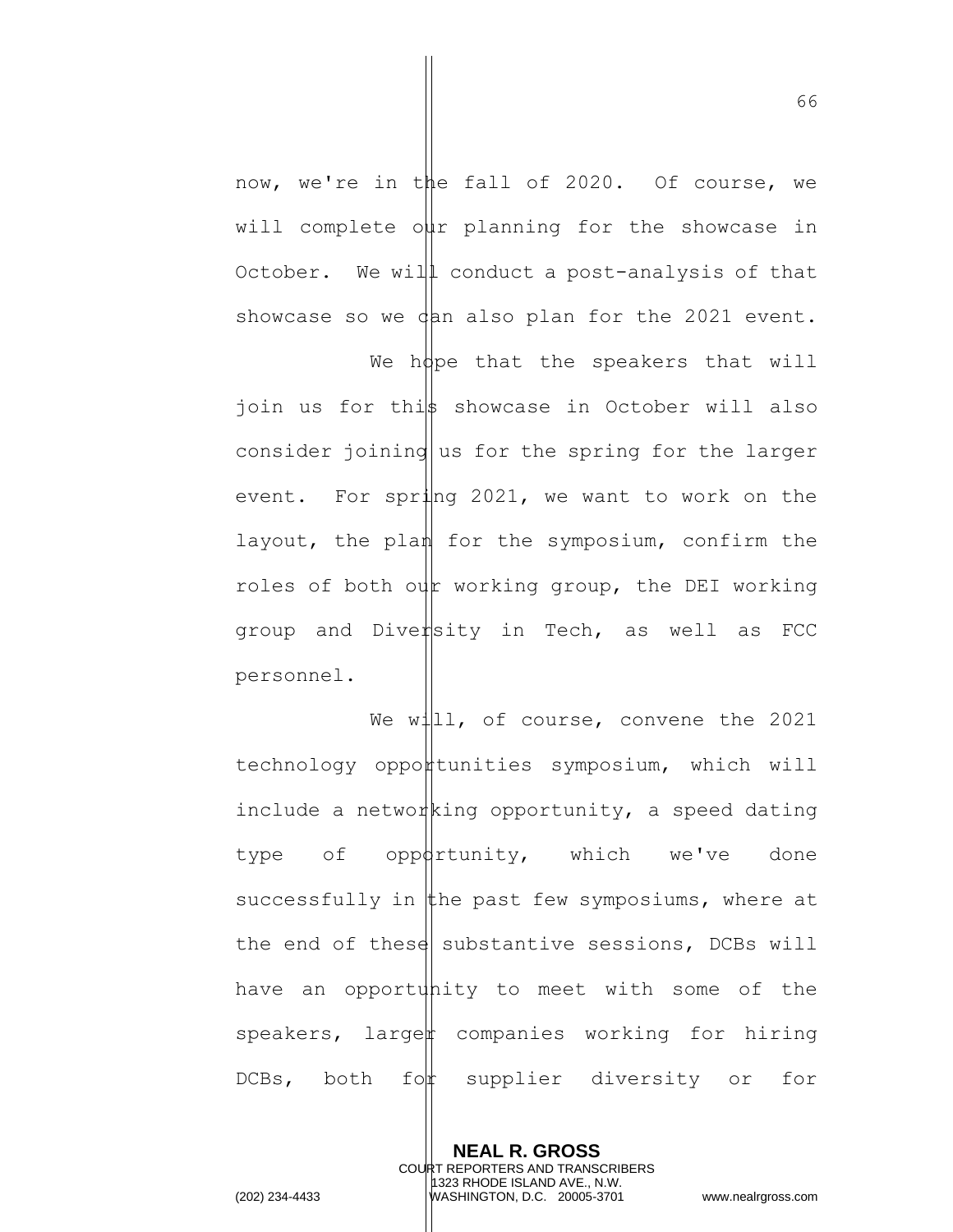now, we're in the fall of 2020. Of course, we will complete our planning for the showcase in October. We will conduct a post-analysis of that showcase so we  $\phi$ an also plan for the 2021 event.

We hope that the speakers that will join us for this showcase in October will also consider joining us for the spring for the larger event. For spring 2021, we want to work on the layout, the plan for the symposium, confirm the roles of both our working group, the DEI working group and Dive $\sharp$ sity in Tech, as well as FCC personnel.

We will, of course, convene the 2021 technology opportunities symposium, which will include a networking opportunity, a speed dating type of oppdrtunity, which we've done successfully in the past few symposiums, where at the end of these substantive sessions, DCBs will have an opportunity to meet with some of the speakers, larget companies working for hiring DCBs, both for supplier diversity or for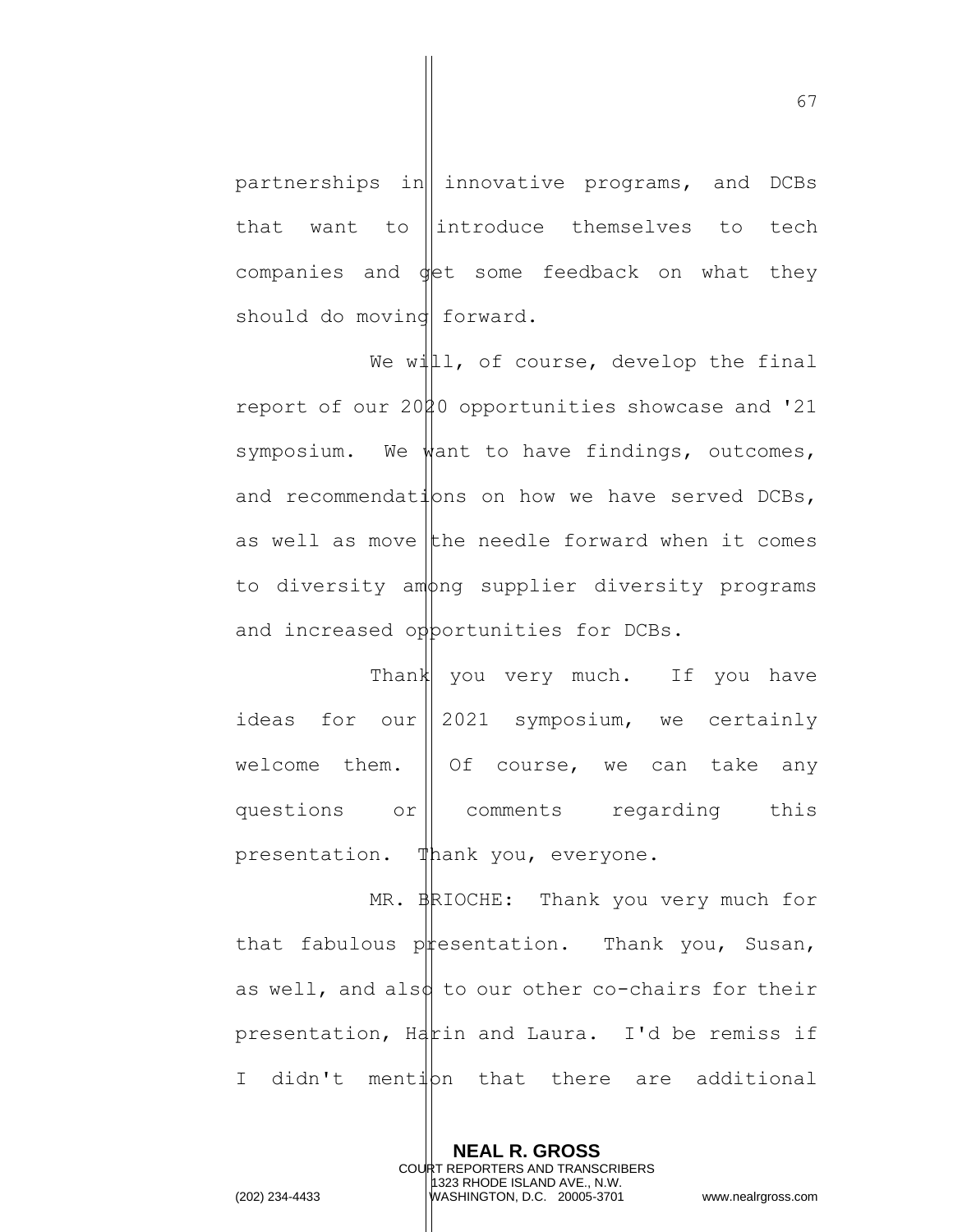partnerships in  $\|$  innovative programs, and DCBs that want to  $\parallel$  introduce themselves to tech companies and  $\oint$ et some feedback on what they should do movind forward.

We will, of course, develop the final report of our 2000 opportunities showcase and '21 symposium. We want to have findings, outcomes, and recommendations on how we have served DCBs, as well as move the needle forward when it comes to diversity among supplier diversity programs and increased opportunities for DCBs.

Thank you very much. If you have ideas for our  $\parallel$  2021 symposium, we certainly welcome them.  $\parallel$  Of course, we can take any questions or comments regarding this presentation. Thank you, everyone.

MR. BRIOCHE: Thank you very much for that fabulous  $p$  resentation. Thank you, Susan, as well, and also to our other co-chairs for their presentation,  $Hd$ rin and Laura. I'd be remiss if I didn't mention that there are additional

> **NEAL R. GROSS** COURT REPORTERS AND TRANSCRIBERS 1323 RHODE ISLAND AVE., N.W.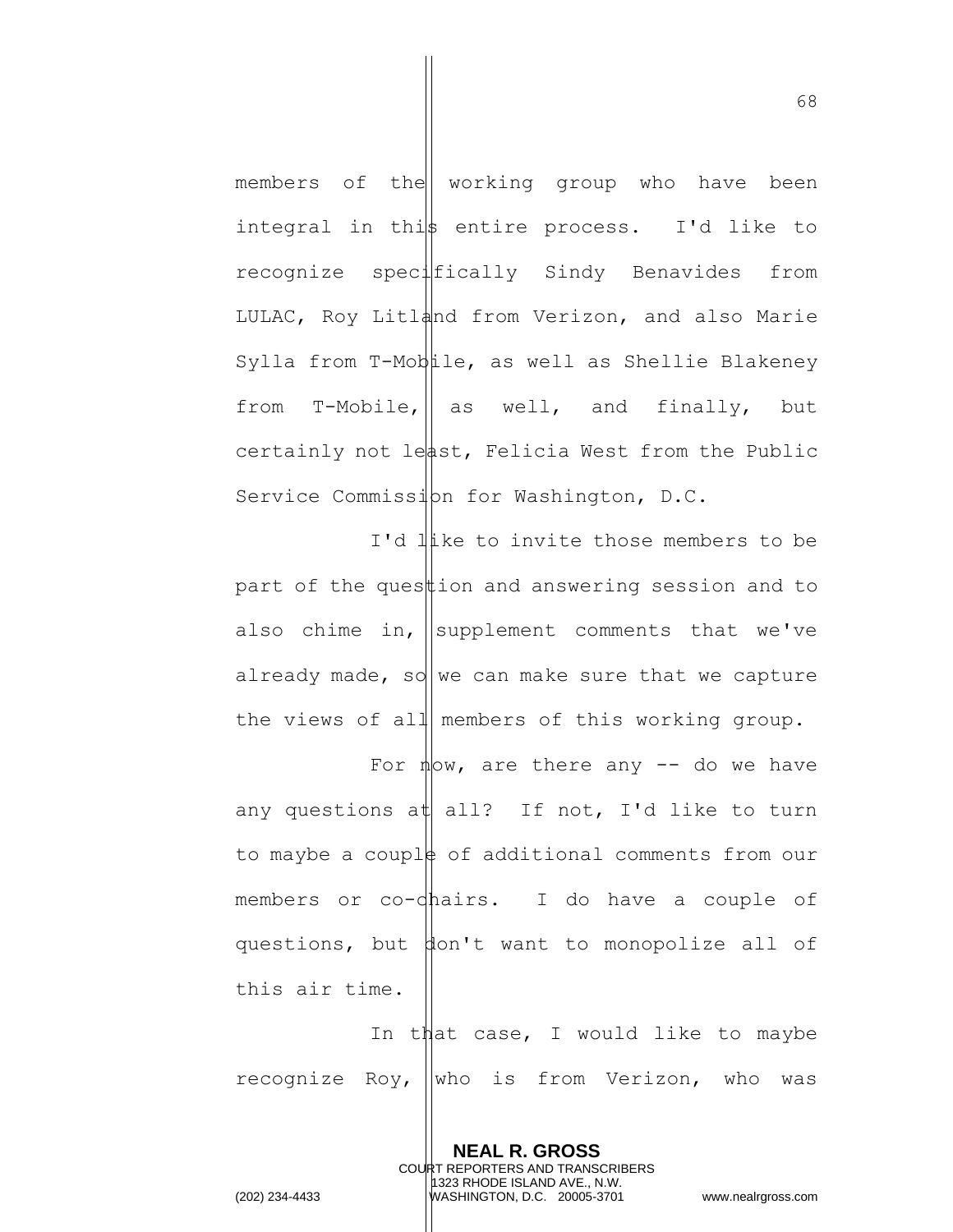members of the working group who have been integral in this entire process. I'd like to recognize specifically Sindy Benavides from LULAC, Roy Litland from Verizon, and also Marie Sylla from T-Mobile, as well as Shellie Blakeney from  $T-Mobile, ||$  as well, and finally, but certainly not least, Felicia West from the Public Service Commission for Washington, D.C.

I'd like to invite those members to be part of the ques  $\sharp$  ion and answering session and to also chime in,  $\vert$  supplement comments that we've already made, so we can make sure that we capture the views of all members of this working group.

For  $\frac{1}{2}$  are there any  $\frac{1}{2}$  do we have any questions at all? If not, I'd like to turn to maybe a couple of additional comments from our members or co-dhairs. I do have a couple of questions, but don't want to monopolize all of this air time.

In that case, I would like to maybe recognize Roy,  $\vert \vert$ who is from Verizon, who was

> **NEAL R. GROSS** COURT REPORTERS AND TRANSCRIBERS 1323 RHODE ISLAND AVE., N.W.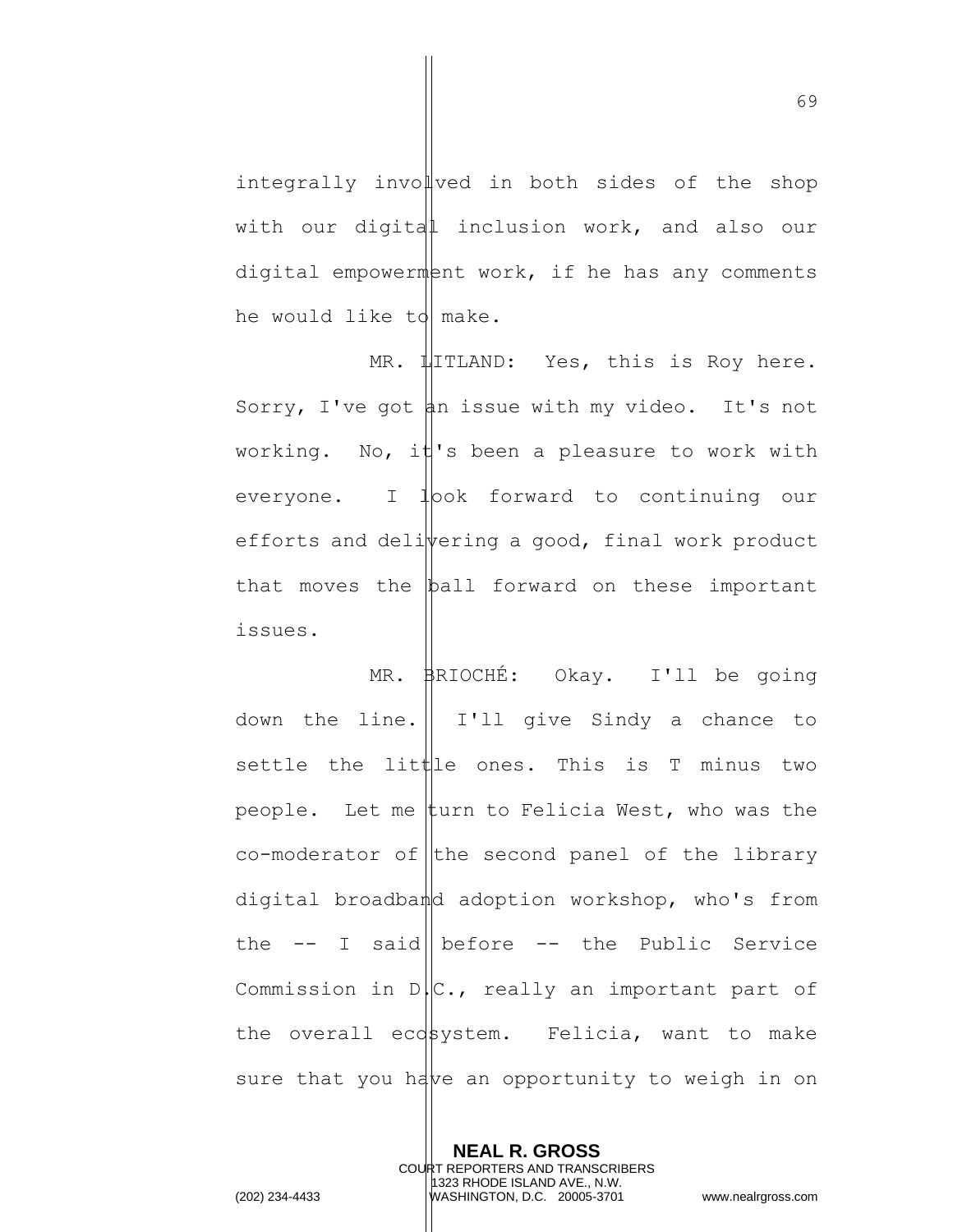integrally involved in both sides of the shop with our digital inclusion work, and also our digital empowerment work, if he has any comments he would like to make.

MR.  $\sharp$ ITLAND: Yes, this is Roy here. Sorry, I've got  $\sharp n$  issue with my video. It's not working. No, it 's been a pleasure to work with everyone. I  $1$   $\infty$  forward to continuing our efforts and deli $\psi$ ering a good, final work product that moves the ball forward on these important issues.

MR. BRIOCHÉ: Okay. I'll be going down the line. I'll give Sindy a chance to settle the little ones. This is T minus two people. Let me turn to Felicia West, who was the  $co$ -moderator of the second panel of the library digital broadband adoption workshop, who's from the  $--$  I said | before  $--$  the Public Service Commission in  $D/C.$ , really an important part of the overall ecosystem. Felicia, want to make sure that you have an opportunity to weigh in on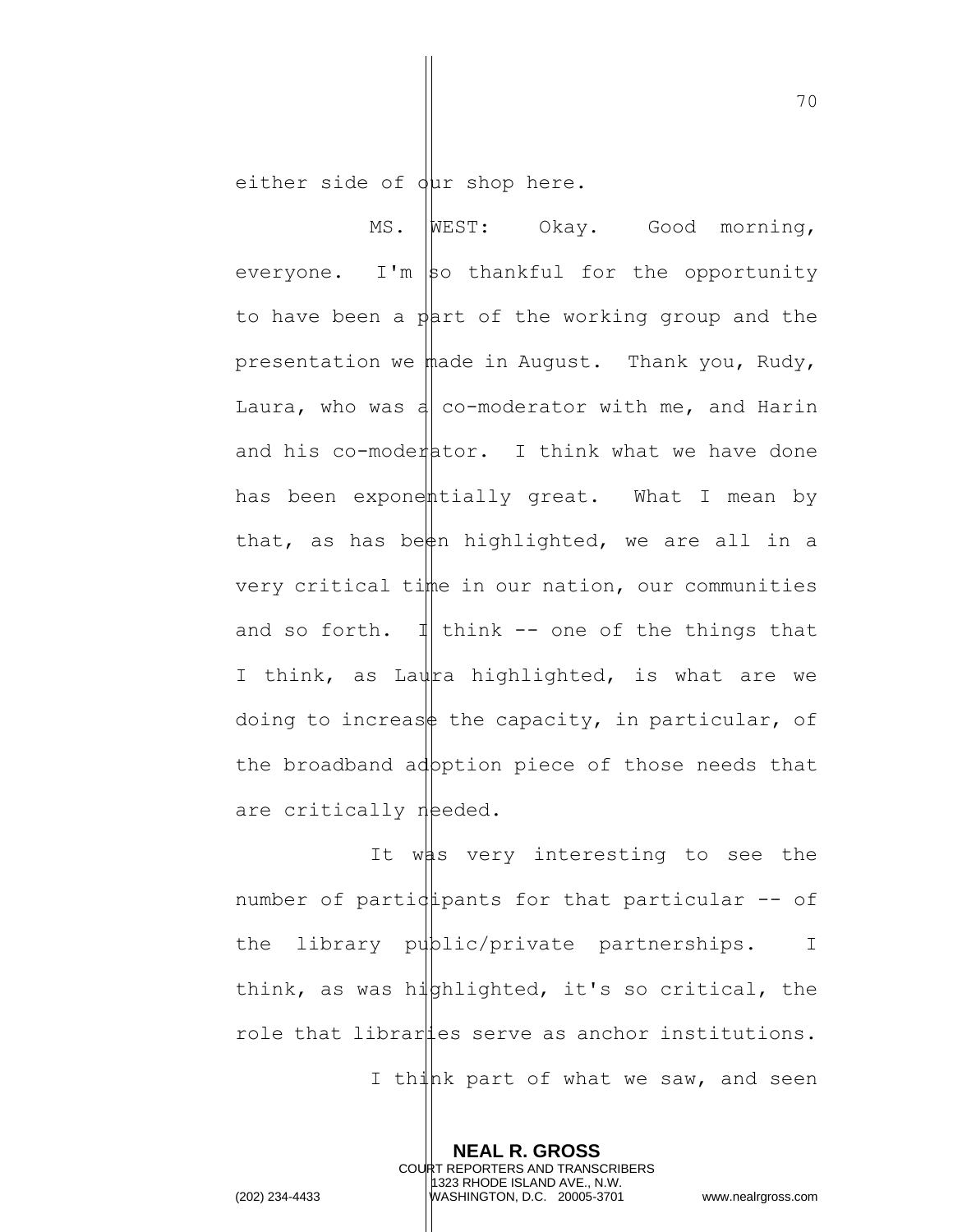either side of  $\frac{1}{2}$ ur shop here.

MS. WEST: Okay. Good morning, everyone. I'm  $\vert$ so thankful for the opportunity to have been a part of the working group and the presentation we made in August. Thank you, Rudy, Laura, who was a co-moderator with me, and Harin and his co-moderator. I think what we have done has been exponentially great. What I mean by that, as has been highlighted, we are all in a very critical time in our nation, our communities and so forth.  $\mathbb{1}$  think -- one of the things that I think, as Laura highlighted, is what are we doing to increase the capacity, in particular, of the broadband adpption piece of those needs that are critically needed.

It was very interesting to see the number of particular for that particular  $-$  of the library public/private partnerships. I think, as was hiphlighted, it's so critical, the role that libraries serve as anchor institutions.

I think part of what we saw, and seen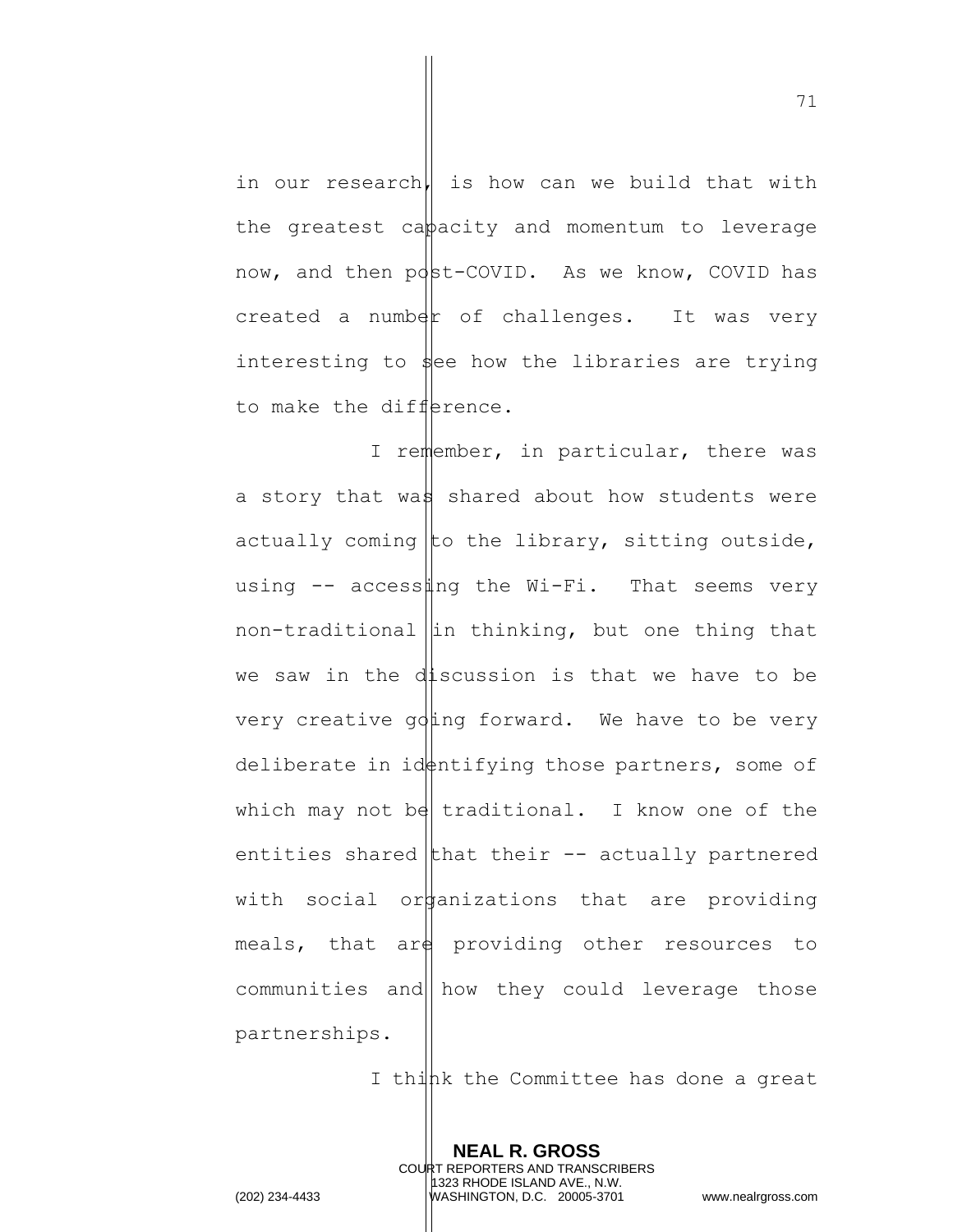in our research, is how can we build that with the greatest cappacity and momentum to leverage now, and then post-COVID. As we know, COVID has  $created$  a number of challenges. It was very interesting to  $\frac{1}{2}$ ee how the libraries are trying to make the difference.

I remember, in particular, there was a story that was shared about how students were actually coming to the library, sitting outside, using  $-$  access ing the Wi-Fi. That seems very non-traditional  $\left| \text{in thinking, but one thing that} \right|$ we saw in the discussion is that we have to be very creative  $\alpha$  ing forward. We have to be very deliberate in id $\phi$ ntifying those partners, some of which may not be traditional. I know one of the entities shared that their  $-$  actually partnered with social or anizations that are providing meals, that  $\arg\min$  providing other resources to communities and how they could leverage those partnerships.

I think the Committee has done a great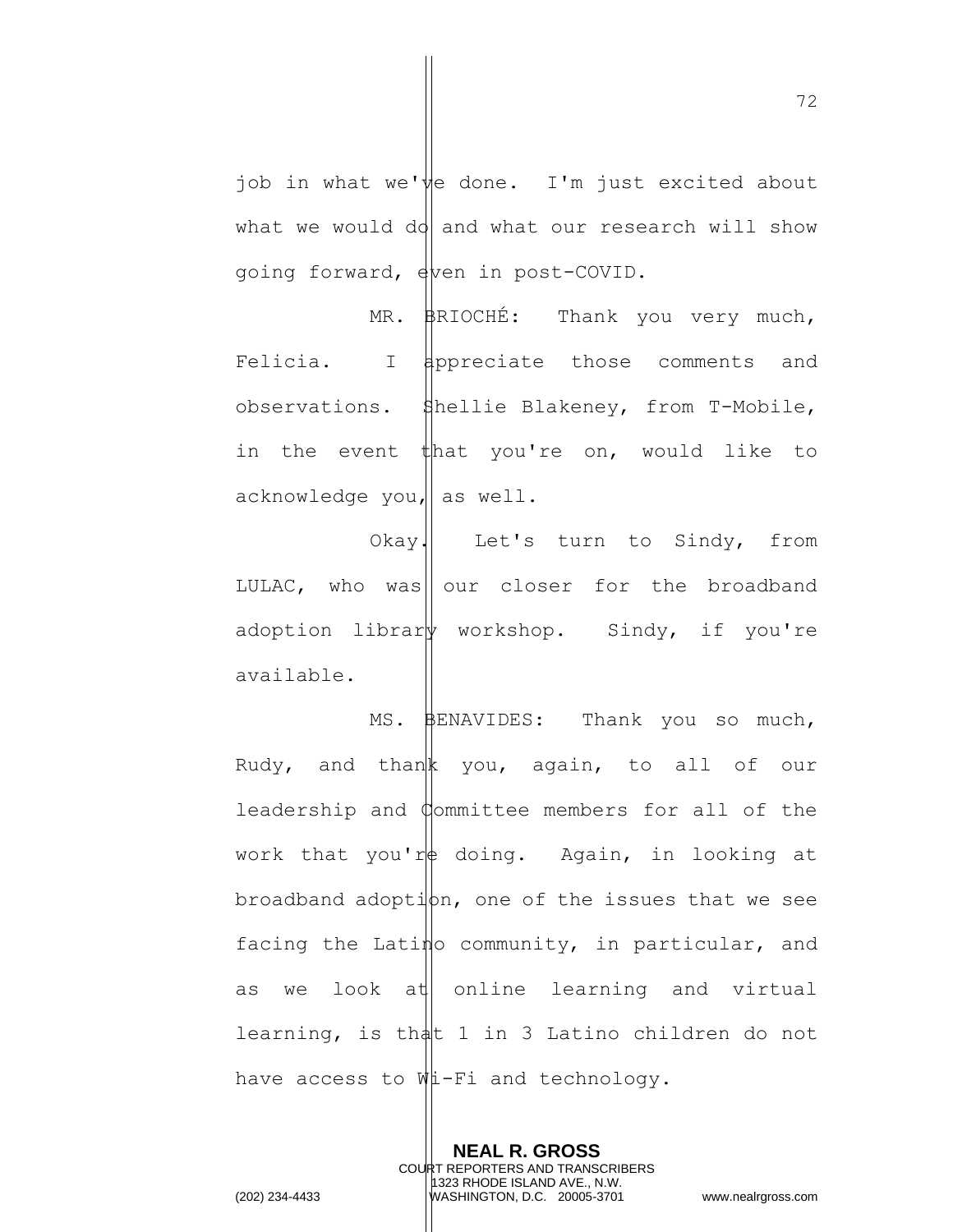job in what we've done. I'm just excited about what we would do and what our research will show going forward, even in post-COVID.

MR. BRIOCHÉ: Thank you very much, Felicia. I  $\sharp$ ppreciate those comments and observations. Shellie Blakeney, from T-Mobile, in the event that you're on, would like to acknowledge you, as well.

Okay. Let's turn to Sindy, from LULAC, who was |  $our$  closer for the broadband adoption librar workshop. Sindy, if you're available.

MS. BENAVIDES: Thank you so much, Rudy, and thank you, again, to all of our leadership and Committee members for all of the work that you're doing. Again, in looking at  $b$ roadband adoption, one of the issues that we see facing the Latino community, in particular, and as we look at online learning and virtual learning, is that  $1$  in 3 Latino children do not have access to Wi-Fi and technology.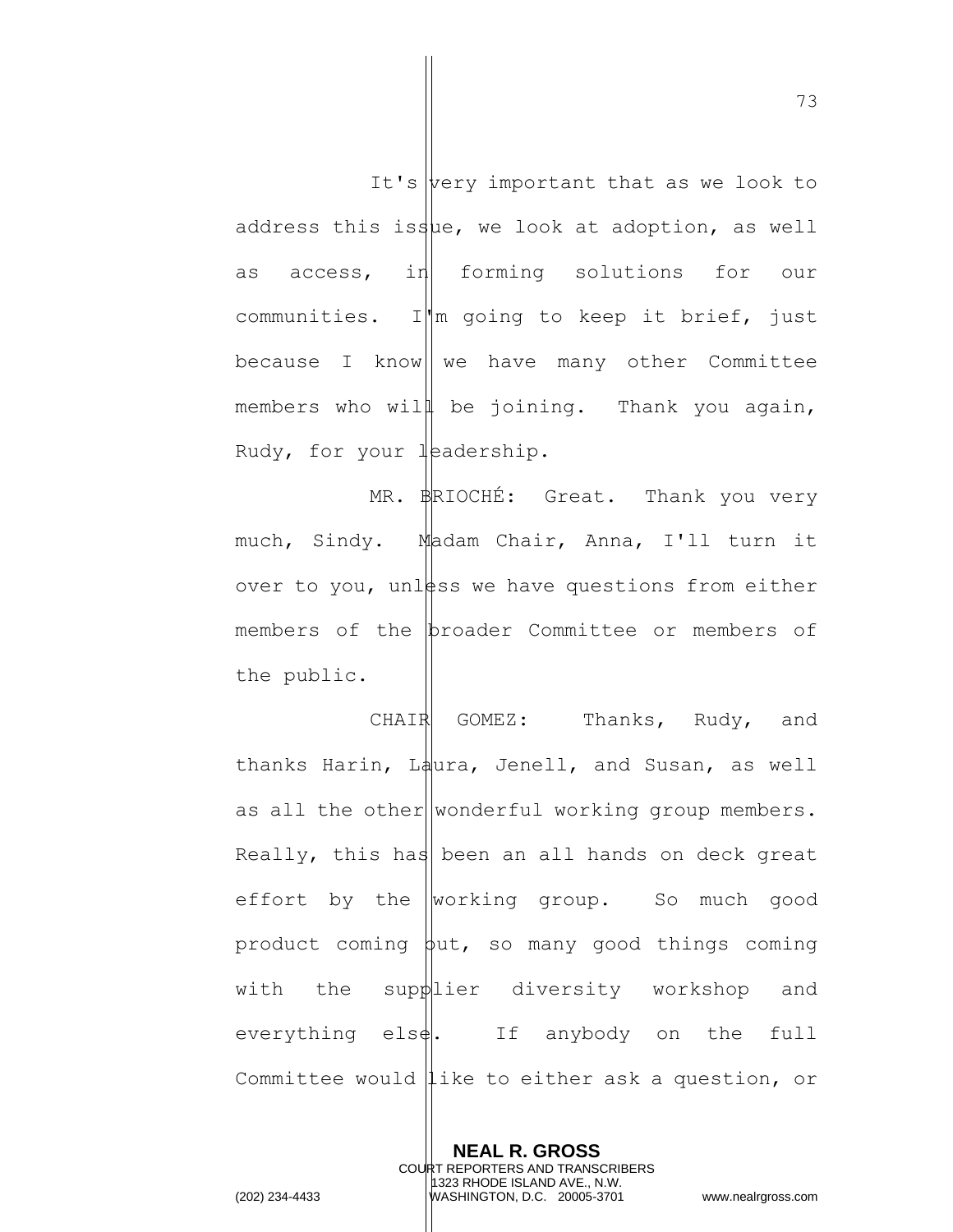It's  $|$  very important that as we look to address this issue, we look at adoption, as well as access, in forming solutions for our communities. I'm going to keep it brief, just because I know  $\|$  we have many other Committee members who will be joining. Thank you again, Rudy, for your  $\frac{1}{2}$  and  $\frac{1}{2}$ .

MR. BRIOCHÉ: Great. Thank you very much, Sindy. Madam Chair, Anna, I'll turn it over to you, unless we have questions from either members of the proader Committee or members of the public.

CHAIR GOMEZ: Thanks, Rudy, and thanks Harin, Laura, Jenell, and Susan, as well as all the other wonderful working group members. Really, this has been an all hands on deck great effort by the  $w$ orking group. So much good product coming  $\phi$ ut, so many good things coming with the supplier diversity workshop and everything els $\phi$ . If anybody on the full Committee would like to either ask a question, or

**NEAL R. GROSS** COURT REPORTERS AND TRANSCRIBERS 1323 RHODE ISLAND AVE., N.W. (202) 234-4433 WASHINGTON, D.C. 20005-3701 www.nealrgross.com

73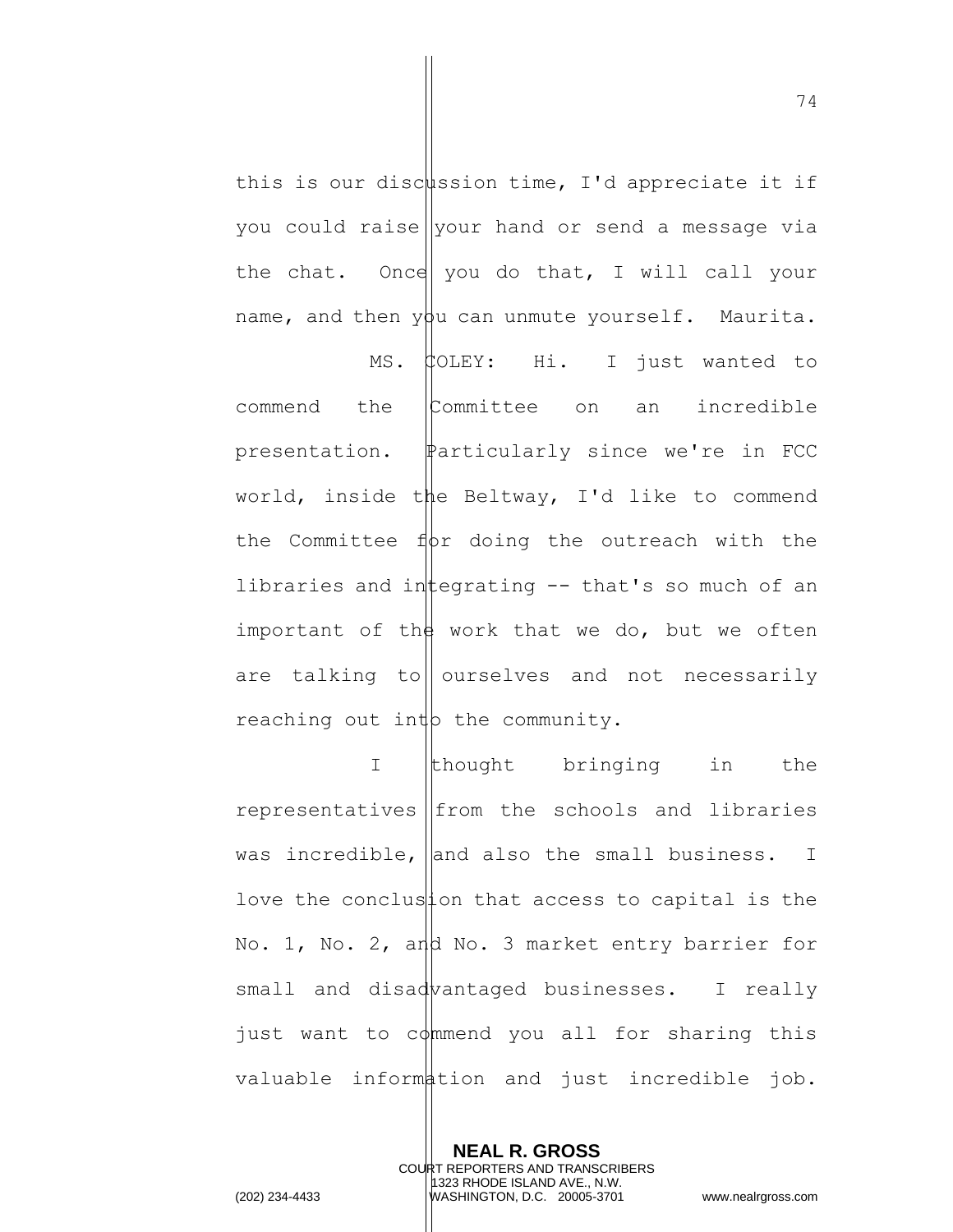this is our discussion time, I'd appreciate it if you could raise your hand or send a message via the chat. Once you do that, I will call your name, and then  $y\beta u$  can unmute yourself. Maurita.

MS. COLEY: Hi. I just wanted to commend the Committee on an incredible presentation. Particularly since we're in FCC world, inside the Beltway, I'd like to commend the Committee  $f(x)$  doing the outreach with the libraries and integrating  $-$  that's so much of an important of the work that we do, but we often are talking to ourselves and not necessarily reaching out inth the community.

I thought bringing in the representatives  $|$  from the schools and libraries was incredible,  $\vert$  and also the small business. I love the conclustion that access to capital is the No. 1, No. 2, and No. 3 market entry barrier for small and disadvantaged businesses. I really just want to commend you all for sharing this valuable information and just incredible job.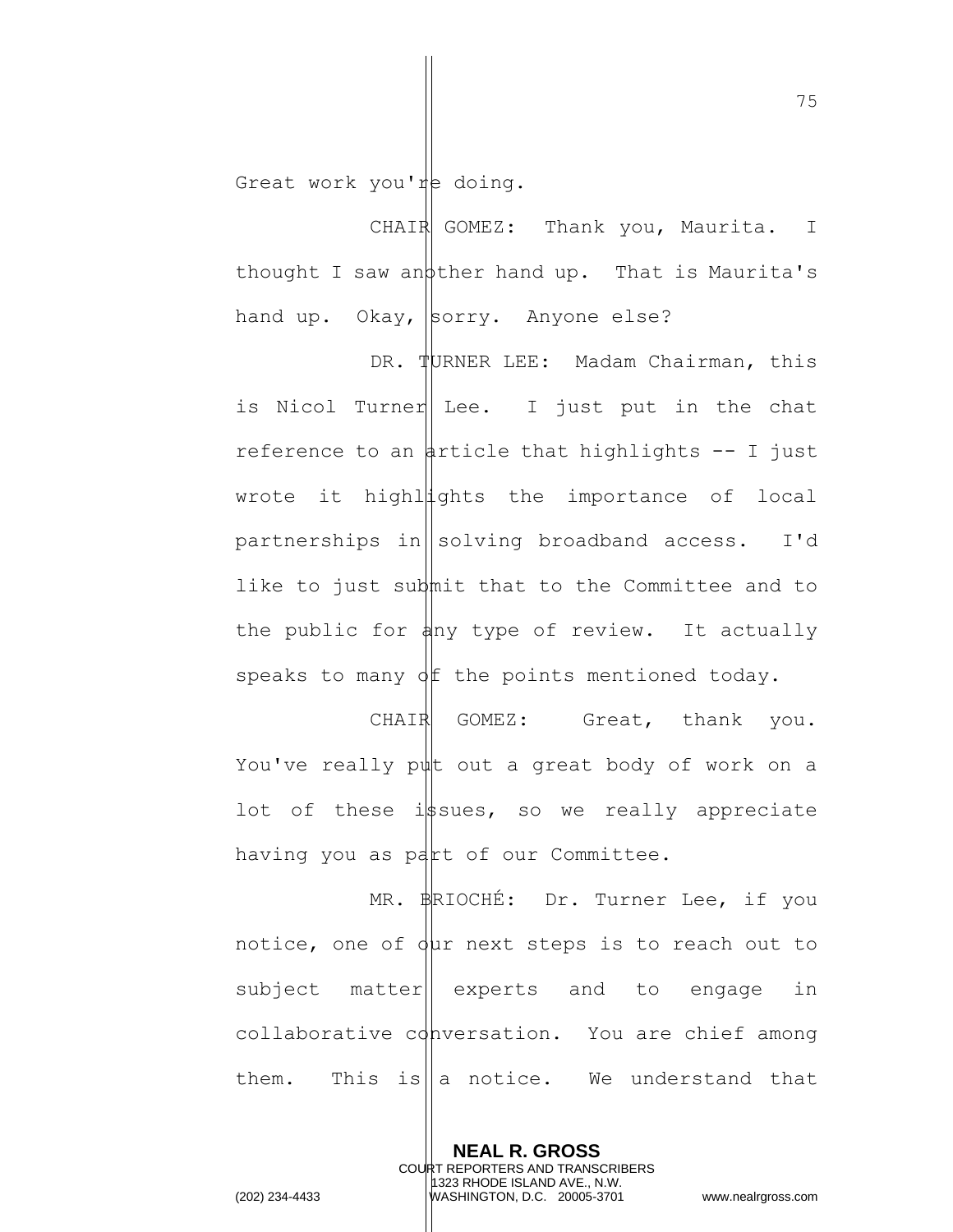Great work you're doing.

CHAIR GOMEZ: Thank you, Maurita. I thought I saw an  $\phi$ ther hand up. That is Maurita's hand up. Okay,  $\beta$ orry. Anyone else?

DR. TURNER LEE: Madam Chairman, this is Nicol Turner Lee. I just put in the chat reference to an article that highlights  $-$ - I just wrote it highlights the importance of local partnerships in  $\|\text{solving broadband access. I'd}\|$ like to just submit that to the Committee and to the public for  $\phi$ hy type of review. It actually speaks to many  $\phi$   $f$  the points mentioned today.

CHAIR GOMEZ: Great, thank you. You've really put out a great body of work on a lot of these issues, so we really appreciate having you as part of our Committee.

MR. BRIOCHÉ: Dr. Turner Lee, if you notice, one of  $\phi$ ur next steps is to reach out to subject matter|| experts and to engage in collaborative conversation. You are chief among them. This is a notice. We understand that

> **NEAL R. GROSS** COURT REPORTERS AND TRANSCRIBERS 1323 RHODE ISLAND AVE., N.W.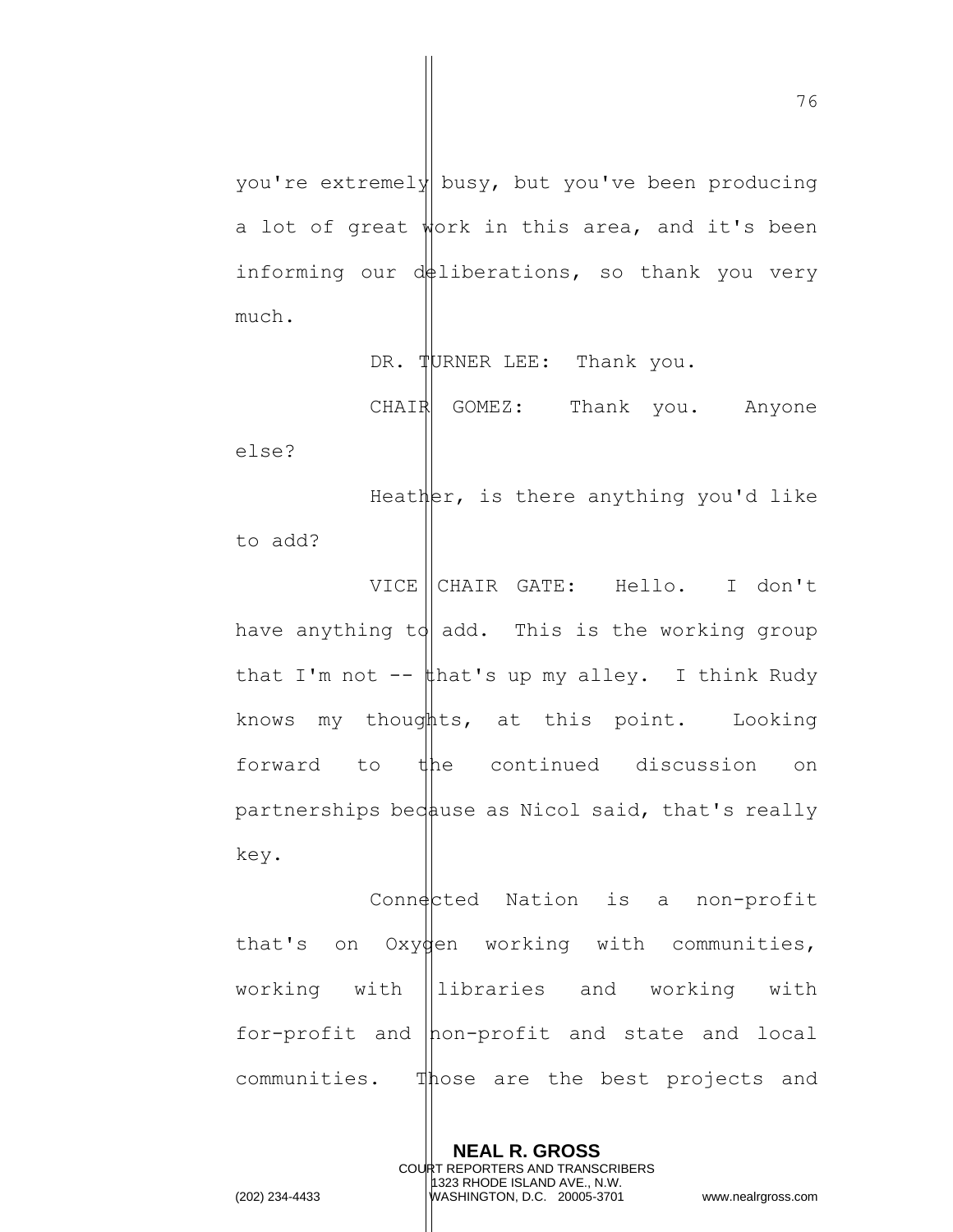you're extremely busy, but you've been producing a lot of great work in this area, and it's been informing our  $d\phi$ liberations, so thank you very much.

DR. TURNER LEE: Thank you.

CHAIR GOMEZ: Thank you. Anyone else? Heather, is there anything you'd like

to add?

VICE CHAIR GATE: Hello. I don't have anything to add. This is the working group that I'm not  $-\frac{1}{2}$  that's up my alley. I think Rudy knows my thoughts, at this point. Looking forward to the continued discussion on partnerships bedause as Nicol said, that's really key.

 $Comn\cdot \mathsf{c}$ ted Nation is a non-profit that's on Oxygen working with communities, working with libraries and working with for-profit and non-profit and state and local communities. Those are the best projects and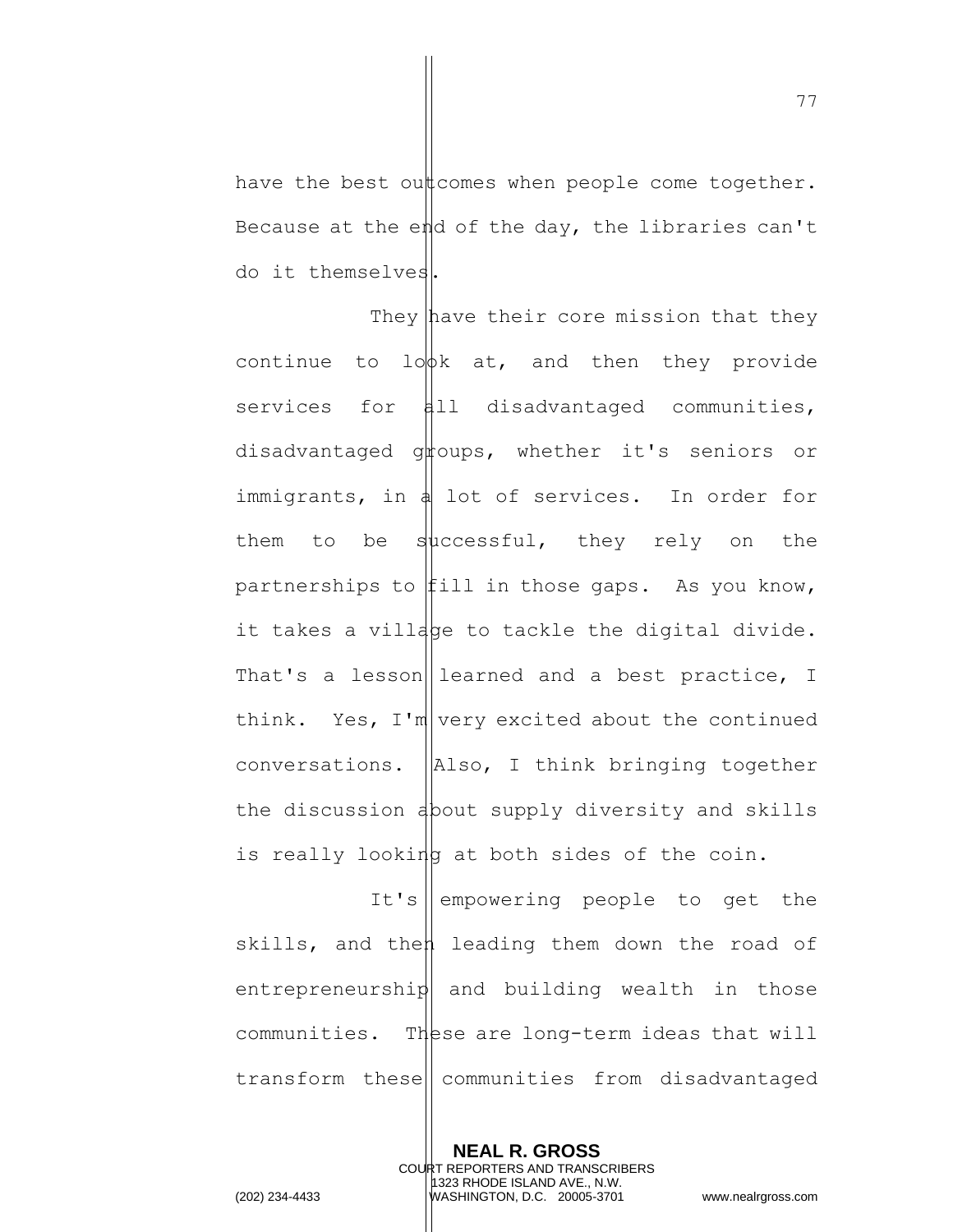have the best out comes when people come together. Because at the end of the day, the libraries can't do it themselves.

They have their core mission that they continue to  $10\phi k$  at, and then they provide services for all disadvantaged communities, disadvantaged groups, whether it's seniors or immigrants, in  $\frac{1}{4}$  lot of services. In order for them to be successful, they rely on the partnerships to  $\sharp$ ill in those gaps. As you know, it takes a village to tackle the digital divide. That's a lesson learned and a best practice, I think. Yes,  $I'm|$  very excited about the continued conversations.  $\vert$ Also, I think bringing together the discussion about supply diversity and skills is really looking at both sides of the coin.

It's empowering people to get the skills, and then leading them down the road of entrepreneurship and building wealth in those communities. These are long-term ideas that will transform these communities from disadvantaged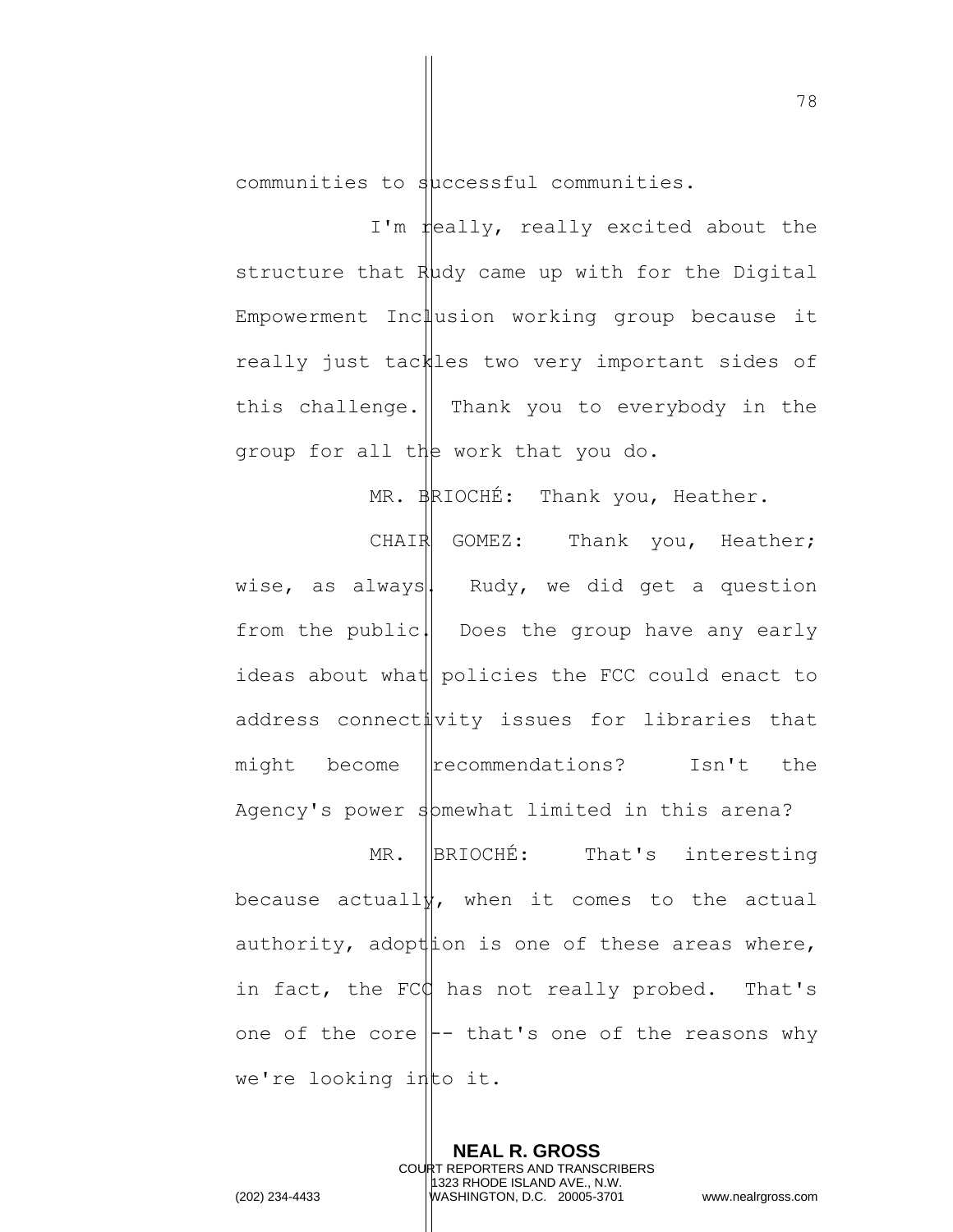communities to successful communities.

I'm  $\sharp$ eally, really excited about the structure that  $R\mu$ dy came up with for the Digital Empowerment Inclusion working group because it really just tackles two very important sides of this challenge.  $\parallel$  Thank you to everybody in the group for all the work that you do.

MR. BRIOCHÉ: Thank you, Heather.

CHAIR GOMEZ: Thank you, Heather; wise, as always. Rudy, we did get a question from the public. Does the group have any early ideas about what policies the FCC could enact to address connectivity issues for libraries that might become recommendations? Isn't the Agency's power spmewhat limited in this arena? MR. BRIOCHÉ: That's interesting because actuall $\frac{1}{2}$ , when it comes to the actual authority, adopt is one of these areas where, in fact, the FCC has not really probed. That's one of the core  $\left| \cdot \right|$  that's one of the reasons why we're looking into it.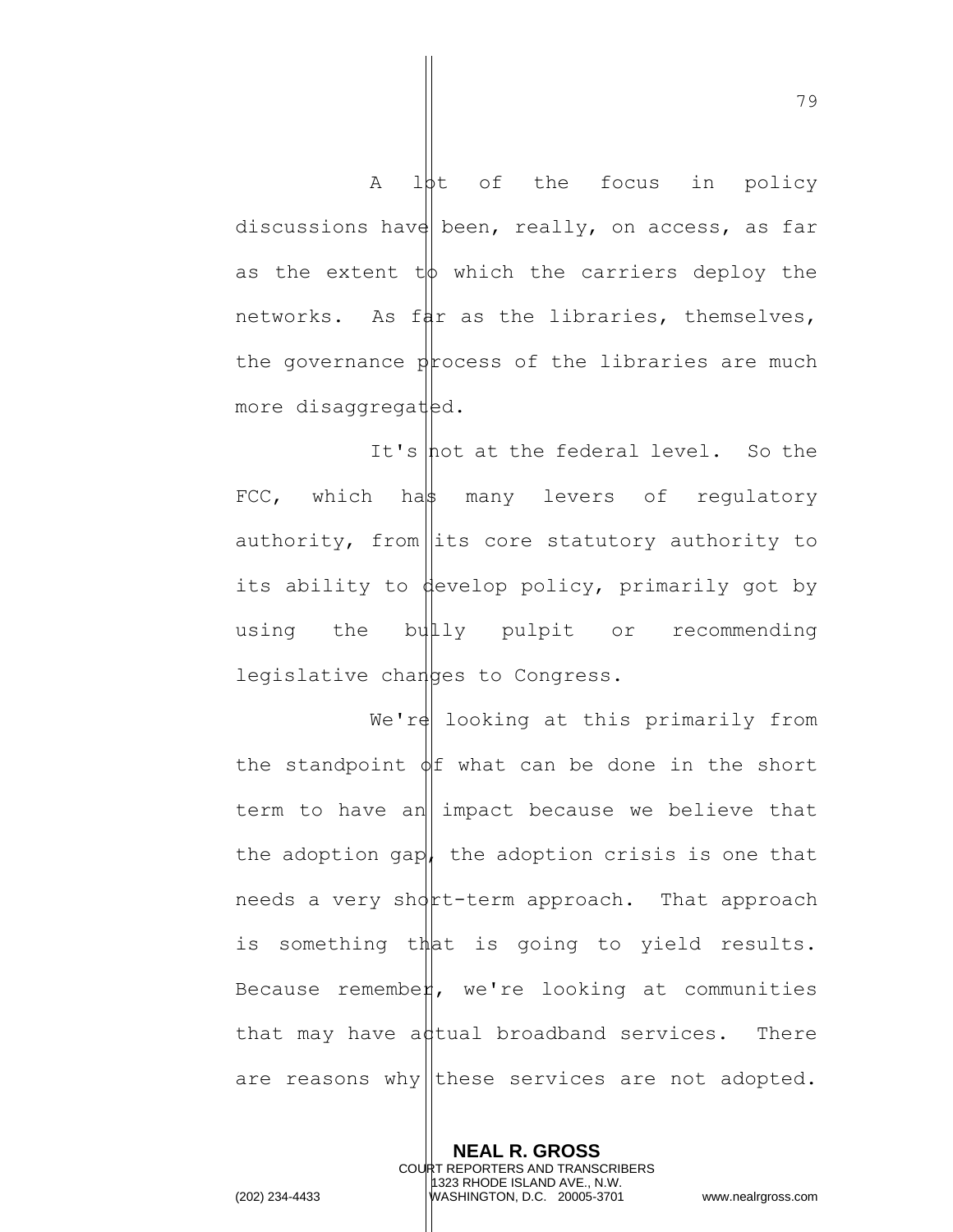A lot of the focus in policy discussions have been, really, on access, as far as the extent  $t\phi$  which the carriers deploy the networks. As fat as the libraries, themselves, the governance process of the libraries are much more disaggregated.

It's  $hot$  at the federal level. So the FCC, which has many levers of requlatory authority, from  $\left| \right|$  its core statutory authority to its ability to develop policy, primarily got by using the bullly pulpit or recommending legislative changes to Congress.

We're looking at this primarily from the standpoint  $\phi$  what can be done in the short term to have an impact because we believe that the adoption gap, the adoption crisis is one that needs a very short-term approach. That approach is something that is going to yield results. Because remember, we're looking at communities that may have adtual broadband services. There are reasons why these services are not adopted.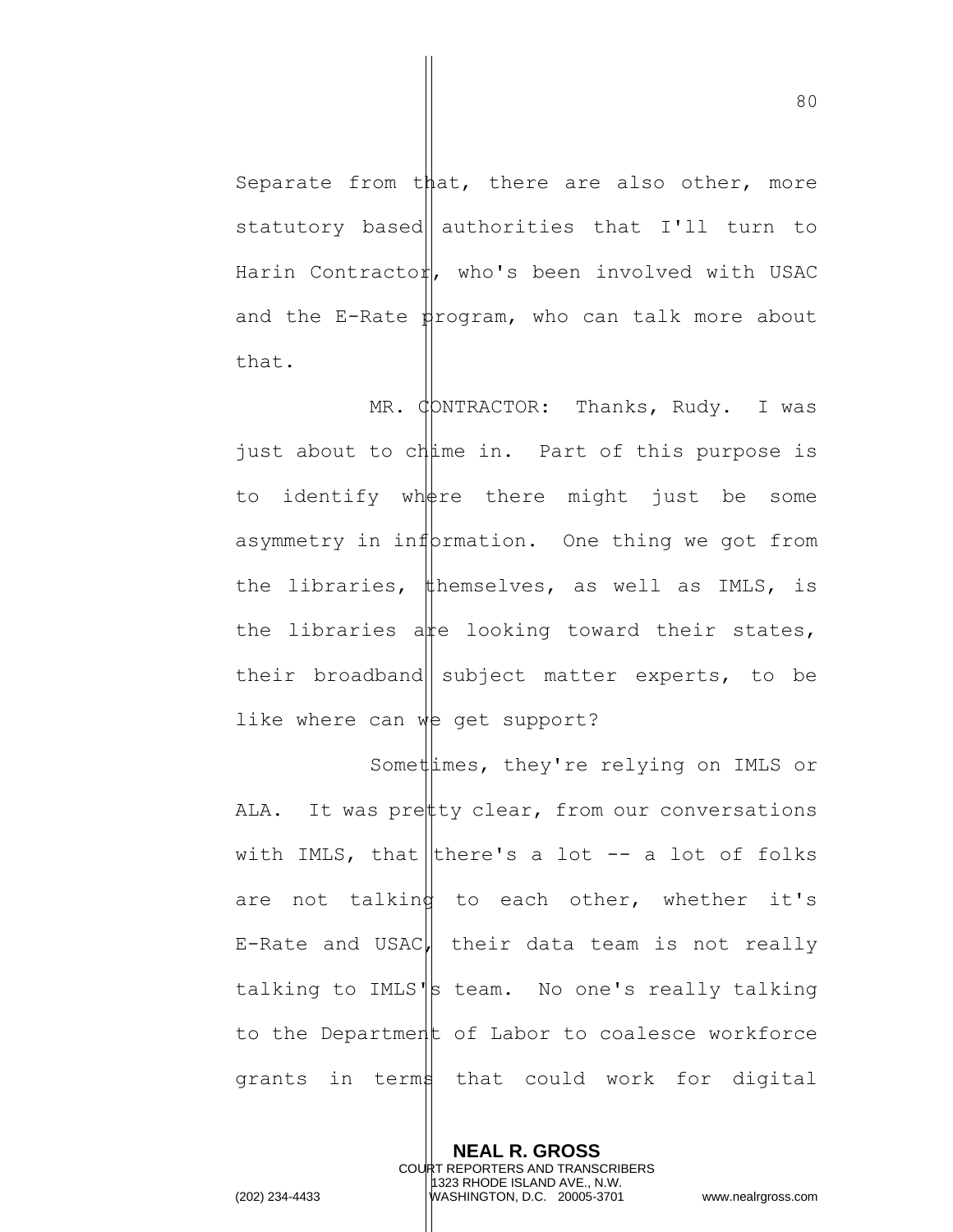Separate from that, there are also other, more statutory based authorities that I'll turn to Harin Contractor, who's been involved with USAC and the E-Rate  $\sharp$ rogram, who can talk more about that.

MR.  $\phi$ DNTRACTOR: Thanks, Rudy. I was just about to chime in. Part of this purpose is to identify where there might just be some asymmetry in information. One thing we got from the libraries, themselves, as well as IMLS, is the libraries a  $\frac{1}{k}$  looking toward their states, their broadband subject matter experts, to be like where can  $w$ e get support?

Somethimes, they're relying on IMLS or ALA. It was pretty clear, from our conversations with IMLS, that there's a lot  $-$  a lot of folks are not talking to each other, whether it's E-Rate and USAC, their data team is not really talking to IMLS $\|s\|$  team. No one's really talking to the Department of Labor to coalesce workforce grants in terms that could work for digital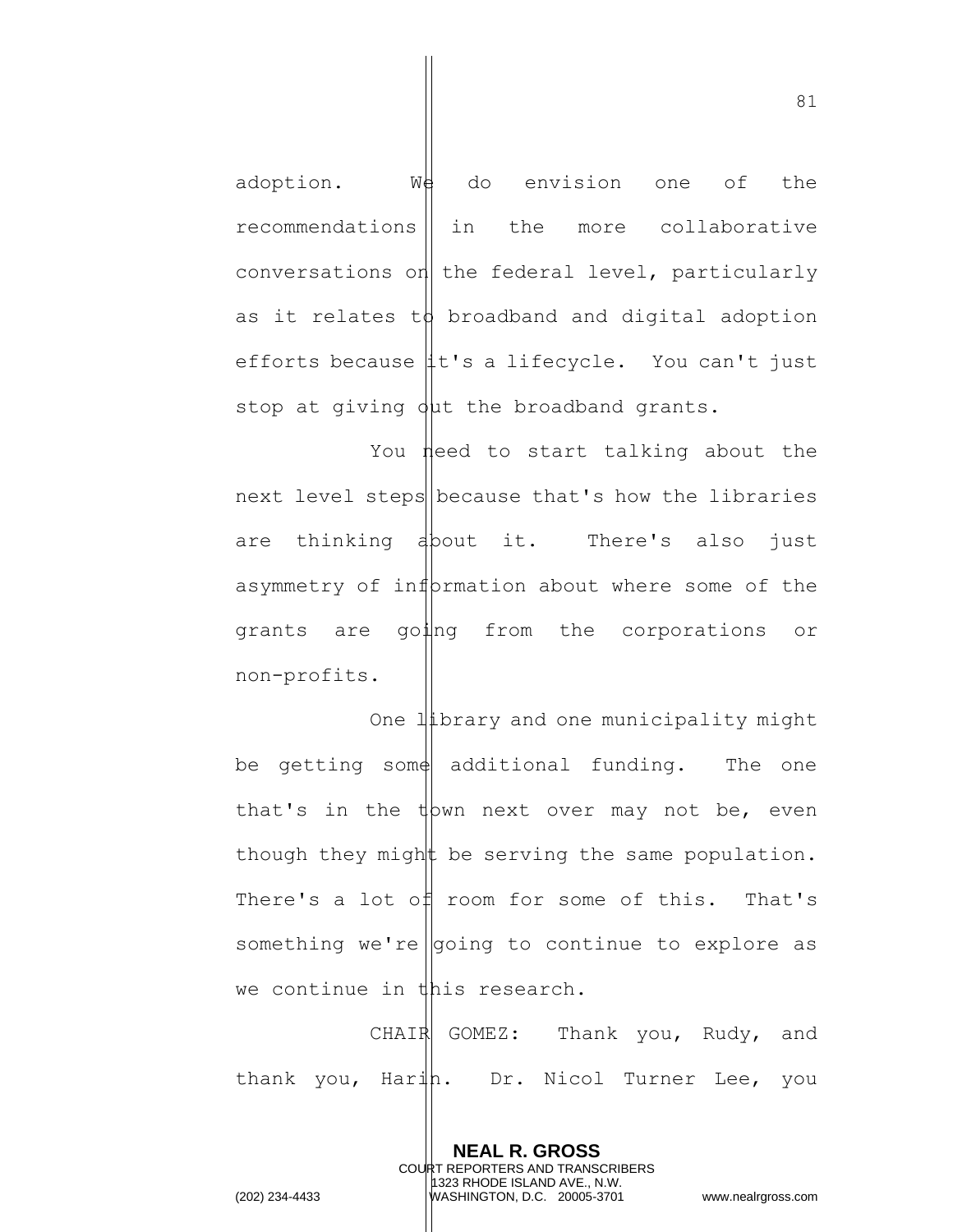adoption. We do envision one of the recommendations || in the more collaborative conversations on the federal level, particularly as it relates to broadband and digital adoption efforts because  $\sharp t$ 's a lifecycle. You can't just stop at giving  $\phi$ µt the broadband grants.

You need to start talking about the next level steps because that's how the libraries are thinking about it. There's also just asymmetry of information about where some of the grants are going from the corporations or non-profits.

One library and one municipality might be getting some additional funding. The one that's in the  $\psi$  nd next over may not be, even though they might be serving the same population. There's a lot of room for some of this. That's something we're  $|$  going to continue to explore as we continue in this research.

CHAIR GOMEZ: Thank you, Rudy, and thank you, Harih. Dr. Nicol Turner Lee, you

> **NEAL R. GROSS** COURT REPORTERS AND TRANSCRIBERS 1323 RHODE ISLAND AVE., N.W.

81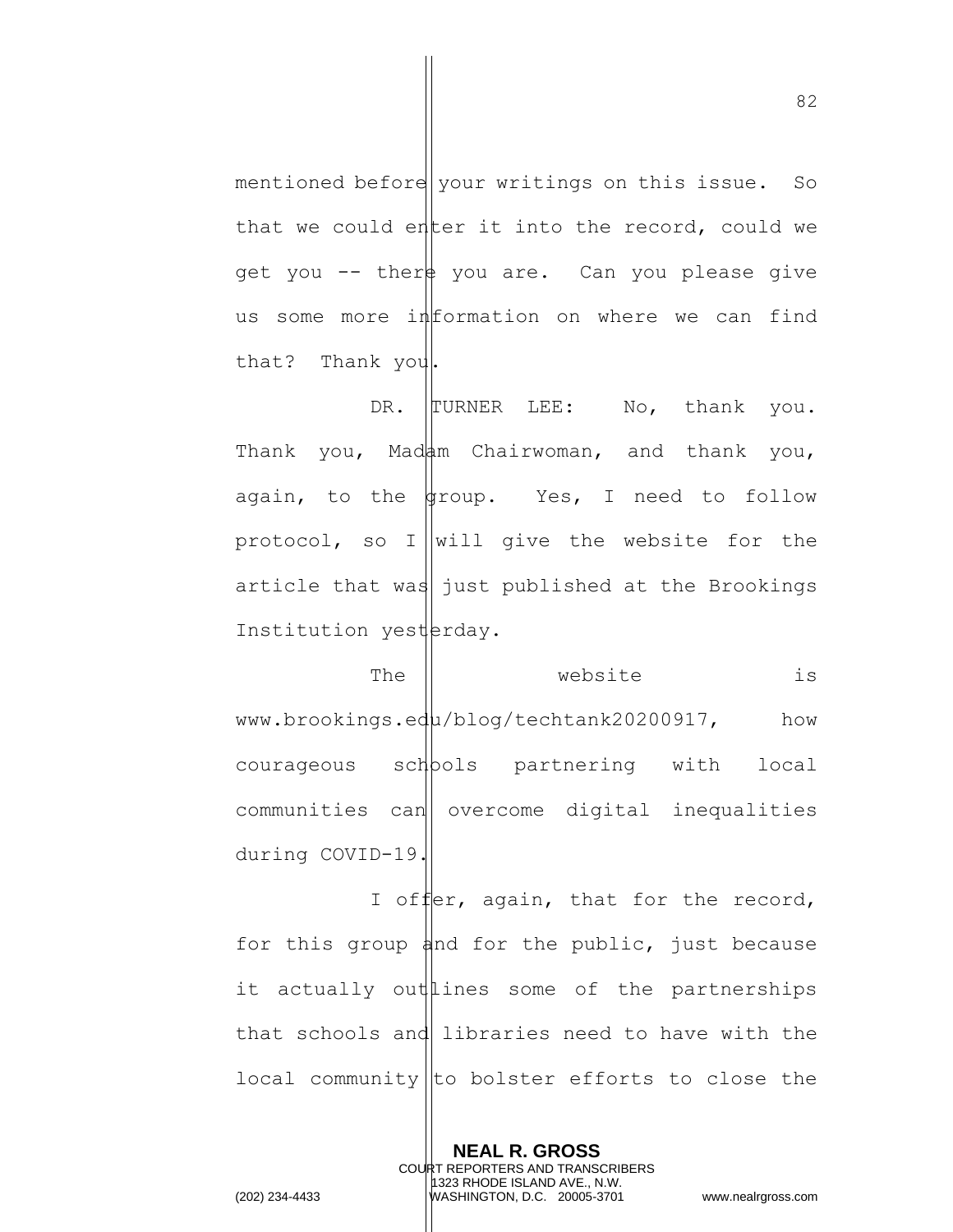mentioned before your writings on this issue. So that we could enter it into the record, could we get you  $-$ - ther you are. Can you please give us some more information on where we can find that? Thank you.

DR. TURNER LEE: No, thank you. Thank you, Madam Chairwoman, and thank you, again, to the  $\frac{1}{4}$  roup. Yes, I need to follow protocol, so I will give the website for the article that was just published at the Brookings Institution yesterday.

The  $\parallel$  website is www.brookings.edu/blog/techtank20200917, how courageous schools partnering with local communities can overcome digital inequalities during COVID-19.

I offer, again, that for the record, for this group and for the public, just because it actually out lines some of the partnerships that schools and libraries need to have with the local community  $\vert$  to bolster efforts to close the

> **NEAL R. GROSS** COURT REPORTERS AND TRANSCRIBERS 1323 RHODE ISLAND AVE., N.W.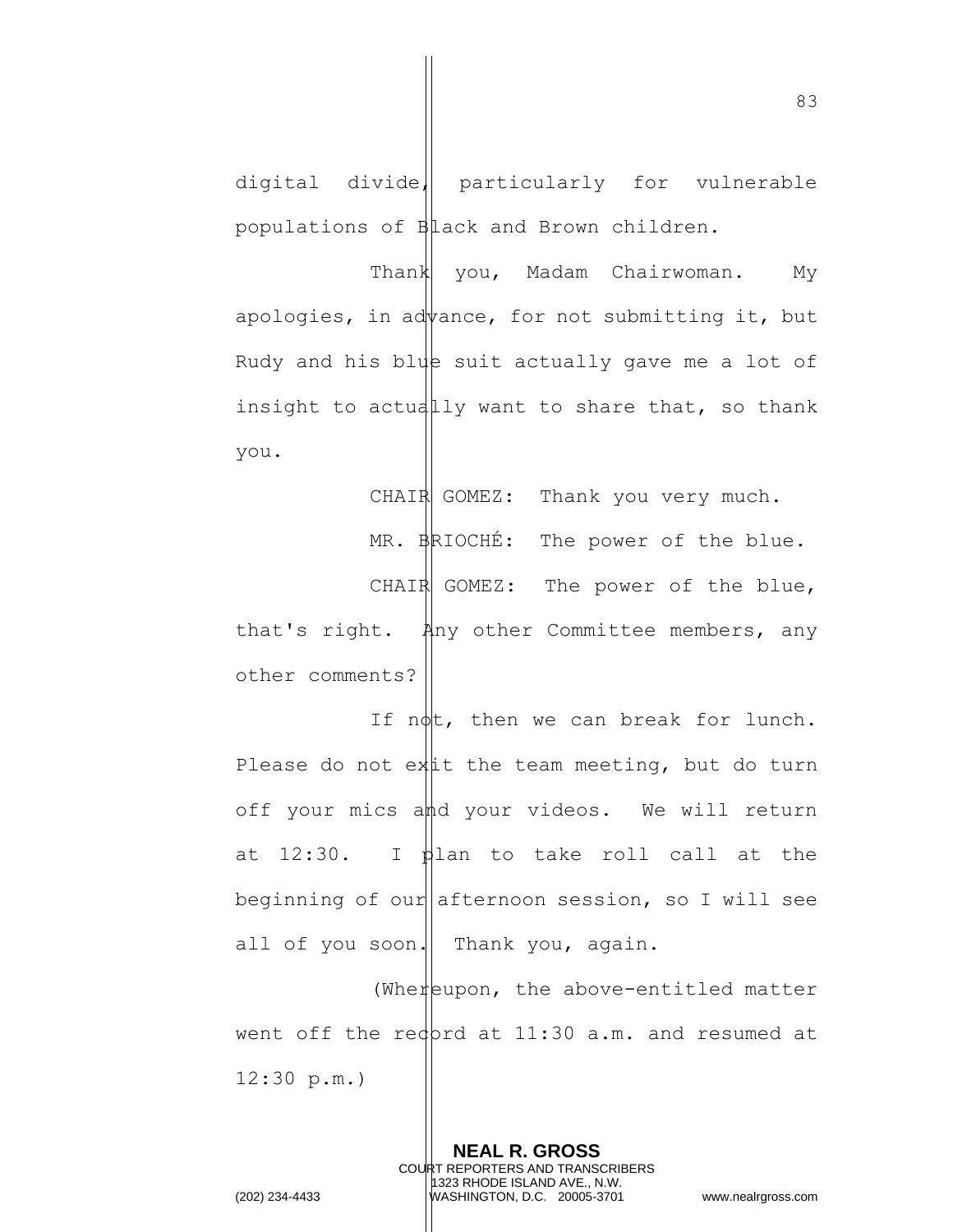digital divide, particularly for vulnerable populations of Black and Brown children.

Thank you, Madam Chairwoman. My apologies, in advance, for not submitting it, but Rudy and his blue suit actually gave me a lot of insight to actually want to share that, so thank you.

CHAIR GOMEZ: Thank you very much.

MR. BRIOCHÉ: The power of the blue.

CHAIR GOMEZ: The power of the blue, that's right. Any other Committee members, any other comments?

If  $n\phi$ t, then we can break for lunch. Please do not ext the team meeting, but do turn off your mics and your videos. We will return at  $12:30$ . I plan to take roll call at the beginning of our afternoon session, so I will see all of you soon. Thank you, again.

(Whereupon, the above-entitled matter went off the red  $ptd$  at 11:30 a.m. and resumed at 12:30 p.m.)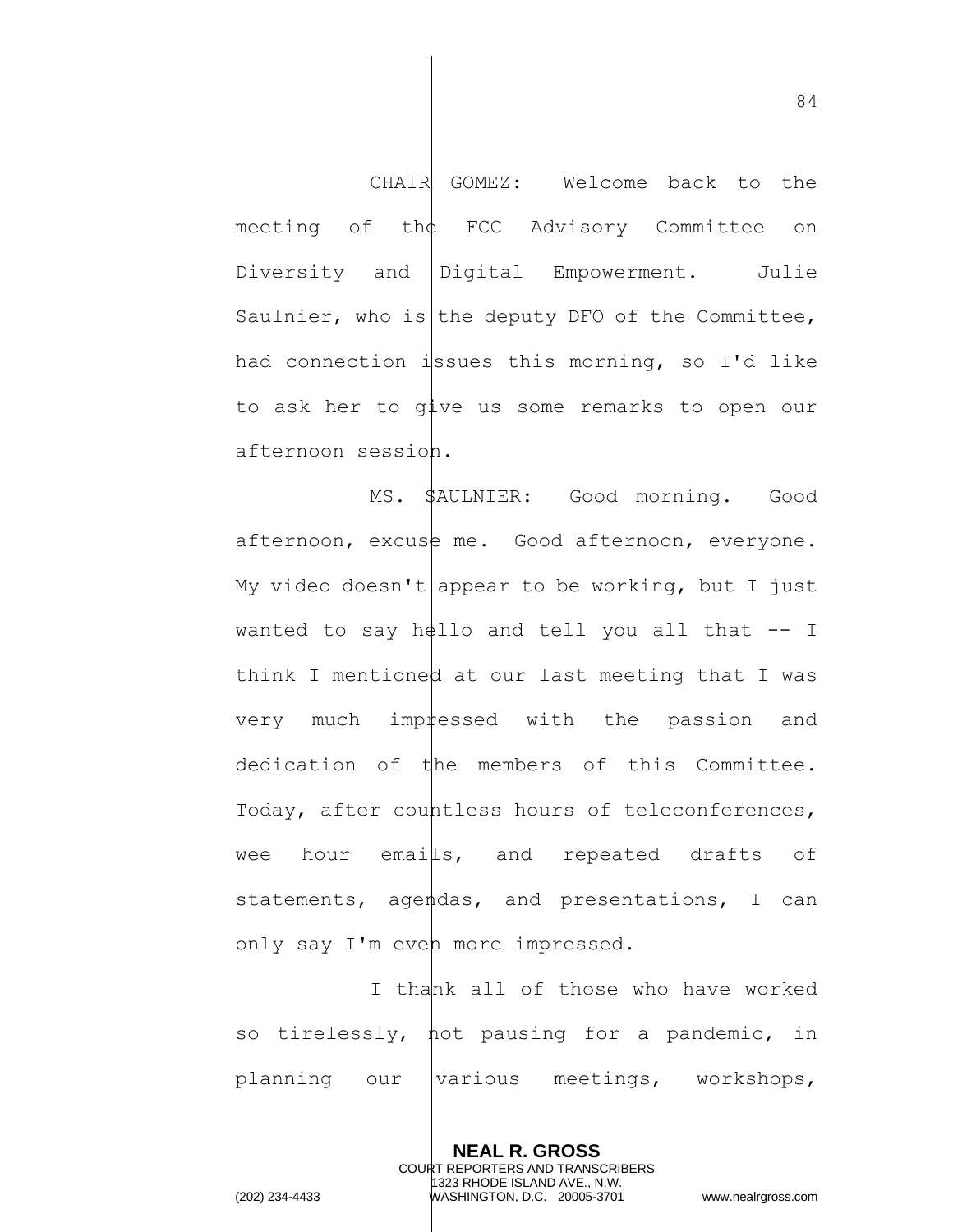CHAIR GOMEZ: Welcome back to the meeting of the FCC Advisory Committee on Diversity and Digital Empowerment. Julie Saulnier, who is the deputy DFO of the Committee, had connection  $\sharp$ ssues this morning, so I'd like to ask her to give us some remarks to open our afternoon session.

MS. SAULNIER: Good morning. Good afternoon, excuse me. Good afternoon, everyone. My video doesn't appear to be working, but I just wanted to say  $h\neq 1$ lo and tell you all that  $-$  I think I mentioned at our last meeting that I was very much impressed with the passion and dedication of the members of this Committee. Today, after countless hours of teleconferences, wee hour emails, and repeated drafts of statements, agendas, and presentations, I can only say I'm even more impressed.

I thank all of those who have worked so tirelessly,  $\phi$  pausing for a pandemic, in planning our *various* meetings, workshops,

> **NEAL R. GROSS** COURT REPORTERS AND TRANSCRIBERS 1323 RHODE ISLAND AVE., N.W.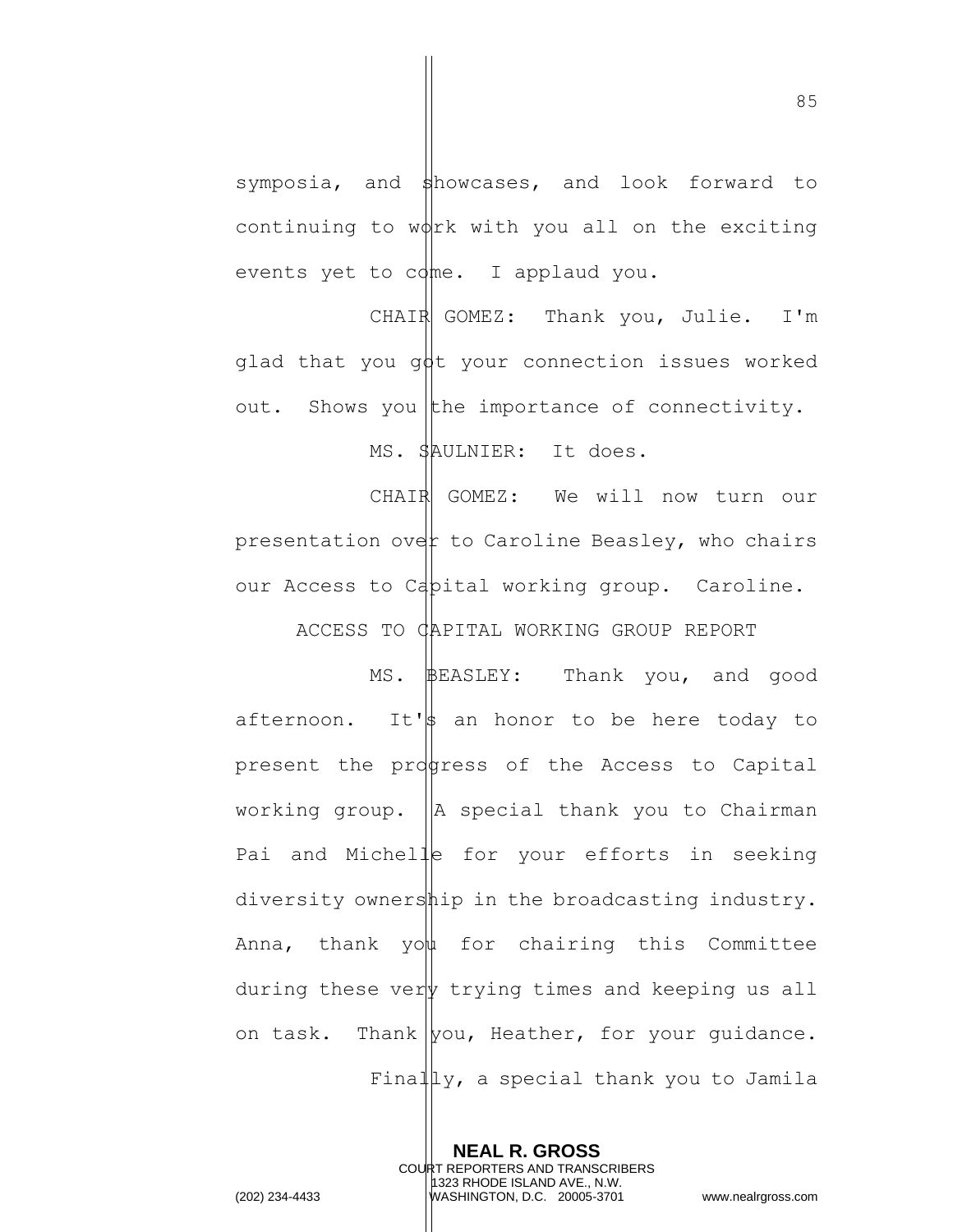symposia, and  $\frac{1}{2}$ howcases, and look forward to continuing to  $w\phi$ rk with you all on the exciting events yet to  $cdm.$  I applaud you.

CHAIR GOMEZ: Thank you, Julie. I'm glad that you  $q\text{d}t$  your connection issues worked out. Shows you the importance of connectivity. MS. SAULNIER: It does.

CHAIR GOMEZ: We will now turn our presentation over to Caroline Beasley, who chairs our Access to Capital working group. Caroline.

ACCESS TO CAPITAL WORKING GROUP REPORT

MS. **BEASLEY:** Thank you, and good afternoon. It's an honor to be here today to present the progress of the Access to Capital working group.  $\|A\|$  special thank you to Chairman Pai and Michelle for your efforts in seeking diversity ownership in the broadcasting industry. Anna, thank you for chairing this Committee during these ver  $\psi$  trying times and keeping us all on task. Thank  $|$ you, Heather, for your quidance. Final  $\lbrack \mu_Y,$  a special thank you to Jamila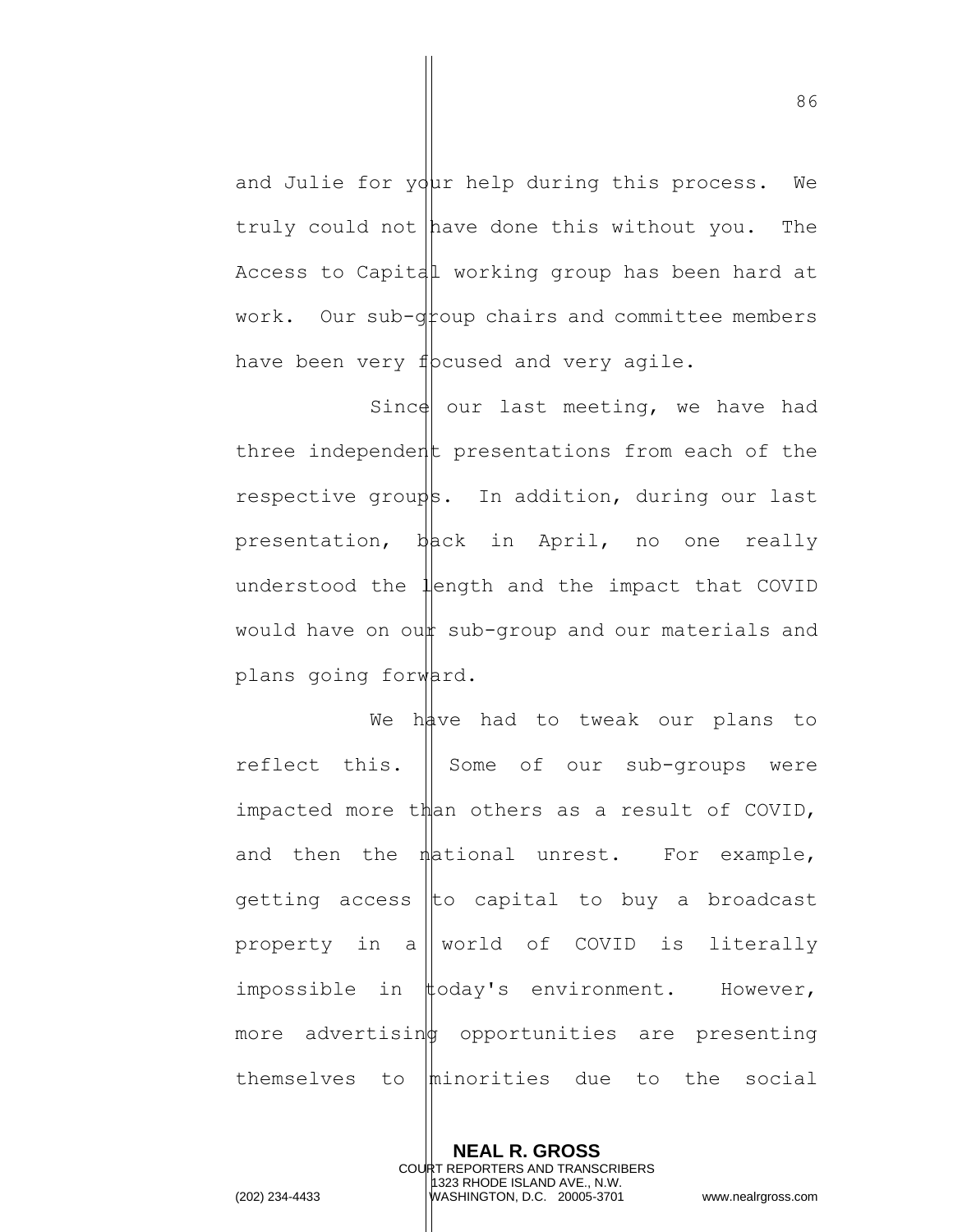and Julie for  $y\ddot{q}$ ur help during this process. We truly could not have done this without you. The Access to Capital working group has been hard at work. Our sub- $q$ toup chairs and committee members have been very f pcused and very agile.

Since our last meeting, we have had three independent presentations from each of the respective groups. In addition, during our last presentation,  $b$ ack in April, no one really understood the  $\frac{1}{2}$ ength and the impact that COVID would have on oun sub-group and our materials and plans going forward.

We have had to tweak our plans to reflect this.  $\parallel$  Some of our sub-groups were impacted more than others as a result of COVID, and then the  $n$  ational unrest. For example, getting access to capital to buy a broadcast property in allworld of COVID is literally impossible in #oday's environment. However, more advertisin opportunities are presenting themselves to  $|$ minorities due to the social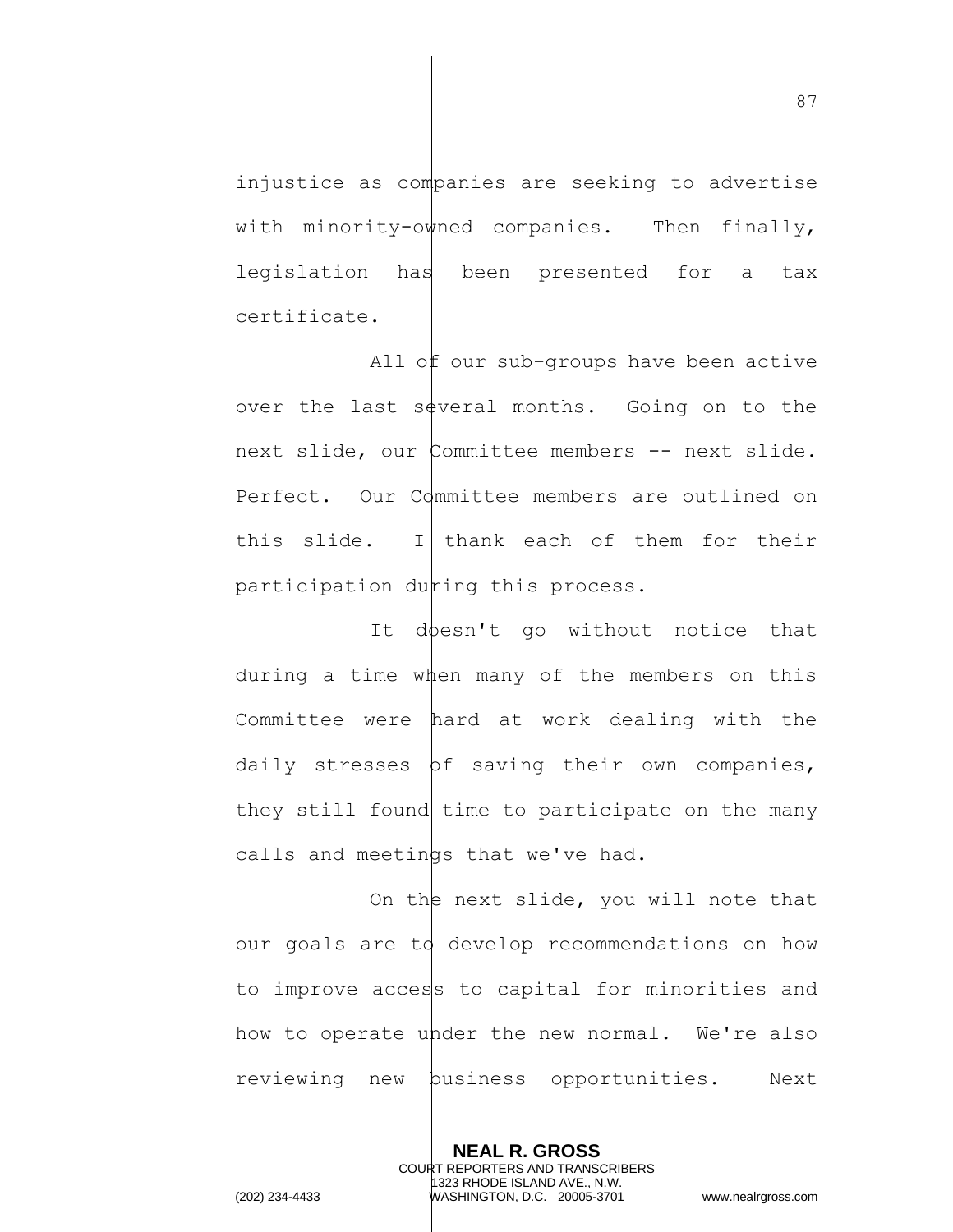injustice as companies are seeking to advertise with minority-owned companies. Then finally, legislation has been presented for a tax certificate.

All  $df$  our sub-groups have been active over the last sourceral months. Going on to the next slide, our  $\mathcal{L}_{\text{commit}}$  committee members -- next slide. Perfect. Our  $C_{\text{dmm}}$  demembers are outlined on this slide. I thank each of them for their participation during this process.

It doesn't go without notice that during a time when many of the members on this Committee were hard at work dealing with the daily stresses  $\vert$ of saving their own companies, they still found time to participate on the many calls and meetings that we've had.

On the next slide, you will note that our goals are  $t\phi$  develop recommendations on how to improve access to capital for minorities and how to operate under the new normal. We're also reviewing new business opportunities. Next

> **NEAL R. GROSS** COURT REPORTERS AND TRANSCRIBERS 1323 RHODE ISLAND AVE., N.W.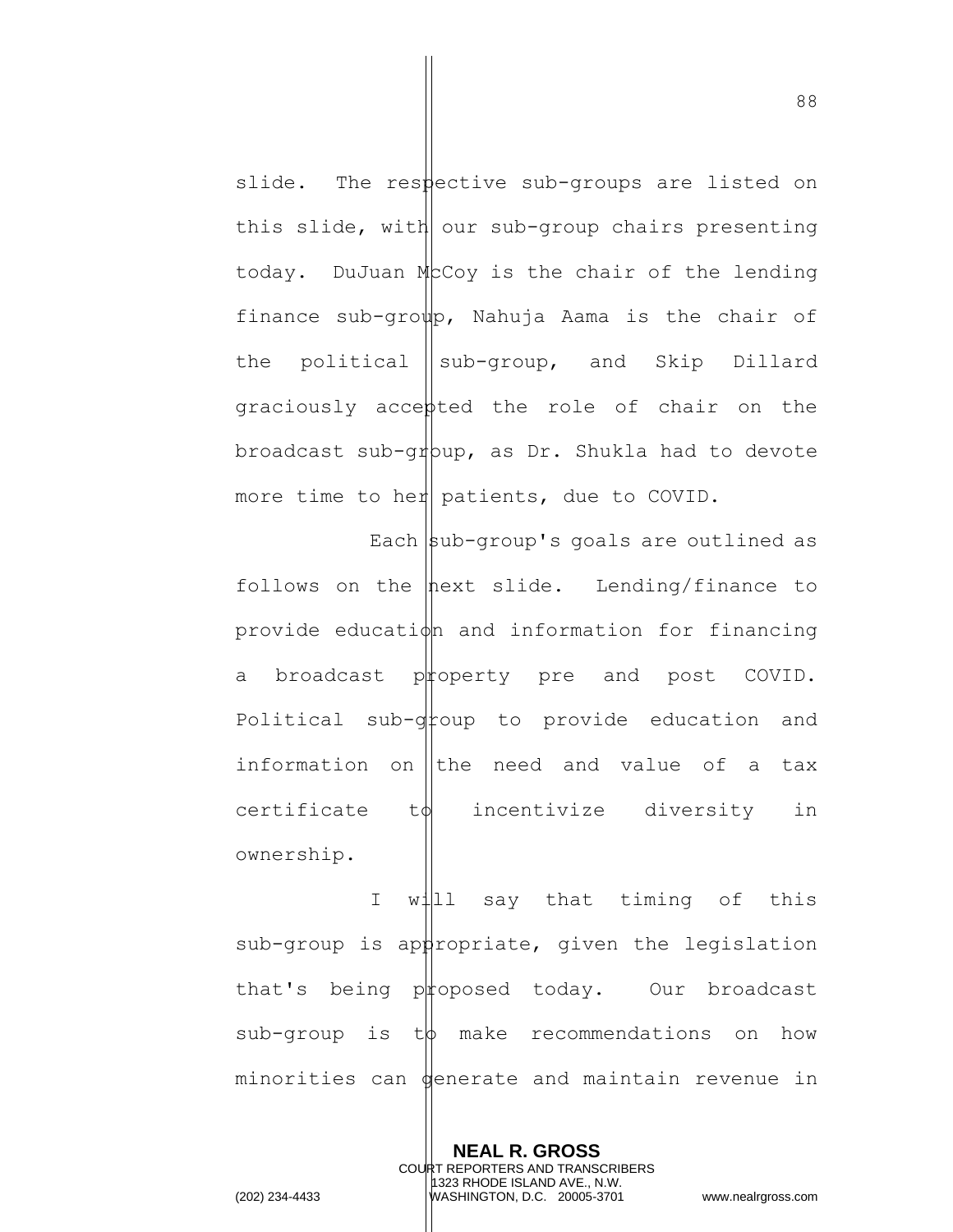slide. The respective sub-groups are listed on this slide, with our sub-group chairs presenting today. DuJuan McCoy is the chair of the lending finance sub-group, Nahuja Aama is the chair of the political  $\|\text{sub-group}$ , and Skip Dillard graciously accepted the role of chair on the broadcast sub-gr $p$ pup, as Dr. Shukla had to devote more time to her patients, due to COVID.

Each  $|sub-group$ 's goals are outlined as follows on the  $\frac{1}{2}$  hext slide. Lending/finance to provide education and information for financing a broadcast property pre and post COVID. Political sub- $q$ toup to provide education and information on the need and value of a tax  $c$ ertificate t $\phi$  incentivize diversity in ownership.

I will say that timing of this  $sub-group$  is appropriate, given the legislation that's being proposed today. Our broadcast  $sub-group$  is  $t\phi$  make recommendations on how minorities can generate and maintain revenue in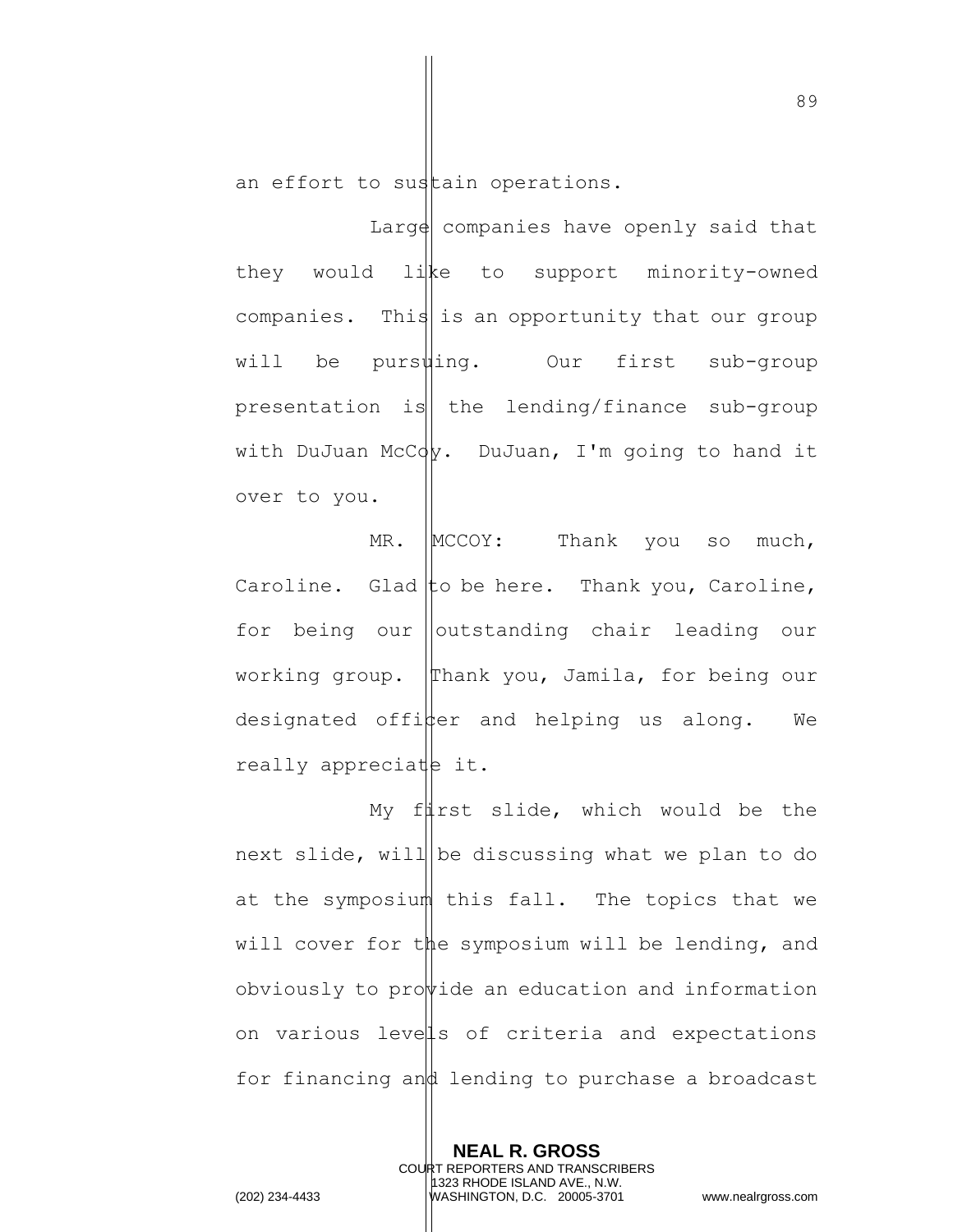an effort to sustain operations.

Large companies have openly said that they would like to support minority-owned companies. This is an opportunity that our group will be pursuling. Our first sub-group presentation is the lending/finance sub-group with DuJuan McC $\phi$ . DuJuan, I'm going to hand it over to you.

 $MR.$   $|MCCOY:$  Thank you so much, Caroline. Glad to be here. Thank you, Caroline, for being our ||outstanding chair leading our working group. Thank you, Jamila, for being our designated offi $\frac{1}{2}$ er and helping us along. We really appreciate it.

My full slide, which would be the next slide, will be discussing what we plan to do at the symposium this fall. The topics that we will cover for the symposium will be lending, and obviously to provide an education and information on various levels of criteria and expectations for financing and lending to purchase a broadcast

> **NEAL R. GROSS** COURT REPORTERS AND TRANSCRIBERS 1323 RHODE ISLAND AVE., N.W.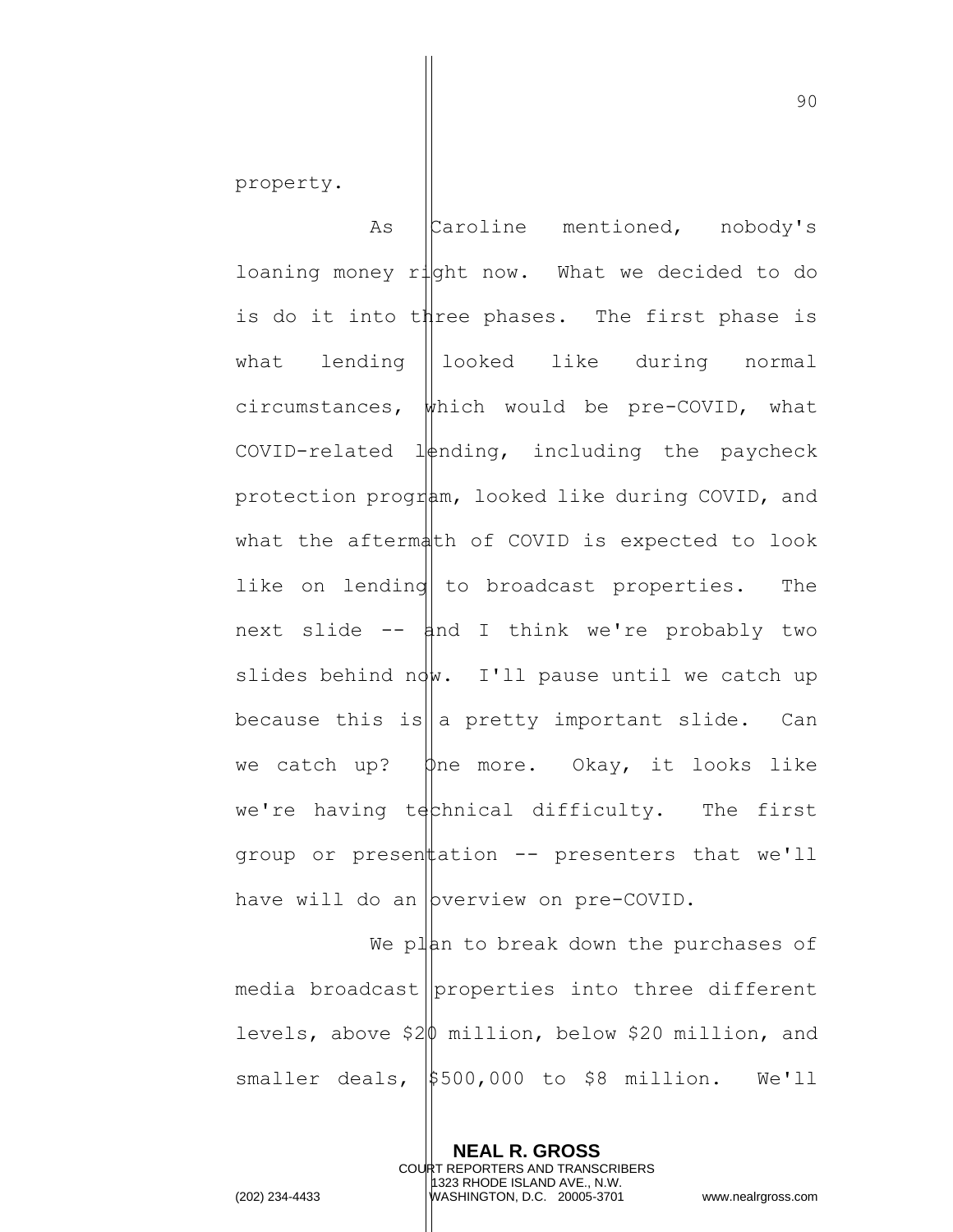property.

As Caroline mentioned, nobody's loaning money right now. What we decided to do is do it into three phases. The first phase is what lending ||looked like during normal circumstances, which would be pre-COVID, what COVID-related  $l\phi$ nding, including the paycheck protection program, looked like during COVID, and what the aftermath of COVID is expected to look like on lending to broadcast properties. The next slide  $--$  and I think we're probably two slides behind  $\eta w$ . I'll pause until we catch up because this is  $\|a\|$  pretty important slide. Can we catch up?  $\phi$ ne more. Okay, it looks like we're having technical difficulty. The first group or present  $\pm$  -- presenters that we'll have will do an bverview on pre-COVID.

We plan to break down the purchases of media broadcast | properties into three different levels, above \$20 million, below \$20 million, and smaller deals,  $$500,000$  to \$8 million. We'll

> **NEAL R. GROSS** COURT REPORTERS AND TRANSCRIBERS 1323 RHODE ISLAND AVE., N.W.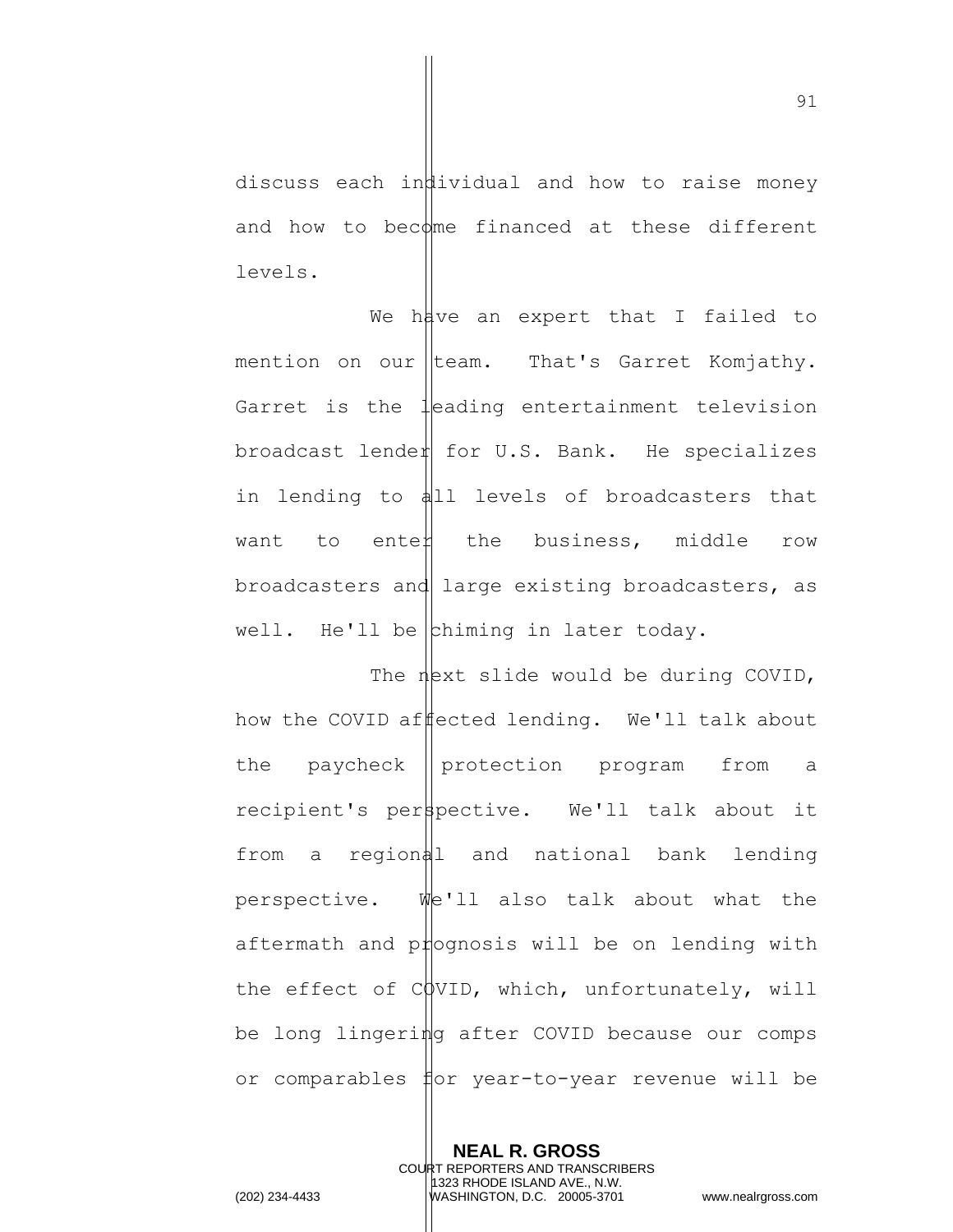discuss each individual and how to raise money and how to become financed at these different levels.

We have an expert that I failed to mention on our team. That's Garret Komjathy. Garret is the leading entertainment television broadcast lender for  $U.S.$  Bank. He specializes in lending to all levels of broadcasters that want to ente $\sharp$  the business, middle row broadcasters and large existing broadcasters, as well. He'll be  $\left| \text{chiming in later today.} \right|$ 

The  $n$ ext slide would be during COVID, how the COVID affected lending. We'll talk about the paycheck  $\parallel$  protection program from a recipient's perspective. We'll talk about it from a regional and national bank lending perspective. We'll also talk about what the aftermath and p $\sharp$ ognosis will be on lending with the effect of  $CQVID$ , which, unfortunately, will be long lingering after COVID because our comps or comparables for year-to-year revenue will be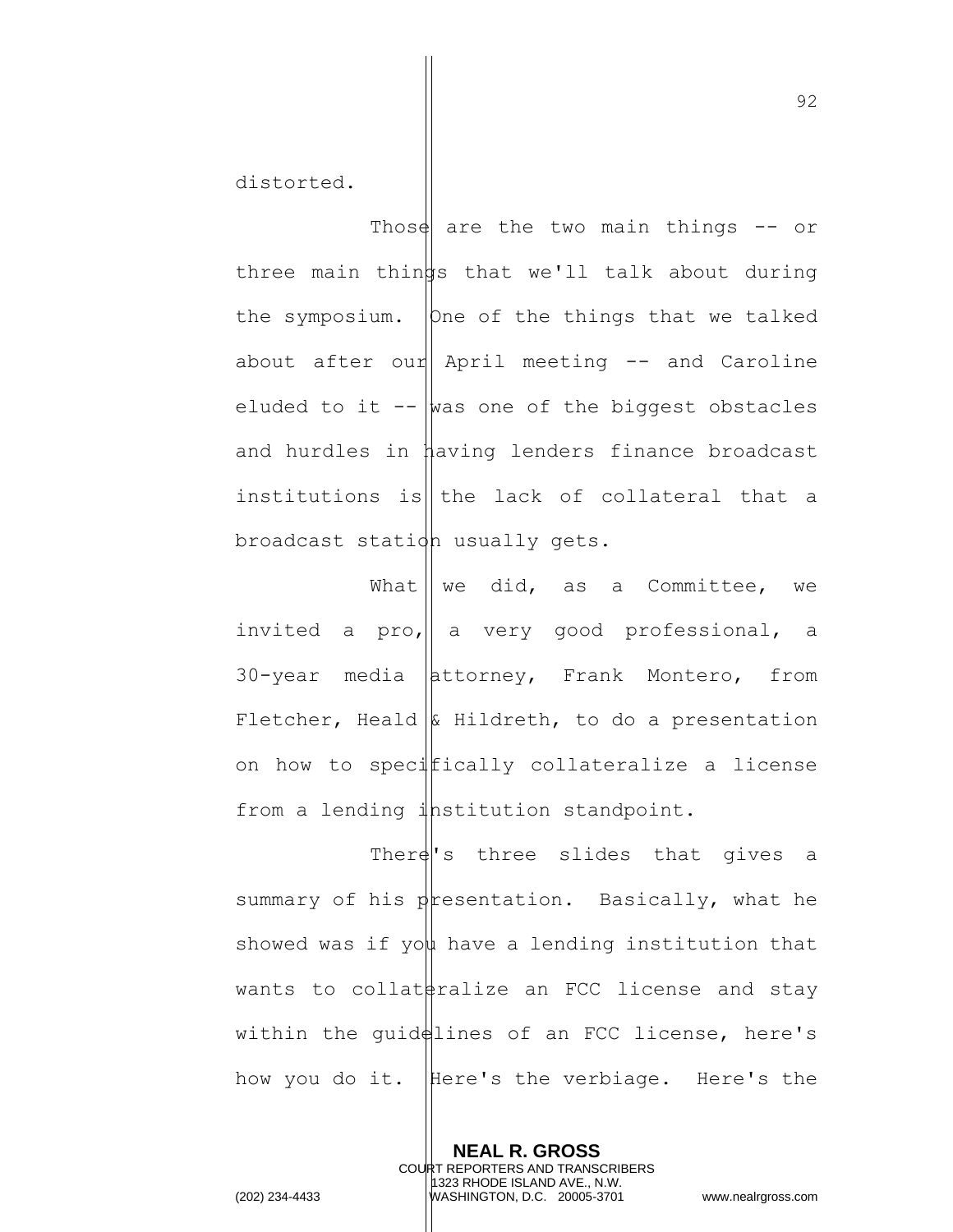distorted.

Those are the two main things  $-$  or three main things that we'll talk about during the symposium.  $|$ One of the things that we talked about after our April meeting  $-$  and Caroline eluded to it  $-\frac{1}{x}$  was one of the biggest obstacles and hurdles in having lenders finance broadcast institutions is the lack of collateral that a broadcast station usually gets.

What  $\parallel$  we did, as a Committee, we invited a pro,  $\parallel$  a very good professional, a  $30$ -year media  $|$ attorney, Frank Montero, from Fletcher, Heald  $\&$  Hildreth, to do a presentation on how to specifically collateralize a license from a lending  $\frac{1}{4}$ hstitution standpoint.

There's three slides that gives a summary of his presentation. Basically, what he showed was if you have a lending institution that wants to collat  $\frac{1}{2}$  ralize an FCC license and stay within the guid $\frac{d}{dx}$ lines of an FCC license, here's how you do it. Here's the verbiage. Here's the

> **NEAL R. GROSS** COURT REPORTERS AND TRANSCRIBERS 1323 RHODE ISLAND AVE., N.W.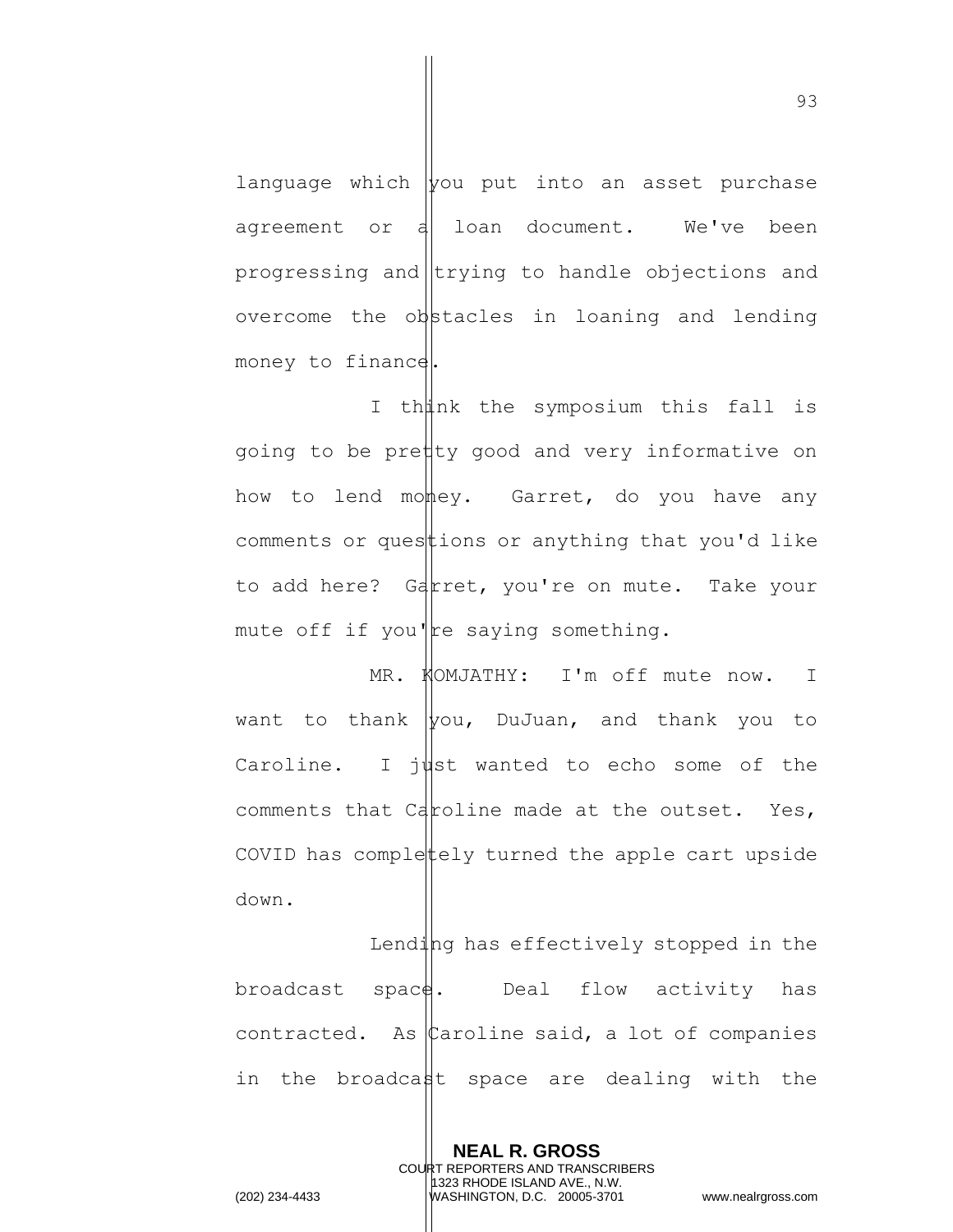language which  $|$ you put into an asset purchase agreement or  $d$  loan document. We've been progressing and  $|$ trying to handle objections and overcome the  $obj$ stacles in loaning and lending money to finance.

I thunk the symposium this fall is going to be pretty good and very informative on how to lend money. Garret, do you have any comments or questions or anything that you'd like to add here? Garret, you're on mute. Take your mute off if you $\parallel$ re saying something.

MR. KOMJATHY: I'm off mute now. I want to thank  $|$ you, DuJuan, and thank you to Caroline. I just wanted to echo some of the comments that Caroline made at the outset. Yes, COVID has complettely turned the apple cart upside down.

Lending has effectively stopped in the broadcast space. Deal flow activity has contracted. As  $\mathfrak k$ aroline said, a lot of companies in the broadcant space are dealing with the

> **NEAL R. GROSS** COURT REPORTERS AND TRANSCRIBERS 1323 RHODE ISLAND AVE., N.W.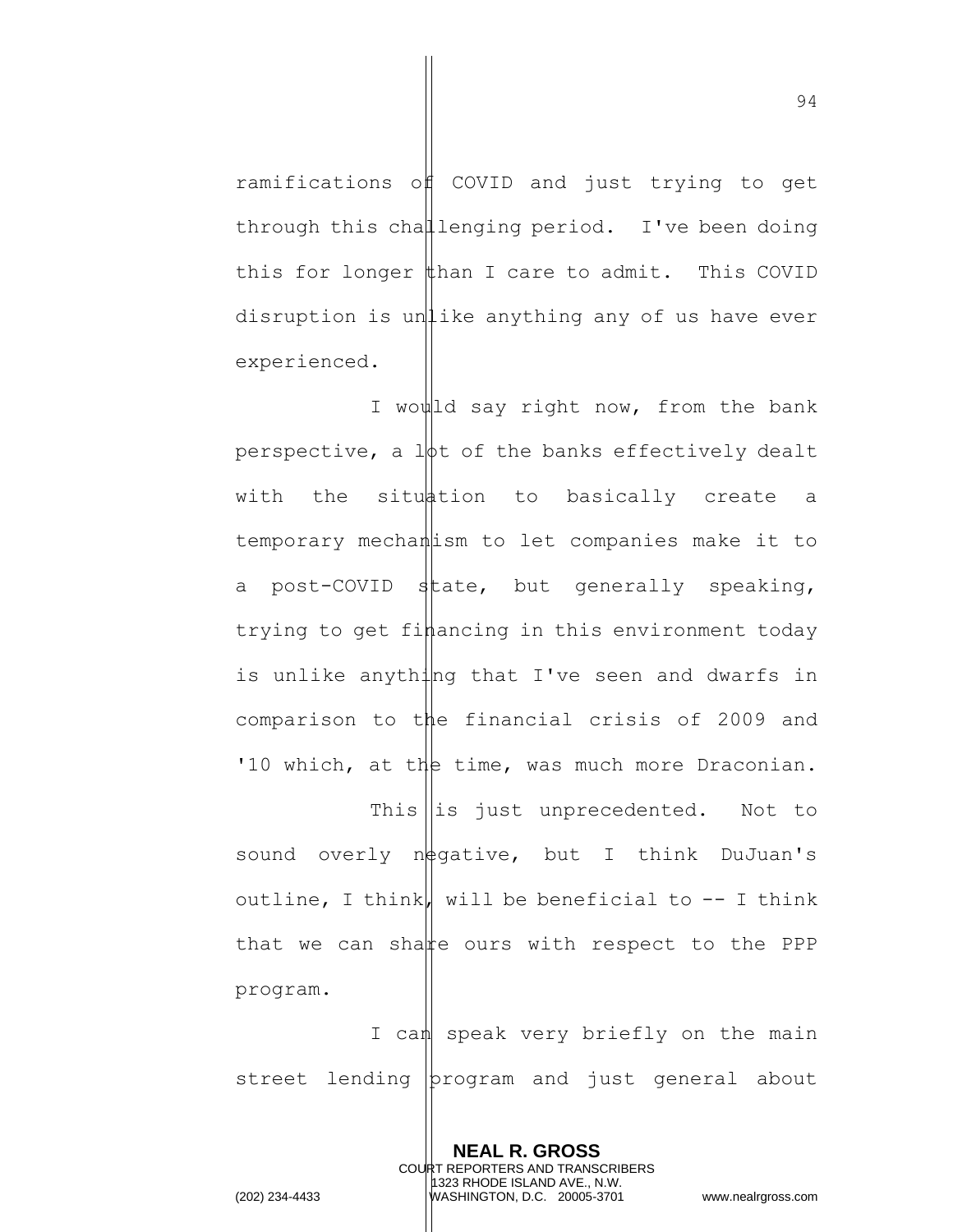ramifications of COVID and just trying to get through this challenging period. I've been doing this for longer  $\sharp$ han I care to admit. This COVID disruption is unlike anything any of us have ever experienced.

I would say right now, from the bank perspective, a  $l\phi t$  of the banks effectively dealt with the situation to basically create a temporary mechanism to let companies make it to a post-COVID state, but generally speaking, trying to get financing in this environment today is unlike anything that I've seen and dwarfs in comparison to the financial crisis of 2009 and '10 which, at the time, was much more Draconian.

This  $\left\| \text{is just unprecedented. Not to}\right\|$ sound overly  $n\frac{1}{2}$ gative, but I think DuJuan's outline, I think, will be beneficial to  $-$ - I think that we can share ours with respect to the PPP program.

I can speak very briefly on the main street lending program and just general about

> **NEAL R. GROSS** COURT REPORTERS AND TRANSCRIBERS 1323 RHODE ISLAND AVE., N.W.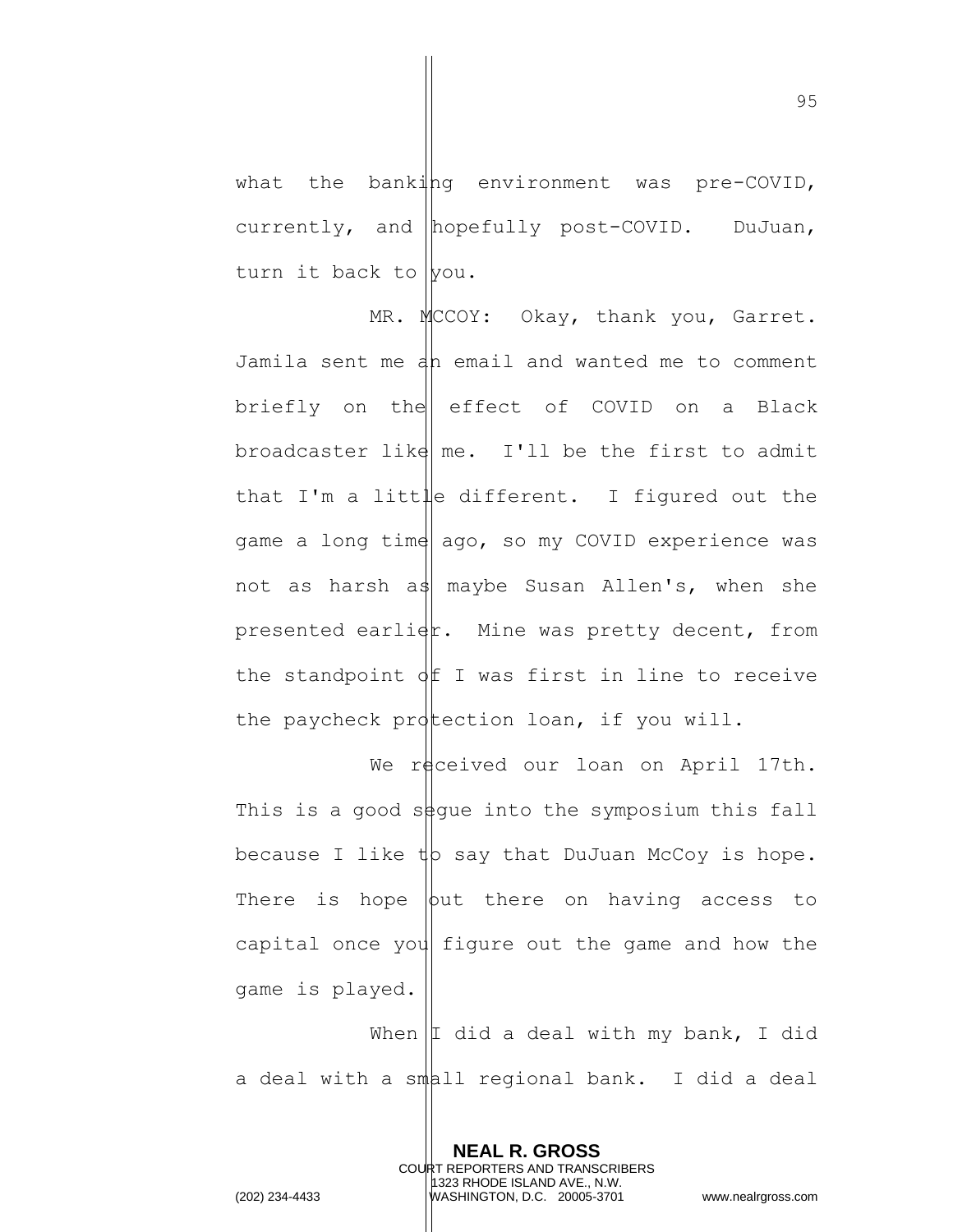what the banking environment was pre-COVID, currently, and hopefully post-COVID. DuJuan, turn it back to you.

MR. MCCOY: Okay, thank you, Garret. Jamila sent me an email and wanted me to comment briefly on the effect of COVID on a Black broadcaster like  $m$ e. I'll be the first to admit that I'm a litt $\|\cdot\|$  different. I figured out the game a long time ago, so my COVID experience was not as harsh as maybe Susan Allen's, when she presented earli $\phi$ . Mine was pretty decent, from the standpoint  $\oint$  I was first in line to receive the paycheck protection loan, if you will.

We received our loan on April 17th. This is a good so figue into the symposium this fall because I like  $\psi$  say that DuJuan McCoy is hope. There is hope  $\phi$ ut there on having access to capital once you figure out the game and how the game is played.

When  $|I$  did a deal with my bank, I did a deal with a small regional bank. I did a deal

> **NEAL R. GROSS** COURT REPORTERS AND TRANSCRIBERS 1323 RHODE ISLAND AVE., N.W.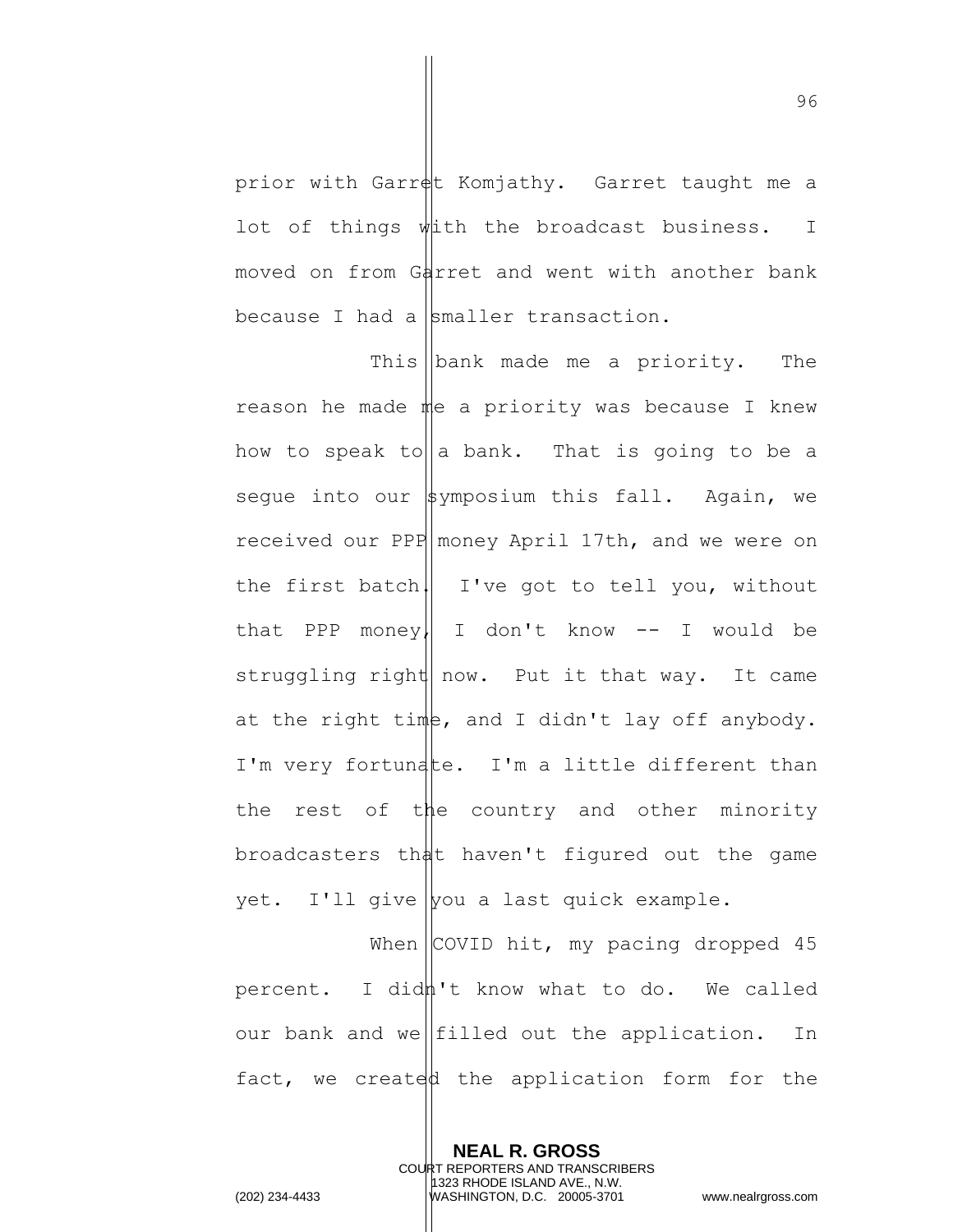prior with Garret Komjathy. Garret taught me a lot of things with the broadcast business. I moved on from Garret and went with another bank because I had a smaller transaction.

This  $\Delta$  made me a priority. The reason he made me a priority was because I knew how to speak to a bank. That is going to be a seque into our  $\frac{1}{2}$ ymposium this fall. Again, we received our PPP money April 17th, and we were on the first batch $||$  I've got to tell you, without that PPP money, I don't know  $--$  I would be struggling right now. Put it that way. It came at the right time, and I didn't lay off anybody. I'm very fortunate. I'm a little different than the rest of the country and other minority broadcasters that haven't figured out the game yet. I'll give you a last quick example.

When  $\vert$  COVID hit, my pacing dropped 45 percent. I didh't know what to do. We called our bank and we filled out the application. In fact, we created the application form for the

> **NEAL R. GROSS** COURT REPORTERS AND TRANSCRIBERS 1323 RHODE ISLAND AVE., N.W.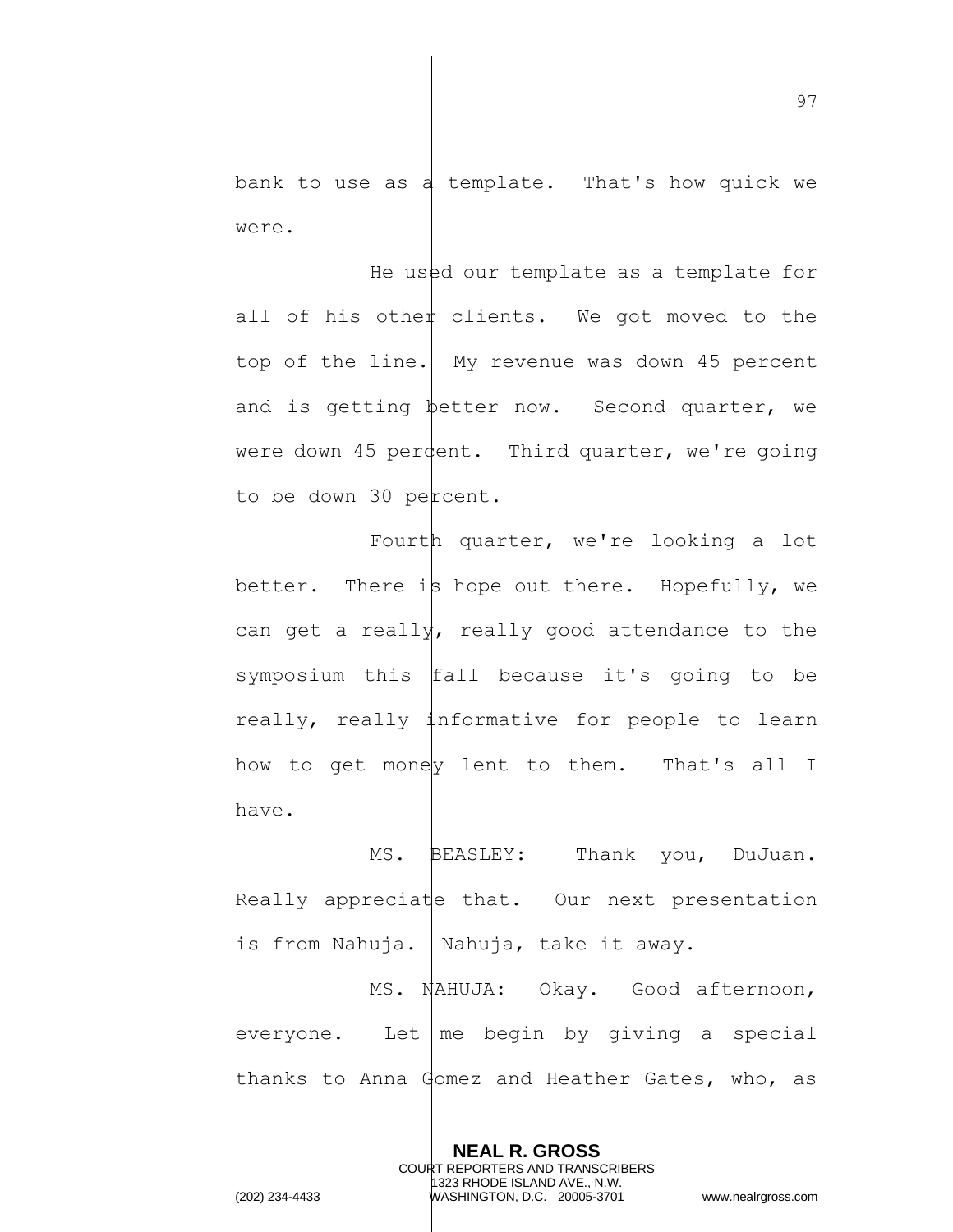bank to use as  $\frac{1}{4}$  template. That's how quick we were.

He used our template as a template for all of his othen clients. We got moved to the top of the line.  $\parallel$  My revenue was down 45 percent and is getting better now. Second quarter, we were down 45 per $\phi$ ent. Third quarter, we're going to be down 30 percent.

Fourth quarter, we're looking a lot better. There  $\frac{1}{4}$  hope out there. Hopefully, we can get a really, really good attendance to the symposium this  $|$ fall because it's going to be really, really informative for people to learn how to get money lent to them. That's all I have.

MS. BEASLEY: Thank you, DuJuan. Really appreciate that. Our next presentation is from Nahuja. || Nahuja, take it away. MS. NAHUJA: Okay. Good afternoon, everyone. Let  $\parallel$  me begin by giving a special

thanks to Anna Gomez and Heather Gates, who, as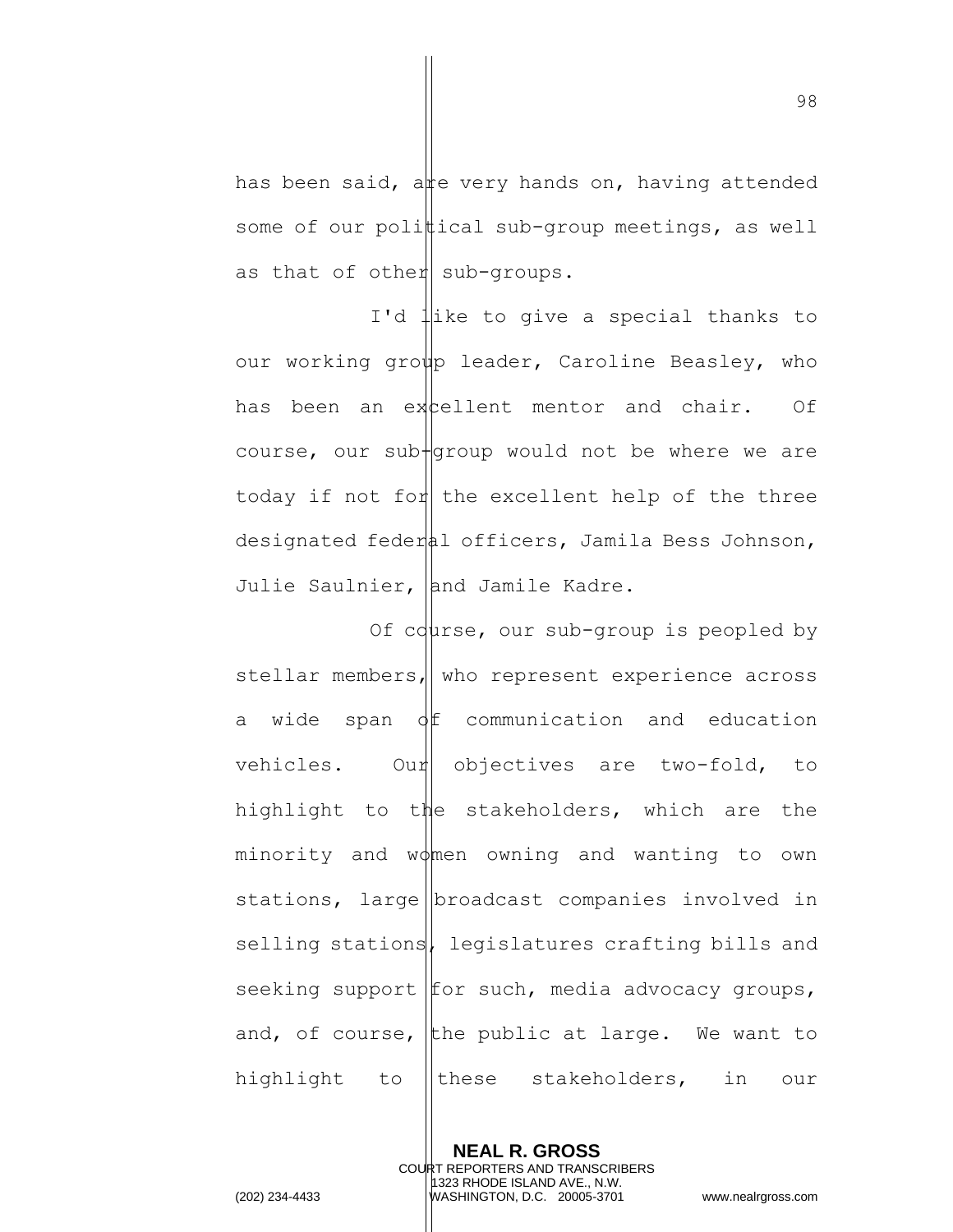has been said, are very hands on, having attended some of our polittical sub-group meetings, as well as that of other sub-groups.

I'd like to give a special thanks to our working group leader, Caroline Beasley, who has been an excellent mentor and chair. Of course, our sub $+$ group would not be where we are today if not for the excellent help of the three designated federal officers, Jamila Bess Johnson, Julie Saulnier, and Jamile Kadre.

Of course, our sub-group is peopled by stellar members, who represent experience across a wide span  $\oint$  communication and education vehicles. Our objectives are two-fold, to highlight to the stakeholders, which are the minority and women owning and wanting to own stations, large  $\vert$ broadcast companies involved in selling stations, legislatures crafting bills and seeking support  $f$  for such, media advocacy groups, and, of course, the public at large. We want to highlight to ||these stakeholders, in our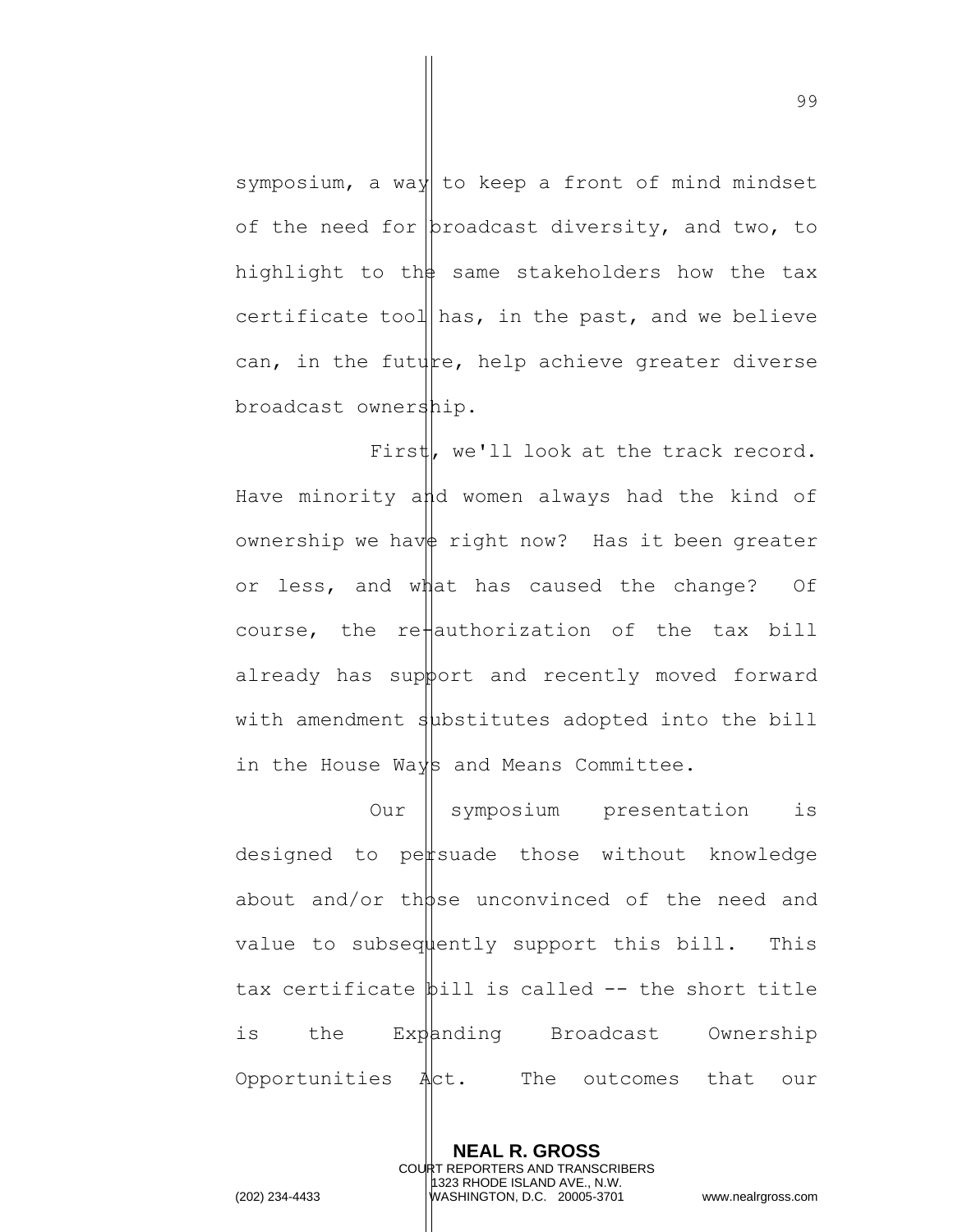symposium, a way to keep a front of mind mindset of the need for proadcast diversity, and two, to highlight to the same stakeholders how the tax certificate tool has, in the past, and we believe can, in the future, help achieve greater diverse broadcast ownership.

First, we'll look at the track record. Have minority and women always had the kind of ownership we have right now? Has it been greater or less, and what has caused the change? Of course, the re $\parallel$ authorization of the tax bill already has support and recently moved forward with amendment substitutes adopted into the bill in the House Ways and Means Committee.

Our symposium presentation is designed to persuade those without knowledge about and/or those unconvinced of the need and value to subsequently support this bill. This tax certificate  $\phi$ ill is called  $-$  the short title is the Expanding Broadcast Ownership Opportunities  $A$ ct. The outcomes that our

> **NEAL R. GROSS** COURT REPORTERS AND TRANSCRIBERS 1323 RHODE ISLAND AVE., N.W.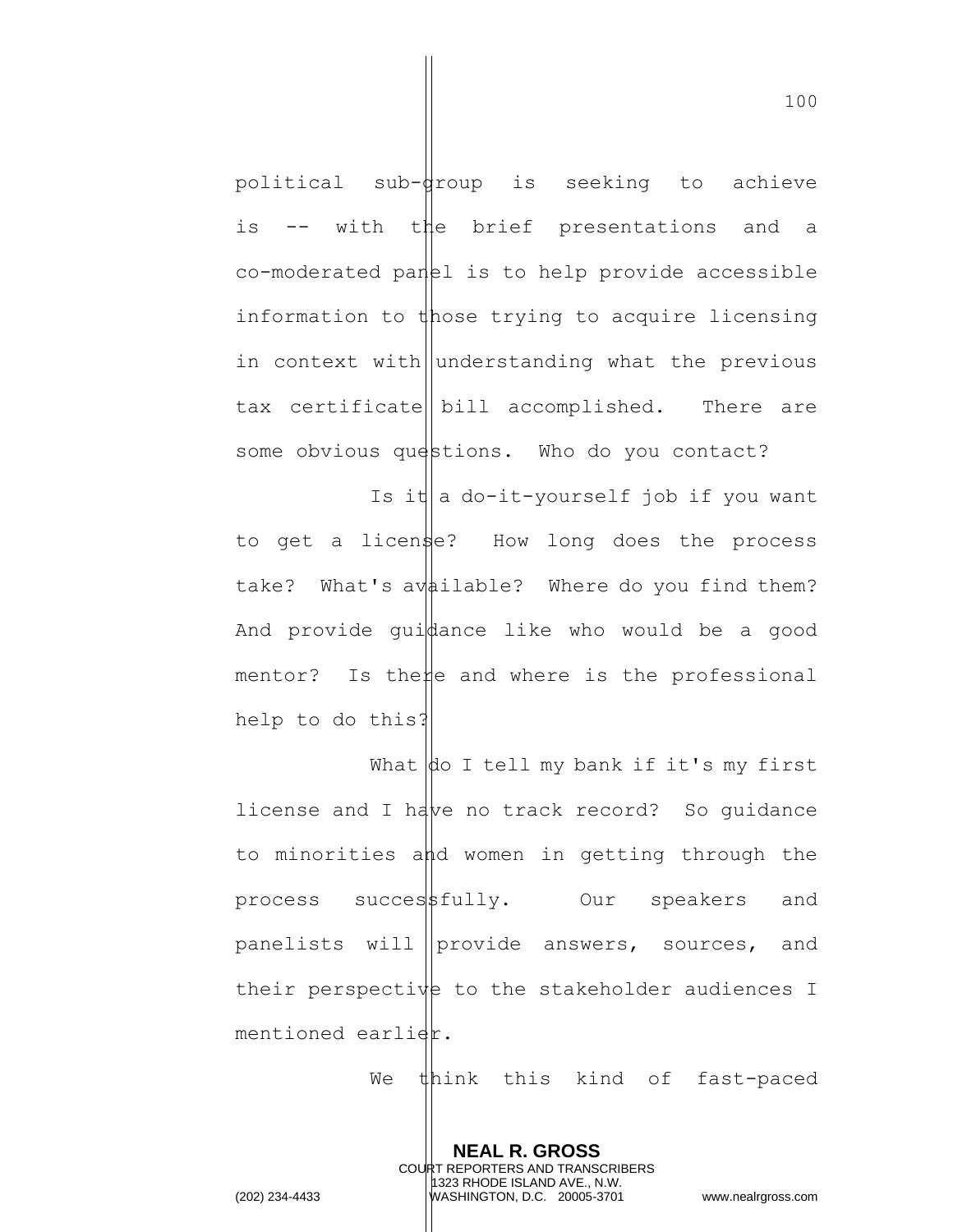political sub-droup is seeking to achieve is -- with the brief presentations and a  $co$ -moderated panel is to help provide accessible information to those trying to acquire licensing in context with understanding what the previous tax certificate bill accomplished. There are some obvious questions. Who do you contact?

Is it a do-it-yourself job if you want to get a license? How long does the process take? What's available? Where do you find them? And provide gui $\phi$ ance like who would be a good mentor? Is the  $\sharp$ e and where is the professional help to do this?

What  $\phi$  I tell my bank if it's my first license and I have no track record? So quidance to minorities and women in getting through the process success fully. Our speakers and panelists will provide answers, sources, and their perspective to the stakeholder audiences I mentioned earlier.

> **NEAL R. GROSS** COURT REPORTERS AND TRANSCRIBERS 1323 RHODE ISLAND AVE., N.W.

We think this kind of fast-paced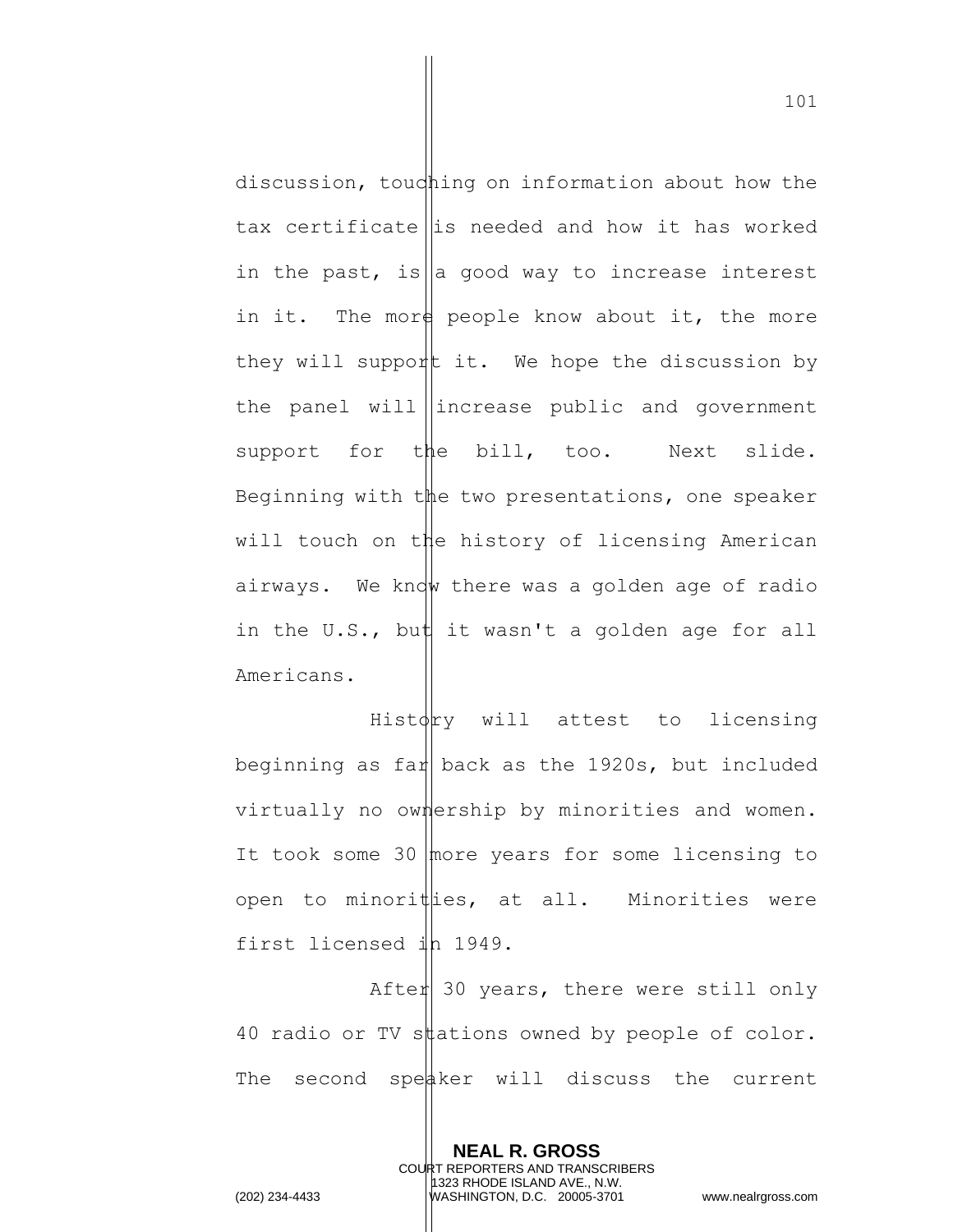discussion, touching on information about how the tax certificate is needed and how it has worked in the past, is a good way to increase interest in it. The more people know about it, the more they will support it. We hope the discussion by the panel will increase public and government support for the bill, too. Next slide. Beginning with the two presentations, one speaker will touch on the history of licensing American airways. We know there was a golden age of radio in the U.S., but it wasn't a golden age for all Americans.

 $Hist\phi$  will attest to licensing beginning as far back as the 1920s, but included virtually no ownership by minorities and women. It took some 30  $|$  more years for some licensing to open to minorities, at all. Minorities were first licensed ih 1949.

Afte $||$  30 years, there were still only 40 radio or TV stations owned by people of color. The second speaker will discuss the current

> **NEAL R. GROSS** COURT REPORTERS AND TRANSCRIBERS 1323 RHODE ISLAND AVE., N.W.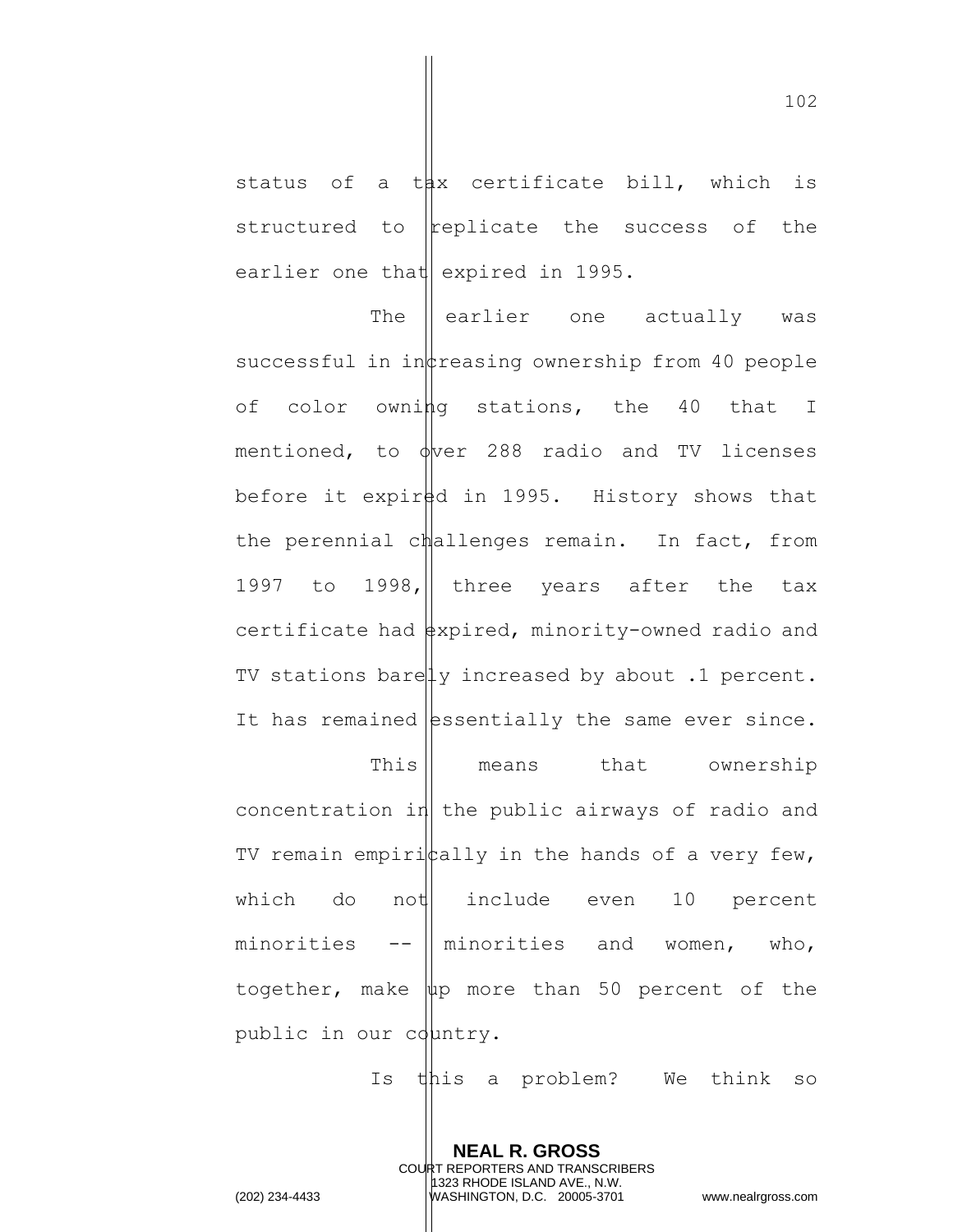status of a t $\sharp x$  certificate bill, which is structured to  $replicate$  the success of the earlier one that expired in 1995.

The  $\parallel$  earlier one actually was successful in inteasing ownership from 40 people of color owning stations, the 40 that I mentioned, to  $\phi$ ver 288 radio and TV licenses before it expired in 1995. History shows that the perennial challenges remain. In fact, from 1997 to 1998, three years after the tax certificate had  $\frac{1}{2}$  read, minority-owned radio and TV stations barely increased by about .1 percent. It has remained essentially the same ever since. This means that ownership concentration in the public airways of radio and TV remain empiri $|$ tally in the hands of a very few, which do not include even  $10$  percent minorities  $-$ -  $\parallel$  minorities and women, who, together, make  $\|\psi\|$  more than 50 percent of the public in our country.

Is this a problem? We think so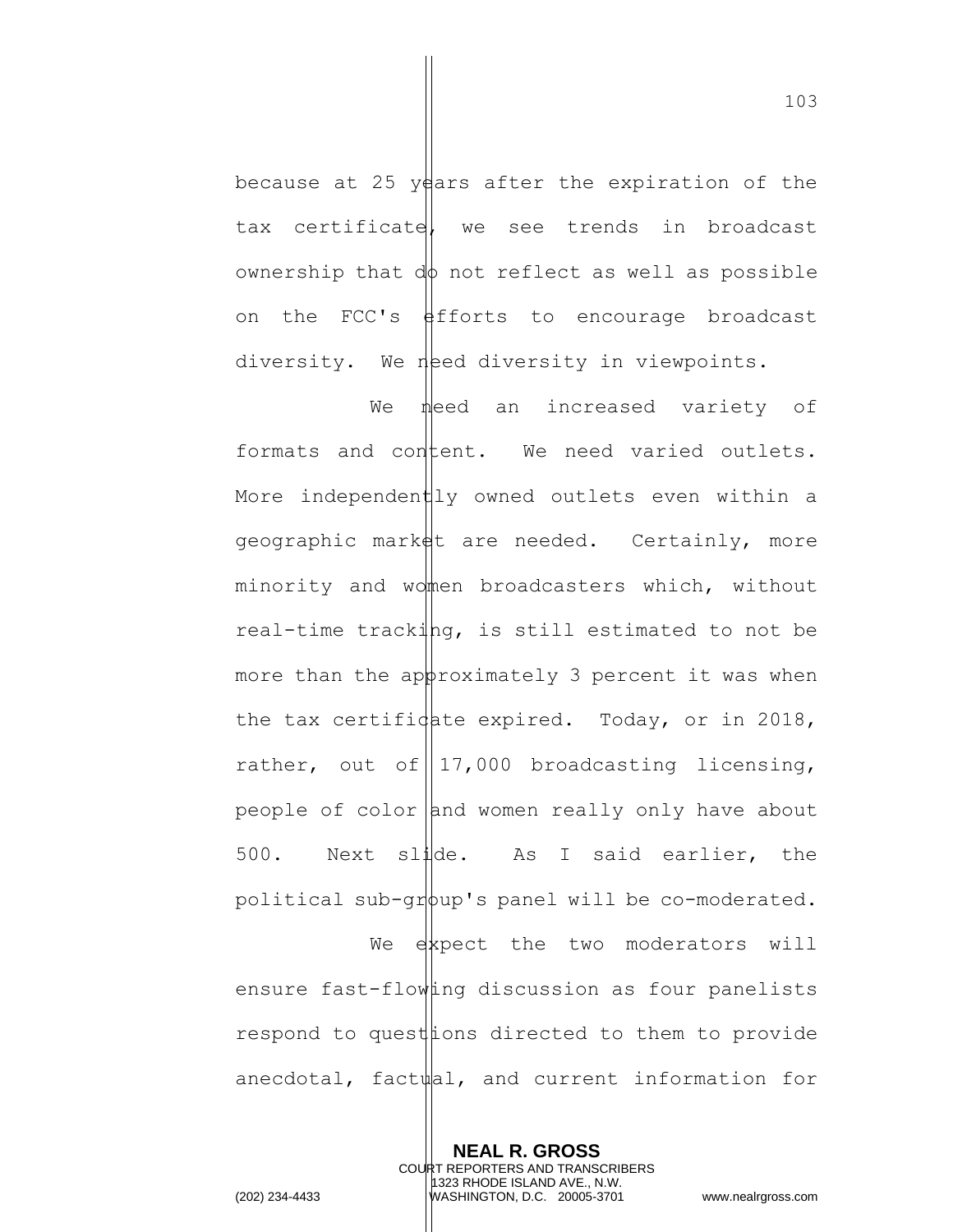because at 25 years after the expiration of the tax certificate, we see trends in broadcast ownership that  $d\phi$  not reflect as well as possible on the FCC's  $\frac{1}{2}$  fiforts to encourage broadcast diversity. We need diversity in viewpoints.

We need an increased variety of formats and content. We need varied outlets. More independently owned outlets even within a geographic market are needed. Certainly, more minority and women broadcasters which, without real-time tracking, is still estimated to not be more than the approximately 3 percent it was when the tax certificate expired. Today, or in 2018, rather, out of  $\left| \frac{17,000}{ } \right|$  broadcasting licensing, people of  $color|$  and women really only have about 500. Next slide. As I said earlier, the political sub-group's panel will be co-moderated.

We expect the two moderators will ensure fast-flowing discussion as four panelists respond to quest tons directed to them to provide anecdotal, factual, and current information for

> **NEAL R. GROSS** COURT REPORTERS AND TRANSCRIBERS 1323 RHODE ISLAND AVE., N.W.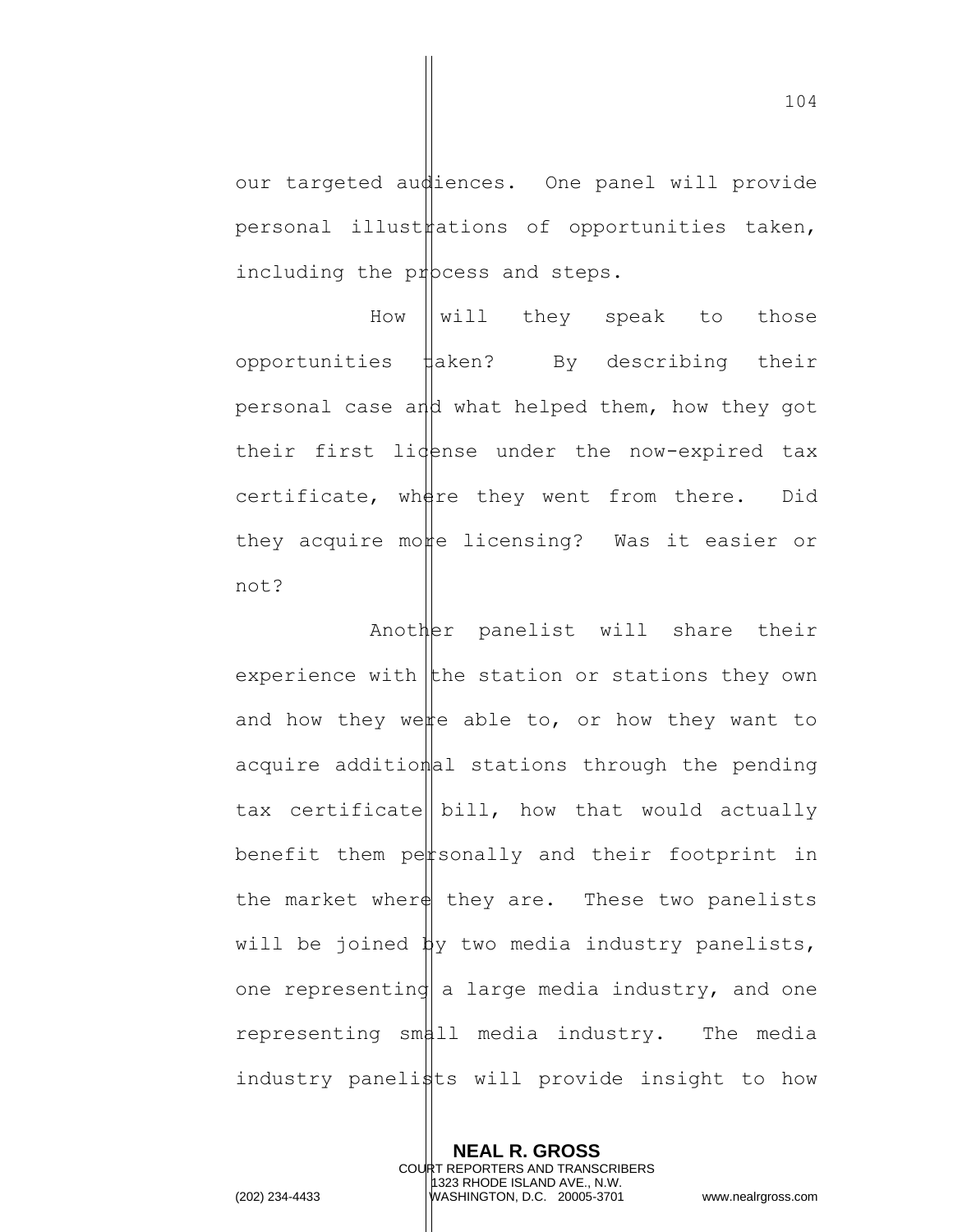our targeted audiences. One panel will provide  $personal$  illust $\sharp$ ations of opportunities taken, including the process and steps.

How  $\parallel$  will they speak to those opportunities  $\sharp$ aken? By describing their personal case and what helped them, how they got their first lidense under the now-expired tax certificate, where they went from there. Did they acquire more licensing? Was it easier or not?

Another panelist will share their experience with the station or stations they own and how they were able to, or how they want to acquire additional stations through the pending tax certificate  $\|$  bill, how that would actually benefit them personally and their footprint in the market where they are. These two panelists will be joined  $\frac{1}{2}y$  two media industry panelists, one representing a large media industry, and one representing small media industry. The media industry panelists will provide insight to how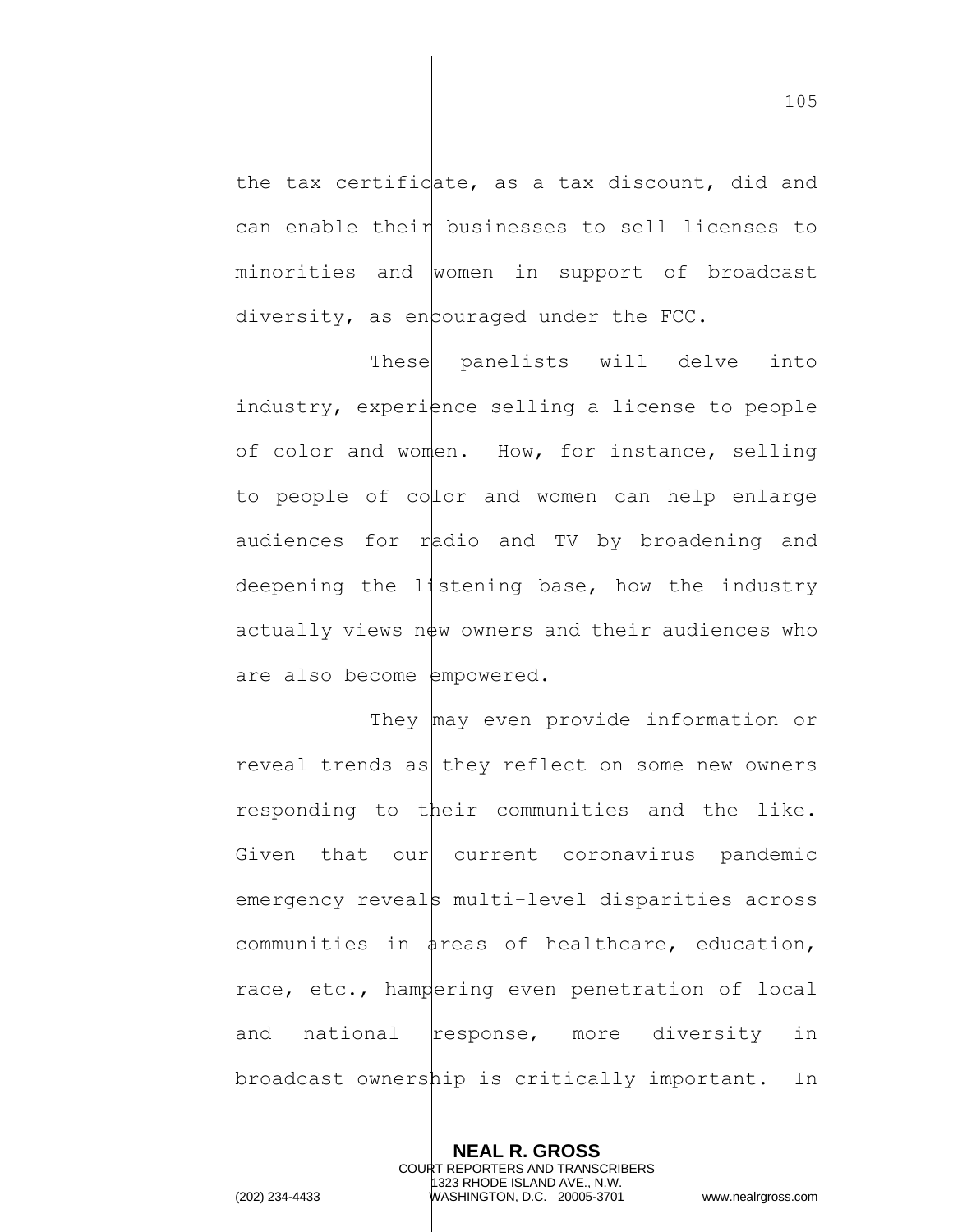the tax certifi $\psi$  as a tax discount, did and can enable thei $\sharp$  businesses to sell licenses to minorities and women in support of broadcast diversity, as encouraged under the FCC.

These panelists will delve into industry, experience selling a license to people of color and women. How, for instance, selling to people of  $c\phi$ lor and women can help enlarge audiences for  $\sharp$  adio and TV by broadening and deepening the  $1\frac{1}{1}$ stening base, how the industry actually views  $n \neq w$  owners and their audiences who are also become  $|$ empowered.

They  $\lfloor$ may even provide information or reveal trends as they reflect on some new owners responding to their communities and the like. Given that our current coronavirus pandemic emergency reveals multi-level disparities across communities in  $\frac{1}{4}$  reas of healthcare, education, race, etc., hampering even penetration of local and national  $\left|$  response, more diversity in broadcast ownership is critically important. In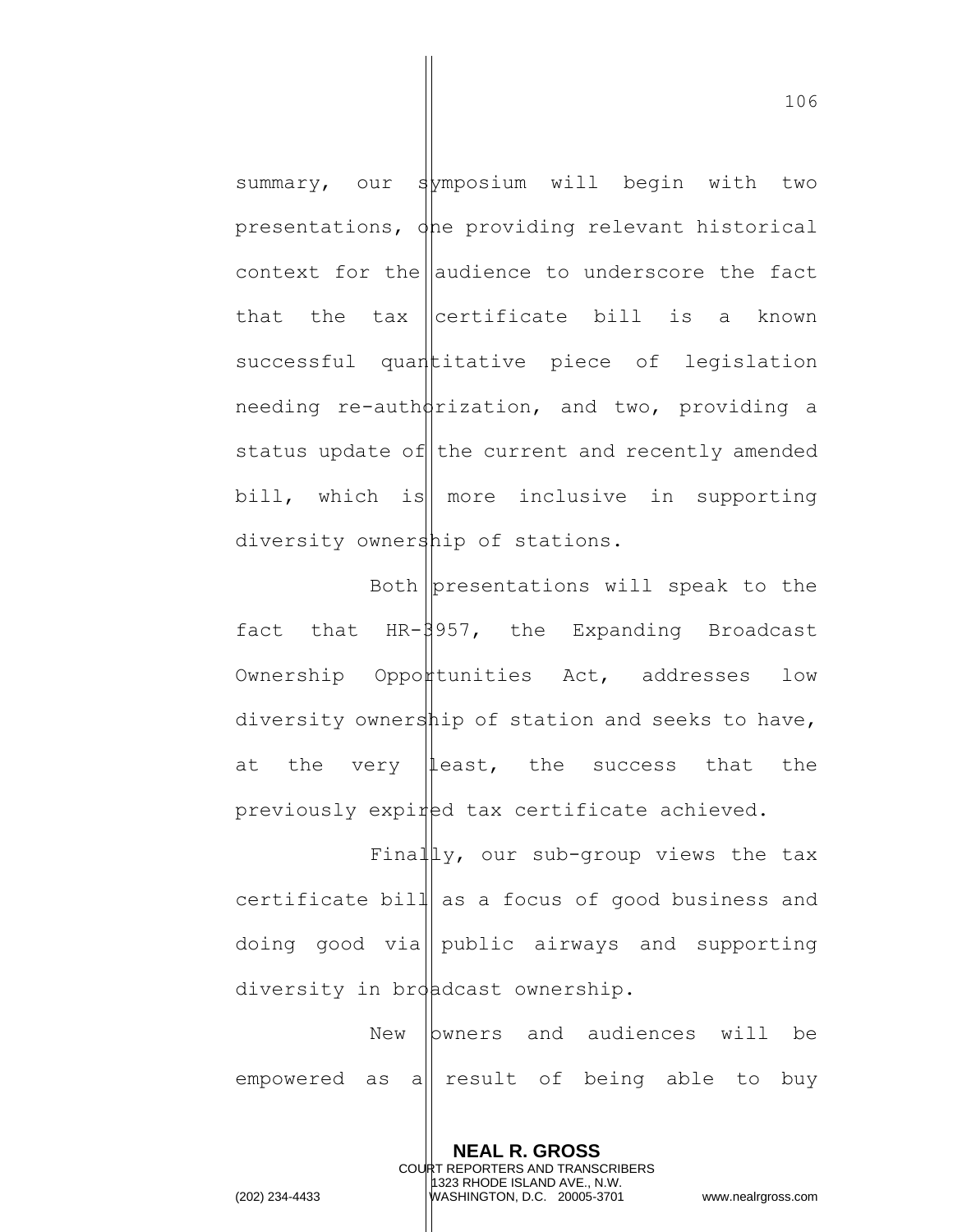summary, our symposium will begin with two presentations, one providing relevant historical context for the audience to underscore the fact that the tax certificate bill is a known successful quantitative piece of legislation needing re-auth $\frac{d}{dx}$ ization, and two, providing a status update of the current and recently amended bill, which is more inclusive in supporting diversity ownership of stations.

Both presentations will speak to the fact that  $HR-\frac{957}{1}$ , the Expanding Broadcast  $Ownership$   $Oppo$ <sup> $#$ </sup>tunities  $Act$ , addresses low diversity ownership of station and seeks to have, at the very least, the success that the previously expired tax certificate achieved.

Finally, our sub-group views the tax certificate bill as a focus of good business and doing good via public airways and supporting diversity in broadcast ownership.

New *bwners* and audiences will be empowered as a result of being able to buy

> **NEAL R. GROSS** COURT REPORTERS AND TRANSCRIBERS 1323 RHODE ISLAND AVE., N.W.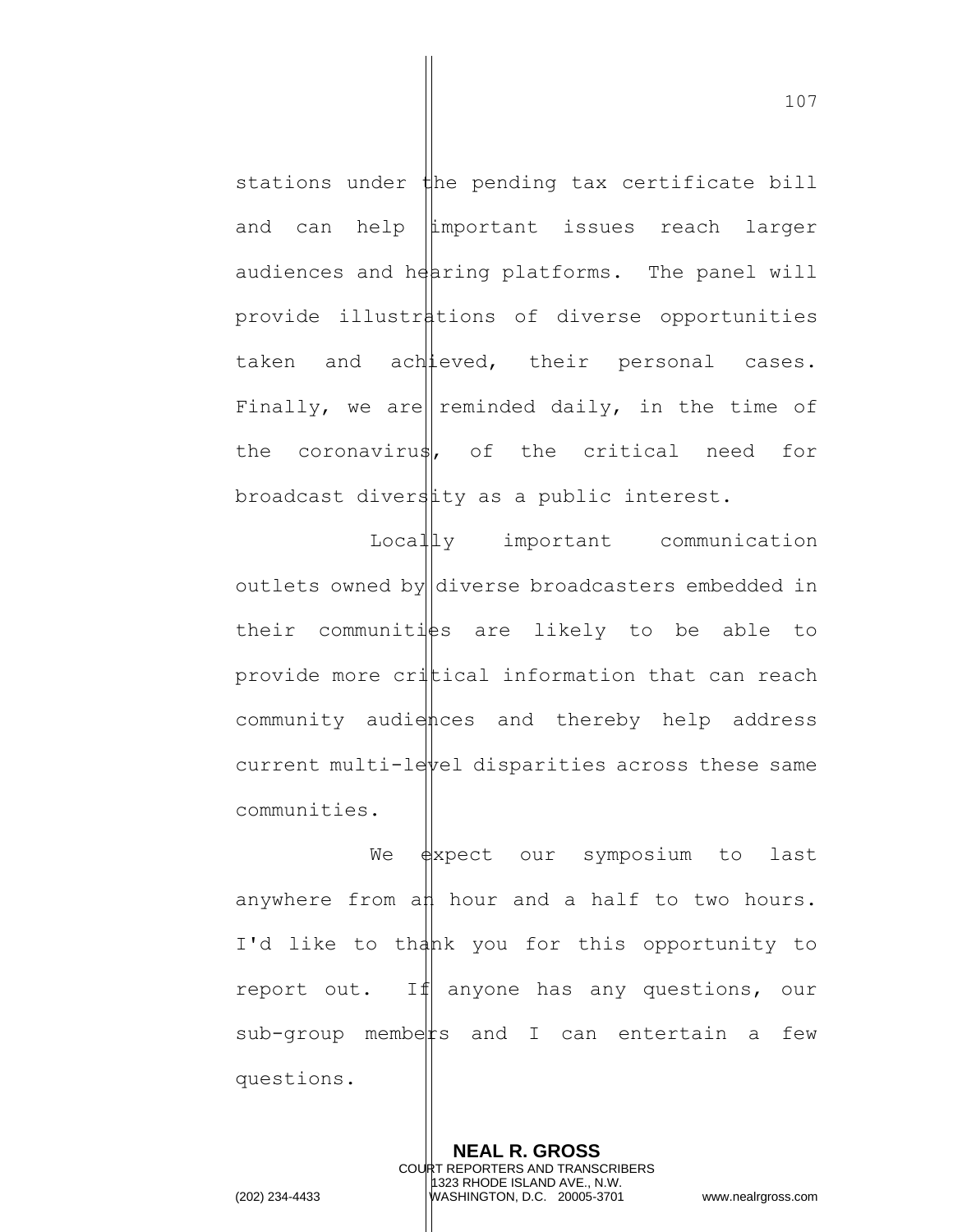stations under  $\sharp$ he pending tax certificate bill and can help important issues reach larger audiences and  $h$ earing platforms. The panel will provide illustrations of diverse opportunities taken and achieved, their personal cases. Finally, we are reminded daily, in the time of the coronavirus, of the critical need for broadcast diverstity as a public interest.

LocalLy important communication outlets owned by diverse broadcasters embedded in their communities are likely to be able to provide more critical information that can reach community audiences and thereby help address current multi-level disparities across these same communities.

We  $\frac{1}{2}$  we  $\frac{1}{2}$  are symposium to last anywhere from an hour and a half to two hours. I'd like to thank you for this opportunity to report out. If anyone has any questions, our  $sub$ -group members and I can entertain a few questions.

> **NEAL R. GROSS** COURT REPORTERS AND TRANSCRIBERS 1323 RHODE ISLAND AVE., N.W.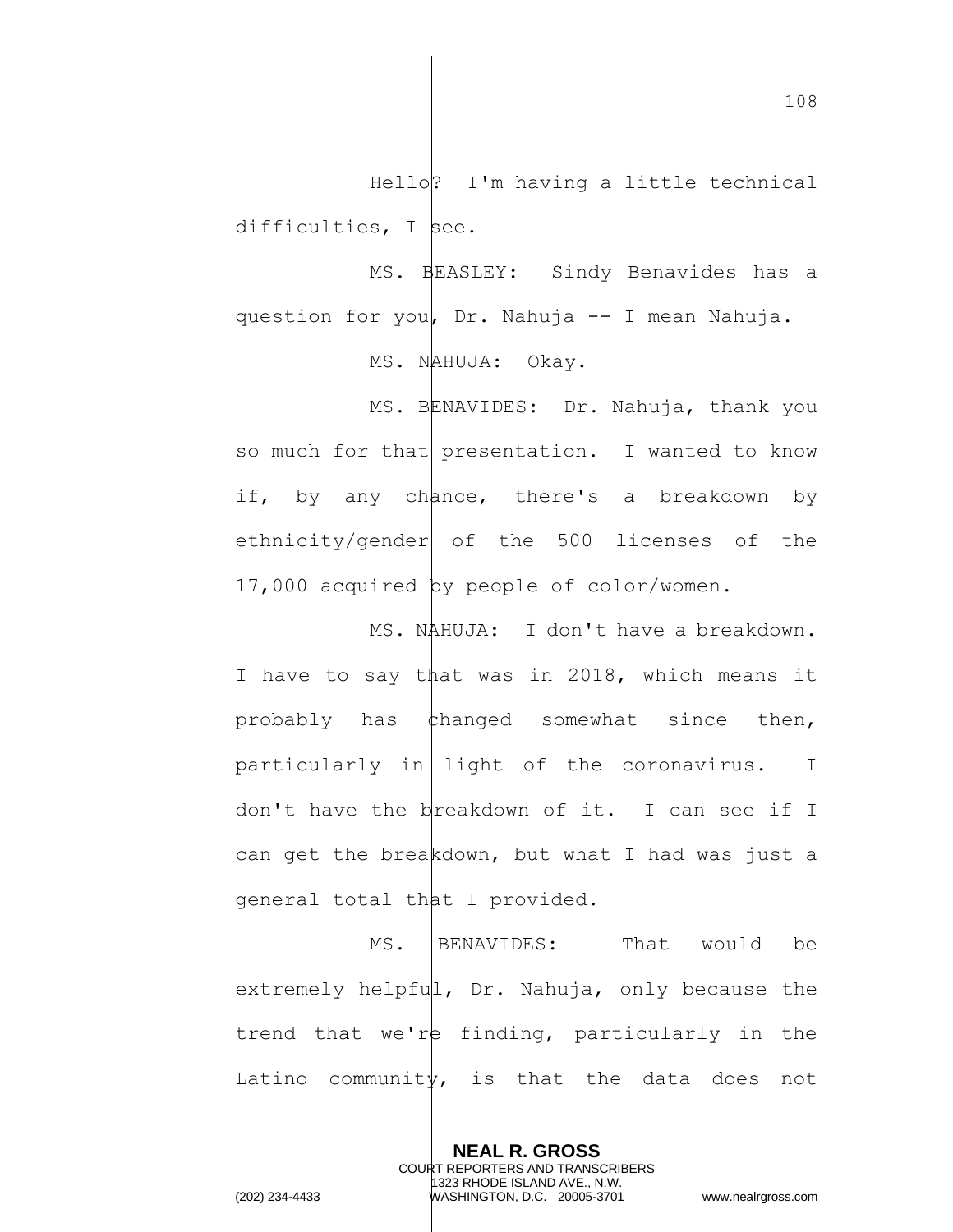$Hello?$  I'm having a little technical difficulties,  $I$  see. MS. BEASLEY: Sindy Benavides has a

question for you, Dr. Nahuja -- I mean Nahuja. MS. NAHUJA: Okay.

MS. BENAVIDES: Dr. Nahuja, thank you so much for that presentation. I wanted to know if, by any chance, there's a breakdown by ethnicity/gender of the  $500$  licenses of the 17,000 acquired by people of color/women.

MS. NAHUJA: I don't have a breakdown. I have to say that was in 2018, which means it probably has  $\phi$  thanged somewhat since then, particularly in  $\left| \right|$  light of the coronavirus. I don't have the  $\frac{1}{2}$  reakdown of it. I can see if I can get the breakdown, but what I had was just a general total that I provided.

MS. IBENAVIDES: That would be extremely helpf $\|\cdot\|$ , Dr. Nahuja, only because the trend that we're finding, particularly in the Latino community, is that the data does not

> **NEAL R. GROSS** COURT REPORTERS AND TRANSCRIBERS 1323 RHODE ISLAND AVE., N.W.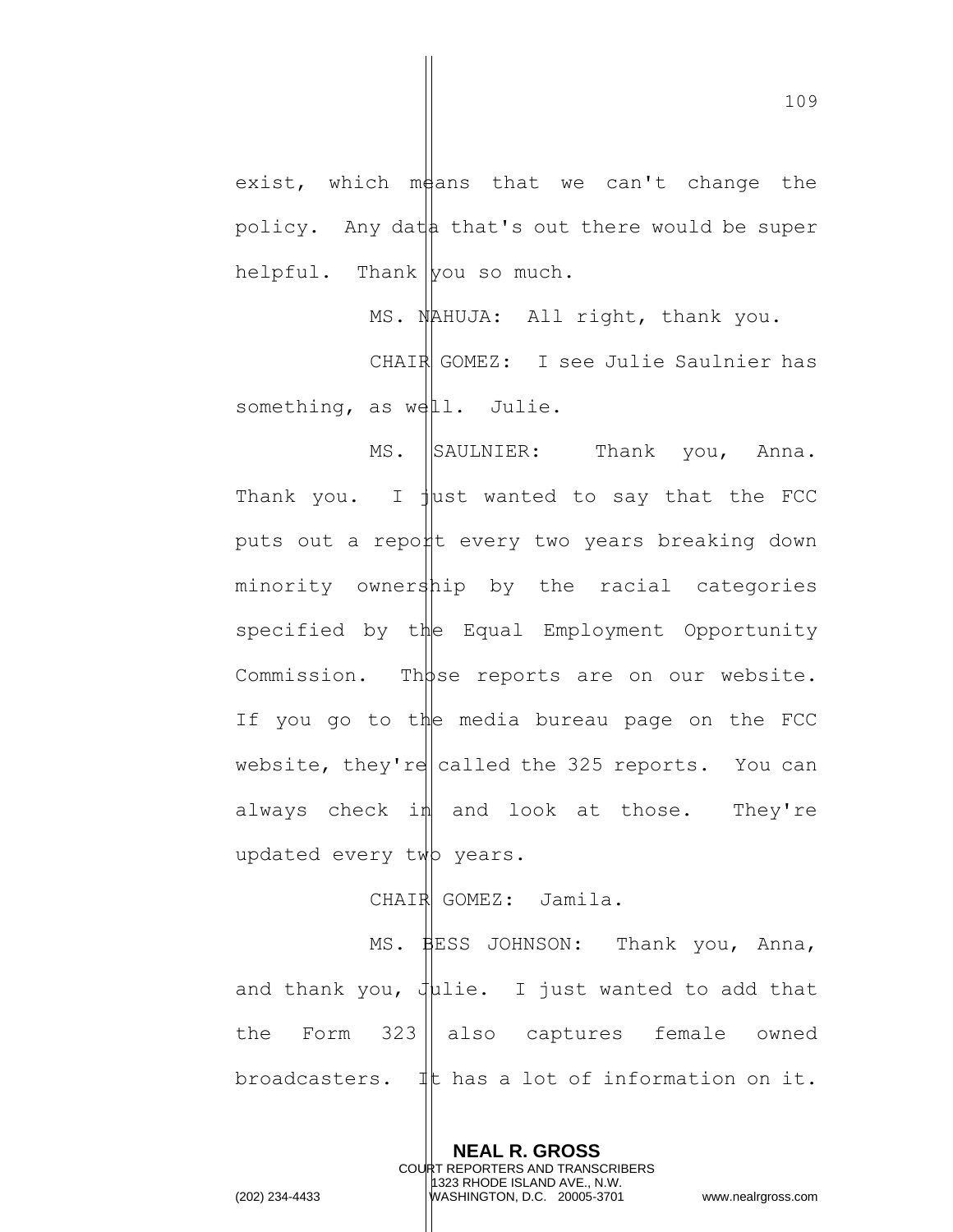exist, which means that we can't change the policy. Any dat  $\phi$  that's out there would be super helpful. Thank  $|$ you so much.

MS. NAHUJA: All right, thank you. CHAIR GOMEZ: I see Julie Saulnier has something, as well. Julie.

MS. SAULNIER: Thank you, Anna. Thank you. I  $\frac{1}{1}$ ust wanted to say that the FCC puts out a report every two years breaking down minority ownership by the racial categories specified by the Equal Employment Opportunity Commission. Those reports are on our website. If you go to the media bureau page on the FCC website, they're called the 325 reports. You can always check  $i$ <sup> $\parallel$ </sup> and look at those. They're updated every twp years.

CHAIR GOMEZ: Jamila.

MS. BESS JOHNSON: Thank you, Anna, and thank you,  $J\mu$ lie. I just wanted to add that the Form  $323$  also captures female owned broadcasters. It has a lot of information on it.

> **NEAL R. GROSS** COURT REPORTERS AND TRANSCRIBERS 1323 RHODE ISLAND AVE., N.W.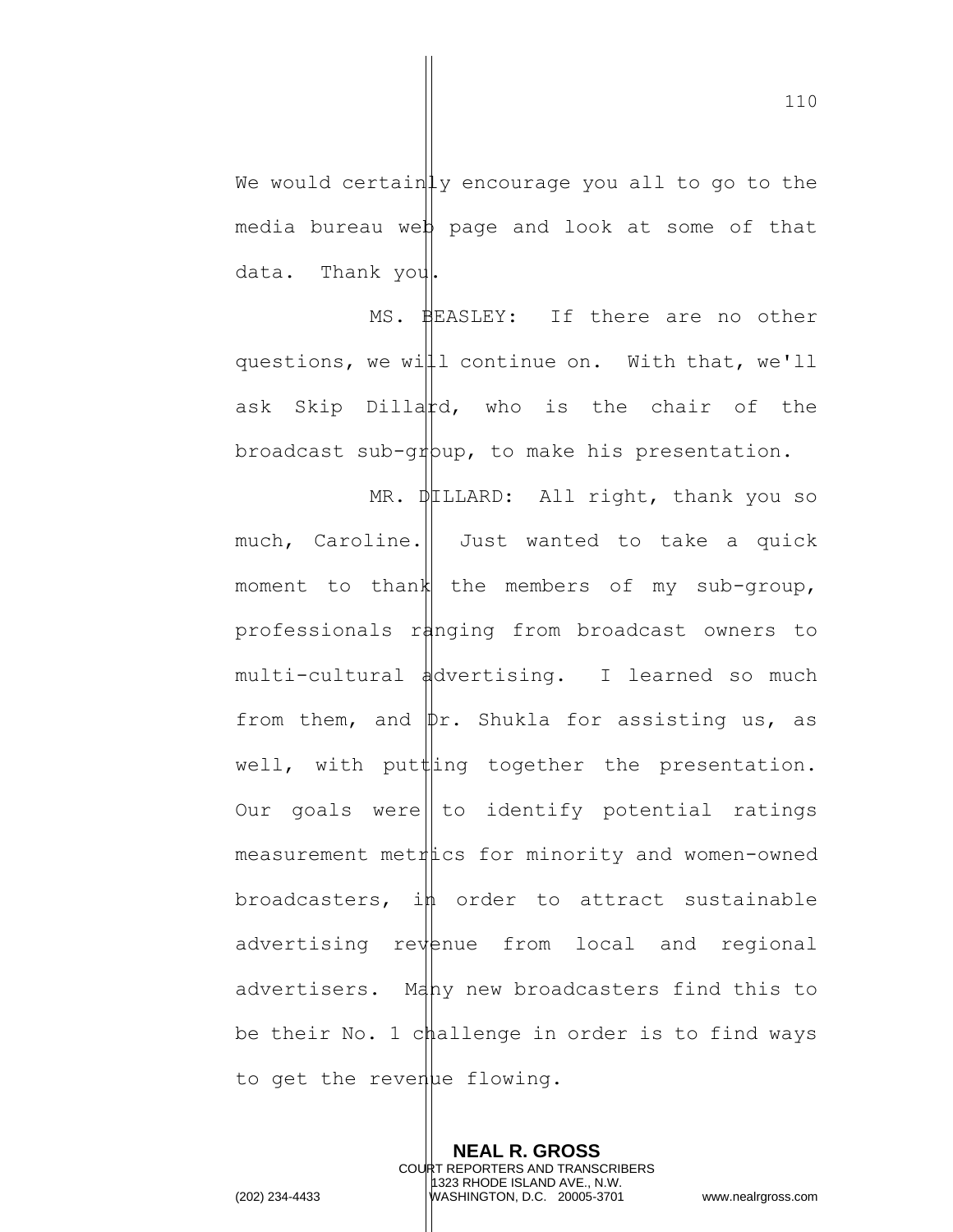We would certainly encourage you all to go to the media bureau web page and look at some of that data. Thank you.

MS. BEASLEY: If there are no other questions, we will continue on. With that, we'll ask Skip Dillatd, who is the chair of the broadcast sub-g $\psi$ up, to make his presentation.

MR.  $\psi$ LLLARD: All right, thank you so much, Caroline. Just wanted to take a quick moment to thank the members of my sub-group, professionals ranging from broadcast owners to multi-cultural advertising. I learned so much from them, and  $\psi$ r. Shukla for assisting us, as well, with putting together the presentation. Our goals were | to identify potential ratings measurement metitics for minority and women-owned broadcasters,  $i$ h order to attract sustainable  $advertising$  re $v$ enue from local and regional advertisers. Mahy new broadcasters find this to be their No. 1 challenge in order is to find ways to get the revenue flowing.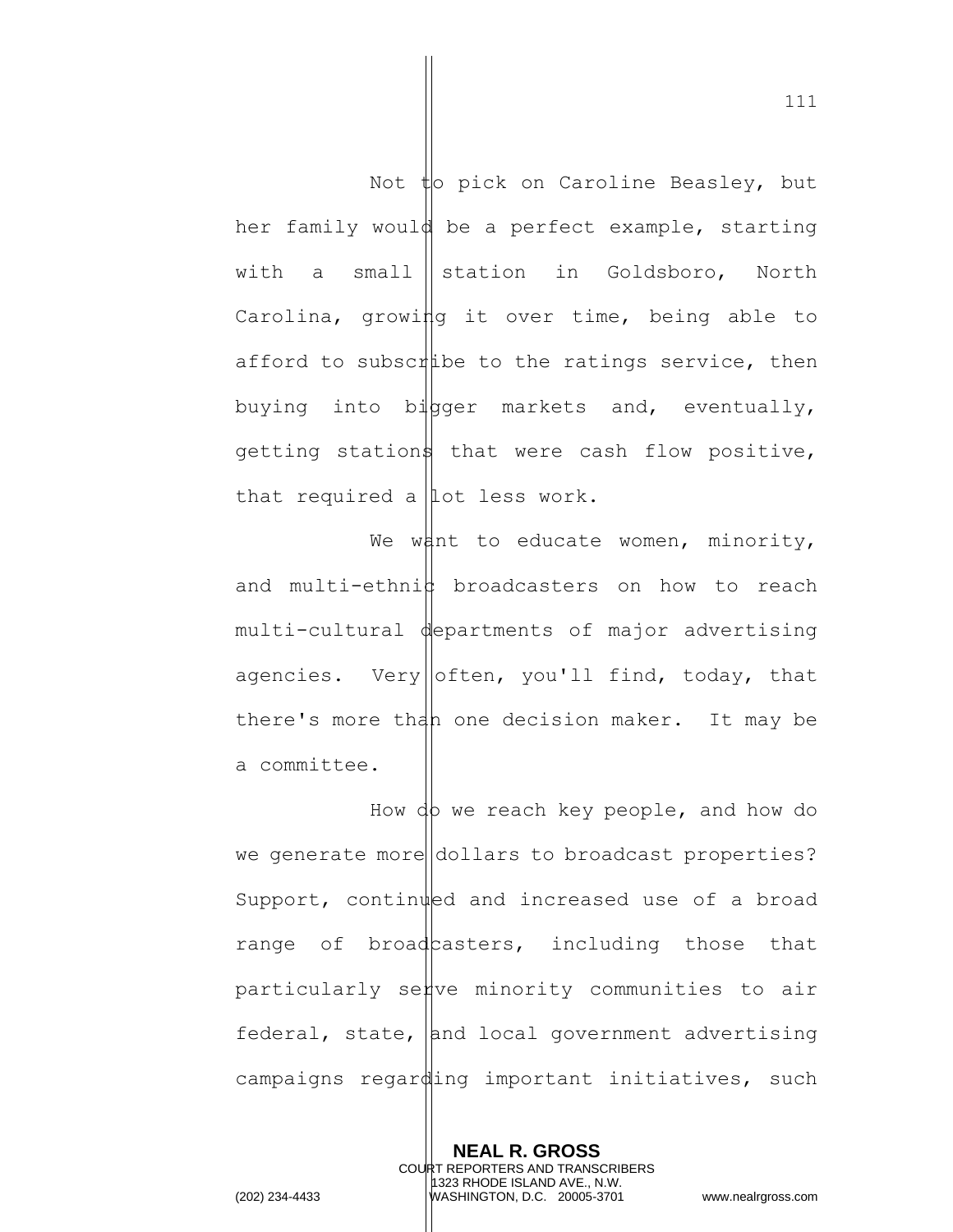Not to pick on Caroline Beasley, but her family would be a perfect example, starting with a small station in Goldsboro, North Carolina, growing it over time, being able to afford to subscribe to the ratings service, then buying into bigger markets and, eventually, getting stations that were cash flow positive, that required a  $\vert$  lot less work.

We want to educate women, minority, and multi-ethni $\sharp$  broadcasters on how to reach multi-cultural departments of major advertising agencies. Very often, you'll find, today, that there's more than one decision maker. It may be a committee.

How do we reach key people, and how do we generate more dollars to broadcast properties? Support, continued and increased use of a broad range of broad casters, including those that particularly serve minority communities to air federal, state, and local government advertising campaigns regarding important initiatives, such

> **NEAL R. GROSS** COURT REPORTERS AND TRANSCRIBERS 1323 RHODE ISLAND AVE., N.W.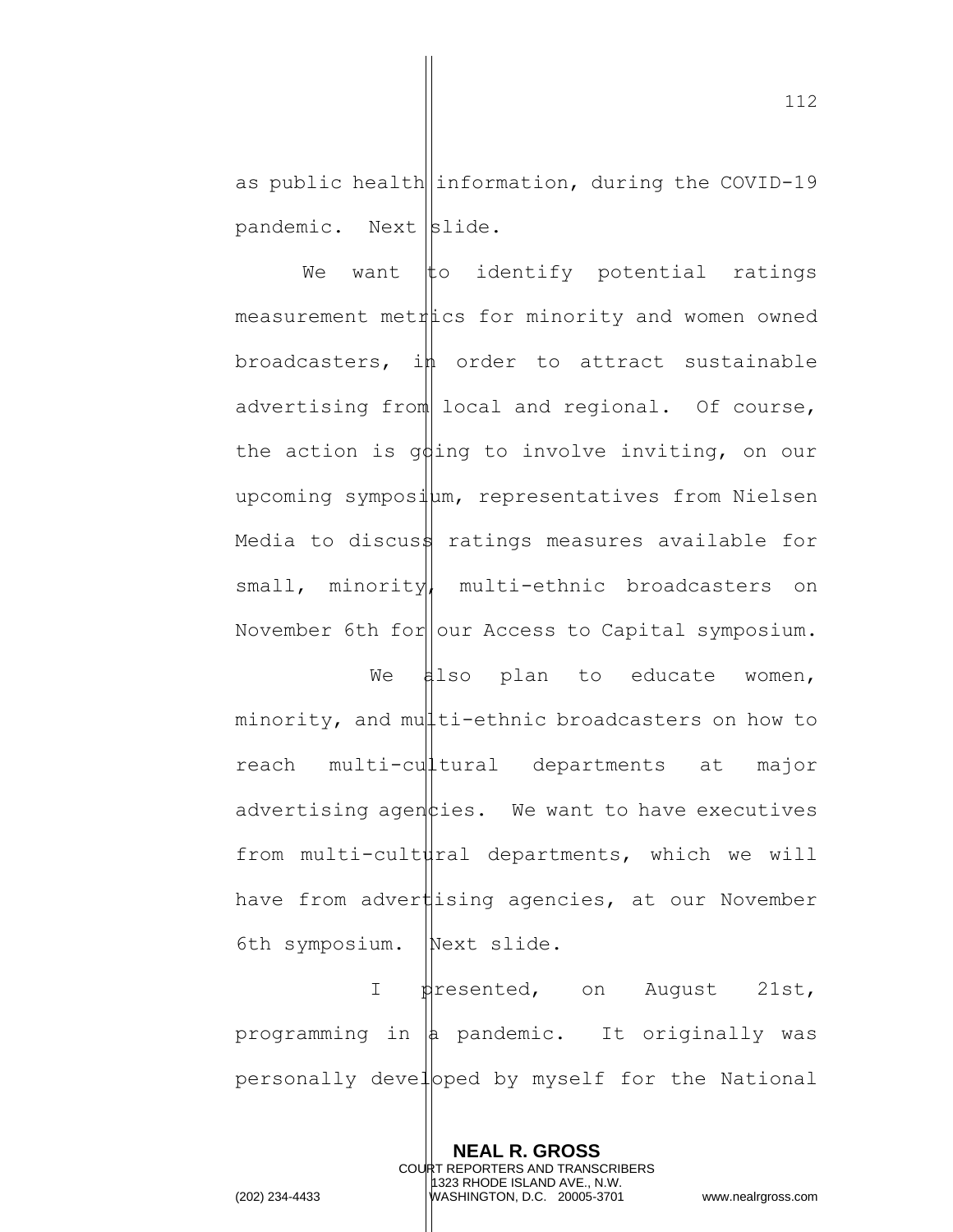as public health information, during the COVID-19 pandemic. Next slide.

We want  $\sharp$ o identify potential ratings measurement metitics for minority and women owned broadcasters, in order to attract sustainable advertising from local and regional. Of course, the action is going to involve inviting, on our upcoming sympositum, representatives from Nielsen Media to discus $\frac{1}{2}$  ratings measures available for small, minority, multi-ethnic broadcasters on November 6th for our Access to Capital symposium.

We  $\sharp$ lso plan to educate women, minority, and multi-ethnic broadcasters on how to reach multi-cultural departments at major advertising agen  $\phi$ ies. We want to have executives from multi-cultural departments, which we will have from advertising agencies, at our November 6th symposium. Next slide.

I presented, on August 21st, programming in  $|a|$  pandemic. It originally was personally developed by myself for the National

> **NEAL R. GROSS** COURT REPORTERS AND TRANSCRIBERS 1323 RHODE ISLAND AVE., N.W.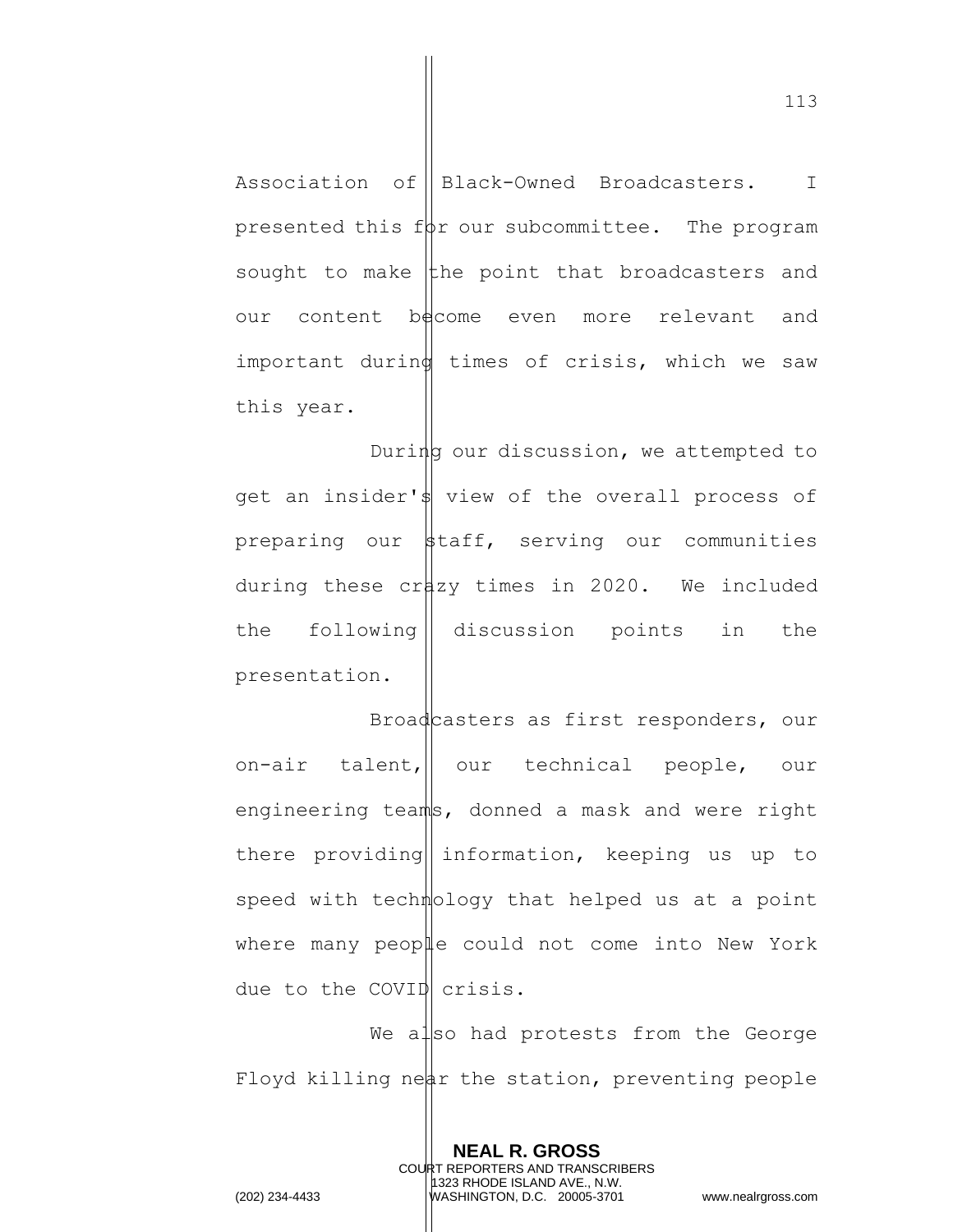Association of Black-Owned Broadcasters. I presented this for our subcommittee. The program sought to make  $\frac{1}{k}$  the point that broadcasters and our content become even more relevant and important during times of crisis, which we saw this year.

During our discussion, we attempted to get an insider's view of the overall process of preparing our  $\frac{1}{2}$ taff, serving our communities during these crazy times in 2020. We included the following discussion points in the presentation.

Broadcasters as first responders, our on-air talent, our technical people, our engineering teams, donned a mask and were right there providing information, keeping us up to speed with technology that helped us at a point where many people could not come into New York due to the COVID crisis.

We also had protests from the George Floyd killing near the station, preventing people

> **NEAL R. GROSS** COURT REPORTERS AND TRANSCRIBERS 1323 RHODE ISLAND AVE., N.W.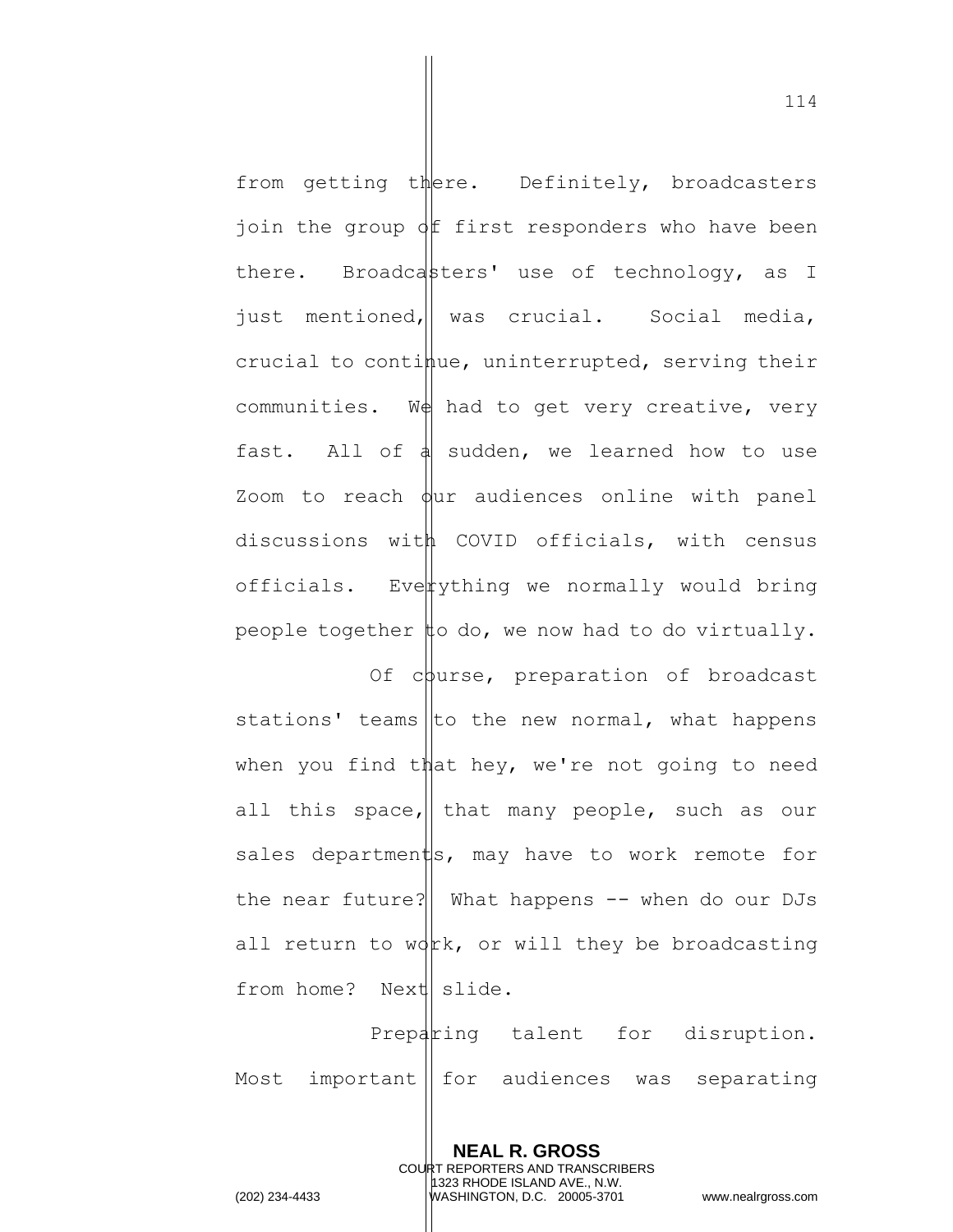from getting there. Definitely, broadcasters join the group  $\oint$  first responders who have been there. Broadcasters' use of technology, as I just mentioned, was crucial. Social media, crucial to continue, uninterrupted, serving their communities. We had to get very creative, very fast. All of  $\phi$  sudden, we learned how to use Zoom to reach  $\phi$ ur audiences online with panel discussions with COVID officials, with census officials. Everything we normally would bring people together  $\sharp$ o do, we now had to do virtually.

Of course, preparation of broadcast stations' teams to the new normal, what happens when you find that hey, we're not going to need all this space,  $\parallel$  that many people, such as our sales departments, may have to work remote for the near future? What happens  $-$  when do our DJs all return to  $wdx$ , or will they be broadcasting from home? Next slide.

Preparing talent for disruption. Most important | for audiences was separating

> **NEAL R. GROSS** COURT REPORTERS AND TRANSCRIBERS 1323 RHODE ISLAND AVE., N.W.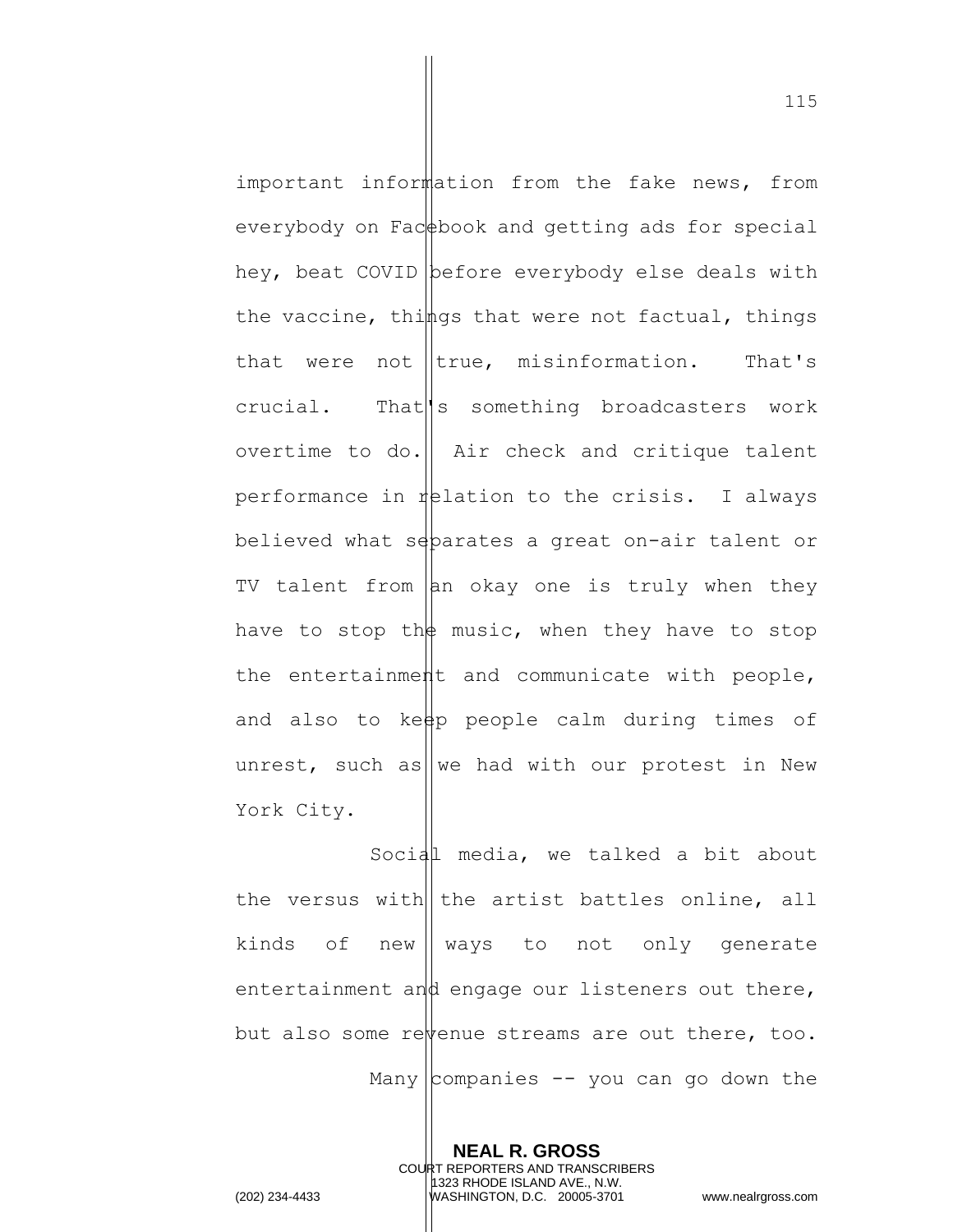important information from the fake news, from everybody on Fac  $\triangle$ book and getting ads for special hey, beat COVID before everybody else deals with the vaccine, things that were not factual, things that were not  $|$ true, misinformation. That's crucial. That something broadcasters work overtime to do.  $\parallel$  Air check and critique talent performance in  $\frac{1}{2}$  relation to the crisis. I always believed what separates a great on-air talent or TV talent from  $\vert$ an okay one is truly when they have to stop th $\frac{1}{2}$  music, when they have to stop the entertainment and communicate with people, and also to keep people calm during times of unrest, such as we had with our protest in New York City.

Social media, we talked a bit about the versus with the artist battles online, all kinds of new  $\parallel$  ways to not only generate entertainment and engage our listeners out there, but also some revenue streams are out there, too. Many companies  $-$  you can go down the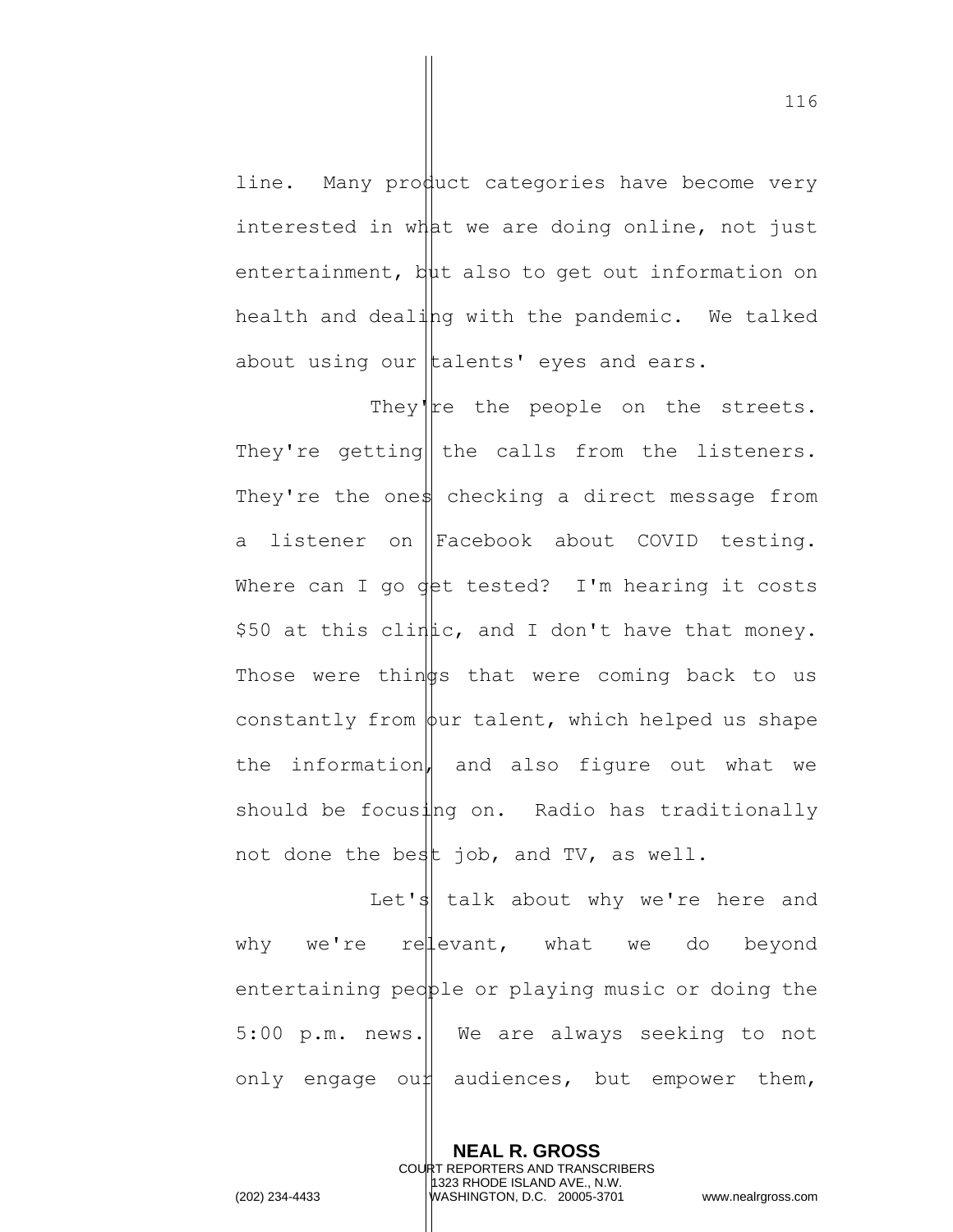line. Many product categories have become very interested in what we are doing online, not just entertainment, but also to get out information on health and dealing with the pandemic. We talked about using our  $\|$ talents' eyes and ears.

They're the people on the streets. They're getting|| the calls from the listeners. They're the ones checking a direct message from a listener on Facebook about COVID testing. Where can I go  $\det$  tested? I'm hearing it costs  $$50$  at this clinic, and I don't have that money. Those were thin  $\frac{1}{9}$ s that were coming back to us constantly from  $\phi$ ur talent, which helped us shape the information, and also figure out what we should be focusing on. Radio has traditionally not done the best job, and TV, as well.

Let's talk about why we're here and why we're relevant, what we do beyond entertaining pedple or playing music or doing the  $5:00$  p.m. news. We are always seeking to not only engage our audiences, but empower them,

> **NEAL R. GROSS** COURT REPORTERS AND TRANSCRIBERS 1323 RHODE ISLAND AVE., N.W.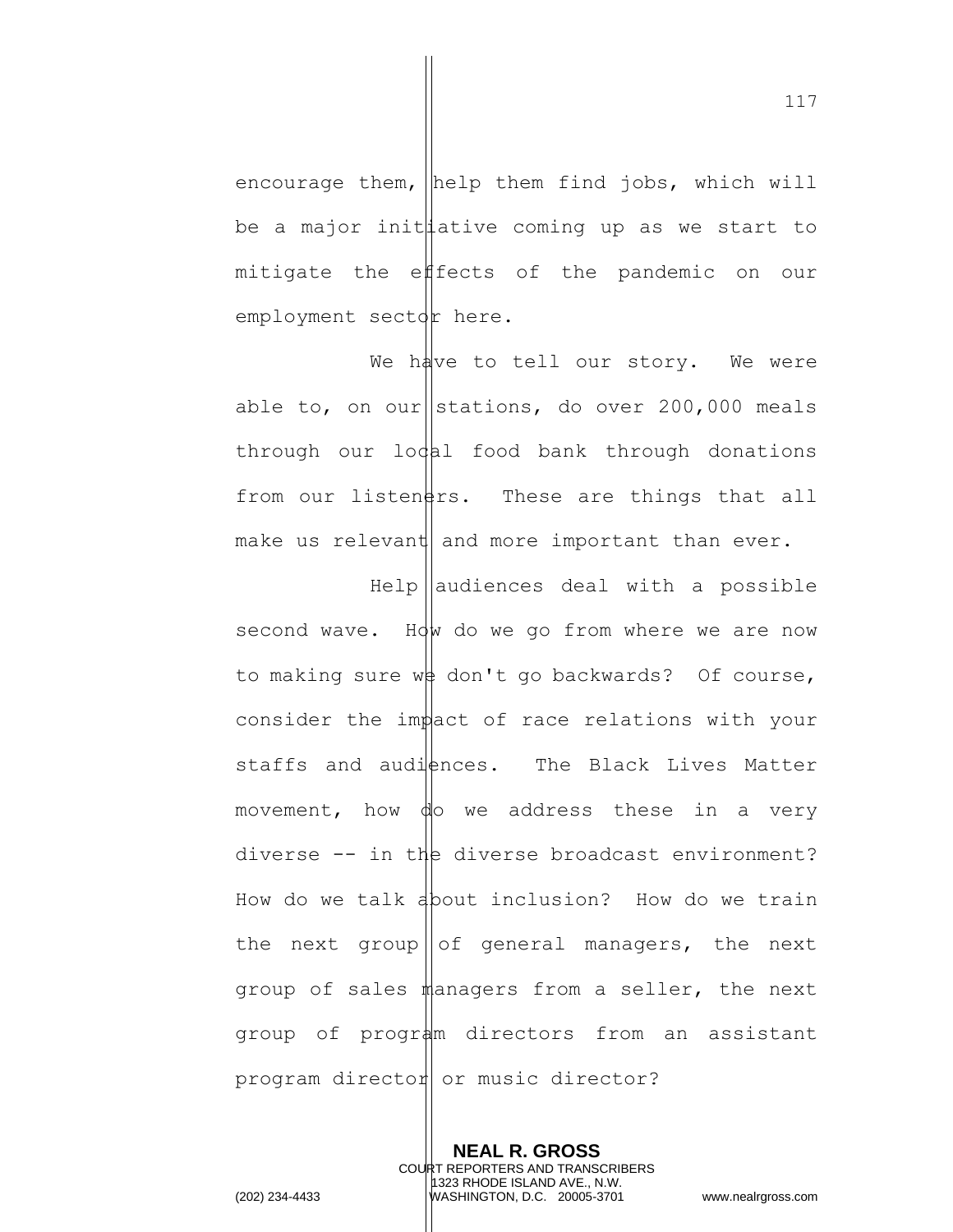encourage them,  $\|$ help them find jobs, which will be a major init  $l$  ative coming up as we start to mitigate the effects of the pandemic on our employment sector here.

We have to tell our story. We were able to, on our stations, do over 200,000 meals  $through our$   $loq$ al food bank through donations from our listen $\frac{1}{2}$ rs. These are things that all make us relevant and more important than ever.

 $He1p$  audiences deal with a possible second wave. How do we go from where we are now to making sure  $w\phi$  don't go backwards? Of course, consider the impact of race relations with your staffs and audiences. The Black Lives Matter movement, how  $\phi$  we address these in a very diverse  $--$  in the diverse broadcast environment? How do we talk about inclusion? How do we train the next group of general managers, the next group of sales managers from a seller, the next group of program directors from an assistant program director or music director?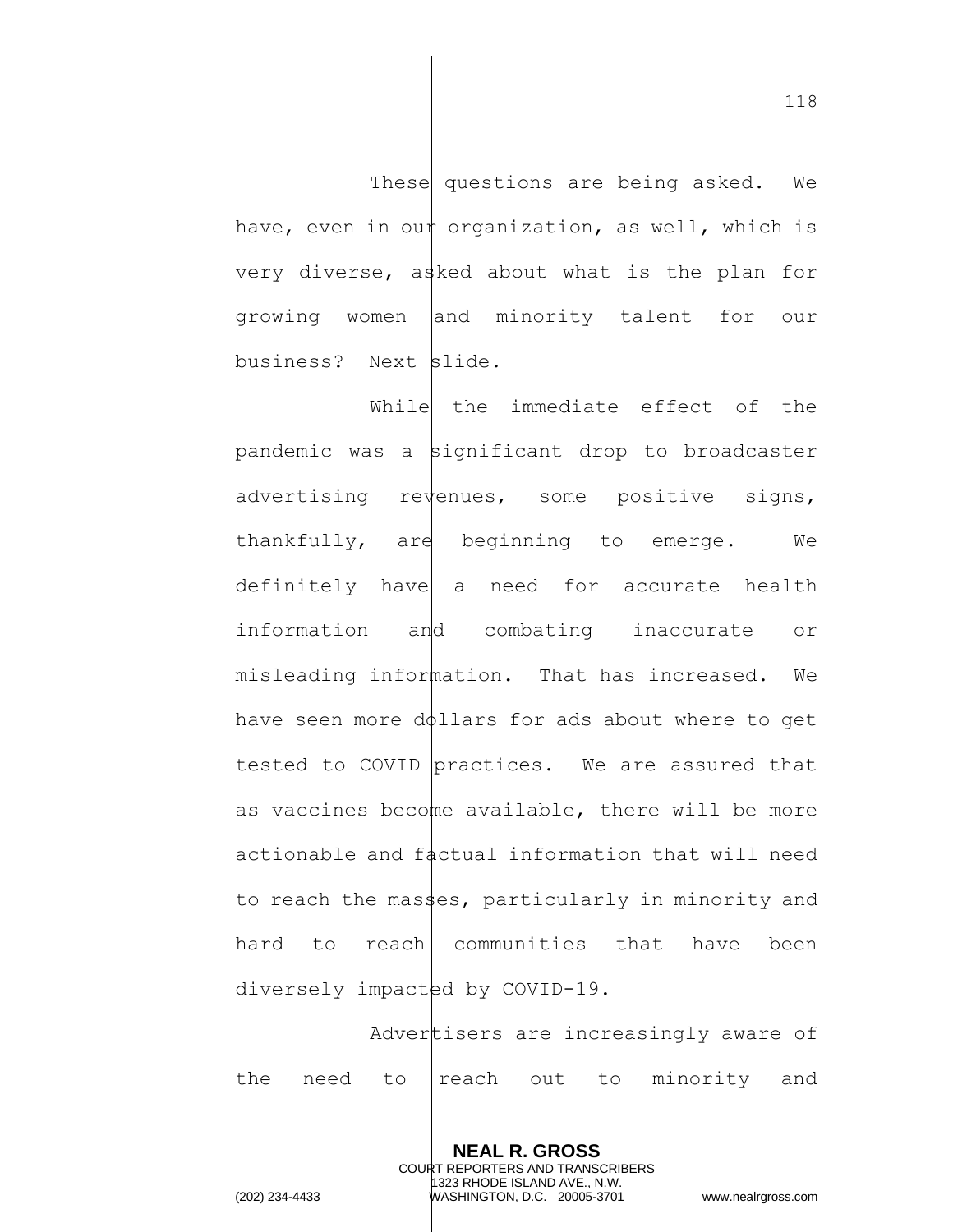These questions are being asked. We have, even in our organization, as well, which is very diverse, asked about what is the plan for growing women and minority talent for our business? Next  $\left| \text{slide.} \right|$ 

While  $t$  the immediate effect of the pandemic was a significant drop to broadcaster advertising re $\psi$ enues, some positive signs, thankfully,  $\argh$  beginning to emerge. We definitely have a need for accurate health information amd combating inaccurate or misleading information. That has increased. We have seen more dollars for ads about where to get tested to COVID practices. We are assured that as vaccines become available, there will be more actionable and  $f$  actual information that will need to reach the masses, particularly in minority and hard to reach communities that have been diversely impacted by COVID-19.

Advertisers are increasingly aware of the need to reach out to minority and

> **NEAL R. GROSS** COURT REPORTERS AND TRANSCRIBERS 1323 RHODE ISLAND AVE., N.W.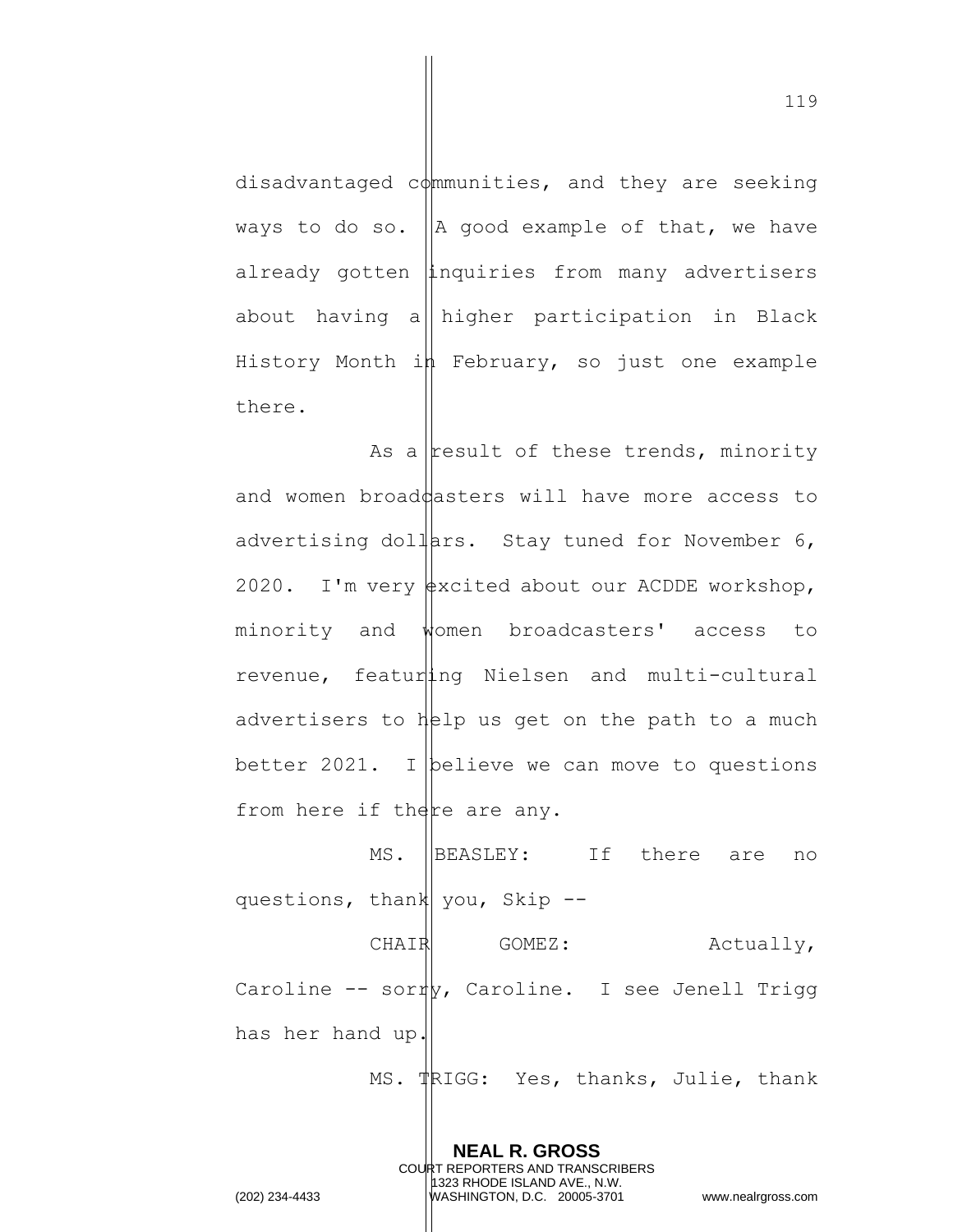disadvantaged  $c\phi$ mmunities, and they are seeking ways to do so.  $\|A\|$  good example of that, we have already gotten inquiries from many advertisers about having a higher participation in Black History Month in February, so just one example there.

As a result of these trends, minority and women broad $\beta$ asters will have more access to advertising dollars. Stay tuned for November  $6$ , 2020. I'm very  $\frac{1}{2}$  very a about our ACDDE workshop, minority and women broadcasters' access to revenue, featuring Nielsen and multi-cultural advertisers to  $h[2]$  us get on the path to a much better 2021. I believe we can move to questions from here if there are any.

MS. BEASLEY: If there are no questions, thank you, Skip  $-$ -

CHAIR GOMEZ: Actually, Caroline  $-$  sor $\psi$ , Caroline. I see Jenell Trigg has her hand up.

**NEAL R. GROSS**

MS. TRIGG: Yes, thanks, Julie, thank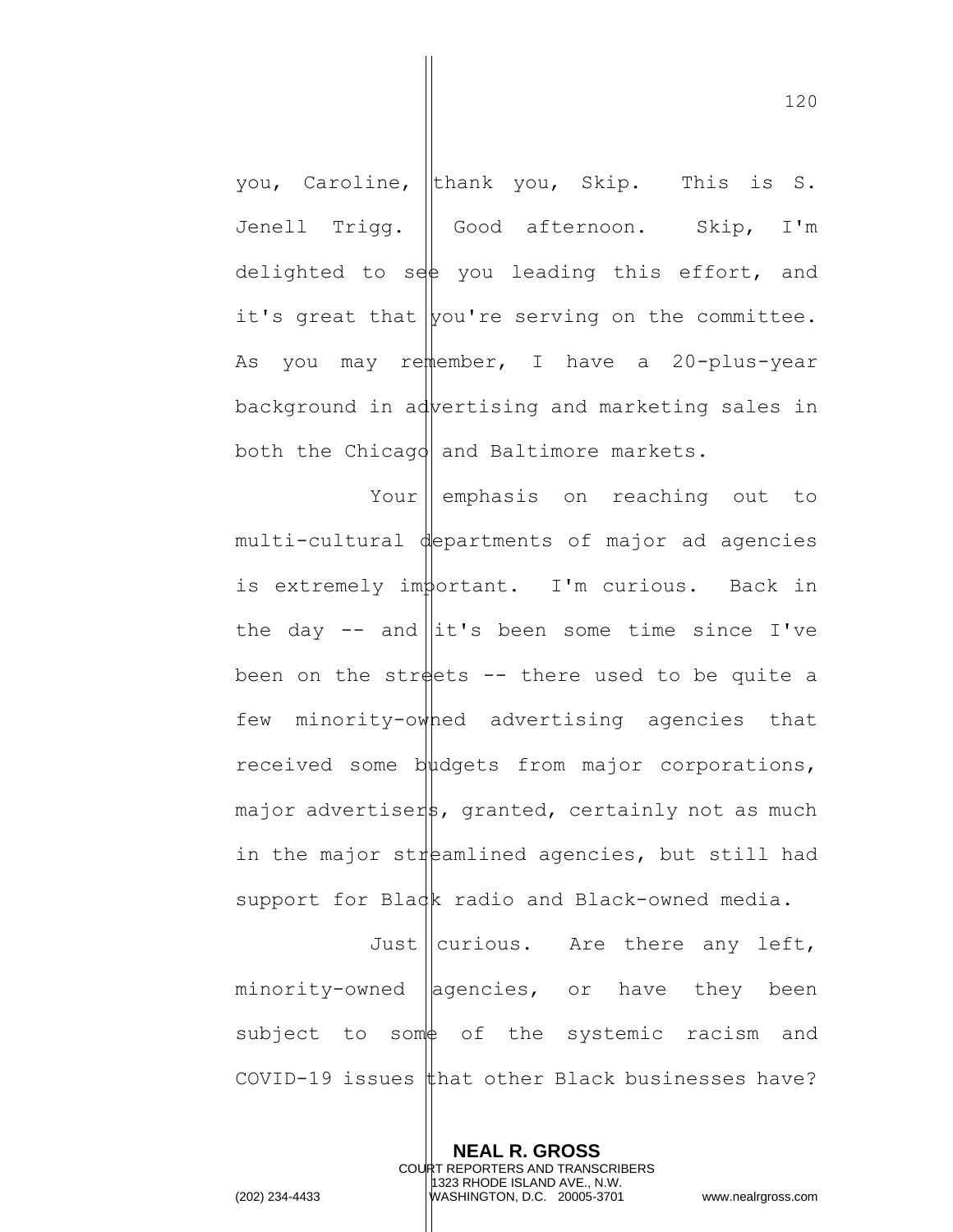you, Caroline, thank you, Skip. This is S. Jenell Trigg. || Good afternoon. Skip, I'm delighted to see you leading this effort, and it's great that  $|$ you're serving on the committee. As you may remember, I have a 20-plus-year background in advertising and marketing sales in both the Chicago and Baltimore markets.

Your emphasis on reaching out to multi-cultural departments of major ad agencies is extremely important. I'm curious. Back in the day  $-$  and  $\left| \frac{1}{x} \right|$  been some time since I've been on the streets  $-$ - there used to be quite a few minority-owned advertising agencies that received some budgets from major corporations,  $mapor$  advertisers, granted, certainly not as much in the major streamlined agencies, but still had support for Black radio and Black-owned media.

Just  $\|$  curious. Are there any left,  $minority-ovned$   $|aqencies, cor$  have they been subject to some of the systemic racism and COVID-19 issues  $\sharp$ hat other Black businesses have?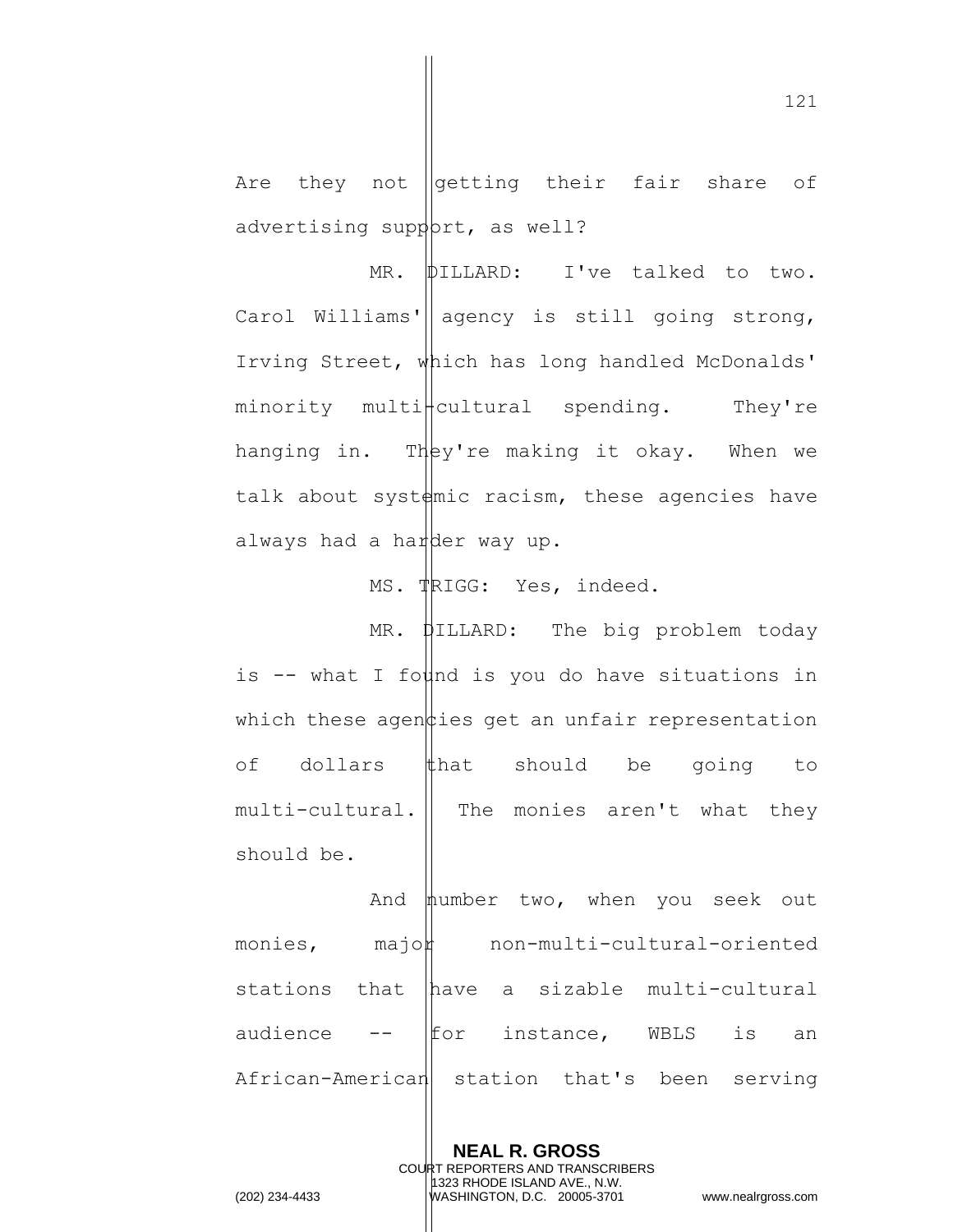Are they not  $\sqrt{\det f}$  their fair share of advertising support, as well?

MR. **DILLARD:** I've talked to two. Carol Williams'| agency is still going strong, Irving Street, which has long handled McDonalds'  $minority$  multi $\frac{1}{1}$ cultural spending. They're hanging in. They're making it okay. When we talk about syst $\frac{d}{dx}$  racism, these agencies have always had a harder way up.

MS. TRIGG: Yes, indeed.

MR. **DILLARD:** The big problem today is  $-$  what I found is you do have situations in which these agen  $\sharp$  ies get an unfair representation of dollars  $\sharp$ hat should be going to  $multicircularal.$  The monies aren't what they should be.

And mumber two, when you seek out  $monies,$   $majok$   $non-multi-cultural-oriented$ stations that have a sizable multi-cultural audience  $\leftarrow$   $\parallel$  for instance, WBLS is an African-American station that's been serving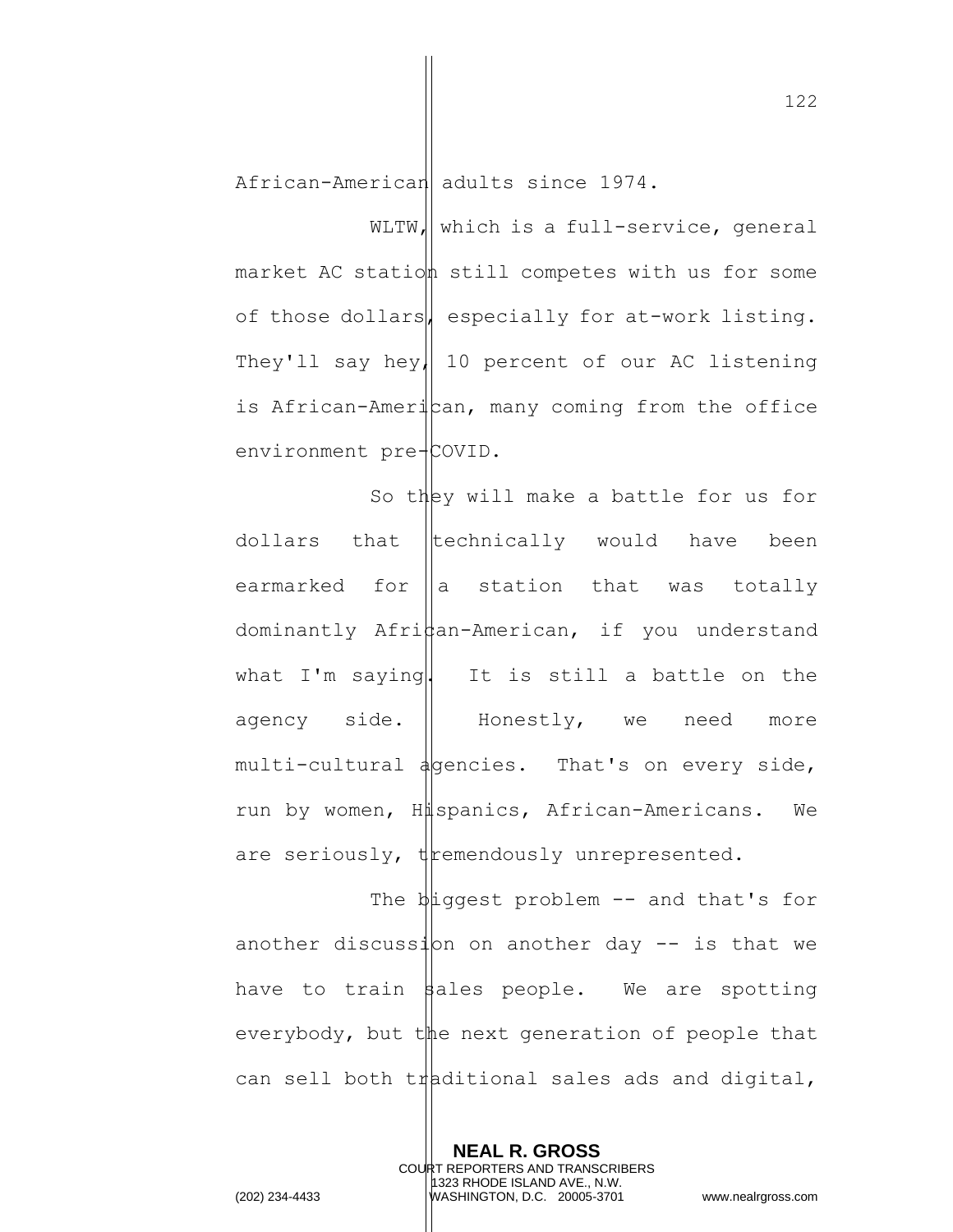African-American adults since 1974.

WLTW, which is a full-service, general market AC station still competes with us for some of those dollars, especially for at-work listing. They'll say hey, 10 percent of our AC listening is African-American, many coming from the office environment pre-COVID.

So they will make a battle for us for dollars that technically would have been earmarked for  $\|a\|$  station that was totally dominantly  $Affihan-American,$  if you understand what I'm saying. It is still a battle on the agency side. I Honestly, we need more multi-cultural agencies. That's on every side, run by women, Hispanics, African-Americans. We are seriously,  $\psi$  themendously unrepresented.

The  $\psi$ iggest problem -- and that's for another discussion on another day  $--$  is that we have to train  $\beta$ ales people. We are spotting everybody, but the next generation of people that can sell both traditional sales ads and digital,

> **NEAL R. GROSS** COURT REPORTERS AND TRANSCRIBERS 1323 RHODE ISLAND AVE., N.W.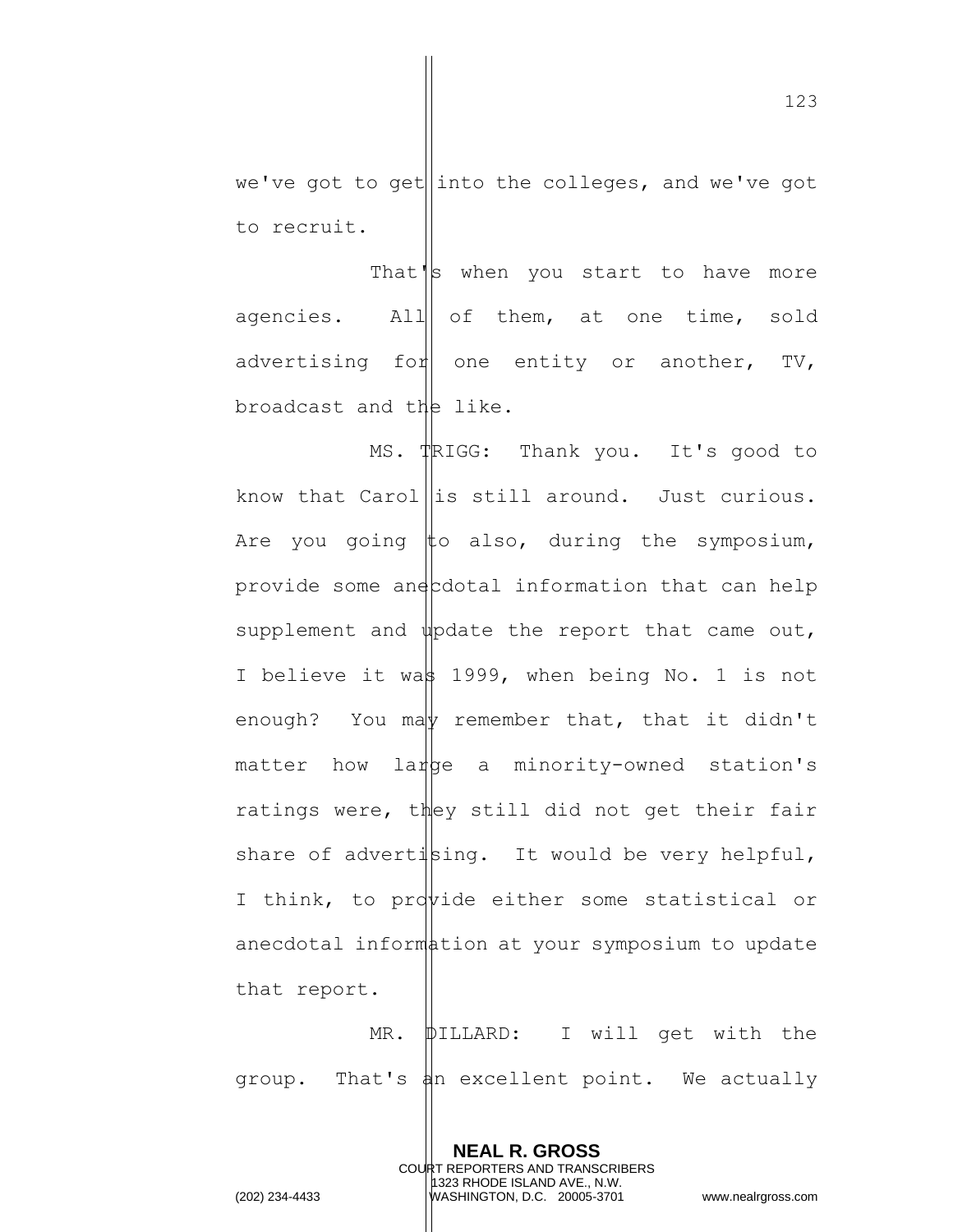we've got to get into the colleges, and we've got to recruit.

That's when you start to have more agencies. All of them, at one time, sold advertising for one entity or another, TV, broadcast and the like.

MS. TRIGG: Thank you. It's good to know that Carol is still around. Just curious. Are you going  $\sharp$ o also, during the symposium, provide some ane cotal information that can help supplement and  $\psi$  pdate the report that came out, I believe it was 1999, when being No. 1 is not enough? You may remember that, that it didn't matter how large a minority-owned station's ratings were, they still did not get their fair share of advertising. It would be very helpful, I think, to provide either some statistical or anecdotal information at your symposium to update that report.

MR. **DILLARD:** I will get with the group. That's an excellent point. We actually

> **NEAL R. GROSS** COURT REPORTERS AND TRANSCRIBERS 1323 RHODE ISLAND AVE., N.W.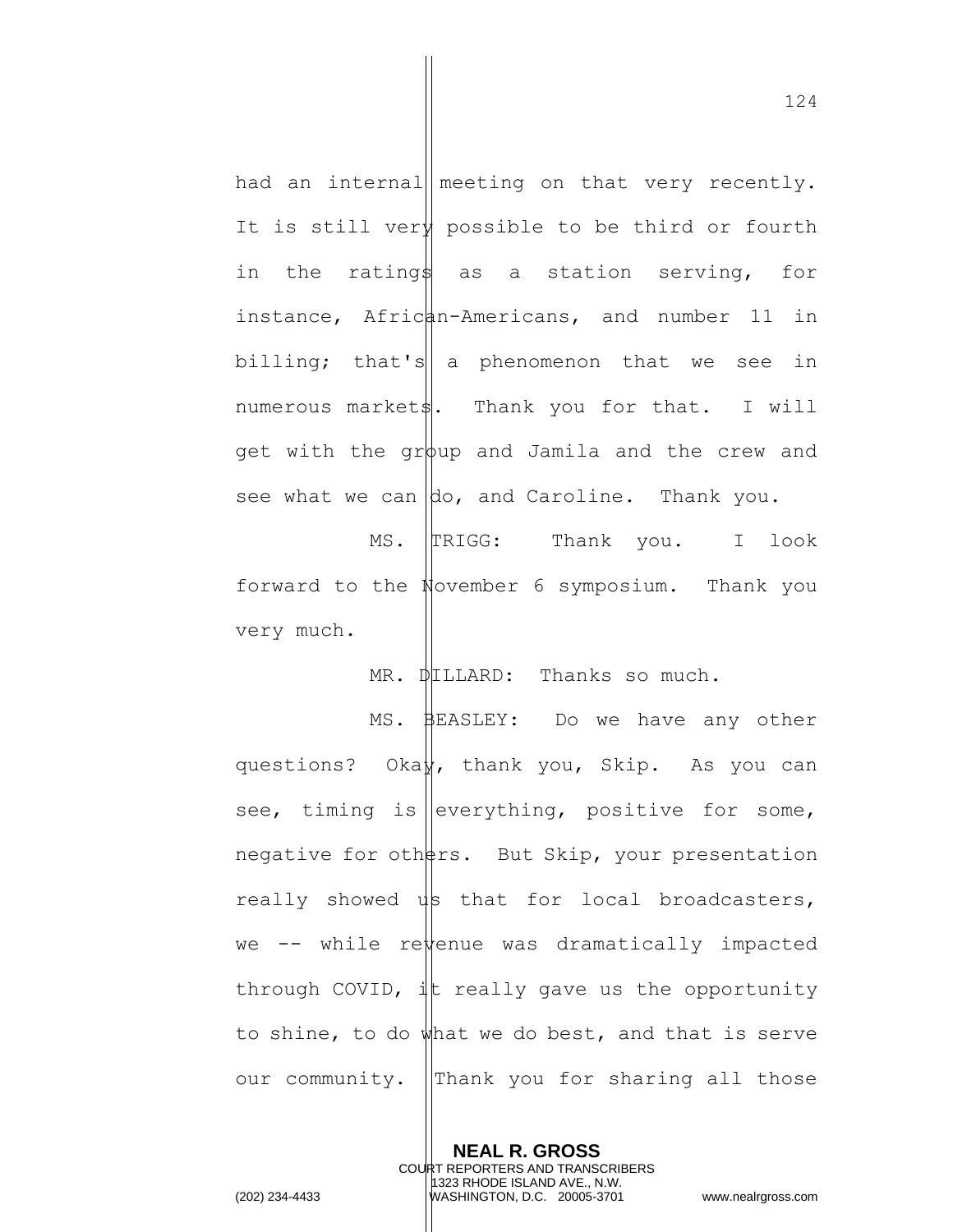had an internal meeting on that very recently. It is still ver $\sharp$  possible to be third or fourth in the ratings as a station serving, for instance, African-Americans, and number 11 in billing; that's  $\alpha$  phenomenon that we see in numerous market $\|$ . Thank you for that. I will get with the group and Jamila and the crew and see what we can  $\phi$ , and Caroline. Thank you.

MS. TRIGG: Thank you. I look forward to the November 6 symposium. Thank you very much.

MR. DILLARD: Thanks so much.

MS. BEASLEY: Do we have any other questions? Okay, thank you, Skip. As you can see, timing is everything, positive for some, negative for oth $\frac{1}{2}$ rs. But Skip, your presentation really showed  $\psi$  that for local broadcasters, we  $--$  while re $\frac{1}{2}$ enue was dramatically impacted through COVID,  $\frac{1}{x}$  really gave us the opportunity to shine, to do  $\psi$ hat we do best, and that is serve our community. Thank you for sharing all those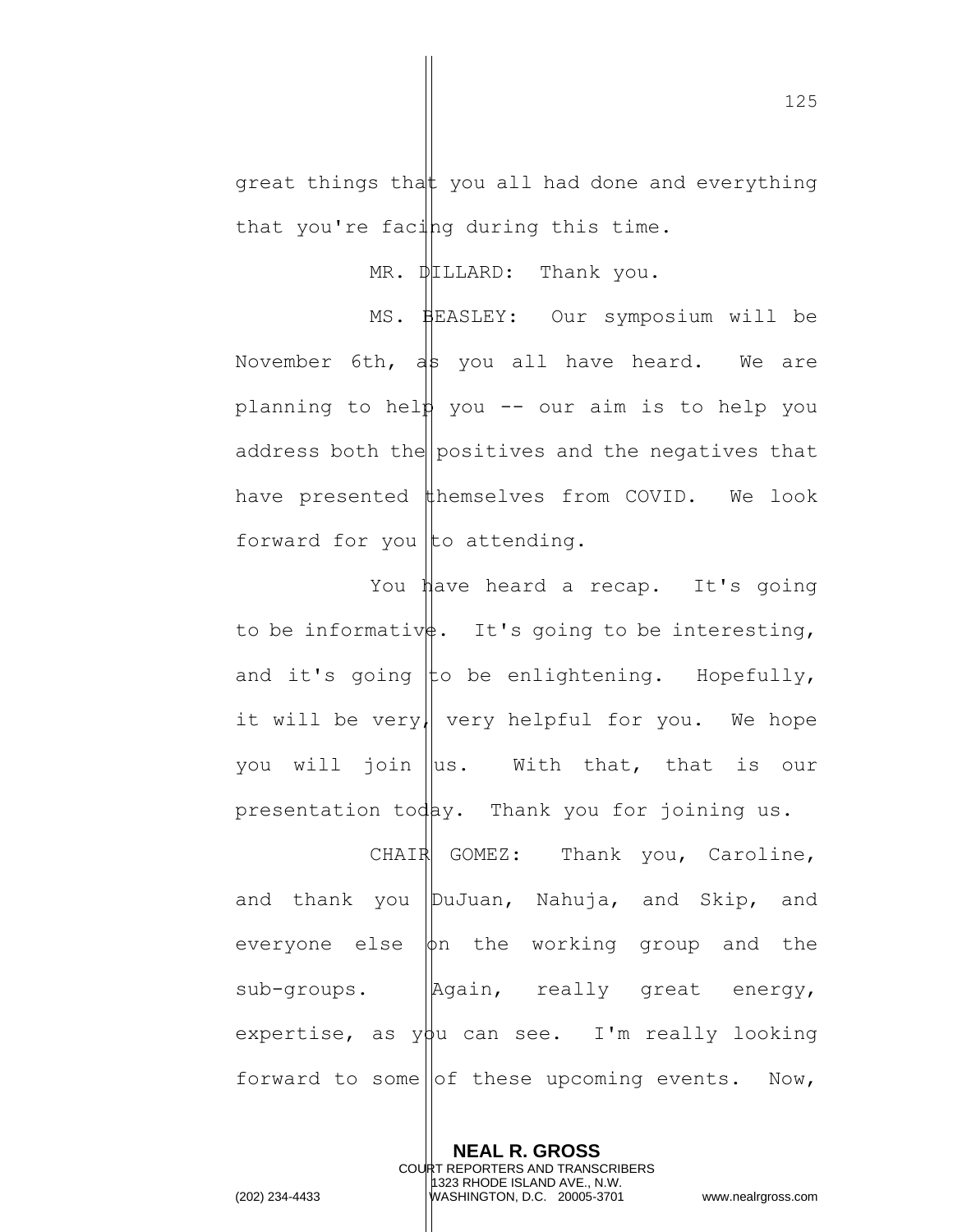great things that you all had done and everything that you're facing during this time.

 $MR.$   $DFLLARD:$  Thank you.

MS. BEASLEY: Our symposium will be November 6th,  $a\$  you all have heard. We are planning to help you  $-$  our aim is to help you address both the positives and the negatives that have presented  $#hemselves$  from COVID. We look forward for you to attending.

You have heard a recap. It's going to be informativ $\sharp$ . It's going to be interesting, and it's going to be enlightening. Hopefully, it will be very, very helpful for you. We hope you will join  $\|\text{us.}\|$  With that, that is our presentation today. Thank you for joining us.

CHAIR GOMEZ: Thank you, Caroline, and thank you DuJuan, Nahuja, and Skip, and everyone else  $\phi$ n the working group and the sub-groups. | Again, really great energy, expertise, as  $y\beta u$  can see. I'm really looking forward to some of these upcoming events. Now,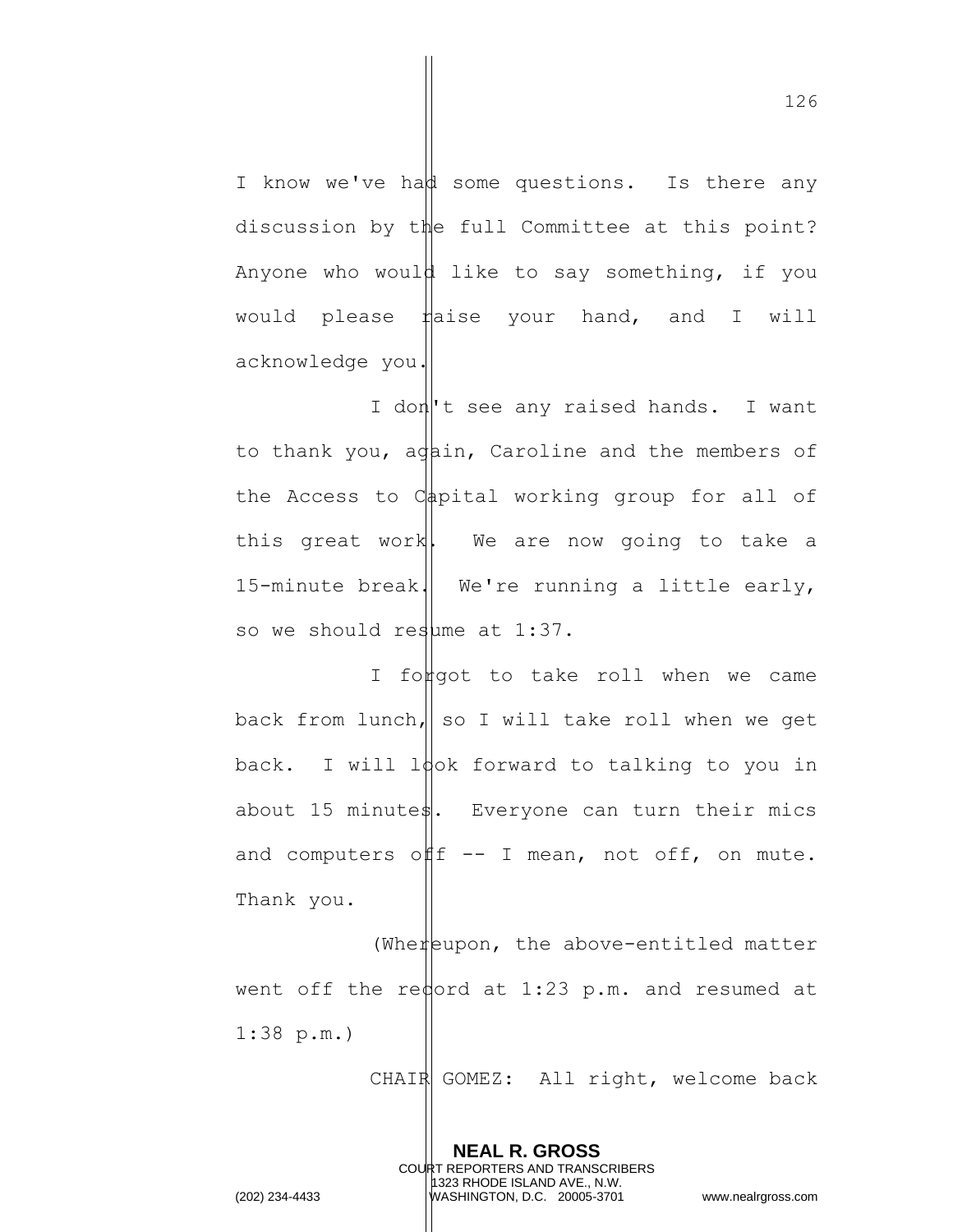I know we've had some questions. Is there any discussion by the full Committee at this point? Anyone who would like to say something, if you would please  $\sharp$  aise your hand, and I will acknowledge you.

I don<sup>'</sup>t see any raised hands. I want to thank you, again, Caroline and the members of the Access to  $C_{\frac{1}{2}}$  working group for all of this great work. We are now going to take a 15-minute break. We're running a little early, so we should resume at  $1:37$ .

I forgot to take roll when we came back from lunch, so I will take roll when we get back. I will look forward to talking to you in about 15 minute $\frac{1}{s}$ . Everyone can turn their mics and computers of  $f = - I$  mean, not off, on mute. Thank you.

(Whereupon, the above-entitled matter went off the redord at  $1:23$  p.m. and resumed at 1:38 p.m.)

> **NEAL R. GROSS** COURT REPORTERS AND TRANSCRIBERS 1323 RHODE ISLAND AVE., N.W.

CHAIR GOMEZ: All right, welcome back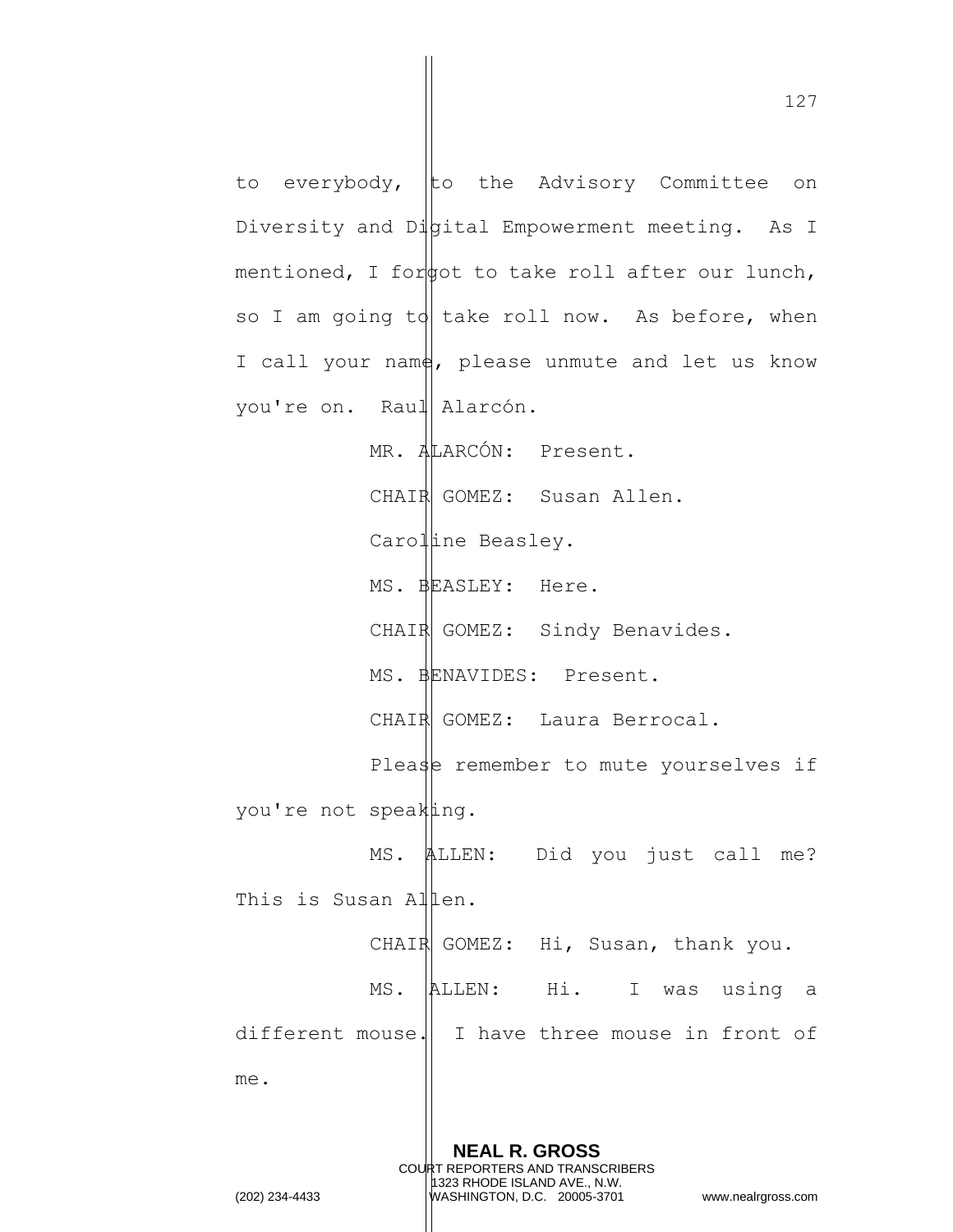to everybody, to the Advisory Committee on Diversity and Dipital Empowerment meeting. As I mentioned, I for  $\phi$  to take roll after our lunch, so I am going to take roll now. As before, when I call your name, please unmute and let us know you're on. Raul Alarcón. MR. ALARCÓN: Present. CHAIR GOMEZ: Susan Allen. Caroline Beasley. MS. BEASLEY: Here. CHAIR GOMEZ: Sindy Benavides. MS. BENAVIDES: Present. CHAIR GOMEZ: Laura Berrocal. Please remember to mute yourselves if you're not speaking. MS. ALLEN: Did you just call me? This is Susan Allen. CHAIR GOMEZ: Hi, Susan, thank you. MS. ALLEN: Hi. I was using a different mouse. I have three mouse in front of me.

> **NEAL R. GROSS** COURT REPORTERS AND TRANSCRIBERS 1323 RHODE ISLAND AVE., N.W.

(202) 234-4433 WASHINGTON, D.C. 20005-3701 www.nealrgross.com

127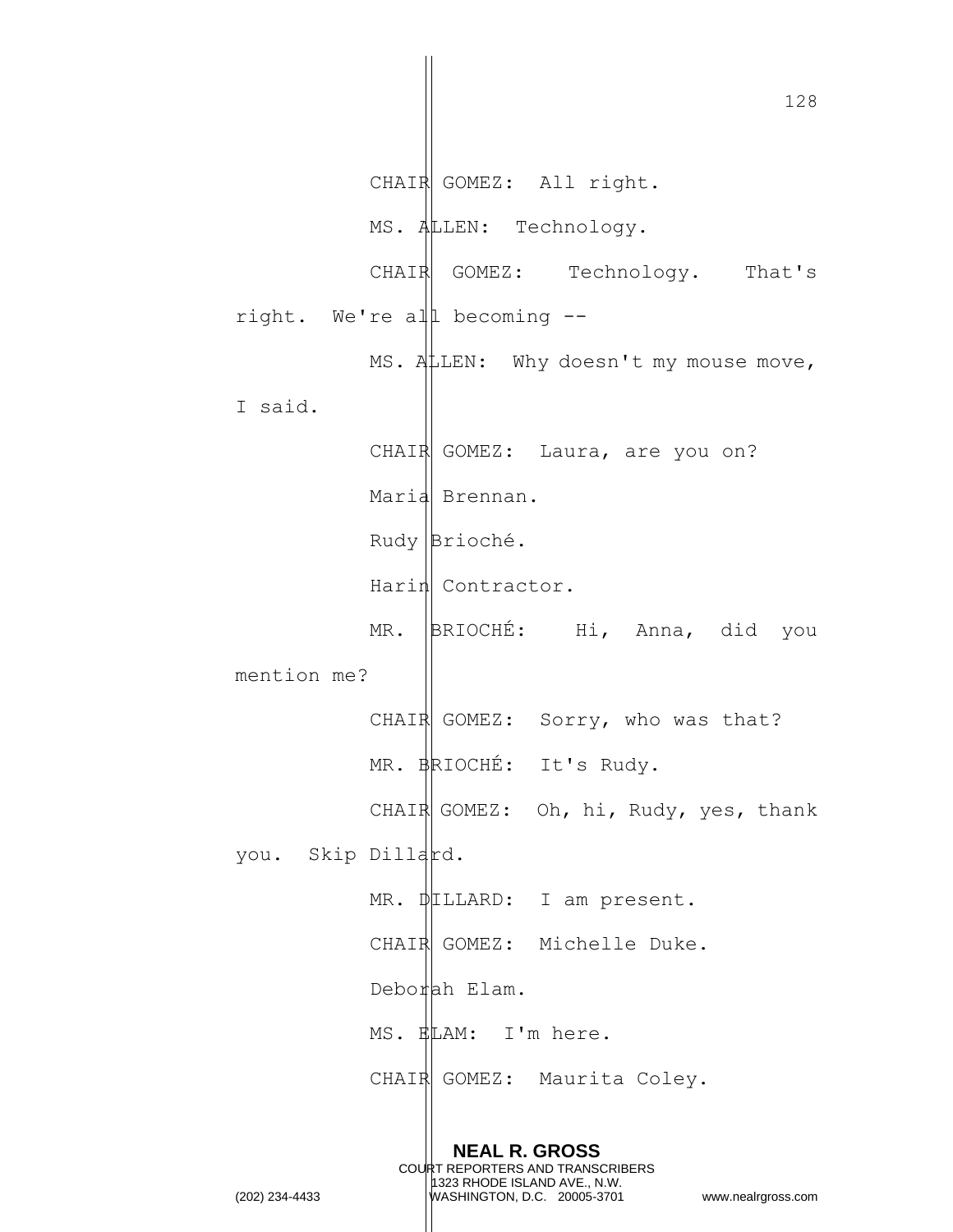128 **NEAL R. GROSS** COURT REPORTERS AND TRANSCRIBERS 1323 RHODE ISLAND AVE., N.W. CHAIR GOMEZ: All right. MS. ALLEN: Technology. CHAIR GOMEZ: Technology. That's right. We're all becoming -- MS. ALLEN: Why doesn't my mouse move, I said. CHAIR GOMEZ: Laura, are you on? Maria Brennan. Rudy Brioché. Harin Contractor. MR. BRIOCHÉ: Hi, Anna, did you mention me? CHAIR GOMEZ: Sorry, who was that? MR. BRIOCHÉ: It's Rudy. CHAIR GOMEZ: Oh, hi, Rudy, yes, thank you. Skip Dillard. MR. DILLARD: I am present. CHAIR GOMEZ: Michelle Duke.  $Debo$ rah Elam. MS. ELAM: I'm here. CHAIR GOMEZ: Maurita Coley.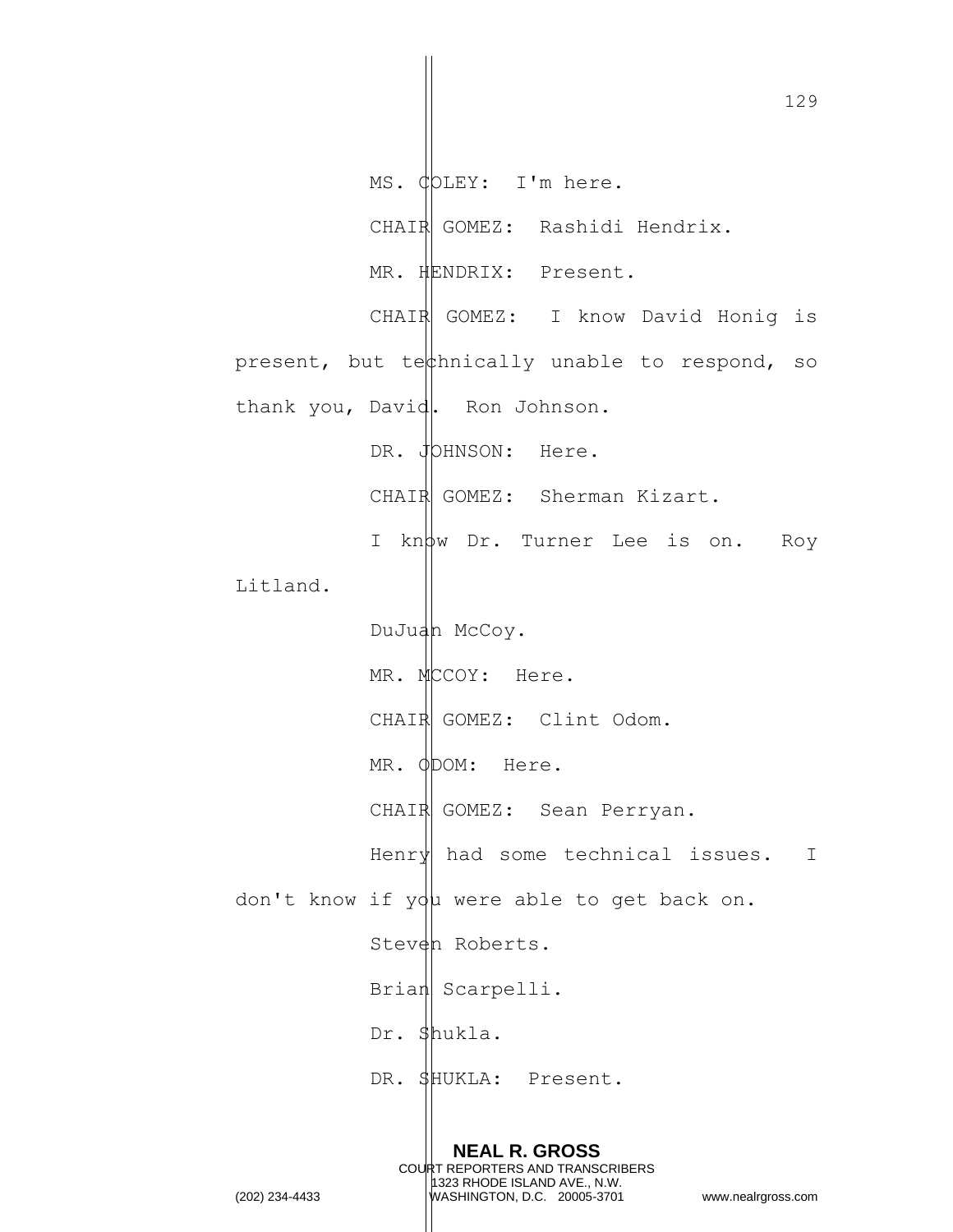129 **NEAL R. GROSS** COURT REPORTERS AND TRANSCRIBERS 1323 RHODE ISLAND AVE., N.W. MS. COLEY: I'm here. CHAIR GOMEZ: Rashidi Hendrix. MR. HENDRIX: Present. CHAIR GOMEZ: I know David Honig is present, but tet thically unable to respond, so thank you, David. Ron Johnson. DR. JOHNSON: Here. CHAIR GOMEZ: Sherman Kizart. I know Dr. Turner Lee is on. Roy Litland. DuJuan McCoy. MR. MCCOY: Here. CHAIR GOMEZ: Clint Odom. MR. ODOM: Here. CHAIR GOMEZ: Sean Perryan. Henry had some technical issues. I don't know if you were able to get back on. Steven Roberts. Brian Scarpelli. Dr. Shukla. DR. SHUKLA: Present.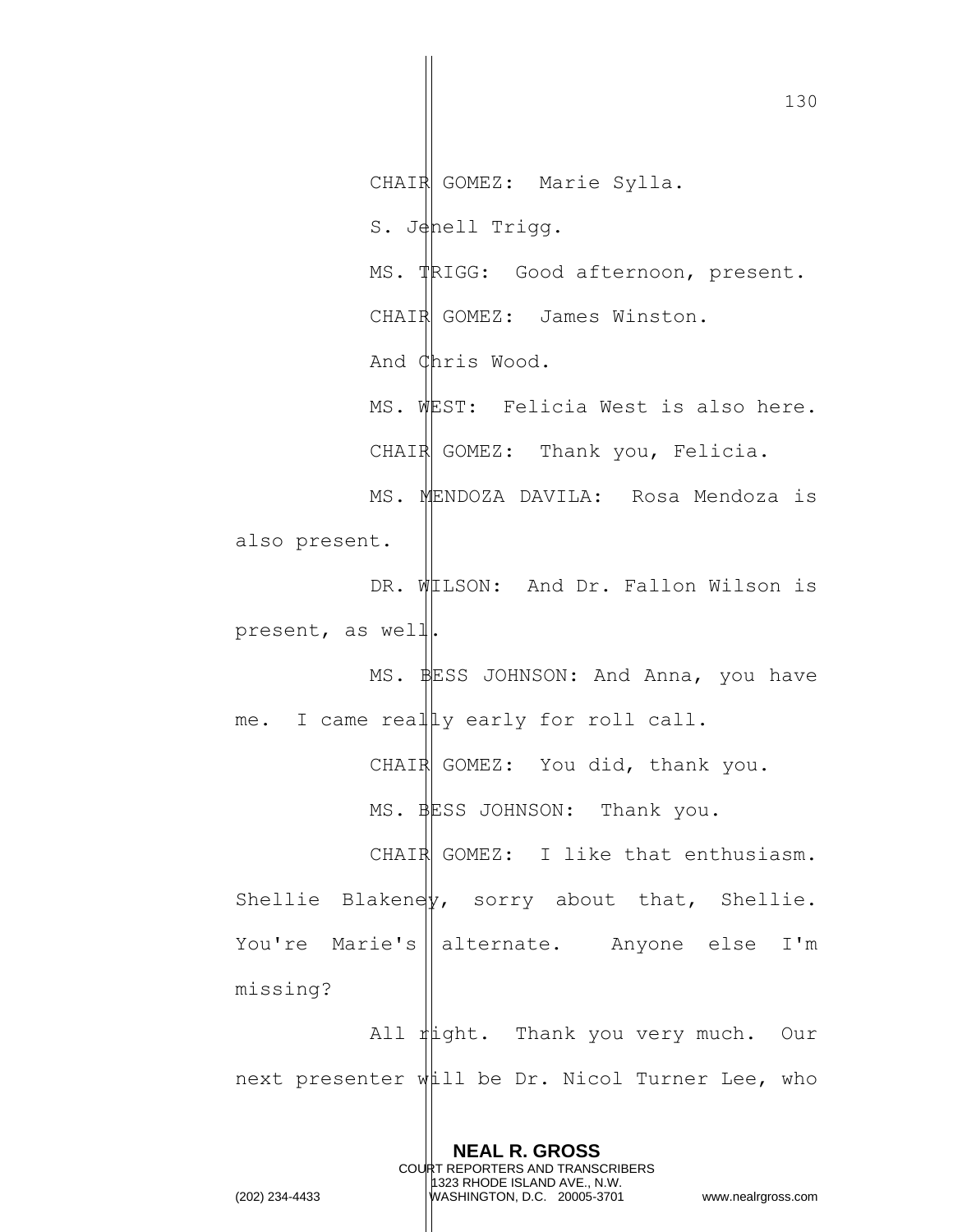CHAIR GOMEZ: Marie Sylla. S. Jenell Trigg. MS. TRIGG: Good afternoon, present. CHAIR GOMEZ: James Winston. And Chris Wood. MS. WEST: Felicia West is also here. CHAIR GOMEZ: Thank you, Felicia. MS. MENDOZA DAVILA: Rosa Mendoza is also present. DR. WILSON: And Dr. Fallon Wilson is present, as well. MS. BESS JOHNSON: And Anna, you have me. I came really early for roll call. CHAIR GOMEZ: You did, thank you. MS. BESS JOHNSON: Thank you. CHAIR GOMEZ: I like that enthusiasm. Shellie Blakeney, sorry about that, Shellie. You're Marie's alternate. Anyone else I'm missing? All right. Thank you very much. Our next presenter will be Dr. Nicol Turner Lee, who

> **NEAL R. GROSS** COURT REPORTERS AND TRANSCRIBERS 1323 RHODE ISLAND AVE., N.W.

(202) 234-4433 WASHINGTON, D.C. 20005-3701 www.nealrgross.com

130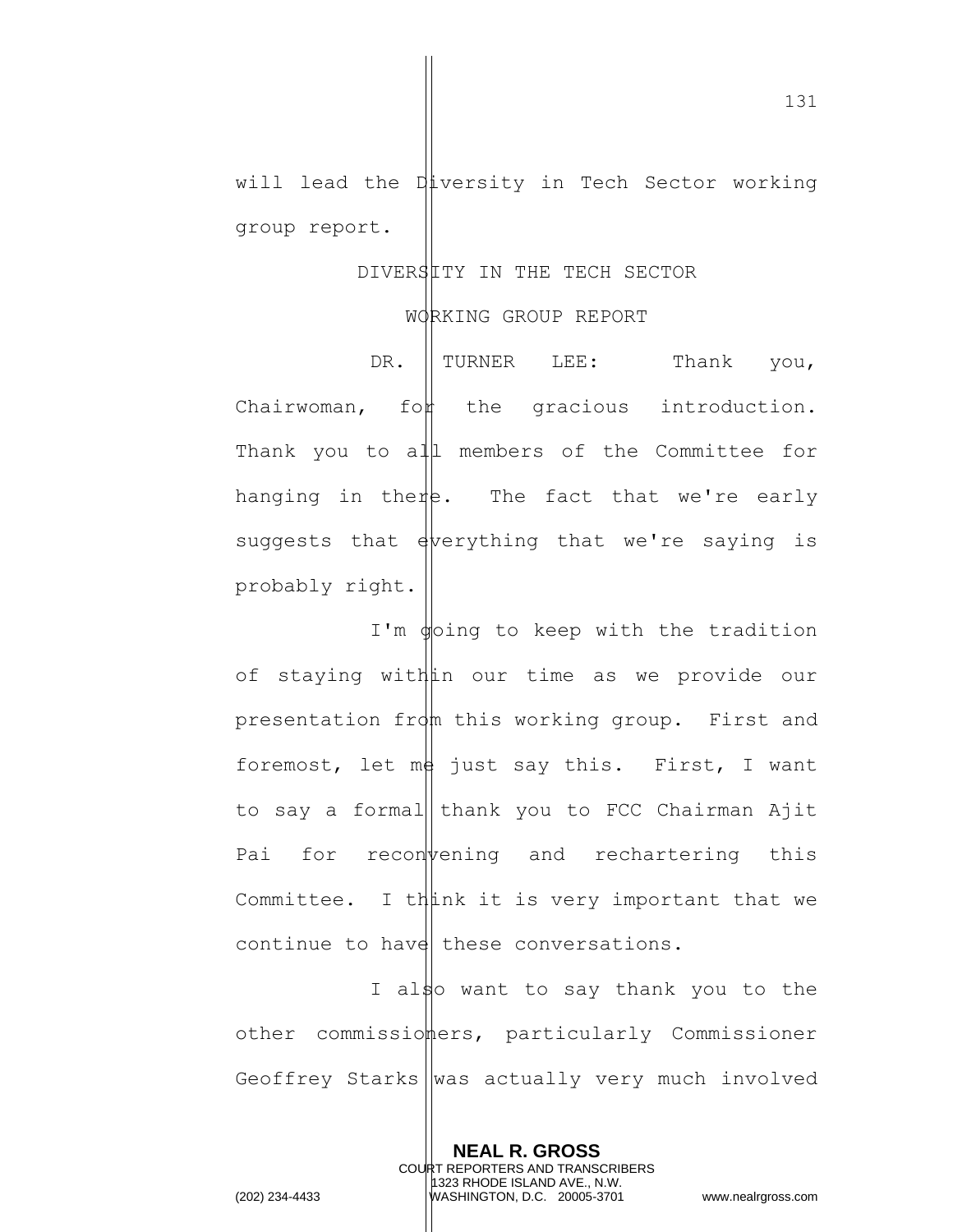will lead the Diversity in Tech Sector working group report.

## DIVERSITY IN THE TECH SECTOR

## WORKING GROUP REPORT

DR. TURNER LEE: Thank you,  $Chairwoman,$  fo $\nparallel$  the gracious introduction. Thank you to all members of the Committee for hanging in there. The fact that we're early suggests that everything that we're saying is probably right.

I'm  $\phi$ oing to keep with the tradition of staying within our time as we provide our presentation from this working group. First and foremost, let  $m\phi$  just say this. First, I want to say a formal thank you to FCC Chairman Ajit Pai for reconvening and rechartering this Committee. I think it is very important that we continue to have these conversations.

I also want to say thank you to the other commissiomers, particularly Commissioner Geoffrey Starks  $\parallel$ was actually very much involved

> **NEAL R. GROSS** COURT REPORTERS AND TRANSCRIBERS 1323 RHODE ISLAND AVE., N.W.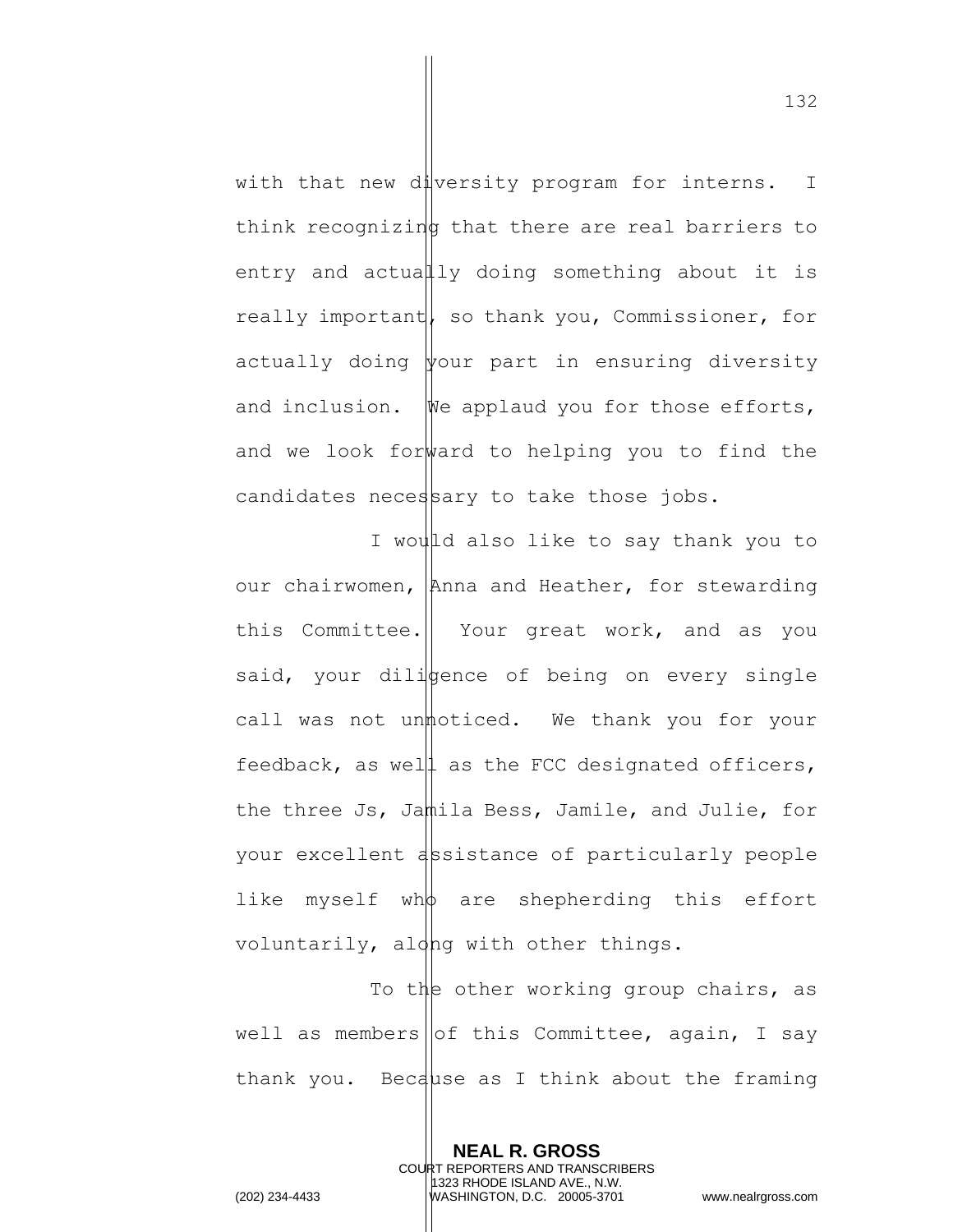with that new diversity program for interns. I think recognizing that there are real barriers to entry and actually doing something about it is really important, so thank you, Commissioner, for actually doing  $\psi$ our part in ensuring diversity and inclusion. We applaud you for those efforts, and we look forward to helping you to find the candidates necessary to take those jobs.

I would also like to say thank you to our chairwomen, Anna and Heather, for stewarding this Committee. | Your great work, and as you said, your dilistence of being on every single call was not unmoticed. We thank you for your feedback, as well as the FCC designated officers, the three Js, Jamila Bess, Jamile, and Julie, for your excellent assistance of particularly people like myself wh $\phi$  are shepherding this effort voluntarily, along with other things.

To the other working group chairs, as well as members of this Committee, again, I say thank you. Because as I think about the framing

> **NEAL R. GROSS** COURT REPORTERS AND TRANSCRIBERS 1323 RHODE ISLAND AVE., N.W.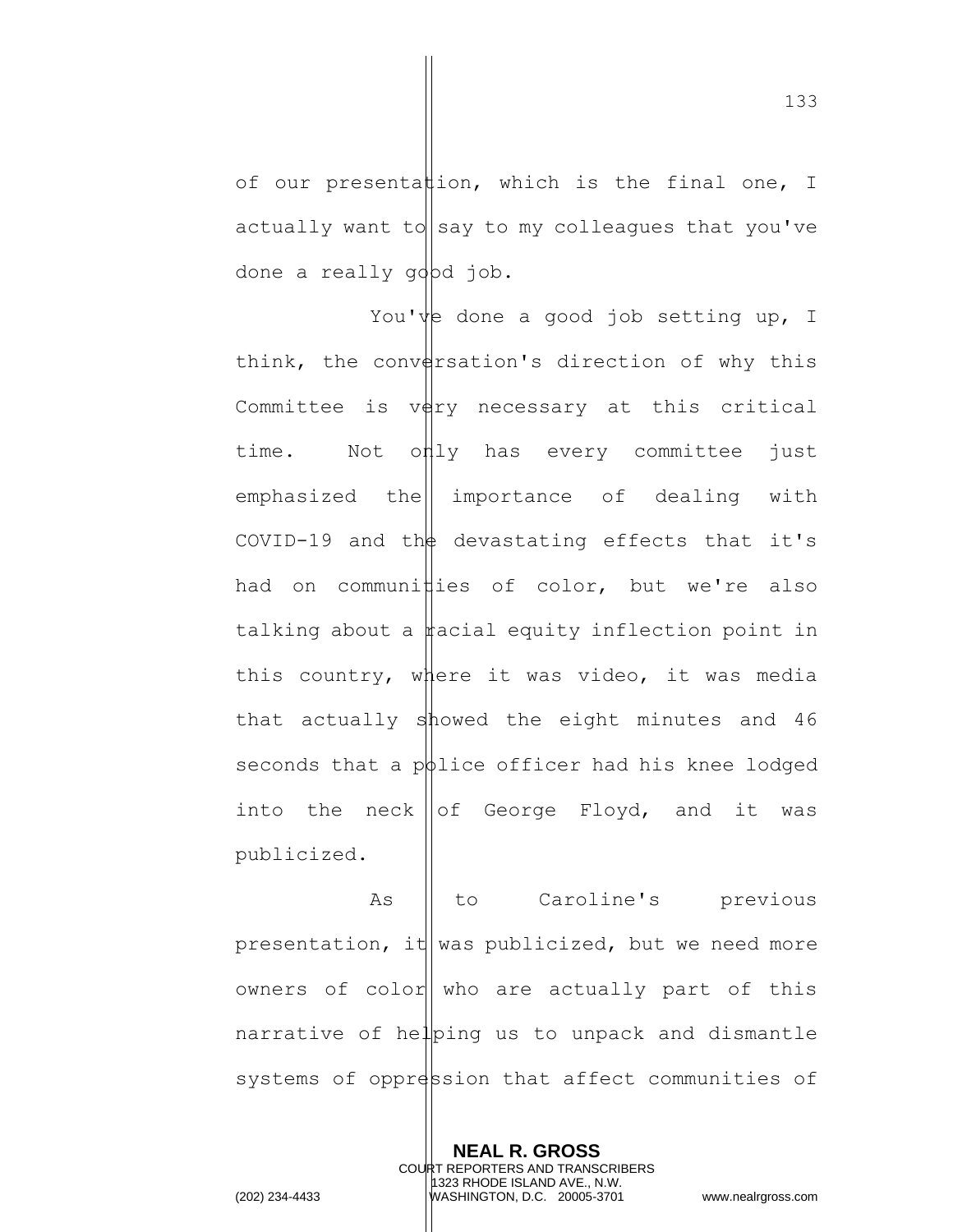of our presentattion, which is the final one, I actually want to say to my colleagues that you've done a really gobd job.

You've done a good job setting up, I think, the conversation's direction of why this Committee is  $v \notin r$  necessary at this critical time. Not only has every committee just emphasized the importance of dealing with COVID-19 and th $\phi$  devastating effects that it's had on communities of color, but we're also talking about a  $\sharp$  acial equity inflection point in this country, where it was video, it was media that actually showed the eight minutes and 46 seconds that a potice officer had his knee lodged into the neck  $\vert \vert$  of George Floyd, and it was publicized.

As || to Caroline's previous presentation, it was publicized, but we need more owners of color who are actually part of this narrative of helping us to unpack and dismantle systems of oppression that affect communities of

> **NEAL R. GROSS** COURT REPORTERS AND TRANSCRIBERS 1323 RHODE ISLAND AVE., N.W.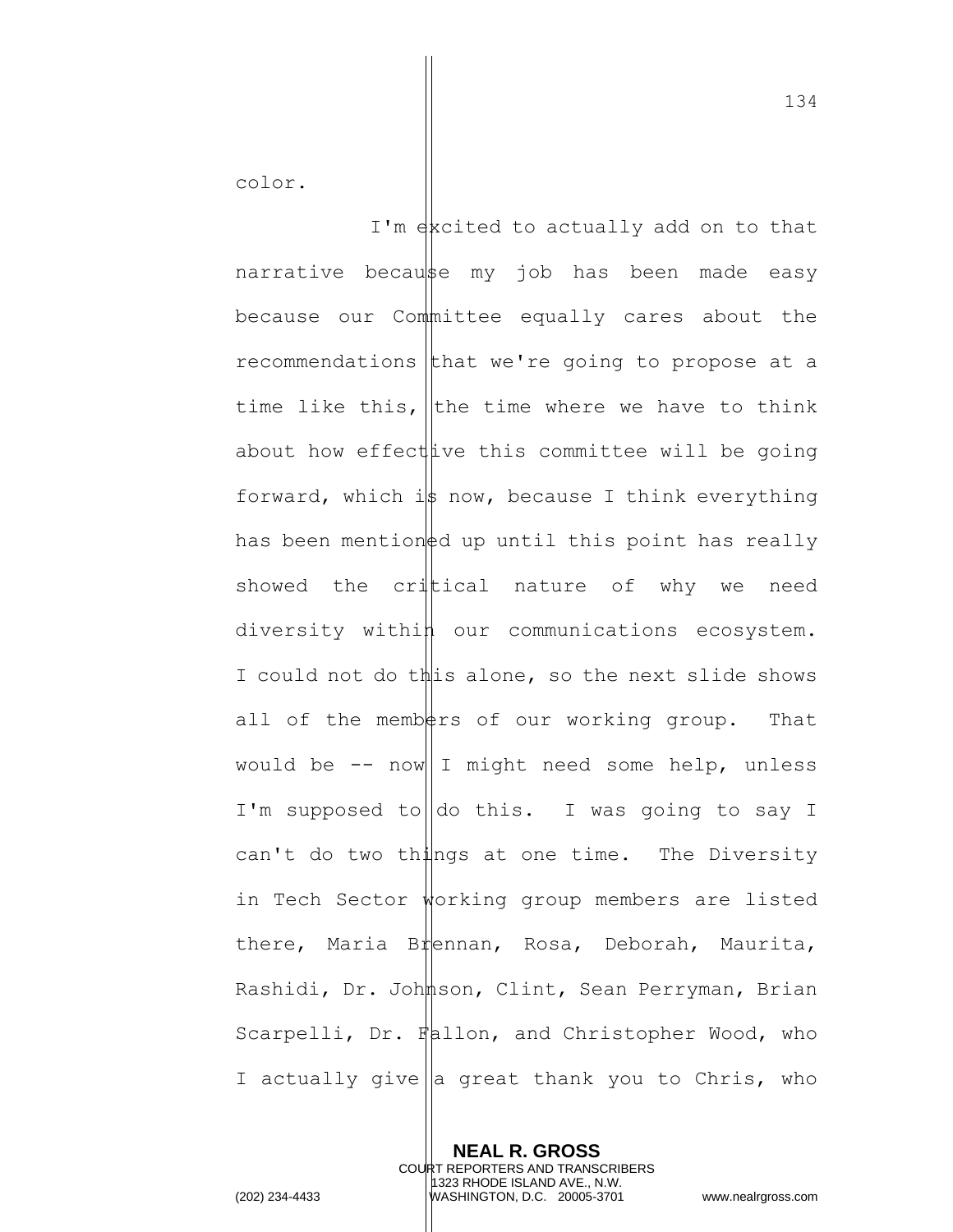color.

I'm excited to actually add on to that narrative because my job has been made easy because our Committee equally cares about the recommendations that we're going to propose at a time like this, the time where we have to think about how effect ive this committee will be going forward, which is now, because I think everything has been mention  $\frac{1}{2}d$  up until this point has really showed the critical nature of why we need diversity within our communications ecosystem. I could not do this alone, so the next slide shows all of the members of our working group. That would be  $--$  now I might need some help, unless I'm supposed to  $\vert$  do this. I was going to say I can't do two things at one time. The Diversity in Tech Sector working group members are listed there, Maria Brennan, Rosa, Deborah, Maurita, Rashidi, Dr. Johnson, Clint, Sean Perryman, Brian Scarpelli, Dr. Fallon, and Christopher Wood, who I actually give a great thank you to Chris, who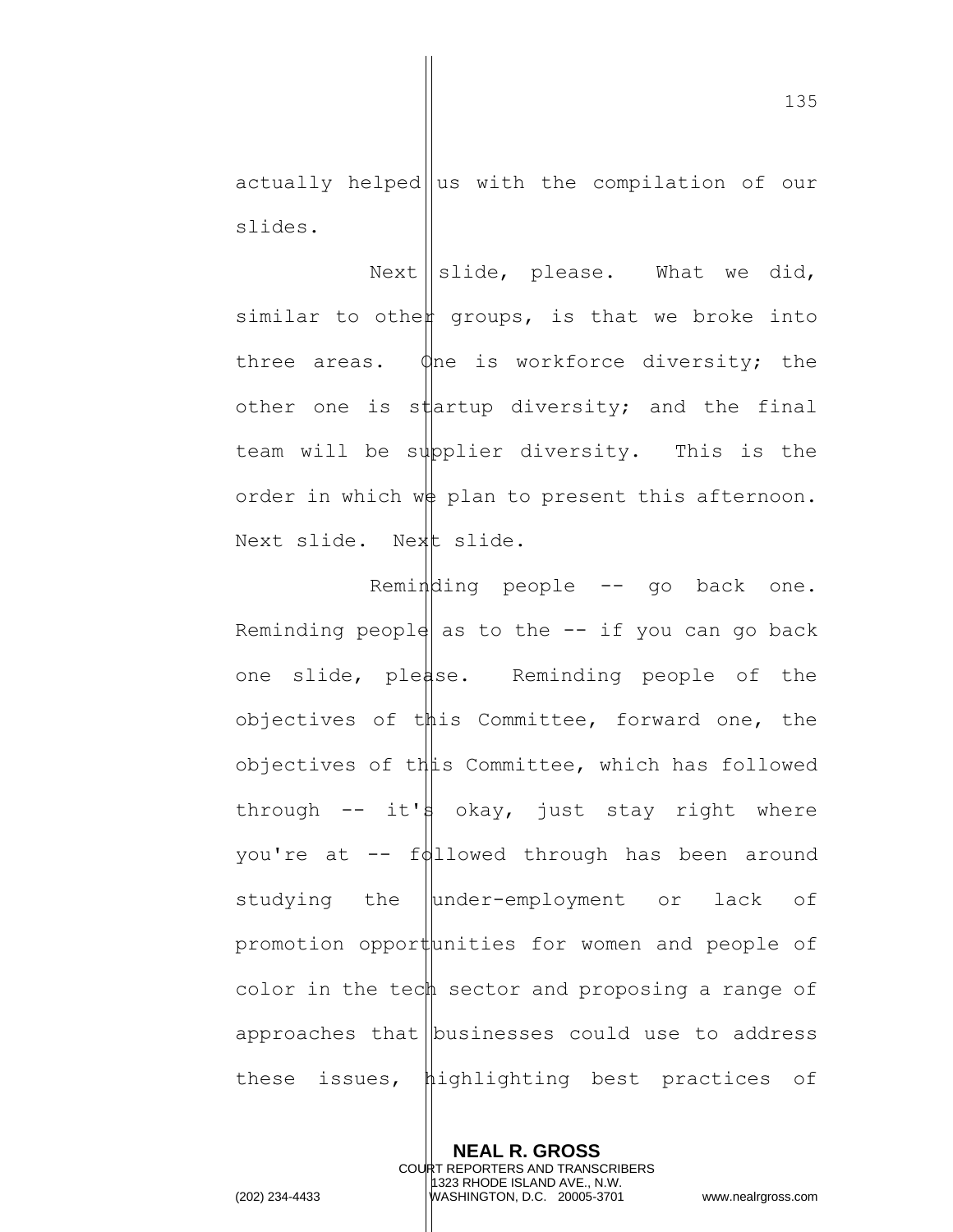actually helped us with the compilation of our slides.

Next  $\parallel$  slide, please. What we did, similar to othen groups, is that we broke into three areas.  $\phi$ ne is workforce diversity; the other one is startup diversity; and the final team will be supplier diversity. This is the order in which we plan to present this afternoon. Next slide. Next slide.

Reminding people -- go back one. Reminding people as to the  $-$  if you can go back one slide, please. Reminding people of the objectives of this Committee, forward one, the objectives of this Committee, which has followed through  $--$  it's okay, just stay right where you're at  $-\frac{f}{d}$ llowed through has been around studying the under-employment or lack of promotion opportunities for women and people of color in the tech sector and proposing a range of approaches that  $\vert$  businesses could use to address these issues, highlighting best practices of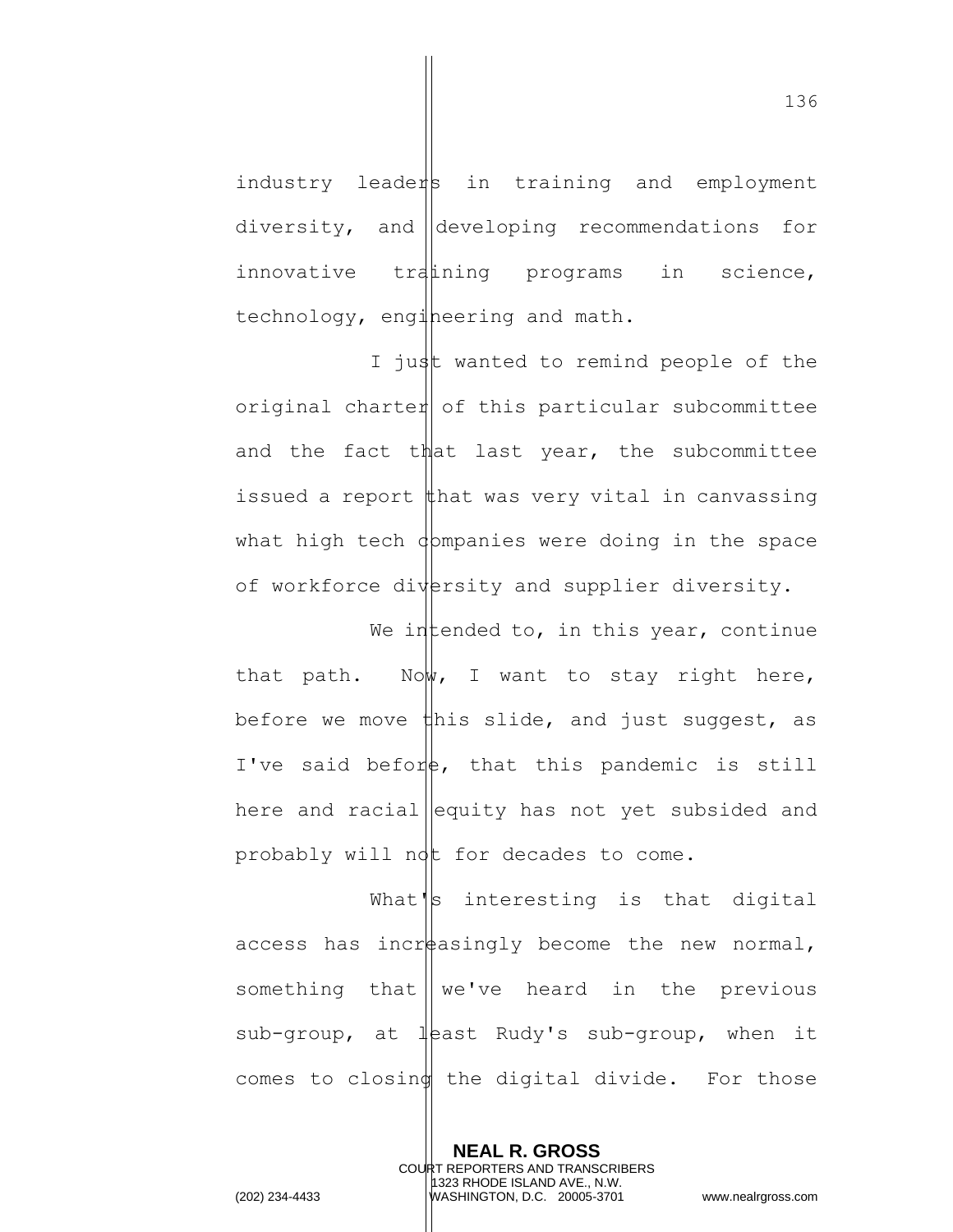industry leaders in training and employment diversity, and developing recommendations for innovative tratining programs in science, technology, engineering and math.

I just wanted to remind people of the original charter of this particular subcommittee and the fact that last year, the subcommittee issued a report  $\sharp$ hat was very vital in canvassing what high tech  $\phi$ mpanies were doing in the space of workforce diversity and supplier diversity.

We intended to, in this year, continue that path. Now, I want to stay right here, before we move  $\sharp$ his slide, and just suggest, as I've said before, that this pandemic is still here and racial equity has not yet subsided and probably will not for decades to come.

What's interesting is that digital access has incr $\frac{1}{2}$  access has incr $\frac{1}{2}$  become the new normal, something that  $\parallel$  we've heard in the previous sub-group, at least Rudy's sub-group, when it comes to closing the digital divide. For those

> **NEAL R. GROSS** COURT REPORTERS AND TRANSCRIBERS 1323 RHODE ISLAND AVE., N.W.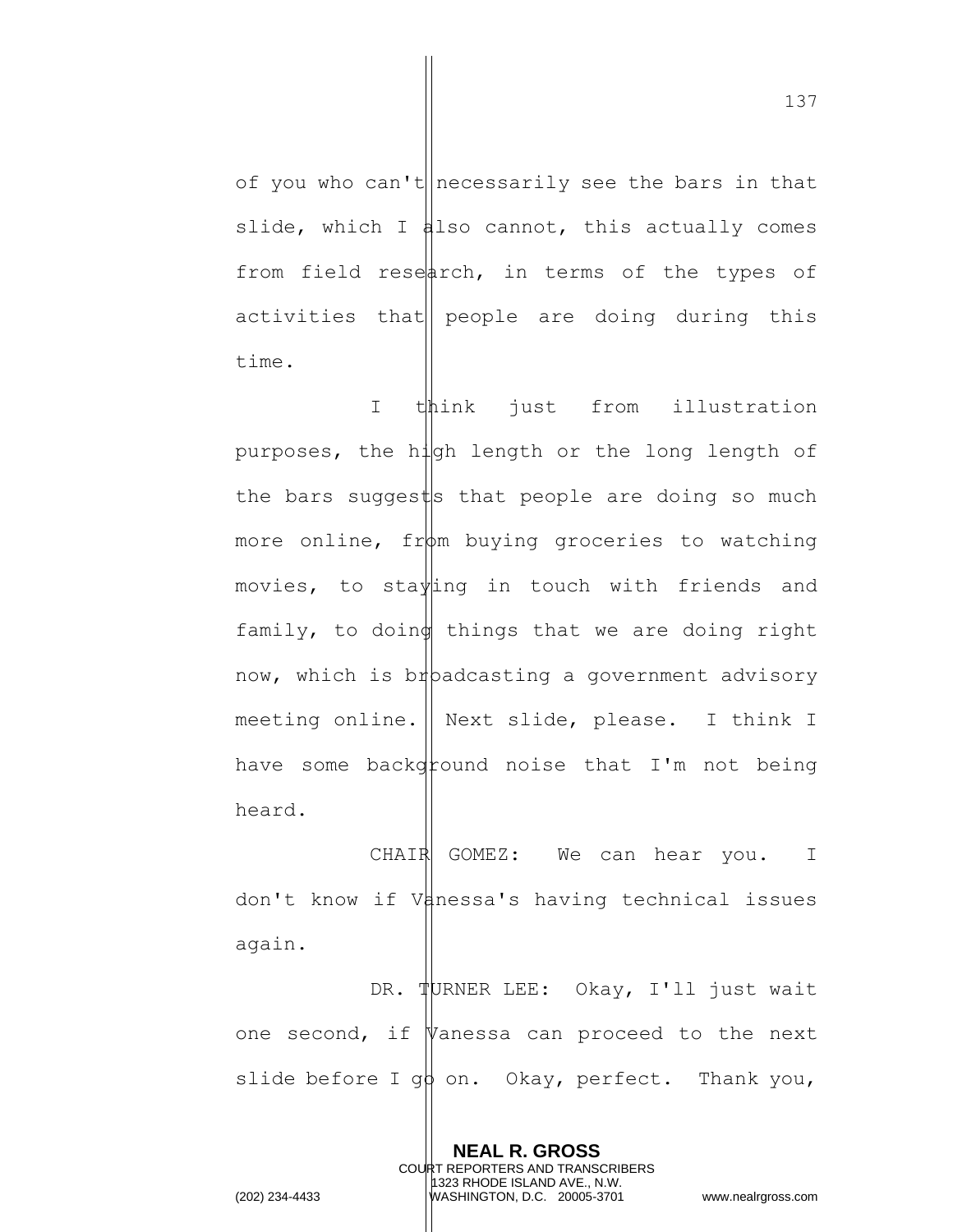of you who can't necessarily see the bars in that slide, which I also cannot, this actually comes from field research, in terms of the types of activities that people are doing during this time.

I think just from illustration purposes, the high length or the long length of the bars suggests that people are doing so much more online,  $fr\phi$ m buying groceries to watching movies, to staying in touch with friends and family, to doing things that we are doing right now, which is br padcasting a government advisory meeting online. Next slide, please. I think I have some background noise that  $I'm$  not being heard.

CHAIR GOMEZ: We can hear you. I don't know if Vanessa's having technical issues again.

DR. TURNER LEE: Okay, I'll just wait one second, if  $\nabla$ anessa can proceed to the next slide before I g $\phi$  on. Okay, perfect. Thank you,

> **NEAL R. GROSS** COURT REPORTERS AND TRANSCRIBERS 1323 RHODE ISLAND AVE., N.W.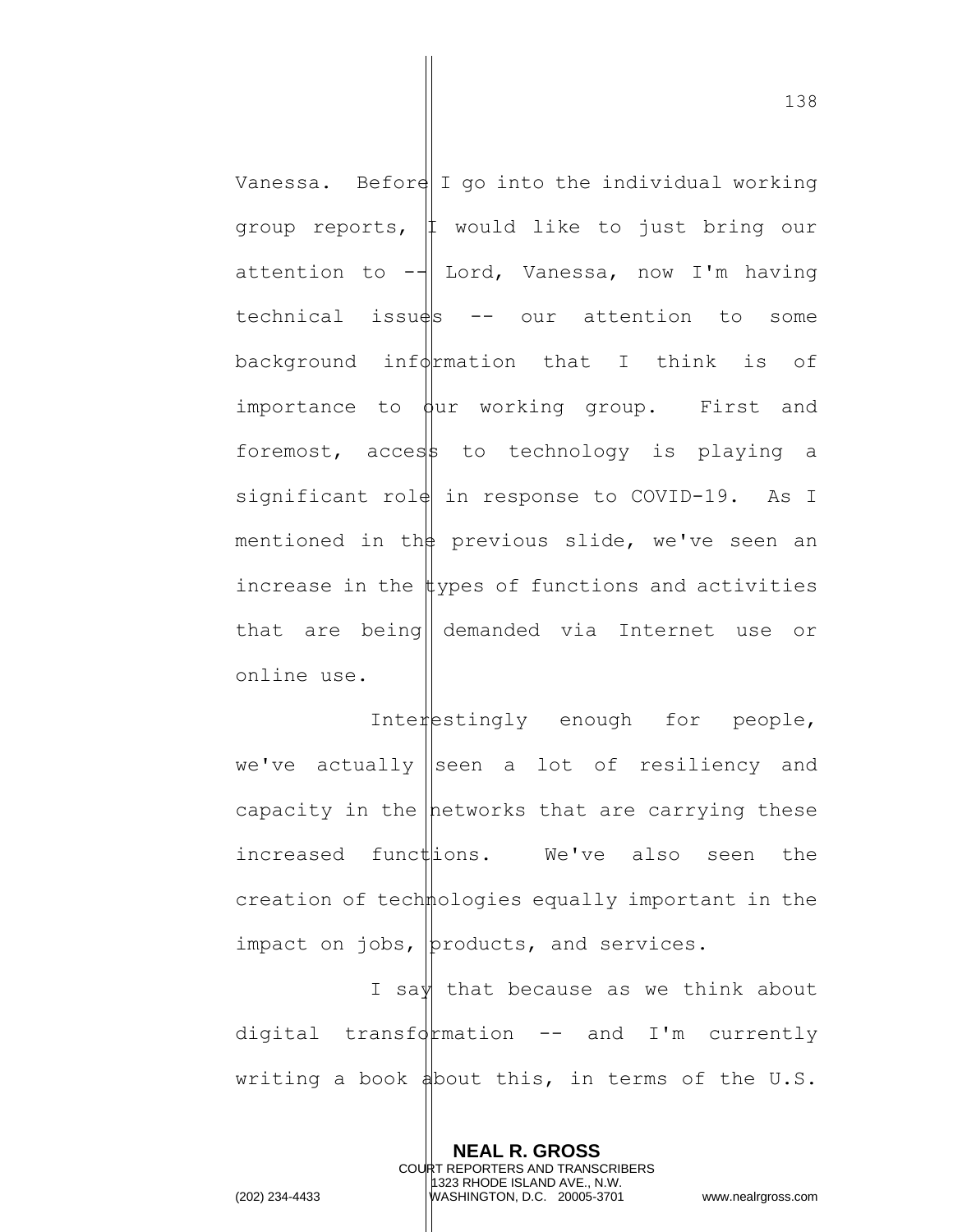Vanessa. Beford I go into the individual working group reports, I would like to just bring our attention to  $-\frac{1}{x}$  Lord, Vanessa, now I'm having  $technical$  issu $\frac{ds}{s}$  -- our attention to some background inf $\oint$ rmation that I think is of importance to  $\phi$ ur working group. First and foremost, access to technology is playing a significant rol $||$  in response to COVID-19. As I mentioned in the previous slide, we've seen an increase in the  $\sharp$ ypes of functions and activities that are being|| demanded via Internet use or online use.

Interestingly enough for people, we've actually seen a lot of resiliency and capacity in the hetworks that are carrying these increased functions. We've also seen the creation of technologies equally important in the impact on jobs,  $|$ products, and services.

I say that because as we think about digital transformation  $--$  and I'm currently writing a book  $\phi$ bout this, in terms of the U.S.

> **NEAL R. GROSS** COURT REPORTERS AND TRANSCRIBERS 1323 RHODE ISLAND AVE., N.W.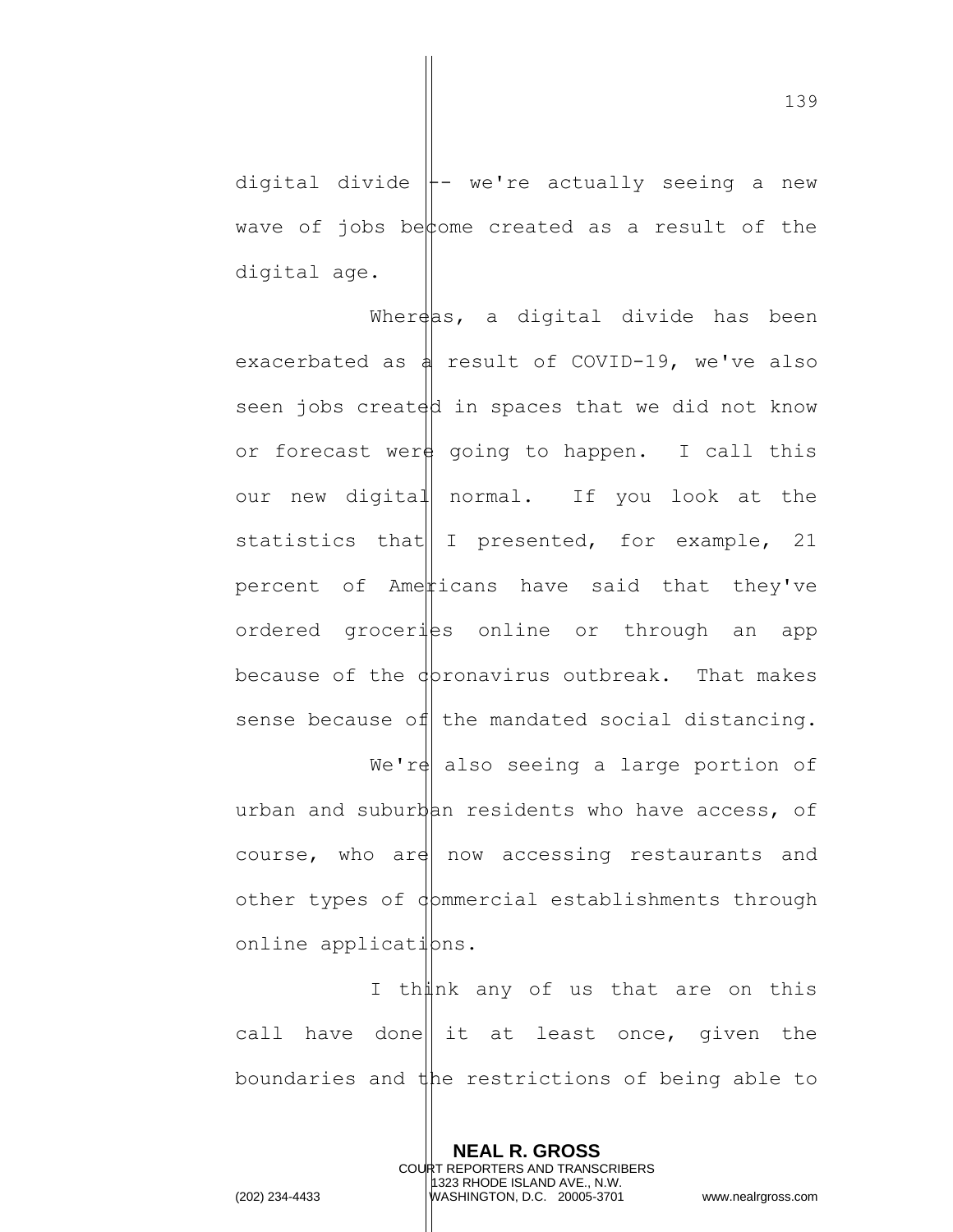digital divide  $\parallel$ - we're actually seeing a new wave of jobs become created as a result of the digital age.

Whereas, a digital divide has been exacerbated as  $\frac{1}{4}$  result of COVID-19, we've also seen jobs created in spaces that we did not know or forecast were going to happen. I call this our new digital normal. If you look at the statistics that  $I$  presented, for example, 21 percent of Americans have said that they've ordered groceriss online or through an app because of the  $\phi$  pronavirus outbreak. That makes sense because of the mandated social distancing. We're also seeing a large portion of urban and suburban residents who have access, of course, who are now accessing restaurants and other types of dommercial establishments through online applications.

I thunk any of us that are on this call have done it at least once, given the boundaries and the restrictions of being able to

> **NEAL R. GROSS** COURT REPORTERS AND TRANSCRIBERS 1323 RHODE ISLAND AVE., N.W.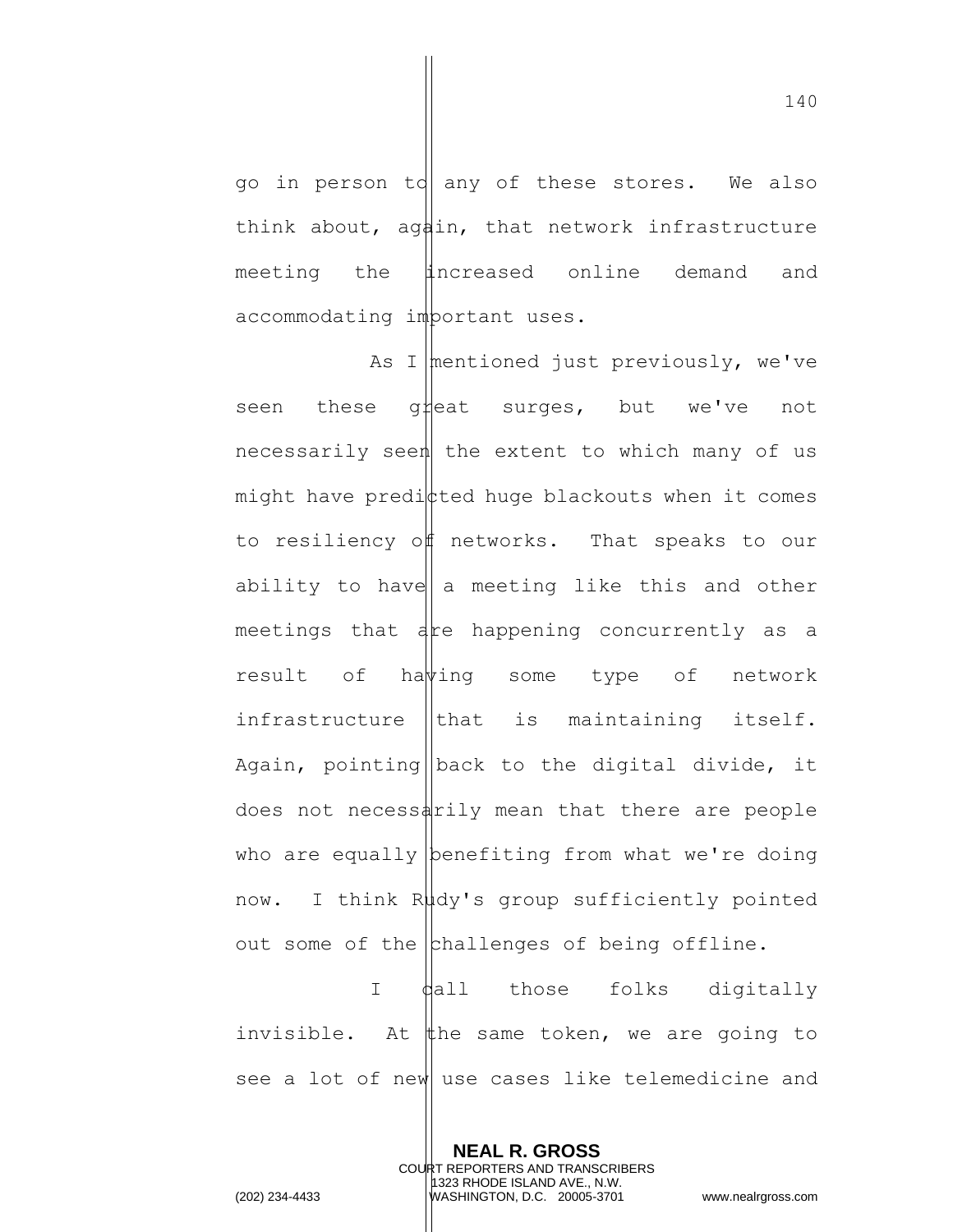go in person to any of these stores. We also think about, aghin, that network infrastructure meeting the **i**ncreased online demand and accommodating important uses.

As I mentioned just previously, we've seen these g#eat surges, but we've not necessarily seen the extent to which many of us might have predicted huge blackouts when it comes to resiliency off networks. That speaks to our ability to have  $a$  meeting like this and other meetings that  $a$  re happening concurrently as a result of hawing some type of network infrastructure  $\|$ that is maintaining itself. Again, pointing back to the digital divide, it does not necessarily mean that there are people who are equally benefiting from what we're doing now. I think Rudy's group sufficiently pointed out some of the  $\vert$ challenges of being offline.

I dall those folks digitally invisible. At  $#$ he same token, we are going to see a lot of new use cases like telemedicine and

> **NEAL R. GROSS** COURT REPORTERS AND TRANSCRIBERS 1323 RHODE ISLAND AVE., N.W.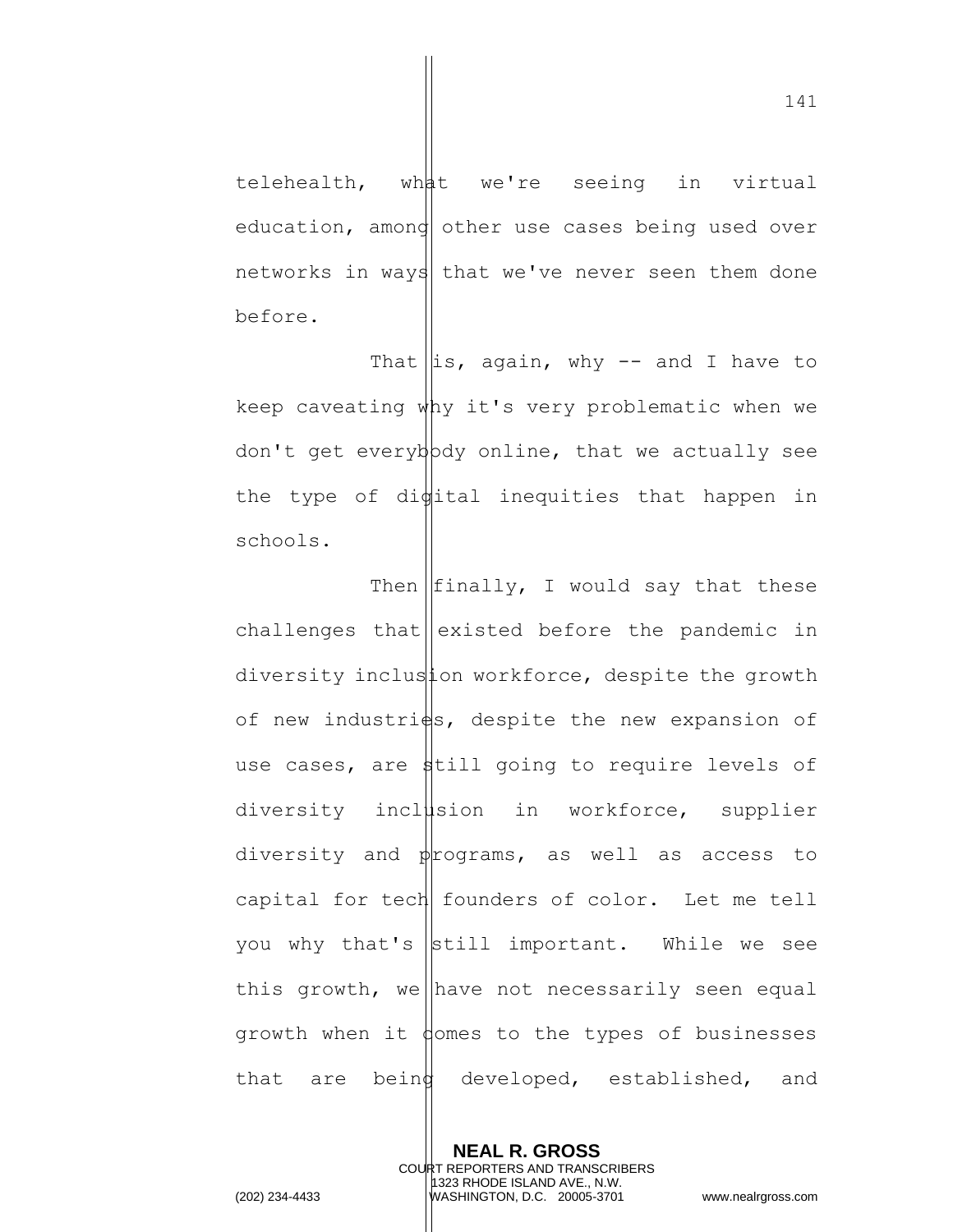telehealth, what we're seeing in virtual education, amond other use cases being used over networks in ways that we've never seen them done before.

That  $\left\| \text{is, again, why -- and I have to}\right\|$ keep caveating why it's very problematic when we don't get everybody online, that we actually see the type of di $\psi$ ital inequities that happen in schools.

Then  $\left| \text{finally}, \right|$  would say that these challenges that  $|$  existed before the pandemic in diversity inclusion workforce, despite the growth of new industri $\frac{1}{5}$ , despite the new expansion of use cases, are still going to require levels of diversity inclusion in workforce, supplier diversity and  $p$  rograms, as well as access to capital for tech founders of color. Let me tell you why that's still important. While we see this growth, we have not necessarily seen equal growth when it  $\phi$  omes to the types of businesses that are being developed, established, and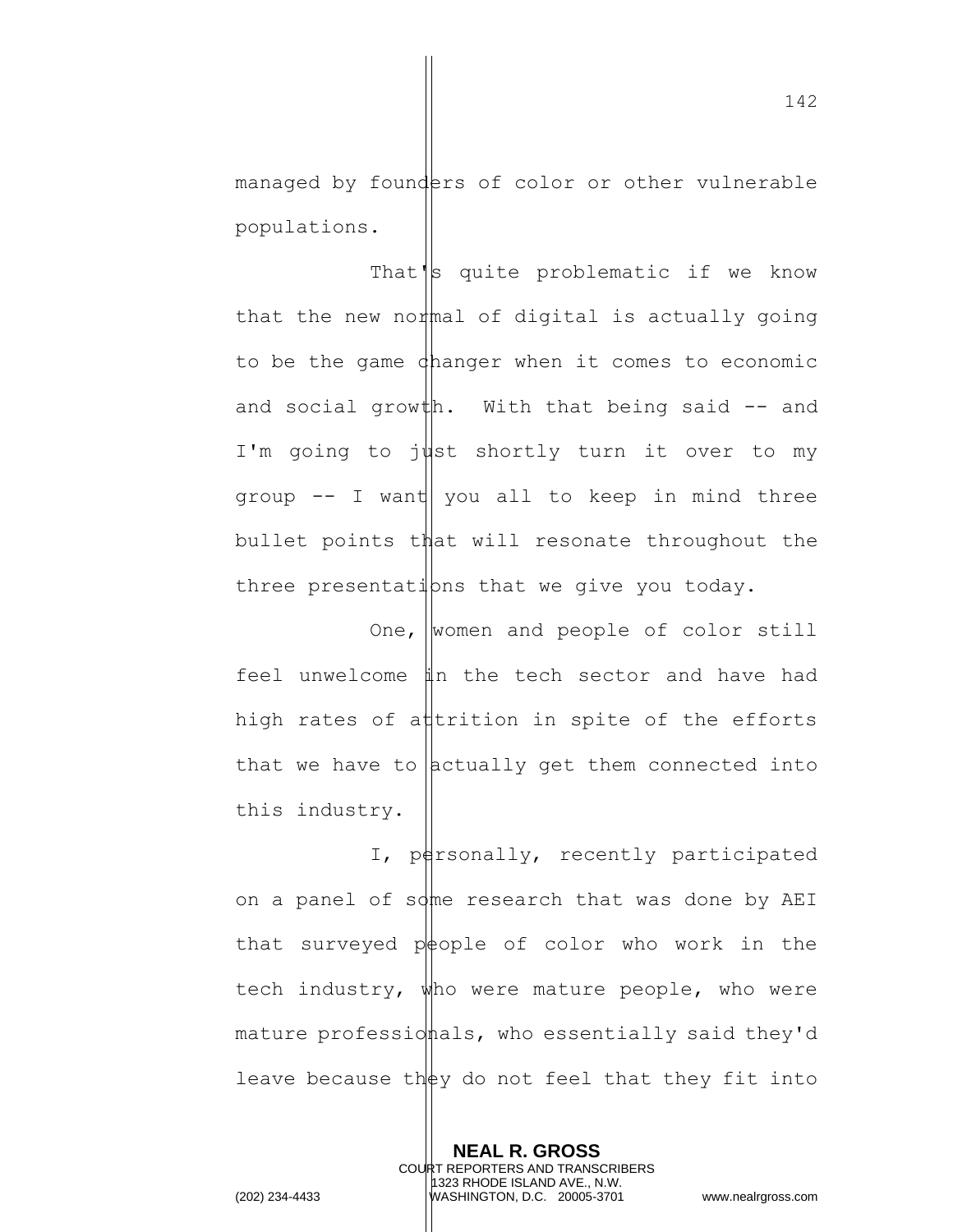managed by founders of color or other vulnerable populations.

That's quite problematic if we know that the new normal of digital is actually going to be the game changer when it comes to economic and social growth. With that being said  $-$  and I'm going to just shortly turn it over to my group  $-$  I want you all to keep in mind three bullet points that will resonate throughout the three presentations that we give you today.

One, women and people of color still feel unwelcome  $\sharp n$  the tech sector and have had high rates of attrition in spite of the efforts that we have to  $|$  actually get them connected into this industry.

I, personally, recently participated on a panel of some research that was done by AEI that surveyed  $p\neq$ ople of color who work in the tech industry, who were mature people, who were mature professionals, who essentially said they'd leave because they do not feel that they fit into

> **NEAL R. GROSS** COURT REPORTERS AND TRANSCRIBERS 1323 RHODE ISLAND AVE., N.W.

142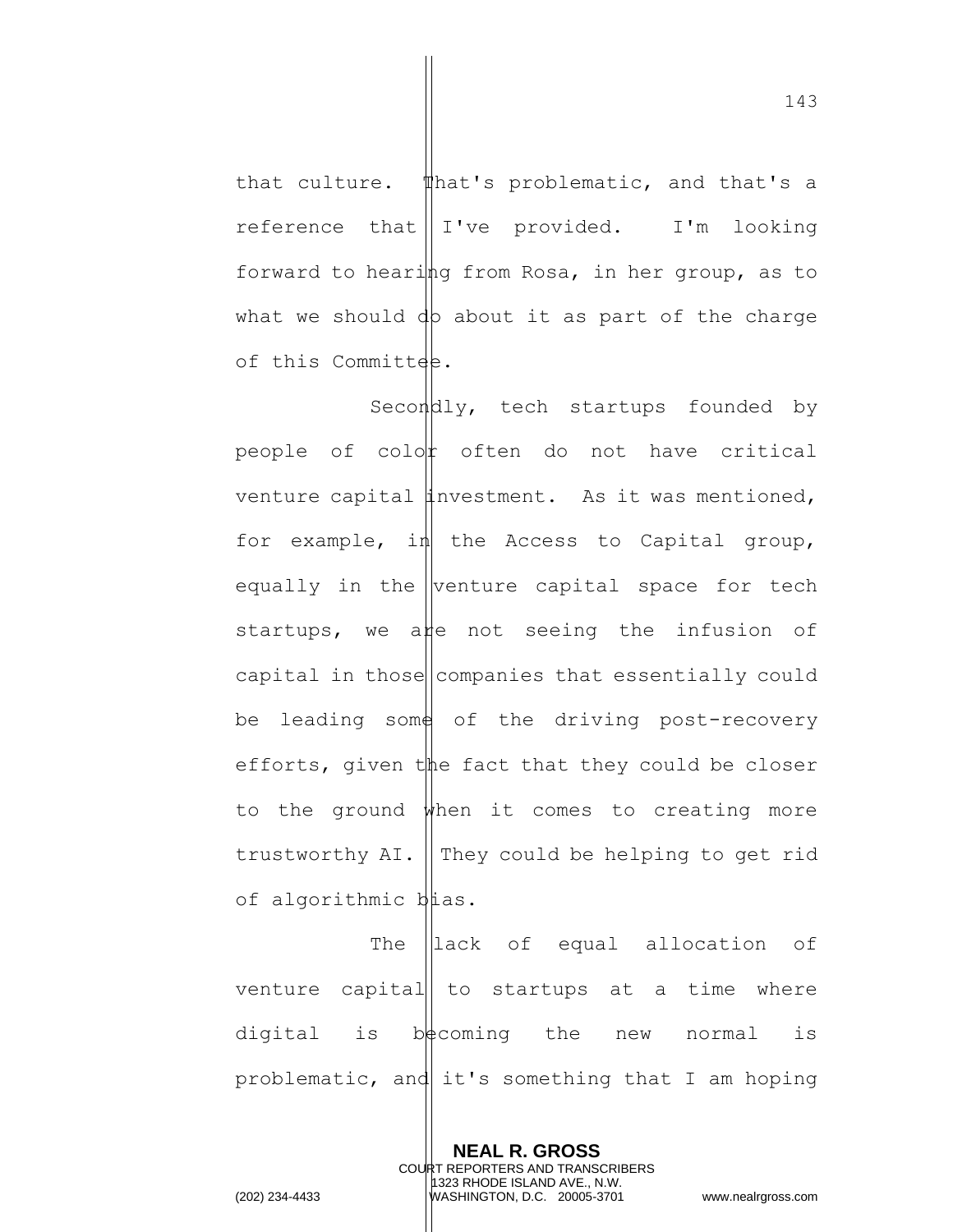that culture. That's problematic, and that's a reference that  $\parallel$  I've provided. I'm looking forward to hearing from Rosa, in her group, as to what we should  $dp$  about it as part of the charge of this Committee.

Secondly, tech startups founded by people of  $\text{col}$  often do not have critical venture capital investment. As it was mentioned, for example, in the Access to Capital group, equally in the venture capital space for tech startups, we ane not seeing the infusion of capital in those companies that essentially could be leading some of the driving post-recovery efforts, given  $t$  the fact that they could be closer to the ground  $\psi$ hen it comes to creating more trustworthy  $AI.$  They could be helping to get rid of algorithmic bias.

The llack of equal allocation of venture capital to startups at a time where digital is  $b\neq$ coming the new normal is problematic, and it's something that I am hoping

> **NEAL R. GROSS** COURT REPORTERS AND TRANSCRIBERS 1323 RHODE ISLAND AVE., N.W.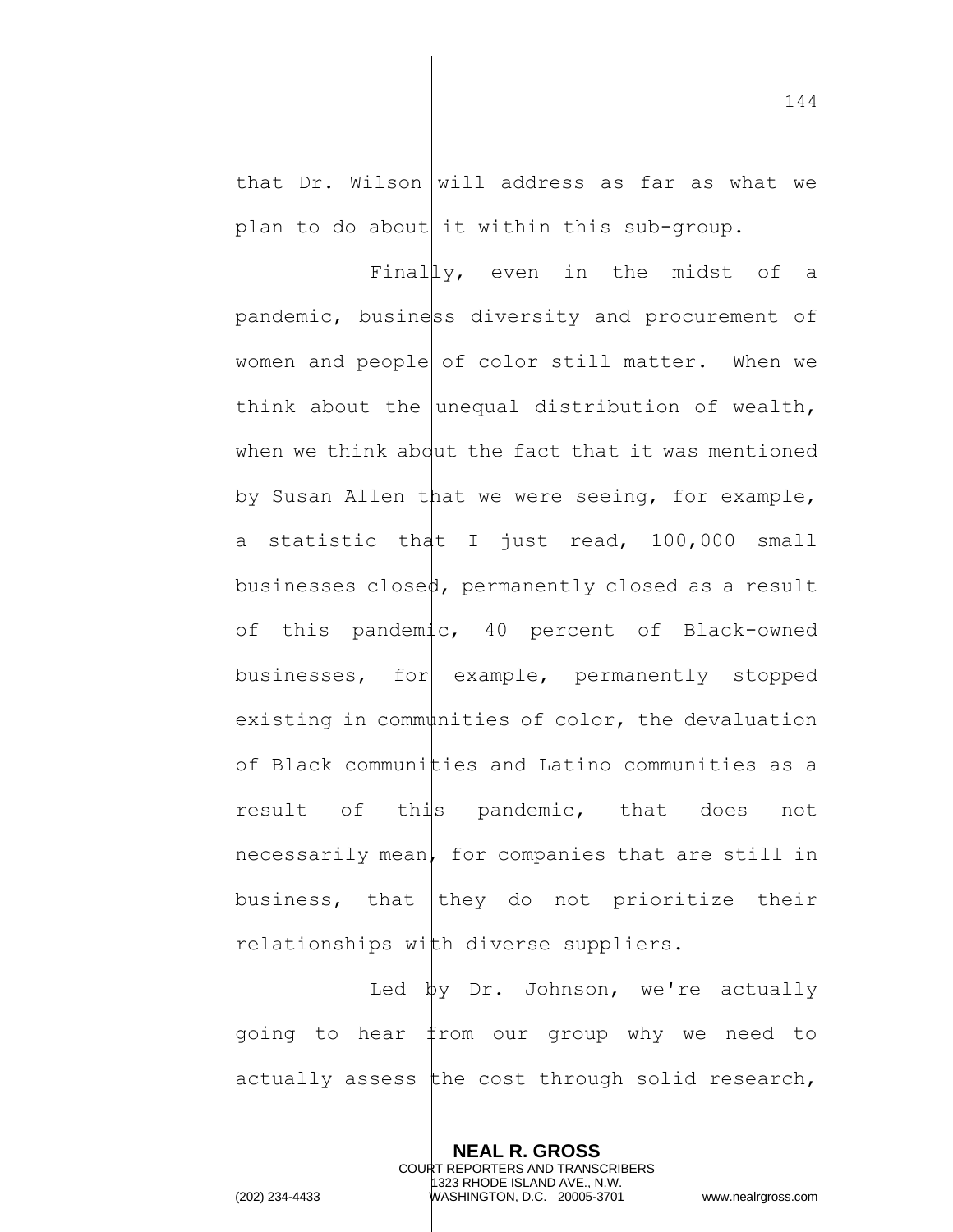that Dr. Wilson  $\|$  will address as far as what we plan to do about it within this sub-group.

Finally, even in the midst of a  $p$ andemic, busin $\phi$ ss diversity and procurement of women and people of color still matter. When we think about the unequal distribution of wealth, when we think about the fact that it was mentioned by Susan Allen that we were seeing, for example, a statistic that I just read, 100,000 small businesses closed, permanently closed as a result of this pandemic, 40 percent of Black-owned businesses, for example, permanently stopped existing in communities of color, the devaluation of Black communities and Latino communities as a result of this pandemic, that does not  $n$ ecessarily mean, for companies that are still in business, that they do not prioritize their relationships with diverse suppliers.

Led  $\upphi$ y Dr. Johnson, we're actually going to hear from our group why we need to actually assess the cost through solid research,

> **NEAL R. GROSS** COURT REPORTERS AND TRANSCRIBERS 1323 RHODE ISLAND AVE., N.W.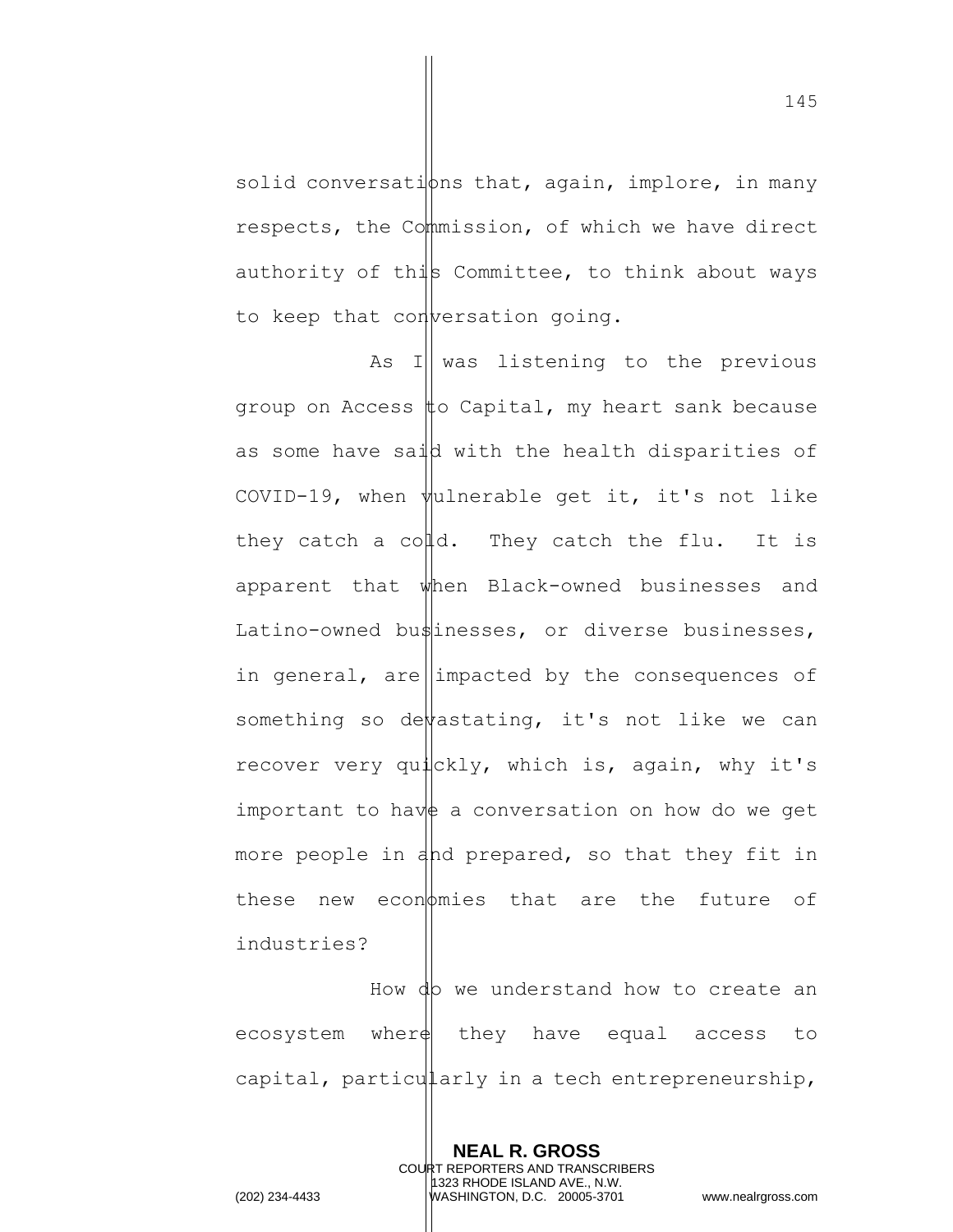solid conversations that, again, implore, in many respects, the Commission, of which we have direct authority of this Committee, to think about ways to keep that conversation going.

As I was listening to the previous group on Access  $\sharp$ o Capital, my heart sank because as some have said with the health disparities of COVID-19, when  $\psi$ ulnerable get it, it's not like they catch a colld. They catch the flu. It is apparent that when Black-owned businesses and Latino-owned businesses, or diverse businesses, in general, are impacted by the consequences of something so devastating, it's not like we can recover very quickly, which is, again, why it's important to have a conversation on how do we get more people in and prepared, so that they fit in these new economies that are the future of industries?

How do we understand how to create an ecosystem wher $\phi$  they have equal access to capital, particularly in a tech entrepreneurship,

> **NEAL R. GROSS** COURT REPORTERS AND TRANSCRIBERS 1323 RHODE ISLAND AVE., N.W.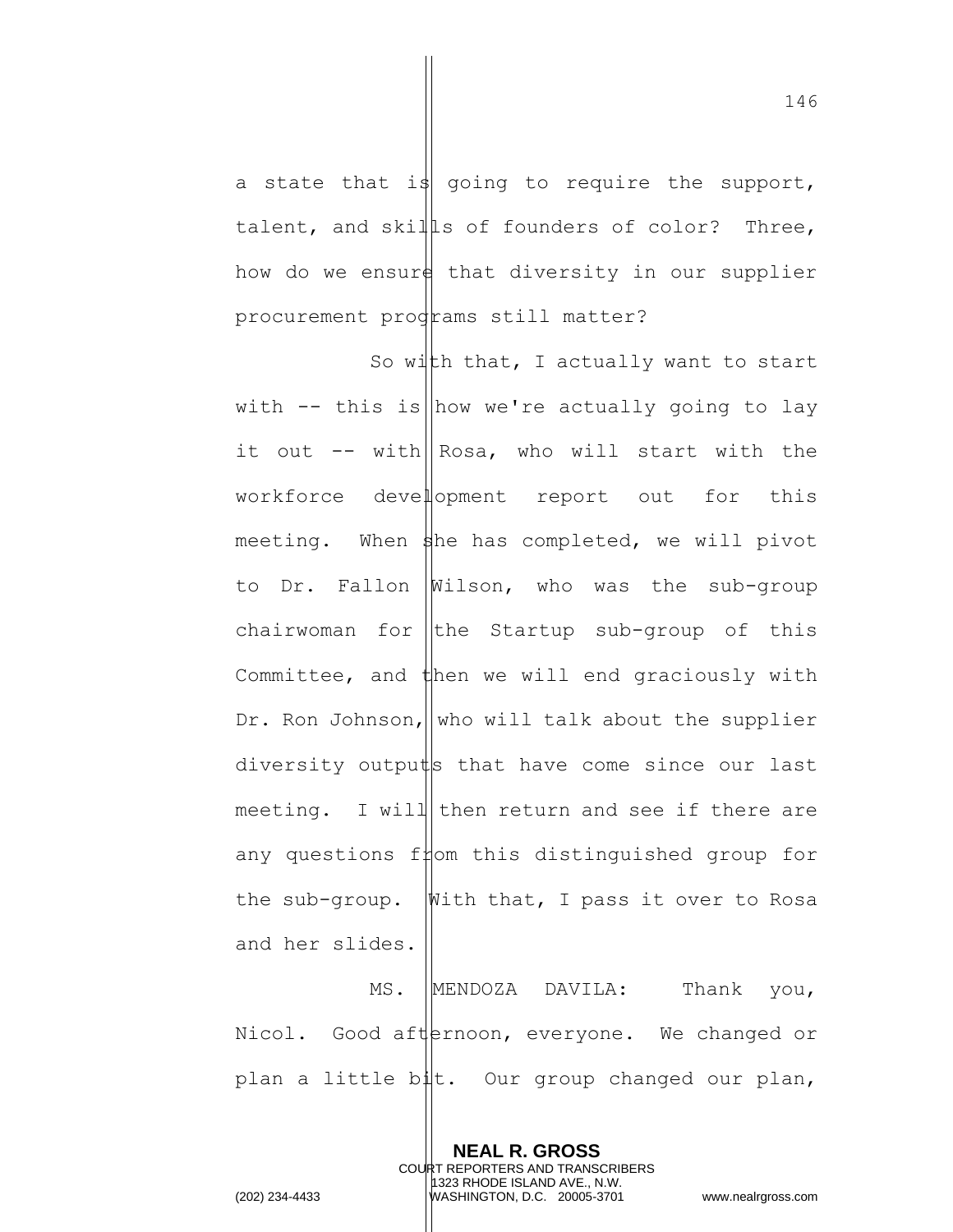a state that is going to require the support, talent, and skills of founders of color? Three, how do we ensure that diversity in our supplier procurement prodrams still matter?

So with that, I actually want to start with  $-$  this is how we're actually going to lay it out -- with Rosa, who will start with the workforce development report out for this meeting. When  $\frac{1}{2}$ he has completed, we will pivot to Dr. Fallon Wilson, who was the sub-group chairwoman for  $\|$ the Startup sub-group of this Committee, and  $t$ hen we will end graciously with Dr. Ron Johnson, who will talk about the supplier diversity outputs that have come since our last meeting. I will then return and see if there are any questions from this distinguished group for the sub-group. Whith that, I pass it over to Rosa and her slides.

MS. MENDOZA DAVILA: Thank you, Nicol. Good afternoon, everyone. We changed or plan a little bit. Our group changed our plan,

> **NEAL R. GROSS** COURT REPORTERS AND TRANSCRIBERS 1323 RHODE ISLAND AVE., N.W.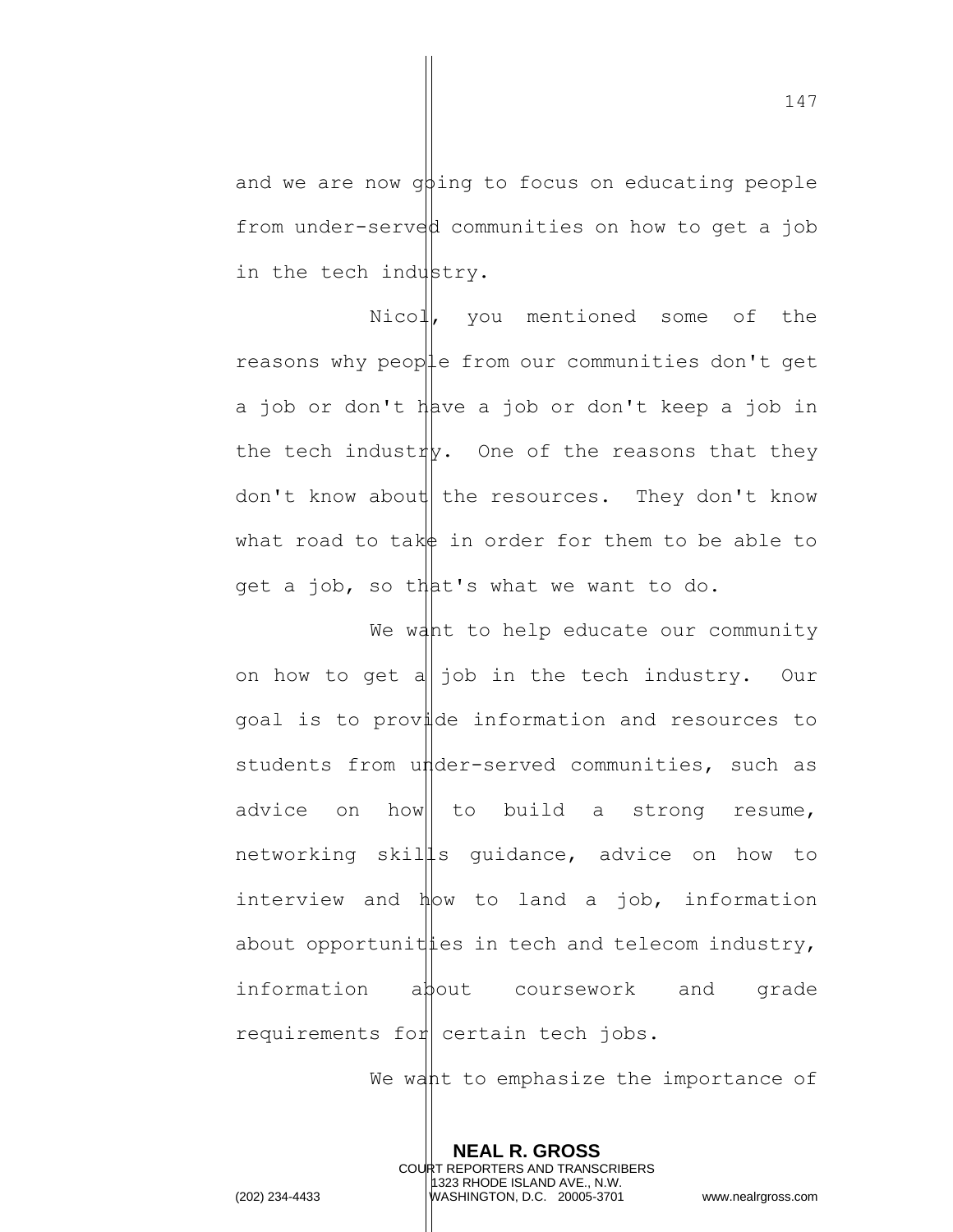and we are now  $q\beta$ ing to focus on educating people from under-served communities on how to get a job in the tech industry.

Nicol, you mentioned some of the reasons why people from our communities don't get a job or don't have a job or don't keep a job in the tech industry. One of the reasons that they don't know about the resources. They don't know what road to take in order for them to be able to get a job, so that's what we want to do.

We want to help educate our community on how to get a  $j$  job in the tech industry. Our goal is to provide information and resources to students from under-served communities, such as advice on how to build a strong resume, networking skil s guidance, advice on how to interview and  $\nparallel_{\mathbb{W}}$  to land a job, information about opportunities in tech and telecom industry, information about coursework and grade requirements for certain tech jobs.

We want to emphasize the importance of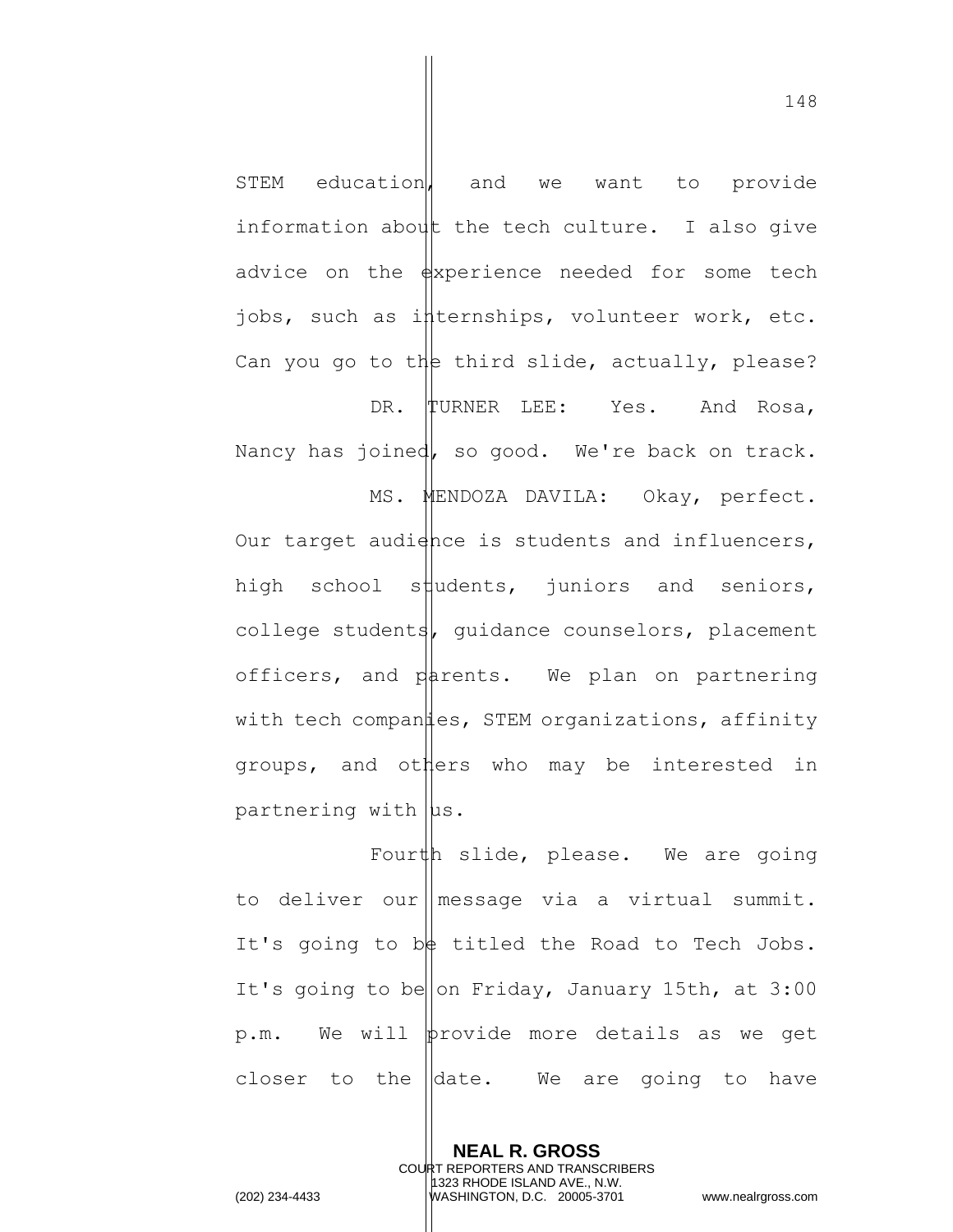148

STEM education, and we want to provide information about the tech culture. I also give advice on the  $\frac{1}{2}$  advice on the  $\frac{1}{2}$  are needed for some tech jobs, such as internships, volunteer work, etc. Can you go to the third slide, actually, please?

DR. TURNER LEE: Yes. And Rosa, Nancy has joined, so good. We're back on track.

MS. MENDOZA DAVILA: Okay, perfect. Our target audience is students and influencers, high school students, juniors and seniors, college students, guidance counselors, placement officers, and  $n$  parents. We plan on partnering with tech companies, STEM organizations, affinity groups, and others who may be interested in partnering with  $|$ us.

Fourth slide, please. We are going to deliver our message via a virtual summit. It's going to be titled the Road to Tech Jobs. It's going to be on Friday, January 15th, at  $3:00$ p.m. We will provide more details as we get closer to the  $\parallel$ date. We are going to have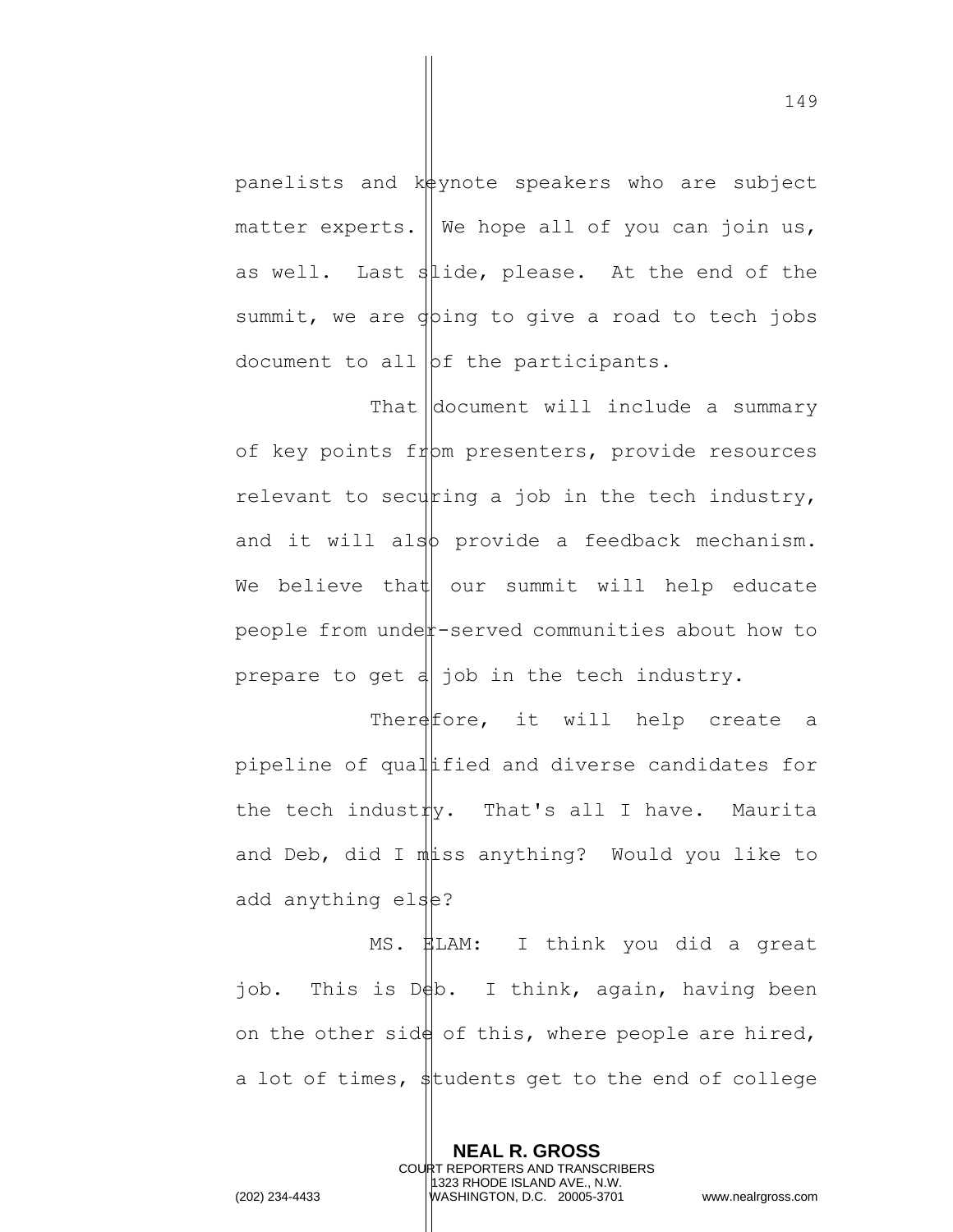panelists and  $k\frac{1}{2}$  ynote speakers who are subject matter experts. We hope all of you can join us, as well. Last slide, please. At the end of the summit, we are going to give a road to tech jobs document to all  $|bf$  the participants.

That  $\vert$  document will include a summary of key points from presenters, provide resources relevant to securing a job in the tech industry, and it will also provide a feedback mechanism. We believe that our summit will help educate people from under-served communities about how to prepare to get  $d$  job in the tech industry.

There  $f$  it will help create a pipeline of qual and diverse candidates for the tech industry. That's all I have. Maurita and Deb, did I mats anything? Would you like to add anything else?

MS. HLAM: I think you did a great job. This is Deb. I think, again, having been on the other side of this, where people are hired, a lot of times,  $\frac{1}{2}$ tudents get to the end of college

> **NEAL R. GROSS** COURT REPORTERS AND TRANSCRIBERS 1323 RHODE ISLAND AVE., N.W.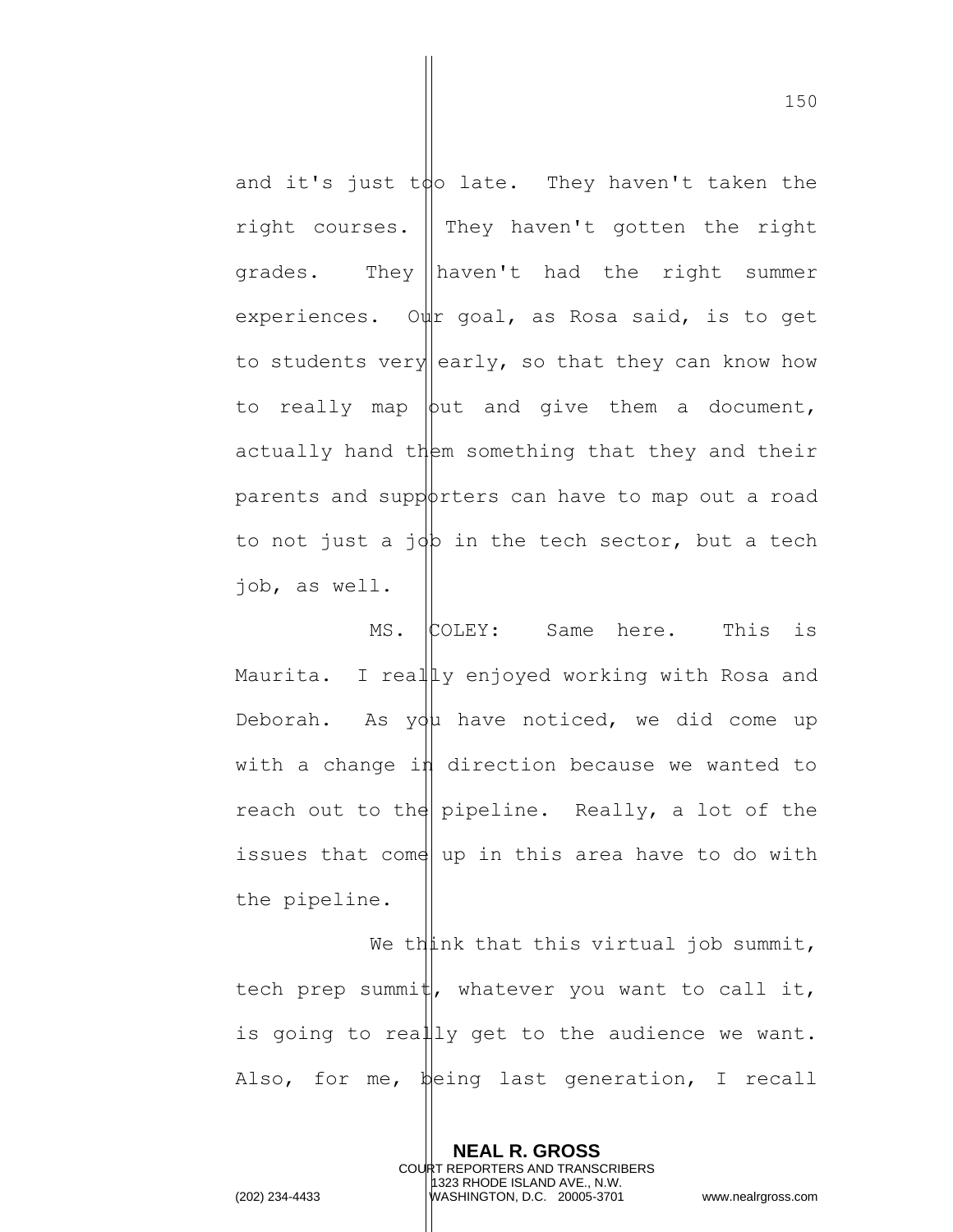and it's just to late. They haven't taken the right courses.  $\parallel$  They haven't gotten the right grades. They haven't had the right summer experiences. Our goal, as Rosa said, is to get to students very early, so that they can know how to really map  $\phi$ ut and give them a document, actually hand them something that they and their parents and supporters can have to map out a road to not just a job in the tech sector, but a tech job, as well.

MS. COLEY: Same here. This is Maurita. I really enjoyed working with Rosa and Deborah. As you have noticed, we did come up with a change in direction because we wanted to reach out to the pipeline. Really, a lot of the issues that come up in this area have to do with the pipeline.

We think that this virtual job summit, tech prep summit, whatever you want to call it, is going to really get to the audience we want. Also, for me, being last generation, I recall

> **NEAL R. GROSS** COURT REPORTERS AND TRANSCRIBERS 1323 RHODE ISLAND AVE., N.W.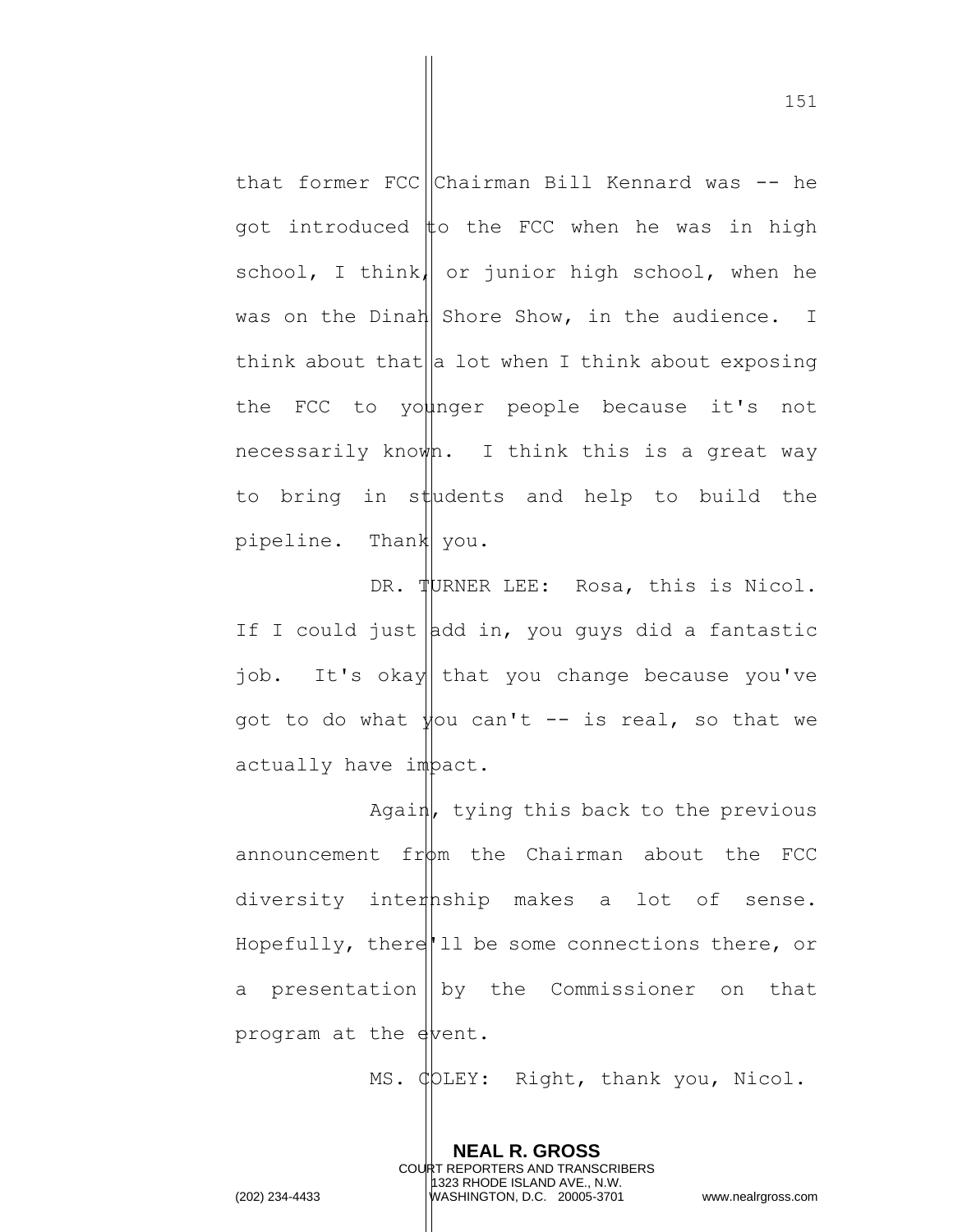that former FCC Chairman Bill Kennard was  $-$  he got introduced  $\sharp$ o the FCC when he was in high school, I think, or junior high school, when he was on the Dinah Shore Show, in the audience. I think about that  $|a|$  lot when I think about exposing the FCC to younger people because it's not necessarily known. I think this is a great way to bring in students and help to build the pipeline. Thank you.

DR. TURNER LEE: Rosa, this is Nicol. If I could just  $\vert$ dd in, you guys did a fantastic job. It's okay that you change because you've got to do what  $\frac{1}{2}$  ou can't -- is real, so that we actually have impact.

Again, tying this back to the previous announcement  $fr\psi$ m the Chairman about the FCC diversity internship makes a lot of sense. Hopefully, there'll be some connections there, or a presentation  $\parallel$  by the Commissioner on that program at the event.

> **NEAL R. GROSS** COURT REPORTERS AND TRANSCRIBERS 1323 RHODE ISLAND AVE., N.W.

MS. COLEY: Right, thank you, Nicol.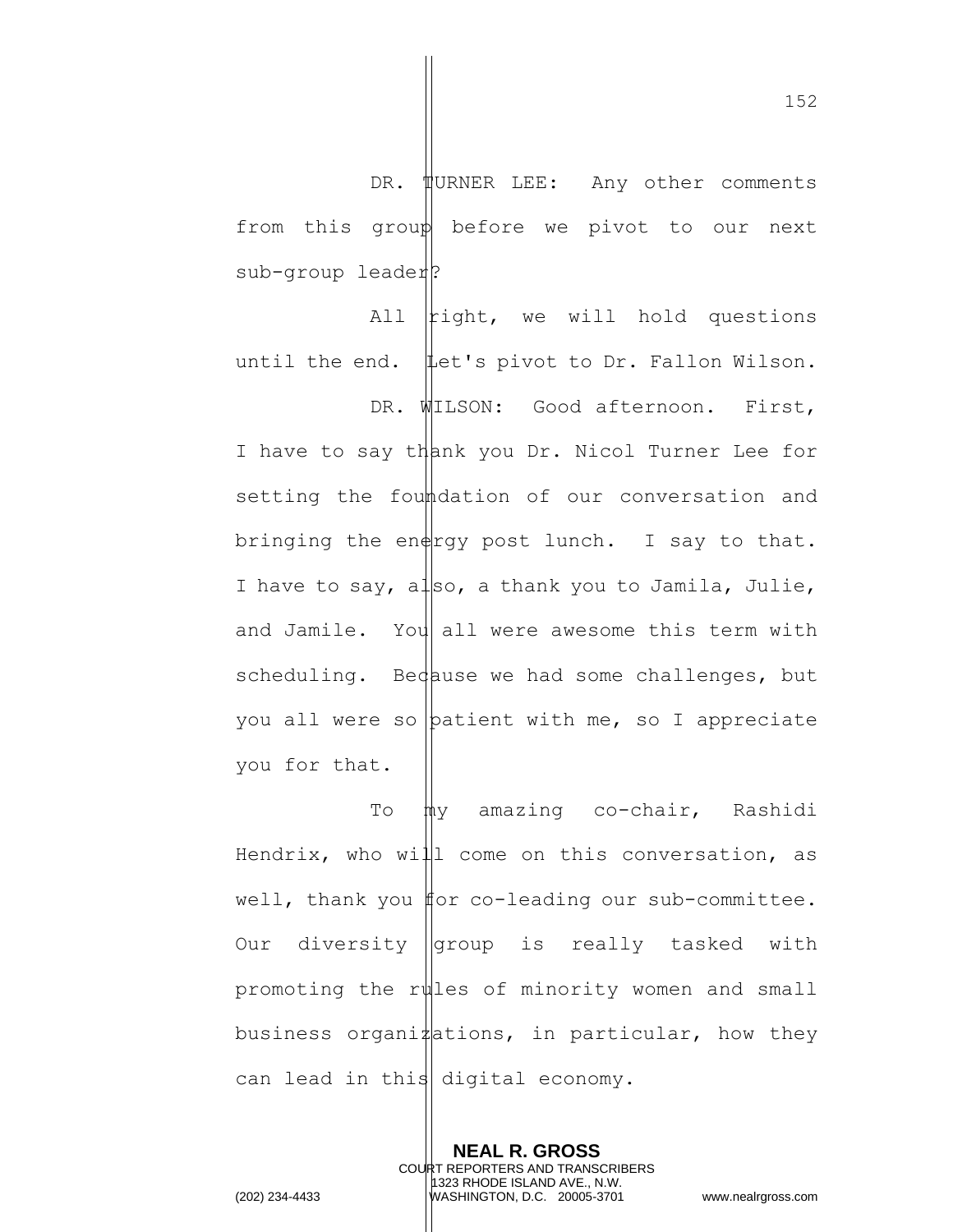DR. WURNER LEE: Any other comments from this group before we pivot to our next sub-group leader?

All  $\vert$ tight, we will hold questions until the end. Let's pivot to Dr. Fallon Wilson.

DR. WILSON: Good afternoon. First, I have to say thank you Dr. Nicol Turner Lee for setting the foundation of our conversation and bringing the en $\frac{1}{2}$  post lunch. I say to that. I have to say, also, a thank you to Jamila, Julie, and Jamile. You all were awesome this term with scheduling. Because we had some challenges, but you all were so  $\beta$  patient with me, so I appreciate you for that.

To  $m$ y amazing co-chair, Rashidi Hendrix, who will come on this conversation, as well, thank you  $#$ or co-leading our sub-committee. Our diversity  $q$ roup is really tasked with promoting the rules of minority women and small business organi $\sharp$  ations, in particular, how they can lead in this digital economy.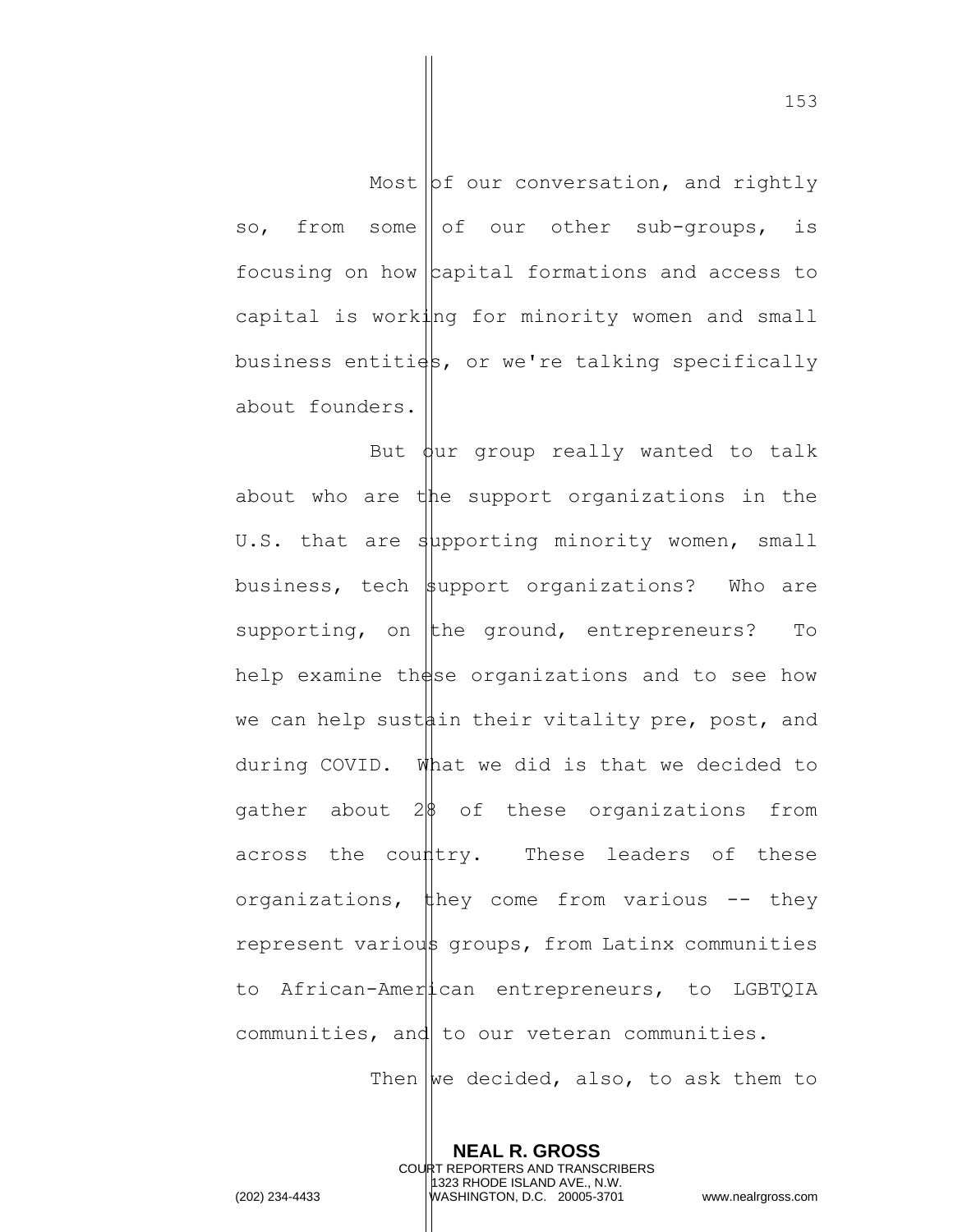Most  $\mathsf{b}$ f our conversation, and rightly so, from some of our other sub-groups, is focusing on how  $\alpha$  capital formations and access to capital is working for minority women and small business entities, or we're talking specifically about founders.

But  $\frac{1}{2}$  bur group really wanted to talk about who are the support organizations in the U.S. that are supporting minority women, small business, tech support organizations? Who are supporting, on the ground, entrepreneurs? To help examine these organizations and to see how we can help sustain their vitality pre, post, and during COVID. What we did is that we decided to gather about  $2\frac{1}{8}$  of these organizations from across the country. These leaders of these organizations, they come from various  $-$  they represent various groups, from Latinx communities to African-American entrepreneurs, to LGBTQIA communities, and to our veteran communities.

Then  $\omega$  decided, also, to ask them to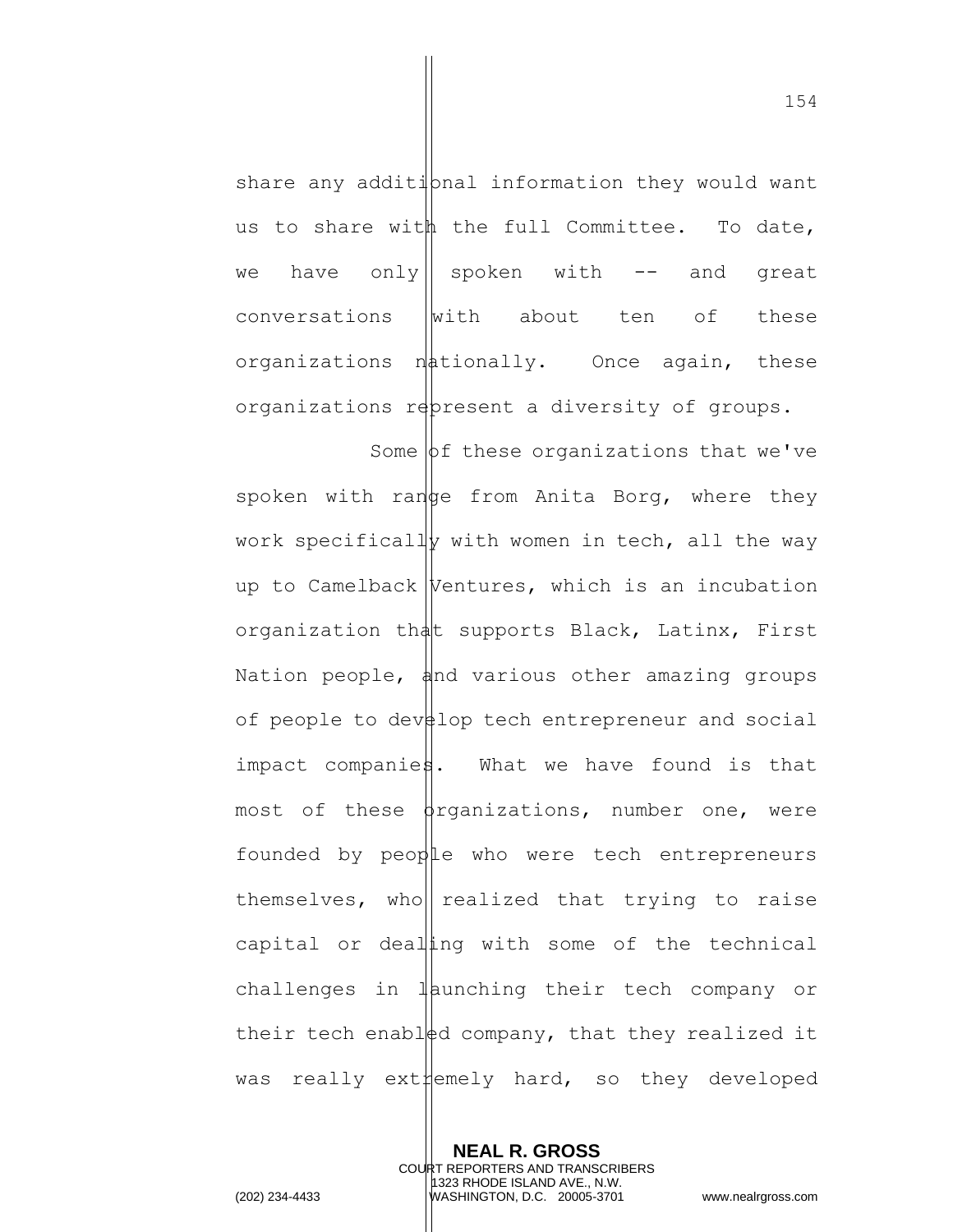share any additional information they would want us to share with the full Committee. To date, we have only|| spoken with  $-$  and great  $conversations$  with about ten of these organizations  $n\phi$ tionally. Once again, these organizations represent a diversity of groups.

Some  $\phi$ f these organizations that we've spoken with range from Anita Borg, where they work specifically with women in tech, all the way up to Camelback  $|$ Ventures, which is an incubation organization that supports Black, Latinx, First Nation people,  $\phi$ nd various other amazing groups of people to dev $\sharp$ lop tech entrepreneur and social impact companies. What we have found is that most of these  $\phi$ rganizations, number one, were founded by people who were tech entrepreneurs themselves, who realized that trying to raise capital or dealling with some of the technical challenges in  $\mathbb{I}$  aunching their tech company or their tech enabled company, that they realized it was really ext $\sharp$ emely hard, so they developed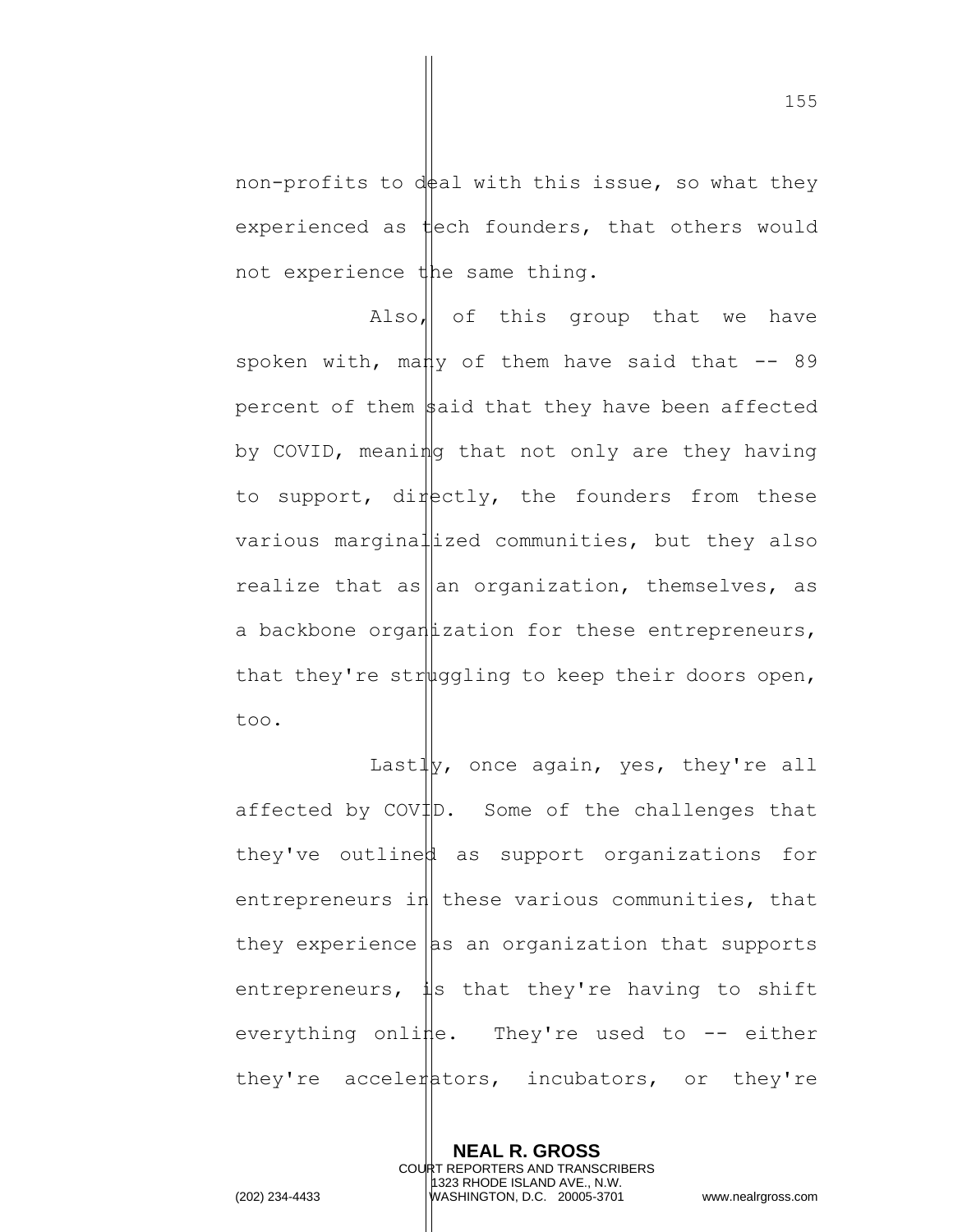non-profits to deal with this issue, so what they experienced as  $\sharp$ ech founders, that others would not experience the same thing.

Also, of this group that we have spoken with, many of them have said that  $-$  89 percent of them  $\frac{1}{2}$  aid that they have been affected by COVID, meaning that not only are they having to support, directly, the founders from these various marginal ized communities, but they also realize that as an organization, themselves, as a backbone organ  $i$ zation for these entrepreneurs, that they're strought to keep their doors open, too.

Last $\frac{1}{y}$ , once again, yes, they're all affected by  $\text{CovID.}$  Some of the challenges that they've outlined as support organizations for entrepreneurs in these various communities, that they experience  $\vert$  as an organization that supports entrepreneurs,  $\sharp$ s that they're having to shift everything online. They're used to  $-$ - either they're accelerators, incubators, or they're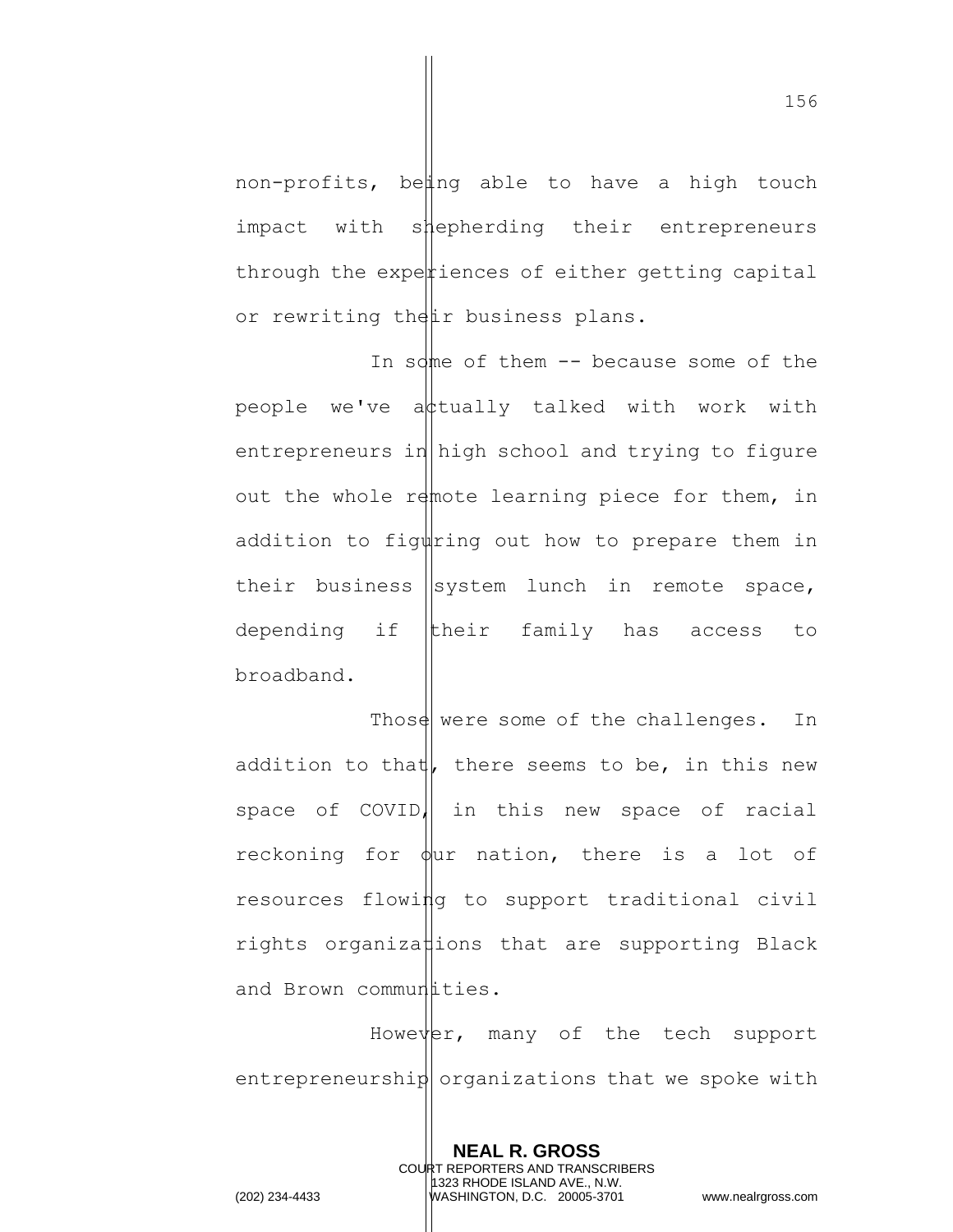non-profits, being able to have a high touch impact with s*i*tepherding their entrepreneurs through the experiences of either getting capital or rewriting their business plans.

In some of them  $--$  because some of the people we've attually talked with work with entrepreneurs in high school and trying to figure out the whole remote learning piece for them, in addition to figuring out how to prepare them in their business  $\left|$  system lunch in remote space, depending if their family has access to broadband.

Those were some of the challenges. In addition to that, there seems to be, in this new space of COVID, in this new space of racial reckoning for  $\phi$ ur nation, there is a lot of resources flowing to support traditional civil rights organiza ions that are supporting Black and Brown commundities.

However, many of the tech support entrepreneurship organizations that we spoke with

> **NEAL R. GROSS** COURT REPORTERS AND TRANSCRIBERS 1323 RHODE ISLAND AVE., N.W.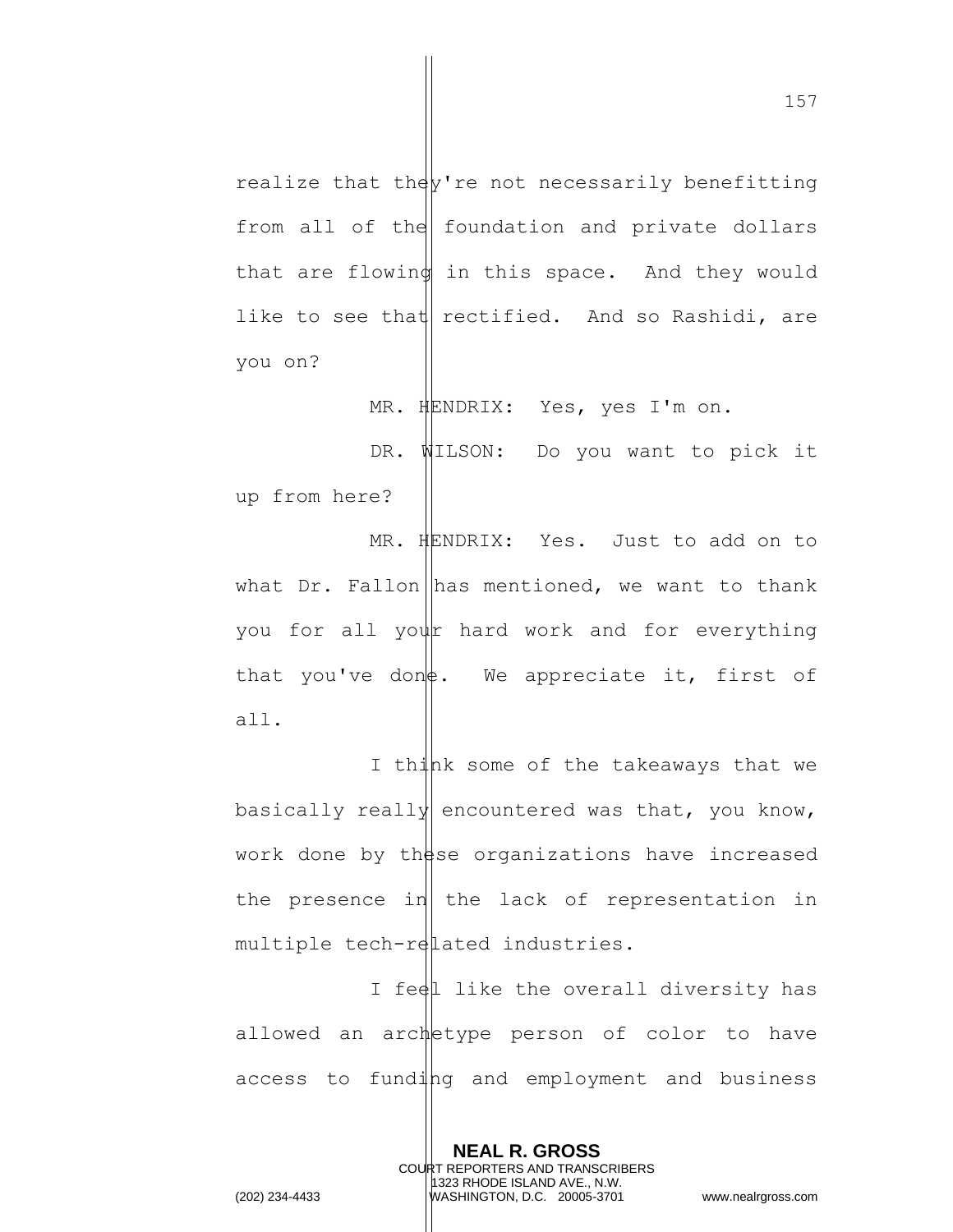realize that the  $v$ 're not necessarily benefitting from all of the foundation and private dollars that are flowing in this space. And they would like to see that rectified. And so Rashidi, are you on?

MR. HENDRIX: Yes, yes I'm on.

DR. WILSON: Do you want to pick it up from here?

MR. HENDRIX: Yes. Just to add on to what  $Dr.$  Fallon has mentioned, we want to thank you for all your hard work and for everything that you've don $\phi$ . We appreciate it, first of all.

I think some of the takeaways that we basically really encountered was that, you know, work done by these organizations have increased the presence in the lack of representation in multiple tech-related industries.

I feel like the overall diversity has allowed an archetype person of color to have access to funding and employment and business

> **NEAL R. GROSS** COURT REPORTERS AND TRANSCRIBERS 1323 RHODE ISLAND AVE., N.W.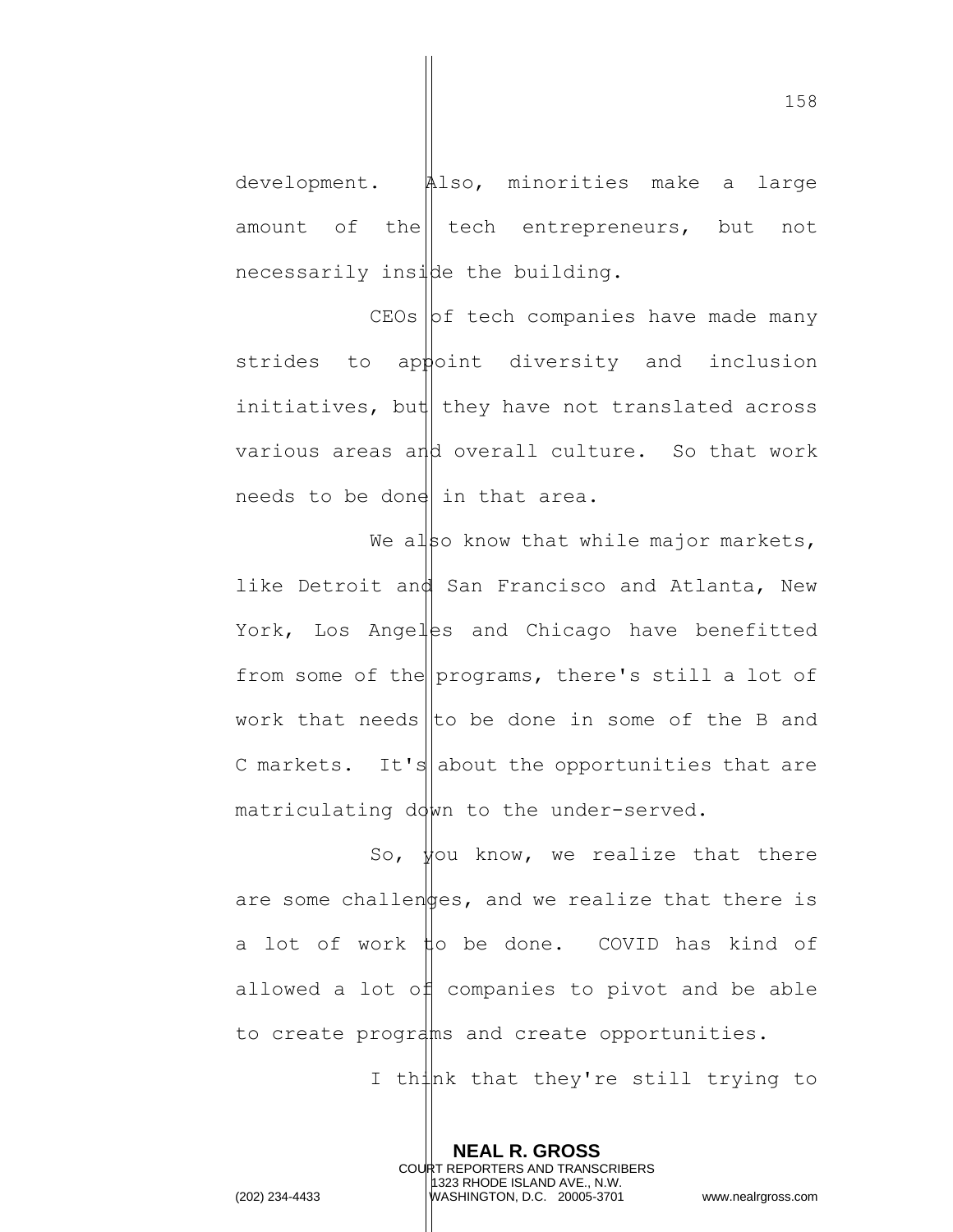development. Also, minorities make a large amount of the  $\vert$  tech entrepreneurs, but not necessarily inside the building.

 $CEOs$   $bf$  tech companies have made many strides to appoint diversity and inclusion initiatives, but they have not translated across various areas and overall culture. So that work needs to be done in that area.

We also know that while major markets, like Detroit and San Francisco and Atlanta, New York, Los Angelss and Chicago have benefitted from some of the programs, there's still a lot of work that needs to be done in some of the B and C markets. It's about the opportunities that are matriculating down to the under-served.

So,  $\frac{1}{2}$  know, we realize that there are some challenges, and we realize that there is a lot of work  $\sharp$ o be done. COVID has kind of allowed a lot of companies to pivot and be able to create programs and create opportunities.

> **NEAL R. GROSS** COURT REPORTERS AND TRANSCRIBERS 1323 RHODE ISLAND AVE., N.W.

I th $\downarrow$ nk that they're still trying to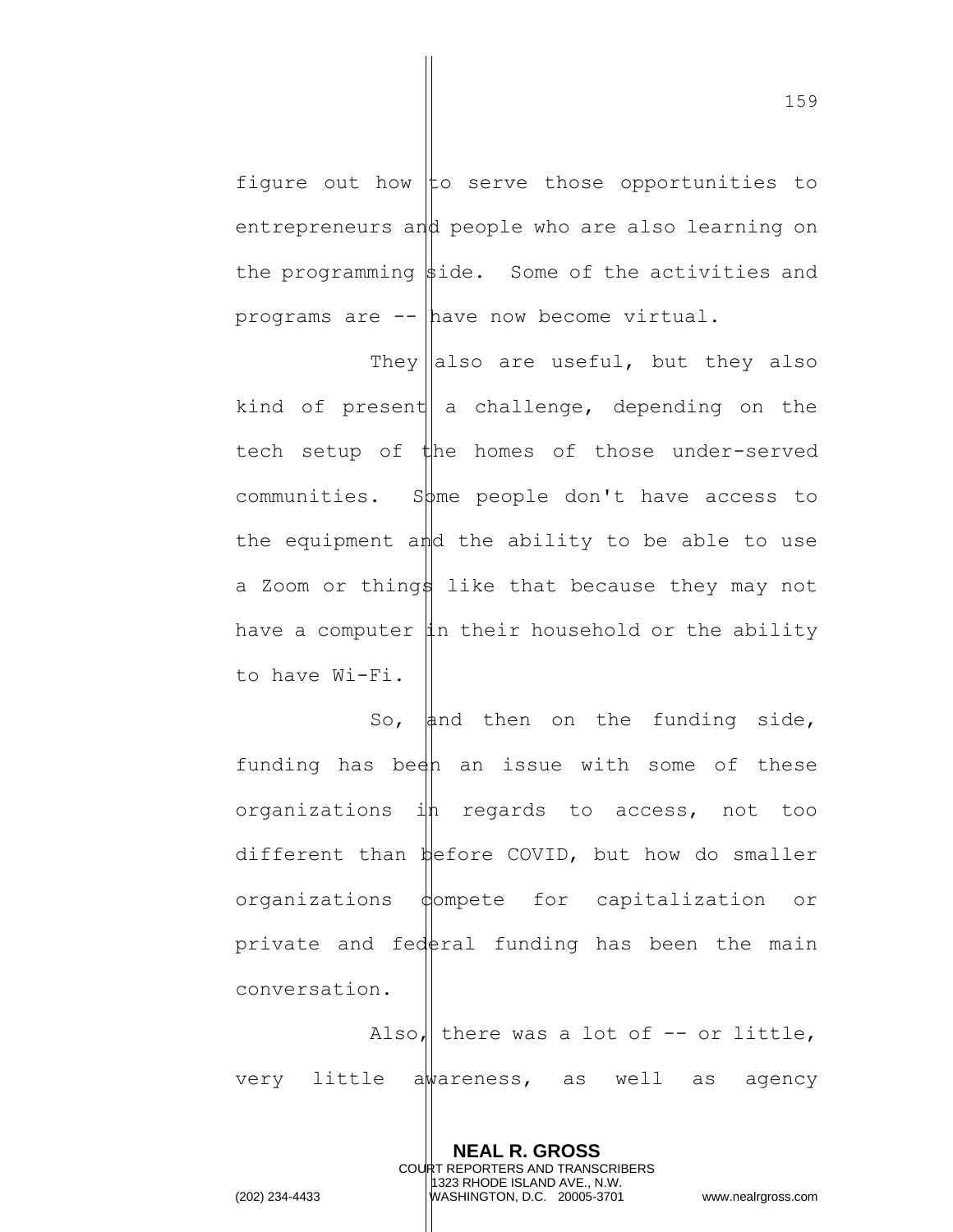figure out how to serve those opportunities to entrepreneurs and people who are also learning on the programming  $\frac{1}{2}$ ide. Some of the activities and programs are -- have now become virtual.

They also are useful, but they also kind of present a challenge, depending on the tech setup of the homes of those under-served communities. Some people don't have access to the equipment and the ability to be able to use a Zoom or things like that because they may not have a computer  $\sharp n$  their household or the ability to have Wi-Fi.

So, and then on the funding side, funding has been an issue with some of these organizations  $i\sharp$  regards to access, not too different than before COVID, but how do smaller organizations dompete for capitalization or private and federal funding has been the main conversation.

Also, there was a lot of  $-$ - or little, very little awareness, as well as agency

> **NEAL R. GROSS** COURT REPORTERS AND TRANSCRIBERS 1323 RHODE ISLAND AVE., N.W.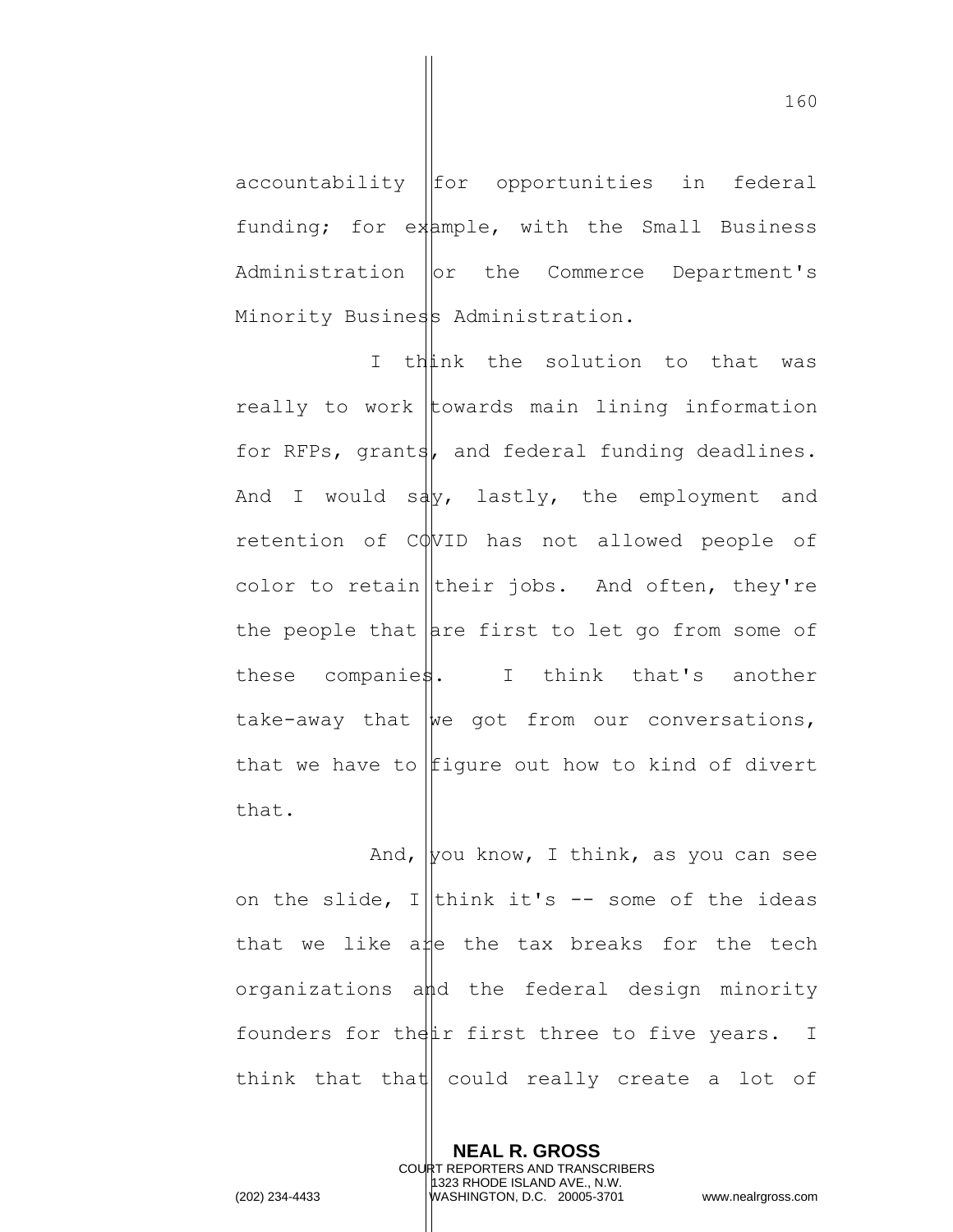$accountability$   $|for$  opportunities in federal funding; for example, with the Small Business Administration | or the Commerce Department's Minority Business Administration.

I think the solution to that was really to work towards main lining information for RFPs, grants, and federal funding deadlines. And I would  $sdy$ , lastly, the employment and retention of COVID has not allowed people of color to retain their jobs. And often, they're the people that  $|$  are first to let go from some of these companies. I think that's another take-away that  $\psi$  and from our conversations, that we have to  $f$ igure out how to kind of divert that.

And, you know, I think, as you can see on the slide, I think it's  $-$  some of the ideas that we like a e the tax breaks for the tech organizations and the federal design minority founders for the  $\sharp$ ir first three to five years. I think that that  $\vert$  could really create a lot of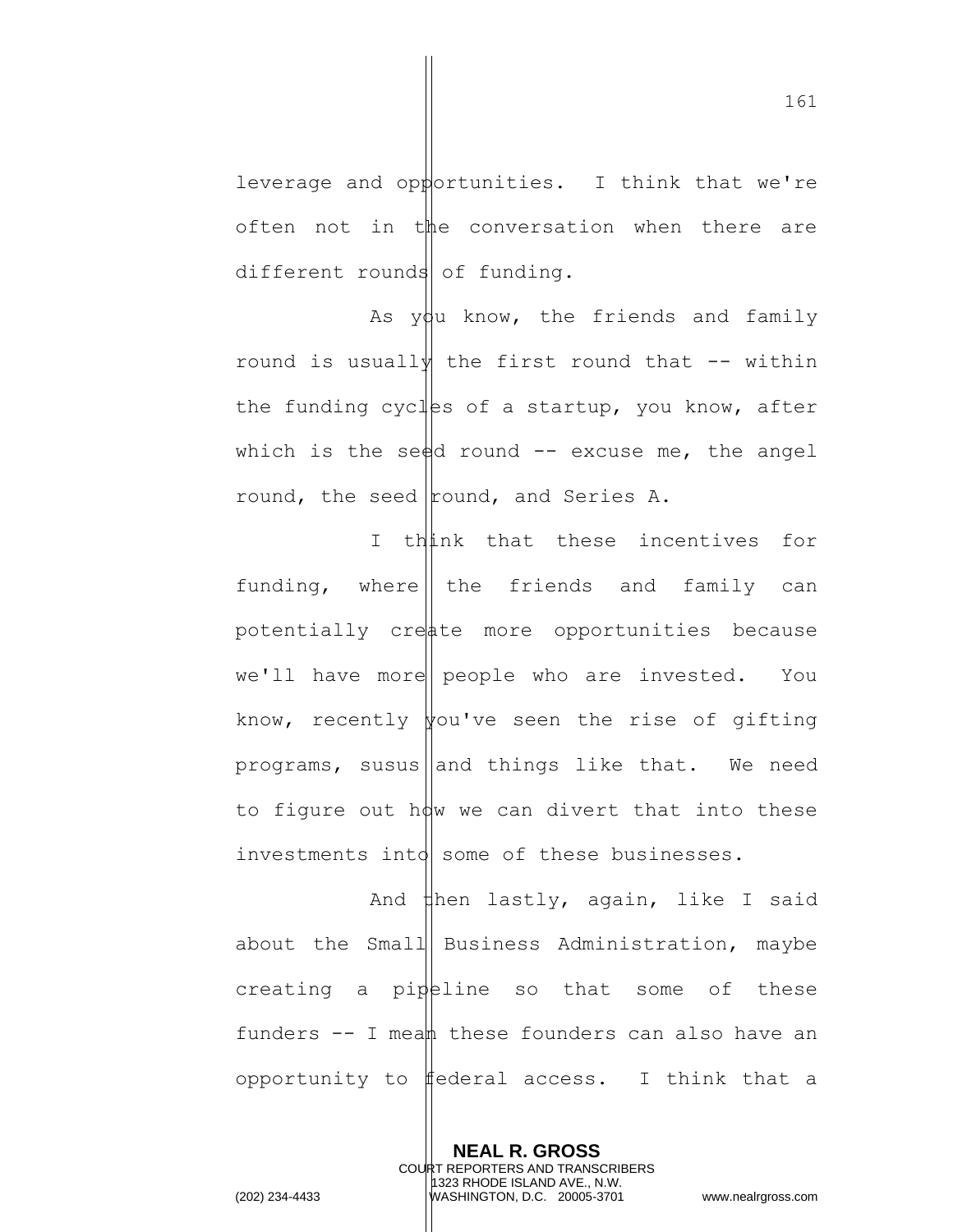leverage and opportunities. I think that we're often not in the conversation when there are different rounds of funding.

As  $ydu$  know, the friends and family round is usually the first round that  $-$ - within the funding cycles of a startup, you know, after which is the seed round  $-$  excuse me, the angel round, the seed round, and Series A.

I think that these incentives for funding, where the friends and family can potentially create more opportunities because  $we'll$  have more people who are invested. You know, recently  $\frac{1}{2}$  ve seen the rise of gifting programs, susus and things like that. We need to figure out how we can divert that into these investments into  $\vert$  some of these businesses.

And  $\sharp$ hen lastly, again, like I said about the Small Business Administration, maybe creating a pipeline so that some of these funders  $--$  I mean these founders can also have an opportunity to federal access. I think that a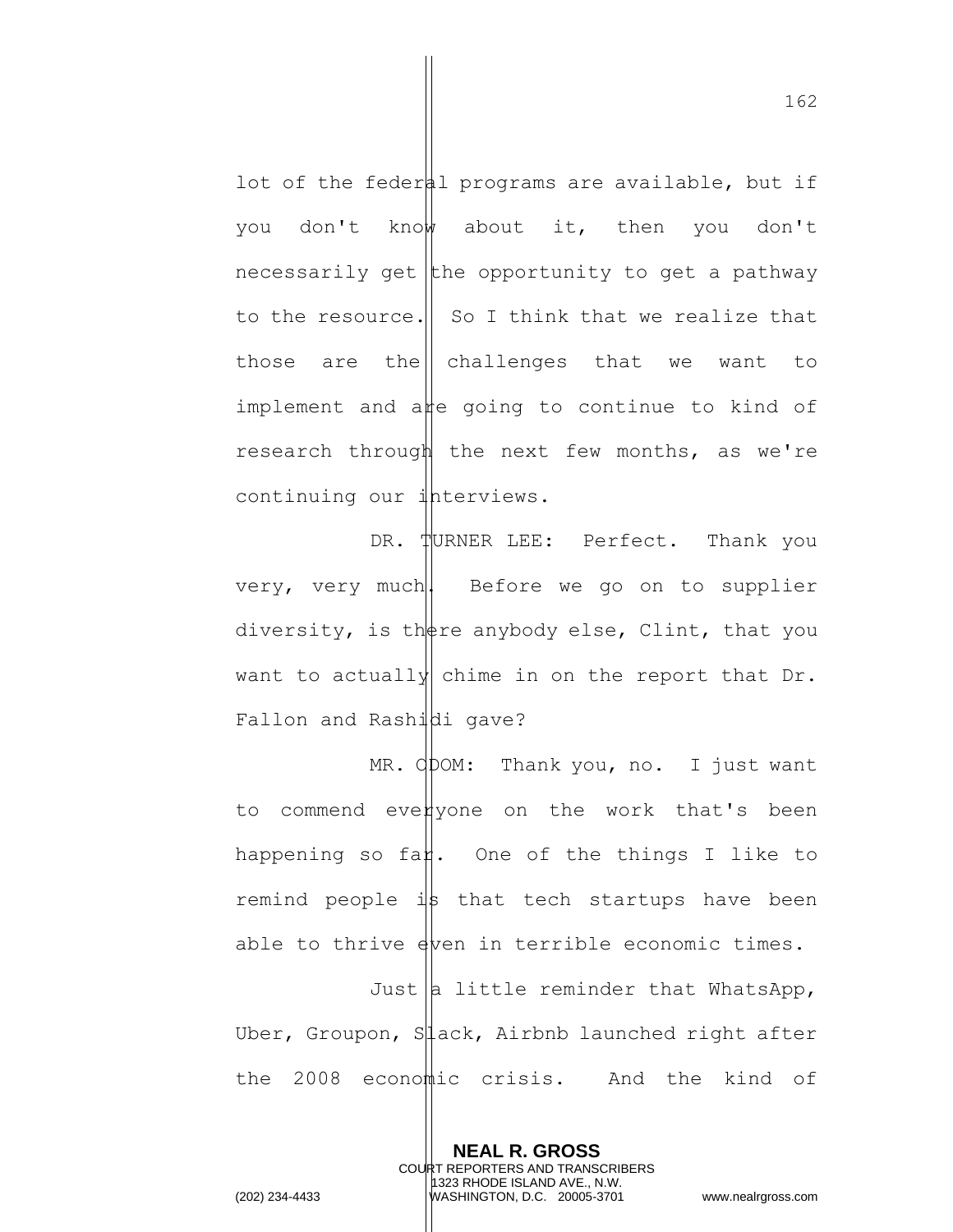lot of the federal programs are available, but if you don't know about it, then you don't necessarily get the opportunity to get a pathway to the resource.  $\parallel$  So I think that we realize that those are the  $\vert$  challenges that we want to implement and are going to continue to kind of research through the next few months, as we're continuing our interviews.

DR. TURNER LEE: Perfect. Thank you very, very much. Before we go on to supplier diversity, is there anybody else, Clint, that you want to actually chime in on the report that Dr. Fallon and Rashidi gave?

MR. ODOM: Thank you, no. I just want to commend everyone on the work that's been happening so fan. One of the things I like to remind people  $\exists$ s that tech startups have been able to thrive  $\frac{1}{2}$  able economic times. Just  $|a|$  little reminder that WhatsApp, Uber, Groupon, Slack, Airbnb launched right after the 2008 economic crisis. And the kind of

> **NEAL R. GROSS** COURT REPORTERS AND TRANSCRIBERS 1323 RHODE ISLAND AVE., N.W.

162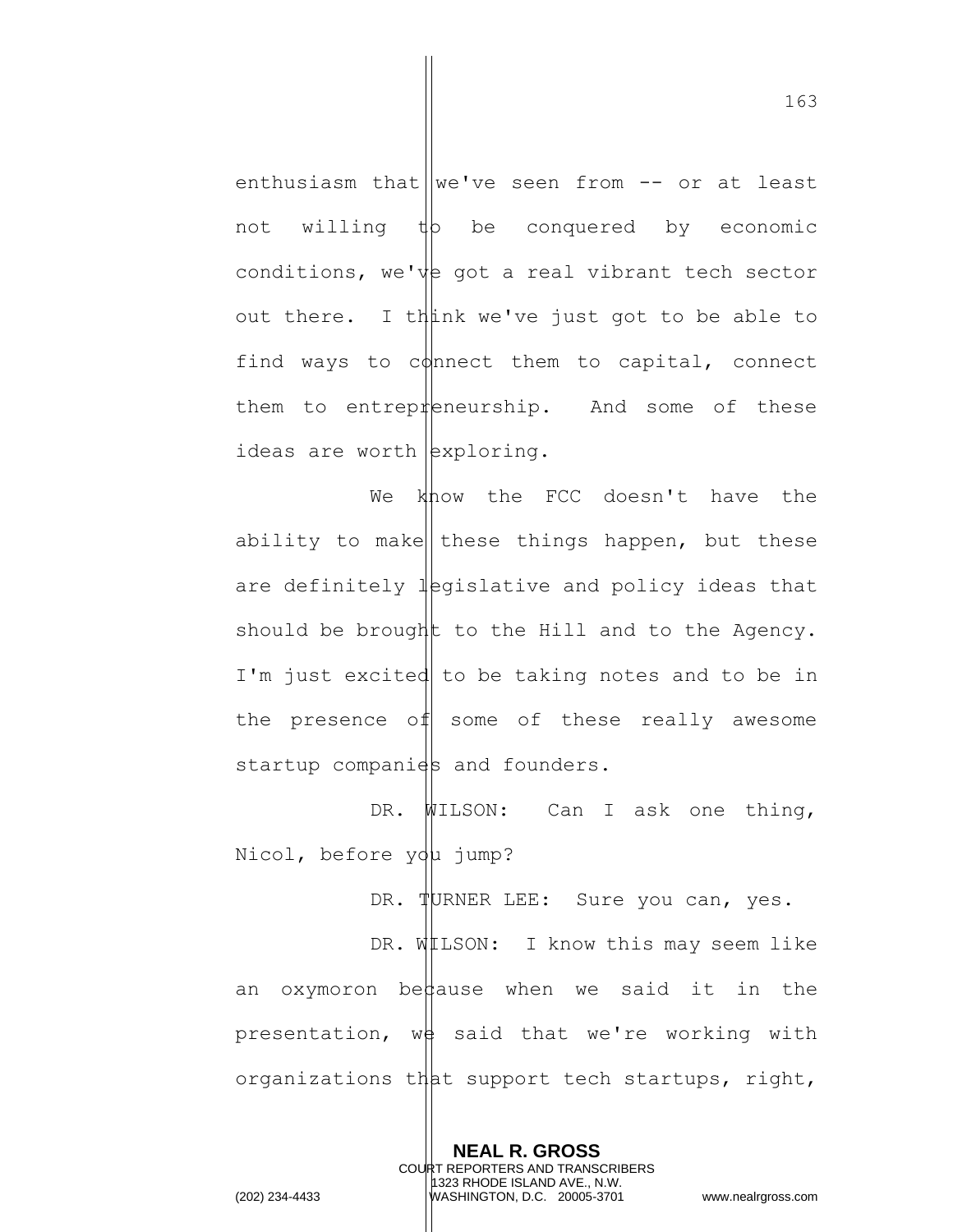enthusiasm that we've seen from  $-$  or at least not willing  $\sharp$  be conquered by economic conditions, we've got a real vibrant tech sector out there. I think we've just got to be able to find ways to connect them to capital, connect them to entrepreneurship. And some of these ideas are worth  $\exp l$ 

We know the FCC doesn't have the ability to make these things happen, but these are definitely  $\frac{1}{2}$  equidiblative and policy ideas that should be brought to the Hill and to the Agency. I'm just excited to be taking notes and to be in the presence of some of these really awesome startup companies and founders.

DR. WILSON: Can I ask one thing, Nicol, before you jump?

DR. TURNER LEE: Sure you can, yes.

DR. WILSON: I know this may seem like an oxymoron be $\sharp$ ause when we said it in the presentation,  $w\phi$  said that we're working with organizations that support tech startups, right,

> **NEAL R. GROSS** COURT REPORTERS AND TRANSCRIBERS 1323 RHODE ISLAND AVE., N.W.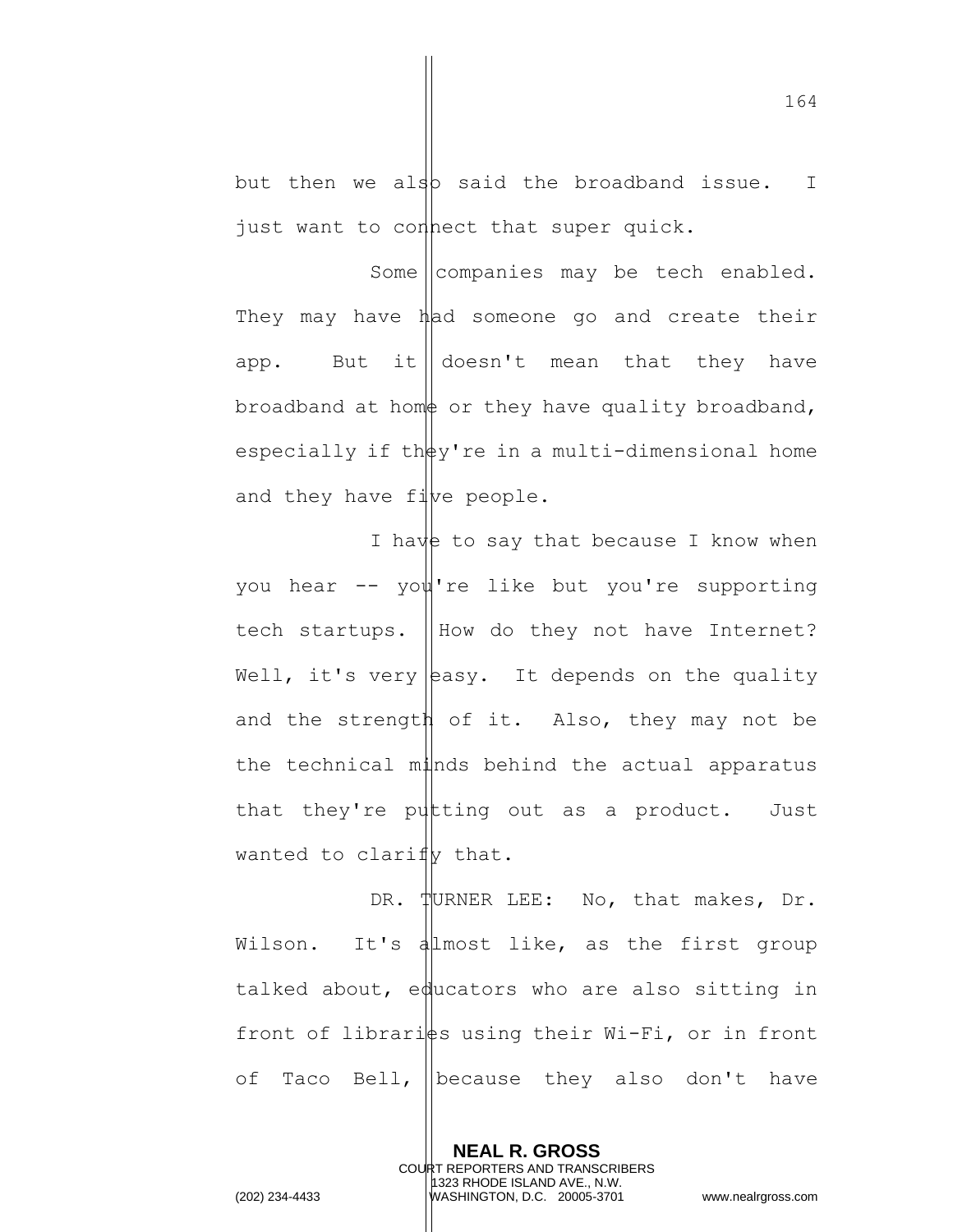but then we also said the broadband issue. I just want to connect that super quick.

Some  $\vert$  companies may be tech enabled. They may have had someone go and create their app. But it doesn't mean that they have broadband at home or they have quality broadband, especially if th $\frac{1}{2}y$ 're in a multi-dimensional home and they have  $f\ddot{\psi}$  people.

I have to say that because I know when you hear -- you're like but you're supporting tech startups. How do they not have Internet? Well, it's very easy. It depends on the quality and the strength of it. Also, they may not be the technical minds behind the actual apparatus that they're putting out as a product. Just wanted to clarify that.

DR. TURNER LEE: No, that makes, Dr. Wilson. It's almost like, as the first group talked about, educators who are also sitting in front of librarists using their Wi-Fi, or in front of Taco Bell, Decause they also don't have

> **NEAL R. GROSS** COURT REPORTERS AND TRANSCRIBERS 1323 RHODE ISLAND AVE., N.W.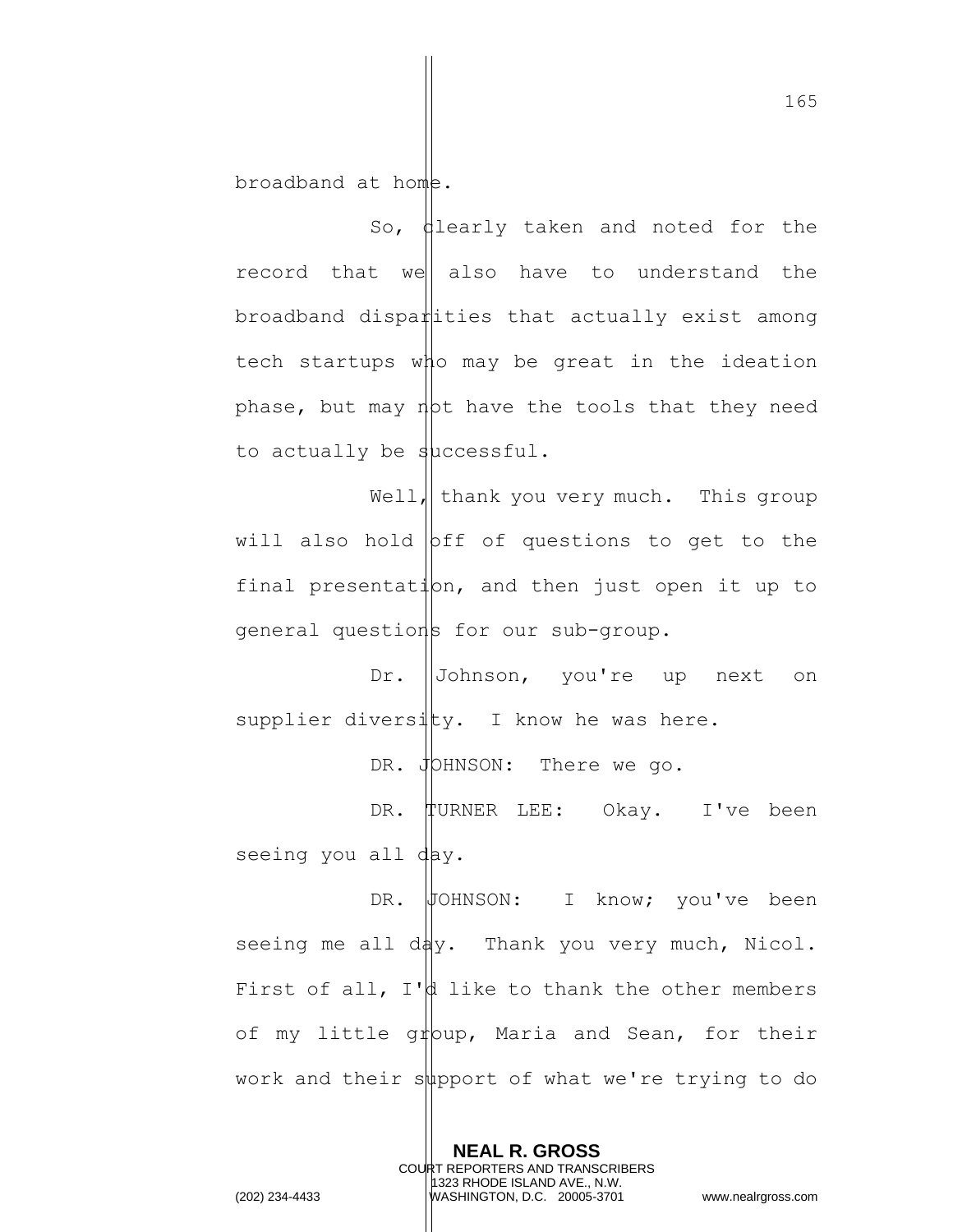broadband at home.

So,  $\theta$ learly taken and noted for the record that we also have to understand the  $b$ roadband dispa $\sharp$ ities that actually exist among tech startups who may be great in the ideation phase, but may not have the tools that they need to actually be successful.

Well, thank you very much. This group will also hold  $\beta$ ff of questions to get to the final presentation, and then just open it up to general questions for our sub-group.

Dr. Johnson, you're up next on supplier diversity. I know he was here.

DR. JOHNSON: There we go.

DR. TURNER LEE: Okay. I've been seeing you all day.

DR. JOHNSON: I know; you've been seeing me all day. Thank you very much, Nicol. First of all,  $I'$  like to thank the other members of my little group, Maria and Sean, for their work and their support of what we're trying to do

> **NEAL R. GROSS** COURT REPORTERS AND TRANSCRIBERS 1323 RHODE ISLAND AVE., N.W.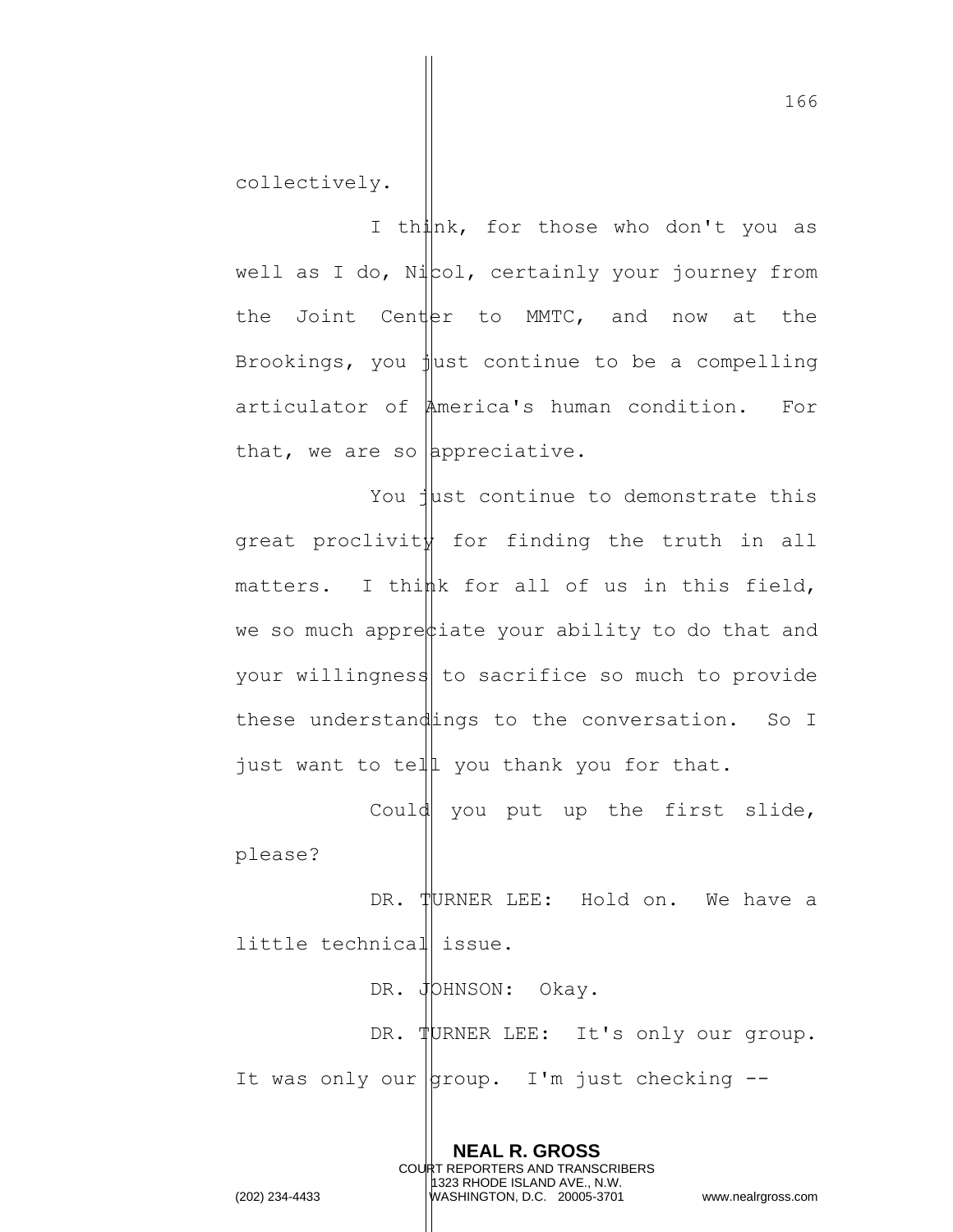collectively.

I think, for those who don't you as well as I do,  $N\parallel$   $\infty$ , certainly your journey from the Joint Center to MMTC, and now at the Brookings, you just continue to be a compelling articulator of America's human condition. For that, we are so appreciative.

You just continue to demonstrate this great proclivity for finding the truth in all matters. I think for all of us in this field, we so much appre $\phi$ iate your ability to do that and your willingness to sacrifice so much to provide these understandings to the conversation. So I just want to tell you thank you for that.

Could you put up the first slide, please?

DR. TURNER LEE: Hold on. We have a little technical issue.

DR. JOHNSON: Okay. DR. TURNER LEE: It's only our group. It was only our  $\vert$ group. I'm just checking --

> **NEAL R. GROSS** COURT REPORTERS AND TRANSCRIBERS 1323 RHODE ISLAND AVE., N.W.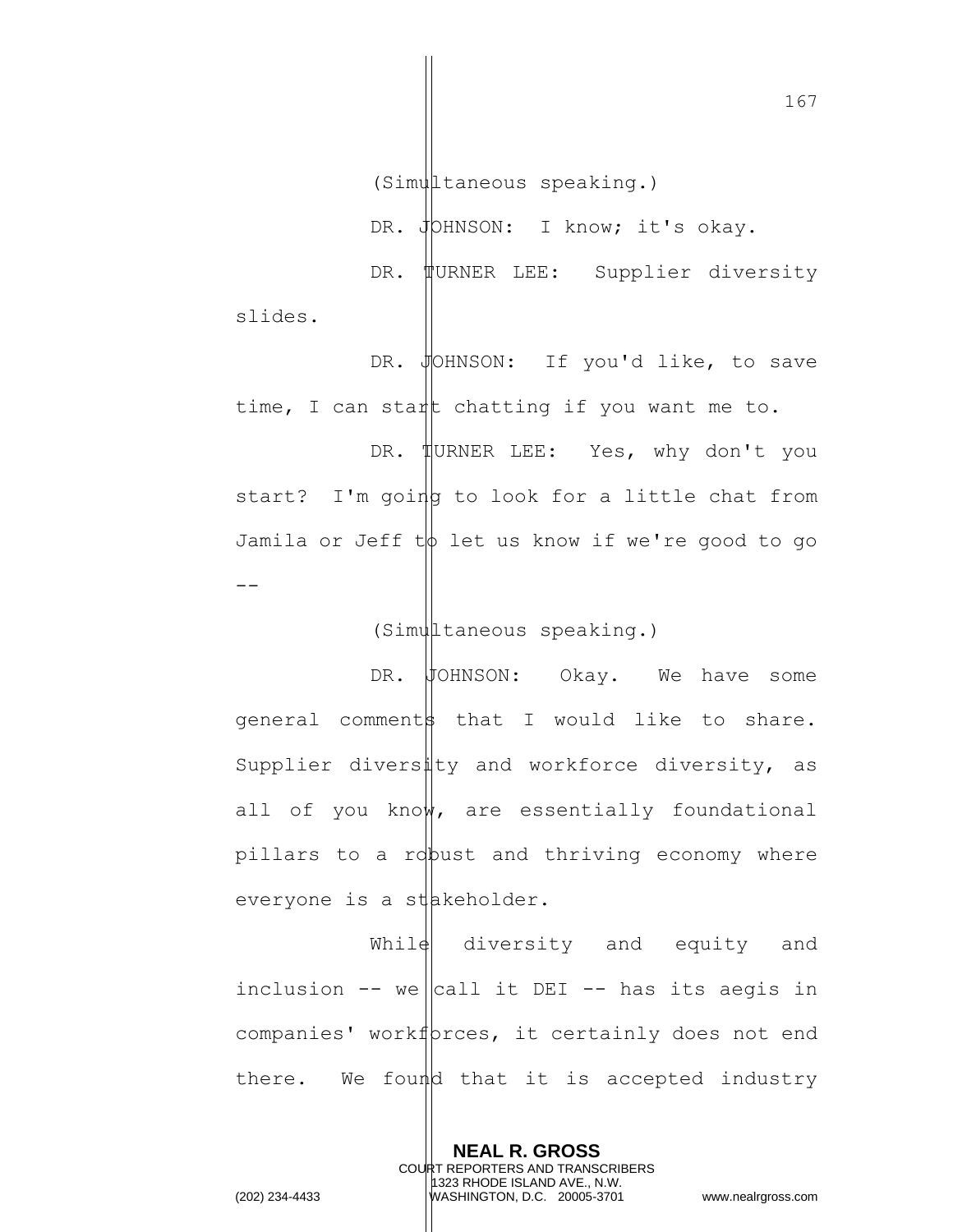(Simultaneous speaking.)

DR. JOHNSON: I know; it's okay. DR. WURNER LEE: Supplier diversity slides.

DR. JOHNSON: If you'd like, to save time, I can start chatting if you want me to. DR. HURNER LEE: Yes, why don't you start? I'm going to look for a little chat from Jamila or Jeff  $t\phi$  let us know if we're good to go  $-$ 

## (Simultaneous speaking.)

DR. JOHNSON: Okay. We have some general comments that I would like to share. Supplier diversity and workforce diversity, as all of you know, are essentially foundational pillars to a ropust and thriving economy where everyone is a stakeholder.

While diversity and equity and inclusion  $--$  we call it DEI -- has its aegis in companies' workf proes, it certainly does not end there. We found that it is accepted industry

> **NEAL R. GROSS** COURT REPORTERS AND TRANSCRIBERS 1323 RHODE ISLAND AVE., N.W.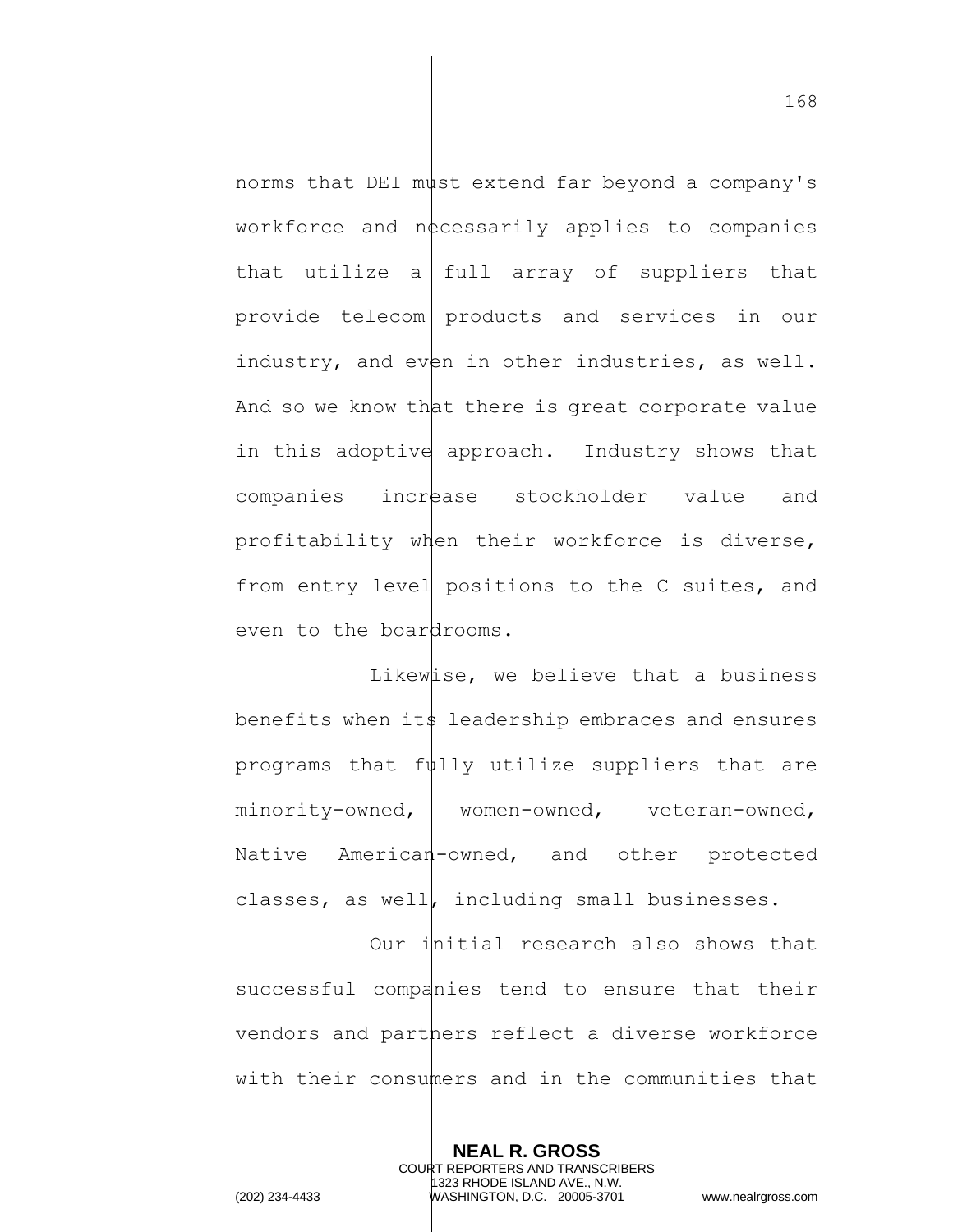norms that DEI must extend far beyond a company's workforce and  $n$  ecessarily applies to companies that utilize a  $\|$  full array of suppliers that provide telecom products and services in our industry, and even in other industries, as well. And so we know that there is great corporate value in this adoptive approach. Industry shows that companies increase stockholder value and profitability when their workforce is diverse, from entry level positions to the C suites, and even to the board  $h$  coms.

Likewise, we believe that a business benefits when its leadership embraces and ensures programs that  $f\psi$ lly utilize suppliers that are minority-owned, women-owned, veteran-owned, Native American-owned, and other protected classes, as well, including small businesses.

Our initial research also shows that successful companies tend to ensure that their vendors and part pers reflect a diverse workforce with their consumers and in the communities that

> **NEAL R. GROSS** COURT REPORTERS AND TRANSCRIBERS 1323 RHODE ISLAND AVE., N.W.

168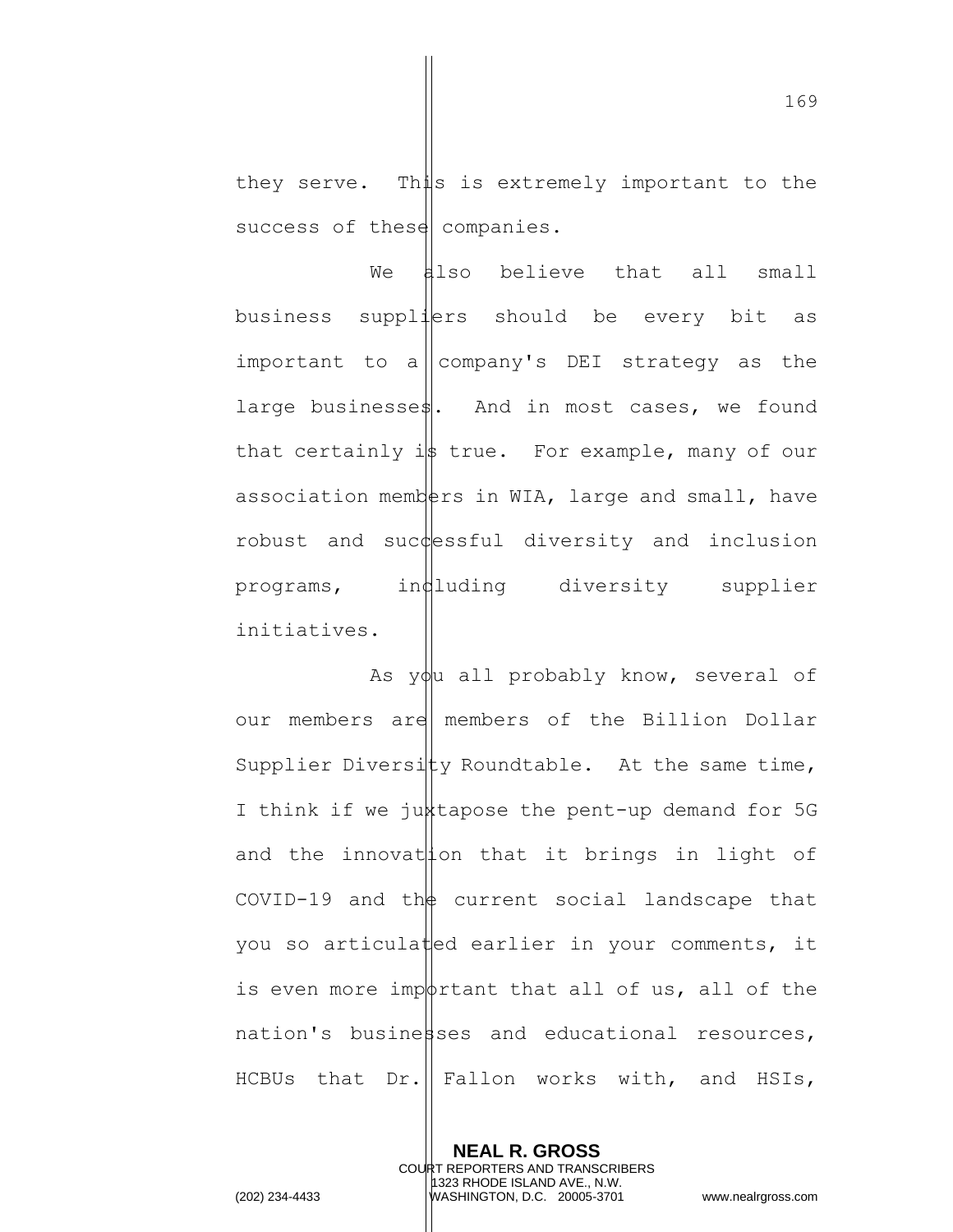they serve. This is extremely important to the success of these companies.

We also believe that all small business suppliers should be every bit as important to a company's DEI strategy as the large businesse\$. And in most cases, we found that certainly is true. For example, many of our association members in WIA, large and small, have robust and suc $\psi$ essful diversity and inclusion  $programs$ , in $d$ luding diversity supplier initiatives.

As you all probably know, several of our members are members of the Billion Dollar Supplier Diversity Roundtable. At the same time, I think if we juxtapose the pent-up demand for 5G and the innovation that it brings in light of COVID-19 and the current social landscape that you so articulated earlier in your comments, it is even more impotrtant that all of us, all of the  $national$  resources,  $national$  resources, HCBUs that  $Dr.$  Fallon works with, and HSIs,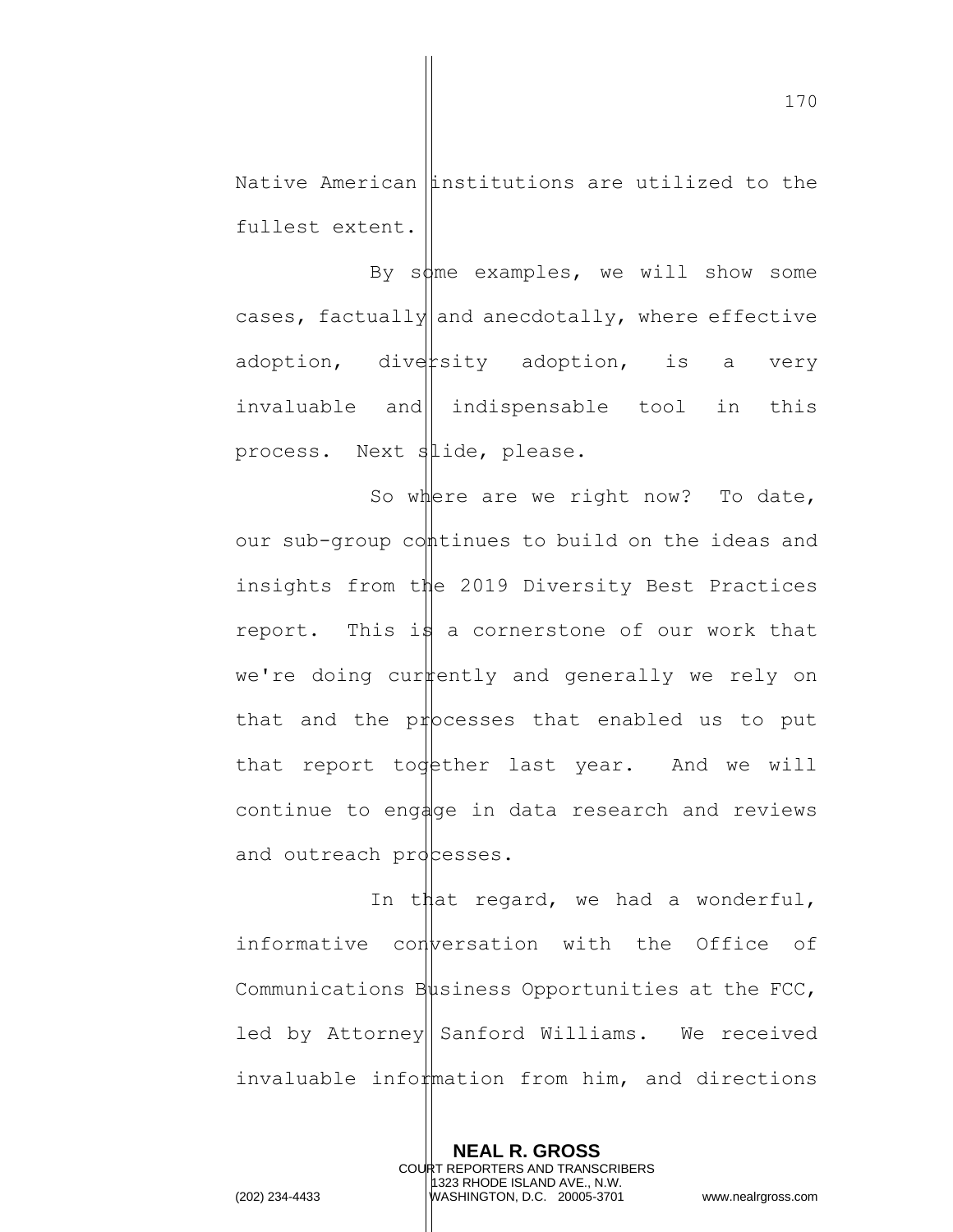Native American institutions are utilized to the fullest extent.

By some examples, we will show some cases, factually and anecdotally, where effective adoption, diversity adoption, is a very invaluable and indispensable tool in this process. Next slide, please.

So where are we right now? To date, our sub-group continues to build on the ideas and insights from the 2019 Diversity Best Practices report. This is a cornerstone of our work that we're doing currently and generally we rely on that and the processes that enabled us to put that report todether last year. And we will continue to engage in data research and reviews and outreach processes.

In that regard, we had a wonderful, informative conversation with the Office of Communications  $B\psi$ siness Opportunities at the FCC, led by Attorney|| Sanford Williams. We received invaluable information from him, and directions

> **NEAL R. GROSS** COURT REPORTERS AND TRANSCRIBERS 1323 RHODE ISLAND AVE., N.W.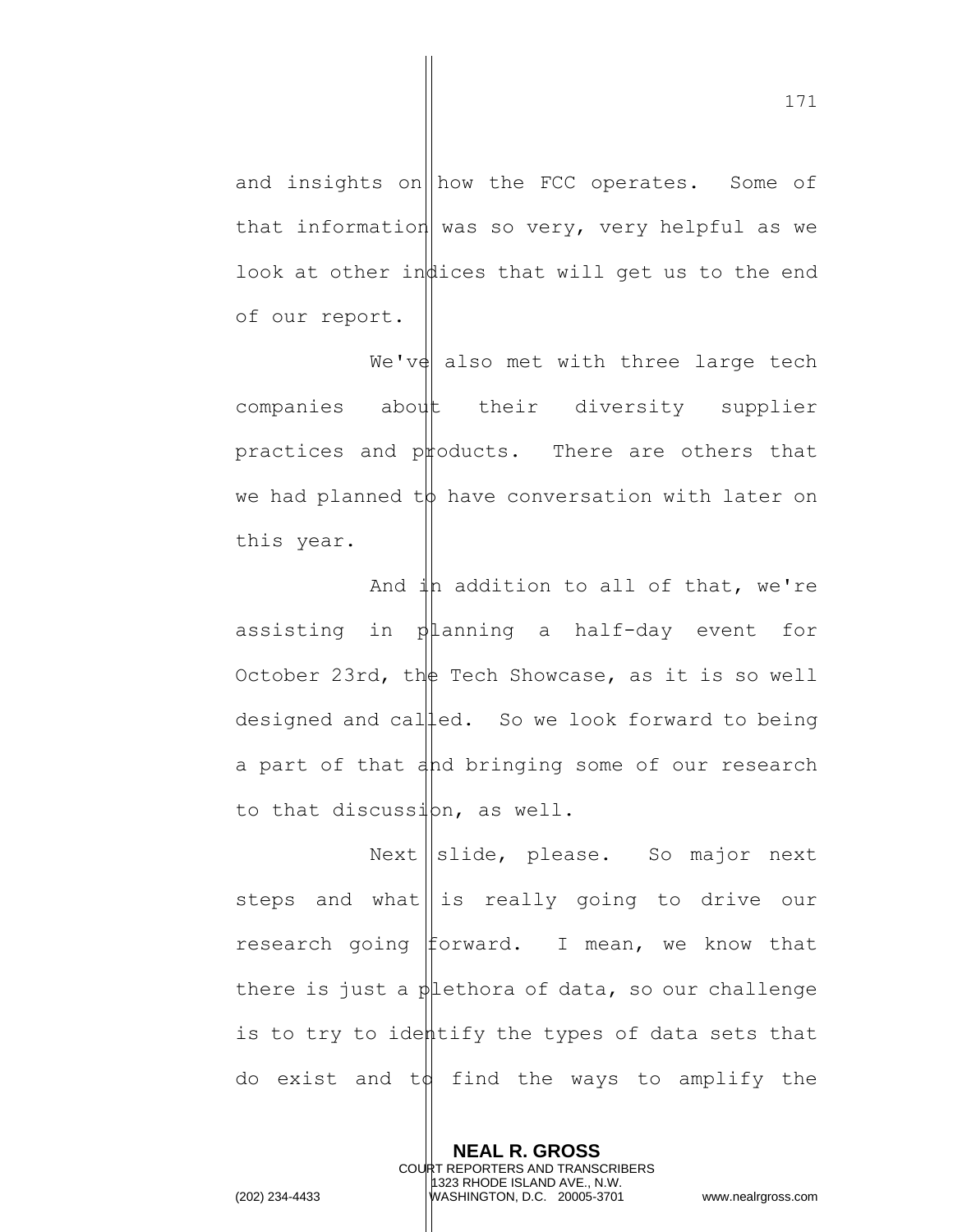and insights on  $\|\text{how the FCC operates.}$  Some of that information was so very, very helpful as we look at other indices that will get us to the end of our report.

We've also met with three large tech companies about their diversity supplier practices and products. There are others that we had planned  $t\phi$  have conversation with later on this year.

And  $\downarrow$ h addition to all of that, we're assisting in planning a half-day event for October 23rd, the Tech Showcase, as it is so well designed and called. So we look forward to being a part of that and bringing some of our research to that discussion, as well.

 $Next \parallel slide, please. So major next$ steps and what is really going to drive our research going forward. I mean, we know that there is just a  $\phi$  lethora of data, so our challenge is to try to identify the types of data sets that do exist and  $td$  find the ways to amplify the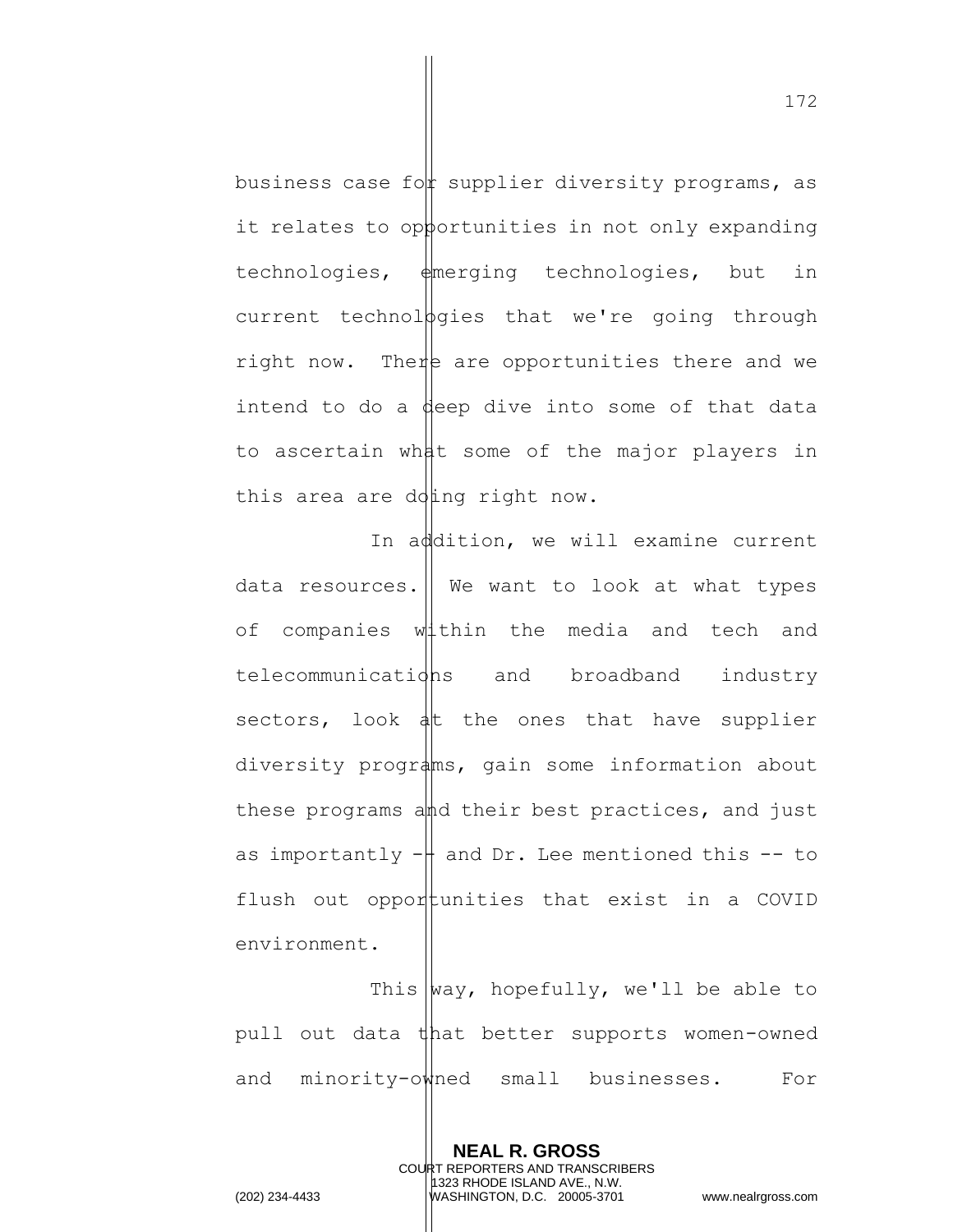business case for supplier diversity programs, as it relates to opportunities in not only expanding technologies, emerging technologies, but in current technologies that we're going through right now. There are opportunities there and we intend to do a deep dive into some of that data to ascertain what some of the major players in this area are doing right now.

In addition, we will examine current data resources. We want to look at what types of companies within the media and tech and telecommunications and broadband industry sectors, look  $\frac{1}{4}$ the ones that have supplier diversity programs, gain some information about these programs and their best practices, and just as importantly  $-\frac{1}{2}$  and Dr. Lee mentioned this  $-$  to flush out opportunities that exist in a COVID environment.

This  $|way,$  hopefully, we'll be able to pull out data that better supports women-owned and minority-owned small businesses. For

> **NEAL R. GROSS** COURT REPORTERS AND TRANSCRIBERS 1323 RHODE ISLAND AVE., N.W.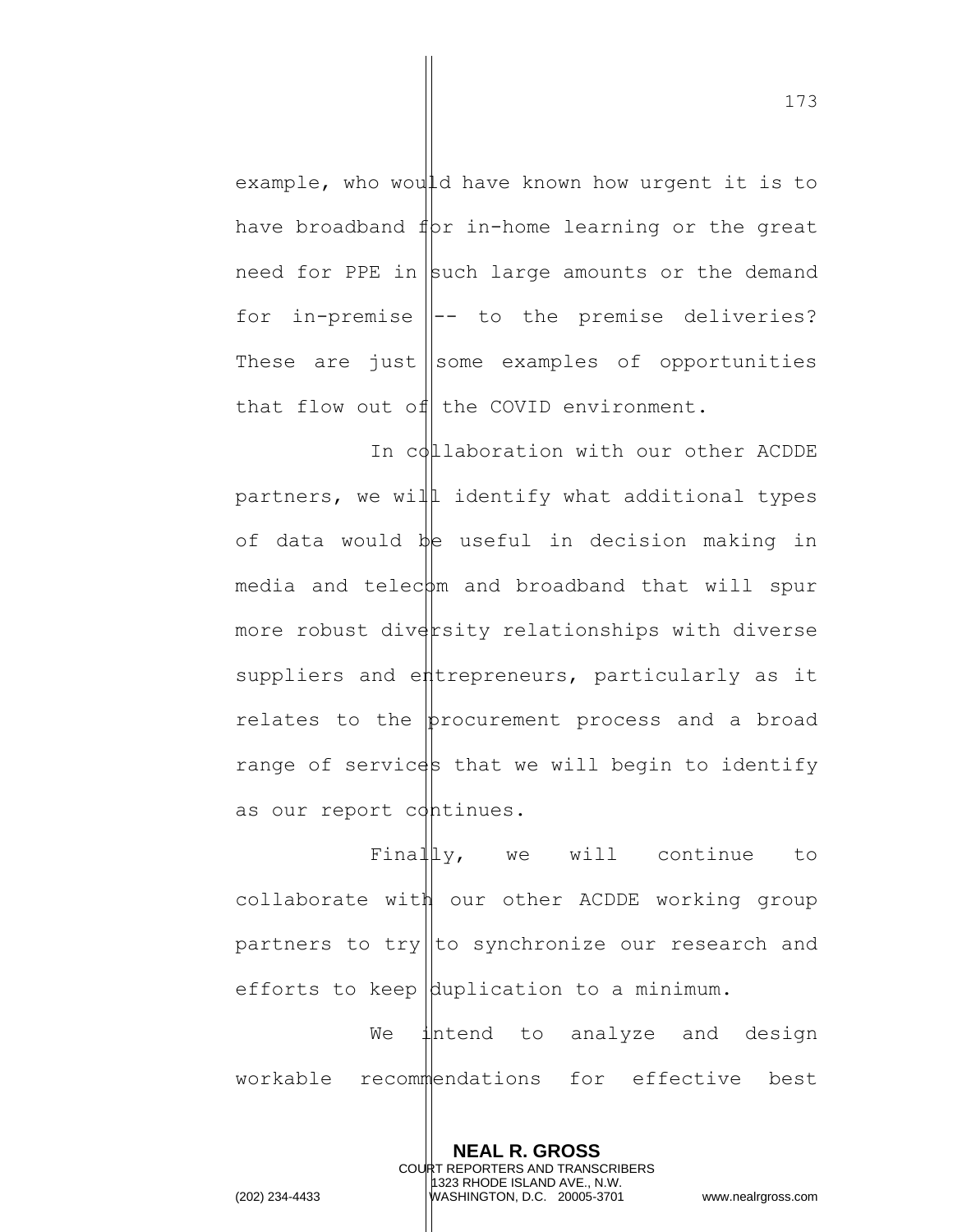example, who would have known how urgent it is to have broadband  $f(x)$  in-home learning or the great need for PPE in such large amounts or the demand for in-premise  $\parallel$ -- to the premise deliveries? These are just some examples of opportunities that flow out of the COVID environment.

In collaboration with our other ACDDE partners, we will identify what additional types of data would be useful in decision making in  $media$  and telec $pm$  and broadband that will spur more robust diversity relationships with diverse suppliers and entrepreneurs, particularly as it relates to the  $|b$ rocurement process and a broad range of services that we will begin to identify as our report continues.

Finally, we will continue to collaborate with our other ACDDE working group partners to try  $\|$ to synchronize our research and efforts to keep  $\beta$ uplication to a minimum.

We intend to analyze and design workable recommendations for effective best

> **NEAL R. GROSS** COURT REPORTERS AND TRANSCRIBERS 1323 RHODE ISLAND AVE., N.W.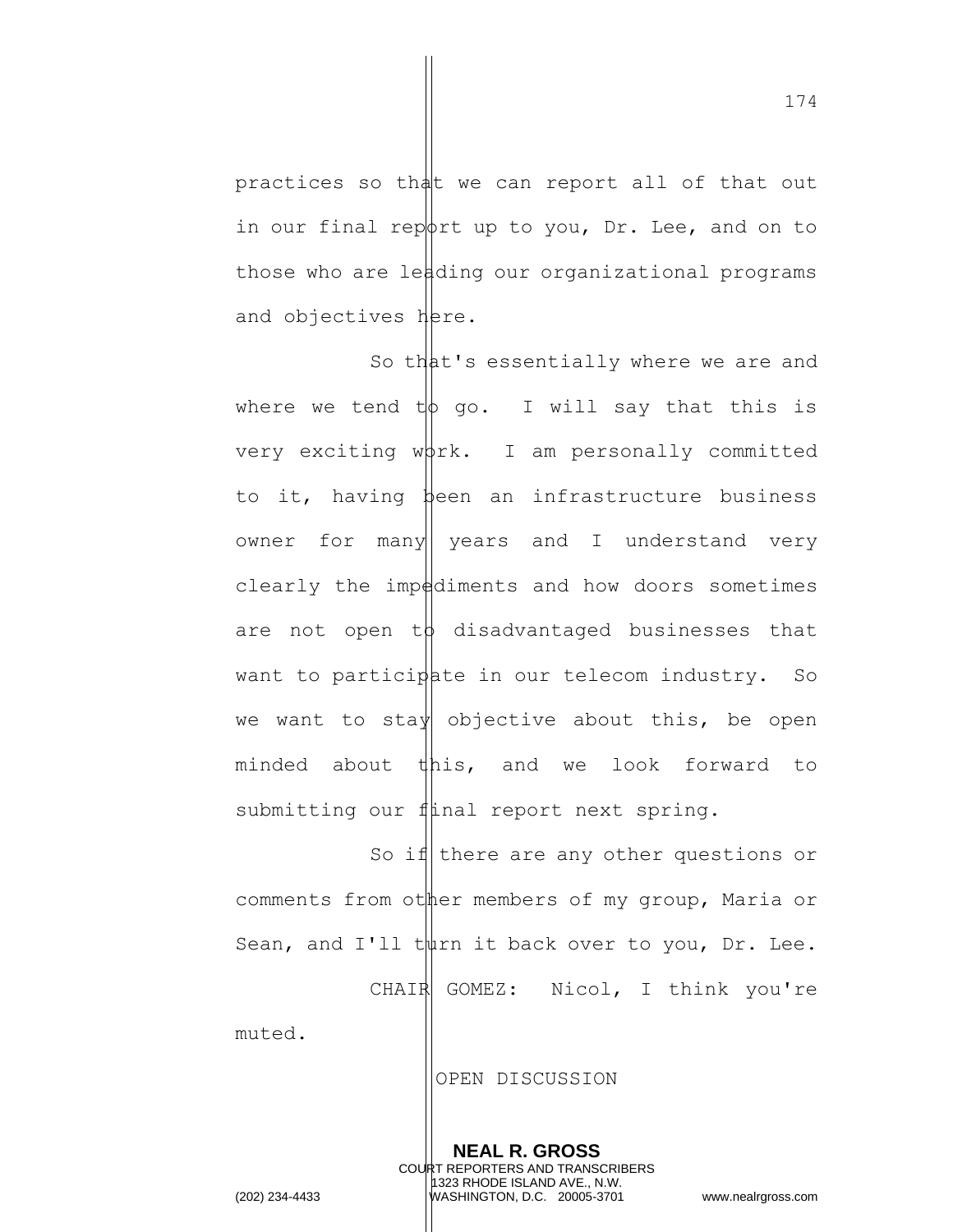practices so that we can report all of that out in our final report up to you, Dr. Lee, and on to those who are leading our organizational programs and objectives here.

So that's essentially where we are and where we tend  $t\phi$  go. I will say that this is very exciting  $w\beta r$ k. I am personally committed to it, having been an infrastructure business owner for many | years and I understand very clearly the impediments and how doors sometimes are not open  $t\phi$  disadvantaged businesses that want to participate in our telecom industry. So we want to stay objective about this, be open minded about this, and we look forward to submitting our final report next spring.

So if there are any other questions or comments from other members of my group, Maria or Sean, and I'll twirn it back over to you, Dr. Lee. CHAIR GOMEZ: Nicol, I think you're

muted.

OPEN DISCUSSION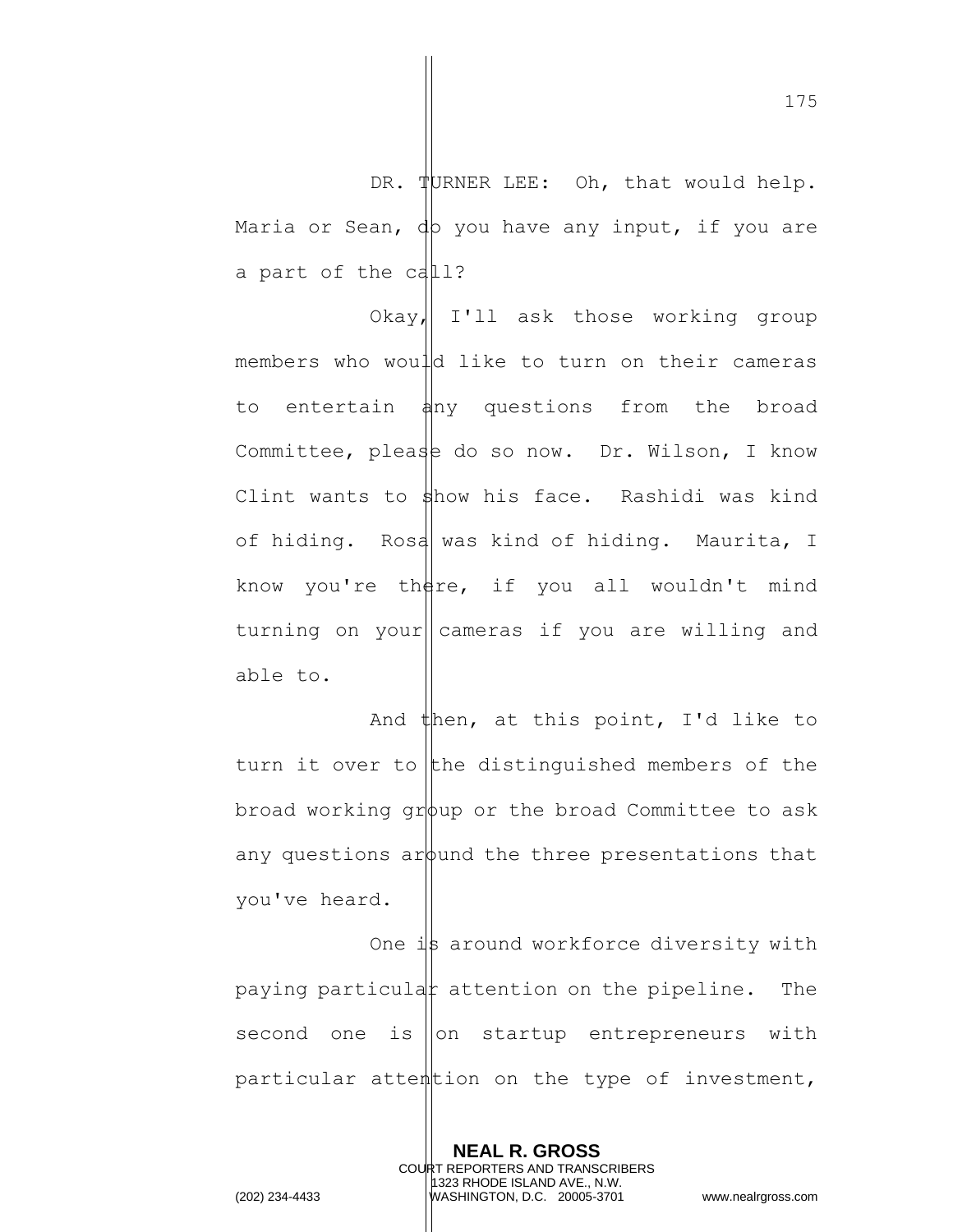DR. TURNER LEE: Oh, that would help. Maria or Sean,  $dp$  you have any input, if you are a part of the call?

 $Okay$  I'll ask those working group members who would like to turn on their cameras to entertain  $\frac{1}{4}$ ny questions from the broad Committee, please do so now. Dr. Wilson, I know Clint wants to  $\frac{1}{2}$ how his face. Rashidi was kind of hiding. Rosa was kind of hiding. Maurita, I know you're there, if you all wouldn't mind turning on your||cameras if you are willing and able to.

And then, at this point, I'd like to turn it over to the distinguished members of the broad working  $\sigma r$  or the broad Committee to ask any questions around the three presentations that you've heard.

One is around workforce diversity with paying particular attention on the pipeline. The second one is  $\vert$  on startup entrepreneurs with particular attention on the type of investment,

> **NEAL R. GROSS** COURT REPORTERS AND TRANSCRIBERS 1323 RHODE ISLAND AVE., N.W.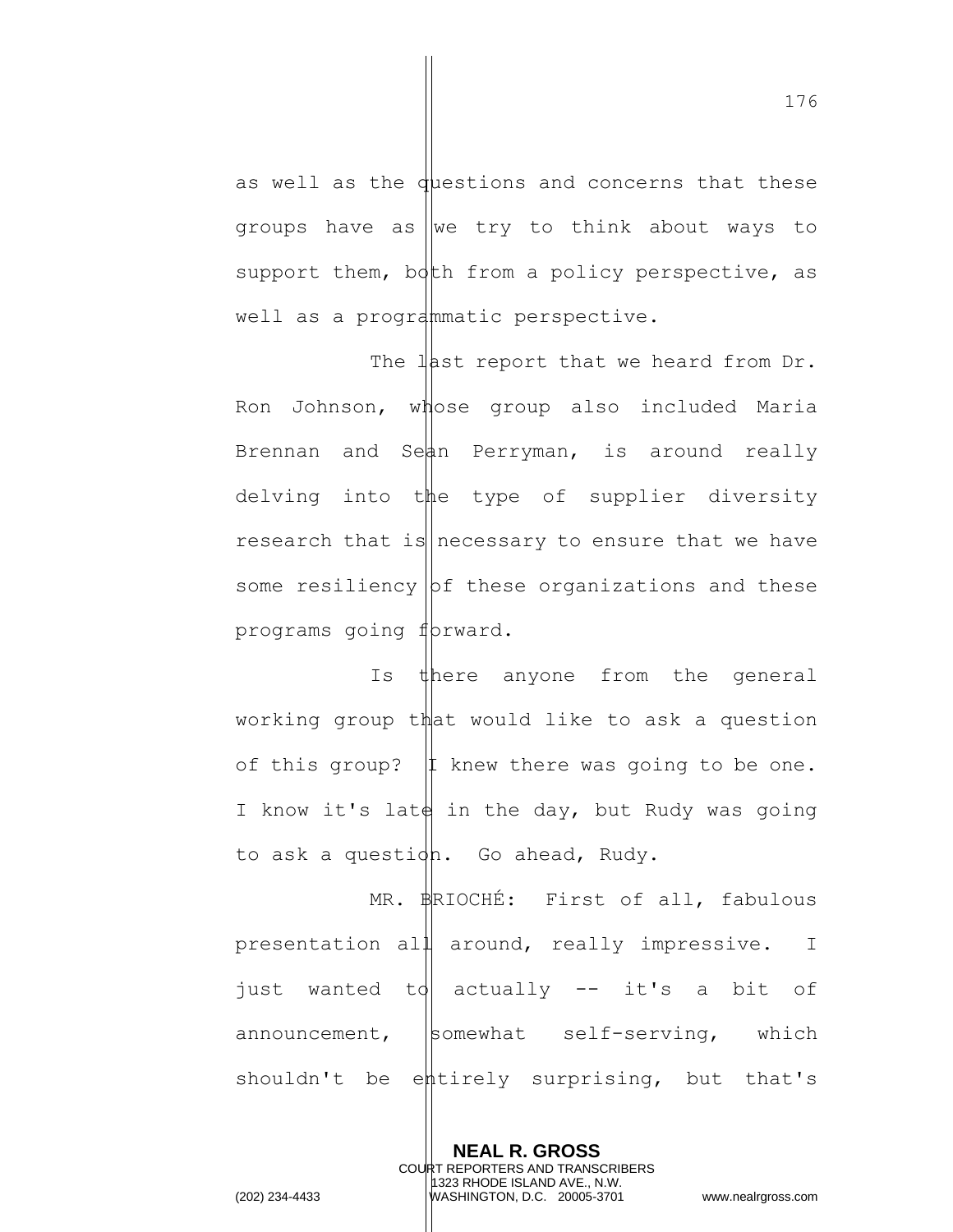as well as the duestions and concerns that these groups have as we try to think about ways to support them, both from a policy perspective, as well as a programmatic perspective.

The last report that we heard from Dr. Ron Johnson, whose group also included Maria Brennan and Sean Perryman, is around really delving into the type of supplier diversity research that is necessary to ensure that we have some resiliency  $|$ bf these organizations and these programs going forward.

Is there anyone from the general working group that would like to ask a question of this group?  $|1$  knew there was going to be one. I know it's late in the day, but Rudy was going to ask a question. Go ahead, Rudy.

MR. **BRIOCHÉ:** First of all, fabulous presentation all around, really impressive. I just wanted to actually  $-$  it's a bit of announcement,  $|$ somewhat self-serving, which shouldn't be entirely surprising, but that's

> **NEAL R. GROSS** COURT REPORTERS AND TRANSCRIBERS 1323 RHODE ISLAND AVE., N.W.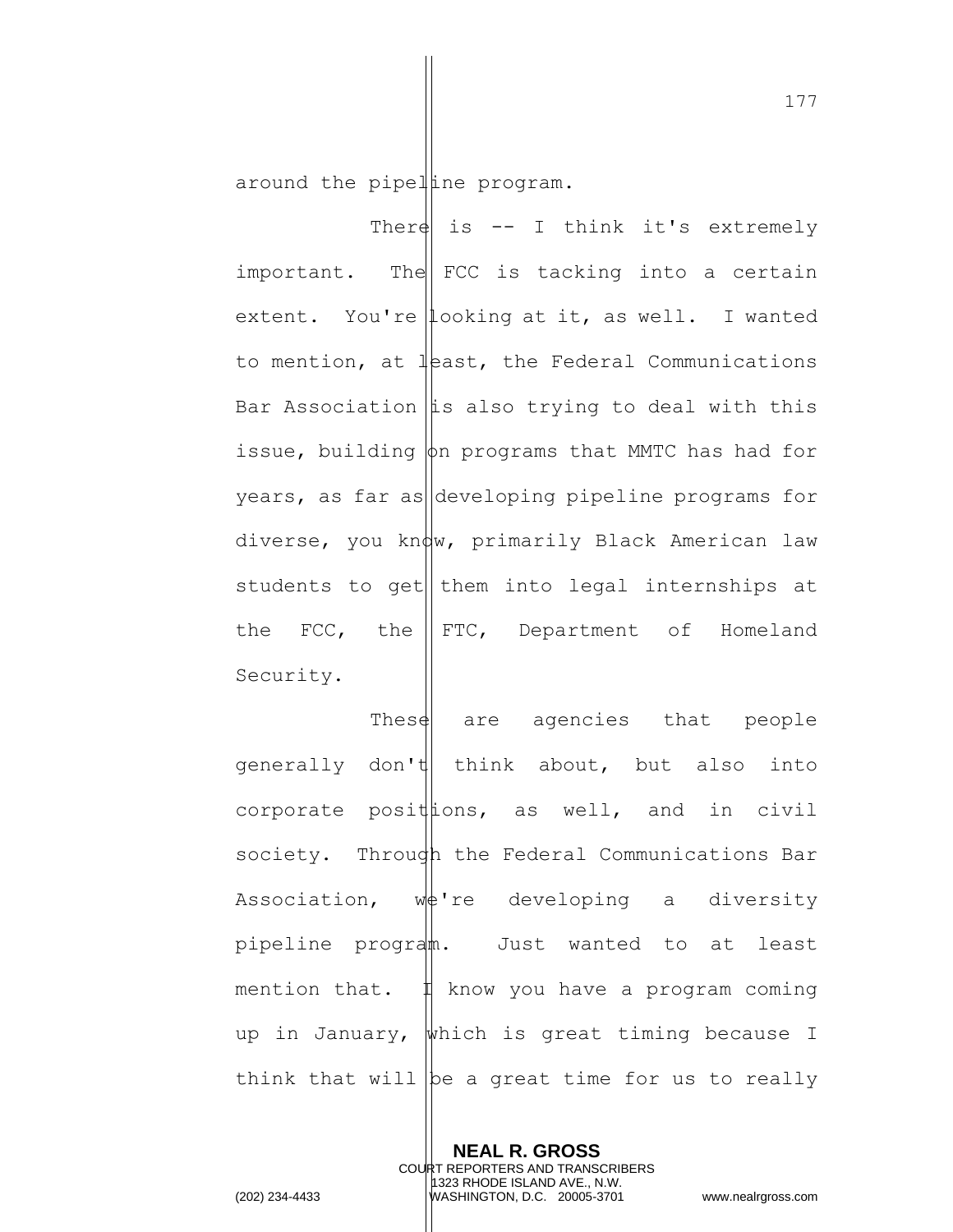around the pipelline program.

There is  $--$  I think it's extremely important. The  $|FCC|$  is tacking into a certain extent. You're looking at it, as well. I wanted to mention, at  $l$  and  $l$  the Federal Communications Bar Association  $\|\mathbf{i}\|$ s also trying to deal with this issue, building  $\phi$ n programs that MMTC has had for years, as far as  $|\text{development}|\right|$  pipeline programs for diverse, you know, primarily Black American law students to get them into legal internships at the  $\text{FCC},$  the  $\parallel$  FTC, Department of Homeland Security.

These  $\theta$  are agencies that people generally don't think about, but also into corporate posittions, as well, and in civil society. Through the Federal Communications Bar Association,  $w \notin 're$  developing a diversity pipeline program. Just wanted to at least mention that.  $\sharp$  know you have a program coming up in January, which is great timing because I think that will be a great time for us to really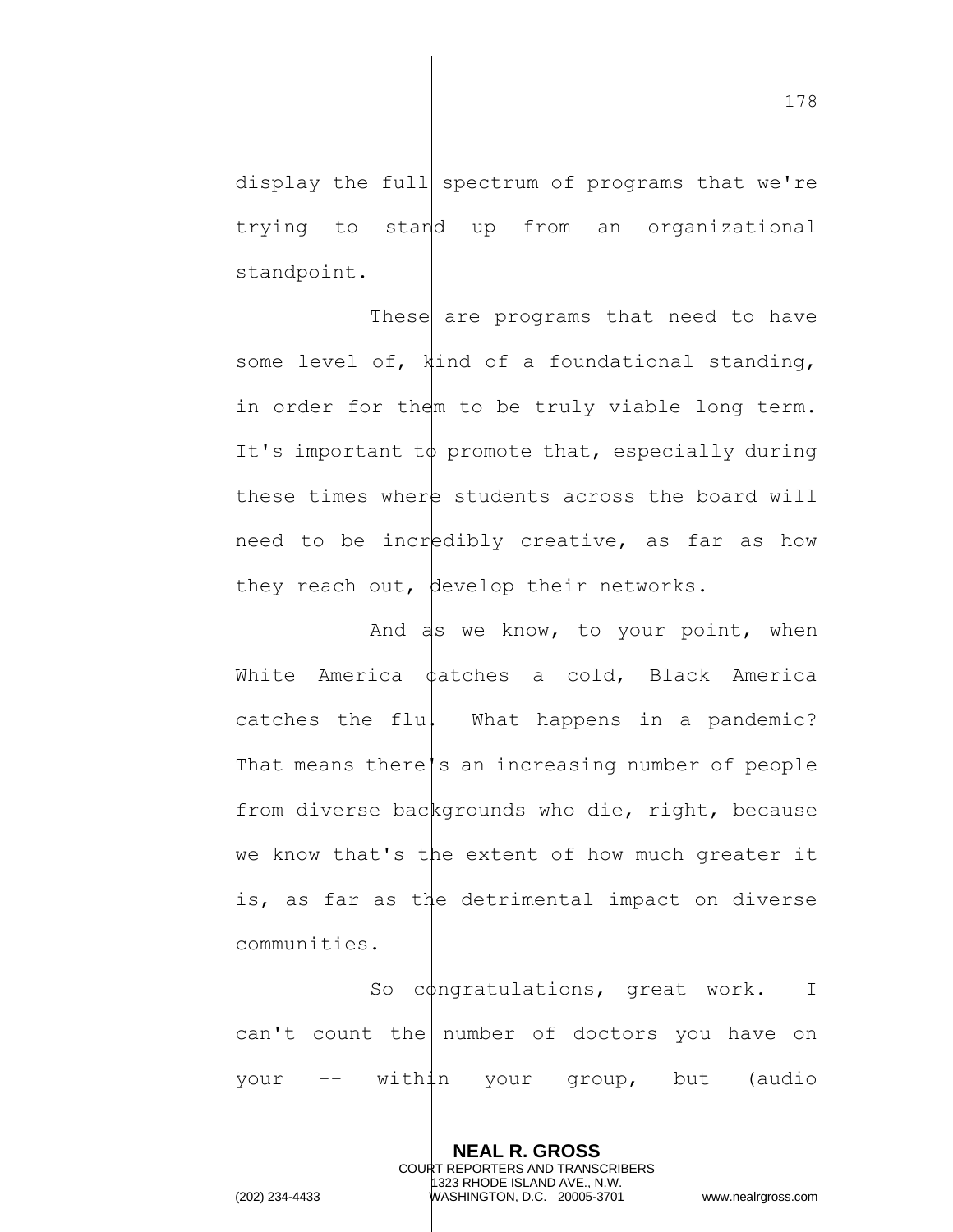display the full spectrum of programs that we're trying to stand up from an organizational standpoint.

These are programs that need to have some level of, kind of a foundational standing, in order for them to be truly viable long term. It's important  $t\phi$  promote that, especially during these times where students across the board will need to be incredibly creative, as far as how they reach out, develop their networks.

And  $\frac{1}{2}$  we know, to your point, when White America  $\phi$  atches a cold, Black America catches the flu $\|$  What happens in a pandemic? That means there's an increasing number of people from diverse backgrounds who die, right, because we know that's the extent of how much greater it is, as far as the detrimental impact on diverse communities.

So congratulations, great work. I can't count the number of doctors you have on your -- within your group, but (audio

> **NEAL R. GROSS** COURT REPORTERS AND TRANSCRIBERS 1323 RHODE ISLAND AVE., N.W.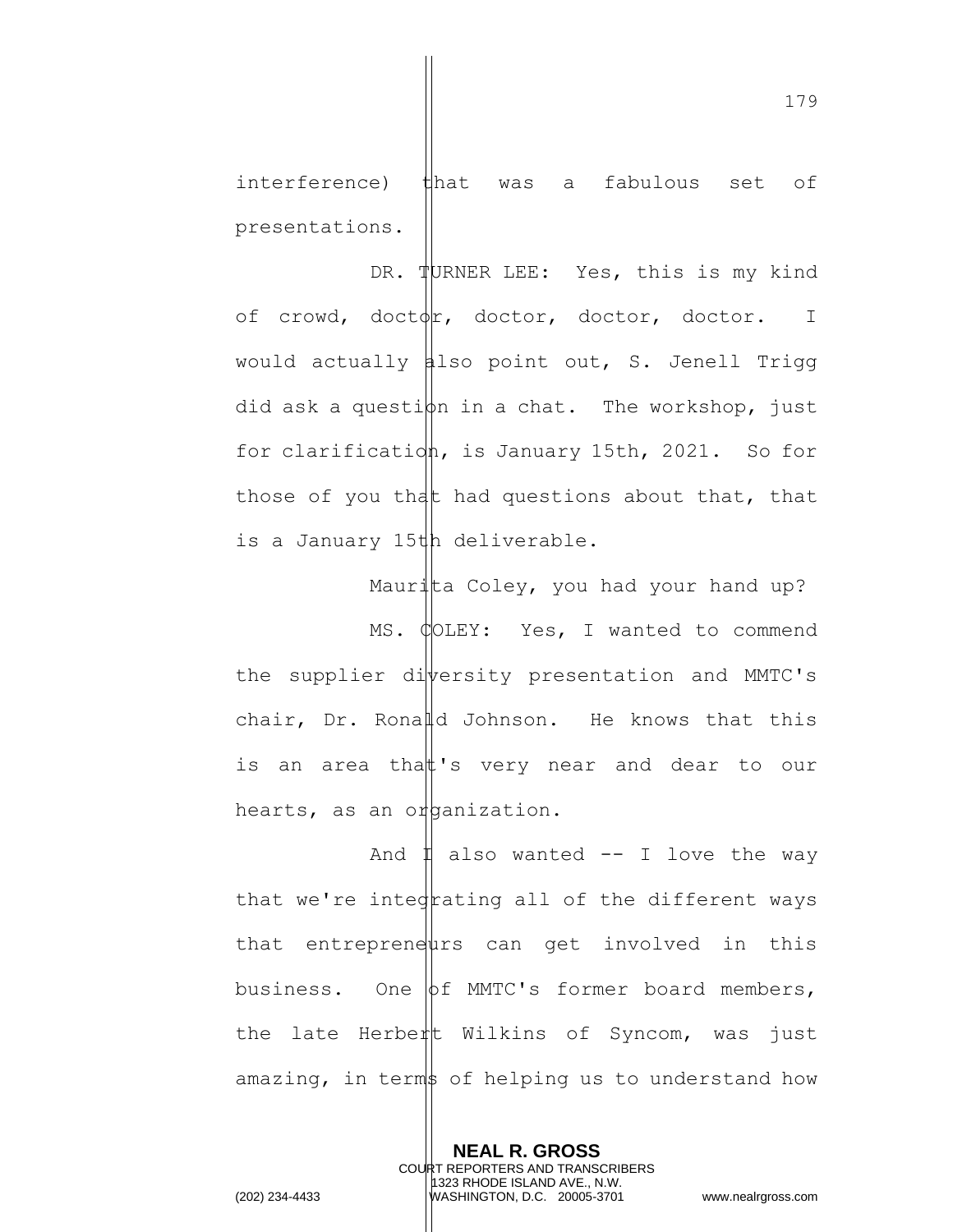interference) that was a fabulous set of presentations.

DR. TURNER LEE: Yes, this is my kind of crowd, doctor, doctor, doctor, doctor. I would actually  $\sharp$ lso point out, S. Jenell Trigg did ask a question in a chat. The workshop, just for clarification, is January 15th, 2021. So for those of you that had questions about that, that is a January 15th deliverable.

Maurita Coley, you had your hand up? MS. COLEY: Yes, I wanted to commend the supplier diversity presentation and MMTC's chair, Dr. Ronald Johnson. He knows that this is an area that 's very near and dear to our hearts, as an or panization.

And  $\sharp$  also wanted -- I love the way that we're inted rating all of the different ways that entrepreneurs can get involved in this business. One  $\phi$ f MMTC's former board members, the late Herbert Wilkins of Syncom, was just amazing, in terms of helping us to understand how

> **NEAL R. GROSS** COURT REPORTERS AND TRANSCRIBERS 1323 RHODE ISLAND AVE., N.W.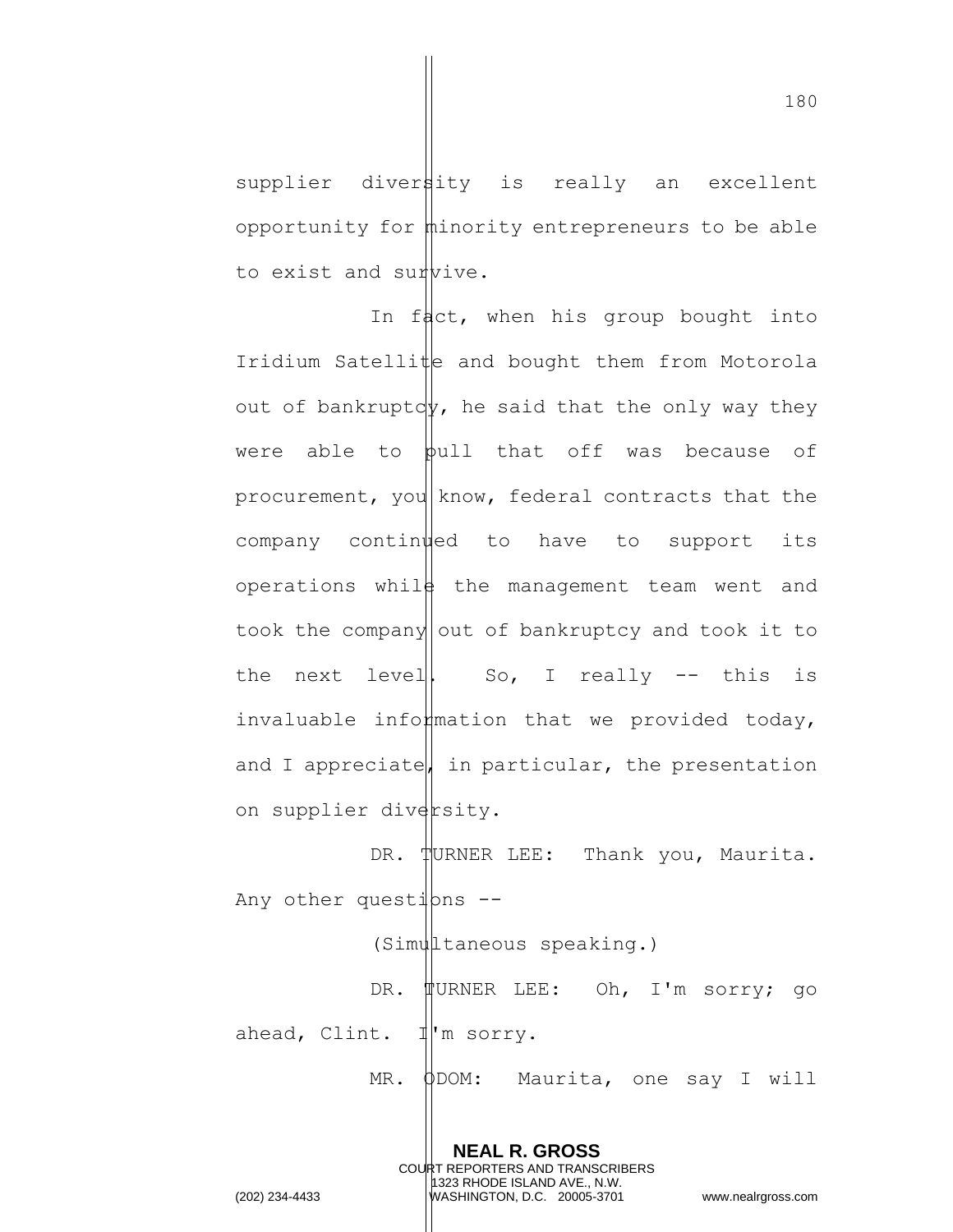supplier divertity is really an excellent opportunity for minority entrepreneurs to be able to exist and survive.

In fact, when his group bought into Iridium Satellite and bought them from Motorola out of bankruptcy, he said that the only way they were able to  $\phi$ ull that off was because of procurement, you know, federal contracts that the company continued to have to support its operations while the management team went and took the company out of bankruptcy and took it to the next level  $|$ . So, I really  $-$  this is invaluable information that we provided today, and I appreciate, in particular, the presentation on supplier diversity.

DR. TURNER LEE: Thank you, Maurita. Any other questions  $-$ -

(Simultaneous speaking.)

DR. TURNER LEE: Oh, I'm sorry; go ahead, Clint. I'm sorry.

MR. ODOM: Maurita, one say I will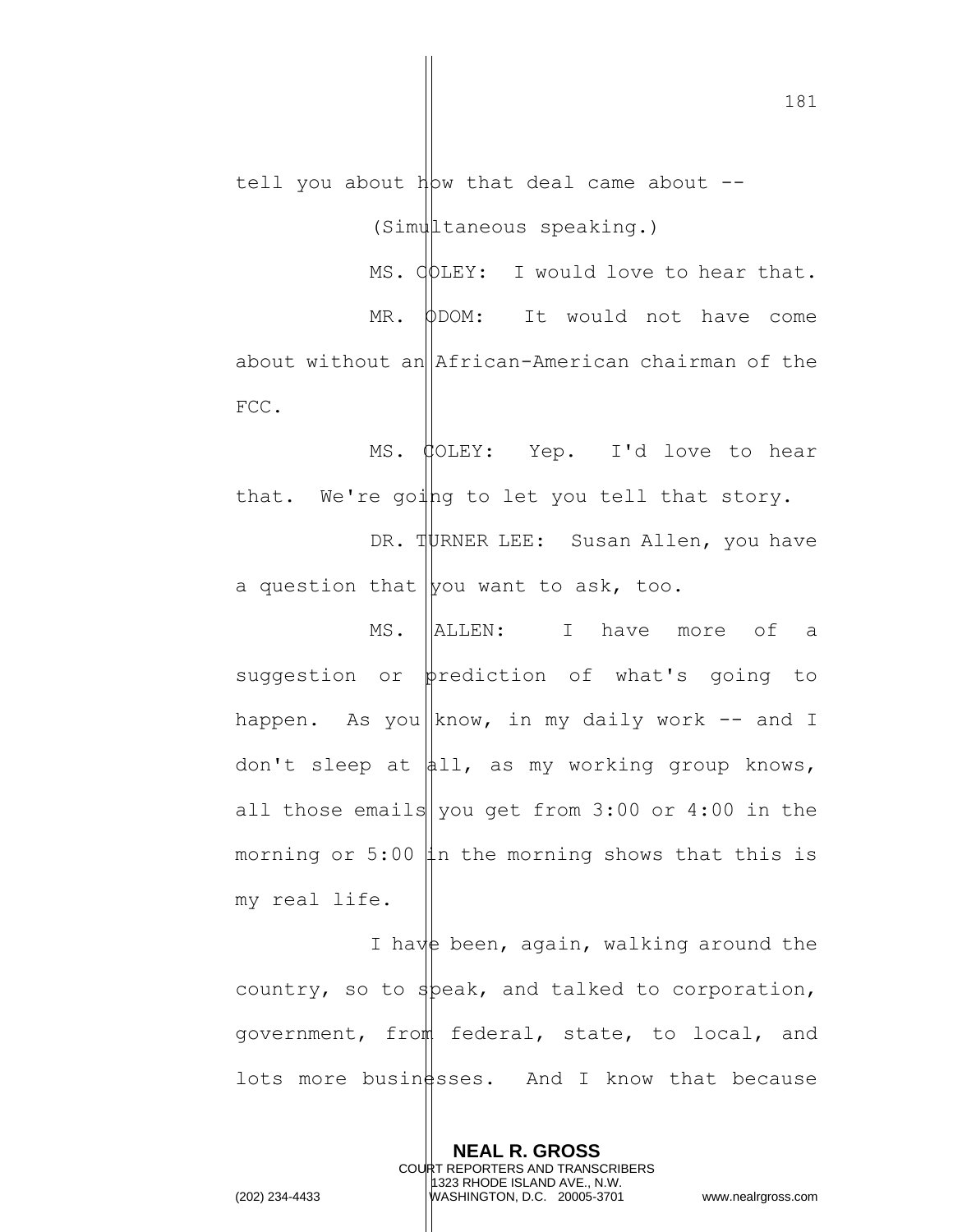tell you about  $h$ bw that deal came about  $-$ 

(Simultaneous speaking.)

MS.  $\phi$ DLEY: I would love to hear that. MR. ODOM: It would not have come about without an African-American chairman of the FCC.

MS. COLEY: Yep. I'd love to hear that. We're going to let you tell that story.

DR. TURNER LEE: Susan Allen, you have a question that you want to ask, too.

MS. ALLEN: I have more of a suggestion or  $\phi$ rediction of what's going to happen. As you know, in my daily work  $-$  and I don't sleep at  $\phi$ 11, as my working group knows, all those emails | you get from  $3:00$  or  $4:00$  in the morning or 5:00  $\sharp$ n the morning shows that this is my real life.

I have been, again, walking around the country, so to speak, and talked to corporation, government, from federal, state, to local, and lots more busin  $\frac{1}{5}$ sses. And I know that because

> **NEAL R. GROSS** COURT REPORTERS AND TRANSCRIBERS 1323 RHODE ISLAND AVE., N.W.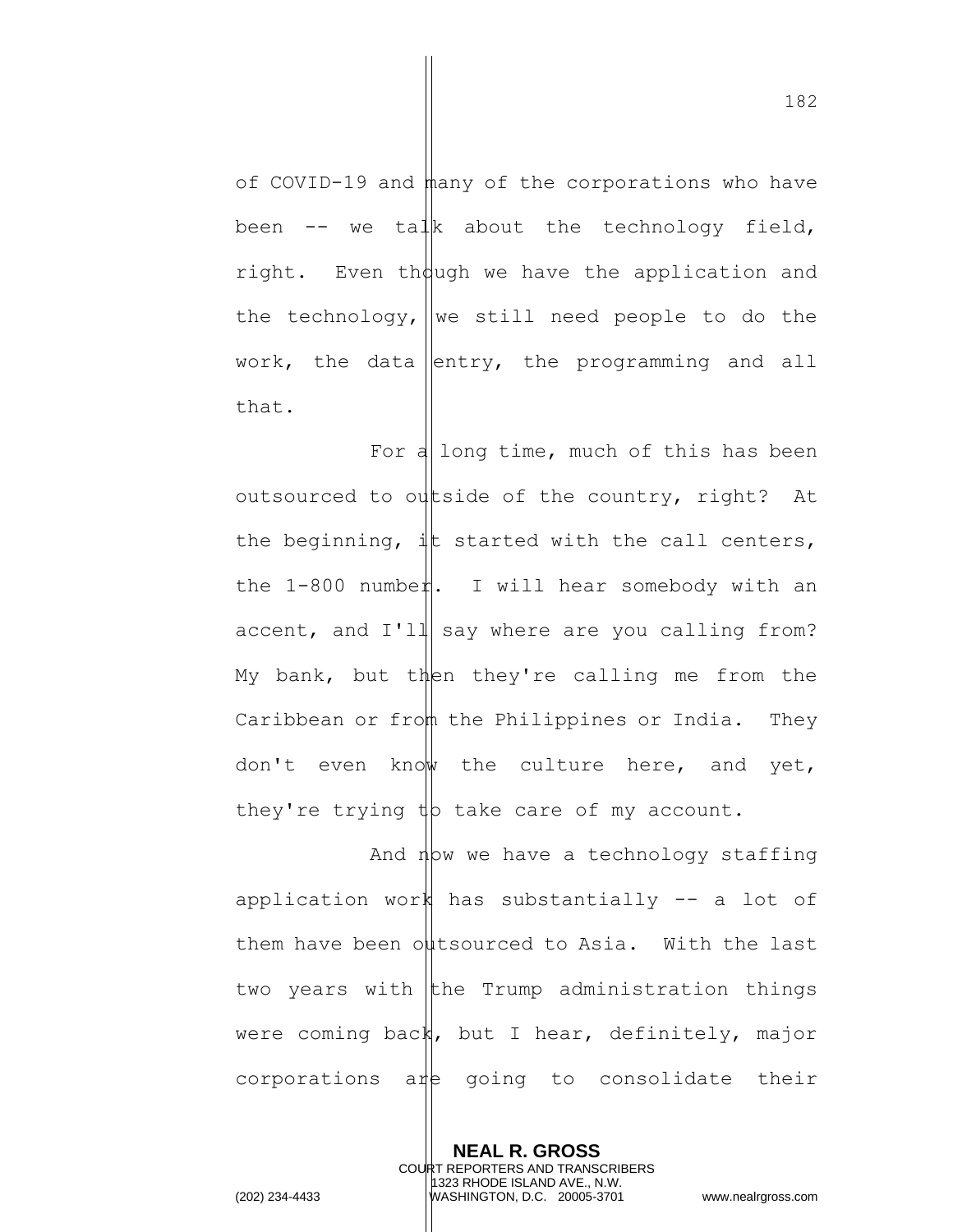of COVID-19 and many of the corporations who have been  $--$  we talk about the technology field, right. Even though we have the application and the technology, we still need people to do the work, the data entry, the programming and all that.

For a long time, much of this has been outsourced to outside of the country, right? At the beginning,  $\downarrow \uparrow$  started with the call centers, the 1-800 number. I will hear somebody with an accent, and  $I'$ ll say where are you calling from? My bank, but then they're calling me from the Caribbean or from the Philippines or India. They don't even know the culture here, and yet, they're trying  $tp$  take care of my account.

And  $n \triangleright w$  we have a technology staffing application work has substantially -- a lot of them have been outsourced to Asia. With the last two years with the Trump administration things were coming back, but I hear, definitely, major  $corporations$   $\alpha$ <sup> $\uparrow$ </sup> going to consolidate their

> **NEAL R. GROSS** COURT REPORTERS AND TRANSCRIBERS 1323 RHODE ISLAND AVE., N.W.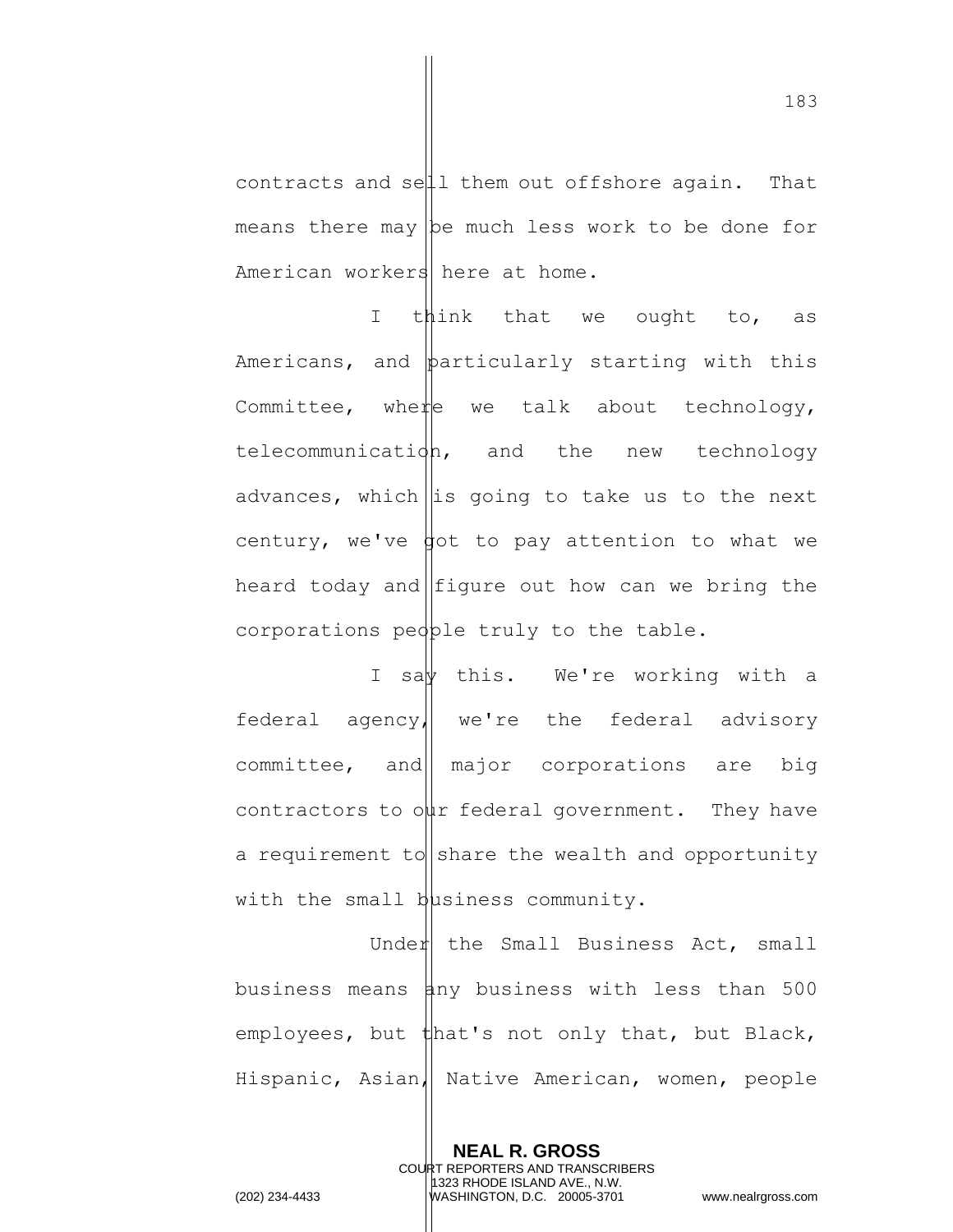contracts and sell them out offshore again. That means there may  $|b$ e much less work to be done for American workers here at home.

I think that we ought to, as Americans, and particularly starting with this Committee, where we talk about technology, telecommunication, and the new technology advances, which is going to take us to the next century, we've  $\phi$  to pay attention to what we heard today and figure out how can we bring the corporations people truly to the table.

I say this. We're working with a federal agency, we're the federal advisory  $committee$ , and major corporations are big contractors to our federal government. They have a requirement to  $|$  share the wealth and opportunity with the small business community.

Under the Small Business Act, small business means  $\sharp$ ny business with less than 500 employees, but that's not only that, but Black, Hispanic, Asian, Native American, women, people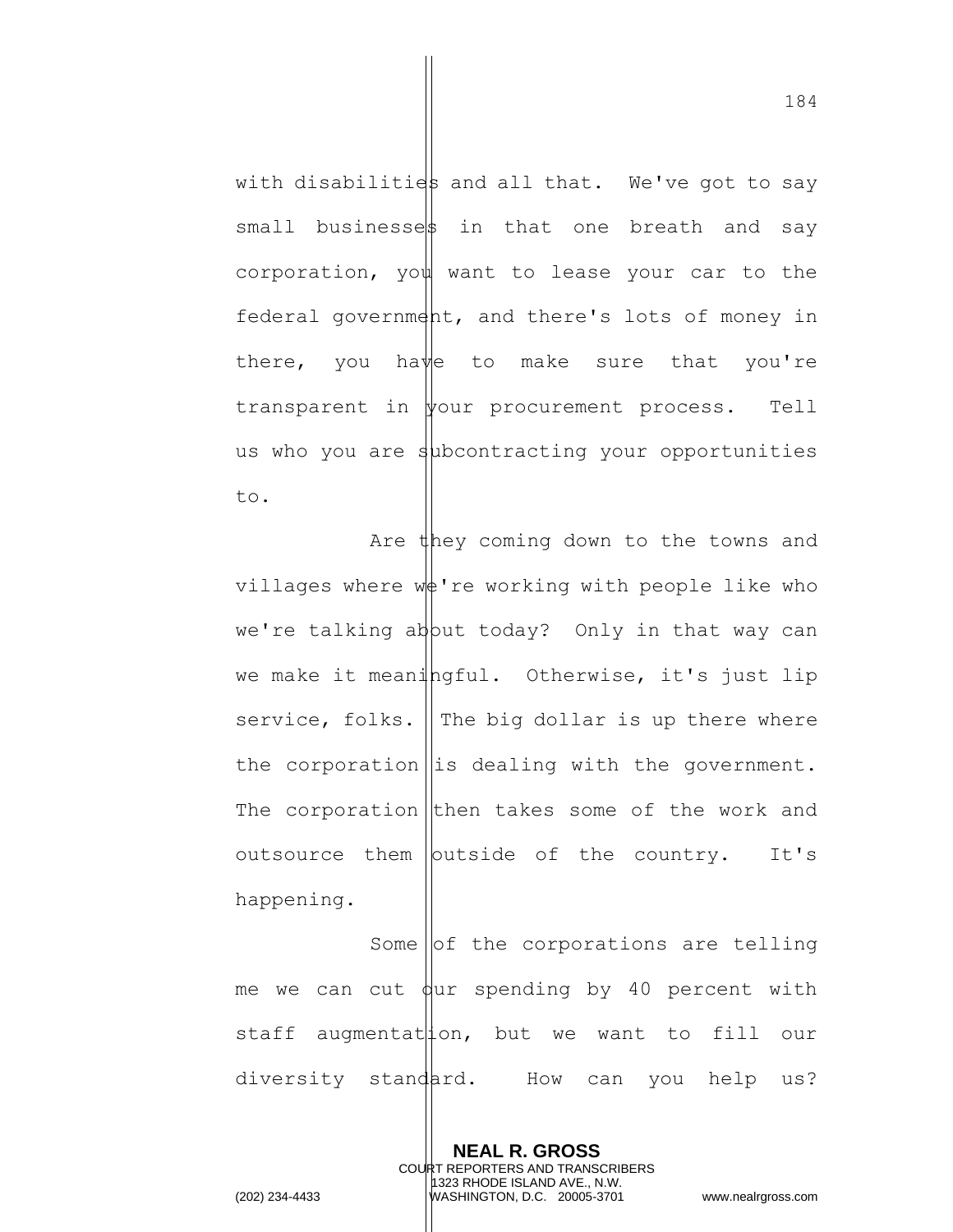with disabilities and all that. We've got to say small businessest in that one breath and say corporation, you want to lease your car to the federal government, and there's lots of money in there, you have to make sure that you're transparent in your procurement process. Tell us who you are  $s$ <sup>1</sup> dependent acting your opportunities to.

Are they coming down to the towns and villages where  $w\phi'$  re working with people like who we're talking ab put today? Only in that way can we make it meaningful. Otherwise, it's just lip service, folks. The big dollar is up there where the corporation  $\left\| \text{is dealing with the government.} \right\|$ The corporation then takes some of the work and outsource them  $|$  butside of the country. It's happening.

Some lof the corporations are telling me we can cut  $\phi$ ur spending by 40 percent with staff augmentat $|$ ion, but we want to fill our diversity standard. How can you help us?

> **NEAL R. GROSS** COURT REPORTERS AND TRANSCRIBERS 1323 RHODE ISLAND AVE., N.W.

(202) 234-4433 WASHINGTON, D.C. 20005-3701 www.nealrgross.com

184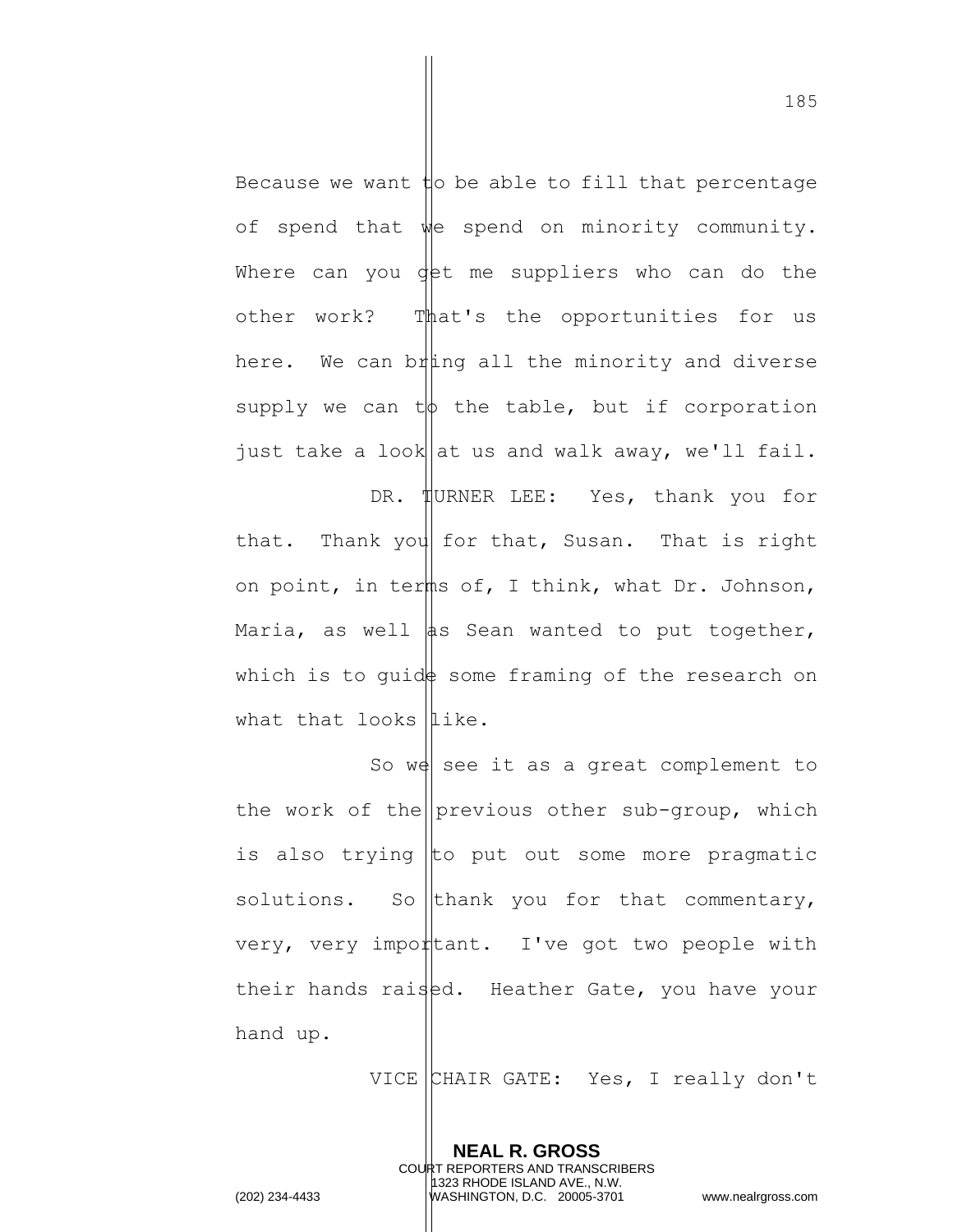Because we want  $\sharp$ o be able to fill that percentage of spend that we spend on minority community. Where can you det me suppliers who can do the other work? That's the opportunities for us here. We can bring all the minority and diverse supply we can  $t\phi$  the table, but if corporation just take a look at us and walk away, we'll fail.

DR. HURNER LEE: Yes, thank you for that. Thank you for that, Susan. That is right on point, in terms of, I think, what Dr. Johnson, Maria, as well  $\|$ as Sean wanted to put together, which is to quide some framing of the research on what that looks  $\mathbf{like}$ .

So we see it as a great complement to the work of the previous other sub-group, which is also trying to put out some more pragmatic solutions. So thank you for that commentary, very, very import ant. I've got two people with their hands raised. Heather Gate, you have your hand up.

> **NEAL R. GROSS** COURT REPORTERS AND TRANSCRIBERS 1323 RHODE ISLAND AVE., N.W.

VICE CHAIR GATE: Yes, I really don't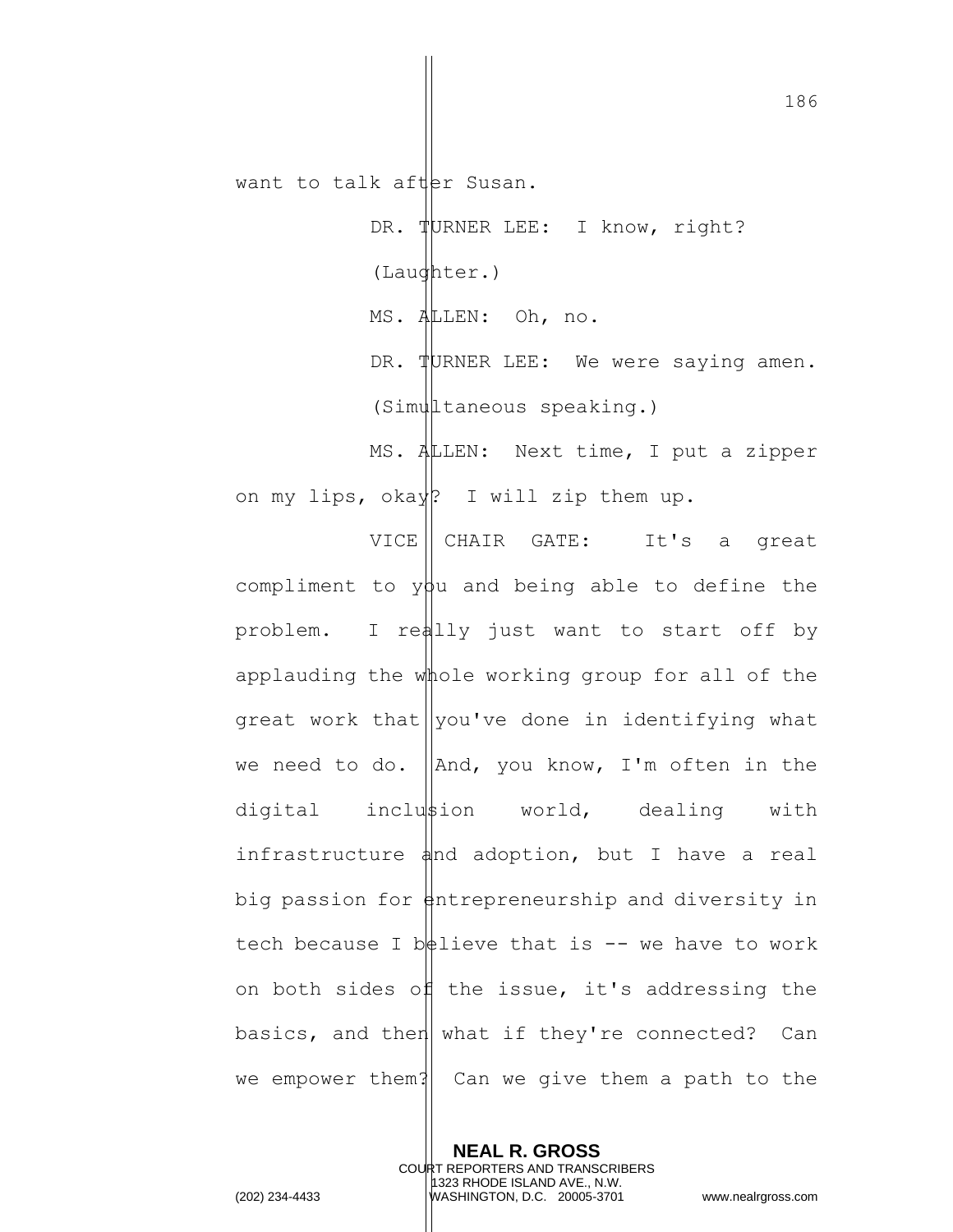want to talk after Susan.

DR. TURNER LEE: I know, right? (Laughter.) MS. ALLEN: Oh, no. DR. TURNER LEE: We were saying amen. (Simultaneous speaking.)

MS. ALLEN: Next time, I put a zipper on my lips, okay? I will zip them up.

VICE | CHAIR GATE: It's a great compliment to  $y\beta u$  and being able to define the problem. I really just want to start off by applauding the whole working group for all of the great work that  $|$ you've done in identifying what we need to do.  $\Delta$ , you know, I'm often in the digital inclustion world, dealing with infrastructure  $\phi$ nd adoption, but I have a real big passion for  $\frac{1}{2}$ ntrepreneurship and diversity in tech because I believe that is  $-$  we have to work on both sides of the issue, it's addressing the basics, and then what if they're connected? Can we empower them? Can we give them a path to the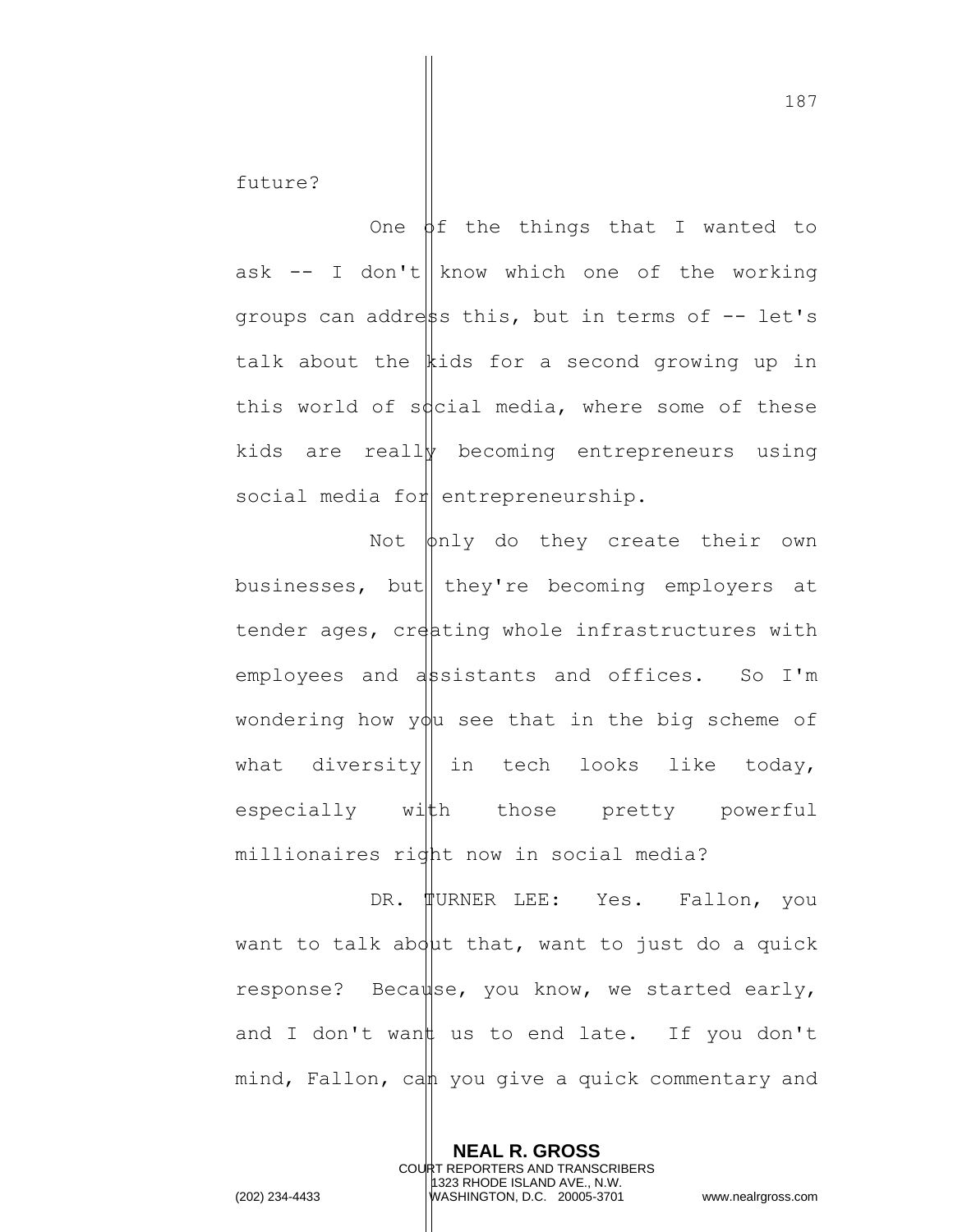future?

One  $\varphi$ f the things that I wanted to ask  $-$  I don't | know which one of the working groups can addrest this, but in terms of  $-$  let's talk about the  $\|$ ids for a second growing up in this world of social media, where some of these kids are really becoming entrepreneurs using social media for entrepreneurship.

Not  $\phi$ nly do they create their own businesses, but they're becoming employers at tender ages, creating whole infrastructures with employees and assistants and offices. So I'm wondering how  $y\phi$ u see that in the big scheme of what diversity in tech looks like today, especially with those pretty powerful millionaires right now in social media?

DR. WURNER LEE: Yes. Fallon, you want to talk about that, want to just do a quick response? Beca $\psi$ se, you know, we started early, and I don't want us to end late. If you don't mind, Fallon, can you give a quick commentary and

> **NEAL R. GROSS** COURT REPORTERS AND TRANSCRIBERS 1323 RHODE ISLAND AVE., N.W.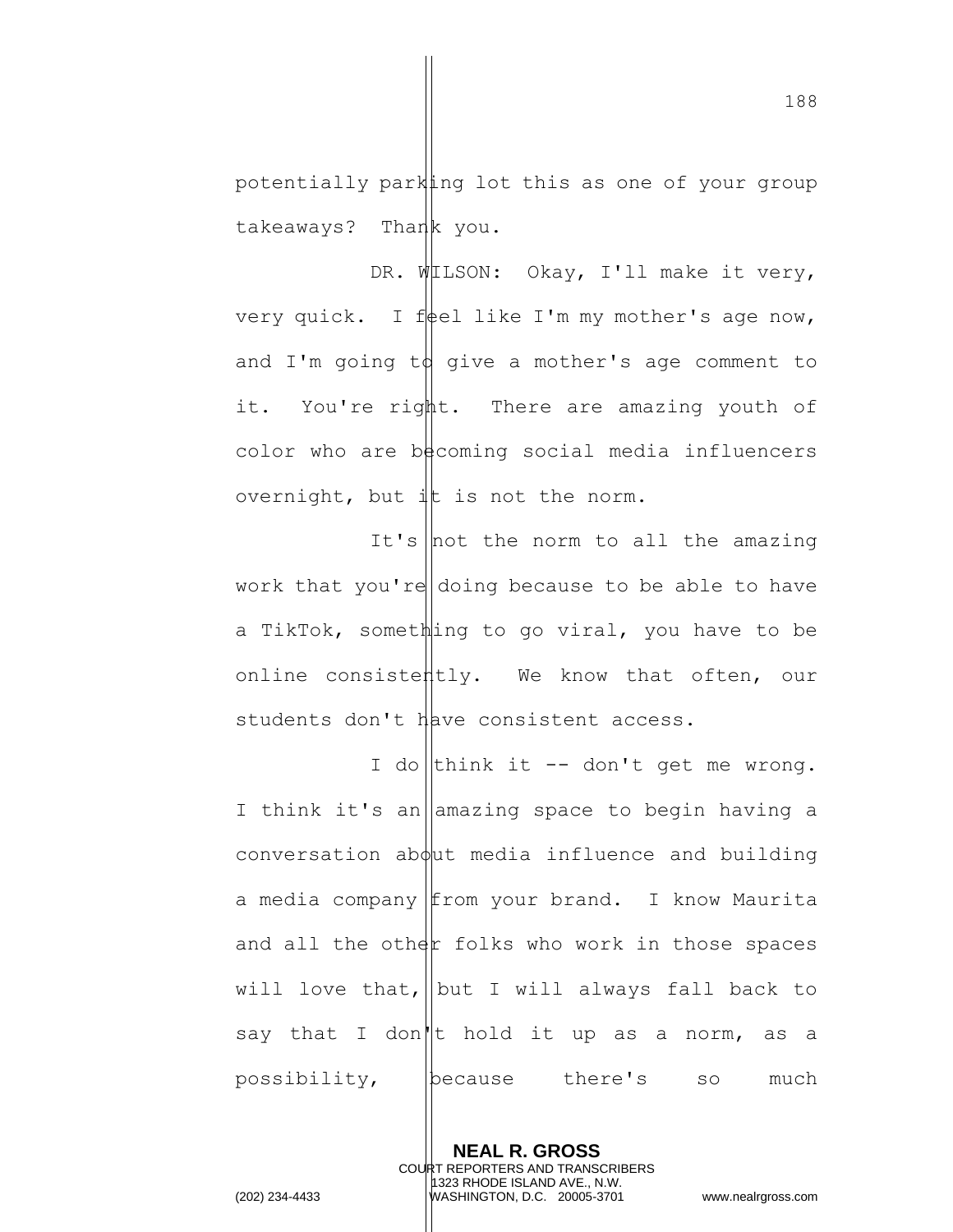potentially parking lot this as one of your group takeaways? Thank you.

DR. WILSON: Okay, I'll make it very, very quick. I feel like I'm my mother's age now, and I'm going  $td$  give a mother's age comment to it. You're right. There are amazing youth of color who are becoming social media influencers overnight, but  $\frac{1}{x}$  is not the norm.

It's  $|$ not the norm to all the amazing work that you're doing because to be able to have a TikTok, something to go viral, you have to be online consistently. We know that often, our students don't Have consistent access.

I do think it  $-$  don't get me wrong. I think it's an amazing space to begin having a  $conversion$  ab $\phi$ ut media influence and building a media company from your brand. I know Maurita and all the other folks who work in those spaces will love that, but I will always fall back to say that I don<sup>'</sup>| t hold it up as a norm, as a possibility, because there's so much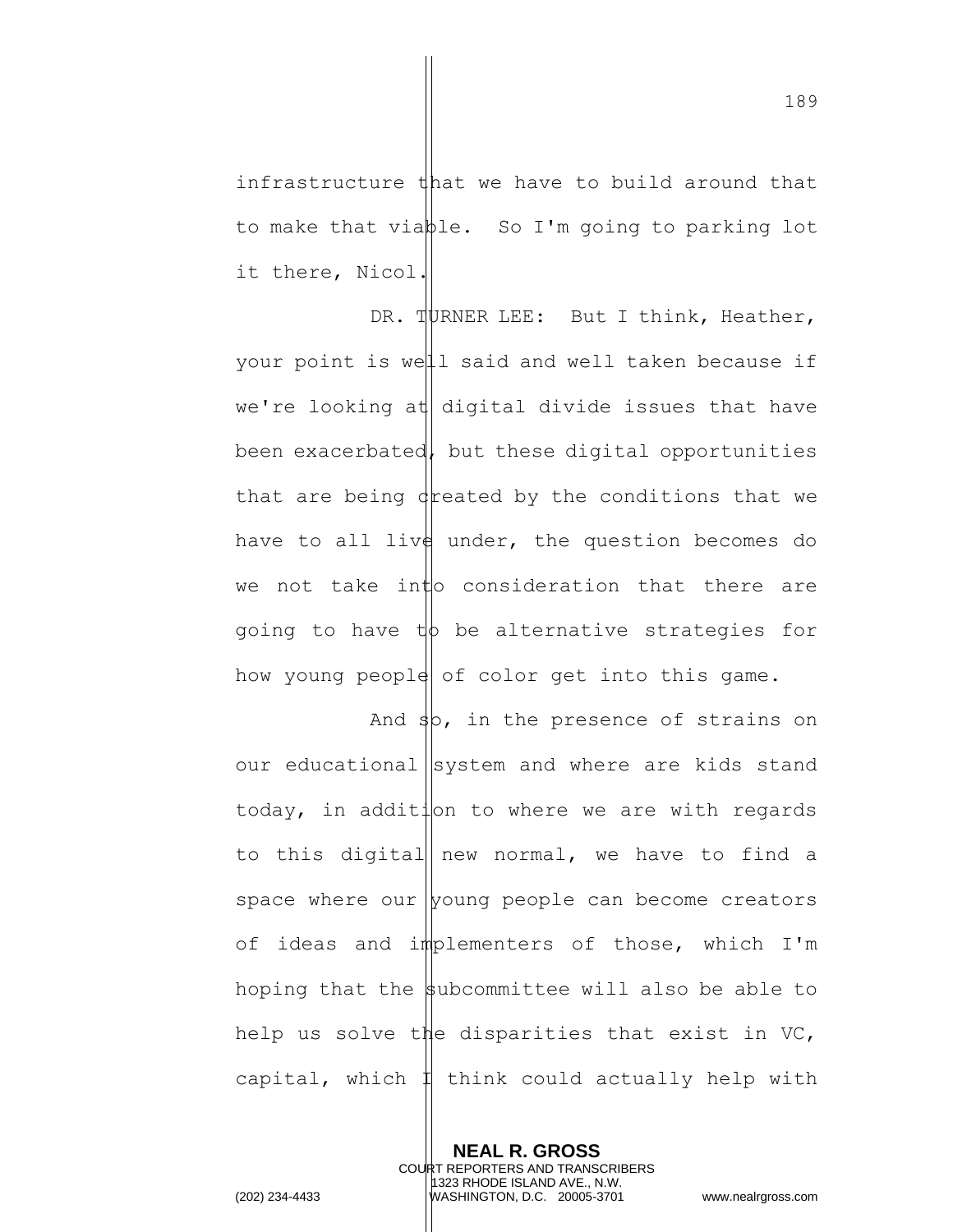infrastructure that we have to build around that to make that viable. So I'm going to parking lot it there, Nicol.

DR. TURNER LEE: But I think, Heather, your point is well said and well taken because if we're looking at digital divide issues that have been exacerbated, but these digital opportunities that are being dreated by the conditions that we have to all live under, the question becomes do we not take into consideration that there are going to have  $t\phi$  be alternative strategies for how young people of color get into this game.

And  $\frac{1}{3}$ , in the presence of strains on our educational system and where are kids stand today, in addition to where we are with regards to this digital new normal, we have to find a space where our  $|$  young people can become creators of ideas and implementers of those, which I'm hoping that the subcommittee will also be able to help us solve the disparities that exist in VC, capital, which  $\sharp$  think could actually help with

**NEAL R. GROSS** COURT REPORTERS AND TRANSCRIBERS 1323 RHODE ISLAND AVE., N.W. (202) 234-4433 WASHINGTON, D.C. 20005-3701 www.nealrgross.com

189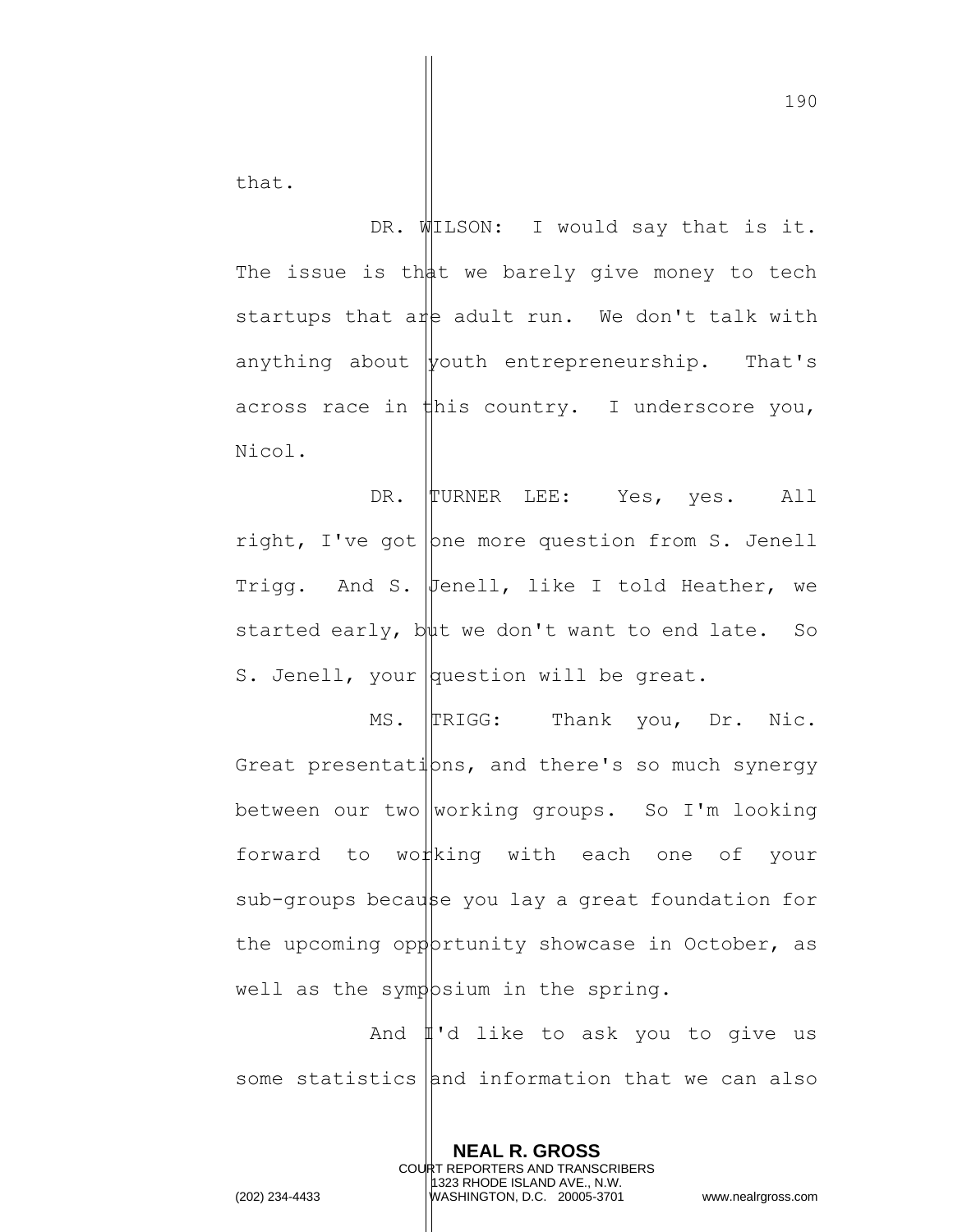that.

DR. WILSON: I would say that is it. The issue is that we barely give money to tech startups that are adult run. We don't talk with anything about  $\psi$ outh entrepreneurship. That's across race in  $\sharp$ his country. I underscore you, Nicol.

DR. TURNER LEE: Yes, yes. All right, I've got  $|$  pne more question from S. Jenell Trigg. And S. Fenell, like I told Heather, we started early,  $b\psi$ t we don't want to end late. So S. Jenell, your  $|$ question will be great.

MS. TRIGG: Thank you, Dr. Nic. Great presentations, and there's so much synergy between our two working groups. So I'm looking forward to wo*t*king with each one of your sub-groups because you lay a great foundation for the upcoming oppottunity showcase in October, as well as the symp  $\beta$ sium in the spring.

And  $\sharp$ 'd like to ask you to give us some statistics and information that we can also

> **NEAL R. GROSS** COURT REPORTERS AND TRANSCRIBERS 1323 RHODE ISLAND AVE., N.W.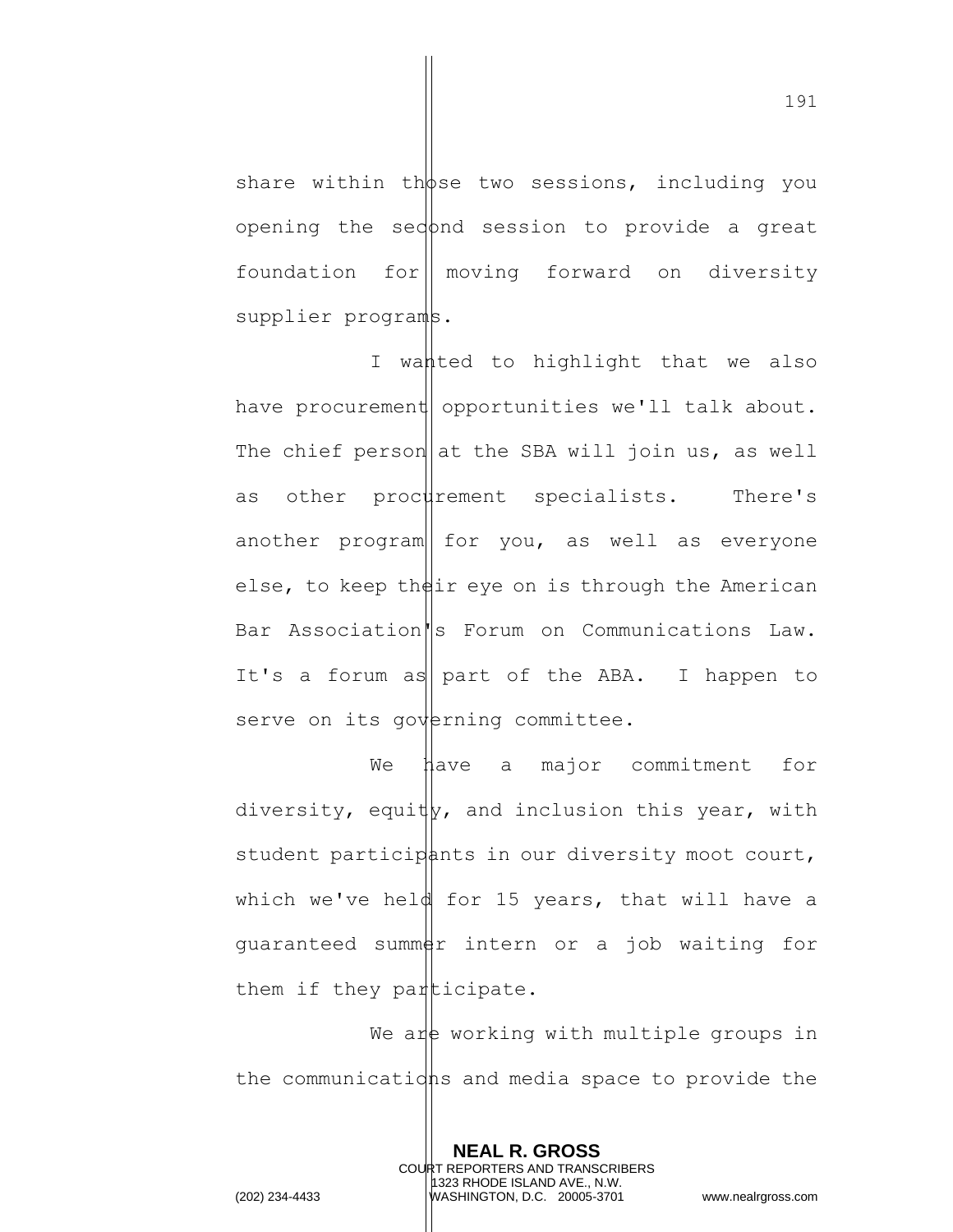share within those two sessions, including you opening the sedond session to provide a great foundation for moving forward on diversity supplier programs.

I wanted to highlight that we also have procurement opportunities we'll talk about. The chief person at the SBA will join us, as well as other procurement specialists. There's another program  $\vert$  for you, as well as everyone else, to keep their eye on is through the American Bar Association<sup>'</sup>s Forum on Communications Law. It's a forum as part of the ABA. I happen to serve on its governing committee.

We have a major commitment for diversity, equity, and inclusion this year, with student participants in our diversity moot court, which we've held for 15 years, that will have a guaranteed summer intern or a job waiting for them if they participate.

We are working with multiple groups in the communications and media space to provide the

> **NEAL R. GROSS** COURT REPORTERS AND TRANSCRIBERS 1323 RHODE ISLAND AVE., N.W.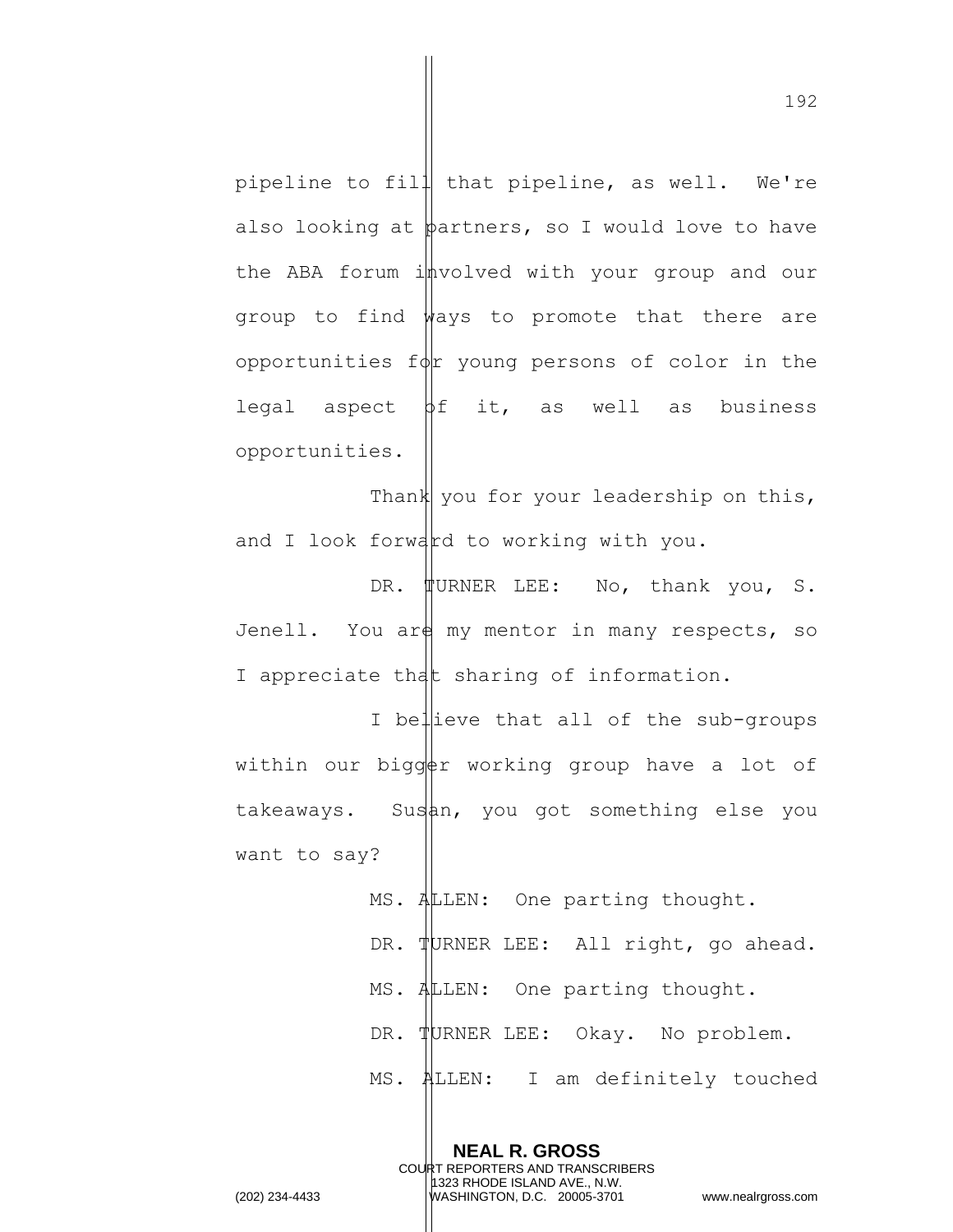pipeline to fill that pipeline, as well. We're also looking at  $\phi$ artners, so I would love to have the ABA forum involved with your group and our group to find  $w$ ays to promote that there are opportunities  $f\phi$ r young persons of color in the legal aspect  $\beta f$  it, as well as business opportunities.

Thank you for your leadership on this, and I look forward to working with you.

DR. **TURNER LEE:** No, thank you, S. Jenell. You are my mentor in many respects, so I appreciate that sharing of information.

I believe that all of the sub-groups within our bigger working group have a lot of takeaways. Susan, you got something else you want to say?

> MS. ALLEN: One parting thought. DR. TURNER LEE: All right, go ahead. MS. ALLEN: One parting thought. DR. TURNER LEE: Okay. No problem. MS. ALLEN: I am definitely touched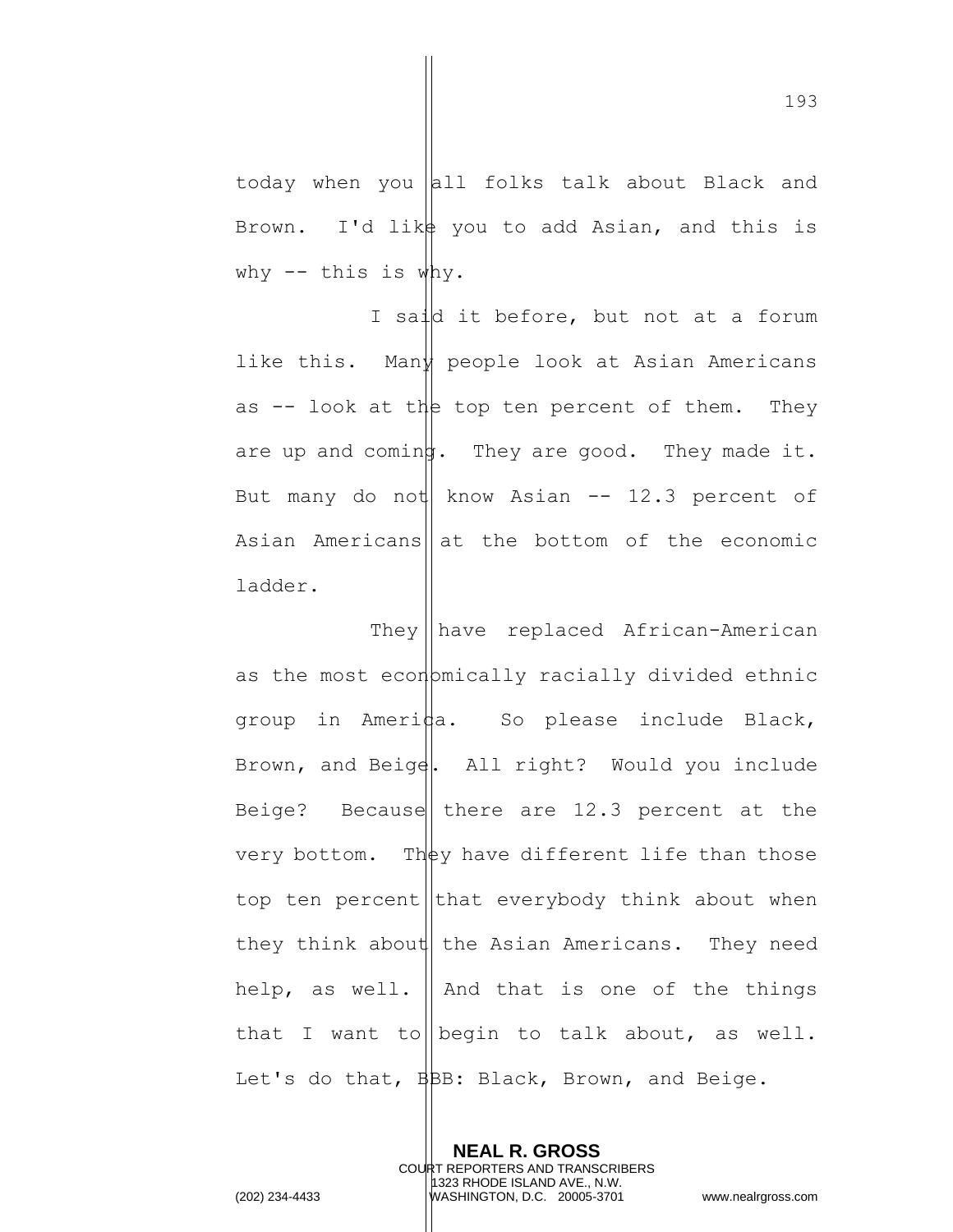today when you all folks talk about Black and Brown. I'd like you to add Asian, and this is why  $--$  this is why.

I said it before, but not at a forum like this. Many people look at Asian Americans as  $-$  look at the top ten percent of them. They are up and coming. They are good. They made it. But many do not know Asian  $-$  12.3 percent of Asian Americans  $\|$  at the bottom of the economic ladder.

They  $\|\text{have replaced African-American}$ as the most economically racially divided ethnic group in Ameri $\frac{1}{4}a$ . So please include Black, Brown, and Beige. All right? Would you include Beige? Because there are  $12.3$  percent at the very bottom. They have different life than those top ten percent that everybody think about when they think about the Asian Americans. They need help, as well.  $\parallel$  And that is one of the things that I want to begin to talk about, as well. Let's do that,  $\frac{1}{2}BE$ : Black, Brown, and Beige.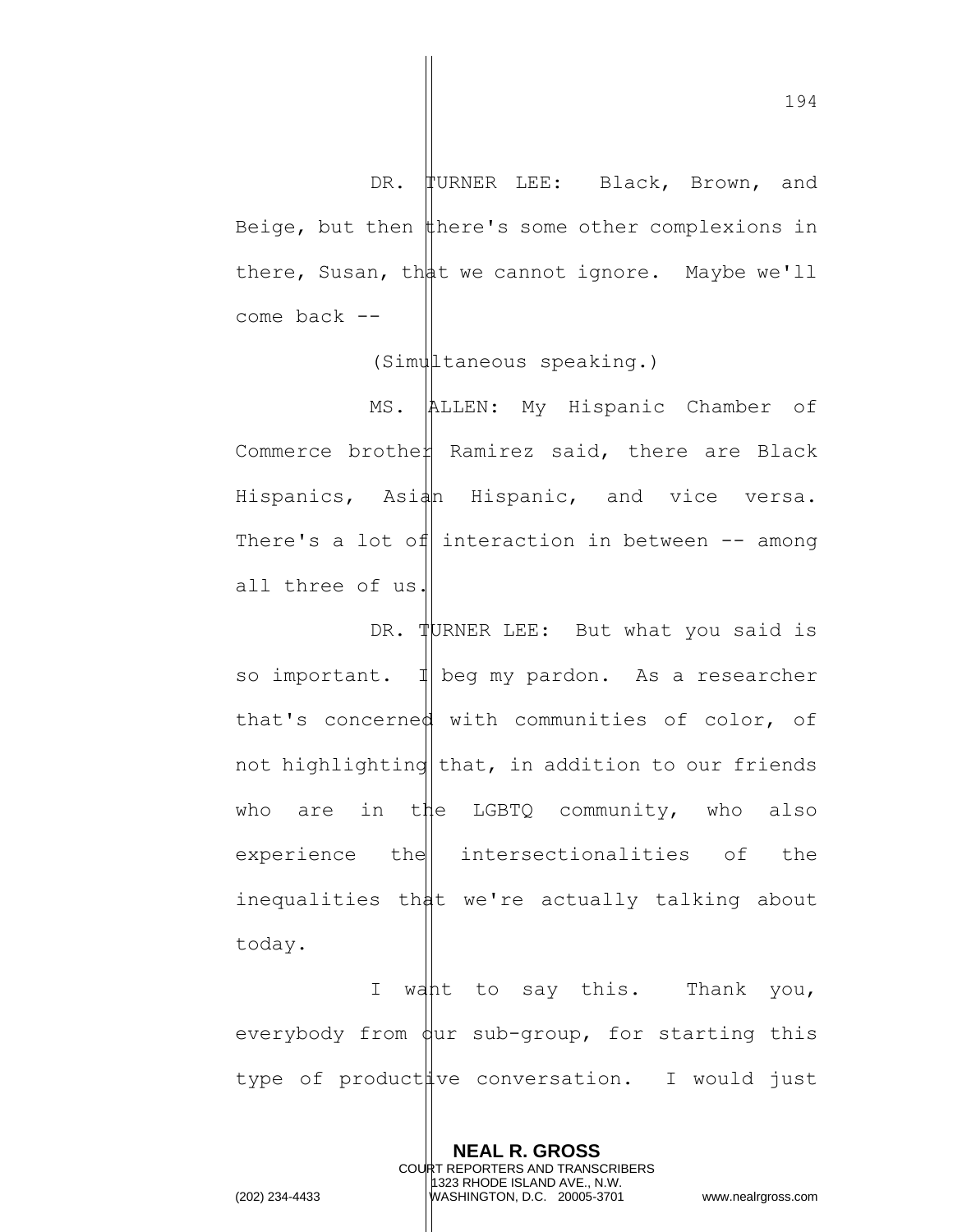DR. TURNER LEE: Black, Brown, and Beige, but then  $\sharp$  here's some other complexions in there, Susan, that we cannot ignore. Maybe we'll come back --

(Simultaneous speaking.)

MS. ALLEN: My Hispanic Chamber of Commerce brothe $\nparallel$  Ramirez said, there are Black Hispanics, Asi $\frac{1}{4}$  Hispanic, and vice versa. There's a lot of interaction in between  $-$  among all three of us.

DR. TURNER LEE: But what you said is so important.  $\mathbb{1}$  beg my pardon. As a researcher that's concerned with communities of color, of not highlighting  $\frac{1}{10}$  that, in addition to our friends who are in the LGBTQ community, who also  $experience$  the intersectionalities of the inequalities that we're actually talking about today.

I want to say this. Thank you, everybody from  $\phi$ ur sub-group, for starting this type of product we conversation. I would just

> **NEAL R. GROSS** COURT REPORTERS AND TRANSCRIBERS 1323 RHODE ISLAND AVE., N.W.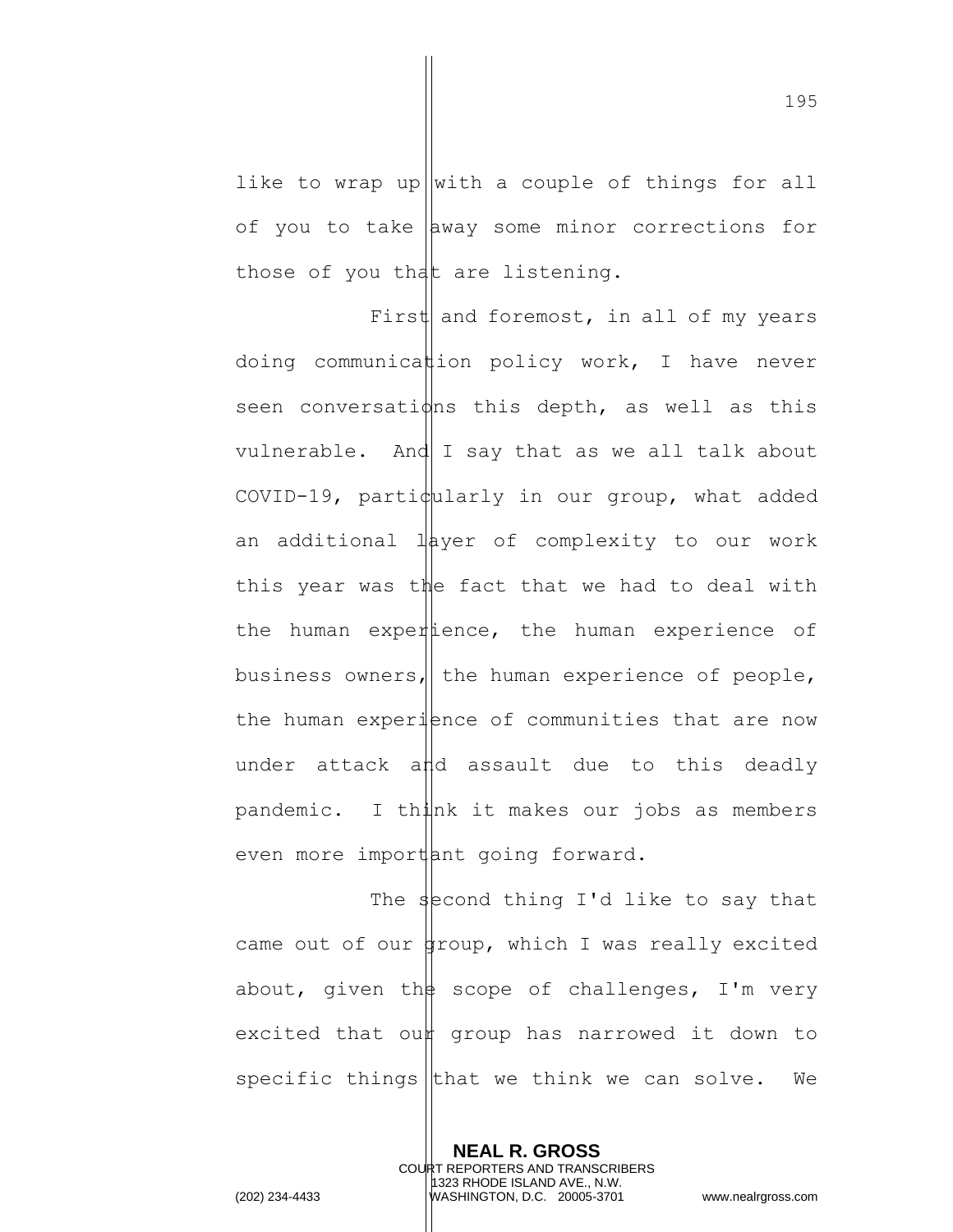like to wrap up with a couple of things for all of you to take  $\vert$  away some minor corrections for those of you that are listening.

First and foremost, in all of my years doing communication policy work, I have never seen conversations this depth, as well as this vulnerable. And  $I$  say that as we all talk about COVID-19, particularly in our group, what added an additional  $l$  ayer of complexity to our work this year was the fact that we had to deal with the human experience, the human experience of business owners, the human experience of people, the human experience of communities that are now under attack and assault due to this deadly  $p$ andemic. I th $\sharp$ nk it makes our jobs as members even more important going forward.

The second thing I'd like to say that came out of our group, which I was really excited about, given the scope of challenges, I'm very excited that oun group has narrowed it down to specific things that we think we can solve. We

> **NEAL R. GROSS** COURT REPORTERS AND TRANSCRIBERS 1323 RHODE ISLAND AVE., N.W.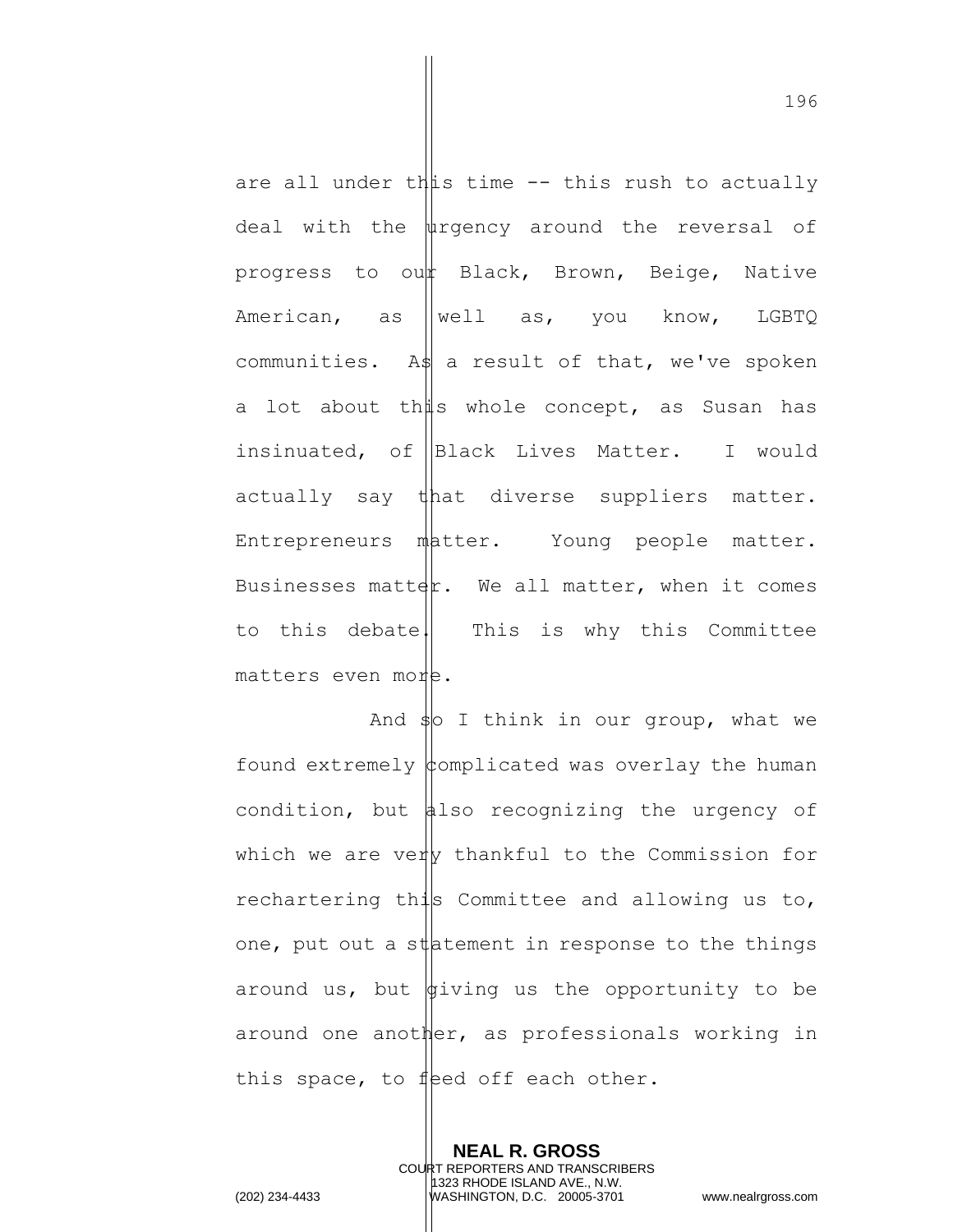are all under this time -- this rush to actually deal with the  $\psi$ rgency around the reversal of progress to our Black, Brown, Beige, Native American, as  $\parallel$  well as, you know, LGBTQ communities. As a result of that, we've spoken a lot about th $\sharp s$  whole concept, as Susan has insinuated, of Black Lives Matter. I would actually say that diverse suppliers matter. Entrepreneurs matter. Young people matter. Businesses matter. We all matter, when it comes to this debate. This is why this Committee matters even more.

And  $\frac{1}{2}$  I think in our group, what we found extremely  $\phi$ omplicated was overlay the human condition, but  $\sharp$ lso recognizing the urgency of which we are very thankful to the Commission for rechartering this Committee and allowing us to, one, put out a statement in response to the things around us, but  $\oint$ iving us the opportunity to be around one another, as professionals working in this space, to feed off each other.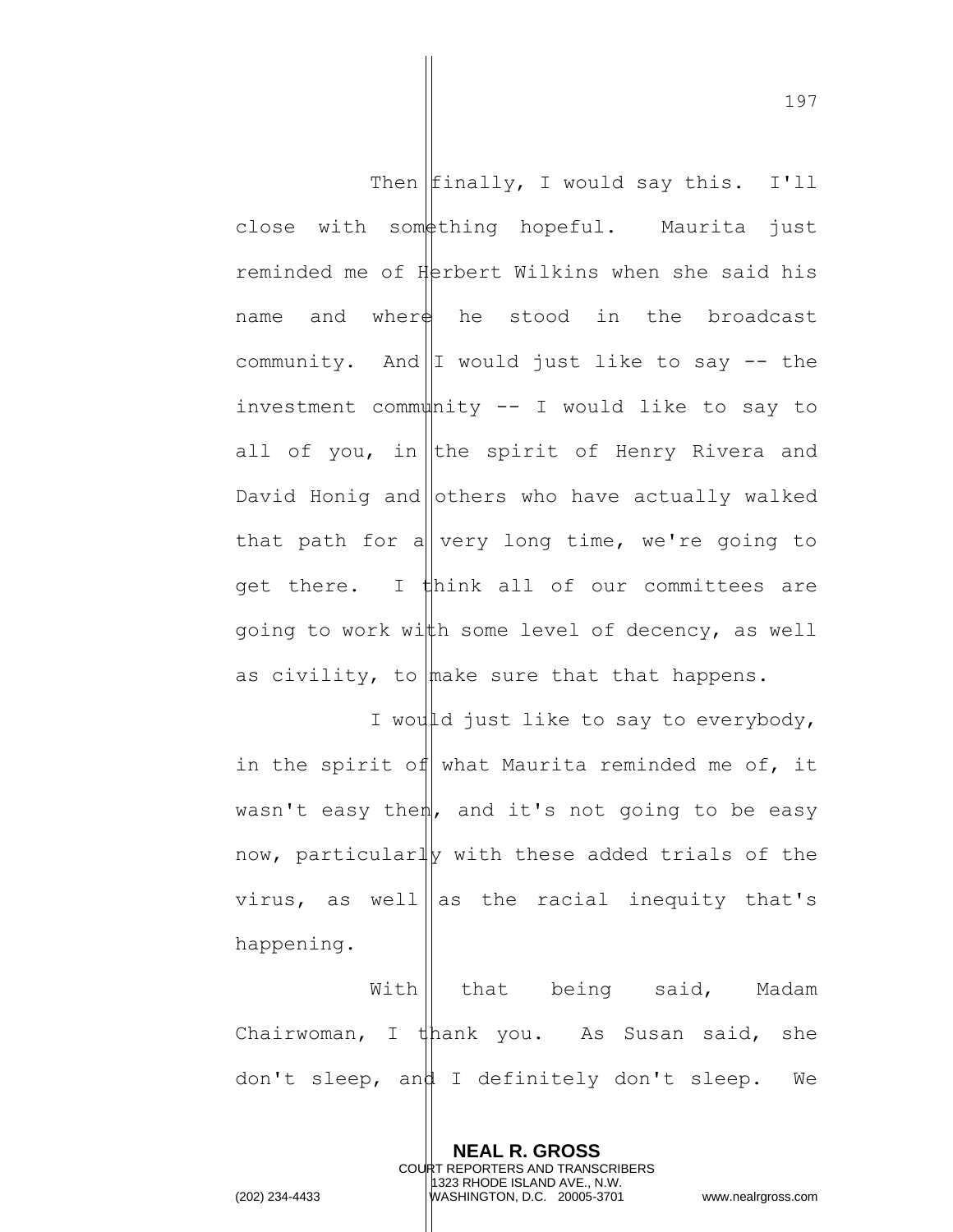Then  $Ifinally, I would say this. I'll$  $close$  with som $#$ thing hopeful. Maurita just reminded me of Herbert Wilkins when she said his name and wher $\frac{1}{2}$  he stood in the broadcast community. And I would just like to say  $-$  the investment community  $--$  I would like to say to all of you, in the spirit of Henry Rivera and David Honig and others who have actually walked that path for a  $\vert v e r y \vert$  long time, we're going to get there. I think all of our committees are going to work with some level of decency, as well as civility, to make sure that that happens.

I would just like to say to everybody, in the spirit of what Maurita reminded me of, it wasn't easy then, and it's not going to be easy now, particularly with these added trials of the virus, as well as the racial inequity that's happening.

With || that being said, Madam Chairwoman, I thank you. As Susan said, she don't sleep, and I definitely don't sleep. We

> **NEAL R. GROSS** COURT REPORTERS AND TRANSCRIBERS 1323 RHODE ISLAND AVE., N.W.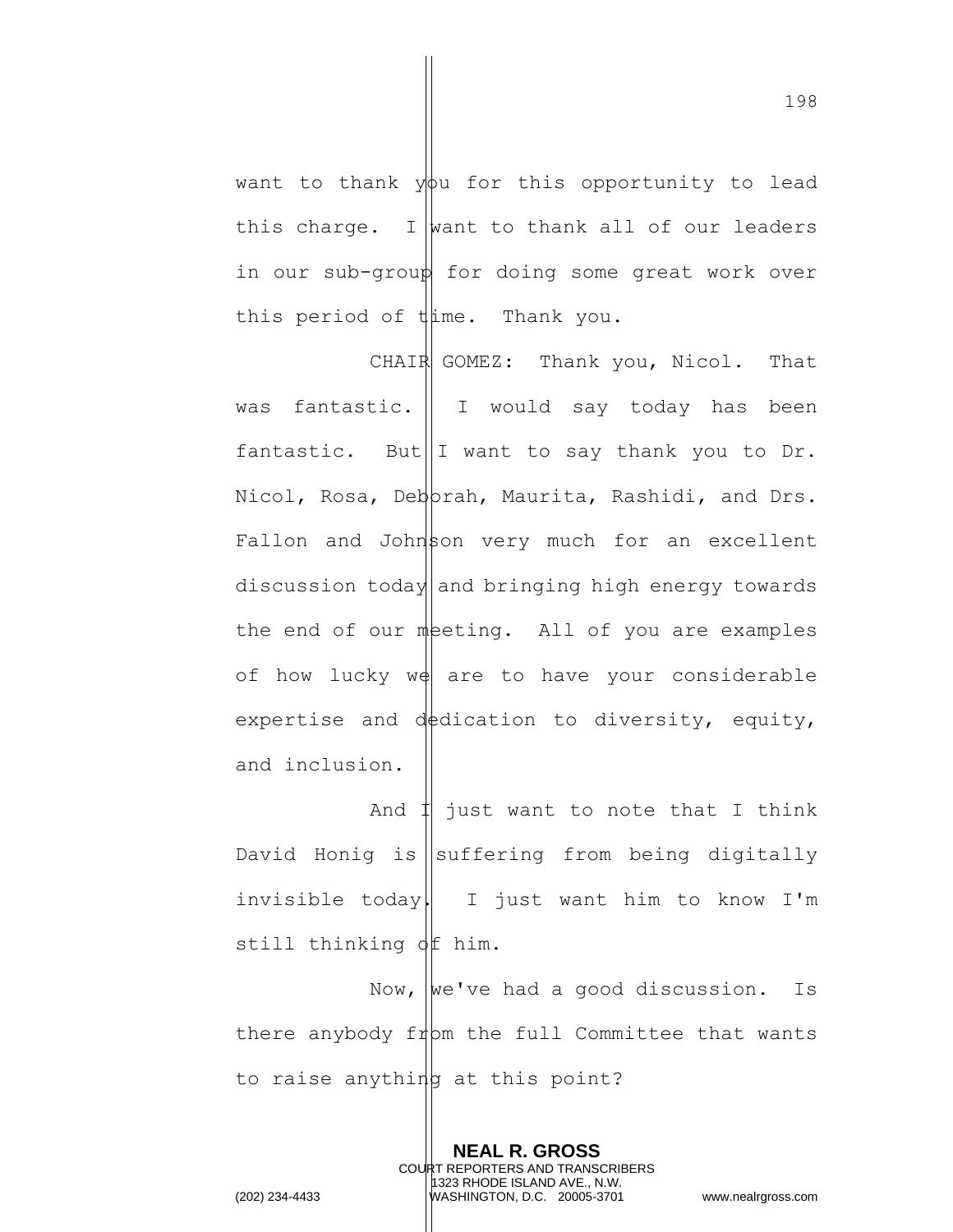want to thank  $y\phi u$  for this opportunity to lead this charge. I want to thank all of our leaders in our sub-group for doing some great work over this period of thime. Thank you.

CHAIR GOMEZ: Thank you, Nicol. That was fantastic. I I would say today has been fantastic. But  $\|I\|$  want to say thank you to Dr. Nicol, Rosa, Deborah, Maurita, Rashidi, and Drs.  $Fallon$  and Johnson very much for an excellent discussion today and bringing high energy towards the end of our meting. All of you are examples of how lucky  $w \notin \{ \text{are to have your considerable} \}$ expertise and dedication to diversity, equity, and inclusion.

And  $\sharp$  just want to note that I think David Honig is  $\left\| \text{suffering from being digitally} \right\|$ invisible today. I just want him to know I'm still thinking  $\oint$  him.

Now,  $\begin{bmatrix} we' \vee\end{bmatrix}$  had a good discussion. Is there anybody  $f_1$ pm the full Committee that wants to raise anything at this point?

> **NEAL R. GROSS** COURT REPORTERS AND TRANSCRIBERS 1323 RHODE ISLAND AVE., N.W.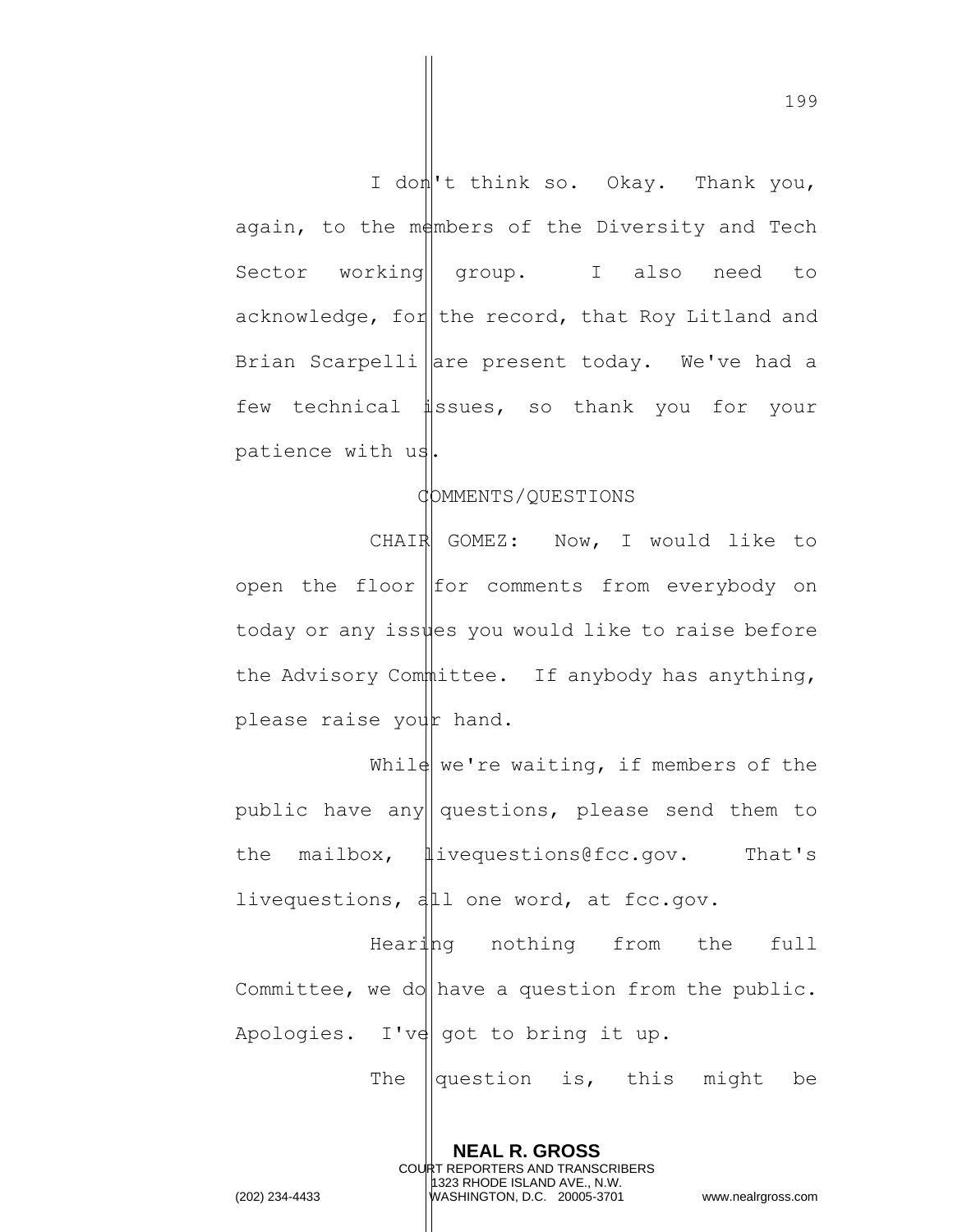I dom't think so. Okay. Thank you, again, to the members of the Diversity and Tech Sector working || group. I also need to acknowledge, for  $\|$  the record, that Roy Litland and Brian Scarpelli are present today. We've had a few technical issues, so thank you for your patience with us.

## COMMENTS/QUESTIONS

CHAIR GOMEZ: Now, I would like to open the floor  $|$  for comments from everybody on today or any issues you would like to raise before the Advisory Committee. If anybody has anything, please raise your hand.

While we're waiting, if members of the public have any questions, please send them to the mailbox,  $\|\text{ivequestions@fcc.gov.}$  That's livequestions,  $d\mu$  one word, at fcc.gov.

Hearing nothing from the full Committee, we do have a question from the public. Apologies. I've got to bring it up.

> **NEAL R. GROSS** COURT REPORTERS AND TRANSCRIBERS 1323 RHODE ISLAND AVE., N.W.

The  $\parallel$ question is, this might be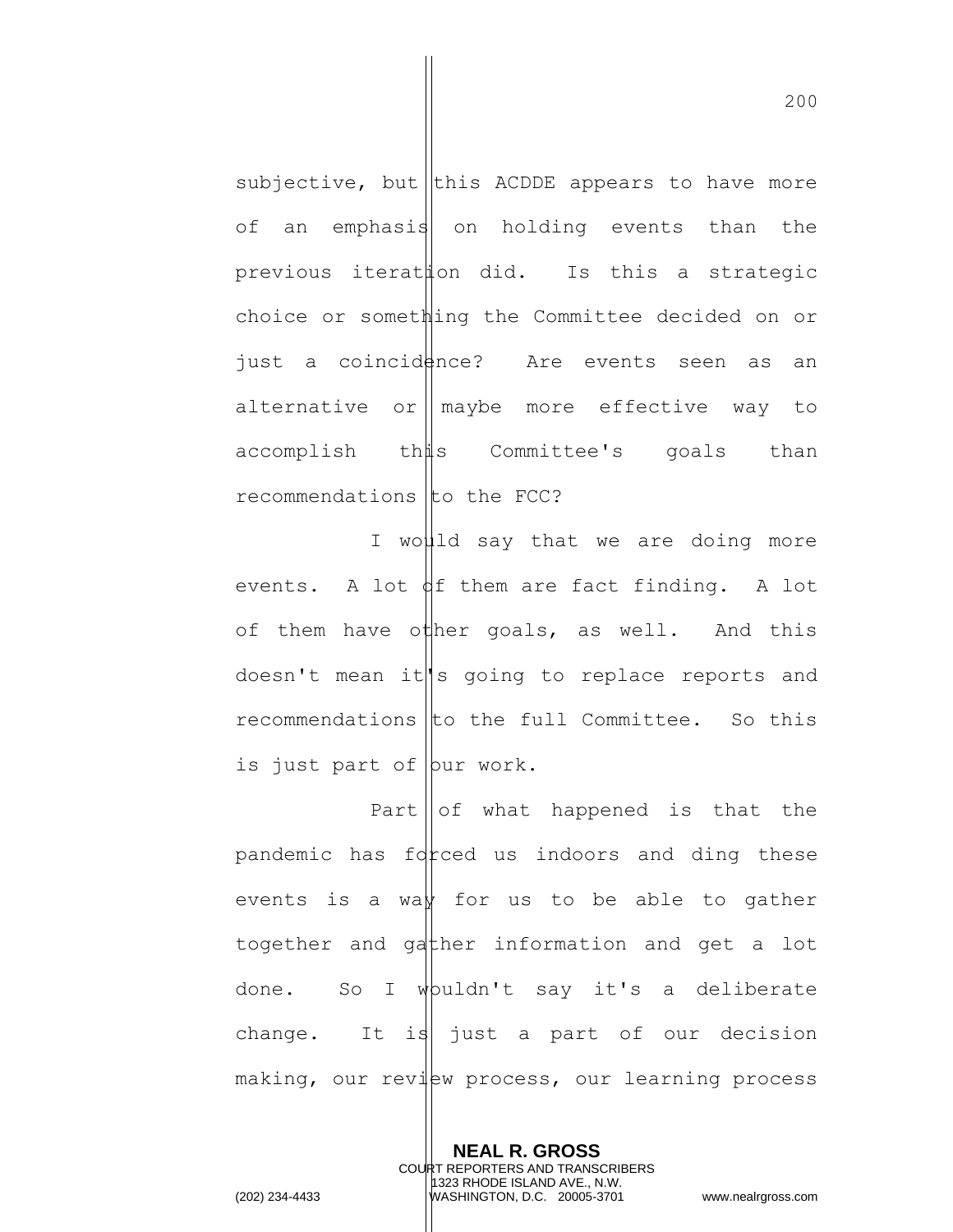subjective, but this ACDDE appears to have more of an emphasis on holding events than the previous iteration did. Is this a strategic choice or something the Committee decided on or just a coincidence? Are events seen as an alternative or  $\parallel$  maybe more effective way to accomplish this Committee's goals than recommendations  $\mathfrak{t}$  to the FCC?

I would say that we are doing more events. A lot  $\oint f$  them are fact finding. A lot of them have other goals, as well. And this doesn't mean it s going to replace reports and  $recommendations$   $|to the full Committee.$  So this is just part of  $|{\text{bur work.}}|$ 

Part  $\|\circ f\|$  what happened is that the pandemic has  $fd$  red us indoors and ding these events is a waw for us to be able to gather together and gather information and get a lot done. So I whuldn't say it's a deliberate change. It is just a part of our decision making, our review process, our learning process

> **NEAL R. GROSS** COURT REPORTERS AND TRANSCRIBERS 1323 RHODE ISLAND AVE., N.W.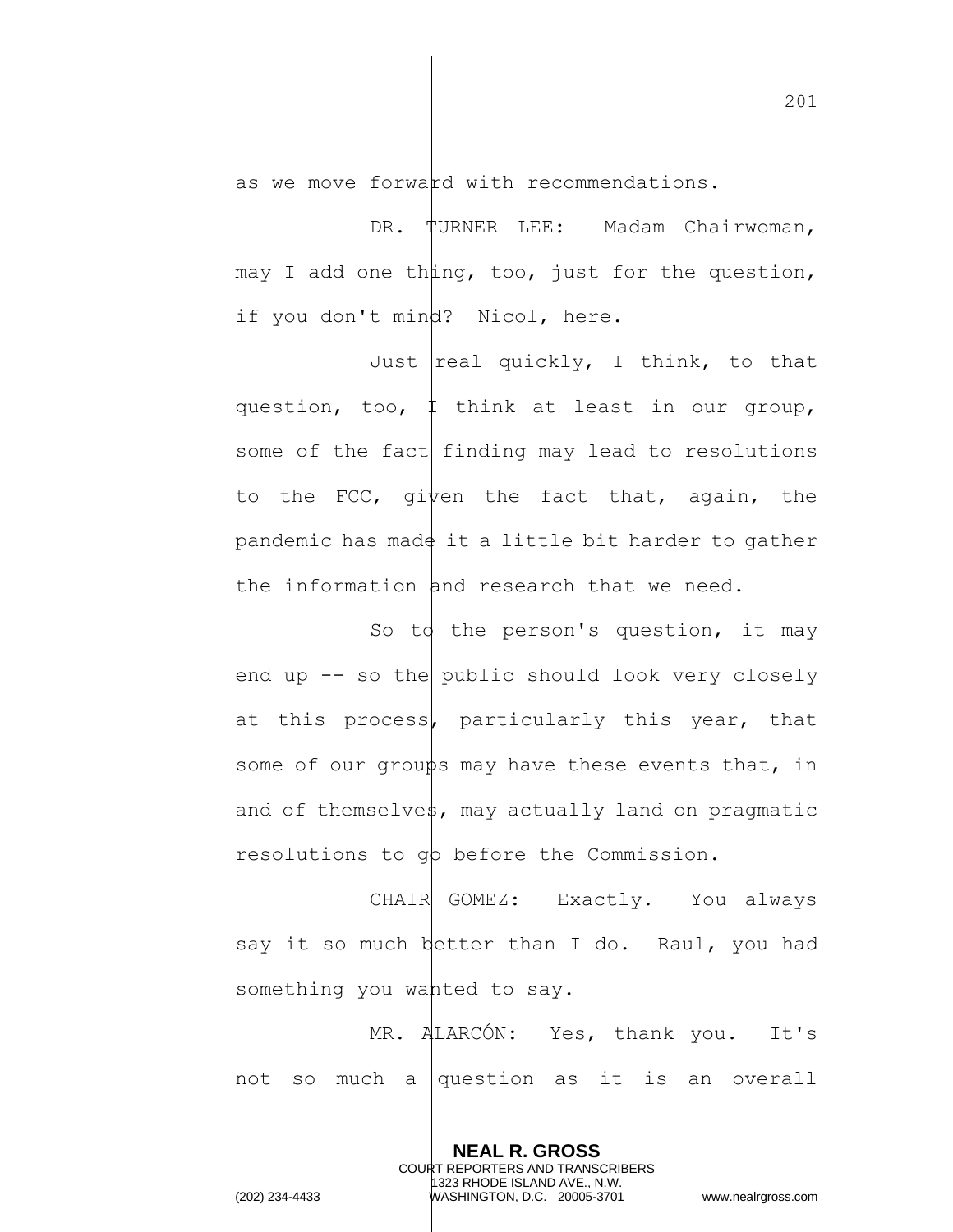as we move forward with recommendations.

DR. TURNER LEE: Madam Chairwoman, may I add one thing, too, just for the question, if you don't mind? Nicol, here.

Just  $\lvert$  real quickly, I think, to that question, too,  $\uparrow$  think at least in our group, some of the fact finding may lead to resolutions to the FCC, given the fact that, again, the pandemic has made it a little bit harder to gather the information and research that we need.

So to the person's question, it may end up  $-$  so the public should look very closely at this process, particularly this year, that some of our groups may have these events that, in and of themselvest, may actually land on pragmatic resolutions to gp before the Commission.

CHAIR GOMEZ: Exactly. You always say it so much  $\frac{1}{2}$  better than I do. Raul, you had something you wanted to say.

MR. ALARCÓN: Yes, thank you. It's not so much a  $\sqrt{q}$  question as it is an overall

> **NEAL R. GROSS** COURT REPORTERS AND TRANSCRIBERS 1323 RHODE ISLAND AVE., N.W.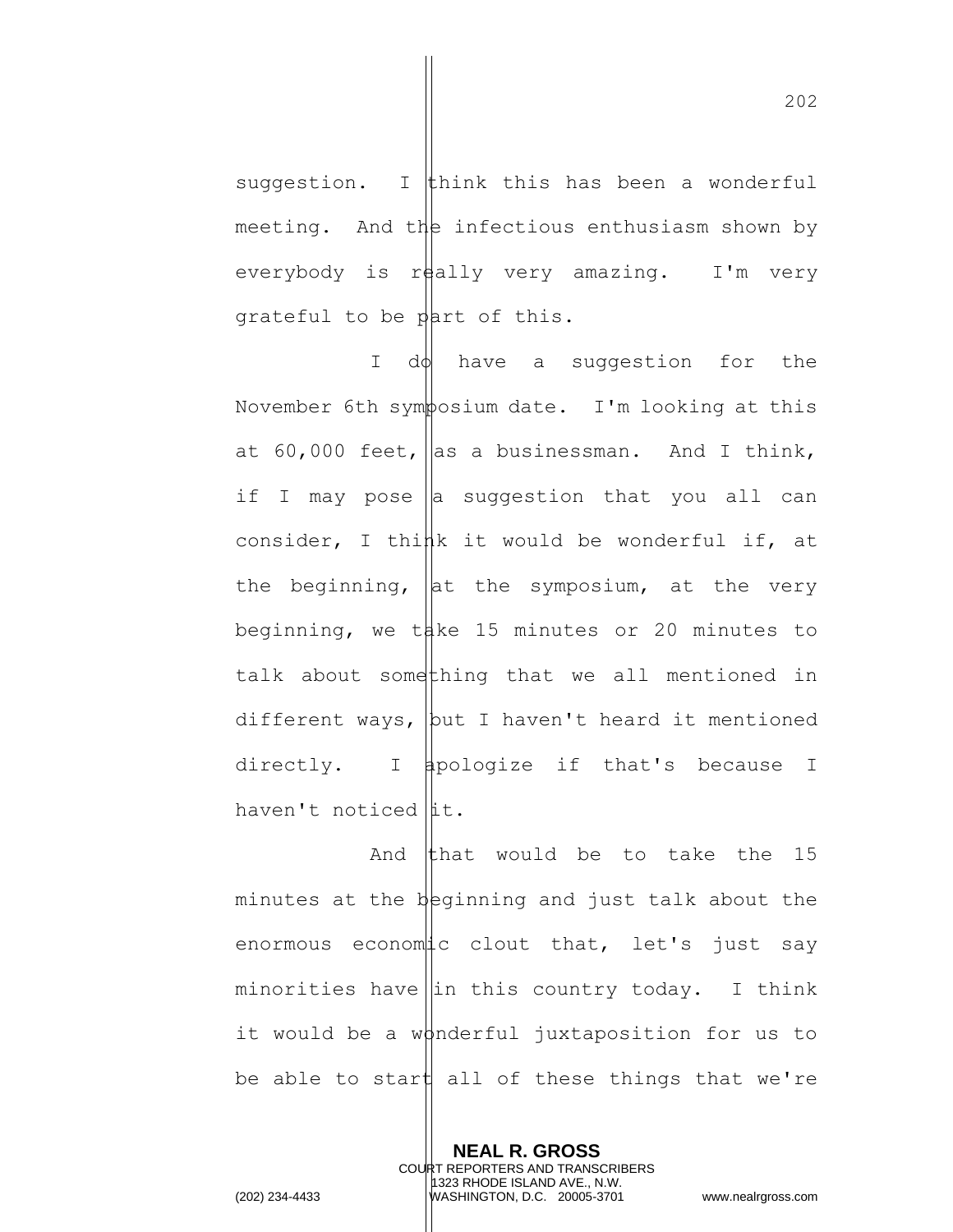suggestion. I think this has been a wonderful meeting. And the infectious enthusiasm shown by everybody is really very amazing. I'm very grateful to be part of this.

I do have a suggestion for the November 6th symposium date. I'm looking at this at 60,000 feet, as a businessman. And I think, if I may pose  $\|$ a suggestion that you all can consider, I think it would be wonderful if, at the beginning,  $\|$ at the symposium, at the very beginning, we take 15 minutes or 20 minutes to talk about something that we all mentioned in different ways,  $\vert$  but I haven't heard it mentioned directly. I apologize if that's because I haven't noticed  $\|$ it.

And that would be to take the  $15$ minutes at the beginning and just talk about the enormous economic clout that, let's just say minorities have  $\left\| \text{in this country today. I think} \right\|$ it would be a wonderful juxtaposition for us to be able to start all of these things that we're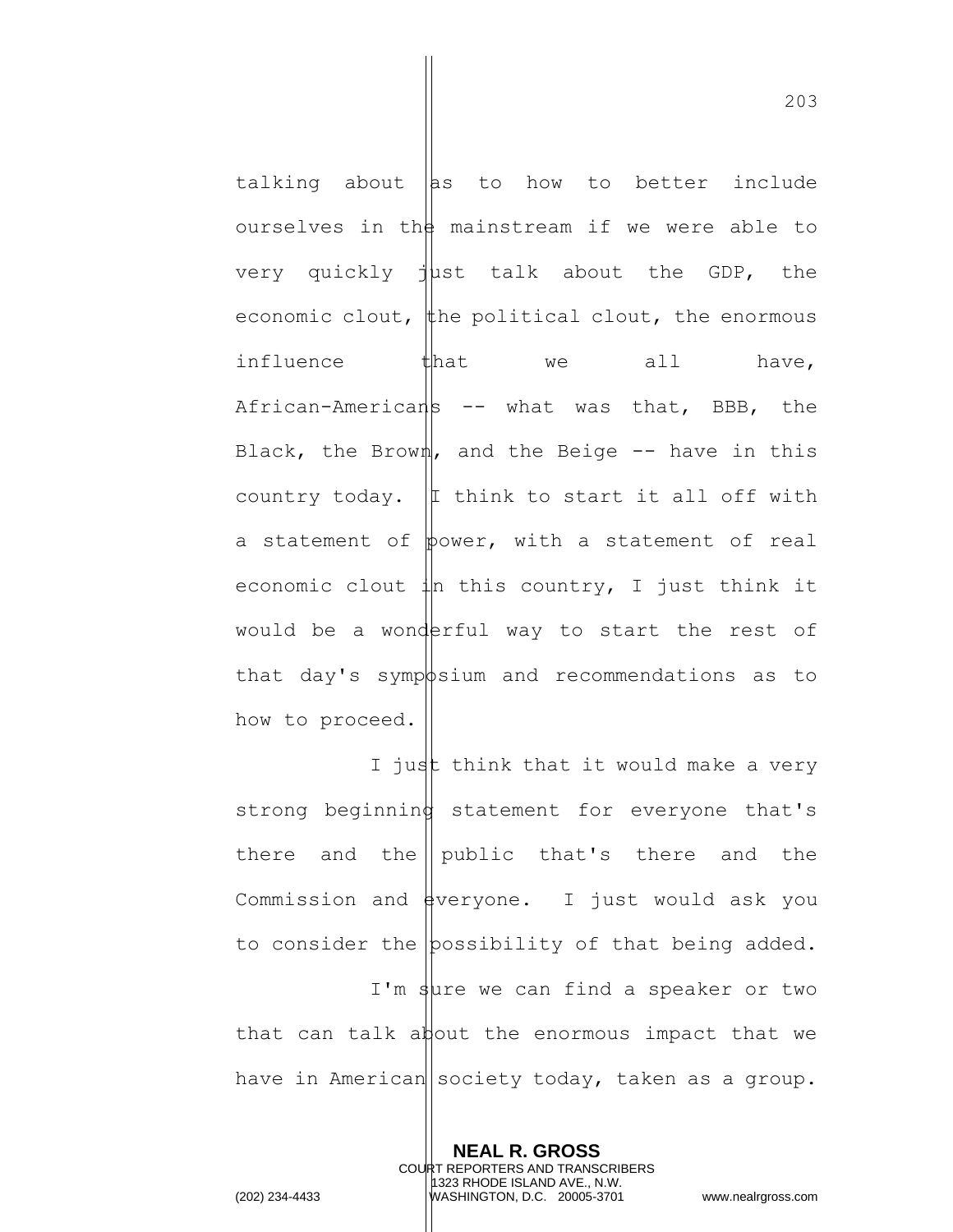talking about  $\|$ as to how to better include ourselves in the mainstream if we were able to very quickly  $j$ ust talk about the GDP, the economic clout, the political clout, the enormous influence that we all have,  $A$ frican-Americans -- what was that, BBB, the Black, the Brown, and the Beige  $-$  have in this country today.  $|I|$  think to start it all off with a statement of  $\phi$ ower, with a statement of real economic clout  $\downarrow$ n this country, I just think it would be a wonderful way to start the rest of that day's symposium and recommendations as to how to proceed.

I just think that it would make a very strong beginning statement for everyone that's there and the  $\parallel$  public that's there and the Commission and  $\frac{1}{2}$  veryone. I just would ask you to consider the possibility of that being added. I'm sure we can find a speaker or two that can talk about the enormous impact that we have in American society today, taken as a group.

**NEAL R. GROSS**

1323 RHODE ISLAND AVE., N.W.

COURT REPORTERS AND TRANSCRIBERS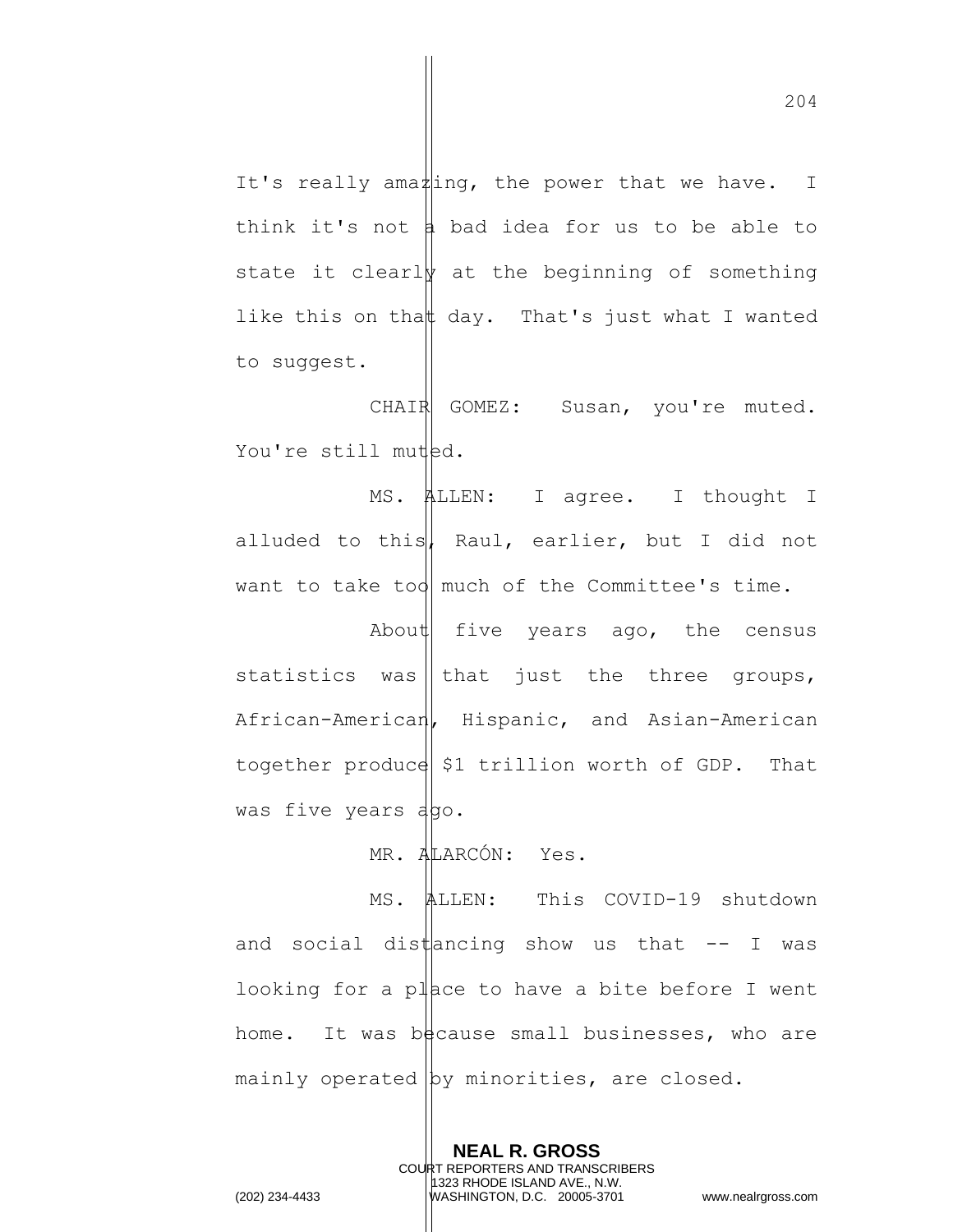It's really ama $\sharp$ ing, the power that we have. I think it's not  $\frac{1}{4}$  bad idea for us to be able to state it clearly at the beginning of something like this on thatt day. That's just what I wanted to suggest.

CHAIR GOMEZ: Susan, you're muted. You're still muted.

MS. ALLEN: I agree. I thought I alluded to this, Raul, earlier, but I did not want to take too much of the Committee's time.

About five years ago, the census statistics was | that just the three groups, African-American, Hispanic, and Asian-American together produce  $\frac{1}{2}$  trillion worth of GDP. That was five years ago.

MR. ALARCÓN: Yes.

MS. ALLEN: This COVID-19 shutdown and social distancing show us that  $-$ - I was looking for a place to have a bite before I went home. It was because small businesses, who are mainly operated by minorities, are closed.

> **NEAL R. GROSS** COURT REPORTERS AND TRANSCRIBERS 1323 RHODE ISLAND AVE., N.W.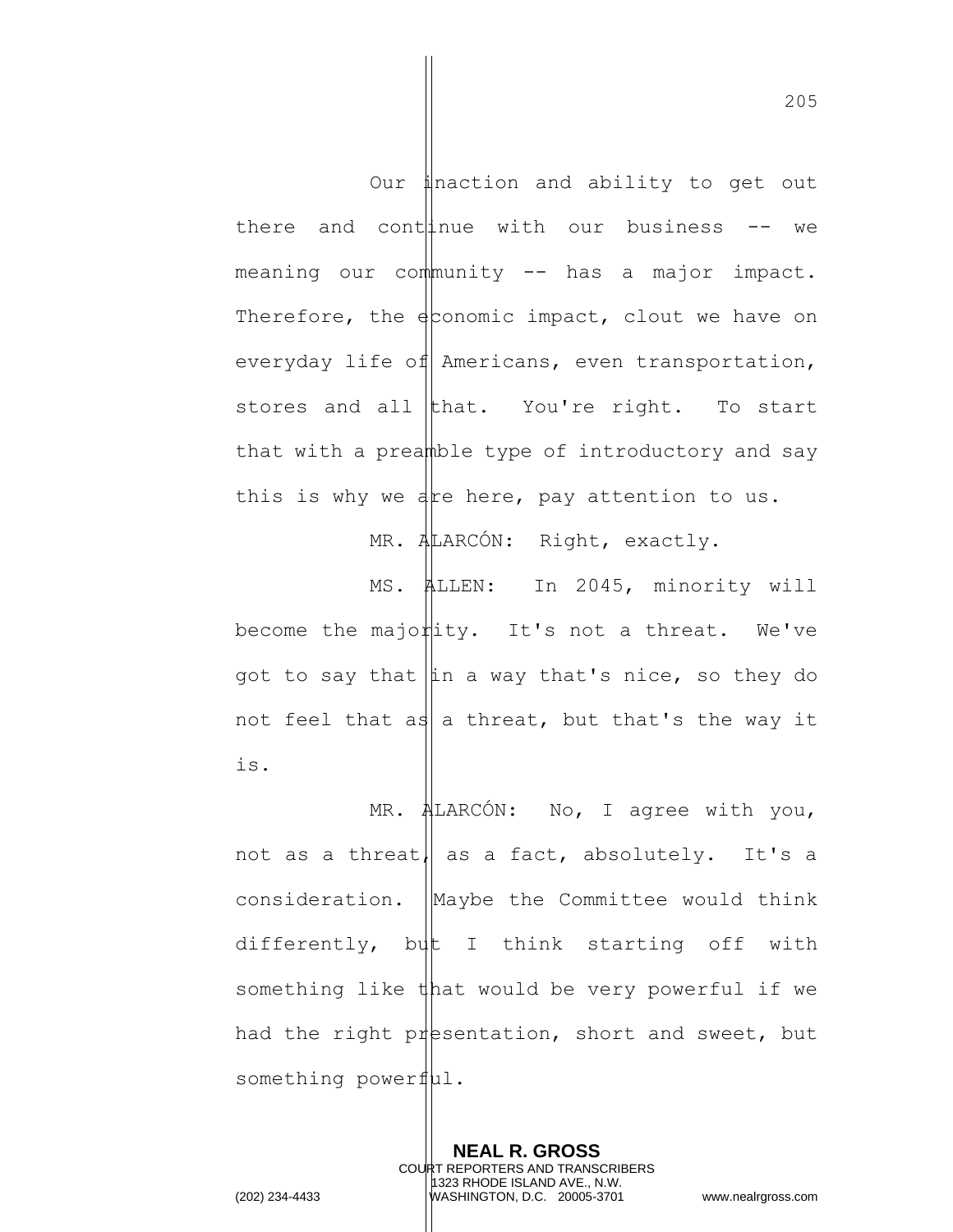Our inaction and ability to get out there and cont  $| \text{true}$  with our business  $-$  we  $meaning$  our community  $--$  has a major impact. Therefore, the  $\frac{1}{2}$  conomic impact, clout we have on everyday life of Americans, even transportation, stores and all that. You're right. To start that with a preamble type of introductory and say this is why we are here, pay attention to us.

MR. ALARCÓN: Right, exactly.

MS. ALLEN: In 2045, minority will become the majority. It's not a threat. We've got to say that  $\|\text{in a way that's nice, so they do$ not feel that as a threat, but that's the way it is.

MR. ALARCÓN: No, I agree with you, not as a threat, as a fact, absolutely. It's a consideration. Maybe the Committee would think differently, but I think starting off with something like that would be very powerful if we had the right presentation, short and sweet, but something powerful.

> **NEAL R. GROSS** COURT REPORTERS AND TRANSCRIBERS 1323 RHODE ISLAND AVE., N.W.

205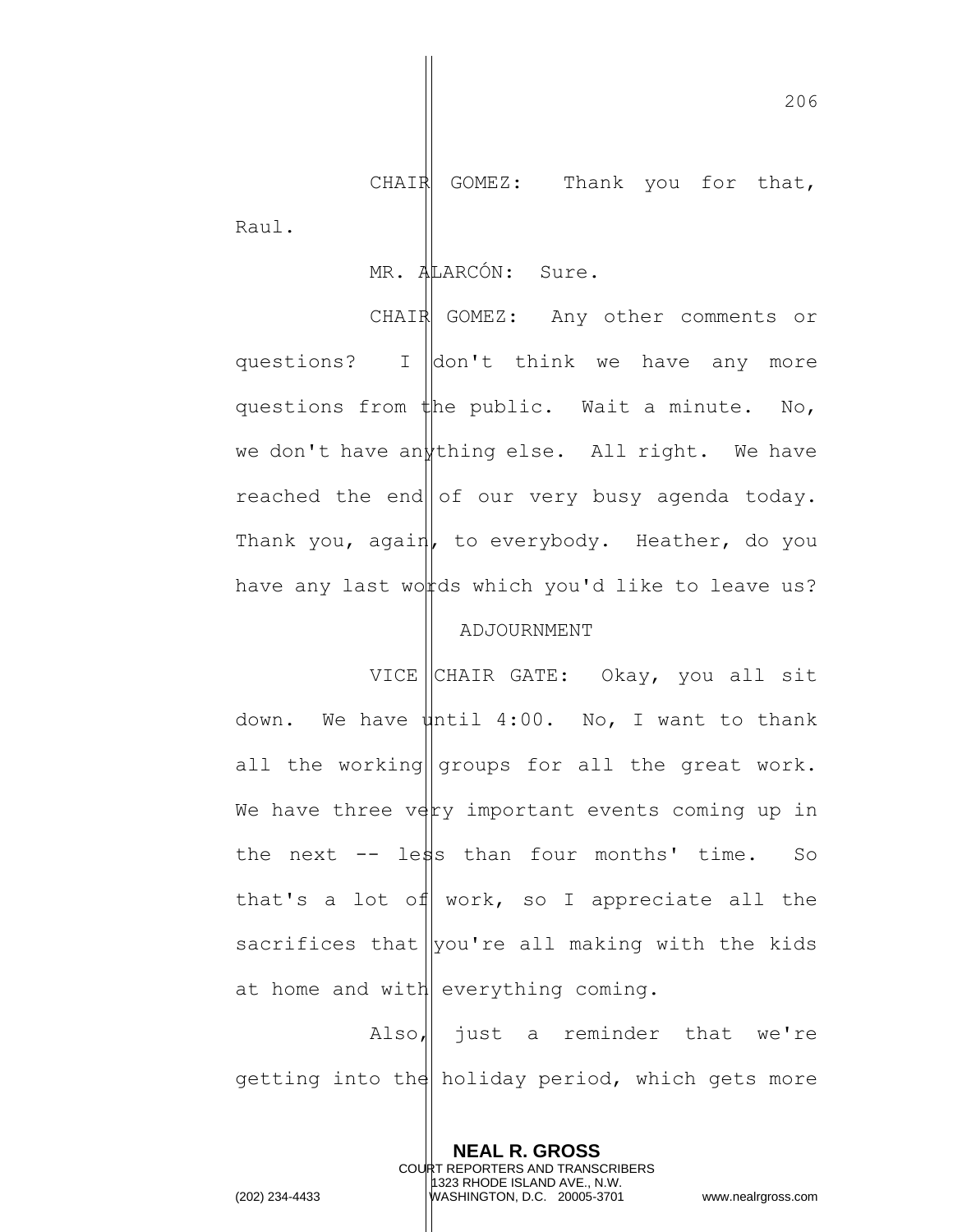CHAIR GOMEZ: Thank you for that, Raul.

## MR. ALARCÓN: Sure.

CHAIR GOMEZ: Any other comments or questions? I don't think we have any more questions from  $t$ he public. Wait a minute. No, we don't have an thing else. All right. We have reached the end  $|$  of our very busy agenda today. Thank you, again, to everybody. Heather, do you have any last words which you'd like to leave us?

## ADJOURNMENT

VICE CHAIR GATE: Okay, you all sit down. We have  $\psi$ htil 4:00. No, I want to thank all the working groups for all the great work. We have three  $v \notin y$  important events coming up in the next  $-$  less than four months' time. So that's a lot of work, so I appreciate all the sacrifices that  $|$ you're all making with the kids at home and with everything coming.

Also,  $\parallel$  just a reminder that we're getting into the holiday period, which gets more

> **NEAL R. GROSS** COURT REPORTERS AND TRANSCRIBERS 1323 RHODE ISLAND AVE., N.W.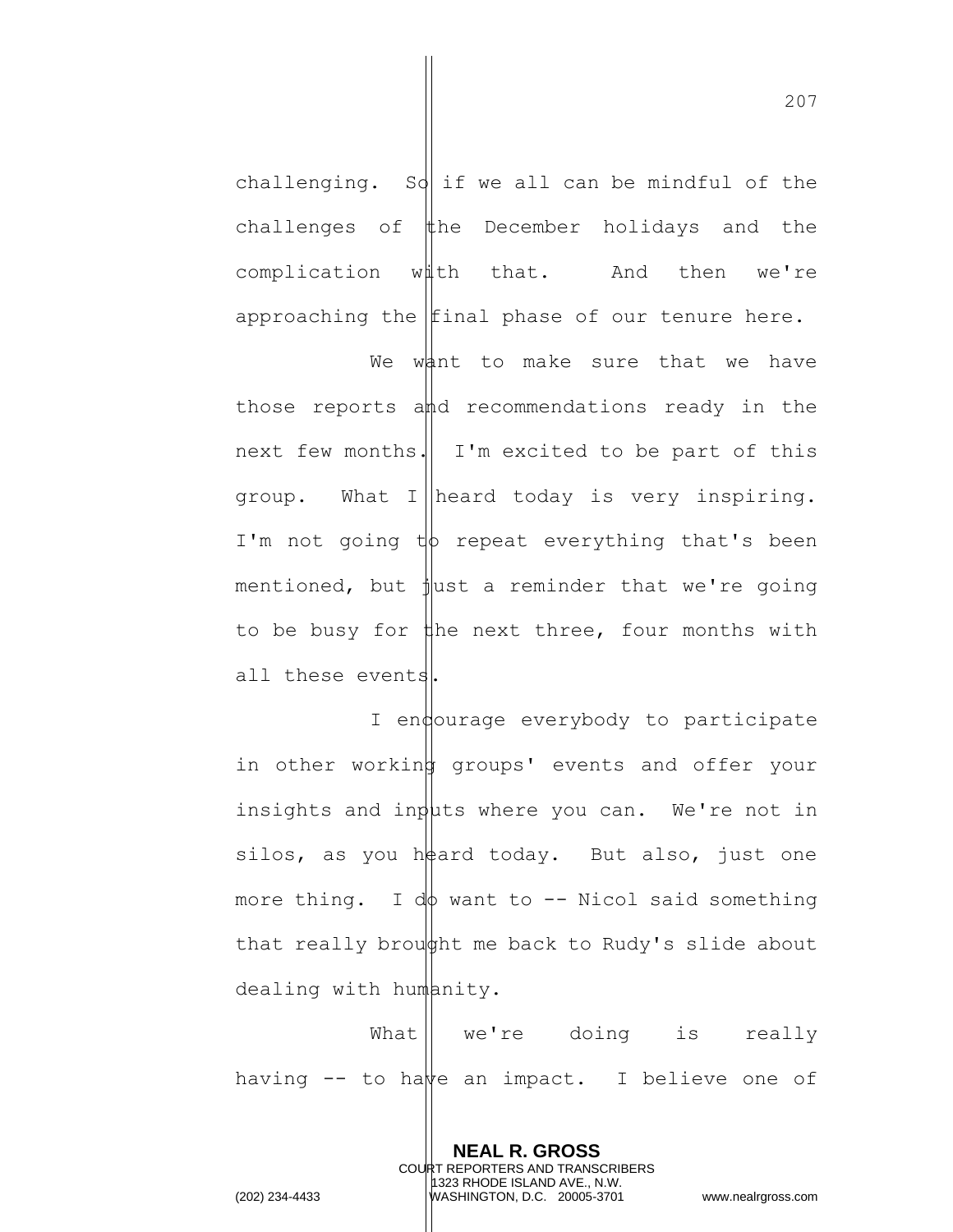challenging. So if we all can be mindful of the challenges of  $#$ he December holidays and the complication with that. And then we're approaching the  $|$ final phase of our tenure here.

We want to make sure that we have those reports and recommendations ready in the next few months. I'm excited to be part of this group. What I heard today is very inspiring. I'm not going  $t\phi$  repeat everything that's been mentioned, but  $\frac{1}{2}$ ust a reminder that we're going to be busy for  $\sharp$ he next three, four months with all these events.

I endourage everybody to participate in other working groups' events and offer your insights and inputs where you can. We're not in silos, as you heard today. But also, just one more thing. I do want to  $-$ - Nicol said something that really brought me back to Rudy's slide about dealing with humanity.

What || we're doing is really having  $-$  to have an impact. I believe one of

> **NEAL R. GROSS** COURT REPORTERS AND TRANSCRIBERS 1323 RHODE ISLAND AVE., N.W.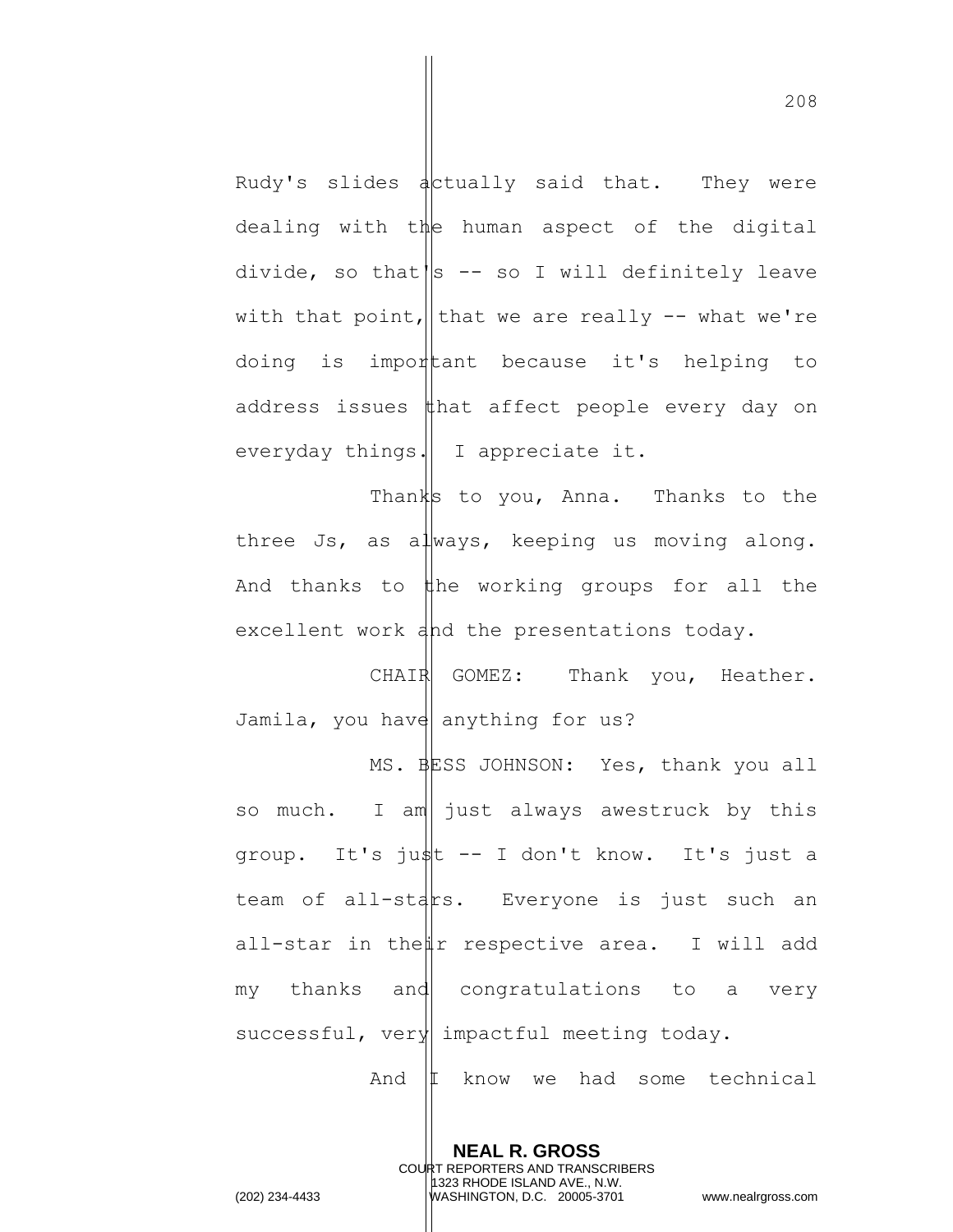Rudy's slides  $\frac{1}{4}$  alctually said that. They were dealing with the human aspect of the digital divide, so that  $\|s\|$ -- so I will definitely leave with that point, that we are really  $-$  what we're doing is important because it's helping to address issues  $\sharp$ hat affect people every day on everyday things. I appreciate it.

Thanks to you, Anna. Thanks to the three Js, as always, keeping us moving along. And thanks to  $\sharp$ he working groups for all the excellent work and the presentations today.

CHAIR GOMEZ: Thank you, Heather. Jamila, you have anything for us?

MS. BESS JOHNSON: Yes, thank you all so much. I am just always awestruck by this group. It's just -- I don't know. It's just a team of all-stars. Everyone is just such an all-star in the  $\sharp r$  respective area. I will add my thanks and congratulations to a very successful, very impactful meeting today. And  $|I \rangle$  know we had some technical

**NEAL R. GROSS**

COURT REPORTERS AND TRANSCRIBERS 1323 RHODE ISLAND AVE., N.W. (202) 234-4433 WASHINGTON, D.C. 20005-3701 www.nealrgross.com

208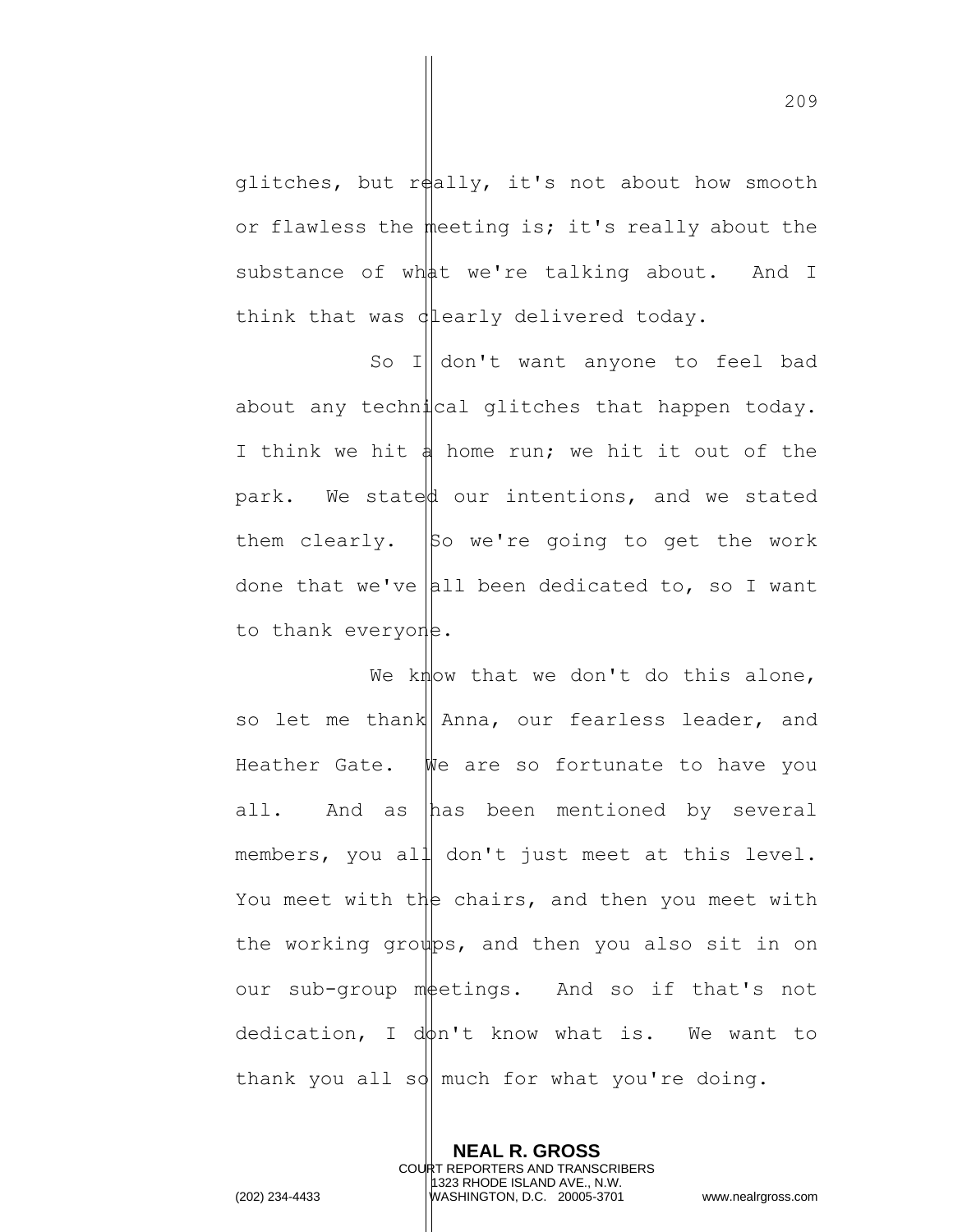glitches, but really, it's not about how smooth or flawless the meeting is; it's really about the substance of what we're talking about. And I think that was  $d$  early delivered today.

So I|| don't want anyone to feel bad about any technical glitches that happen today. I think we hit  $\phi$  home run; we hit it out of the park. We stated our intentions, and we stated them clearly.  $\vert$ So we're going to get the work done that we've all been dedicated to, so I want to thank everyone.

We know that we don't do this alone, so let me thank Anna, our fearless leader, and Heather Gate. Whe are so fortunate to have you all. And as has been mentioned by several members, you all don't just meet at this level. You meet with the chairs, and then you meet with the working groups, and then you also sit in on our sub-group metings. And so if that's not  $dedication, I d\phi n't know what is. We want to$ thank you all so much for what you're doing.

**NEAL R. GROSS** COURT REPORTERS AND TRANSCRIBERS 1323 RHODE ISLAND AVE., N.W. (202) 234-4433 WASHINGTON, D.C. 20005-3701 www.nealrgross.com

209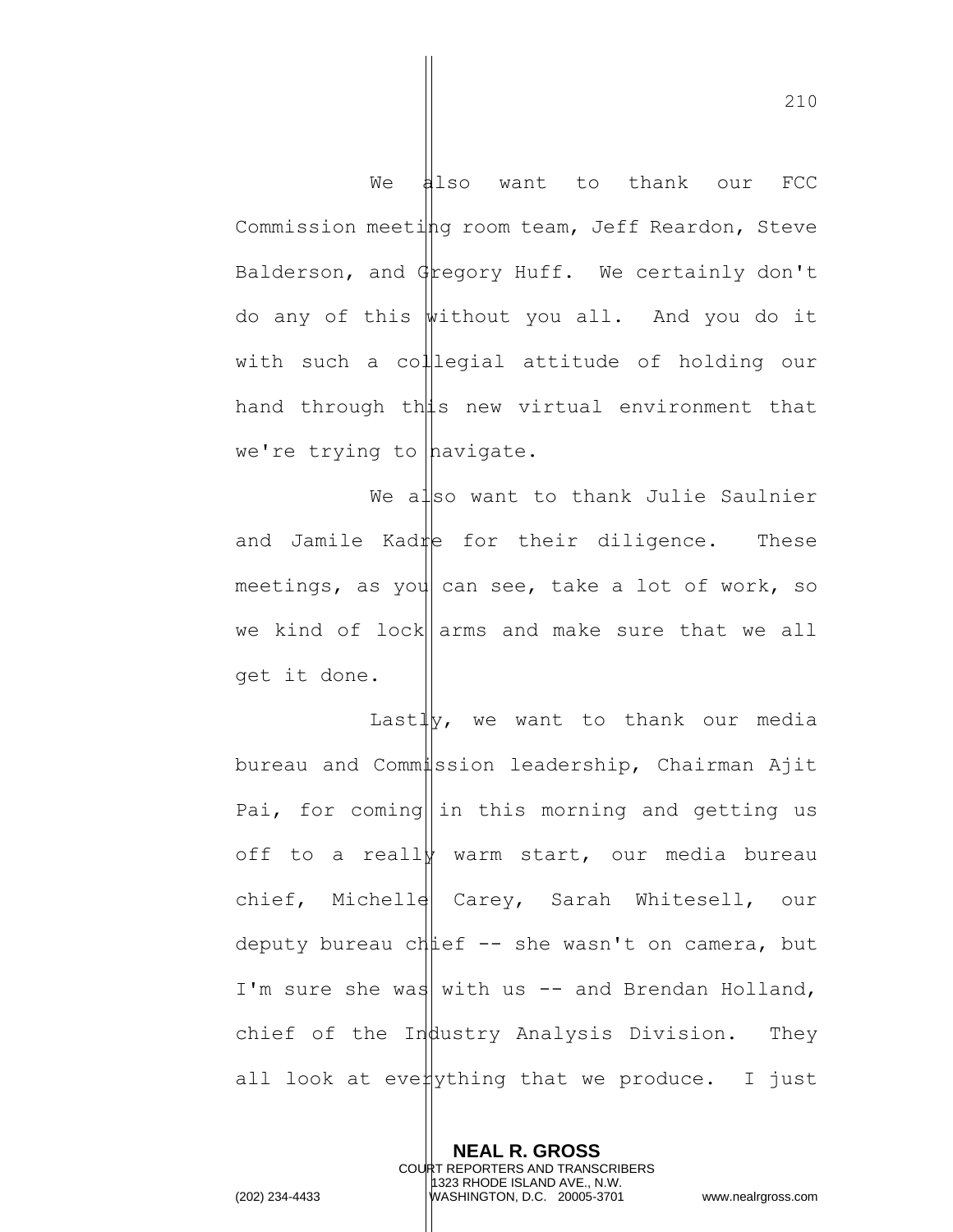We also want to thank our FCC Commission meeting room team, Jeff Reardon, Steve Balderson, and Gregory Huff. We certainly don't do any of this without you all. And you do it with such a collegial attitude of holding our hand through this new virtual environment that we're trying to  $h$ avigate.

We also want to thank Julie Saulnier and Jamile Kadre for their diligence. These meetings, as you can see, take a lot of work, so we kind of lock  $\alpha$  arms and make sure that we all get it done.

Last $\frac{1}{y}$ , we want to thank our media bureau and Commission leadership, Chairman Ajit Pai, for coming  $\ln$  this morning and getting us off to a really warm start, our media bureau chief, Michelle Carey, Sarah Whitesell, our deputy bureau chief  $-$  she wasn't on camera, but I'm sure she was with us  $-$  and Brendan Holland, chief of the Industry Analysis Division. They all look at even  $y$ thing that we produce. I just